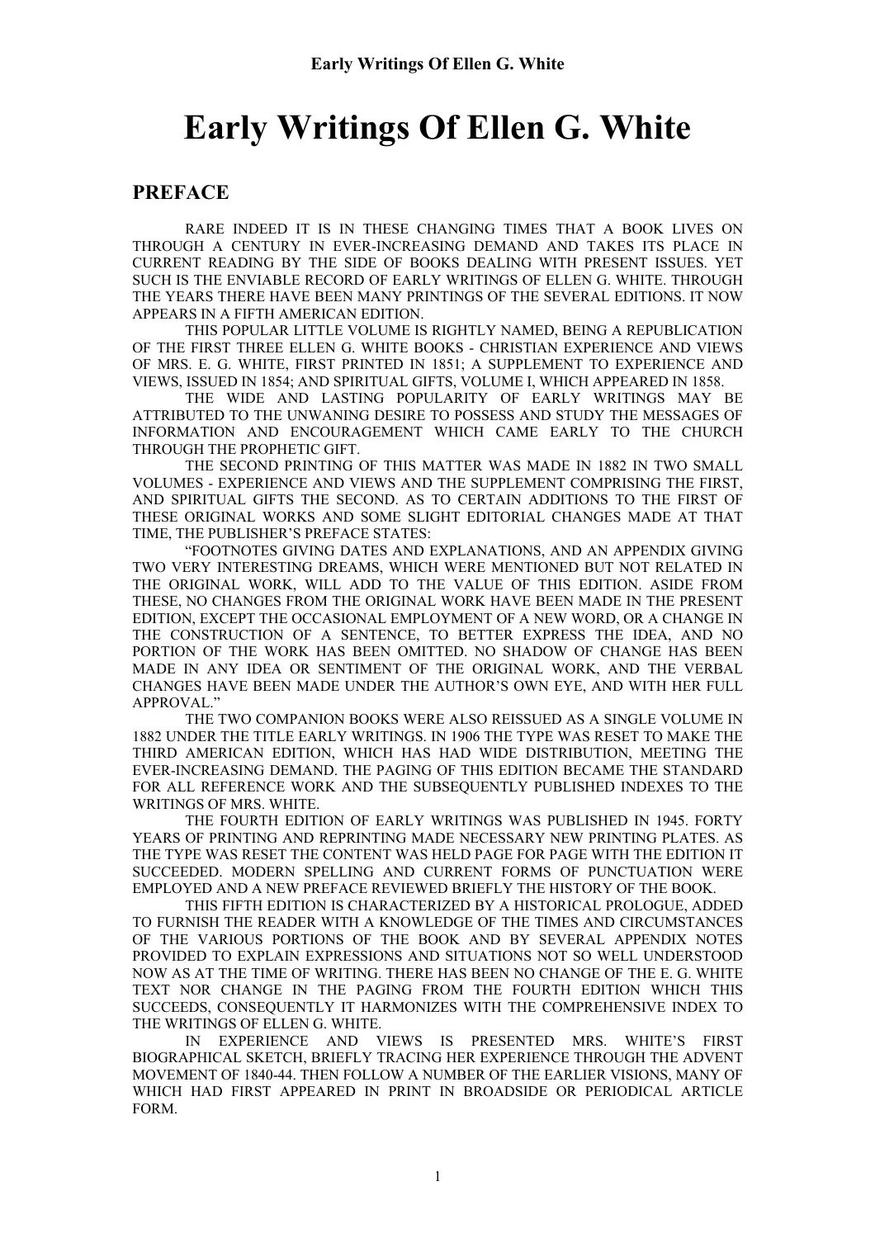# **PREFACE**

RARE INDEED IT IS IN THESE CHANGING TIMES THAT A BOOK LIVES ON THROUGH A CENTURY IN EVER-INCREASING DEMAND AND TAKES ITS PLACE IN CURRENT READING BY THE SIDE OF BOOKS DEALING WITH PRESENT ISSUES. YET SUCH IS THE ENVIABLE RECORD OF EARLY WRITINGS OF ELLEN G. WHITE. THROUGH THE YEARS THERE HAVE BEEN MANY PRINTINGS OF THE SEVERAL EDITIONS. IT NOW APPEARS IN A FIFTH AMERICAN EDITION.

THIS POPULAR LITTLE VOLUME IS RIGHTLY NAMED, BEING A REPUBLICATION OF THE FIRST THREE ELLEN G. WHITE BOOKS - CHRISTIAN EXPERIENCE AND VIEWS OF MRS. E. G. WHITE, FIRST PRINTED IN 1851; A SUPPLEMENT TO EXPERIENCE AND VIEWS, ISSUED IN 1854; AND SPIRITUAL GIFTS, VOLUME I, WHICH APPEARED IN 1858.

THE WIDE AND LASTING POPULARITY OF EARLY WRITINGS MAY BE ATTRIBUTED TO THE UNWANING DESIRE TO POSSESS AND STUDY THE MESSAGES OF INFORMATION AND ENCOURAGEMENT WHICH CAME EARLY TO THE CHURCH THROUGH THE PROPHETIC GIFT.

THE SECOND PRINTING OF THIS MATTER WAS MADE IN 1882 IN TWO SMALL VOLUMES - EXPERIENCE AND VIEWS AND THE SUPPLEMENT COMPRISING THE FIRST, AND SPIRITUAL GIFTS THE SECOND. AS TO CERTAIN ADDITIONS TO THE FIRST OF THESE ORIGINAL WORKS AND SOME SLIGHT EDITORIAL CHANGES MADE AT THAT TIME, THE PUBLISHER'S PREFACE STATES:

"FOOTNOTES GIVING DATES AND EXPLANATIONS, AND AN APPENDIX GIVING TWO VERY INTERESTING DREAMS, WHICH WERE MENTIONED BUT NOT RELATED IN THE ORIGINAL WORK, WILL ADD TO THE VALUE OF THIS EDITION. ASIDE FROM THESE, NO CHANGES FROM THE ORIGINAL WORK HAVE BEEN MADE IN THE PRESENT EDITION, EXCEPT THE OCCASIONAL EMPLOYMENT OF A NEW WORD, OR A CHANGE IN THE CONSTRUCTION OF A SENTENCE, TO BETTER EXPRESS THE IDEA, AND NO PORTION OF THE WORK HAS BEEN OMITTED. NO SHADOW OF CHANGE HAS BEEN MADE IN ANY IDEA OR SENTIMENT OF THE ORIGINAL WORK, AND THE VERBAL CHANGES HAVE BEEN MADE UNDER THE AUTHOR'S OWN EYE, AND WITH HER FULL APPROVAL."

THE TWO COMPANION BOOKS WERE ALSO REISSUED AS A SINGLE VOLUME IN 1882 UNDER THE TITLE EARLY WRITINGS. IN 1906 THE TYPE WAS RESET TO MAKE THE THIRD AMERICAN EDITION, WHICH HAS HAD WIDE DISTRIBUTION, MEETING THE EVER-INCREASING DEMAND. THE PAGING OF THIS EDITION BECAME THE STANDARD FOR ALL REFERENCE WORK AND THE SUBSEQUENTLY PUBLISHED INDEXES TO THE WRITINGS OF MRS. WHITE.

THE FOURTH EDITION OF EARLY WRITINGS WAS PUBLISHED IN 1945. FORTY YEARS OF PRINTING AND REPRINTING MADE NECESSARY NEW PRINTING PLATES. AS THE TYPE WAS RESET THE CONTENT WAS HELD PAGE FOR PAGE WITH THE EDITION IT SUCCEEDED. MODERN SPELLING AND CURRENT FORMS OF PUNCTUATION WERE EMPLOYED AND A NEW PREFACE REVIEWED BRIEFLY THE HISTORY OF THE BOOK.

THIS FIFTH EDITION IS CHARACTERIZED BY A HISTORICAL PROLOGUE, ADDED TO FURNISH THE READER WITH A KNOWLEDGE OF THE TIMES AND CIRCUMSTANCES OF THE VARIOUS PORTIONS OF THE BOOK AND BY SEVERAL APPENDIX NOTES PROVIDED TO EXPLAIN EXPRESSIONS AND SITUATIONS NOT SO WELL UNDERSTOOD NOW AS AT THE TIME OF WRITING. THERE HAS BEEN NO CHANGE OF THE E. G. WHITE TEXT NOR CHANGE IN THE PAGING FROM THE FOURTH EDITION WHICH THIS SUCCEEDS, CONSEQUENTLY IT HARMONIZES WITH THE COMPREHENSIVE INDEX TO THE WRITINGS OF ELLEN G. WHITE.

IN EXPERIENCE AND VIEWS IS PRESENTED MRS. WHITE'S FIRST BIOGRAPHICAL SKETCH, BRIEFLY TRACING HER EXPERIENCE THROUGH THE ADVENT MOVEMENT OF 1840-44. THEN FOLLOW A NUMBER OF THE EARLIER VISIONS, MANY OF WHICH HAD FIRST APPEARED IN PRINT IN BROADSIDE OR PERIODICAL ARTICLE FORM.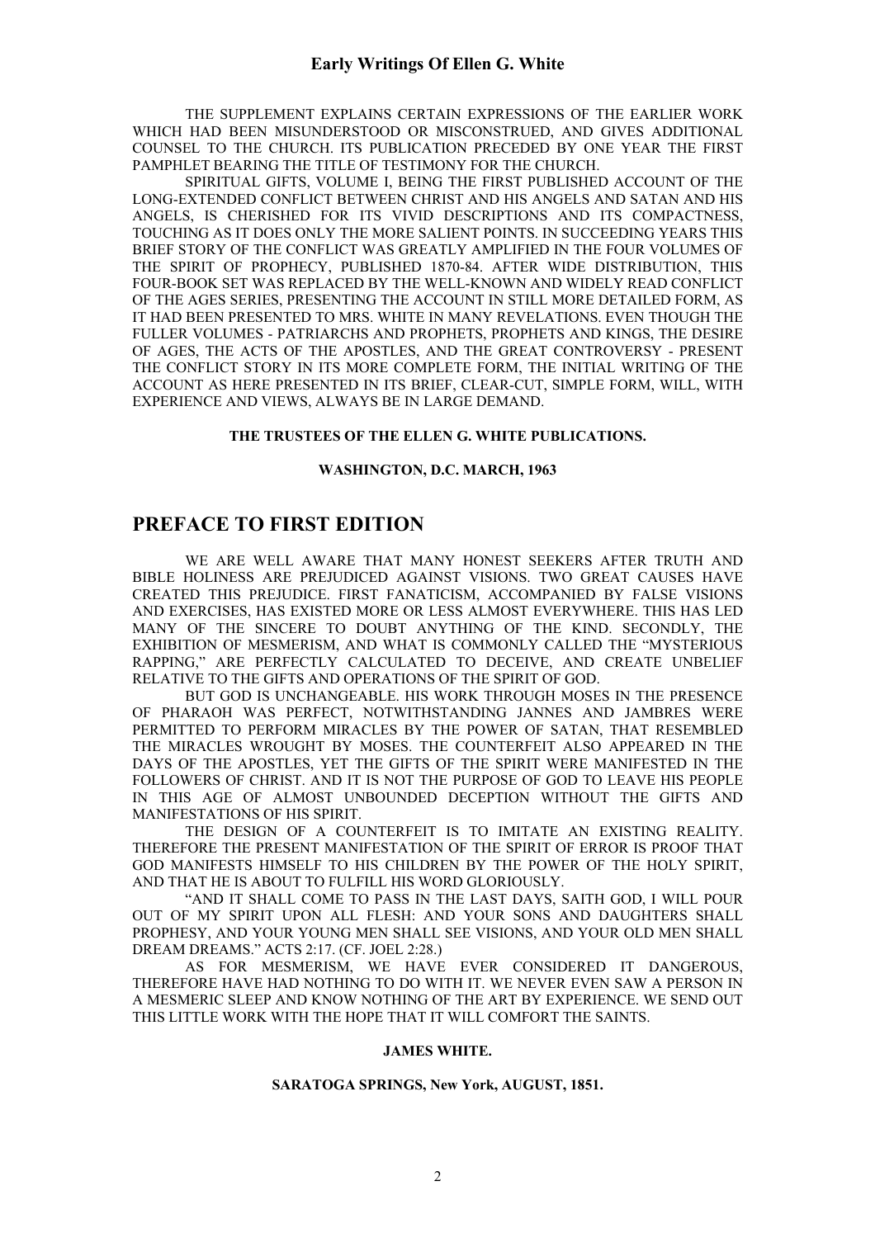THE SUPPLEMENT EXPLAINS CERTAIN EXPRESSIONS OF THE EARLIER WORK WHICH HAD BEEN MISUNDERSTOOD OR MISCONSTRUED, AND GIVES ADDITIONAL COUNSEL TO THE CHURCH. ITS PUBLICATION PRECEDED BY ONE YEAR THE FIRST PAMPHLET BEARING THE TITLE OF TESTIMONY FOR THE CHURCH.

SPIRITUAL GIFTS, VOLUME I, BEING THE FIRST PUBLISHED ACCOUNT OF THE LONG-EXTENDED CONFLICT BETWEEN CHRIST AND HIS ANGELS AND SATAN AND HIS ANGELS, IS CHERISHED FOR ITS VIVID DESCRIPTIONS AND ITS COMPACTNESS, TOUCHING AS IT DOES ONLY THE MORE SALIENT POINTS. IN SUCCEEDING YEARS THIS BRIEF STORY OF THE CONFLICT WAS GREATLY AMPLIFIED IN THE FOUR VOLUMES OF THE SPIRIT OF PROPHECY, PUBLISHED 1870-84. AFTER WIDE DISTRIBUTION, THIS FOUR-BOOK SET WAS REPLACED BY THE WELL-KNOWN AND WIDELY READ CONFLICT OF THE AGES SERIES, PRESENTING THE ACCOUNT IN STILL MORE DETAILED FORM, AS IT HAD BEEN PRESENTED TO MRS. WHITE IN MANY REVELATIONS. EVEN THOUGH THE FULLER VOLUMES - PATRIARCHS AND PROPHETS, PROPHETS AND KINGS, THE DESIRE OF AGES, THE ACTS OF THE APOSTLES, AND THE GREAT CONTROVERSY - PRESENT THE CONFLICT STORY IN ITS MORE COMPLETE FORM, THE INITIAL WRITING OF THE ACCOUNT AS HERE PRESENTED IN ITS BRIEF, CLEAR-CUT, SIMPLE FORM, WILL, WITH EXPERIENCE AND VIEWS, ALWAYS BE IN LARGE DEMAND.

#### **THE TRUSTEES OF THE ELLEN G. WHITE PUBLICATIONS.**

#### **WASHINGTON, D.C. MARCH, 1963**

# **PREFACE TO FIRST EDITION**

WE ARE WELL AWARE THAT MANY HONEST SEEKERS AFTER TRUTH AND BIBLE HOLINESS ARE PREJUDICED AGAINST VISIONS. TWO GREAT CAUSES HAVE CREATED THIS PREJUDICE. FIRST FANATICISM, ACCOMPANIED BY FALSE VISIONS AND EXERCISES, HAS EXISTED MORE OR LESS ALMOST EVERYWHERE. THIS HAS LED MANY OF THE SINCERE TO DOUBT ANYTHING OF THE KIND. SECONDLY, THE EXHIBITION OF MESMERISM, AND WHAT IS COMMONLY CALLED THE "MYSTERIOUS RAPPING," ARE PERFECTLY CALCULATED TO DECEIVE, AND CREATE UNBELIEF RELATIVE TO THE GIFTS AND OPERATIONS OF THE SPIRIT OF GOD.

BUT GOD IS UNCHANGEABLE. HIS WORK THROUGH MOSES IN THE PRESENCE OF PHARAOH WAS PERFECT, NOTWITHSTANDING JANNES AND JAMBRES WERE PERMITTED TO PERFORM MIRACLES BY THE POWER OF SATAN, THAT RESEMBLED THE MIRACLES WROUGHT BY MOSES. THE COUNTERFEIT ALSO APPEARED IN THE DAYS OF THE APOSTLES, YET THE GIFTS OF THE SPIRIT WERE MANIFESTED IN THE FOLLOWERS OF CHRIST. AND IT IS NOT THE PURPOSE OF GOD TO LEAVE HIS PEOPLE IN THIS AGE OF ALMOST UNBOUNDED DECEPTION WITHOUT THE GIFTS AND MANIFESTATIONS OF HIS SPIRIT.

THE DESIGN OF A COUNTERFEIT IS TO IMITATE AN EXISTING REALITY. THEREFORE THE PRESENT MANIFESTATION OF THE SPIRIT OF ERROR IS PROOF THAT GOD MANIFESTS HIMSELF TO HIS CHILDREN BY THE POWER OF THE HOLY SPIRIT, AND THAT HE IS ABOUT TO FULFILL HIS WORD GLORIOUSLY.

"AND IT SHALL COME TO PASS IN THE LAST DAYS, SAITH GOD, I WILL POUR OUT OF MY SPIRIT UPON ALL FLESH: AND YOUR SONS AND DAUGHTERS SHALL PROPHESY, AND YOUR YOUNG MEN SHALL SEE VISIONS, AND YOUR OLD MEN SHALL DREAM DREAMS." ACTS 2:17. (CF. JOEL 2:28.)

AS FOR MESMERISM, WE HAVE EVER CONSIDERED IT DANGEROUS, THEREFORE HAVE HAD NOTHING TO DO WITH IT. WE NEVER EVEN SAW A PERSON IN A MESMERIC SLEEP AND KNOW NOTHING OF THE ART BY EXPERIENCE. WE SEND OUT THIS LITTLE WORK WITH THE HOPE THAT IT WILL COMFORT THE SAINTS.

#### **JAMES WHITE.**

#### **SARATOGA SPRINGS, New York, AUGUST, 1851.**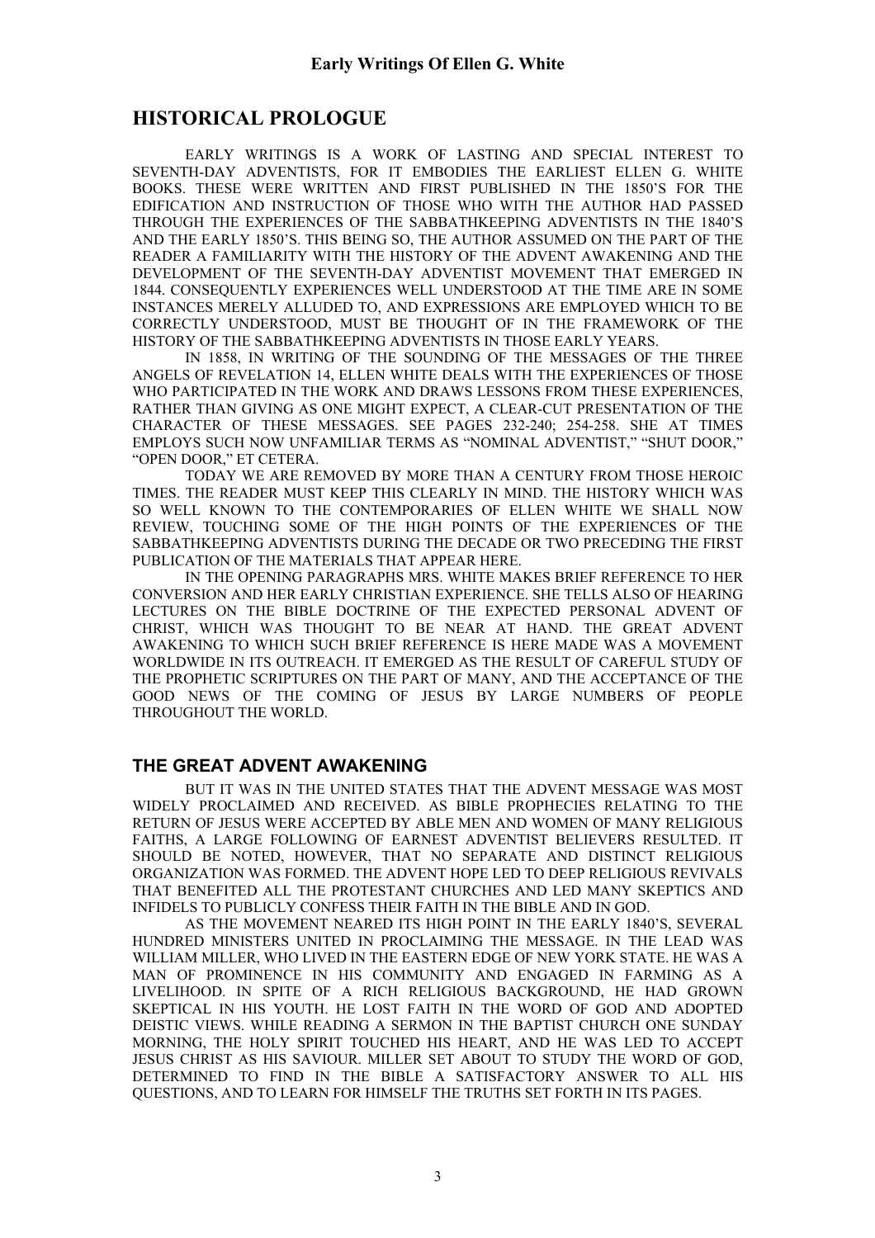# **HISTORICAL PROLOGUE**

EARLY WRITINGS IS A WORK OF LASTING AND SPECIAL INTEREST TO SEVENTH-DAY ADVENTISTS, FOR IT EMBODIES THE EARLIEST ELLEN G. WHITE BOOKS. THESE WERE WRITTEN AND FIRST PUBLISHED IN THE 1850'S FOR THE EDIFICATION AND INSTRUCTION OF THOSE WHO WITH THE AUTHOR HAD PASSED THROUGH THE EXPERIENCES OF THE SABBATHKEEPING ADVENTISTS IN THE 1840'S AND THE EARLY 1850'S. THIS BEING SO, THE AUTHOR ASSUMED ON THE PART OF THE READER A FAMILIARITY WITH THE HISTORY OF THE ADVENT AWAKENING AND THE DEVELOPMENT OF THE SEVENTH-DAY ADVENTIST MOVEMENT THAT EMERGED IN 1844. CONSEQUENTLY EXPERIENCES WELL UNDERSTOOD AT THE TIME ARE IN SOME INSTANCES MERELY ALLUDED TO, AND EXPRESSIONS ARE EMPLOYED WHICH TO BE CORRECTLY UNDERSTOOD, MUST BE THOUGHT OF IN THE FRAMEWORK OF THE HISTORY OF THE SABBATHKEEPING ADVENTISTS IN THOSE EARLY YEARS.

IN 1858, IN WRITING OF THE SOUNDING OF THE MESSAGES OF THE THREE ANGELS OF REVELATION 14, ELLEN WHITE DEALS WITH THE EXPERIENCES OF THOSE WHO PARTICIPATED IN THE WORK AND DRAWS LESSONS FROM THESE EXPERIENCES, RATHER THAN GIVING AS ONE MIGHT EXPECT, A CLEAR-CUT PRESENTATION OF THE CHARACTER OF THESE MESSAGES. SEE PAGES 232-240; 254-258. SHE AT TIMES EMPLOYS SUCH NOW UNFAMILIAR TERMS AS "NOMINAL ADVENTIST," "SHUT DOOR," "OPEN DOOR," ET CETERA.

TODAY WE ARE REMOVED BY MORE THAN A CENTURY FROM THOSE HEROIC TIMES. THE READER MUST KEEP THIS CLEARLY IN MIND. THE HISTORY WHICH WAS SO WELL KNOWN TO THE CONTEMPORARIES OF ELLEN WHITE WE SHALL NOW REVIEW, TOUCHING SOME OF THE HIGH POINTS OF THE EXPERIENCES OF THE SABBATHKEEPING ADVENTISTS DURING THE DECADE OR TWO PRECEDING THE FIRST PUBLICATION OF THE MATERIALS THAT APPEAR HERE.

IN THE OPENING PARAGRAPHS MRS. WHITE MAKES BRIEF REFERENCE TO HER CONVERSION AND HER EARLY CHRISTIAN EXPERIENCE. SHE TELLS ALSO OF HEARING LECTURES ON THE BIBLE DOCTRINE OF THE EXPECTED PERSONAL ADVENT OF CHRIST, WHICH WAS THOUGHT TO BE NEAR AT HAND. THE GREAT ADVENT AWAKENING TO WHICH SUCH BRIEF REFERENCE IS HERE MADE WAS A MOVEMENT WORLDWIDE IN ITS OUTREACH. IT EMERGED AS THE RESULT OF CAREFUL STUDY OF THE PROPHETIC SCRIPTURES ON THE PART OF MANY, AND THE ACCEPTANCE OF THE GOOD NEWS OF THE COMING OF JESUS BY LARGE NUMBERS OF PEOPLE THROUGHOUT THE WORLD.

# **THE GREAT ADVENT AWAKENING**

BUT IT WAS IN THE UNITED STATES THAT THE ADVENT MESSAGE WAS MOST WIDELY PROCLAIMED AND RECEIVED. AS BIBLE PROPHECIES RELATING TO THE RETURN OF JESUS WERE ACCEPTED BY ABLE MEN AND WOMEN OF MANY RELIGIOUS FAITHS, A LARGE FOLLOWING OF EARNEST ADVENTIST BELIEVERS RESULTED. IT SHOULD BE NOTED, HOWEVER, THAT NO SEPARATE AND DISTINCT RELIGIOUS ORGANIZATION WAS FORMED. THE ADVENT HOPE LED TO DEEP RELIGIOUS REVIVALS THAT BENEFITED ALL THE PROTESTANT CHURCHES AND LED MANY SKEPTICS AND INFIDELS TO PUBLICLY CONFESS THEIR FAITH IN THE BIBLE AND IN GOD.

AS THE MOVEMENT NEARED ITS HIGH POINT IN THE EARLY 1840'S, SEVERAL HUNDRED MINISTERS UNITED IN PROCLAIMING THE MESSAGE. IN THE LEAD WAS WILLIAM MILLER, WHO LIVED IN THE EASTERN EDGE OF NEW YORK STATE. HE WAS A MAN OF PROMINENCE IN HIS COMMUNITY AND ENGAGED IN FARMING AS A LIVELIHOOD. IN SPITE OF A RICH RELIGIOUS BACKGROUND, HE HAD GROWN SKEPTICAL IN HIS YOUTH. HE LOST FAITH IN THE WORD OF GOD AND ADOPTED DEISTIC VIEWS. WHILE READING A SERMON IN THE BAPTIST CHURCH ONE SUNDAY MORNING, THE HOLY SPIRIT TOUCHED HIS HEART, AND HE WAS LED TO ACCEPT JESUS CHRIST AS HIS SAVIOUR. MILLER SET ABOUT TO STUDY THE WORD OF GOD, DETERMINED TO FIND IN THE BIBLE A SATISFACTORY ANSWER TO ALL HIS QUESTIONS, AND TO LEARN FOR HIMSELF THE TRUTHS SET FORTH IN ITS PAGES.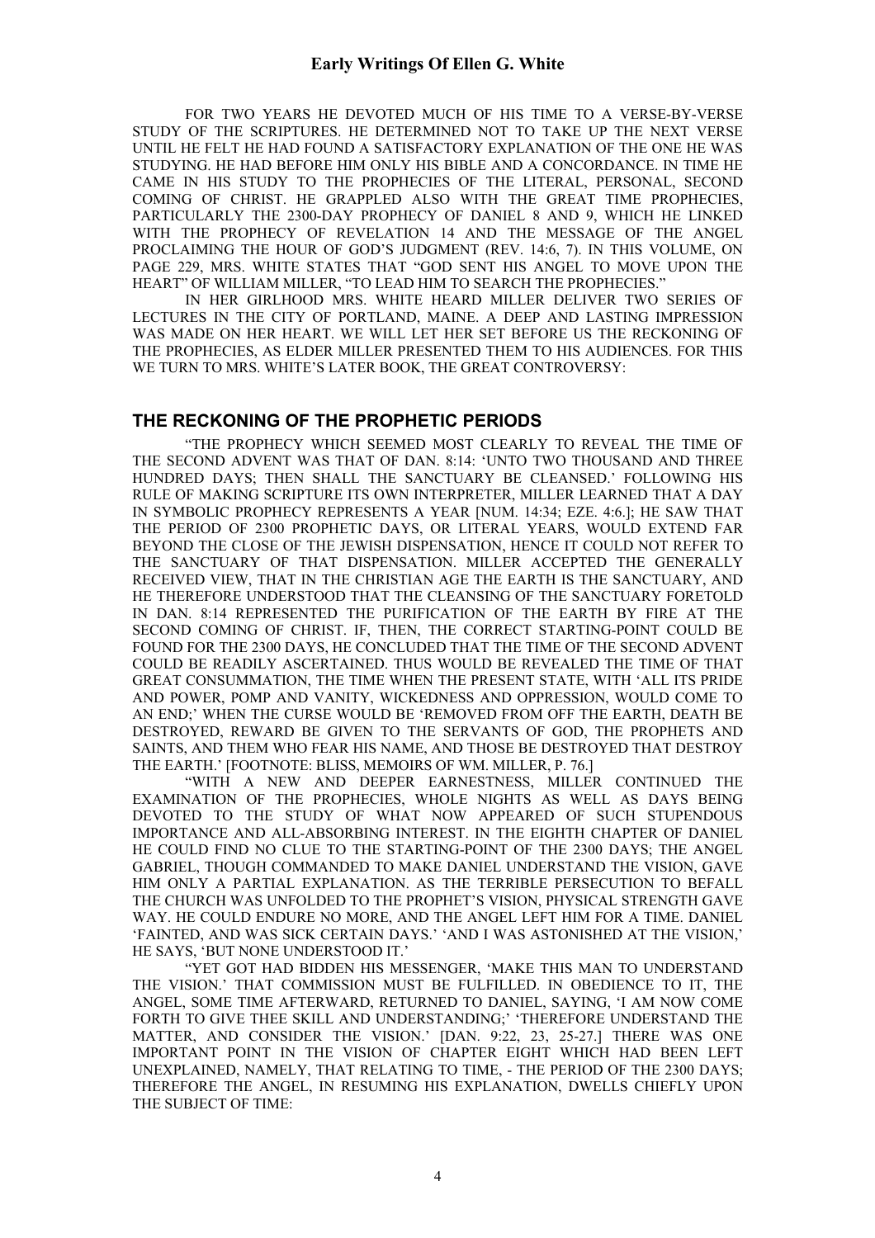FOR TWO YEARS HE DEVOTED MUCH OF HIS TIME TO A VERSE-BY-VERSE STUDY OF THE SCRIPTURES. HE DETERMINED NOT TO TAKE UP THE NEXT VERSE UNTIL HE FELT HE HAD FOUND A SATISFACTORY EXPLANATION OF THE ONE HE WAS STUDYING. HE HAD BEFORE HIM ONLY HIS BIBLE AND A CONCORDANCE. IN TIME HE CAME IN HIS STUDY TO THE PROPHECIES OF THE LITERAL, PERSONAL, SECOND COMING OF CHRIST. HE GRAPPLED ALSO WITH THE GREAT TIME PROPHECIES, PARTICULARLY THE 2300-DAY PROPHECY OF DANIEL 8 AND 9, WHICH HE LINKED WITH THE PROPHECY OF REVELATION 14 AND THE MESSAGE OF THE ANGEL PROCLAIMING THE HOUR OF GOD'S JUDGMENT (REV. 14:6, 7). IN THIS VOLUME, ON PAGE 229, MRS. WHITE STATES THAT "GOD SENT HIS ANGEL TO MOVE UPON THE HEART" OF WILLIAM MILLER, "TO LEAD HIM TO SEARCH THE PROPHECIES."

IN HER GIRLHOOD MRS. WHITE HEARD MILLER DELIVER TWO SERIES OF LECTURES IN THE CITY OF PORTLAND, MAINE. A DEEP AND LASTING IMPRESSION WAS MADE ON HER HEART. WE WILL LET HER SET BEFORE US THE RECKONING OF THE PROPHECIES, AS ELDER MILLER PRESENTED THEM TO HIS AUDIENCES. FOR THIS WE TURN TO MRS. WHITE'S LATER BOOK, THE GREAT CONTROVERSY:

## **THE RECKONING OF THE PROPHETIC PERIODS**

"THE PROPHECY WHICH SEEMED MOST CLEARLY TO REVEAL THE TIME OF THE SECOND ADVENT WAS THAT OF DAN. 8:14: 'UNTO TWO THOUSAND AND THREE HUNDRED DAYS; THEN SHALL THE SANCTUARY BE CLEANSED.' FOLLOWING HIS RULE OF MAKING SCRIPTURE ITS OWN INTERPRETER, MILLER LEARNED THAT A DAY IN SYMBOLIC PROPHECY REPRESENTS A YEAR [NUM. 14:34; EZE. 4:6.]; HE SAW THAT THE PERIOD OF 2300 PROPHETIC DAYS, OR LITERAL YEARS, WOULD EXTEND FAR BEYOND THE CLOSE OF THE JEWISH DISPENSATION, HENCE IT COULD NOT REFER TO THE SANCTUARY OF THAT DISPENSATION. MILLER ACCEPTED THE GENERALLY RECEIVED VIEW, THAT IN THE CHRISTIAN AGE THE EARTH IS THE SANCTUARY, AND HE THEREFORE UNDERSTOOD THAT THE CLEANSING OF THE SANCTUARY FORETOLD IN DAN. 8:14 REPRESENTED THE PURIFICATION OF THE EARTH BY FIRE AT THE SECOND COMING OF CHRIST. IF, THEN, THE CORRECT STARTING-POINT COULD BE FOUND FOR THE 2300 DAYS, HE CONCLUDED THAT THE TIME OF THE SECOND ADVENT COULD BE READILY ASCERTAINED. THUS WOULD BE REVEALED THE TIME OF THAT GREAT CONSUMMATION, THE TIME WHEN THE PRESENT STATE, WITH 'ALL ITS PRIDE AND POWER, POMP AND VANITY, WICKEDNESS AND OPPRESSION, WOULD COME TO AN END;' WHEN THE CURSE WOULD BE 'REMOVED FROM OFF THE EARTH, DEATH BE DESTROYED, REWARD BE GIVEN TO THE SERVANTS OF GOD, THE PROPHETS AND SAINTS, AND THEM WHO FEAR HIS NAME, AND THOSE BE DESTROYED THAT DESTROY THE EARTH.' [FOOTNOTE: BLISS, MEMOIRS OF WM. MILLER, P. 76.]

"WITH A NEW AND DEEPER EARNESTNESS, MILLER CONTINUED THE EXAMINATION OF THE PROPHECIES, WHOLE NIGHTS AS WELL AS DAYS BEING DEVOTED TO THE STUDY OF WHAT NOW APPEARED OF SUCH STUPENDOUS IMPORTANCE AND ALL-ABSORBING INTEREST. IN THE EIGHTH CHAPTER OF DANIEL HE COULD FIND NO CLUE TO THE STARTING-POINT OF THE 2300 DAYS; THE ANGEL GABRIEL, THOUGH COMMANDED TO MAKE DANIEL UNDERSTAND THE VISION, GAVE HIM ONLY A PARTIAL EXPLANATION. AS THE TERRIBLE PERSECUTION TO BEFALL THE CHURCH WAS UNFOLDED TO THE PROPHET'S VISION, PHYSICAL STRENGTH GAVE WAY. HE COULD ENDURE NO MORE, AND THE ANGEL LEFT HIM FOR A TIME. DANIEL 'FAINTED, AND WAS SICK CERTAIN DAYS.' 'AND I WAS ASTONISHED AT THE VISION,' HE SAYS, 'BUT NONE UNDERSTOOD IT.'

"YET GOT HAD BIDDEN HIS MESSENGER, 'MAKE THIS MAN TO UNDERSTAND THE VISION.' THAT COMMISSION MUST BE FULFILLED. IN OBEDIENCE TO IT, THE ANGEL, SOME TIME AFTERWARD, RETURNED TO DANIEL, SAYING, 'I AM NOW COME FORTH TO GIVE THEE SKILL AND UNDERSTANDING;' 'THEREFORE UNDERSTAND THE MATTER, AND CONSIDER THE VISION.' [DAN. 9:22, 23, 25-27.] THERE WAS ONE IMPORTANT POINT IN THE VISION OF CHAPTER EIGHT WHICH HAD BEEN LEFT UNEXPLAINED, NAMELY, THAT RELATING TO TIME, - THE PERIOD OF THE 2300 DAYS; THEREFORE THE ANGEL, IN RESUMING HIS EXPLANATION, DWELLS CHIEFLY UPON THE SUBJECT OF TIME: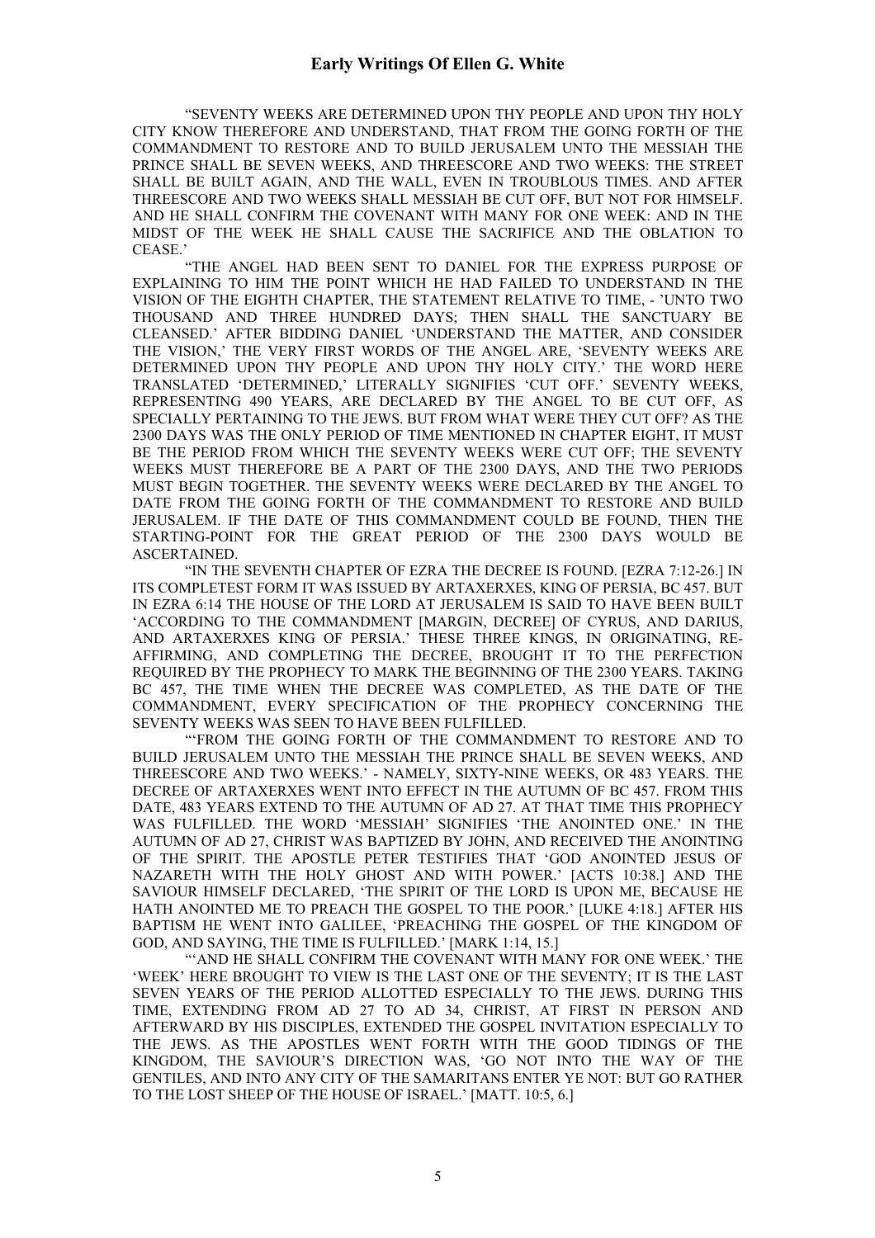"SEVENTY WEEKS ARE DETERMINED UPON THY PEOPLE AND UPON THY HOLY CITY KNOW THEREFORE AND UNDERSTAND, THAT FROM THE GOING FORTH OF THE COMMANDMENT TO RESTORE AND TO BUILD JERUSALEM UNTO THE MESSIAH THE PRINCE SHALL BE SEVEN WEEKS, AND THREESCORE AND TWO WEEKS: THE STREET SHALL BE BUILT AGAIN, AND THE WALL, EVEN IN TROUBLOUS TIMES. AND AFTER THREESCORE AND TWO WEEKS SHALL MESSIAH BE CUT OFF, BUT NOT FOR HIMSELF. AND HE SHALL CONFIRM THE COVENANT WITH MANY FOR ONE WEEK: AND IN THE MIDST OF THE WEEK HE SHALL CAUSE THE SACRIFICE AND THE OBLATION TO CEASE.'

"THE ANGEL HAD BEEN SENT TO DANIEL FOR THE EXPRESS PURPOSE OF EXPLAINING TO HIM THE POINT WHICH HE HAD FAILED TO UNDERSTAND IN THE VISION OF THE EIGHTH CHAPTER, THE STATEMENT RELATIVE TO TIME, - 'UNTO TWO THOUSAND AND THREE HUNDRED DAYS; THEN SHALL THE SANCTUARY BE CLEANSED.' AFTER BIDDING DANIEL 'UNDERSTAND THE MATTER, AND CONSIDER THE VISION,' THE VERY FIRST WORDS OF THE ANGEL ARE, 'SEVENTY WEEKS ARE DETERMINED UPON THY PEOPLE AND UPON THY HOLY CITY. THE WORD HERE TRANSLATED 'DETERMINED,' LITERALLY SIGNIFIES 'CUT OFF.' SEVENTY WEEKS, REPRESENTING 490 YEARS, ARE DECLARED BY THE ANGEL TO BE CUT OFF, AS SPECIALLY PERTAINING TO THE JEWS. BUT FROM WHAT WERE THEY CUT OFF? AS THE 2300 DAYS WAS THE ONLY PERIOD OF TIME MENTIONED IN CHAPTER EIGHT, IT MUST BE THE PERIOD FROM WHICH THE SEVENTY WEEKS WERE CUT OFF; THE SEVENTY WEEKS MUST THEREFORE BE A PART OF THE 2300 DAYS, AND THE TWO PERIODS MUST BEGIN TOGETHER. THE SEVENTY WEEKS WERE DECLARED BY THE ANGEL TO DATE FROM THE GOING FORTH OF THE COMMANDMENT TO RESTORE AND BUILD JERUSALEM. IF THE DATE OF THIS COMMANDMENT COULD BE FOUND, THEN THE STARTING-POINT FOR THE GREAT PERIOD OF THE 2300 DAYS WOULD BE ASCERTAINED.

"IN THE SEVENTH CHAPTER OF EZRA THE DECREE IS FOUND. [EZRA 7:12-26.] IN ITS COMPLETEST FORM IT WAS ISSUED BY ARTAXERXES, KING OF PERSIA, BC 457. BUT IN EZRA 6:14 THE HOUSE OF THE LORD AT JERUSALEM IS SAID TO HAVE BEEN BUILT 'ACCORDING TO THE COMMANDMENT [MARGIN, DECREE] OF CYRUS, AND DARIUS, AND ARTAXERXES KING OF PERSIA.' THESE THREE KINGS, IN ORIGINATING, RE-AFFIRMING, AND COMPLETING THE DECREE, BROUGHT IT TO THE PERFECTION REQUIRED BY THE PROPHECY TO MARK THE BEGINNING OF THE 2300 YEARS. TAKING BC 457, THE TIME WHEN THE DECREE WAS COMPLETED, AS THE DATE OF THE COMMANDMENT, EVERY SPECIFICATION OF THE PROPHECY CONCERNING THE SEVENTY WEEKS WAS SEEN TO HAVE BEEN FULFILLED.

"'FROM THE GOING FORTH OF THE COMMANDMENT TO RESTORE AND TO BUILD JERUSALEM UNTO THE MESSIAH THE PRINCE SHALL BE SEVEN WEEKS, AND THREESCORE AND TWO WEEKS.' - NAMELY, SIXTY-NINE WEEKS, OR 483 YEARS. THE DECREE OF ARTAXERXES WENT INTO EFFECT IN THE AUTUMN OF BC 457. FROM THIS DATE, 483 YEARS EXTEND TO THE AUTUMN OF AD 27. AT THAT TIME THIS PROPHECY WAS FULFILLED. THE WORD 'MESSIAH' SIGNIFIES 'THE ANOINTED ONE.' IN THE AUTUMN OF AD 27, CHRIST WAS BAPTIZED BY JOHN, AND RECEIVED THE ANOINTING OF THE SPIRIT. THE APOSTLE PETER TESTIFIES THAT 'GOD ANOINTED JESUS OF NAZARETH WITH THE HOLY GHOST AND WITH POWER.' [ACTS 10:38.] AND THE SAVIOUR HIMSELF DECLARED, 'THE SPIRIT OF THE LORD IS UPON ME, BECAUSE HE HATH ANOINTED ME TO PREACH THE GOSPEL TO THE POOR.' [LUKE 4:18.] AFTER HIS BAPTISM HE WENT INTO GALILEE, 'PREACHING THE GOSPEL OF THE KINGDOM OF GOD, AND SAYING, THE TIME IS FULFILLED.' [MARK 1:14, 15.]

"'AND HE SHALL CONFIRM THE COVENANT WITH MANY FOR ONE WEEK.' THE 'WEEK' HERE BROUGHT TO VIEW IS THE LAST ONE OF THE SEVENTY; IT IS THE LAST SEVEN YEARS OF THE PERIOD ALLOTTED ESPECIALLY TO THE JEWS. DURING THIS TIME, EXTENDING FROM AD 27 TO AD 34, CHRIST, AT FIRST IN PERSON AND AFTERWARD BY HIS DISCIPLES, EXTENDED THE GOSPEL INVITATION ESPECIALLY TO THE JEWS. AS THE APOSTLES WENT FORTH WITH THE GOOD TIDINGS OF THE KINGDOM, THE SAVIOUR'S DIRECTION WAS, 'GO NOT INTO THE WAY OF THE GENTILES, AND INTO ANY CITY OF THE SAMARITANS ENTER YE NOT: BUT GO RATHER TO THE LOST SHEEP OF THE HOUSE OF ISRAEL.' [MATT. 10:5, 6.]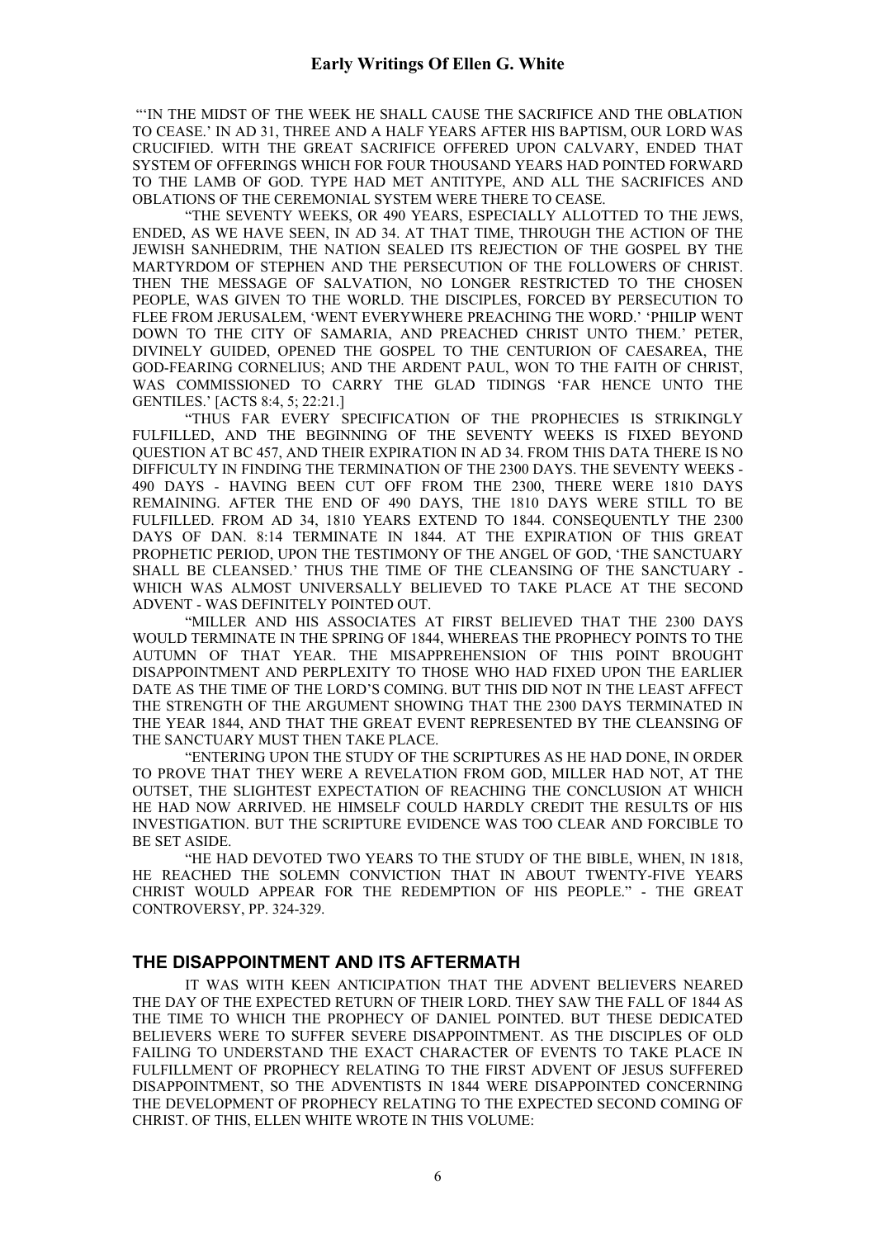"'IN THE MIDST OF THE WEEK HE SHALL CAUSE THE SACRIFICE AND THE OBLATION TO CEASE.' IN AD 31, THREE AND A HALF YEARS AFTER HIS BAPTISM, OUR LORD WAS CRUCIFIED. WITH THE GREAT SACRIFICE OFFERED UPON CALVARY, ENDED THAT SYSTEM OF OFFERINGS WHICH FOR FOUR THOUSAND YEARS HAD POINTED FORWARD TO THE LAMB OF GOD. TYPE HAD MET ANTITYPE, AND ALL THE SACRIFICES AND OBLATIONS OF THE CEREMONIAL SYSTEM WERE THERE TO CEASE.

"THE SEVENTY WEEKS, OR 490 YEARS, ESPECIALLY ALLOTTED TO THE JEWS, ENDED, AS WE HAVE SEEN, IN AD 34. AT THAT TIME, THROUGH THE ACTION OF THE JEWISH SANHEDRIM, THE NATION SEALED ITS REJECTION OF THE GOSPEL BY THE MARTYRDOM OF STEPHEN AND THE PERSECUTION OF THE FOLLOWERS OF CHRIST. THEN THE MESSAGE OF SALVATION, NO LONGER RESTRICTED TO THE CHOSEN PEOPLE, WAS GIVEN TO THE WORLD. THE DISCIPLES, FORCED BY PERSECUTION TO FLEE FROM JERUSALEM, 'WENT EVERYWHERE PREACHING THE WORD.' 'PHILIP WENT DOWN TO THE CITY OF SAMARIA, AND PREACHED CHRIST UNTO THEM.' PETER, DIVINELY GUIDED, OPENED THE GOSPEL TO THE CENTURION OF CAESAREA, THE GOD-FEARING CORNELIUS; AND THE ARDENT PAUL, WON TO THE FAITH OF CHRIST, WAS COMMISSIONED TO CARRY THE GLAD TIDINGS 'FAR HENCE UNTO THE GENTILES.' [ACTS 8:4, 5; 22:21.]

"THUS FAR EVERY SPECIFICATION OF THE PROPHECIES IS STRIKINGLY FULFILLED, AND THE BEGINNING OF THE SEVENTY WEEKS IS FIXED BEYOND QUESTION AT BC 457, AND THEIR EXPIRATION IN AD 34. FROM THIS DATA THERE IS NO DIFFICULTY IN FINDING THE TERMINATION OF THE 2300 DAYS. THE SEVENTY WEEKS - 490 DAYS - HAVING BEEN CUT OFF FROM THE 2300, THERE WERE 1810 DAYS REMAINING. AFTER THE END OF 490 DAYS, THE 1810 DAYS WERE STILL TO BE FULFILLED. FROM AD 34, 1810 YEARS EXTEND TO 1844. CONSEQUENTLY THE 2300 DAYS OF DAN. 8:14 TERMINATE IN 1844. AT THE EXPIRATION OF THIS GREAT PROPHETIC PERIOD, UPON THE TESTIMONY OF THE ANGEL OF GOD, 'THE SANCTUARY SHALL BE CLEANSED.' THUS THE TIME OF THE CLEANSING OF THE SANCTUARY - WHICH WAS ALMOST UNIVERSALLY BELIEVED TO TAKE PLACE AT THE SECOND ADVENT - WAS DEFINITELY POINTED OUT.

"MILLER AND HIS ASSOCIATES AT FIRST BELIEVED THAT THE 2300 DAYS WOULD TERMINATE IN THE SPRING OF 1844, WHEREAS THE PROPHECY POINTS TO THE AUTUMN OF THAT YEAR. THE MISAPPREHENSION OF THIS POINT BROUGHT DISAPPOINTMENT AND PERPLEXITY TO THOSE WHO HAD FIXED UPON THE EARLIER DATE AS THE TIME OF THE LORD'S COMING. BUT THIS DID NOT IN THE LEAST AFFECT THE STRENGTH OF THE ARGUMENT SHOWING THAT THE 2300 DAYS TERMINATED IN THE YEAR 1844, AND THAT THE GREAT EVENT REPRESENTED BY THE CLEANSING OF THE SANCTUARY MUST THEN TAKE PLACE.

"ENTERING UPON THE STUDY OF THE SCRIPTURES AS HE HAD DONE, IN ORDER TO PROVE THAT THEY WERE A REVELATION FROM GOD, MILLER HAD NOT, AT THE OUTSET, THE SLIGHTEST EXPECTATION OF REACHING THE CONCLUSION AT WHICH HE HAD NOW ARRIVED. HE HIMSELF COULD HARDLY CREDIT THE RESULTS OF HIS INVESTIGATION. BUT THE SCRIPTURE EVIDENCE WAS TOO CLEAR AND FORCIBLE TO BE SET ASIDE.

"HE HAD DEVOTED TWO YEARS TO THE STUDY OF THE BIBLE, WHEN, IN 1818, HE REACHED THE SOLEMN CONVICTION THAT IN ABOUT TWENTY-FIVE YEARS CHRIST WOULD APPEAR FOR THE REDEMPTION OF HIS PEOPLE." - THE GREAT CONTROVERSY, PP. 324-329.

# **THE DISAPPOINTMENT AND ITS AFTERMATH**

IT WAS WITH KEEN ANTICIPATION THAT THE ADVENT BELIEVERS NEARED THE DAY OF THE EXPECTED RETURN OF THEIR LORD. THEY SAW THE FALL OF 1844 AS THE TIME TO WHICH THE PROPHECY OF DANIEL POINTED. BUT THESE DEDICATED BELIEVERS WERE TO SUFFER SEVERE DISAPPOINTMENT. AS THE DISCIPLES OF OLD FAILING TO UNDERSTAND THE EXACT CHARACTER OF EVENTS TO TAKE PLACE IN FULFILLMENT OF PROPHECY RELATING TO THE FIRST ADVENT OF JESUS SUFFERED DISAPPOINTMENT, SO THE ADVENTISTS IN 1844 WERE DISAPPOINTED CONCERNING THE DEVELOPMENT OF PROPHECY RELATING TO THE EXPECTED SECOND COMING OF CHRIST. OF THIS, ELLEN WHITE WROTE IN THIS VOLUME: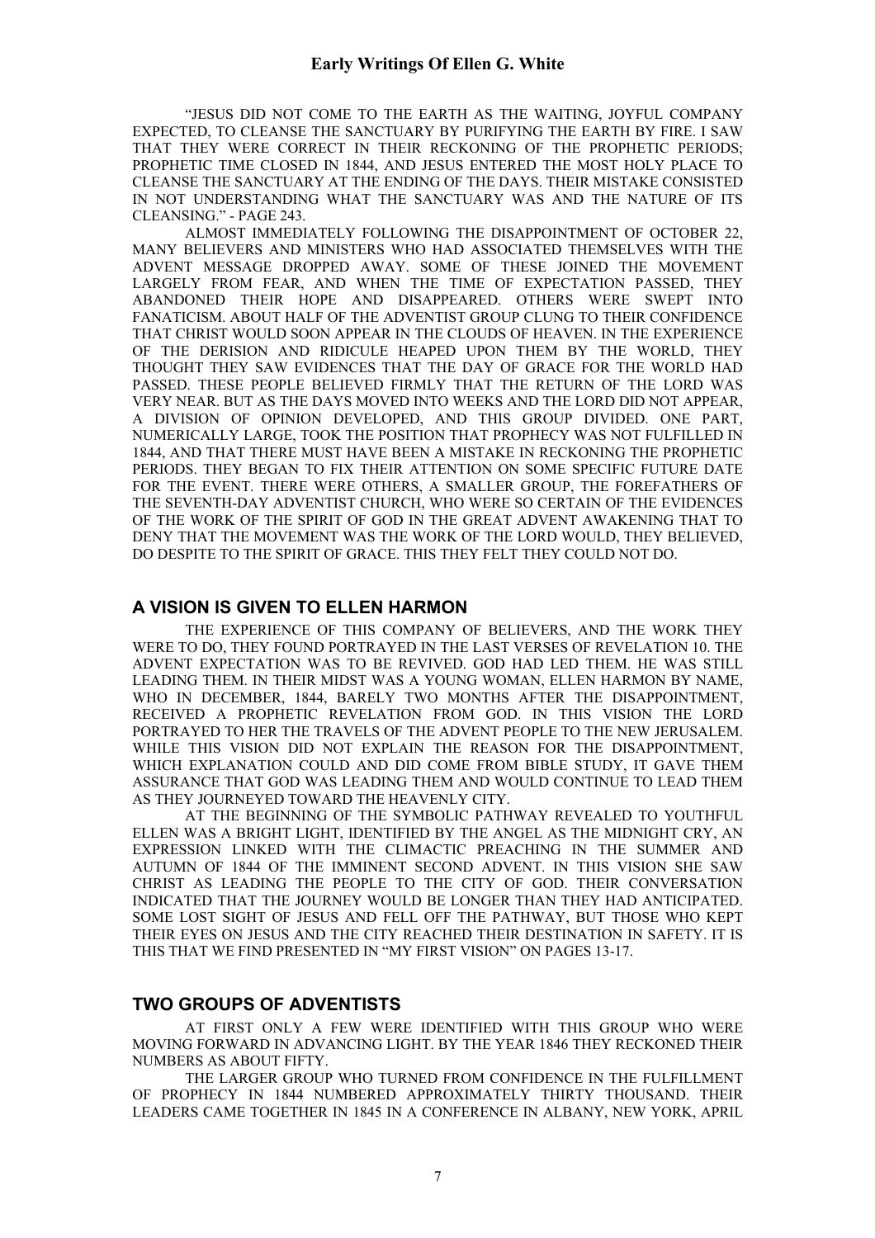"JESUS DID NOT COME TO THE EARTH AS THE WAITING, JOYFUL COMPANY EXPECTED, TO CLEANSE THE SANCTUARY BY PURIFYING THE EARTH BY FIRE. I SAW THAT THEY WERE CORRECT IN THEIR RECKONING OF THE PROPHETIC PERIODS; PROPHETIC TIME CLOSED IN 1844, AND JESUS ENTERED THE MOST HOLY PLACE TO CLEANSE THE SANCTUARY AT THE ENDING OF THE DAYS. THEIR MISTAKE CONSISTED IN NOT UNDERSTANDING WHAT THE SANCTUARY WAS AND THE NATURE OF ITS CLEANSING." - PAGE 243.

ALMOST IMMEDIATELY FOLLOWING THE DISAPPOINTMENT OF OCTOBER 22, MANY BELIEVERS AND MINISTERS WHO HAD ASSOCIATED THEMSELVES WITH THE ADVENT MESSAGE DROPPED AWAY. SOME OF THESE JOINED THE MOVEMENT LARGELY FROM FEAR, AND WHEN THE TIME OF EXPECTATION PASSED, THEY ABANDONED THEIR HOPE AND DISAPPEARED. OTHERS WERE SWEPT INTO FANATICISM. ABOUT HALF OF THE ADVENTIST GROUP CLUNG TO THEIR CONFIDENCE THAT CHRIST WOULD SOON APPEAR IN THE CLOUDS OF HEAVEN. IN THE EXPERIENCE OF THE DERISION AND RIDICULE HEAPED UPON THEM BY THE WORLD, THEY THOUGHT THEY SAW EVIDENCES THAT THE DAY OF GRACE FOR THE WORLD HAD PASSED. THESE PEOPLE BELIEVED FIRMLY THAT THE RETURN OF THE LORD WAS VERY NEAR. BUT AS THE DAYS MOVED INTO WEEKS AND THE LORD DID NOT APPEAR, A DIVISION OF OPINION DEVELOPED, AND THIS GROUP DIVIDED. ONE PART, NUMERICALLY LARGE, TOOK THE POSITION THAT PROPHECY WAS NOT FULFILLED IN 1844, AND THAT THERE MUST HAVE BEEN A MISTAKE IN RECKONING THE PROPHETIC PERIODS. THEY BEGAN TO FIX THEIR ATTENTION ON SOME SPECIFIC FUTURE DATE FOR THE EVENT. THERE WERE OTHERS, A SMALLER GROUP, THE FOREFATHERS OF THE SEVENTH-DAY ADVENTIST CHURCH, WHO WERE SO CERTAIN OF THE EVIDENCES OF THE WORK OF THE SPIRIT OF GOD IN THE GREAT ADVENT AWAKENING THAT TO DENY THAT THE MOVEMENT WAS THE WORK OF THE LORD WOULD, THEY BELIEVED, DO DESPITE TO THE SPIRIT OF GRACE. THIS THEY FELT THEY COULD NOT DO.

# **A VISION IS GIVEN TO ELLEN HARMON**

THE EXPERIENCE OF THIS COMPANY OF BELIEVERS, AND THE WORK THEY WERE TO DO, THEY FOUND PORTRAYED IN THE LAST VERSES OF REVELATION 10. THE ADVENT EXPECTATION WAS TO BE REVIVED. GOD HAD LED THEM. HE WAS STILL LEADING THEM. IN THEIR MIDST WAS A YOUNG WOMAN, ELLEN HARMON BY NAME, WHO IN DECEMBER, 1844, BARELY TWO MONTHS AFTER THE DISAPPOINTMENT, RECEIVED A PROPHETIC REVELATION FROM GOD. IN THIS VISION THE LORD PORTRAYED TO HER THE TRAVELS OF THE ADVENT PEOPLE TO THE NEW JERUSALEM. WHILE THIS VISION DID NOT EXPLAIN THE REASON FOR THE DISAPPOINTMENT, WHICH EXPLANATION COULD AND DID COME FROM BIBLE STUDY, IT GAVE THEM ASSURANCE THAT GOD WAS LEADING THEM AND WOULD CONTINUE TO LEAD THEM AS THEY JOURNEYED TOWARD THE HEAVENLY CITY.

AT THE BEGINNING OF THE SYMBOLIC PATHWAY REVEALED TO YOUTHFUL ELLEN WAS A BRIGHT LIGHT, IDENTIFIED BY THE ANGEL AS THE MIDNIGHT CRY, AN EXPRESSION LINKED WITH THE CLIMACTIC PREACHING IN THE SUMMER AND AUTUMN OF 1844 OF THE IMMINENT SECOND ADVENT. IN THIS VISION SHE SAW CHRIST AS LEADING THE PEOPLE TO THE CITY OF GOD. THEIR CONVERSATION INDICATED THAT THE JOURNEY WOULD BE LONGER THAN THEY HAD ANTICIPATED. SOME LOST SIGHT OF JESUS AND FELL OFF THE PATHWAY, BUT THOSE WHO KEPT THEIR EYES ON JESUS AND THE CITY REACHED THEIR DESTINATION IN SAFETY. IT IS THIS THAT WE FIND PRESENTED IN "MY FIRST VISION" ON PAGES 13-17.

# **TWO GROUPS OF ADVENTISTS**

AT FIRST ONLY A FEW WERE IDENTIFIED WITH THIS GROUP WHO WERE MOVING FORWARD IN ADVANCING LIGHT. BY THE YEAR 1846 THEY RECKONED THEIR NUMBERS AS ABOUT FIFTY.

THE LARGER GROUP WHO TURNED FROM CONFIDENCE IN THE FULFILLMENT OF PROPHECY IN 1844 NUMBERED APPROXIMATELY THIRTY THOUSAND. THEIR LEADERS CAME TOGETHER IN 1845 IN A CONFERENCE IN ALBANY, NEW YORK, APRIL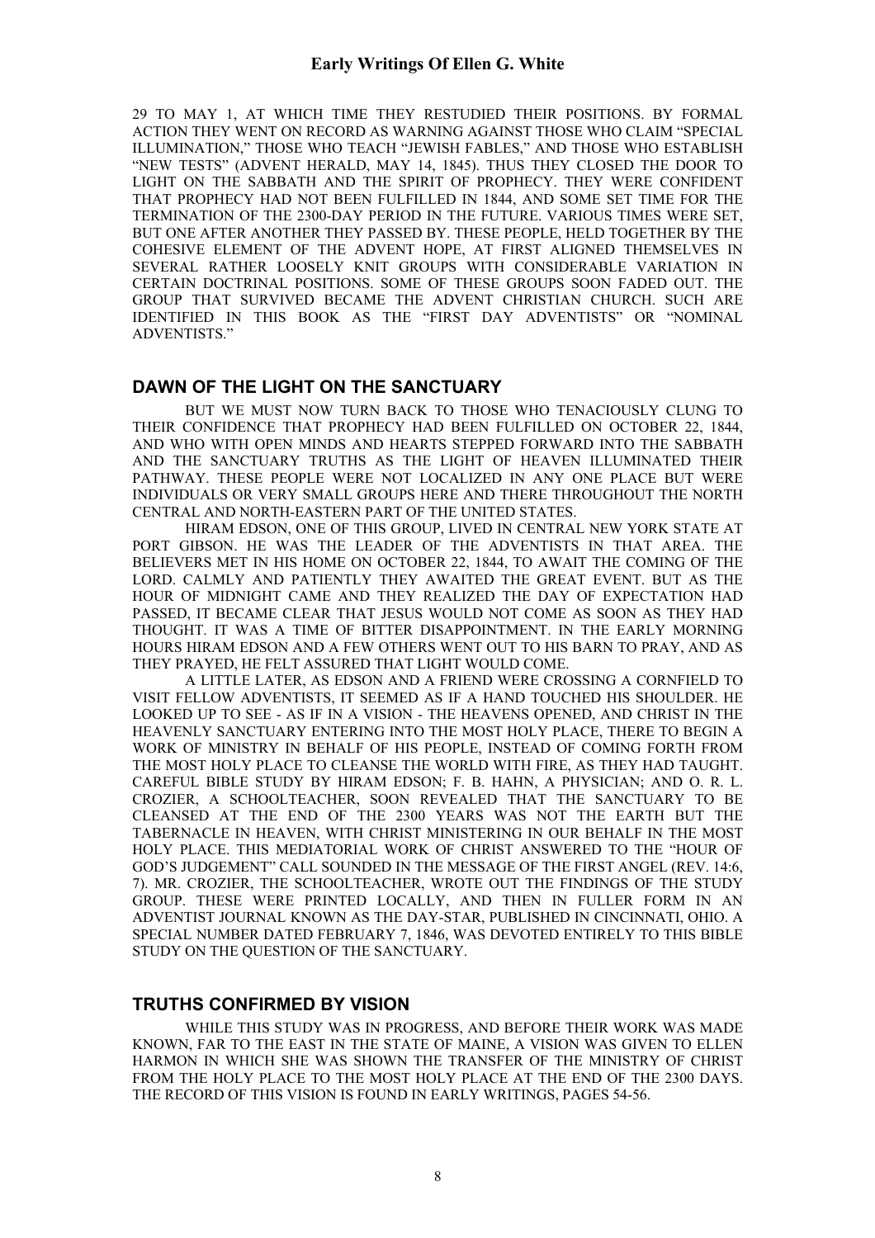29 TO MAY 1, AT WHICH TIME THEY RESTUDIED THEIR POSITIONS. BY FORMAL ACTION THEY WENT ON RECORD AS WARNING AGAINST THOSE WHO CLAIM "SPECIAL ILLUMINATION," THOSE WHO TEACH "JEWISH FABLES," AND THOSE WHO ESTABLISH "NEW TESTS" (ADVENT HERALD, MAY 14, 1845). THUS THEY CLOSED THE DOOR TO LIGHT ON THE SABBATH AND THE SPIRIT OF PROPHECY. THEY WERE CONFIDENT THAT PROPHECY HAD NOT BEEN FULFILLED IN 1844, AND SOME SET TIME FOR THE TERMINATION OF THE 2300-DAY PERIOD IN THE FUTURE. VARIOUS TIMES WERE SET, BUT ONE AFTER ANOTHER THEY PASSED BY. THESE PEOPLE, HELD TOGETHER BY THE COHESIVE ELEMENT OF THE ADVENT HOPE, AT FIRST ALIGNED THEMSELVES IN SEVERAL RATHER LOOSELY KNIT GROUPS WITH CONSIDERABLE VARIATION IN CERTAIN DOCTRINAL POSITIONS. SOME OF THESE GROUPS SOON FADED OUT. THE GROUP THAT SURVIVED BECAME THE ADVENT CHRISTIAN CHURCH. SUCH ARE IDENTIFIED IN THIS BOOK AS THE "FIRST DAY ADVENTISTS" OR "NOMINAL ADVENTISTS."

## **DAWN OF THE LIGHT ON THE SANCTUARY**

BUT WE MUST NOW TURN BACK TO THOSE WHO TENACIOUSLY CLUNG TO THEIR CONFIDENCE THAT PROPHECY HAD BEEN FULFILLED ON OCTOBER 22, 1844, AND WHO WITH OPEN MINDS AND HEARTS STEPPED FORWARD INTO THE SABBATH AND THE SANCTUARY TRUTHS AS THE LIGHT OF HEAVEN ILLUMINATED THEIR PATHWAY. THESE PEOPLE WERE NOT LOCALIZED IN ANY ONE PLACE BUT WERE INDIVIDUALS OR VERY SMALL GROUPS HERE AND THERE THROUGHOUT THE NORTH CENTRAL AND NORTH-EASTERN PART OF THE UNITED STATES.

HIRAM EDSON, ONE OF THIS GROUP, LIVED IN CENTRAL NEW YORK STATE AT PORT GIBSON. HE WAS THE LEADER OF THE ADVENTISTS IN THAT AREA. THE BELIEVERS MET IN HIS HOME ON OCTOBER 22, 1844, TO AWAIT THE COMING OF THE LORD. CALMLY AND PATIENTLY THEY AWAITED THE GREAT EVENT. BUT AS THE HOUR OF MIDNIGHT CAME AND THEY REALIZED THE DAY OF EXPECTATION HAD PASSED, IT BECAME CLEAR THAT JESUS WOULD NOT COME AS SOON AS THEY HAD THOUGHT. IT WAS A TIME OF BITTER DISAPPOINTMENT. IN THE EARLY MORNING HOURS HIRAM EDSON AND A FEW OTHERS WENT OUT TO HIS BARN TO PRAY, AND AS THEY PRAYED, HE FELT ASSURED THAT LIGHT WOULD COME.

A LITTLE LATER, AS EDSON AND A FRIEND WERE CROSSING A CORNFIELD TO VISIT FELLOW ADVENTISTS, IT SEEMED AS IF A HAND TOUCHED HIS SHOULDER. HE LOOKED UP TO SEE - AS IF IN A VISION - THE HEAVENS OPENED, AND CHRIST IN THE HEAVENLY SANCTUARY ENTERING INTO THE MOST HOLY PLACE, THERE TO BEGIN A WORK OF MINISTRY IN BEHALF OF HIS PEOPLE, INSTEAD OF COMING FORTH FROM THE MOST HOLY PLACE TO CLEANSE THE WORLD WITH FIRE, AS THEY HAD TAUGHT. CAREFUL BIBLE STUDY BY HIRAM EDSON; F. B. HAHN, A PHYSICIAN; AND O. R. L. CROZIER, A SCHOOLTEACHER, SOON REVEALED THAT THE SANCTUARY TO BE CLEANSED AT THE END OF THE 2300 YEARS WAS NOT THE EARTH BUT THE TABERNACLE IN HEAVEN, WITH CHRIST MINISTERING IN OUR BEHALF IN THE MOST HOLY PLACE. THIS MEDIATORIAL WORK OF CHRIST ANSWERED TO THE "HOUR OF GOD'S JUDGEMENT" CALL SOUNDED IN THE MESSAGE OF THE FIRST ANGEL (REV. 14:6, 7). MR. CROZIER, THE SCHOOLTEACHER, WROTE OUT THE FINDINGS OF THE STUDY GROUP. THESE WERE PRINTED LOCALLY, AND THEN IN FULLER FORM IN AN ADVENTIST JOURNAL KNOWN AS THE DAY-STAR, PUBLISHED IN CINCINNATI, OHIO. A SPECIAL NUMBER DATED FEBRUARY 7, 1846, WAS DEVOTED ENTIRELY TO THIS BIBLE STUDY ON THE QUESTION OF THE SANCTUARY.

# **TRUTHS CONFIRMED BY VISION**

WHILE THIS STUDY WAS IN PROGRESS, AND BEFORE THEIR WORK WAS MADE KNOWN, FAR TO THE EAST IN THE STATE OF MAINE, A VISION WAS GIVEN TO ELLEN HARMON IN WHICH SHE WAS SHOWN THE TRANSFER OF THE MINISTRY OF CHRIST FROM THE HOLY PLACE TO THE MOST HOLY PLACE AT THE END OF THE 2300 DAYS. THE RECORD OF THIS VISION IS FOUND IN EARLY WRITINGS, PAGES 54-56.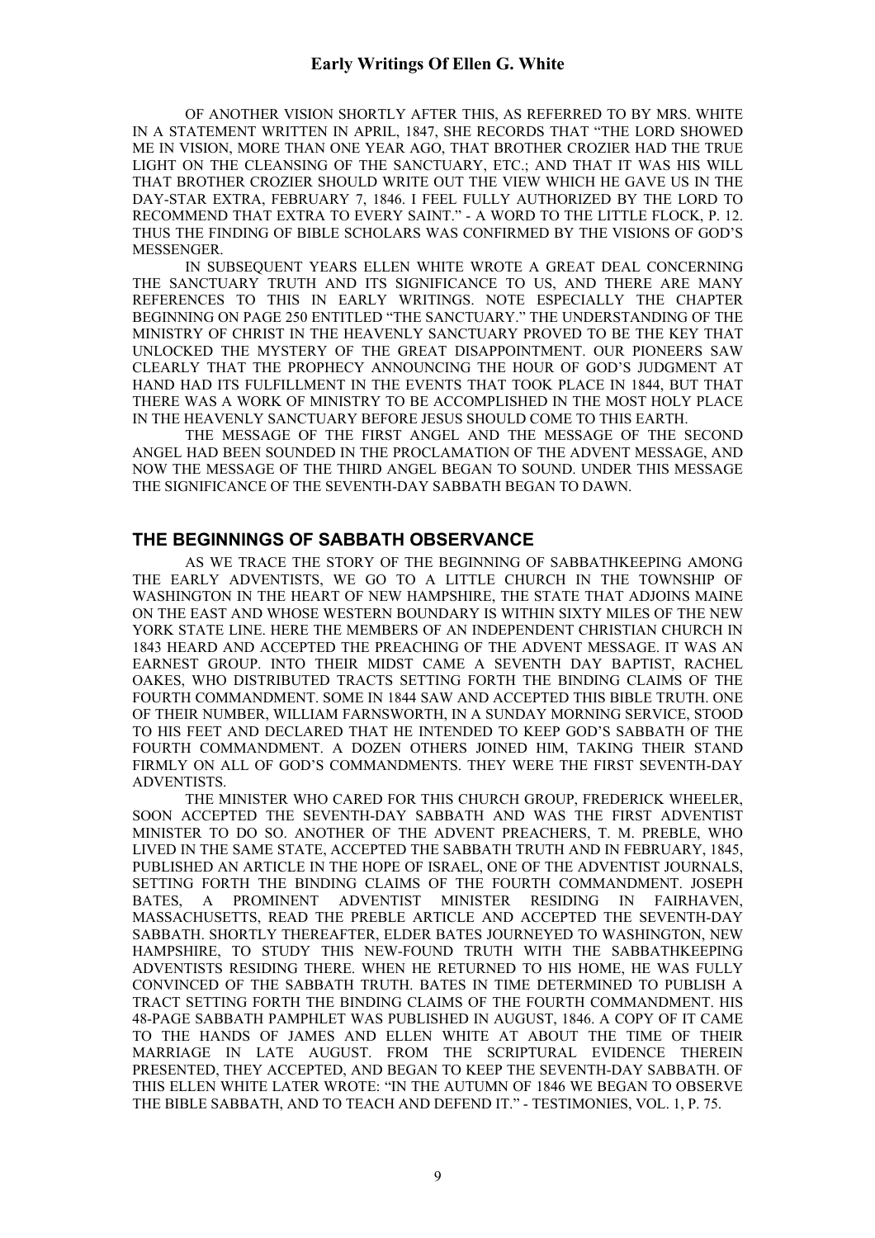OF ANOTHER VISION SHORTLY AFTER THIS, AS REFERRED TO BY MRS. WHITE IN A STATEMENT WRITTEN IN APRIL, 1847, SHE RECORDS THAT "THE LORD SHOWED ME IN VISION, MORE THAN ONE YEAR AGO, THAT BROTHER CROZIER HAD THE TRUE LIGHT ON THE CLEANSING OF THE SANCTUARY, ETC.; AND THAT IT WAS HIS WILL THAT BROTHER CROZIER SHOULD WRITE OUT THE VIEW WHICH HE GAVE US IN THE DAY-STAR EXTRA, FEBRUARY 7, 1846. I FEEL FULLY AUTHORIZED BY THE LORD TO RECOMMEND THAT EXTRA TO EVERY SAINT." - A WORD TO THE LITTLE FLOCK, P. 12. THUS THE FINDING OF BIBLE SCHOLARS WAS CONFIRMED BY THE VISIONS OF GOD'S MESSENGER.

IN SUBSEQUENT YEARS ELLEN WHITE WROTE A GREAT DEAL CONCERNING THE SANCTUARY TRUTH AND ITS SIGNIFICANCE TO US, AND THERE ARE MANY REFERENCES TO THIS IN EARLY WRITINGS. NOTE ESPECIALLY THE CHAPTER BEGINNING ON PAGE 250 ENTITLED "THE SANCTUARY." THE UNDERSTANDING OF THE MINISTRY OF CHRIST IN THE HEAVENLY SANCTUARY PROVED TO BE THE KEY THAT UNLOCKED THE MYSTERY OF THE GREAT DISAPPOINTMENT. OUR PIONEERS SAW CLEARLY THAT THE PROPHECY ANNOUNCING THE HOUR OF GOD'S JUDGMENT AT HAND HAD ITS FULFILLMENT IN THE EVENTS THAT TOOK PLACE IN 1844, BUT THAT THERE WAS A WORK OF MINISTRY TO BE ACCOMPLISHED IN THE MOST HOLY PLACE IN THE HEAVENLY SANCTUARY BEFORE JESUS SHOULD COME TO THIS EARTH.

THE MESSAGE OF THE FIRST ANGEL AND THE MESSAGE OF THE SECOND ANGEL HAD BEEN SOUNDED IN THE PROCLAMATION OF THE ADVENT MESSAGE, AND NOW THE MESSAGE OF THE THIRD ANGEL BEGAN TO SOUND. UNDER THIS MESSAGE THE SIGNIFICANCE OF THE SEVENTH-DAY SABBATH BEGAN TO DAWN.

# **THE BEGINNINGS OF SABBATH OBSERVANCE**

AS WE TRACE THE STORY OF THE BEGINNING OF SABBATHKEEPING AMONG THE EARLY ADVENTISTS, WE GO TO A LITTLE CHURCH IN THE TOWNSHIP OF WASHINGTON IN THE HEART OF NEW HAMPSHIRE, THE STATE THAT ADJOINS MAINE ON THE EAST AND WHOSE WESTERN BOUNDARY IS WITHIN SIXTY MILES OF THE NEW YORK STATE LINE. HERE THE MEMBERS OF AN INDEPENDENT CHRISTIAN CHURCH IN 1843 HEARD AND ACCEPTED THE PREACHING OF THE ADVENT MESSAGE. IT WAS AN EARNEST GROUP. INTO THEIR MIDST CAME A SEVENTH DAY BAPTIST, RACHEL OAKES, WHO DISTRIBUTED TRACTS SETTING FORTH THE BINDING CLAIMS OF THE FOURTH COMMANDMENT. SOME IN 1844 SAW AND ACCEPTED THIS BIBLE TRUTH. ONE OF THEIR NUMBER, WILLIAM FARNSWORTH, IN A SUNDAY MORNING SERVICE, STOOD TO HIS FEET AND DECLARED THAT HE INTENDED TO KEEP GOD'S SABBATH OF THE FOURTH COMMANDMENT. A DOZEN OTHERS JOINED HIM, TAKING THEIR STAND FIRMLY ON ALL OF GOD'S COMMANDMENTS. THEY WERE THE FIRST SEVENTH-DAY ADVENTISTS.

THE MINISTER WHO CARED FOR THIS CHURCH GROUP, FREDERICK WHEELER, SOON ACCEPTED THE SEVENTH-DAY SABBATH AND WAS THE FIRST ADVENTIST MINISTER TO DO SO. ANOTHER OF THE ADVENT PREACHERS, T. M. PREBLE, WHO LIVED IN THE SAME STATE, ACCEPTED THE SABBATH TRUTH AND IN FEBRUARY, 1845, PUBLISHED AN ARTICLE IN THE HOPE OF ISRAEL, ONE OF THE ADVENTIST JOURNALS, SETTING FORTH THE BINDING CLAIMS OF THE FOURTH COMMANDMENT. JOSEPH BATES. A PROMINENT ADVENTIST MINISTER RESIDING IN FAIRHAVEN, A PROMINENT ADVENTIST MINISTER RESIDING IN FAIRHAVEN, MASSACHUSETTS, READ THE PREBLE ARTICLE AND ACCEPTED THE SEVENTH-DAY SABBATH. SHORTLY THEREAFTER, ELDER BATES JOURNEYED TO WASHINGTON, NEW HAMPSHIRE, TO STUDY THIS NEW-FOUND TRUTH WITH THE SABBATHKEEPING ADVENTISTS RESIDING THERE. WHEN HE RETURNED TO HIS HOME, HE WAS FULLY CONVINCED OF THE SABBATH TRUTH. BATES IN TIME DETERMINED TO PUBLISH A TRACT SETTING FORTH THE BINDING CLAIMS OF THE FOURTH COMMANDMENT. HIS 48-PAGE SABBATH PAMPHLET WAS PUBLISHED IN AUGUST, 1846. A COPY OF IT CAME TO THE HANDS OF JAMES AND ELLEN WHITE AT ABOUT THE TIME OF THEIR MARRIAGE IN LATE AUGUST. FROM THE SCRIPTURAL EVIDENCE THEREIN PRESENTED, THEY ACCEPTED, AND BEGAN TO KEEP THE SEVENTH-DAY SABBATH. OF THIS ELLEN WHITE LATER WROTE: "IN THE AUTUMN OF 1846 WE BEGAN TO OBSERVE THE BIBLE SABBATH, AND TO TEACH AND DEFEND IT." - TESTIMONIES, VOL. 1, P. 75.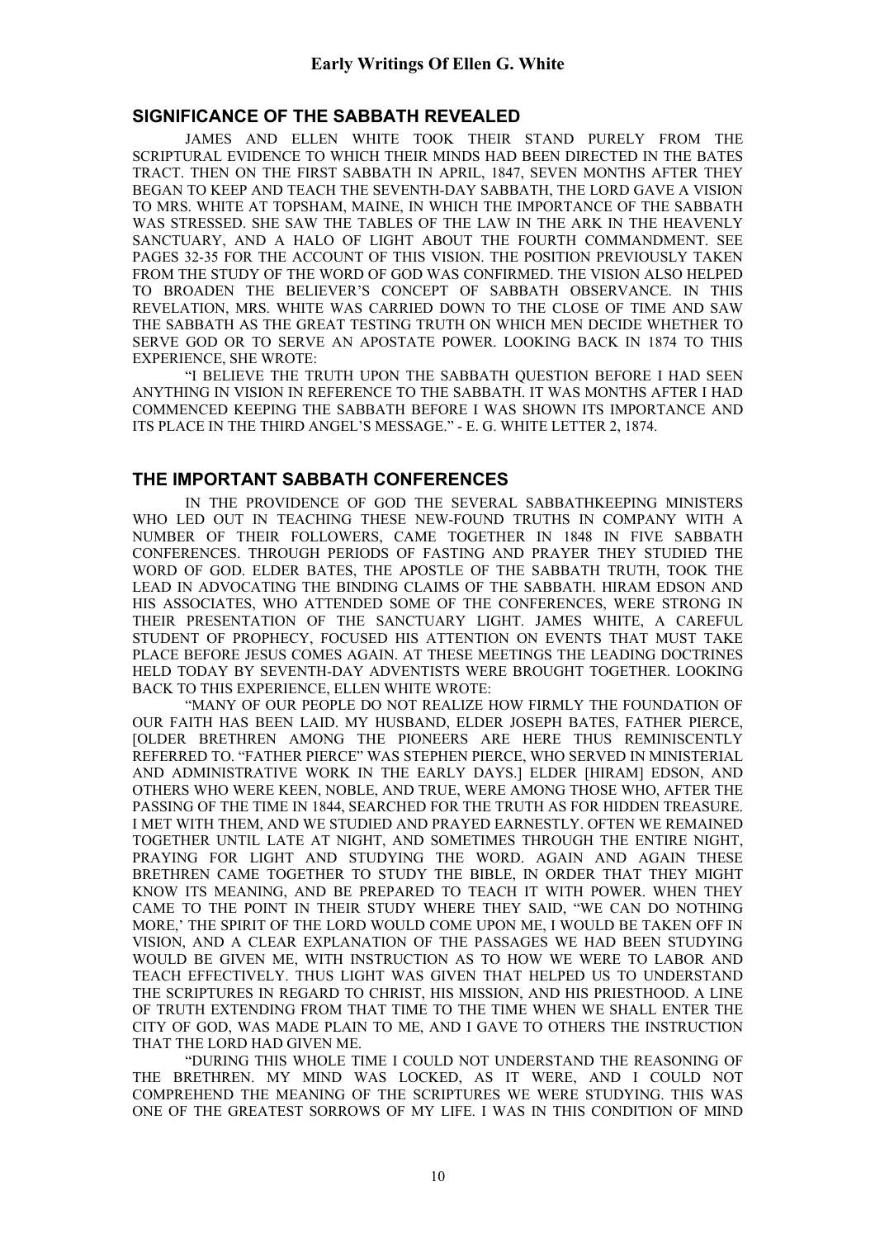## **SIGNIFICANCE OF THE SABBATH REVEALED**

JAMES AND ELLEN WHITE TOOK THEIR STAND PURELY FROM THE SCRIPTURAL EVIDENCE TO WHICH THEIR MINDS HAD BEEN DIRECTED IN THE BATES TRACT. THEN ON THE FIRST SABBATH IN APRIL, 1847, SEVEN MONTHS AFTER THEY BEGAN TO KEEP AND TEACH THE SEVENTH-DAY SABBATH, THE LORD GAVE A VISION TO MRS. WHITE AT TOPSHAM, MAINE, IN WHICH THE IMPORTANCE OF THE SABBATH WAS STRESSED. SHE SAW THE TABLES OF THE LAW IN THE ARK IN THE HEAVENLY SANCTUARY, AND A HALO OF LIGHT ABOUT THE FOURTH COMMANDMENT. SEE PAGES 32-35 FOR THE ACCOUNT OF THIS VISION. THE POSITION PREVIOUSLY TAKEN FROM THE STUDY OF THE WORD OF GOD WAS CONFIRMED. THE VISION ALSO HELPED TO BROADEN THE BELIEVER'S CONCEPT OF SABBATH OBSERVANCE. IN THIS REVELATION, MRS. WHITE WAS CARRIED DOWN TO THE CLOSE OF TIME AND SAW THE SABBATH AS THE GREAT TESTING TRUTH ON WHICH MEN DECIDE WHETHER TO SERVE GOD OR TO SERVE AN APOSTATE POWER. LOOKING BACK IN 1874 TO THIS EXPERIENCE, SHE WROTE:

"I BELIEVE THE TRUTH UPON THE SABBATH QUESTION BEFORE I HAD SEEN ANYTHING IN VISION IN REFERENCE TO THE SABBATH. IT WAS MONTHS AFTER I HAD COMMENCED KEEPING THE SABBATH BEFORE I WAS SHOWN ITS IMPORTANCE AND ITS PLACE IN THE THIRD ANGEL'S MESSAGE." - E. G. WHITE LETTER 2, 1874.

## **THE IMPORTANT SABBATH CONFERENCES**

IN THE PROVIDENCE OF GOD THE SEVERAL SABBATHKEEPING MINISTERS WHO LED OUT IN TEACHING THESE NEW-FOUND TRUTHS IN COMPANY WITH A NUMBER OF THEIR FOLLOWERS, CAME TOGETHER IN 1848 IN FIVE SABBATH CONFERENCES. THROUGH PERIODS OF FASTING AND PRAYER THEY STUDIED THE WORD OF GOD. ELDER BATES, THE APOSTLE OF THE SABBATH TRUTH, TOOK THE LEAD IN ADVOCATING THE BINDING CLAIMS OF THE SABBATH. HIRAM EDSON AND HIS ASSOCIATES, WHO ATTENDED SOME OF THE CONFERENCES, WERE STRONG IN THEIR PRESENTATION OF THE SANCTUARY LIGHT. JAMES WHITE, A CAREFUL STUDENT OF PROPHECY, FOCUSED HIS ATTENTION ON EVENTS THAT MUST TAKE PLACE BEFORE JESUS COMES AGAIN. AT THESE MEETINGS THE LEADING DOCTRINES HELD TODAY BY SEVENTH-DAY ADVENTISTS WERE BROUGHT TOGETHER. LOOKING BACK TO THIS EXPERIENCE, ELLEN WHITE WROTE:

"MANY OF OUR PEOPLE DO NOT REALIZE HOW FIRMLY THE FOUNDATION OF OUR FAITH HAS BEEN LAID. MY HUSBAND, ELDER JOSEPH BATES, FATHER PIERCE, [OLDER BRETHREN AMONG THE PIONEERS ARE HERE THUS REMINISCENTLY REFERRED TO. "FATHER PIERCE" WAS STEPHEN PIERCE, WHO SERVED IN MINISTERIAL AND ADMINISTRATIVE WORK IN THE EARLY DAYS.] ELDER [HIRAM] EDSON, AND OTHERS WHO WERE KEEN, NOBLE, AND TRUE, WERE AMONG THOSE WHO, AFTER THE PASSING OF THE TIME IN 1844, SEARCHED FOR THE TRUTH AS FOR HIDDEN TREASURE. I MET WITH THEM, AND WE STUDIED AND PRAYED EARNESTLY. OFTEN WE REMAINED TOGETHER UNTIL LATE AT NIGHT, AND SOMETIMES THROUGH THE ENTIRE NIGHT, PRAYING FOR LIGHT AND STUDYING THE WORD. AGAIN AND AGAIN THESE BRETHREN CAME TOGETHER TO STUDY THE BIBLE, IN ORDER THAT THEY MIGHT KNOW ITS MEANING, AND BE PREPARED TO TEACH IT WITH POWER. WHEN THEY CAME TO THE POINT IN THEIR STUDY WHERE THEY SAID, "WE CAN DO NOTHING MORE,' THE SPIRIT OF THE LORD WOULD COME UPON ME, I WOULD BE TAKEN OFF IN VISION, AND A CLEAR EXPLANATION OF THE PASSAGES WE HAD BEEN STUDYING WOULD BE GIVEN ME, WITH INSTRUCTION AS TO HOW WE WERE TO LABOR AND TEACH EFFECTIVELY. THUS LIGHT WAS GIVEN THAT HELPED US TO UNDERSTAND THE SCRIPTURES IN REGARD TO CHRIST, HIS MISSION, AND HIS PRIESTHOOD. A LINE OF TRUTH EXTENDING FROM THAT TIME TO THE TIME WHEN WE SHALL ENTER THE CITY OF GOD, WAS MADE PLAIN TO ME, AND I GAVE TO OTHERS THE INSTRUCTION THAT THE LORD HAD GIVEN ME.

"DURING THIS WHOLE TIME I COULD NOT UNDERSTAND THE REASONING OF THE BRETHREN. MY MIND WAS LOCKED, AS IT WERE, AND I COULD NOT COMPREHEND THE MEANING OF THE SCRIPTURES WE WERE STUDYING. THIS WAS ONE OF THE GREATEST SORROWS OF MY LIFE. I WAS IN THIS CONDITION OF MIND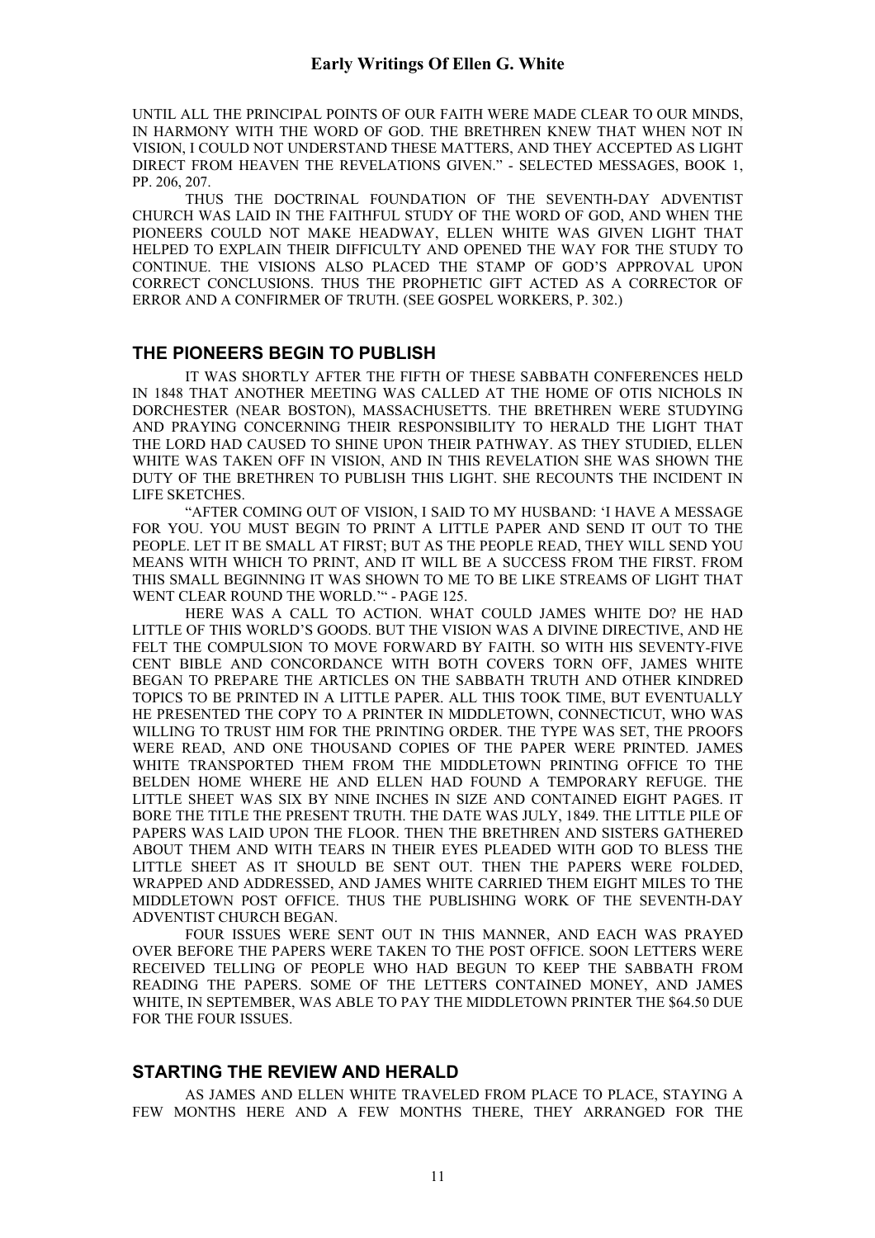UNTIL ALL THE PRINCIPAL POINTS OF OUR FAITH WERE MADE CLEAR TO OUR MINDS, IN HARMONY WITH THE WORD OF GOD. THE BRETHREN KNEW THAT WHEN NOT IN VISION, I COULD NOT UNDERSTAND THESE MATTERS, AND THEY ACCEPTED AS LIGHT DIRECT FROM HEAVEN THE REVELATIONS GIVEN." - SELECTED MESSAGES, BOOK 1, PP. 206, 207.

THUS THE DOCTRINAL FOUNDATION OF THE SEVENTH-DAY ADVENTIST CHURCH WAS LAID IN THE FAITHFUL STUDY OF THE WORD OF GOD, AND WHEN THE PIONEERS COULD NOT MAKE HEADWAY, ELLEN WHITE WAS GIVEN LIGHT THAT HELPED TO EXPLAIN THEIR DIFFICULTY AND OPENED THE WAY FOR THE STUDY TO CONTINUE. THE VISIONS ALSO PLACED THE STAMP OF GOD'S APPROVAL UPON CORRECT CONCLUSIONS. THUS THE PROPHETIC GIFT ACTED AS A CORRECTOR OF ERROR AND A CONFIRMER OF TRUTH. (SEE GOSPEL WORKERS, P. 302.)

## **THE PIONEERS BEGIN TO PUBLISH**

IT WAS SHORTLY AFTER THE FIFTH OF THESE SABBATH CONFERENCES HELD IN 1848 THAT ANOTHER MEETING WAS CALLED AT THE HOME OF OTIS NICHOLS IN DORCHESTER (NEAR BOSTON), MASSACHUSETTS. THE BRETHREN WERE STUDYING AND PRAYING CONCERNING THEIR RESPONSIBILITY TO HERALD THE LIGHT THAT THE LORD HAD CAUSED TO SHINE UPON THEIR PATHWAY. AS THEY STUDIED, ELLEN WHITE WAS TAKEN OFF IN VISION, AND IN THIS REVELATION SHE WAS SHOWN THE DUTY OF THE BRETHREN TO PUBLISH THIS LIGHT. SHE RECOUNTS THE INCIDENT IN LIFE SKETCHES.

"AFTER COMING OUT OF VISION, I SAID TO MY HUSBAND: 'I HAVE A MESSAGE FOR YOU. YOU MUST BEGIN TO PRINT A LITTLE PAPER AND SEND IT OUT TO THE PEOPLE. LET IT BE SMALL AT FIRST; BUT AS THE PEOPLE READ, THEY WILL SEND YOU MEANS WITH WHICH TO PRINT, AND IT WILL BE A SUCCESS FROM THE FIRST. FROM THIS SMALL BEGINNING IT WAS SHOWN TO ME TO BE LIKE STREAMS OF LIGHT THAT WENT CLEAR ROUND THE WORLD.'" - PAGE 125.

HERE WAS A CALL TO ACTION. WHAT COULD JAMES WHITE DO? HE HAD LITTLE OF THIS WORLD'S GOODS. BUT THE VISION WAS A DIVINE DIRECTIVE, AND HE FELT THE COMPULSION TO MOVE FORWARD BY FAITH. SO WITH HIS SEVENTY-FIVE CENT BIBLE AND CONCORDANCE WITH BOTH COVERS TORN OFF, JAMES WHITE BEGAN TO PREPARE THE ARTICLES ON THE SABBATH TRUTH AND OTHER KINDRED TOPICS TO BE PRINTED IN A LITTLE PAPER. ALL THIS TOOK TIME, BUT EVENTUALLY HE PRESENTED THE COPY TO A PRINTER IN MIDDLETOWN, CONNECTICUT, WHO WAS WILLING TO TRUST HIM FOR THE PRINTING ORDER. THE TYPE WAS SET, THE PROOFS WERE READ, AND ONE THOUSAND COPIES OF THE PAPER WERE PRINTED. JAMES WHITE TRANSPORTED THEM FROM THE MIDDLETOWN PRINTING OFFICE TO THE BELDEN HOME WHERE HE AND ELLEN HAD FOUND A TEMPORARY REFUGE. THE LITTLE SHEET WAS SIX BY NINE INCHES IN SIZE AND CONTAINED EIGHT PAGES. IT BORE THE TITLE THE PRESENT TRUTH. THE DATE WAS JULY, 1849. THE LITTLE PILE OF PAPERS WAS LAID UPON THE FLOOR. THEN THE BRETHREN AND SISTERS GATHERED ABOUT THEM AND WITH TEARS IN THEIR EYES PLEADED WITH GOD TO BLESS THE LITTLE SHEET AS IT SHOULD BE SENT OUT. THEN THE PAPERS WERE FOLDED, WRAPPED AND ADDRESSED, AND JAMES WHITE CARRIED THEM EIGHT MILES TO THE MIDDLETOWN POST OFFICE. THUS THE PUBLISHING WORK OF THE SEVENTH-DAY ADVENTIST CHURCH BEGAN.

FOUR ISSUES WERE SENT OUT IN THIS MANNER, AND EACH WAS PRAYED OVER BEFORE THE PAPERS WERE TAKEN TO THE POST OFFICE. SOON LETTERS WERE RECEIVED TELLING OF PEOPLE WHO HAD BEGUN TO KEEP THE SABBATH FROM READING THE PAPERS. SOME OF THE LETTERS CONTAINED MONEY, AND JAMES WHITE, IN SEPTEMBER, WAS ABLE TO PAY THE MIDDLETOWN PRINTER THE \$64.50 DUE FOR THE FOUR ISSUES.

# **STARTING THE REVIEW AND HERALD**

AS JAMES AND ELLEN WHITE TRAVELED FROM PLACE TO PLACE, STAYING A FEW MONTHS HERE AND A FEW MONTHS THERE, THEY ARRANGED FOR THE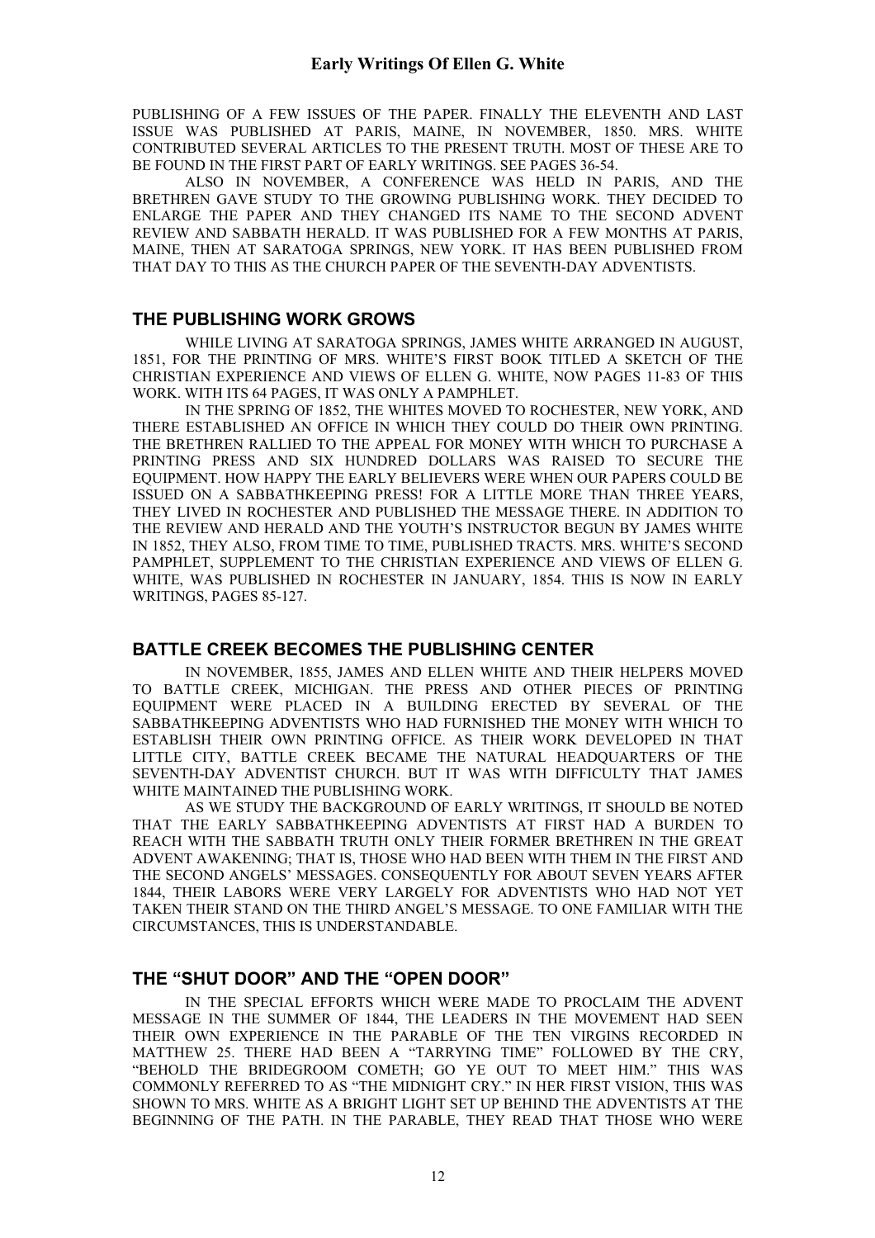PUBLISHING OF A FEW ISSUES OF THE PAPER. FINALLY THE ELEVENTH AND LAST ISSUE WAS PUBLISHED AT PARIS, MAINE, IN NOVEMBER, 1850. MRS. WHITE CONTRIBUTED SEVERAL ARTICLES TO THE PRESENT TRUTH. MOST OF THESE ARE TO BE FOUND IN THE FIRST PART OF EARLY WRITINGS. SEE PAGES 36-54.

ALSO IN NOVEMBER, A CONFERENCE WAS HELD IN PARIS, AND THE BRETHREN GAVE STUDY TO THE GROWING PUBLISHING WORK. THEY DECIDED TO ENLARGE THE PAPER AND THEY CHANGED ITS NAME TO THE SECOND ADVENT REVIEW AND SABBATH HERALD. IT WAS PUBLISHED FOR A FEW MONTHS AT PARIS, MAINE, THEN AT SARATOGA SPRINGS, NEW YORK. IT HAS BEEN PUBLISHED FROM THAT DAY TO THIS AS THE CHURCH PAPER OF THE SEVENTH-DAY ADVENTISTS.

## **THE PUBLISHING WORK GROWS**

WHILE LIVING AT SARATOGA SPRINGS, JAMES WHITE ARRANGED IN AUGUST, 1851, FOR THE PRINTING OF MRS. WHITE'S FIRST BOOK TITLED A SKETCH OF THE CHRISTIAN EXPERIENCE AND VIEWS OF ELLEN G. WHITE, NOW PAGES 11-83 OF THIS WORK. WITH ITS 64 PAGES, IT WAS ONLY A PAMPHLET.

IN THE SPRING OF 1852, THE WHITES MOVED TO ROCHESTER, NEW YORK, AND THERE ESTABLISHED AN OFFICE IN WHICH THEY COULD DO THEIR OWN PRINTING. THE BRETHREN RALLIED TO THE APPEAL FOR MONEY WITH WHICH TO PURCHASE A PRINTING PRESS AND SIX HUNDRED DOLLARS WAS RAISED TO SECURE THE EQUIPMENT. HOW HAPPY THE EARLY BELIEVERS WERE WHEN OUR PAPERS COULD BE ISSUED ON A SABBATHKEEPING PRESS! FOR A LITTLE MORE THAN THREE YEARS, THEY LIVED IN ROCHESTER AND PUBLISHED THE MESSAGE THERE. IN ADDITION TO THE REVIEW AND HERALD AND THE YOUTH'S INSTRUCTOR BEGUN BY JAMES WHITE IN 1852, THEY ALSO, FROM TIME TO TIME, PUBLISHED TRACTS. MRS. WHITE'S SECOND PAMPHLET, SUPPLEMENT TO THE CHRISTIAN EXPERIENCE AND VIEWS OF ELLEN G. WHITE, WAS PUBLISHED IN ROCHESTER IN JANUARY, 1854. THIS IS NOW IN EARLY WRITINGS, PAGES 85-127.

## **BATTLE CREEK BECOMES THE PUBLISHING CENTER**

IN NOVEMBER, 1855, JAMES AND ELLEN WHITE AND THEIR HELPERS MOVED TO BATTLE CREEK, MICHIGAN. THE PRESS AND OTHER PIECES OF PRINTING EQUIPMENT WERE PLACED IN A BUILDING ERECTED BY SEVERAL OF THE SABBATHKEEPING ADVENTISTS WHO HAD FURNISHED THE MONEY WITH WHICH TO ESTABLISH THEIR OWN PRINTING OFFICE. AS THEIR WORK DEVELOPED IN THAT LITTLE CITY, BATTLE CREEK BECAME THE NATURAL HEADQUARTERS OF THE SEVENTH-DAY ADVENTIST CHURCH. BUT IT WAS WITH DIFFICULTY THAT JAMES WHITE MAINTAINED THE PUBLISHING WORK.

AS WE STUDY THE BACKGROUND OF EARLY WRITINGS, IT SHOULD BE NOTED THAT THE EARLY SABBATHKEEPING ADVENTISTS AT FIRST HAD A BURDEN TO REACH WITH THE SABBATH TRUTH ONLY THEIR FORMER BRETHREN IN THE GREAT ADVENT AWAKENING; THAT IS, THOSE WHO HAD BEEN WITH THEM IN THE FIRST AND THE SECOND ANGELS' MESSAGES. CONSEQUENTLY FOR ABOUT SEVEN YEARS AFTER 1844, THEIR LABORS WERE VERY LARGELY FOR ADVENTISTS WHO HAD NOT YET TAKEN THEIR STAND ON THE THIRD ANGEL'S MESSAGE. TO ONE FAMILIAR WITH THE CIRCUMSTANCES, THIS IS UNDERSTANDABLE.

# **THE "SHUT DOOR" AND THE "OPEN DOOR"**

IN THE SPECIAL EFFORTS WHICH WERE MADE TO PROCLAIM THE ADVENT MESSAGE IN THE SUMMER OF 1844, THE LEADERS IN THE MOVEMENT HAD SEEN THEIR OWN EXPERIENCE IN THE PARABLE OF THE TEN VIRGINS RECORDED IN MATTHEW 25. THERE HAD BEEN A "TARRYING TIME" FOLLOWED BY THE CRY, "BEHOLD THE BRIDEGROOM COMETH; GO YE OUT TO MEET HIM." THIS WAS COMMONLY REFERRED TO AS "THE MIDNIGHT CRY." IN HER FIRST VISION, THIS WAS SHOWN TO MRS. WHITE AS A BRIGHT LIGHT SET UP BEHIND THE ADVENTISTS AT THE BEGINNING OF THE PATH. IN THE PARABLE, THEY READ THAT THOSE WHO WERE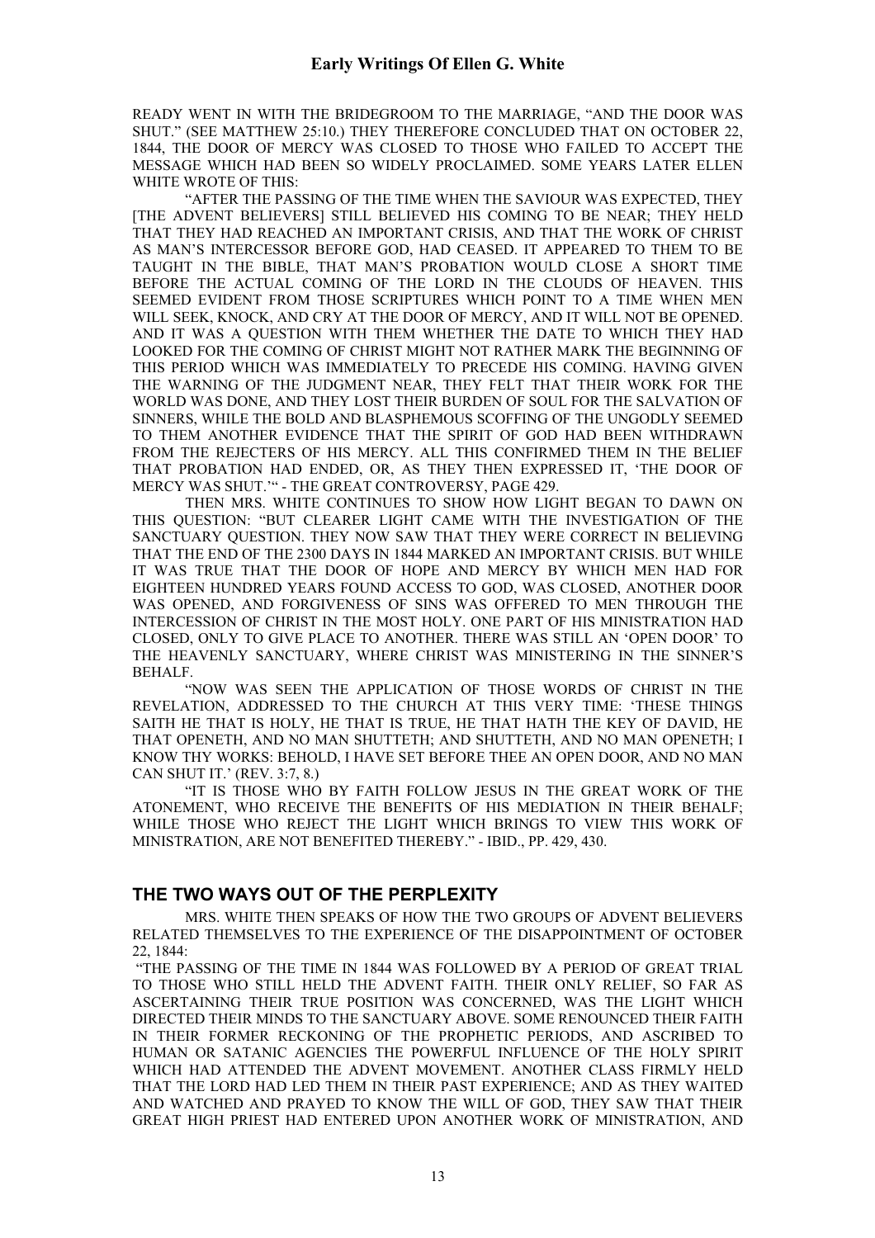READY WENT IN WITH THE BRIDEGROOM TO THE MARRIAGE, "AND THE DOOR WAS SHUT." (SEE MATTHEW 25:10.) THEY THEREFORE CONCLUDED THAT ON OCTOBER 22, 1844, THE DOOR OF MERCY WAS CLOSED TO THOSE WHO FAILED TO ACCEPT THE MESSAGE WHICH HAD BEEN SO WIDELY PROCLAIMED. SOME YEARS LATER ELLEN WHITE WROTE OF THIS:

"AFTER THE PASSING OF THE TIME WHEN THE SAVIOUR WAS EXPECTED, THEY [THE ADVENT BELIEVERS] STILL BELIEVED HIS COMING TO BE NEAR; THEY HELD THAT THEY HAD REACHED AN IMPORTANT CRISIS, AND THAT THE WORK OF CHRIST AS MAN'S INTERCESSOR BEFORE GOD, HAD CEASED. IT APPEARED TO THEM TO BE TAUGHT IN THE BIBLE, THAT MAN'S PROBATION WOULD CLOSE A SHORT TIME BEFORE THE ACTUAL COMING OF THE LORD IN THE CLOUDS OF HEAVEN. THIS SEEMED EVIDENT FROM THOSE SCRIPTURES WHICH POINT TO A TIME WHEN MEN WILL SEEK, KNOCK, AND CRY AT THE DOOR OF MERCY, AND IT WILL NOT BE OPENED. AND IT WAS A QUESTION WITH THEM WHETHER THE DATE TO WHICH THEY HAD LOOKED FOR THE COMING OF CHRIST MIGHT NOT RATHER MARK THE BEGINNING OF THIS PERIOD WHICH WAS IMMEDIATELY TO PRECEDE HIS COMING. HAVING GIVEN THE WARNING OF THE JUDGMENT NEAR, THEY FELT THAT THEIR WORK FOR THE WORLD WAS DONE, AND THEY LOST THEIR BURDEN OF SOUL FOR THE SALVATION OF SINNERS, WHILE THE BOLD AND BLASPHEMOUS SCOFFING OF THE UNGODLY SEEMED TO THEM ANOTHER EVIDENCE THAT THE SPIRIT OF GOD HAD BEEN WITHDRAWN FROM THE REJECTERS OF HIS MERCY. ALL THIS CONFIRMED THEM IN THE BELIEF THAT PROBATION HAD ENDED, OR, AS THEY THEN EXPRESSED IT, 'THE DOOR OF MERCY WAS SHUT.'" - THE GREAT CONTROVERSY, PAGE 429.

THEN MRS. WHITE CONTINUES TO SHOW HOW LIGHT BEGAN TO DAWN ON THIS QUESTION: "BUT CLEARER LIGHT CAME WITH THE INVESTIGATION OF THE SANCTUARY QUESTION. THEY NOW SAW THAT THEY WERE CORRECT IN BELIEVING THAT THE END OF THE 2300 DAYS IN 1844 MARKED AN IMPORTANT CRISIS. BUT WHILE IT WAS TRUE THAT THE DOOR OF HOPE AND MERCY BY WHICH MEN HAD FOR EIGHTEEN HUNDRED YEARS FOUND ACCESS TO GOD, WAS CLOSED, ANOTHER DOOR WAS OPENED, AND FORGIVENESS OF SINS WAS OFFERED TO MEN THROUGH THE INTERCESSION OF CHRIST IN THE MOST HOLY. ONE PART OF HIS MINISTRATION HAD CLOSED, ONLY TO GIVE PLACE TO ANOTHER. THERE WAS STILL AN 'OPEN DOOR' TO THE HEAVENLY SANCTUARY, WHERE CHRIST WAS MINISTERING IN THE SINNER'S **BEHALF** 

"NOW WAS SEEN THE APPLICATION OF THOSE WORDS OF CHRIST IN THE REVELATION, ADDRESSED TO THE CHURCH AT THIS VERY TIME: 'THESE THINGS SAITH HE THAT IS HOLY, HE THAT IS TRUE, HE THAT HATH THE KEY OF DAVID, HE THAT OPENETH, AND NO MAN SHUTTETH; AND SHUTTETH, AND NO MAN OPENETH; I KNOW THY WORKS: BEHOLD, I HAVE SET BEFORE THEE AN OPEN DOOR, AND NO MAN CAN SHUT IT.' (REV. 3:7, 8.)

"IT IS THOSE WHO BY FAITH FOLLOW JESUS IN THE GREAT WORK OF THE ATONEMENT, WHO RECEIVE THE BENEFITS OF HIS MEDIATION IN THEIR BEHALF; WHILE THOSE WHO REJECT THE LIGHT WHICH BRINGS TO VIEW THIS WORK OF MINISTRATION, ARE NOT BENEFITED THEREBY." - IBID., PP. 429, 430.

# **THE TWO WAYS OUT OF THE PERPLEXITY**

MRS. WHITE THEN SPEAKS OF HOW THE TWO GROUPS OF ADVENT BELIEVERS RELATED THEMSELVES TO THE EXPERIENCE OF THE DISAPPOINTMENT OF OCTOBER 22, 1844:

 "THE PASSING OF THE TIME IN 1844 WAS FOLLOWED BY A PERIOD OF GREAT TRIAL TO THOSE WHO STILL HELD THE ADVENT FAITH. THEIR ONLY RELIEF, SO FAR AS ASCERTAINING THEIR TRUE POSITION WAS CONCERNED, WAS THE LIGHT WHICH DIRECTED THEIR MINDS TO THE SANCTUARY ABOVE. SOME RENOUNCED THEIR FAITH IN THEIR FORMER RECKONING OF THE PROPHETIC PERIODS, AND ASCRIBED TO HUMAN OR SATANIC AGENCIES THE POWERFUL INFLUENCE OF THE HOLY SPIRIT WHICH HAD ATTENDED THE ADVENT MOVEMENT. ANOTHER CLASS FIRMLY HELD THAT THE LORD HAD LED THEM IN THEIR PAST EXPERIENCE; AND AS THEY WAITED AND WATCHED AND PRAYED TO KNOW THE WILL OF GOD, THEY SAW THAT THEIR GREAT HIGH PRIEST HAD ENTERED UPON ANOTHER WORK OF MINISTRATION, AND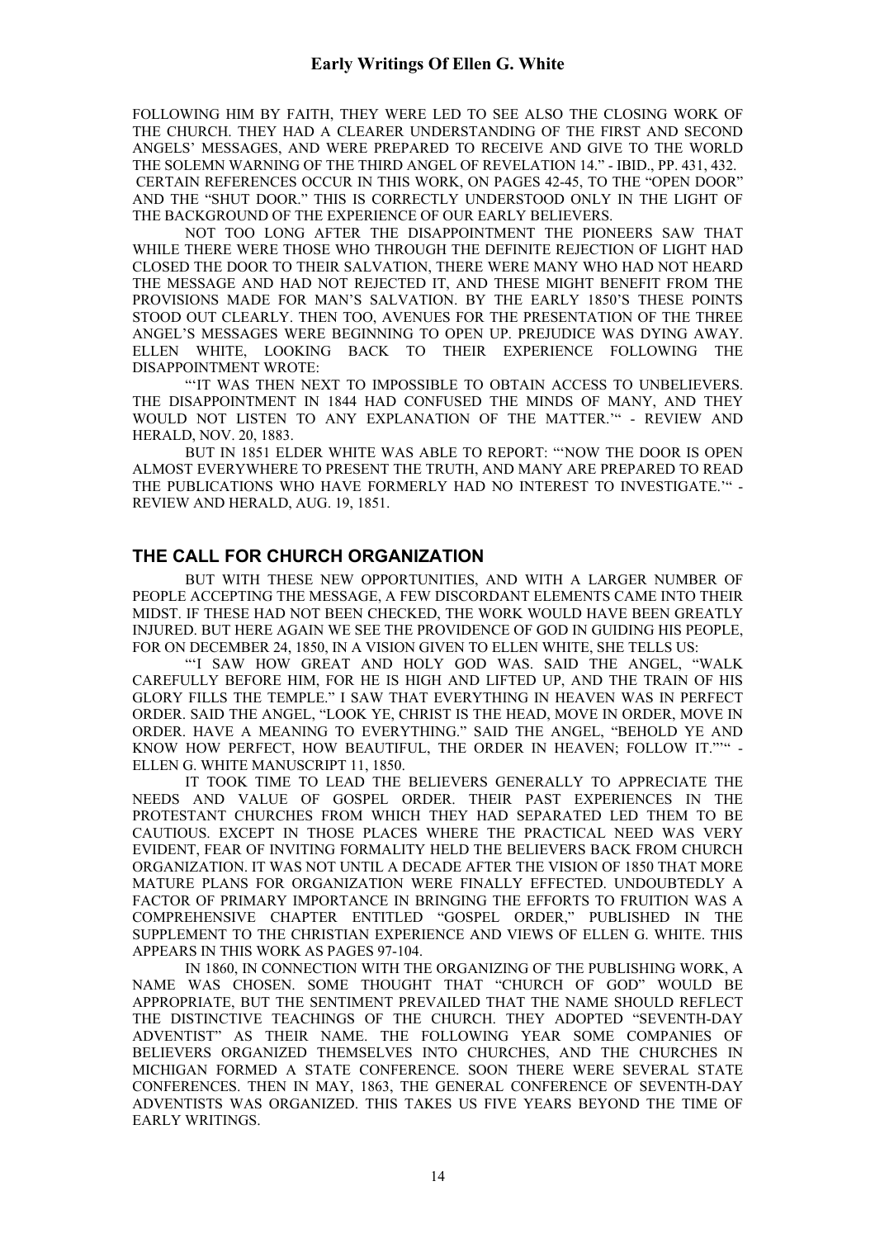FOLLOWING HIM BY FAITH, THEY WERE LED TO SEE ALSO THE CLOSING WORK OF THE CHURCH. THEY HAD A CLEARER UNDERSTANDING OF THE FIRST AND SECOND ANGELS' MESSAGES, AND WERE PREPARED TO RECEIVE AND GIVE TO THE WORLD THE SOLEMN WARNING OF THE THIRD ANGEL OF REVELATION 14." - IBID., PP. 431, 432. CERTAIN REFERENCES OCCUR IN THIS WORK, ON PAGES 42-45, TO THE "OPEN DOOR" AND THE "SHUT DOOR." THIS IS CORRECTLY UNDERSTOOD ONLY IN THE LIGHT OF THE BACKGROUND OF THE EXPERIENCE OF OUR EARLY BELIEVERS.

NOT TOO LONG AFTER THE DISAPPOINTMENT THE PIONEERS SAW THAT WHILE THERE WERE THOSE WHO THROUGH THE DEFINITE REJECTION OF LIGHT HAD CLOSED THE DOOR TO THEIR SALVATION, THERE WERE MANY WHO HAD NOT HEARD THE MESSAGE AND HAD NOT REJECTED IT, AND THESE MIGHT BENEFIT FROM THE PROVISIONS MADE FOR MAN'S SALVATION. BY THE EARLY 1850'S THESE POINTS STOOD OUT CLEARLY. THEN TOO, AVENUES FOR THE PRESENTATION OF THE THREE ANGEL'S MESSAGES WERE BEGINNING TO OPEN UP. PREJUDICE WAS DYING AWAY. ELLEN WHITE, LOOKING BACK TO THEIR EXPERIENCE FOLLOWING THE DISAPPOINTMENT WROTE:

"'IT WAS THEN NEXT TO IMPOSSIBLE TO OBTAIN ACCESS TO UNBELIEVERS. THE DISAPPOINTMENT IN 1844 HAD CONFUSED THE MINDS OF MANY, AND THEY WOULD NOT LISTEN TO ANY EXPLANATION OF THE MATTER.'" - REVIEW AND HERALD, NOV. 20, 1883.

BUT IN 1851 ELDER WHITE WAS ABLE TO REPORT: "'NOW THE DOOR IS OPEN ALMOST EVERYWHERE TO PRESENT THE TRUTH, AND MANY ARE PREPARED TO READ THE PUBLICATIONS WHO HAVE FORMERLY HAD NO INTEREST TO INVESTIGATE.'" - REVIEW AND HERALD, AUG. 19, 1851.

# **THE CALL FOR CHURCH ORGANIZATION**

BUT WITH THESE NEW OPPORTUNITIES, AND WITH A LARGER NUMBER OF PEOPLE ACCEPTING THE MESSAGE, A FEW DISCORDANT ELEMENTS CAME INTO THEIR MIDST. IF THESE HAD NOT BEEN CHECKED, THE WORK WOULD HAVE BEEN GREATLY INJURED. BUT HERE AGAIN WE SEE THE PROVIDENCE OF GOD IN GUIDING HIS PEOPLE, FOR ON DECEMBER 24, 1850, IN A VISION GIVEN TO ELLEN WHITE, SHE TELLS US:

"'I SAW HOW GREAT AND HOLY GOD WAS. SAID THE ANGEL, "WALK CAREFULLY BEFORE HIM, FOR HE IS HIGH AND LIFTED UP, AND THE TRAIN OF HIS GLORY FILLS THE TEMPLE." I SAW THAT EVERYTHING IN HEAVEN WAS IN PERFECT ORDER. SAID THE ANGEL, "LOOK YE, CHRIST IS THE HEAD, MOVE IN ORDER, MOVE IN ORDER. HAVE A MEANING TO EVERYTHING." SAID THE ANGEL, "BEHOLD YE AND KNOW HOW PERFECT, HOW BEAUTIFUL, THE ORDER IN HEAVEN; FOLLOW IT."" -ELLEN G. WHITE MANUSCRIPT 11, 1850.

IT TOOK TIME TO LEAD THE BELIEVERS GENERALLY TO APPRECIATE THE NEEDS AND VALUE OF GOSPEL ORDER. THEIR PAST EXPERIENCES IN THE PROTESTANT CHURCHES FROM WHICH THEY HAD SEPARATED LED THEM TO BE CAUTIOUS. EXCEPT IN THOSE PLACES WHERE THE PRACTICAL NEED WAS VERY EVIDENT, FEAR OF INVITING FORMALITY HELD THE BELIEVERS BACK FROM CHURCH ORGANIZATION. IT WAS NOT UNTIL A DECADE AFTER THE VISION OF 1850 THAT MORE MATURE PLANS FOR ORGANIZATION WERE FINALLY EFFECTED. UNDOUBTEDLY A FACTOR OF PRIMARY IMPORTANCE IN BRINGING THE EFFORTS TO FRUITION WAS A COMPREHENSIVE CHAPTER ENTITLED "GOSPEL ORDER," PUBLISHED IN THE SUPPLEMENT TO THE CHRISTIAN EXPERIENCE AND VIEWS OF ELLEN G. WHITE. THIS APPEARS IN THIS WORK AS PAGES 97-104.

IN 1860, IN CONNECTION WITH THE ORGANIZING OF THE PUBLISHING WORK, A NAME WAS CHOSEN. SOME THOUGHT THAT "CHURCH OF GOD" WOULD BE APPROPRIATE, BUT THE SENTIMENT PREVAILED THAT THE NAME SHOULD REFLECT THE DISTINCTIVE TEACHINGS OF THE CHURCH. THEY ADOPTED "SEVENTH-DAY ADVENTIST" AS THEIR NAME. THE FOLLOWING YEAR SOME COMPANIES OF BELIEVERS ORGANIZED THEMSELVES INTO CHURCHES, AND THE CHURCHES IN MICHIGAN FORMED A STATE CONFERENCE. SOON THERE WERE SEVERAL STATE CONFERENCES. THEN IN MAY, 1863, THE GENERAL CONFERENCE OF SEVENTH-DAY ADVENTISTS WAS ORGANIZED. THIS TAKES US FIVE YEARS BEYOND THE TIME OF EARLY WRITINGS.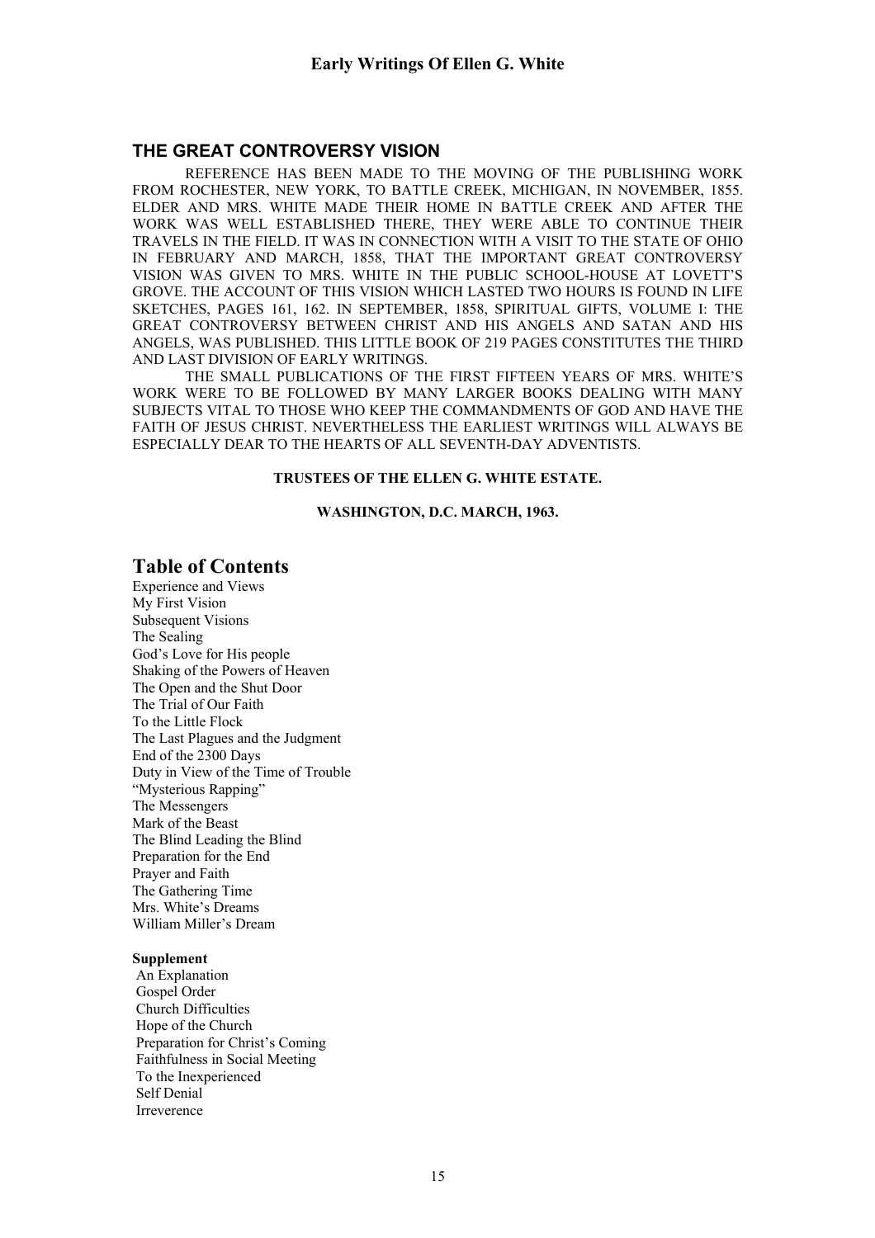## **THE GREAT CONTROVERSY VISION**

REFERENCE HAS BEEN MADE TO THE MOVING OF THE PUBLISHING WORK FROM ROCHESTER, NEW YORK, TO BATTLE CREEK, MICHIGAN, IN NOVEMBER, 1855. ELDER AND MRS. WHITE MADE THEIR HOME IN BATTLE CREEK AND AFTER THE WORK WAS WELL ESTABLISHED THERE, THEY WERE ABLE TO CONTINUE THEIR TRAVELS IN THE FIELD. IT WAS IN CONNECTION WITH A VISIT TO THE STATE OF OHIO IN FEBRUARY AND MARCH, 1858, THAT THE IMPORTANT GREAT CONTROVERSY VISION WAS GIVEN TO MRS. WHITE IN THE PUBLIC SCHOOL-HOUSE AT LOVETT'S GROVE. THE ACCOUNT OF THIS VISION WHICH LASTED TWO HOURS IS FOUND IN LIFE SKETCHES, PAGES 161, 162. IN SEPTEMBER, 1858, SPIRITUAL GIFTS, VOLUME I: THE GREAT CONTROVERSY BETWEEN CHRIST AND HIS ANGELS AND SATAN AND HIS ANGELS, WAS PUBLISHED. THIS LITTLE BOOK OF 219 PAGES CONSTITUTES THE THIRD AND LAST DIVISION OF EARLY WRITINGS.

THE SMALL PUBLICATIONS OF THE FIRST FIFTEEN YEARS OF MRS. WHITE'S WORK WERE TO BE FOLLOWED BY MANY LARGER BOOKS DEALING WITH MANY SUBJECTS VITAL TO THOSE WHO KEEP THE COMMANDMENTS OF GOD AND HAVE THE FAITH OF JESUS CHRIST. NEVERTHELESS THE EARLIEST WRITINGS WILL ALWAYS BE ESPECIALLY DEAR TO THE HEARTS OF ALL SEVENTH-DAY ADVENTISTS.

#### **TRUSTEES OF THE ELLEN G. WHITE ESTATE.**

#### **WASHINGTON, D.C. MARCH, 1963.**

## **Table of Contents**

Experience and Views My First Vision Subsequent Visions The Sealing God's Love for His people Shaking of the Powers of Heaven The Open and the Shut Door The Trial of Our Faith To the Little Flock The Last Plagues and the Judgment End of the 2300 Days Duty in View of the Time of Trouble "Mysterious Rapping" The Messengers Mark of the Beast The Blind Leading the Blind Preparation for the End Prayer and Faith The Gathering Time Mrs. White's Dreams William Miller's Dream

#### **Supplement**

 An Explanation Gospel Order Church Difficulties Hope of the Church Preparation for Christ's Coming Faithfulness in Social Meeting To the Inexperienced Self Denial Irreverence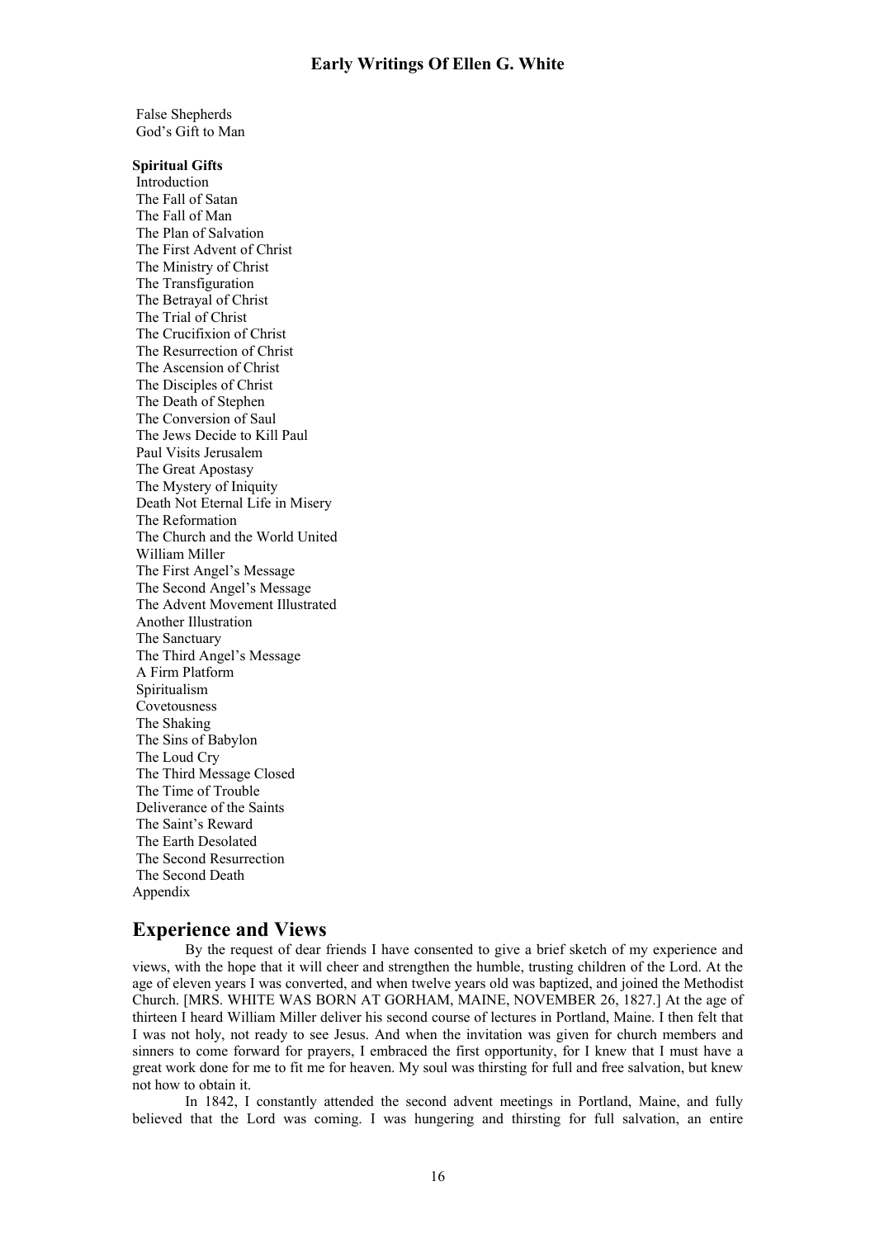False Shepherds God's Gift to Man

#### **Spiritual Gifts**

 Introduction The Fall of Satan The Fall of Man The Plan of Salvation The First Advent of Christ The Ministry of Christ The Transfiguration The Betrayal of Christ The Trial of Christ The Crucifixion of Christ The Resurrection of Christ The Ascension of Christ The Disciples of Christ The Death of Stephen The Conversion of Saul The Jews Decide to Kill Paul Paul Visits Jerusalem The Great Apostasy The Mystery of Iniquity Death Not Eternal Life in Misery The Reformation The Church and the World United William Miller The First Angel's Message The Second Angel's Message The Advent Movement Illustrated Another Illustration The Sanctuary The Third Angel's Message A Firm Platform Spiritualism Covetousness The Shaking The Sins of Babylon The Loud Cry The Third Message Closed The Time of Trouble Deliverance of the Saints The Saint's Reward The Earth Desolated The Second Resurrection The Second Death Appendix

## **Experience and Views**

By the request of dear friends I have consented to give a brief sketch of my experience and views, with the hope that it will cheer and strengthen the humble, trusting children of the Lord. At the age of eleven years I was converted, and when twelve years old was baptized, and joined the Methodist Church. [MRS. WHITE WAS BORN AT GORHAM, MAINE, NOVEMBER 26, 1827.] At the age of thirteen I heard William Miller deliver his second course of lectures in Portland, Maine. I then felt that I was not holy, not ready to see Jesus. And when the invitation was given for church members and sinners to come forward for prayers, I embraced the first opportunity, for I knew that I must have a great work done for me to fit me for heaven. My soul was thirsting for full and free salvation, but knew not how to obtain it.

In 1842, I constantly attended the second advent meetings in Portland, Maine, and fully believed that the Lord was coming. I was hungering and thirsting for full salvation, an entire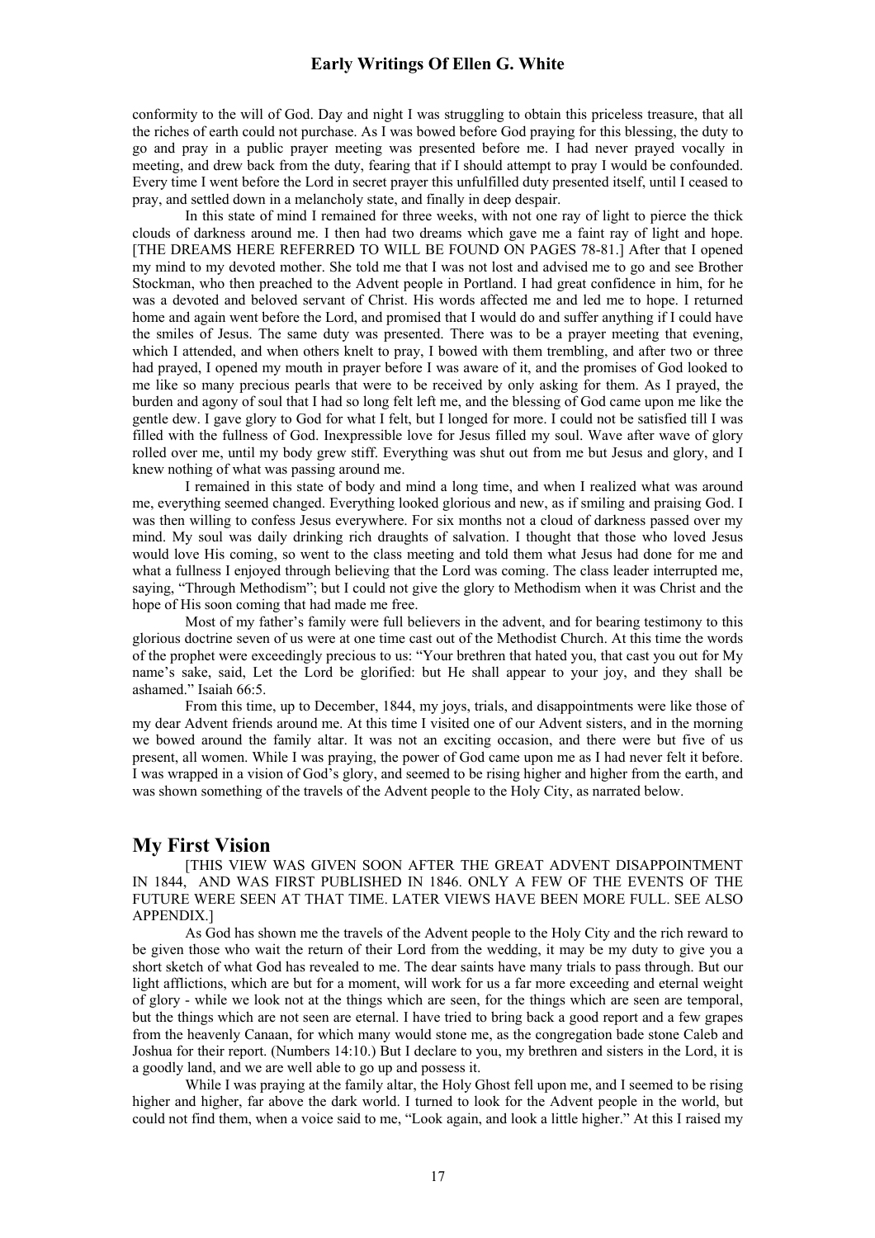conformity to the will of God. Day and night I was struggling to obtain this priceless treasure, that all the riches of earth could not purchase. As I was bowed before God praying for this blessing, the duty to go and pray in a public prayer meeting was presented before me. I had never prayed vocally in meeting, and drew back from the duty, fearing that if I should attempt to pray I would be confounded. Every time I went before the Lord in secret prayer this unfulfilled duty presented itself, until I ceased to pray, and settled down in a melancholy state, and finally in deep despair.

In this state of mind I remained for three weeks, with not one ray of light to pierce the thick clouds of darkness around me. I then had two dreams which gave me a faint ray of light and hope. [THE DREAMS HERE REFERRED TO WILL BE FOUND ON PAGES 78-81.] After that I opened my mind to my devoted mother. She told me that I was not lost and advised me to go and see Brother Stockman, who then preached to the Advent people in Portland. I had great confidence in him, for he was a devoted and beloved servant of Christ. His words affected me and led me to hope. I returned home and again went before the Lord, and promised that I would do and suffer anything if I could have the smiles of Jesus. The same duty was presented. There was to be a prayer meeting that evening, which I attended, and when others knelt to pray, I bowed with them trembling, and after two or three had prayed, I opened my mouth in prayer before I was aware of it, and the promises of God looked to me like so many precious pearls that were to be received by only asking for them. As I prayed, the burden and agony of soul that I had so long felt left me, and the blessing of God came upon me like the gentle dew. I gave glory to God for what I felt, but I longed for more. I could not be satisfied till I was filled with the fullness of God. Inexpressible love for Jesus filled my soul. Wave after wave of glory rolled over me, until my body grew stiff. Everything was shut out from me but Jesus and glory, and I knew nothing of what was passing around me.

I remained in this state of body and mind a long time, and when I realized what was around me, everything seemed changed. Everything looked glorious and new, as if smiling and praising God. I was then willing to confess Jesus everywhere. For six months not a cloud of darkness passed over my mind. My soul was daily drinking rich draughts of salvation. I thought that those who loved Jesus would love His coming, so went to the class meeting and told them what Jesus had done for me and what a fullness I enjoyed through believing that the Lord was coming. The class leader interrupted me, saying, "Through Methodism"; but I could not give the glory to Methodism when it was Christ and the hope of His soon coming that had made me free.

Most of my father's family were full believers in the advent, and for bearing testimony to this glorious doctrine seven of us were at one time cast out of the Methodist Church. At this time the words of the prophet were exceedingly precious to us: "Your brethren that hated you, that cast you out for My name's sake, said, Let the Lord be glorified: but He shall appear to your joy, and they shall be ashamed." Isaiah 66:5.

From this time, up to December, 1844, my joys, trials, and disappointments were like those of my dear Advent friends around me. At this time I visited one of our Advent sisters, and in the morning we bowed around the family altar. It was not an exciting occasion, and there were but five of us present, all women. While I was praying, the power of God came upon me as I had never felt it before. I was wrapped in a vision of God's glory, and seemed to be rising higher and higher from the earth, and was shown something of the travels of the Advent people to the Holy City, as narrated below.

## **My First Vision**

[THIS VIEW WAS GIVEN SOON AFTER THE GREAT ADVENT DISAPPOINTMENT IN 1844, AND WAS FIRST PUBLISHED IN 1846. ONLY A FEW OF THE EVENTS OF THE FUTURE WERE SEEN AT THAT TIME. LATER VIEWS HAVE BEEN MORE FULL. SEE ALSO APPENDIX.]

As God has shown me the travels of the Advent people to the Holy City and the rich reward to be given those who wait the return of their Lord from the wedding, it may be my duty to give you a short sketch of what God has revealed to me. The dear saints have many trials to pass through. But our light afflictions, which are but for a moment, will work for us a far more exceeding and eternal weight of glory - while we look not at the things which are seen, for the things which are seen are temporal, but the things which are not seen are eternal. I have tried to bring back a good report and a few grapes from the heavenly Canaan, for which many would stone me, as the congregation bade stone Caleb and Joshua for their report. (Numbers 14:10.) But I declare to you, my brethren and sisters in the Lord, it is a goodly land, and we are well able to go up and possess it.

While I was praying at the family altar, the Holy Ghost fell upon me, and I seemed to be rising higher and higher, far above the dark world. I turned to look for the Advent people in the world, but could not find them, when a voice said to me, "Look again, and look a little higher." At this I raised my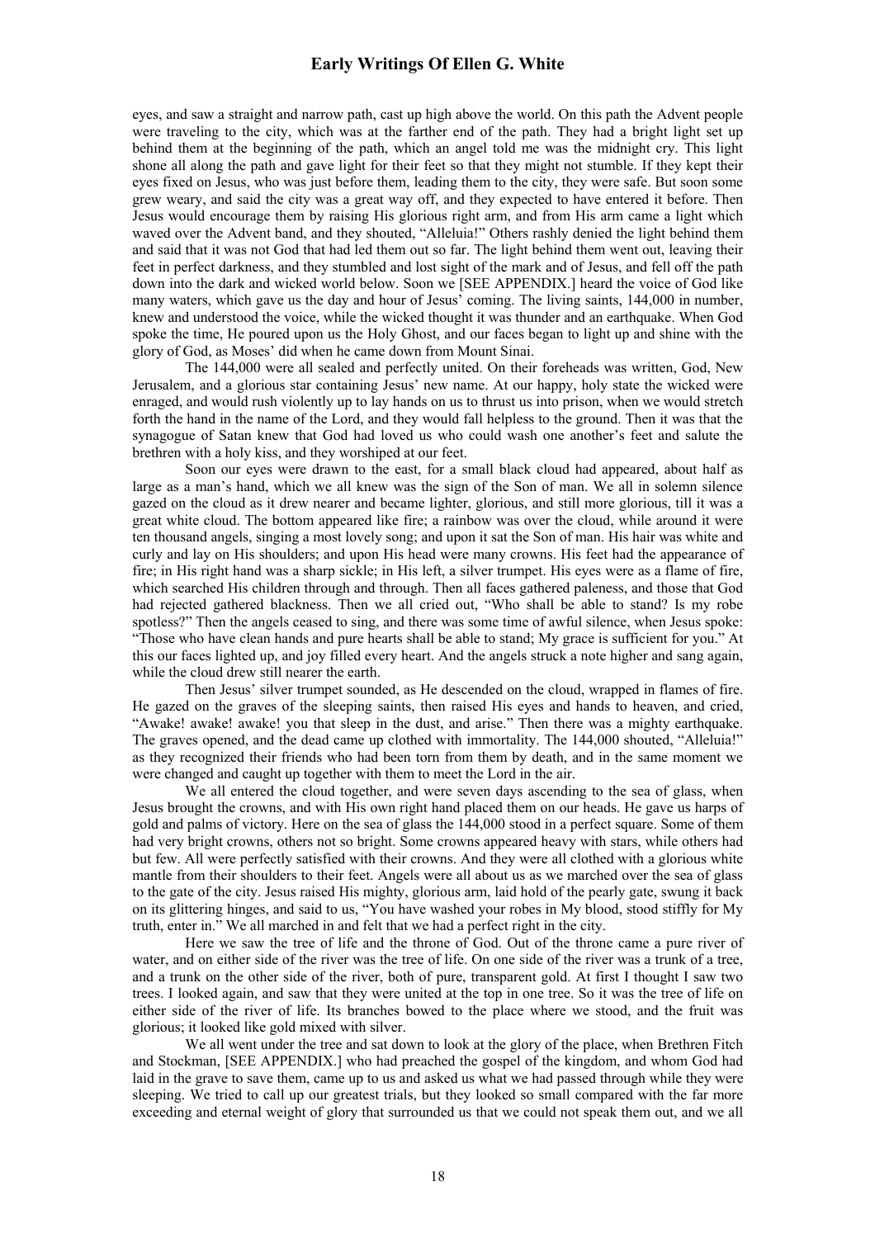eyes, and saw a straight and narrow path, cast up high above the world. On this path the Advent people were traveling to the city, which was at the farther end of the path. They had a bright light set up behind them at the beginning of the path, which an angel told me was the midnight cry. This light shone all along the path and gave light for their feet so that they might not stumble. If they kept their eyes fixed on Jesus, who was just before them, leading them to the city, they were safe. But soon some grew weary, and said the city was a great way off, and they expected to have entered it before. Then Jesus would encourage them by raising His glorious right arm, and from His arm came a light which waved over the Advent band, and they shouted, "Alleluia!" Others rashly denied the light behind them and said that it was not God that had led them out so far. The light behind them went out, leaving their feet in perfect darkness, and they stumbled and lost sight of the mark and of Jesus, and fell off the path down into the dark and wicked world below. Soon we [SEE APPENDIX.] heard the voice of God like many waters, which gave us the day and hour of Jesus' coming. The living saints, 144,000 in number, knew and understood the voice, while the wicked thought it was thunder and an earthquake. When God spoke the time, He poured upon us the Holy Ghost, and our faces began to light up and shine with the glory of God, as Moses' did when he came down from Mount Sinai.

The 144,000 were all sealed and perfectly united. On their foreheads was written, God, New Jerusalem, and a glorious star containing Jesus' new name. At our happy, holy state the wicked were enraged, and would rush violently up to lay hands on us to thrust us into prison, when we would stretch forth the hand in the name of the Lord, and they would fall helpless to the ground. Then it was that the synagogue of Satan knew that God had loved us who could wash one another's feet and salute the brethren with a holy kiss, and they worshiped at our feet.

Soon our eyes were drawn to the east, for a small black cloud had appeared, about half as large as a man's hand, which we all knew was the sign of the Son of man. We all in solemn silence gazed on the cloud as it drew nearer and became lighter, glorious, and still more glorious, till it was a great white cloud. The bottom appeared like fire; a rainbow was over the cloud, while around it were ten thousand angels, singing a most lovely song; and upon it sat the Son of man. His hair was white and curly and lay on His shoulders; and upon His head were many crowns. His feet had the appearance of fire; in His right hand was a sharp sickle; in His left, a silver trumpet. His eyes were as a flame of fire, which searched His children through and through. Then all faces gathered paleness, and those that God had rejected gathered blackness. Then we all cried out, "Who shall be able to stand? Is my robe spotless?" Then the angels ceased to sing, and there was some time of awful silence, when Jesus spoke: "Those who have clean hands and pure hearts shall be able to stand; My grace is sufficient for you." At this our faces lighted up, and joy filled every heart. And the angels struck a note higher and sang again, while the cloud drew still nearer the earth.

Then Jesus' silver trumpet sounded, as He descended on the cloud, wrapped in flames of fire. He gazed on the graves of the sleeping saints, then raised His eyes and hands to heaven, and cried, "Awake! awake! awake! you that sleep in the dust, and arise." Then there was a mighty earthquake. The graves opened, and the dead came up clothed with immortality. The 144,000 shouted, "Alleluia!" as they recognized their friends who had been torn from them by death, and in the same moment we were changed and caught up together with them to meet the Lord in the air.

We all entered the cloud together, and were seven days ascending to the sea of glass, when Jesus brought the crowns, and with His own right hand placed them on our heads. He gave us harps of gold and palms of victory. Here on the sea of glass the 144,000 stood in a perfect square. Some of them had very bright crowns, others not so bright. Some crowns appeared heavy with stars, while others had but few. All were perfectly satisfied with their crowns. And they were all clothed with a glorious white mantle from their shoulders to their feet. Angels were all about us as we marched over the sea of glass to the gate of the city. Jesus raised His mighty, glorious arm, laid hold of the pearly gate, swung it back on its glittering hinges, and said to us, "You have washed your robes in My blood, stood stiffly for My truth, enter in." We all marched in and felt that we had a perfect right in the city.

Here we saw the tree of life and the throne of God. Out of the throne came a pure river of water, and on either side of the river was the tree of life. On one side of the river was a trunk of a tree, and a trunk on the other side of the river, both of pure, transparent gold. At first I thought I saw two trees. I looked again, and saw that they were united at the top in one tree. So it was the tree of life on either side of the river of life. Its branches bowed to the place where we stood, and the fruit was glorious; it looked like gold mixed with silver.

We all went under the tree and sat down to look at the glory of the place, when Brethren Fitch and Stockman, [SEE APPENDIX.] who had preached the gospel of the kingdom, and whom God had laid in the grave to save them, came up to us and asked us what we had passed through while they were sleeping. We tried to call up our greatest trials, but they looked so small compared with the far more exceeding and eternal weight of glory that surrounded us that we could not speak them out, and we all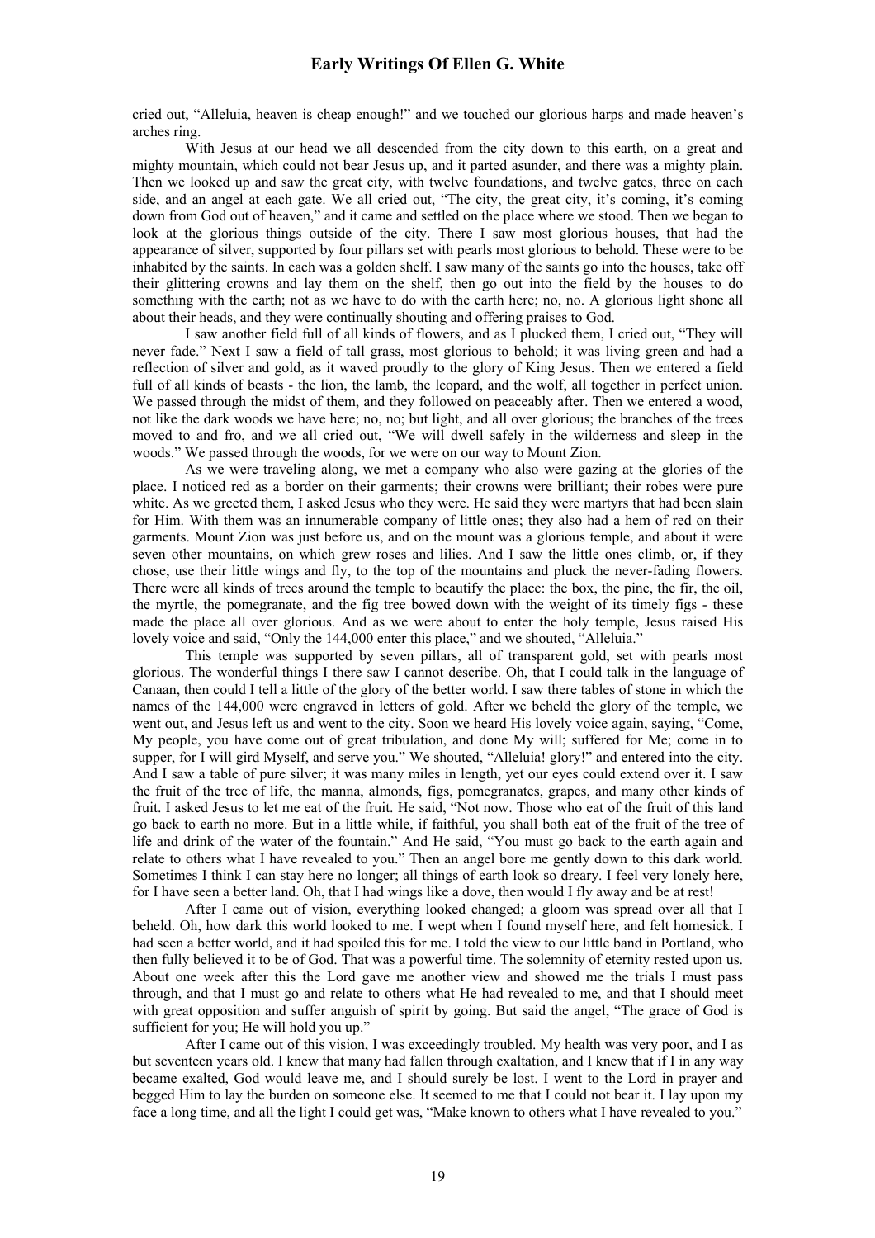cried out, "Alleluia, heaven is cheap enough!" and we touched our glorious harps and made heaven's arches ring.

With Jesus at our head we all descended from the city down to this earth, on a great and mighty mountain, which could not bear Jesus up, and it parted asunder, and there was a mighty plain. Then we looked up and saw the great city, with twelve foundations, and twelve gates, three on each side, and an angel at each gate. We all cried out, "The city, the great city, it's coming, it's coming down from God out of heaven," and it came and settled on the place where we stood. Then we began to look at the glorious things outside of the city. There I saw most glorious houses, that had the appearance of silver, supported by four pillars set with pearls most glorious to behold. These were to be inhabited by the saints. In each was a golden shelf. I saw many of the saints go into the houses, take off their glittering crowns and lay them on the shelf, then go out into the field by the houses to do something with the earth; not as we have to do with the earth here; no, no. A glorious light shone all about their heads, and they were continually shouting and offering praises to God.

I saw another field full of all kinds of flowers, and as I plucked them, I cried out, "They will never fade." Next I saw a field of tall grass, most glorious to behold; it was living green and had a reflection of silver and gold, as it waved proudly to the glory of King Jesus. Then we entered a field full of all kinds of beasts - the lion, the lamb, the leopard, and the wolf, all together in perfect union. We passed through the midst of them, and they followed on peaceably after. Then we entered a wood, not like the dark woods we have here; no, no; but light, and all over glorious; the branches of the trees moved to and fro, and we all cried out, "We will dwell safely in the wilderness and sleep in the woods." We passed through the woods, for we were on our way to Mount Zion.

As we were traveling along, we met a company who also were gazing at the glories of the place. I noticed red as a border on their garments; their crowns were brilliant; their robes were pure white. As we greeted them, I asked Jesus who they were. He said they were martyrs that had been slain for Him. With them was an innumerable company of little ones; they also had a hem of red on their garments. Mount Zion was just before us, and on the mount was a glorious temple, and about it were seven other mountains, on which grew roses and lilies. And I saw the little ones climb, or, if they chose, use their little wings and fly, to the top of the mountains and pluck the never-fading flowers. There were all kinds of trees around the temple to beautify the place: the box, the pine, the fir, the oil, the myrtle, the pomegranate, and the fig tree bowed down with the weight of its timely figs - these made the place all over glorious. And as we were about to enter the holy temple, Jesus raised His lovely voice and said, "Only the 144,000 enter this place," and we shouted, "Alleluia."

This temple was supported by seven pillars, all of transparent gold, set with pearls most glorious. The wonderful things I there saw I cannot describe. Oh, that I could talk in the language of Canaan, then could I tell a little of the glory of the better world. I saw there tables of stone in which the names of the 144,000 were engraved in letters of gold. After we beheld the glory of the temple, we went out, and Jesus left us and went to the city. Soon we heard His lovely voice again, saying, "Come, My people, you have come out of great tribulation, and done My will; suffered for Me; come in to supper, for I will gird Myself, and serve you." We shouted, "Alleluia! glory!" and entered into the city. And I saw a table of pure silver; it was many miles in length, yet our eyes could extend over it. I saw the fruit of the tree of life, the manna, almonds, figs, pomegranates, grapes, and many other kinds of fruit. I asked Jesus to let me eat of the fruit. He said, "Not now. Those who eat of the fruit of this land go back to earth no more. But in a little while, if faithful, you shall both eat of the fruit of the tree of life and drink of the water of the fountain." And He said, "You must go back to the earth again and relate to others what I have revealed to you." Then an angel bore me gently down to this dark world. Sometimes I think I can stay here no longer; all things of earth look so dreary. I feel very lonely here, for I have seen a better land. Oh, that I had wings like a dove, then would I fly away and be at rest!

After I came out of vision, everything looked changed; a gloom was spread over all that I beheld. Oh, how dark this world looked to me. I wept when I found myself here, and felt homesick. I had seen a better world, and it had spoiled this for me. I told the view to our little band in Portland, who then fully believed it to be of God. That was a powerful time. The solemnity of eternity rested upon us. About one week after this the Lord gave me another view and showed me the trials I must pass through, and that I must go and relate to others what He had revealed to me, and that I should meet with great opposition and suffer anguish of spirit by going. But said the angel, "The grace of God is sufficient for you; He will hold you up."

After I came out of this vision, I was exceedingly troubled. My health was very poor, and I as but seventeen years old. I knew that many had fallen through exaltation, and I knew that if I in any way became exalted, God would leave me, and I should surely be lost. I went to the Lord in prayer and begged Him to lay the burden on someone else. It seemed to me that I could not bear it. I lay upon my face a long time, and all the light I could get was, "Make known to others what I have revealed to you."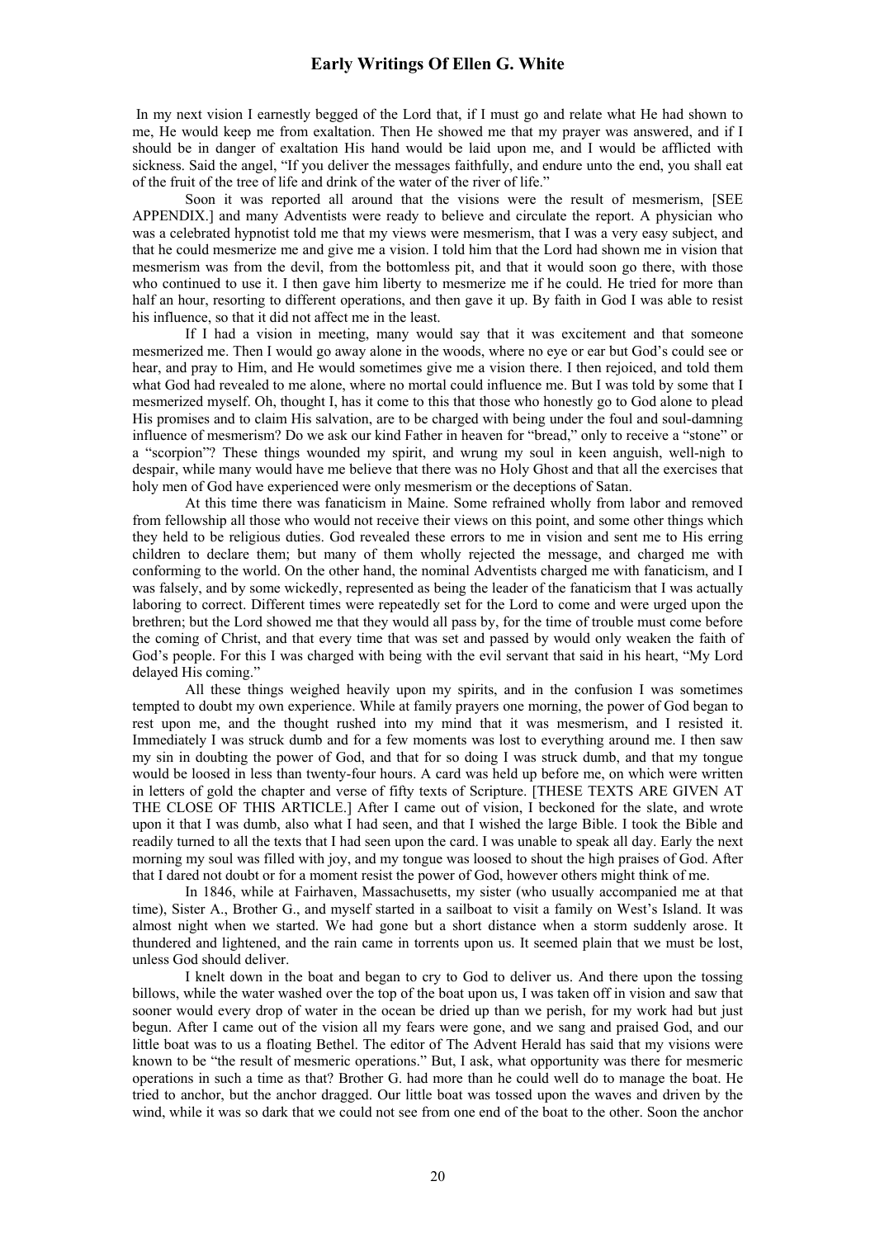In my next vision I earnestly begged of the Lord that, if I must go and relate what He had shown to me, He would keep me from exaltation. Then He showed me that my prayer was answered, and if I should be in danger of exaltation His hand would be laid upon me, and I would be afflicted with sickness. Said the angel, "If you deliver the messages faithfully, and endure unto the end, you shall eat of the fruit of the tree of life and drink of the water of the river of life."

Soon it was reported all around that the visions were the result of mesmerism, [SEE APPENDIX.] and many Adventists were ready to believe and circulate the report. A physician who was a celebrated hypnotist told me that my views were mesmerism, that I was a very easy subject, and that he could mesmerize me and give me a vision. I told him that the Lord had shown me in vision that mesmerism was from the devil, from the bottomless pit, and that it would soon go there, with those who continued to use it. I then gave him liberty to mesmerize me if he could. He tried for more than half an hour, resorting to different operations, and then gave it up. By faith in God I was able to resist his influence, so that it did not affect me in the least.

If I had a vision in meeting, many would say that it was excitement and that someone mesmerized me. Then I would go away alone in the woods, where no eye or ear but God's could see or hear, and pray to Him, and He would sometimes give me a vision there. I then rejoiced, and told them what God had revealed to me alone, where no mortal could influence me. But I was told by some that I mesmerized myself. Oh, thought I, has it come to this that those who honestly go to God alone to plead His promises and to claim His salvation, are to be charged with being under the foul and soul-damning influence of mesmerism? Do we ask our kind Father in heaven for "bread," only to receive a "stone" or a "scorpion"? These things wounded my spirit, and wrung my soul in keen anguish, well-nigh to despair, while many would have me believe that there was no Holy Ghost and that all the exercises that holy men of God have experienced were only mesmerism or the deceptions of Satan.

At this time there was fanaticism in Maine. Some refrained wholly from labor and removed from fellowship all those who would not receive their views on this point, and some other things which they held to be religious duties. God revealed these errors to me in vision and sent me to His erring children to declare them; but many of them wholly rejected the message, and charged me with conforming to the world. On the other hand, the nominal Adventists charged me with fanaticism, and I was falsely, and by some wickedly, represented as being the leader of the fanaticism that I was actually laboring to correct. Different times were repeatedly set for the Lord to come and were urged upon the brethren; but the Lord showed me that they would all pass by, for the time of trouble must come before the coming of Christ, and that every time that was set and passed by would only weaken the faith of God's people. For this I was charged with being with the evil servant that said in his heart, "My Lord delayed His coming."

All these things weighed heavily upon my spirits, and in the confusion I was sometimes tempted to doubt my own experience. While at family prayers one morning, the power of God began to rest upon me, and the thought rushed into my mind that it was mesmerism, and I resisted it. Immediately I was struck dumb and for a few moments was lost to everything around me. I then saw my sin in doubting the power of God, and that for so doing I was struck dumb, and that my tongue would be loosed in less than twenty-four hours. A card was held up before me, on which were written in letters of gold the chapter and verse of fifty texts of Scripture. [THESE TEXTS ARE GIVEN AT THE CLOSE OF THIS ARTICLE.] After I came out of vision, I beckoned for the slate, and wrote upon it that I was dumb, also what I had seen, and that I wished the large Bible. I took the Bible and readily turned to all the texts that I had seen upon the card. I was unable to speak all day. Early the next morning my soul was filled with joy, and my tongue was loosed to shout the high praises of God. After that I dared not doubt or for a moment resist the power of God, however others might think of me.

In 1846, while at Fairhaven, Massachusetts, my sister (who usually accompanied me at that time), Sister A., Brother G., and myself started in a sailboat to visit a family on West's Island. It was almost night when we started. We had gone but a short distance when a storm suddenly arose. It thundered and lightened, and the rain came in torrents upon us. It seemed plain that we must be lost, unless God should deliver.

I knelt down in the boat and began to cry to God to deliver us. And there upon the tossing billows, while the water washed over the top of the boat upon us, I was taken off in vision and saw that sooner would every drop of water in the ocean be dried up than we perish, for my work had but just begun. After I came out of the vision all my fears were gone, and we sang and praised God, and our little boat was to us a floating Bethel. The editor of The Advent Herald has said that my visions were known to be "the result of mesmeric operations." But, I ask, what opportunity was there for mesmeric operations in such a time as that? Brother G. had more than he could well do to manage the boat. He tried to anchor, but the anchor dragged. Our little boat was tossed upon the waves and driven by the wind, while it was so dark that we could not see from one end of the boat to the other. Soon the anchor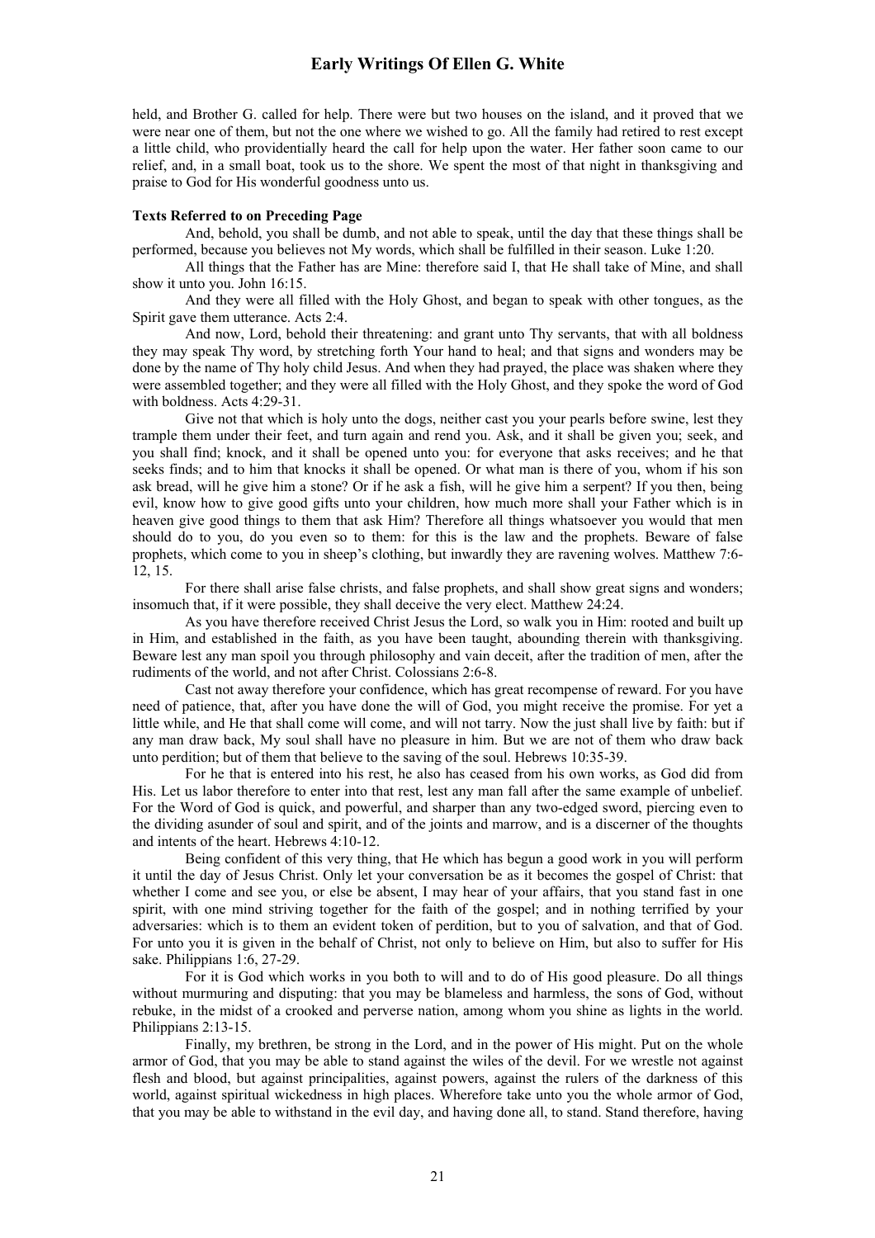held, and Brother G. called for help. There were but two houses on the island, and it proved that we were near one of them, but not the one where we wished to go. All the family had retired to rest except a little child, who providentially heard the call for help upon the water. Her father soon came to our relief, and, in a small boat, took us to the shore. We spent the most of that night in thanksgiving and praise to God for His wonderful goodness unto us.

#### **Texts Referred to on Preceding Page**

And, behold, you shall be dumb, and not able to speak, until the day that these things shall be performed, because you believes not My words, which shall be fulfilled in their season. Luke 1:20.

All things that the Father has are Mine: therefore said I, that He shall take of Mine, and shall show it unto you. John 16:15.

And they were all filled with the Holy Ghost, and began to speak with other tongues, as the Spirit gave them utterance. Acts 2:4.

And now, Lord, behold their threatening: and grant unto Thy servants, that with all boldness they may speak Thy word, by stretching forth Your hand to heal; and that signs and wonders may be done by the name of Thy holy child Jesus. And when they had prayed, the place was shaken where they were assembled together; and they were all filled with the Holy Ghost, and they spoke the word of God with boldness. Acts 4:29-31.

Give not that which is holy unto the dogs, neither cast you your pearls before swine, lest they trample them under their feet, and turn again and rend you. Ask, and it shall be given you; seek, and you shall find; knock, and it shall be opened unto you: for everyone that asks receives; and he that seeks finds; and to him that knocks it shall be opened. Or what man is there of you, whom if his son ask bread, will he give him a stone? Or if he ask a fish, will he give him a serpent? If you then, being evil, know how to give good gifts unto your children, how much more shall your Father which is in heaven give good things to them that ask Him? Therefore all things whatsoever you would that men should do to you, do you even so to them: for this is the law and the prophets. Beware of false prophets, which come to you in sheep's clothing, but inwardly they are ravening wolves. Matthew 7:6- 12, 15.

For there shall arise false christs, and false prophets, and shall show great signs and wonders; insomuch that, if it were possible, they shall deceive the very elect. Matthew 24:24.

As you have therefore received Christ Jesus the Lord, so walk you in Him: rooted and built up in Him, and established in the faith, as you have been taught, abounding therein with thanksgiving. Beware lest any man spoil you through philosophy and vain deceit, after the tradition of men, after the rudiments of the world, and not after Christ. Colossians 2:6-8.

Cast not away therefore your confidence, which has great recompense of reward. For you have need of patience, that, after you have done the will of God, you might receive the promise. For yet a little while, and He that shall come will come, and will not tarry. Now the just shall live by faith: but if any man draw back, My soul shall have no pleasure in him. But we are not of them who draw back unto perdition; but of them that believe to the saving of the soul. Hebrews 10:35-39.

For he that is entered into his rest, he also has ceased from his own works, as God did from His. Let us labor therefore to enter into that rest, lest any man fall after the same example of unbelief. For the Word of God is quick, and powerful, and sharper than any two-edged sword, piercing even to the dividing asunder of soul and spirit, and of the joints and marrow, and is a discerner of the thoughts and intents of the heart. Hebrews 4:10-12.

Being confident of this very thing, that He which has begun a good work in you will perform it until the day of Jesus Christ. Only let your conversation be as it becomes the gospel of Christ: that whether I come and see you, or else be absent, I may hear of your affairs, that you stand fast in one spirit, with one mind striving together for the faith of the gospel; and in nothing terrified by your adversaries: which is to them an evident token of perdition, but to you of salvation, and that of God. For unto you it is given in the behalf of Christ, not only to believe on Him, but also to suffer for His sake. Philippians 1:6, 27-29.

For it is God which works in you both to will and to do of His good pleasure. Do all things without murmuring and disputing: that you may be blameless and harmless, the sons of God, without rebuke, in the midst of a crooked and perverse nation, among whom you shine as lights in the world. Philippians 2:13-15.

Finally, my brethren, be strong in the Lord, and in the power of His might. Put on the whole armor of God, that you may be able to stand against the wiles of the devil. For we wrestle not against flesh and blood, but against principalities, against powers, against the rulers of the darkness of this world, against spiritual wickedness in high places. Wherefore take unto you the whole armor of God, that you may be able to withstand in the evil day, and having done all, to stand. Stand therefore, having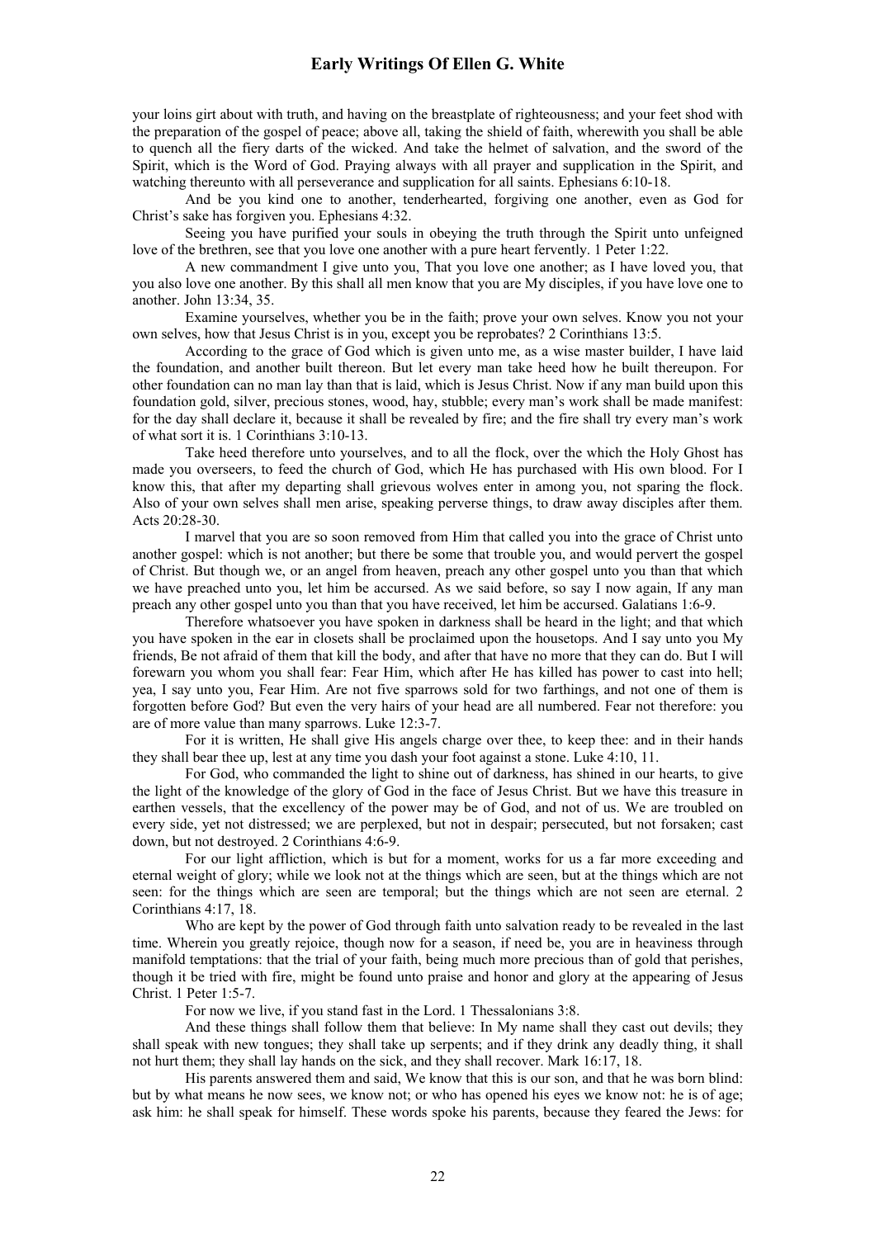your loins girt about with truth, and having on the breastplate of righteousness; and your feet shod with the preparation of the gospel of peace; above all, taking the shield of faith, wherewith you shall be able to quench all the fiery darts of the wicked. And take the helmet of salvation, and the sword of the Spirit, which is the Word of God. Praying always with all prayer and supplication in the Spirit, and watching thereunto with all perseverance and supplication for all saints. Ephesians 6:10-18.

And be you kind one to another, tenderhearted, forgiving one another, even as God for Christ's sake has forgiven you. Ephesians 4:32.

Seeing you have purified your souls in obeying the truth through the Spirit unto unfeigned love of the brethren, see that you love one another with a pure heart fervently. 1 Peter 1:22.

A new commandment I give unto you, That you love one another; as I have loved you, that you also love one another. By this shall all men know that you are My disciples, if you have love one to another. John 13:34, 35.

Examine yourselves, whether you be in the faith; prove your own selves. Know you not your own selves, how that Jesus Christ is in you, except you be reprobates? 2 Corinthians 13:5.

According to the grace of God which is given unto me, as a wise master builder, I have laid the foundation, and another built thereon. But let every man take heed how he built thereupon. For other foundation can no man lay than that is laid, which is Jesus Christ. Now if any man build upon this foundation gold, silver, precious stones, wood, hay, stubble; every man's work shall be made manifest: for the day shall declare it, because it shall be revealed by fire; and the fire shall try every man's work of what sort it is. 1 Corinthians 3:10-13.

Take heed therefore unto yourselves, and to all the flock, over the which the Holy Ghost has made you overseers, to feed the church of God, which He has purchased with His own blood. For I know this, that after my departing shall grievous wolves enter in among you, not sparing the flock. Also of your own selves shall men arise, speaking perverse things, to draw away disciples after them. Acts 20:28-30.

I marvel that you are so soon removed from Him that called you into the grace of Christ unto another gospel: which is not another; but there be some that trouble you, and would pervert the gospel of Christ. But though we, or an angel from heaven, preach any other gospel unto you than that which we have preached unto you, let him be accursed. As we said before, so say I now again, If any man preach any other gospel unto you than that you have received, let him be accursed. Galatians 1:6-9.

Therefore whatsoever you have spoken in darkness shall be heard in the light; and that which you have spoken in the ear in closets shall be proclaimed upon the housetops. And I say unto you My friends, Be not afraid of them that kill the body, and after that have no more that they can do. But I will forewarn you whom you shall fear: Fear Him, which after He has killed has power to cast into hell; yea, I say unto you, Fear Him. Are not five sparrows sold for two farthings, and not one of them is forgotten before God? But even the very hairs of your head are all numbered. Fear not therefore: you are of more value than many sparrows. Luke 12:3-7.

For it is written, He shall give His angels charge over thee, to keep thee: and in their hands they shall bear thee up, lest at any time you dash your foot against a stone. Luke 4:10, 11.

For God, who commanded the light to shine out of darkness, has shined in our hearts, to give the light of the knowledge of the glory of God in the face of Jesus Christ. But we have this treasure in earthen vessels, that the excellency of the power may be of God, and not of us. We are troubled on every side, yet not distressed; we are perplexed, but not in despair; persecuted, but not forsaken; cast down, but not destroyed. 2 Corinthians 4:6-9.

For our light affliction, which is but for a moment, works for us a far more exceeding and eternal weight of glory; while we look not at the things which are seen, but at the things which are not seen: for the things which are seen are temporal; but the things which are not seen are eternal. 2 Corinthians 4:17, 18.

Who are kept by the power of God through faith unto salvation ready to be revealed in the last time. Wherein you greatly rejoice, though now for a season, if need be, you are in heaviness through manifold temptations: that the trial of your faith, being much more precious than of gold that perishes, though it be tried with fire, might be found unto praise and honor and glory at the appearing of Jesus Christ. 1 Peter 1:5-7.

For now we live, if you stand fast in the Lord. 1 Thessalonians 3:8.

And these things shall follow them that believe: In My name shall they cast out devils; they shall speak with new tongues; they shall take up serpents; and if they drink any deadly thing, it shall not hurt them; they shall lay hands on the sick, and they shall recover. Mark 16:17, 18.

His parents answered them and said, We know that this is our son, and that he was born blind: but by what means he now sees, we know not; or who has opened his eyes we know not: he is of age; ask him: he shall speak for himself. These words spoke his parents, because they feared the Jews: for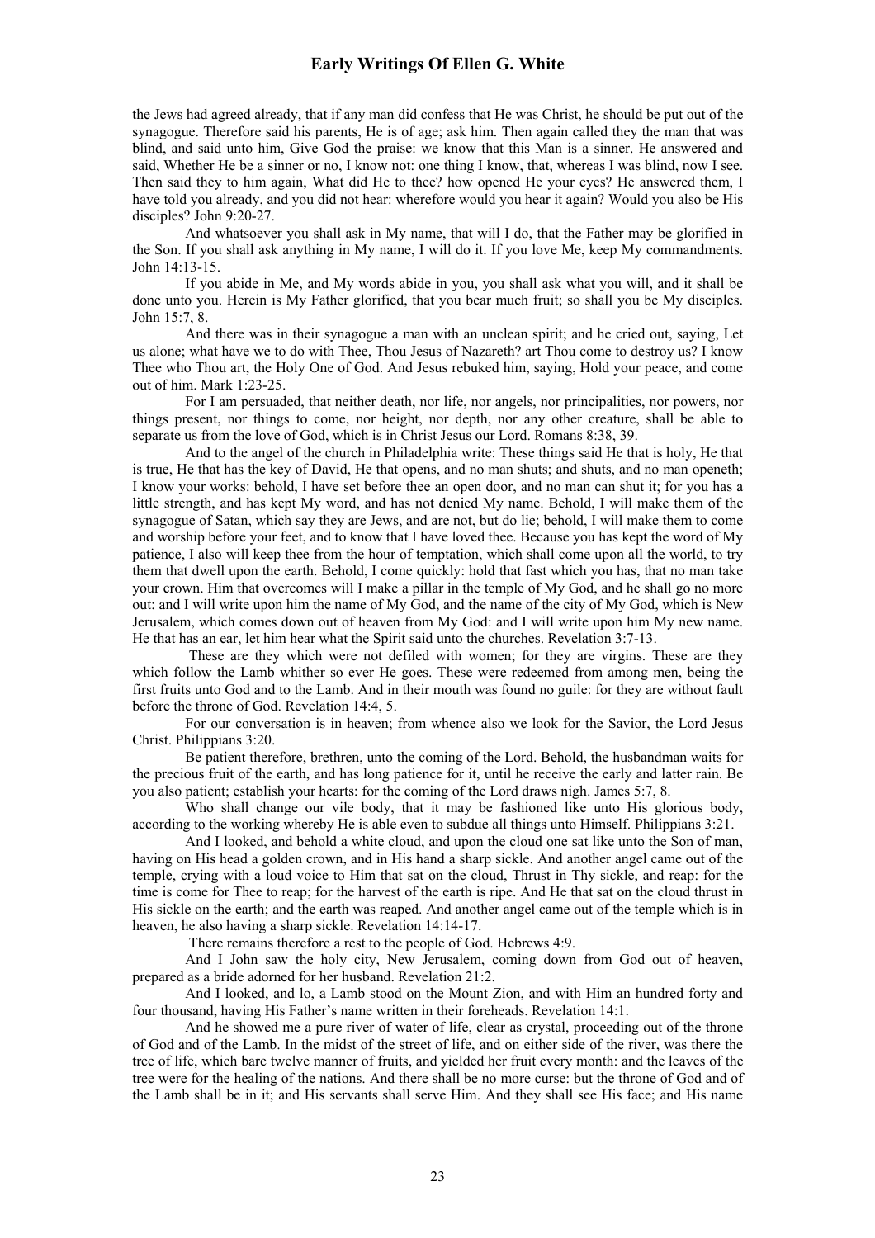the Jews had agreed already, that if any man did confess that He was Christ, he should be put out of the synagogue. Therefore said his parents, He is of age; ask him. Then again called they the man that was blind, and said unto him, Give God the praise: we know that this Man is a sinner. He answered and said, Whether He be a sinner or no, I know not: one thing I know, that, whereas I was blind, now I see. Then said they to him again, What did He to thee? how opened He your eyes? He answered them, I have told you already, and you did not hear: wherefore would you hear it again? Would you also be His disciples? John 9:20-27.

And whatsoever you shall ask in My name, that will I do, that the Father may be glorified in the Son. If you shall ask anything in My name, I will do it. If you love Me, keep My commandments. John 14:13-15.

If you abide in Me, and My words abide in you, you shall ask what you will, and it shall be done unto you. Herein is My Father glorified, that you bear much fruit; so shall you be My disciples. John  $15.7, 8.$ 

And there was in their synagogue a man with an unclean spirit; and he cried out, saying, Let us alone; what have we to do with Thee, Thou Jesus of Nazareth? art Thou come to destroy us? I know Thee who Thou art, the Holy One of God. And Jesus rebuked him, saying, Hold your peace, and come out of him. Mark 1:23-25.

For I am persuaded, that neither death, nor life, nor angels, nor principalities, nor powers, nor things present, nor things to come, nor height, nor depth, nor any other creature, shall be able to separate us from the love of God, which is in Christ Jesus our Lord. Romans 8:38, 39.

And to the angel of the church in Philadelphia write: These things said He that is holy, He that is true, He that has the key of David, He that opens, and no man shuts; and shuts, and no man openeth; I know your works: behold, I have set before thee an open door, and no man can shut it; for you has a little strength, and has kept My word, and has not denied My name. Behold, I will make them of the synagogue of Satan, which say they are Jews, and are not, but do lie; behold, I will make them to come and worship before your feet, and to know that I have loved thee. Because you has kept the word of My patience, I also will keep thee from the hour of temptation, which shall come upon all the world, to try them that dwell upon the earth. Behold, I come quickly: hold that fast which you has, that no man take your crown. Him that overcomes will I make a pillar in the temple of My God, and he shall go no more out: and I will write upon him the name of My God, and the name of the city of My God, which is New Jerusalem, which comes down out of heaven from My God: and I will write upon him My new name. He that has an ear, let him hear what the Spirit said unto the churches. Revelation 3:7-13.

 These are they which were not defiled with women; for they are virgins. These are they which follow the Lamb whither so ever He goes. These were redeemed from among men, being the first fruits unto God and to the Lamb. And in their mouth was found no guile: for they are without fault before the throne of God. Revelation 14:4, 5.

For our conversation is in heaven; from whence also we look for the Savior, the Lord Jesus Christ. Philippians 3:20.

Be patient therefore, brethren, unto the coming of the Lord. Behold, the husbandman waits for the precious fruit of the earth, and has long patience for it, until he receive the early and latter rain. Be you also patient; establish your hearts: for the coming of the Lord draws nigh. James 5:7, 8.

Who shall change our vile body, that it may be fashioned like unto His glorious body, according to the working whereby He is able even to subdue all things unto Himself. Philippians 3:21.

And I looked, and behold a white cloud, and upon the cloud one sat like unto the Son of man, having on His head a golden crown, and in His hand a sharp sickle. And another angel came out of the temple, crying with a loud voice to Him that sat on the cloud, Thrust in Thy sickle, and reap: for the time is come for Thee to reap; for the harvest of the earth is ripe. And He that sat on the cloud thrust in His sickle on the earth; and the earth was reaped. And another angel came out of the temple which is in heaven, he also having a sharp sickle. Revelation 14:14-17.

There remains therefore a rest to the people of God. Hebrews 4:9.

And I John saw the holy city, New Jerusalem, coming down from God out of heaven, prepared as a bride adorned for her husband. Revelation 21:2.

And I looked, and lo, a Lamb stood on the Mount Zion, and with Him an hundred forty and four thousand, having His Father's name written in their foreheads. Revelation 14:1.

And he showed me a pure river of water of life, clear as crystal, proceeding out of the throne of God and of the Lamb. In the midst of the street of life, and on either side of the river, was there the tree of life, which bare twelve manner of fruits, and yielded her fruit every month: and the leaves of the tree were for the healing of the nations. And there shall be no more curse: but the throne of God and of the Lamb shall be in it; and His servants shall serve Him. And they shall see His face; and His name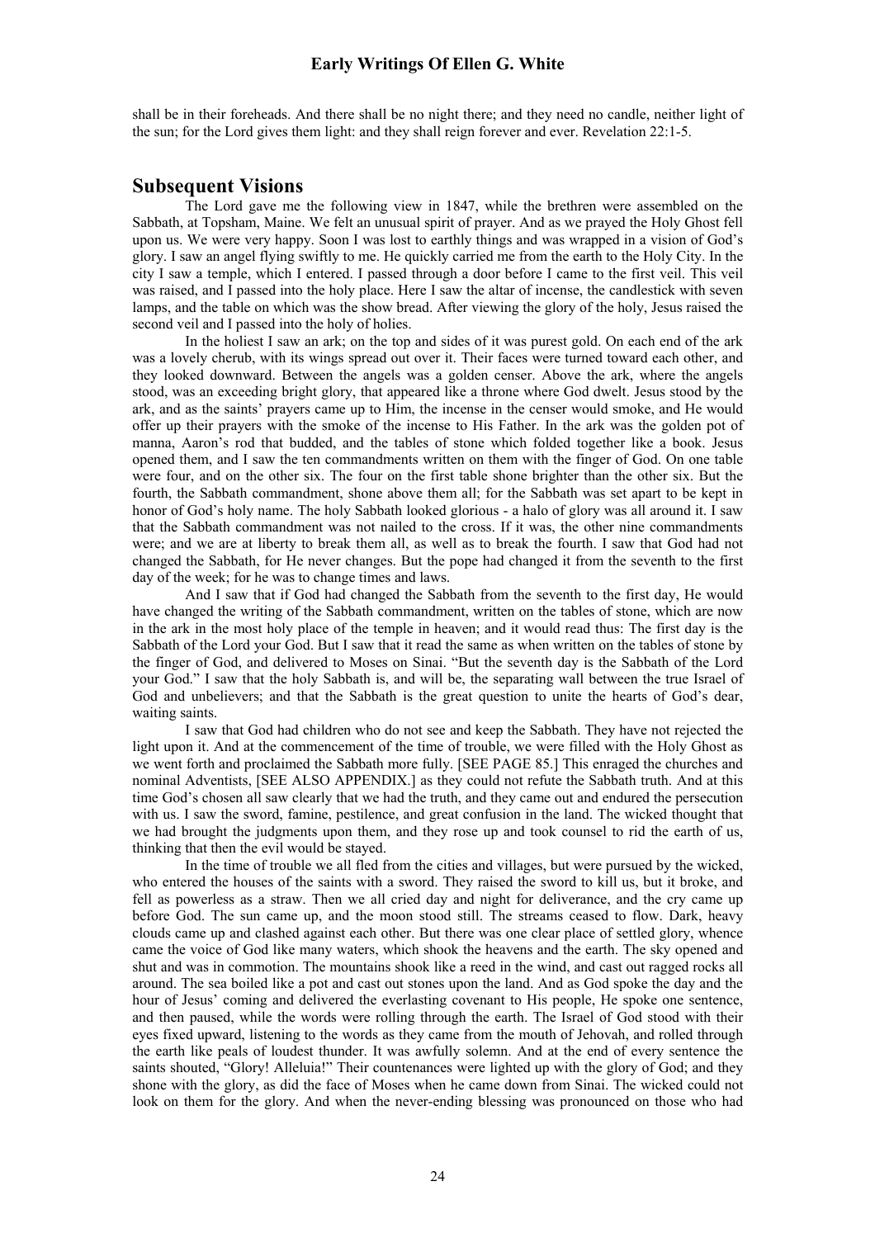shall be in their foreheads. And there shall be no night there; and they need no candle, neither light of the sun; for the Lord gives them light: and they shall reign forever and ever. Revelation 22:1-5.

## **Subsequent Visions**

The Lord gave me the following view in 1847, while the brethren were assembled on the Sabbath, at Topsham, Maine. We felt an unusual spirit of prayer. And as we prayed the Holy Ghost fell upon us. We were very happy. Soon I was lost to earthly things and was wrapped in a vision of God's glory. I saw an angel flying swiftly to me. He quickly carried me from the earth to the Holy City. In the city I saw a temple, which I entered. I passed through a door before I came to the first veil. This veil was raised, and I passed into the holy place. Here I saw the altar of incense, the candlestick with seven lamps, and the table on which was the show bread. After viewing the glory of the holy, Jesus raised the second veil and I passed into the holy of holies.

In the holiest I saw an ark; on the top and sides of it was purest gold. On each end of the ark was a lovely cherub, with its wings spread out over it. Their faces were turned toward each other, and they looked downward. Between the angels was a golden censer. Above the ark, where the angels stood, was an exceeding bright glory, that appeared like a throne where God dwelt. Jesus stood by the ark, and as the saints' prayers came up to Him, the incense in the censer would smoke, and He would offer up their prayers with the smoke of the incense to His Father. In the ark was the golden pot of manna, Aaron's rod that budded, and the tables of stone which folded together like a book. Jesus opened them, and I saw the ten commandments written on them with the finger of God. On one table were four, and on the other six. The four on the first table shone brighter than the other six. But the fourth, the Sabbath commandment, shone above them all; for the Sabbath was set apart to be kept in honor of God's holy name. The holy Sabbath looked glorious - a halo of glory was all around it. I saw that the Sabbath commandment was not nailed to the cross. If it was, the other nine commandments were; and we are at liberty to break them all, as well as to break the fourth. I saw that God had not changed the Sabbath, for He never changes. But the pope had changed it from the seventh to the first day of the week; for he was to change times and laws.

And I saw that if God had changed the Sabbath from the seventh to the first day, He would have changed the writing of the Sabbath commandment, written on the tables of stone, which are now in the ark in the most holy place of the temple in heaven; and it would read thus: The first day is the Sabbath of the Lord your God. But I saw that it read the same as when written on the tables of stone by the finger of God, and delivered to Moses on Sinai. "But the seventh day is the Sabbath of the Lord your God." I saw that the holy Sabbath is, and will be, the separating wall between the true Israel of God and unbelievers; and that the Sabbath is the great question to unite the hearts of God's dear, waiting saints.

I saw that God had children who do not see and keep the Sabbath. They have not rejected the light upon it. And at the commencement of the time of trouble, we were filled with the Holy Ghost as we went forth and proclaimed the Sabbath more fully. [SEE PAGE 85.] This enraged the churches and nominal Adventists, [SEE ALSO APPENDIX.] as they could not refute the Sabbath truth. And at this time God's chosen all saw clearly that we had the truth, and they came out and endured the persecution with us. I saw the sword, famine, pestilence, and great confusion in the land. The wicked thought that we had brought the judgments upon them, and they rose up and took counsel to rid the earth of us, thinking that then the evil would be stayed.

In the time of trouble we all fled from the cities and villages, but were pursued by the wicked, who entered the houses of the saints with a sword. They raised the sword to kill us, but it broke, and fell as powerless as a straw. Then we all cried day and night for deliverance, and the cry came up before God. The sun came up, and the moon stood still. The streams ceased to flow. Dark, heavy clouds came up and clashed against each other. But there was one clear place of settled glory, whence came the voice of God like many waters, which shook the heavens and the earth. The sky opened and shut and was in commotion. The mountains shook like a reed in the wind, and cast out ragged rocks all around. The sea boiled like a pot and cast out stones upon the land. And as God spoke the day and the hour of Jesus' coming and delivered the everlasting covenant to His people, He spoke one sentence, and then paused, while the words were rolling through the earth. The Israel of God stood with their eyes fixed upward, listening to the words as they came from the mouth of Jehovah, and rolled through the earth like peals of loudest thunder. It was awfully solemn. And at the end of every sentence the saints shouted, "Glory! Alleluia!" Their countenances were lighted up with the glory of God; and they shone with the glory, as did the face of Moses when he came down from Sinai. The wicked could not look on them for the glory. And when the never-ending blessing was pronounced on those who had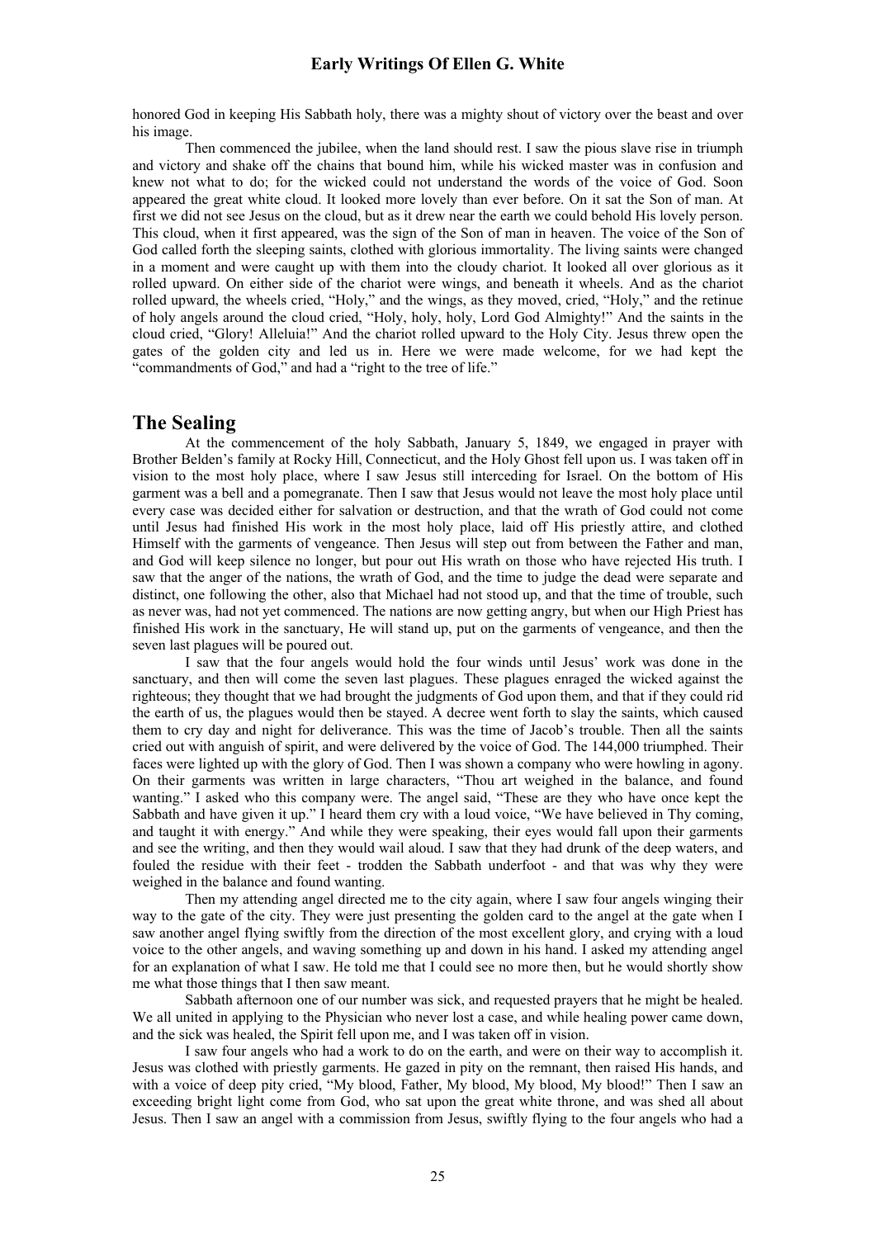honored God in keeping His Sabbath holy, there was a mighty shout of victory over the beast and over his image.

Then commenced the jubilee, when the land should rest. I saw the pious slave rise in triumph and victory and shake off the chains that bound him, while his wicked master was in confusion and knew not what to do; for the wicked could not understand the words of the voice of God. Soon appeared the great white cloud. It looked more lovely than ever before. On it sat the Son of man. At first we did not see Jesus on the cloud, but as it drew near the earth we could behold His lovely person. This cloud, when it first appeared, was the sign of the Son of man in heaven. The voice of the Son of God called forth the sleeping saints, clothed with glorious immortality. The living saints were changed in a moment and were caught up with them into the cloudy chariot. It looked all over glorious as it rolled upward. On either side of the chariot were wings, and beneath it wheels. And as the chariot rolled upward, the wheels cried, "Holy," and the wings, as they moved, cried, "Holy," and the retinue of holy angels around the cloud cried, "Holy, holy, holy, Lord God Almighty!" And the saints in the cloud cried, "Glory! Alleluia!" And the chariot rolled upward to the Holy City. Jesus threw open the gates of the golden city and led us in. Here we were made welcome, for we had kept the "commandments of God," and had a "right to the tree of life."

## **The Sealing**

At the commencement of the holy Sabbath, January 5, 1849, we engaged in prayer with Brother Belden's family at Rocky Hill, Connecticut, and the Holy Ghost fell upon us. I was taken off in vision to the most holy place, where I saw Jesus still interceding for Israel. On the bottom of His garment was a bell and a pomegranate. Then I saw that Jesus would not leave the most holy place until every case was decided either for salvation or destruction, and that the wrath of God could not come until Jesus had finished His work in the most holy place, laid off His priestly attire, and clothed Himself with the garments of vengeance. Then Jesus will step out from between the Father and man, and God will keep silence no longer, but pour out His wrath on those who have rejected His truth. I saw that the anger of the nations, the wrath of God, and the time to judge the dead were separate and distinct, one following the other, also that Michael had not stood up, and that the time of trouble, such as never was, had not yet commenced. The nations are now getting angry, but when our High Priest has finished His work in the sanctuary, He will stand up, put on the garments of vengeance, and then the seven last plagues will be poured out.

I saw that the four angels would hold the four winds until Jesus' work was done in the sanctuary, and then will come the seven last plagues. These plagues enraged the wicked against the righteous; they thought that we had brought the judgments of God upon them, and that if they could rid the earth of us, the plagues would then be stayed. A decree went forth to slay the saints, which caused them to cry day and night for deliverance. This was the time of Jacob's trouble. Then all the saints cried out with anguish of spirit, and were delivered by the voice of God. The 144,000 triumphed. Their faces were lighted up with the glory of God. Then I was shown a company who were howling in agony. On their garments was written in large characters, "Thou art weighed in the balance, and found wanting." I asked who this company were. The angel said, "These are they who have once kept the Sabbath and have given it up." I heard them cry with a loud voice, "We have believed in Thy coming, and taught it with energy." And while they were speaking, their eyes would fall upon their garments and see the writing, and then they would wail aloud. I saw that they had drunk of the deep waters, and fouled the residue with their feet - trodden the Sabbath underfoot - and that was why they were weighed in the balance and found wanting.

Then my attending angel directed me to the city again, where I saw four angels winging their way to the gate of the city. They were just presenting the golden card to the angel at the gate when I saw another angel flying swiftly from the direction of the most excellent glory, and crying with a loud voice to the other angels, and waving something up and down in his hand. I asked my attending angel for an explanation of what I saw. He told me that I could see no more then, but he would shortly show me what those things that I then saw meant.

Sabbath afternoon one of our number was sick, and requested prayers that he might be healed. We all united in applying to the Physician who never lost a case, and while healing power came down, and the sick was healed, the Spirit fell upon me, and I was taken off in vision.

I saw four angels who had a work to do on the earth, and were on their way to accomplish it. Jesus was clothed with priestly garments. He gazed in pity on the remnant, then raised His hands, and with a voice of deep pity cried, "My blood, Father, My blood, My blood, My blood!" Then I saw an exceeding bright light come from God, who sat upon the great white throne, and was shed all about Jesus. Then I saw an angel with a commission from Jesus, swiftly flying to the four angels who had a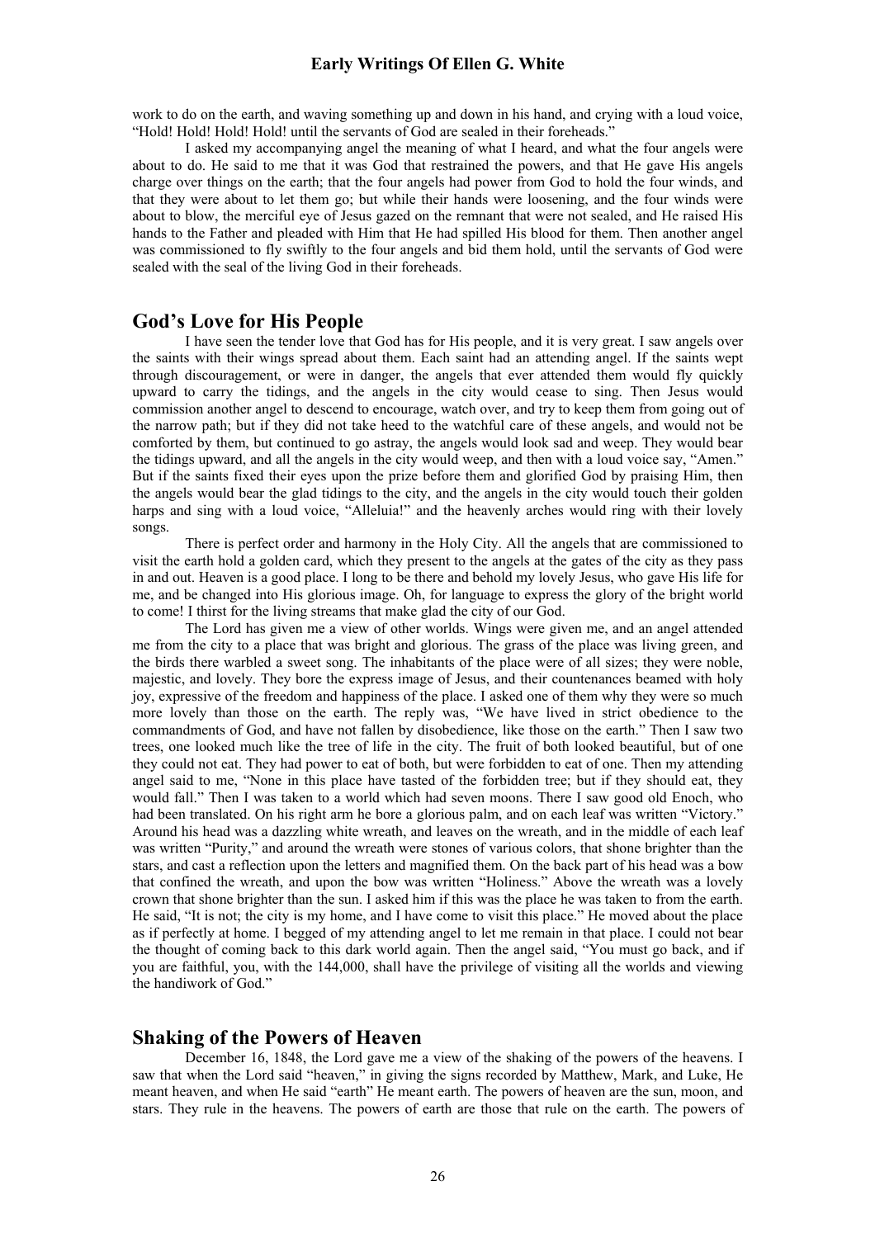work to do on the earth, and waving something up and down in his hand, and crying with a loud voice, "Hold! Hold! Hold! Hold! until the servants of God are sealed in their foreheads."

I asked my accompanying angel the meaning of what I heard, and what the four angels were about to do. He said to me that it was God that restrained the powers, and that He gave His angels charge over things on the earth; that the four angels had power from God to hold the four winds, and that they were about to let them go; but while their hands were loosening, and the four winds were about to blow, the merciful eye of Jesus gazed on the remnant that were not sealed, and He raised His hands to the Father and pleaded with Him that He had spilled His blood for them. Then another angel was commissioned to fly swiftly to the four angels and bid them hold, until the servants of God were sealed with the seal of the living God in their foreheads.

#### **God's Love for His People**

I have seen the tender love that God has for His people, and it is very great. I saw angels over the saints with their wings spread about them. Each saint had an attending angel. If the saints wept through discouragement, or were in danger, the angels that ever attended them would fly quickly upward to carry the tidings, and the angels in the city would cease to sing. Then Jesus would commission another angel to descend to encourage, watch over, and try to keep them from going out of the narrow path; but if they did not take heed to the watchful care of these angels, and would not be comforted by them, but continued to go astray, the angels would look sad and weep. They would bear the tidings upward, and all the angels in the city would weep, and then with a loud voice say, "Amen." But if the saints fixed their eyes upon the prize before them and glorified God by praising Him, then the angels would bear the glad tidings to the city, and the angels in the city would touch their golden harps and sing with a loud voice, "Alleluia!" and the heavenly arches would ring with their lovely songs.

There is perfect order and harmony in the Holy City. All the angels that are commissioned to visit the earth hold a golden card, which they present to the angels at the gates of the city as they pass in and out. Heaven is a good place. I long to be there and behold my lovely Jesus, who gave His life for me, and be changed into His glorious image. Oh, for language to express the glory of the bright world to come! I thirst for the living streams that make glad the city of our God.

The Lord has given me a view of other worlds. Wings were given me, and an angel attended me from the city to a place that was bright and glorious. The grass of the place was living green, and the birds there warbled a sweet song. The inhabitants of the place were of all sizes; they were noble, majestic, and lovely. They bore the express image of Jesus, and their countenances beamed with holy joy, expressive of the freedom and happiness of the place. I asked one of them why they were so much more lovely than those on the earth. The reply was, "We have lived in strict obedience to the commandments of God, and have not fallen by disobedience, like those on the earth." Then I saw two trees, one looked much like the tree of life in the city. The fruit of both looked beautiful, but of one they could not eat. They had power to eat of both, but were forbidden to eat of one. Then my attending angel said to me, "None in this place have tasted of the forbidden tree; but if they should eat, they would fall." Then I was taken to a world which had seven moons. There I saw good old Enoch, who had been translated. On his right arm he bore a glorious palm, and on each leaf was written "Victory." Around his head was a dazzling white wreath, and leaves on the wreath, and in the middle of each leaf was written "Purity," and around the wreath were stones of various colors, that shone brighter than the stars, and cast a reflection upon the letters and magnified them. On the back part of his head was a bow that confined the wreath, and upon the bow was written "Holiness." Above the wreath was a lovely crown that shone brighter than the sun. I asked him if this was the place he was taken to from the earth. He said, "It is not; the city is my home, and I have come to visit this place." He moved about the place as if perfectly at home. I begged of my attending angel to let me remain in that place. I could not bear the thought of coming back to this dark world again. Then the angel said, "You must go back, and if you are faithful, you, with the 144,000, shall have the privilege of visiting all the worlds and viewing the handiwork of God."

## **Shaking of the Powers of Heaven**

December 16, 1848, the Lord gave me a view of the shaking of the powers of the heavens. I saw that when the Lord said "heaven," in giving the signs recorded by Matthew, Mark, and Luke, He meant heaven, and when He said "earth" He meant earth. The powers of heaven are the sun, moon, and stars. They rule in the heavens. The powers of earth are those that rule on the earth. The powers of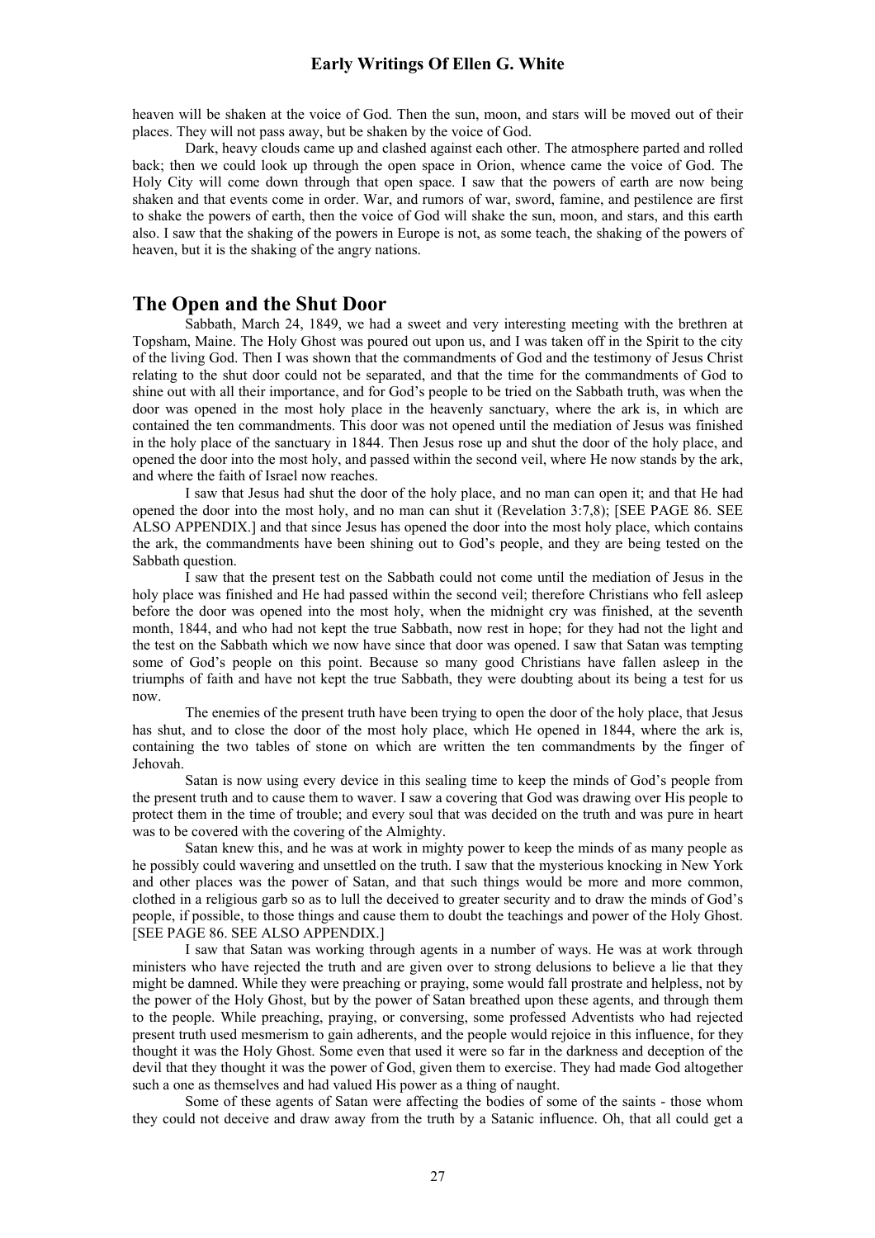heaven will be shaken at the voice of God. Then the sun, moon, and stars will be moved out of their places. They will not pass away, but be shaken by the voice of God.

Dark, heavy clouds came up and clashed against each other. The atmosphere parted and rolled back; then we could look up through the open space in Orion, whence came the voice of God. The Holy City will come down through that open space. I saw that the powers of earth are now being shaken and that events come in order. War, and rumors of war, sword, famine, and pestilence are first to shake the powers of earth, then the voice of God will shake the sun, moon, and stars, and this earth also. I saw that the shaking of the powers in Europe is not, as some teach, the shaking of the powers of heaven, but it is the shaking of the angry nations.

## **The Open and the Shut Door**

Sabbath, March 24, 1849, we had a sweet and very interesting meeting with the brethren at Topsham, Maine. The Holy Ghost was poured out upon us, and I was taken off in the Spirit to the city of the living God. Then I was shown that the commandments of God and the testimony of Jesus Christ relating to the shut door could not be separated, and that the time for the commandments of God to shine out with all their importance, and for God's people to be tried on the Sabbath truth, was when the door was opened in the most holy place in the heavenly sanctuary, where the ark is, in which are contained the ten commandments. This door was not opened until the mediation of Jesus was finished in the holy place of the sanctuary in 1844. Then Jesus rose up and shut the door of the holy place, and opened the door into the most holy, and passed within the second veil, where He now stands by the ark, and where the faith of Israel now reaches.

I saw that Jesus had shut the door of the holy place, and no man can open it; and that He had opened the door into the most holy, and no man can shut it (Revelation 3:7,8); [SEE PAGE 86. SEE ALSO APPENDIX.] and that since Jesus has opened the door into the most holy place, which contains the ark, the commandments have been shining out to God's people, and they are being tested on the Sabbath question.

I saw that the present test on the Sabbath could not come until the mediation of Jesus in the holy place was finished and He had passed within the second veil; therefore Christians who fell asleep before the door was opened into the most holy, when the midnight cry was finished, at the seventh month, 1844, and who had not kept the true Sabbath, now rest in hope; for they had not the light and the test on the Sabbath which we now have since that door was opened. I saw that Satan was tempting some of God's people on this point. Because so many good Christians have fallen asleep in the triumphs of faith and have not kept the true Sabbath, they were doubting about its being a test for us now.

The enemies of the present truth have been trying to open the door of the holy place, that Jesus has shut, and to close the door of the most holy place, which He opened in 1844, where the ark is, containing the two tables of stone on which are written the ten commandments by the finger of Jehovah.

Satan is now using every device in this sealing time to keep the minds of God's people from the present truth and to cause them to waver. I saw a covering that God was drawing over His people to protect them in the time of trouble; and every soul that was decided on the truth and was pure in heart was to be covered with the covering of the Almighty.

Satan knew this, and he was at work in mighty power to keep the minds of as many people as he possibly could wavering and unsettled on the truth. I saw that the mysterious knocking in New York and other places was the power of Satan, and that such things would be more and more common, clothed in a religious garb so as to lull the deceived to greater security and to draw the minds of God's people, if possible, to those things and cause them to doubt the teachings and power of the Holy Ghost. [SEE PAGE 86. SEE ALSO APPENDIX.]

I saw that Satan was working through agents in a number of ways. He was at work through ministers who have rejected the truth and are given over to strong delusions to believe a lie that they might be damned. While they were preaching or praying, some would fall prostrate and helpless, not by the power of the Holy Ghost, but by the power of Satan breathed upon these agents, and through them to the people. While preaching, praying, or conversing, some professed Adventists who had rejected present truth used mesmerism to gain adherents, and the people would rejoice in this influence, for they thought it was the Holy Ghost. Some even that used it were so far in the darkness and deception of the devil that they thought it was the power of God, given them to exercise. They had made God altogether such a one as themselves and had valued His power as a thing of naught.

Some of these agents of Satan were affecting the bodies of some of the saints - those whom they could not deceive and draw away from the truth by a Satanic influence. Oh, that all could get a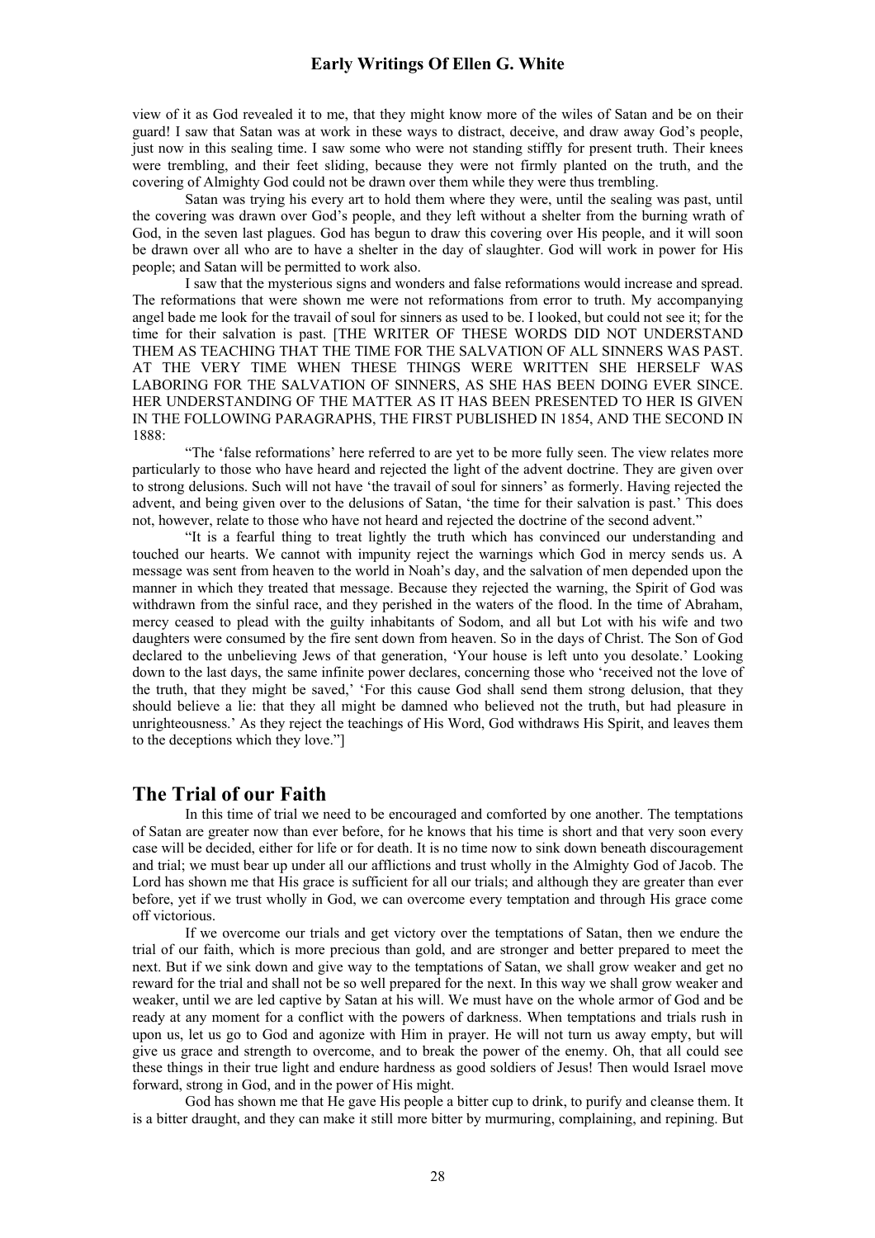view of it as God revealed it to me, that they might know more of the wiles of Satan and be on their guard! I saw that Satan was at work in these ways to distract, deceive, and draw away God's people, just now in this sealing time. I saw some who were not standing stiffly for present truth. Their knees were trembling, and their feet sliding, because they were not firmly planted on the truth, and the covering of Almighty God could not be drawn over them while they were thus trembling.

Satan was trying his every art to hold them where they were, until the sealing was past, until the covering was drawn over God's people, and they left without a shelter from the burning wrath of God, in the seven last plagues. God has begun to draw this covering over His people, and it will soon be drawn over all who are to have a shelter in the day of slaughter. God will work in power for His people; and Satan will be permitted to work also.

I saw that the mysterious signs and wonders and false reformations would increase and spread. The reformations that were shown me were not reformations from error to truth. My accompanying angel bade me look for the travail of soul for sinners as used to be. I looked, but could not see it; for the time for their salvation is past. [THE WRITER OF THESE WORDS DID NOT UNDERSTAND THEM AS TEACHING THAT THE TIME FOR THE SALVATION OF ALL SINNERS WAS PAST. AT THE VERY TIME WHEN THESE THINGS WERE WRITTEN SHE HERSELF WAS LABORING FOR THE SALVATION OF SINNERS, AS SHE HAS BEEN DOING EVER SINCE. HER UNDERSTANDING OF THE MATTER AS IT HAS BEEN PRESENTED TO HER IS GIVEN IN THE FOLLOWING PARAGRAPHS, THE FIRST PUBLISHED IN 1854, AND THE SECOND IN 1888:

"The 'false reformations' here referred to are yet to be more fully seen. The view relates more particularly to those who have heard and rejected the light of the advent doctrine. They are given over to strong delusions. Such will not have 'the travail of soul for sinners' as formerly. Having rejected the advent, and being given over to the delusions of Satan, 'the time for their salvation is past.' This does not, however, relate to those who have not heard and rejected the doctrine of the second advent."

"It is a fearful thing to treat lightly the truth which has convinced our understanding and touched our hearts. We cannot with impunity reject the warnings which God in mercy sends us. A message was sent from heaven to the world in Noah's day, and the salvation of men depended upon the manner in which they treated that message. Because they rejected the warning, the Spirit of God was withdrawn from the sinful race, and they perished in the waters of the flood. In the time of Abraham, mercy ceased to plead with the guilty inhabitants of Sodom, and all but Lot with his wife and two daughters were consumed by the fire sent down from heaven. So in the days of Christ. The Son of God declared to the unbelieving Jews of that generation, 'Your house is left unto you desolate.' Looking down to the last days, the same infinite power declares, concerning those who 'received not the love of the truth, that they might be saved,' 'For this cause God shall send them strong delusion, that they should believe a lie: that they all might be damned who believed not the truth, but had pleasure in unrighteousness.' As they reject the teachings of His Word, God withdraws His Spirit, and leaves them to the deceptions which they love."]

## **The Trial of our Faith**

In this time of trial we need to be encouraged and comforted by one another. The temptations of Satan are greater now than ever before, for he knows that his time is short and that very soon every case will be decided, either for life or for death. It is no time now to sink down beneath discouragement and trial; we must bear up under all our afflictions and trust wholly in the Almighty God of Jacob. The Lord has shown me that His grace is sufficient for all our trials; and although they are greater than ever before, yet if we trust wholly in God, we can overcome every temptation and through His grace come off victorious.

If we overcome our trials and get victory over the temptations of Satan, then we endure the trial of our faith, which is more precious than gold, and are stronger and better prepared to meet the next. But if we sink down and give way to the temptations of Satan, we shall grow weaker and get no reward for the trial and shall not be so well prepared for the next. In this way we shall grow weaker and weaker, until we are led captive by Satan at his will. We must have on the whole armor of God and be ready at any moment for a conflict with the powers of darkness. When temptations and trials rush in upon us, let us go to God and agonize with Him in prayer. He will not turn us away empty, but will give us grace and strength to overcome, and to break the power of the enemy. Oh, that all could see these things in their true light and endure hardness as good soldiers of Jesus! Then would Israel move forward, strong in God, and in the power of His might.

God has shown me that He gave His people a bitter cup to drink, to purify and cleanse them. It is a bitter draught, and they can make it still more bitter by murmuring, complaining, and repining. But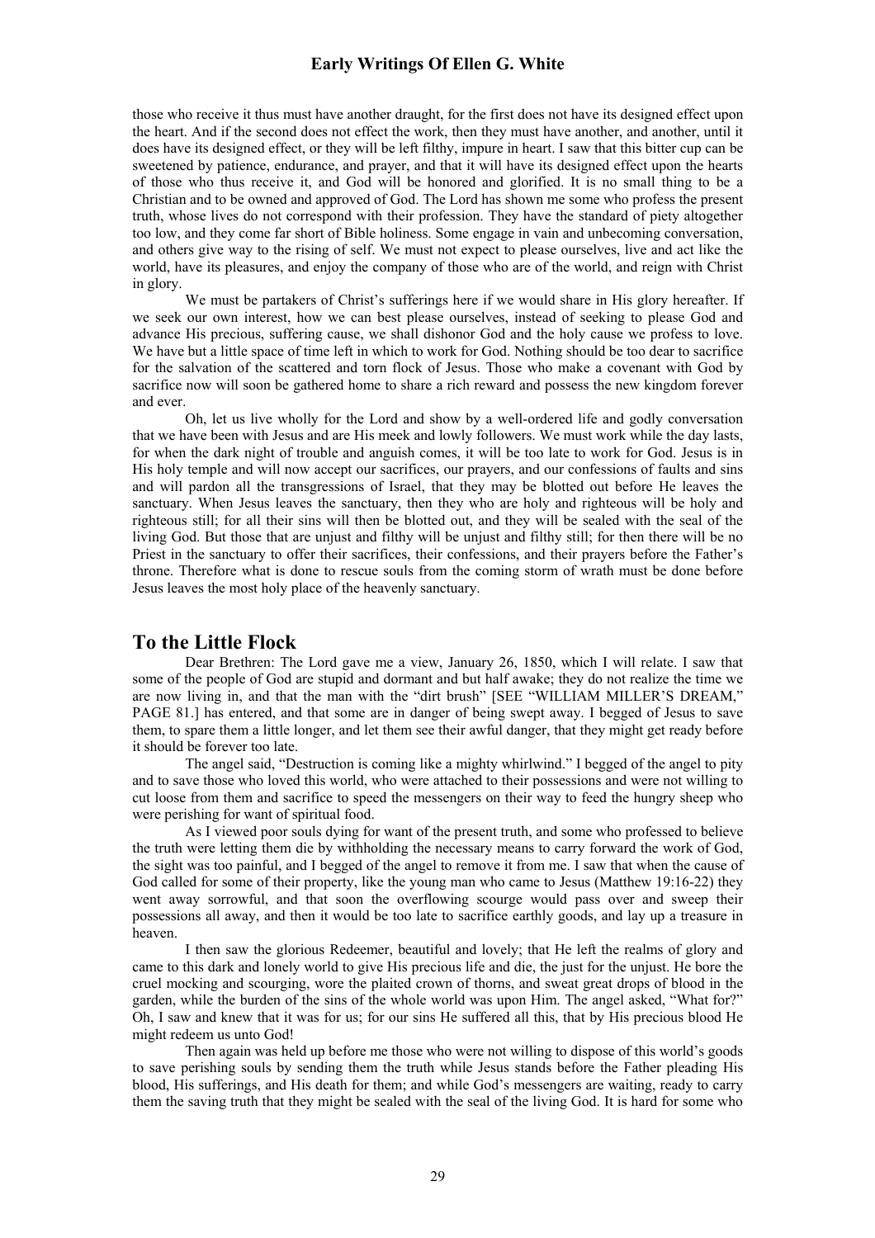those who receive it thus must have another draught, for the first does not have its designed effect upon the heart. And if the second does not effect the work, then they must have another, and another, until it does have its designed effect, or they will be left filthy, impure in heart. I saw that this bitter cup can be sweetened by patience, endurance, and prayer, and that it will have its designed effect upon the hearts of those who thus receive it, and God will be honored and glorified. It is no small thing to be a Christian and to be owned and approved of God. The Lord has shown me some who profess the present truth, whose lives do not correspond with their profession. They have the standard of piety altogether too low, and they come far short of Bible holiness. Some engage in vain and unbecoming conversation, and others give way to the rising of self. We must not expect to please ourselves, live and act like the world, have its pleasures, and enjoy the company of those who are of the world, and reign with Christ in glory.

We must be partakers of Christ's sufferings here if we would share in His glory hereafter. If we seek our own interest, how we can best please ourselves, instead of seeking to please God and advance His precious, suffering cause, we shall dishonor God and the holy cause we profess to love. We have but a little space of time left in which to work for God. Nothing should be too dear to sacrifice for the salvation of the scattered and torn flock of Jesus. Those who make a covenant with God by sacrifice now will soon be gathered home to share a rich reward and possess the new kingdom forever and ever.

Oh, let us live wholly for the Lord and show by a well-ordered life and godly conversation that we have been with Jesus and are His meek and lowly followers. We must work while the day lasts, for when the dark night of trouble and anguish comes, it will be too late to work for God. Jesus is in His holy temple and will now accept our sacrifices, our prayers, and our confessions of faults and sins and will pardon all the transgressions of Israel, that they may be blotted out before He leaves the sanctuary. When Jesus leaves the sanctuary, then they who are holy and righteous will be holy and righteous still; for all their sins will then be blotted out, and they will be sealed with the seal of the living God. But those that are unjust and filthy will be unjust and filthy still; for then there will be no Priest in the sanctuary to offer their sacrifices, their confessions, and their prayers before the Father's throne. Therefore what is done to rescue souls from the coming storm of wrath must be done before Jesus leaves the most holy place of the heavenly sanctuary.

## **To the Little Flock**

Dear Brethren: The Lord gave me a view, January 26, 1850, which I will relate. I saw that some of the people of God are stupid and dormant and but half awake; they do not realize the time we are now living in, and that the man with the "dirt brush" [SEE "WILLIAM MILLER'S DREAM," PAGE 81.] has entered, and that some are in danger of being swept away. I begged of Jesus to save them, to spare them a little longer, and let them see their awful danger, that they might get ready before it should be forever too late.

The angel said, "Destruction is coming like a mighty whirlwind." I begged of the angel to pity and to save those who loved this world, who were attached to their possessions and were not willing to cut loose from them and sacrifice to speed the messengers on their way to feed the hungry sheep who were perishing for want of spiritual food.

As I viewed poor souls dying for want of the present truth, and some who professed to believe the truth were letting them die by withholding the necessary means to carry forward the work of God, the sight was too painful, and I begged of the angel to remove it from me. I saw that when the cause of God called for some of their property, like the young man who came to Jesus (Matthew 19:16-22) they went away sorrowful, and that soon the overflowing scourge would pass over and sweep their possessions all away, and then it would be too late to sacrifice earthly goods, and lay up a treasure in heaven.

I then saw the glorious Redeemer, beautiful and lovely; that He left the realms of glory and came to this dark and lonely world to give His precious life and die, the just for the unjust. He bore the cruel mocking and scourging, wore the plaited crown of thorns, and sweat great drops of blood in the garden, while the burden of the sins of the whole world was upon Him. The angel asked, "What for?" Oh, I saw and knew that it was for us; for our sins He suffered all this, that by His precious blood He might redeem us unto God!

Then again was held up before me those who were not willing to dispose of this world's goods to save perishing souls by sending them the truth while Jesus stands before the Father pleading His blood, His sufferings, and His death for them; and while God's messengers are waiting, ready to carry them the saving truth that they might be sealed with the seal of the living God. It is hard for some who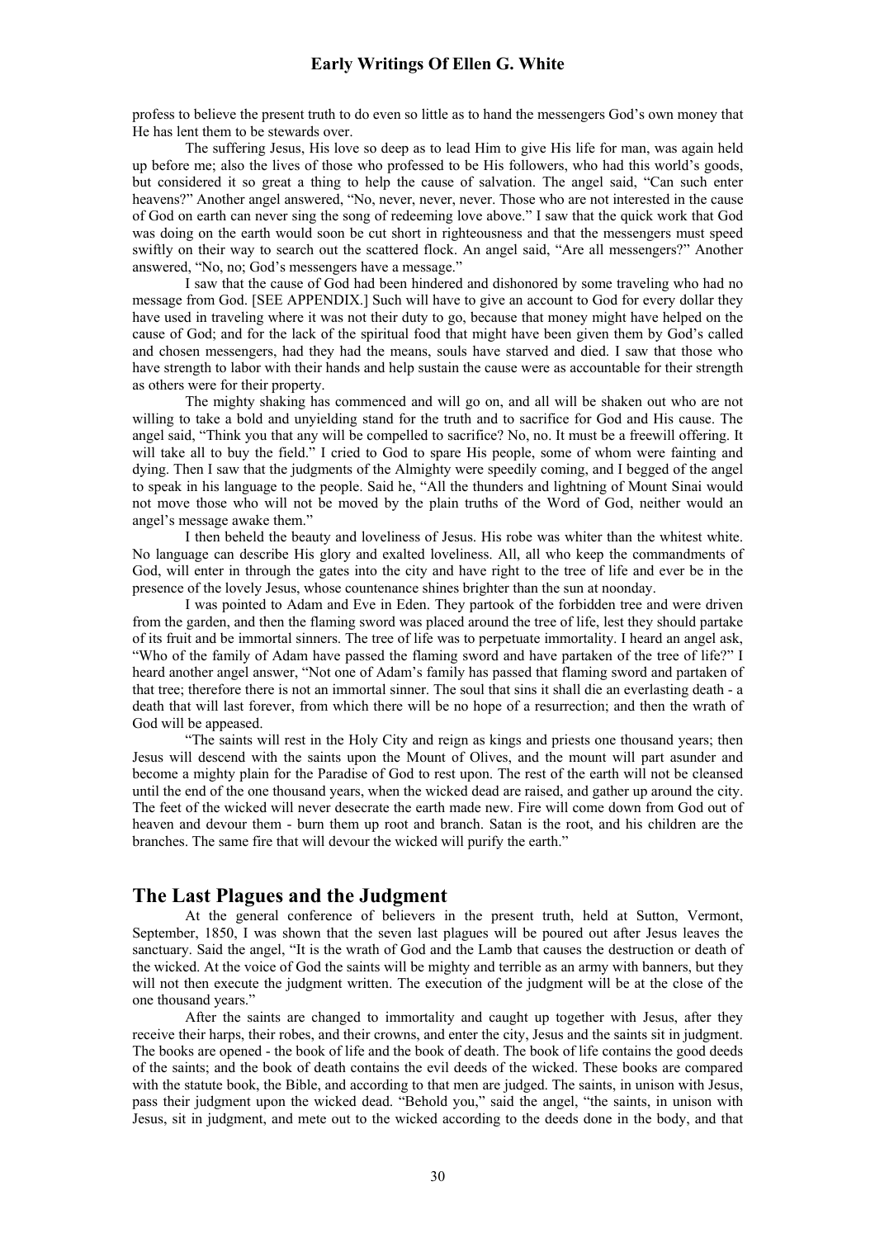profess to believe the present truth to do even so little as to hand the messengers God's own money that He has lent them to be stewards over.

The suffering Jesus, His love so deep as to lead Him to give His life for man, was again held up before me; also the lives of those who professed to be His followers, who had this world's goods, but considered it so great a thing to help the cause of salvation. The angel said, "Can such enter heavens?" Another angel answered, "No, never, never, never. Those who are not interested in the cause of God on earth can never sing the song of redeeming love above." I saw that the quick work that God was doing on the earth would soon be cut short in righteousness and that the messengers must speed swiftly on their way to search out the scattered flock. An angel said, "Are all messengers?" Another answered, "No, no; God's messengers have a message."

I saw that the cause of God had been hindered and dishonored by some traveling who had no message from God. [SEE APPENDIX.] Such will have to give an account to God for every dollar they have used in traveling where it was not their duty to go, because that money might have helped on the cause of God; and for the lack of the spiritual food that might have been given them by God's called and chosen messengers, had they had the means, souls have starved and died. I saw that those who have strength to labor with their hands and help sustain the cause were as accountable for their strength as others were for their property.

The mighty shaking has commenced and will go on, and all will be shaken out who are not willing to take a bold and unyielding stand for the truth and to sacrifice for God and His cause. The angel said, "Think you that any will be compelled to sacrifice? No, no. It must be a freewill offering. It will take all to buy the field." I cried to God to spare His people, some of whom were fainting and dying. Then I saw that the judgments of the Almighty were speedily coming, and I begged of the angel to speak in his language to the people. Said he, "All the thunders and lightning of Mount Sinai would not move those who will not be moved by the plain truths of the Word of God, neither would an angel's message awake them."

I then beheld the beauty and loveliness of Jesus. His robe was whiter than the whitest white. No language can describe His glory and exalted loveliness. All, all who keep the commandments of God, will enter in through the gates into the city and have right to the tree of life and ever be in the presence of the lovely Jesus, whose countenance shines brighter than the sun at noonday.

I was pointed to Adam and Eve in Eden. They partook of the forbidden tree and were driven from the garden, and then the flaming sword was placed around the tree of life, lest they should partake of its fruit and be immortal sinners. The tree of life was to perpetuate immortality. I heard an angel ask, "Who of the family of Adam have passed the flaming sword and have partaken of the tree of life?" I heard another angel answer, "Not one of Adam's family has passed that flaming sword and partaken of that tree; therefore there is not an immortal sinner. The soul that sins it shall die an everlasting death - a death that will last forever, from which there will be no hope of a resurrection; and then the wrath of God will be appeased.

"The saints will rest in the Holy City and reign as kings and priests one thousand years; then Jesus will descend with the saints upon the Mount of Olives, and the mount will part asunder and become a mighty plain for the Paradise of God to rest upon. The rest of the earth will not be cleansed until the end of the one thousand years, when the wicked dead are raised, and gather up around the city. The feet of the wicked will never desecrate the earth made new. Fire will come down from God out of heaven and devour them - burn them up root and branch. Satan is the root, and his children are the branches. The same fire that will devour the wicked will purify the earth."

## **The Last Plagues and the Judgment**

At the general conference of believers in the present truth, held at Sutton, Vermont, September, 1850, I was shown that the seven last plagues will be poured out after Jesus leaves the sanctuary. Said the angel, "It is the wrath of God and the Lamb that causes the destruction or death of the wicked. At the voice of God the saints will be mighty and terrible as an army with banners, but they will not then execute the judgment written. The execution of the judgment will be at the close of the one thousand years."

After the saints are changed to immortality and caught up together with Jesus, after they receive their harps, their robes, and their crowns, and enter the city, Jesus and the saints sit in judgment. The books are opened - the book of life and the book of death. The book of life contains the good deeds of the saints; and the book of death contains the evil deeds of the wicked. These books are compared with the statute book, the Bible, and according to that men are judged. The saints, in unison with Jesus, pass their judgment upon the wicked dead. "Behold you," said the angel, "the saints, in unison with Jesus, sit in judgment, and mete out to the wicked according to the deeds done in the body, and that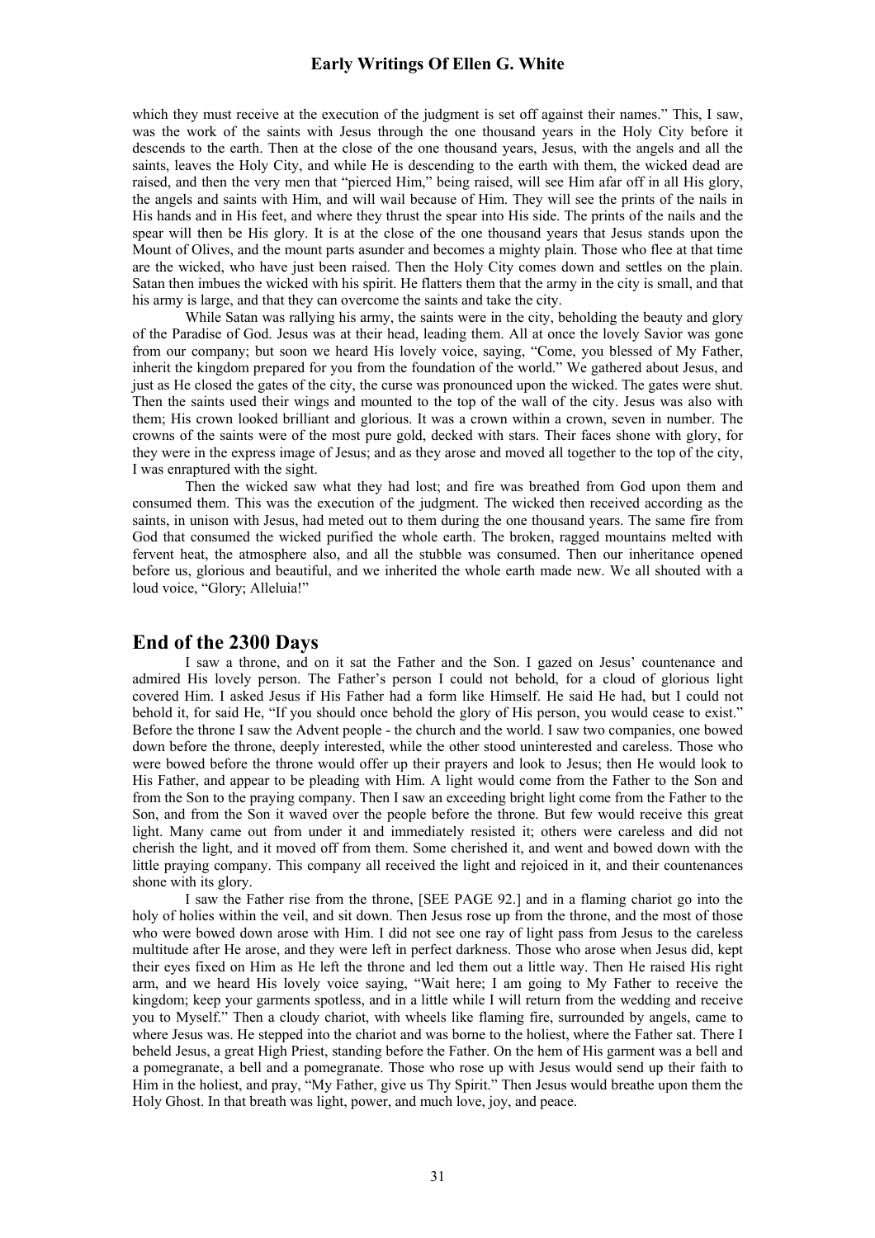which they must receive at the execution of the judgment is set off against their names." This, I saw, was the work of the saints with Jesus through the one thousand years in the Holy City before it descends to the earth. Then at the close of the one thousand years, Jesus, with the angels and all the saints, leaves the Holy City, and while He is descending to the earth with them, the wicked dead are raised, and then the very men that "pierced Him," being raised, will see Him afar off in all His glory, the angels and saints with Him, and will wail because of Him. They will see the prints of the nails in His hands and in His feet, and where they thrust the spear into His side. The prints of the nails and the spear will then be His glory. It is at the close of the one thousand years that Jesus stands upon the Mount of Olives, and the mount parts asunder and becomes a mighty plain. Those who flee at that time are the wicked, who have just been raised. Then the Holy City comes down and settles on the plain. Satan then imbues the wicked with his spirit. He flatters them that the army in the city is small, and that his army is large, and that they can overcome the saints and take the city.

While Satan was rallying his army, the saints were in the city, beholding the beauty and glory of the Paradise of God. Jesus was at their head, leading them. All at once the lovely Savior was gone from our company; but soon we heard His lovely voice, saying, "Come, you blessed of My Father, inherit the kingdom prepared for you from the foundation of the world." We gathered about Jesus, and just as He closed the gates of the city, the curse was pronounced upon the wicked. The gates were shut. Then the saints used their wings and mounted to the top of the wall of the city. Jesus was also with them; His crown looked brilliant and glorious. It was a crown within a crown, seven in number. The crowns of the saints were of the most pure gold, decked with stars. Their faces shone with glory, for they were in the express image of Jesus; and as they arose and moved all together to the top of the city, I was enraptured with the sight.

Then the wicked saw what they had lost; and fire was breathed from God upon them and consumed them. This was the execution of the judgment. The wicked then received according as the saints, in unison with Jesus, had meted out to them during the one thousand years. The same fire from God that consumed the wicked purified the whole earth. The broken, ragged mountains melted with fervent heat, the atmosphere also, and all the stubble was consumed. Then our inheritance opened before us, glorious and beautiful, and we inherited the whole earth made new. We all shouted with a loud voice, "Glory; Alleluia!"

## **End of the 2300 Days**

I saw a throne, and on it sat the Father and the Son. I gazed on Jesus' countenance and admired His lovely person. The Father's person I could not behold, for a cloud of glorious light covered Him. I asked Jesus if His Father had a form like Himself. He said He had, but I could not behold it, for said He, "If you should once behold the glory of His person, you would cease to exist." Before the throne I saw the Advent people - the church and the world. I saw two companies, one bowed down before the throne, deeply interested, while the other stood uninterested and careless. Those who were bowed before the throne would offer up their prayers and look to Jesus; then He would look to His Father, and appear to be pleading with Him. A light would come from the Father to the Son and from the Son to the praying company. Then I saw an exceeding bright light come from the Father to the Son, and from the Son it waved over the people before the throne. But few would receive this great light. Many came out from under it and immediately resisted it; others were careless and did not cherish the light, and it moved off from them. Some cherished it, and went and bowed down with the little praying company. This company all received the light and rejoiced in it, and their countenances shone with its glory.

I saw the Father rise from the throne, [SEE PAGE 92.] and in a flaming chariot go into the holy of holies within the veil, and sit down. Then Jesus rose up from the throne, and the most of those who were bowed down arose with Him. I did not see one ray of light pass from Jesus to the careless multitude after He arose, and they were left in perfect darkness. Those who arose when Jesus did, kept their eyes fixed on Him as He left the throne and led them out a little way. Then He raised His right arm, and we heard His lovely voice saying, "Wait here; I am going to My Father to receive the kingdom; keep your garments spotless, and in a little while I will return from the wedding and receive you to Myself." Then a cloudy chariot, with wheels like flaming fire, surrounded by angels, came to where Jesus was. He stepped into the chariot and was borne to the holiest, where the Father sat. There I beheld Jesus, a great High Priest, standing before the Father. On the hem of His garment was a bell and a pomegranate, a bell and a pomegranate. Those who rose up with Jesus would send up their faith to Him in the holiest, and pray, "My Father, give us Thy Spirit." Then Jesus would breathe upon them the Holy Ghost. In that breath was light, power, and much love, joy, and peace.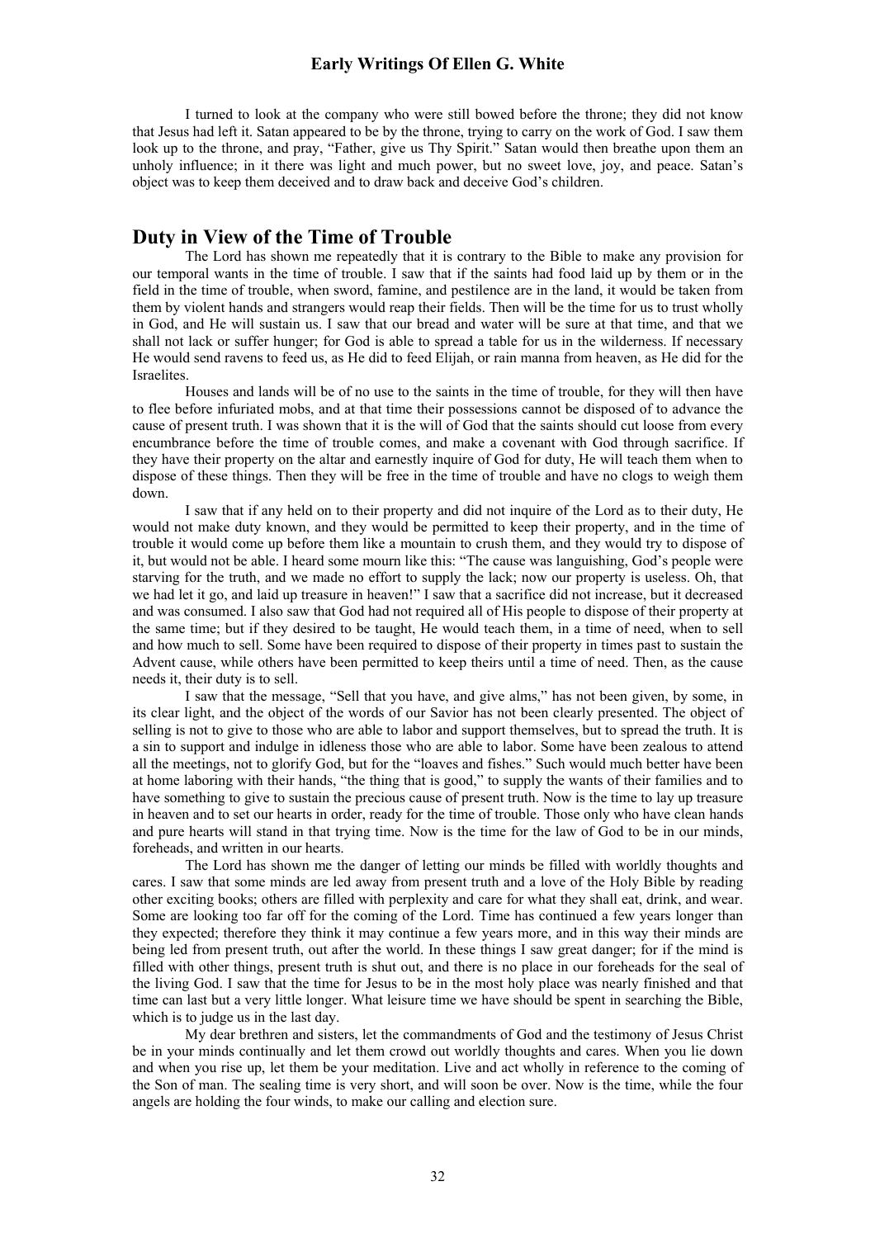I turned to look at the company who were still bowed before the throne; they did not know that Jesus had left it. Satan appeared to be by the throne, trying to carry on the work of God. I saw them look up to the throne, and pray, "Father, give us Thy Spirit." Satan would then breathe upon them an unholy influence; in it there was light and much power, but no sweet love, joy, and peace. Satan's object was to keep them deceived and to draw back and deceive God's children.

## **Duty in View of the Time of Trouble**

The Lord has shown me repeatedly that it is contrary to the Bible to make any provision for our temporal wants in the time of trouble. I saw that if the saints had food laid up by them or in the field in the time of trouble, when sword, famine, and pestilence are in the land, it would be taken from them by violent hands and strangers would reap their fields. Then will be the time for us to trust wholly in God, and He will sustain us. I saw that our bread and water will be sure at that time, and that we shall not lack or suffer hunger; for God is able to spread a table for us in the wilderness. If necessary He would send ravens to feed us, as He did to feed Elijah, or rain manna from heaven, as He did for the Israelites.

Houses and lands will be of no use to the saints in the time of trouble, for they will then have to flee before infuriated mobs, and at that time their possessions cannot be disposed of to advance the cause of present truth. I was shown that it is the will of God that the saints should cut loose from every encumbrance before the time of trouble comes, and make a covenant with God through sacrifice. If they have their property on the altar and earnestly inquire of God for duty, He will teach them when to dispose of these things. Then they will be free in the time of trouble and have no clogs to weigh them down.

I saw that if any held on to their property and did not inquire of the Lord as to their duty, He would not make duty known, and they would be permitted to keep their property, and in the time of trouble it would come up before them like a mountain to crush them, and they would try to dispose of it, but would not be able. I heard some mourn like this: "The cause was languishing, God's people were starving for the truth, and we made no effort to supply the lack; now our property is useless. Oh, that we had let it go, and laid up treasure in heaven!" I saw that a sacrifice did not increase, but it decreased and was consumed. I also saw that God had not required all of His people to dispose of their property at the same time; but if they desired to be taught, He would teach them, in a time of need, when to sell and how much to sell. Some have been required to dispose of their property in times past to sustain the Advent cause, while others have been permitted to keep theirs until a time of need. Then, as the cause needs it, their duty is to sell.

I saw that the message, "Sell that you have, and give alms," has not been given, by some, in its clear light, and the object of the words of our Savior has not been clearly presented. The object of selling is not to give to those who are able to labor and support themselves, but to spread the truth. It is a sin to support and indulge in idleness those who are able to labor. Some have been zealous to attend all the meetings, not to glorify God, but for the "loaves and fishes." Such would much better have been at home laboring with their hands, "the thing that is good," to supply the wants of their families and to have something to give to sustain the precious cause of present truth. Now is the time to lay up treasure in heaven and to set our hearts in order, ready for the time of trouble. Those only who have clean hands and pure hearts will stand in that trying time. Now is the time for the law of God to be in our minds, foreheads, and written in our hearts.

The Lord has shown me the danger of letting our minds be filled with worldly thoughts and cares. I saw that some minds are led away from present truth and a love of the Holy Bible by reading other exciting books; others are filled with perplexity and care for what they shall eat, drink, and wear. Some are looking too far off for the coming of the Lord. Time has continued a few years longer than they expected; therefore they think it may continue a few years more, and in this way their minds are being led from present truth, out after the world. In these things I saw great danger; for if the mind is filled with other things, present truth is shut out, and there is no place in our foreheads for the seal of the living God. I saw that the time for Jesus to be in the most holy place was nearly finished and that time can last but a very little longer. What leisure time we have should be spent in searching the Bible, which is to judge us in the last day.

My dear brethren and sisters, let the commandments of God and the testimony of Jesus Christ be in your minds continually and let them crowd out worldly thoughts and cares. When you lie down and when you rise up, let them be your meditation. Live and act wholly in reference to the coming of the Son of man. The sealing time is very short, and will soon be over. Now is the time, while the four angels are holding the four winds, to make our calling and election sure.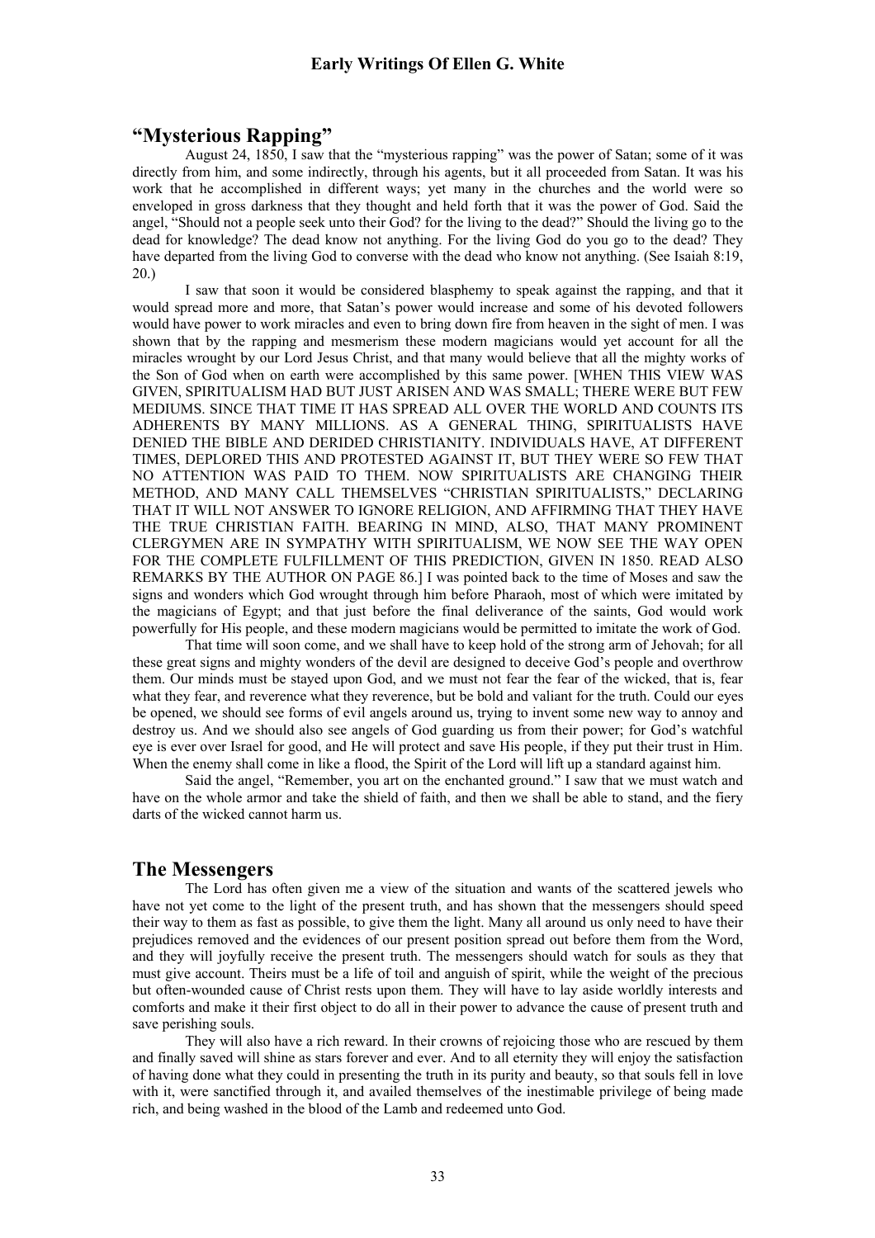## **"Mysterious Rapping"**

August 24, 1850, I saw that the "mysterious rapping" was the power of Satan; some of it was directly from him, and some indirectly, through his agents, but it all proceeded from Satan. It was his work that he accomplished in different ways; yet many in the churches and the world were so enveloped in gross darkness that they thought and held forth that it was the power of God. Said the angel, "Should not a people seek unto their God? for the living to the dead?" Should the living go to the dead for knowledge? The dead know not anything. For the living God do you go to the dead? They have departed from the living God to converse with the dead who know not anything. (See Isaiah 8:19, 20.)

I saw that soon it would be considered blasphemy to speak against the rapping, and that it would spread more and more, that Satan's power would increase and some of his devoted followers would have power to work miracles and even to bring down fire from heaven in the sight of men. I was shown that by the rapping and mesmerism these modern magicians would yet account for all the miracles wrought by our Lord Jesus Christ, and that many would believe that all the mighty works of the Son of God when on earth were accomplished by this same power. [WHEN THIS VIEW WAS GIVEN, SPIRITUALISM HAD BUT JUST ARISEN AND WAS SMALL; THERE WERE BUT FEW MEDIUMS. SINCE THAT TIME IT HAS SPREAD ALL OVER THE WORLD AND COUNTS ITS ADHERENTS BY MANY MILLIONS. AS A GENERAL THING, SPIRITUALISTS HAVE DENIED THE BIBLE AND DERIDED CHRISTIANITY. INDIVIDUALS HAVE, AT DIFFERENT TIMES, DEPLORED THIS AND PROTESTED AGAINST IT, BUT THEY WERE SO FEW THAT NO ATTENTION WAS PAID TO THEM. NOW SPIRITUALISTS ARE CHANGING THEIR METHOD, AND MANY CALL THEMSELVES "CHRISTIAN SPIRITUALISTS," DECLARING THAT IT WILL NOT ANSWER TO IGNORE RELIGION, AND AFFIRMING THAT THEY HAVE THE TRUE CHRISTIAN FAITH. BEARING IN MIND, ALSO, THAT MANY PROMINENT CLERGYMEN ARE IN SYMPATHY WITH SPIRITUALISM, WE NOW SEE THE WAY OPEN FOR THE COMPLETE FULFILLMENT OF THIS PREDICTION, GIVEN IN 1850. READ ALSO REMARKS BY THE AUTHOR ON PAGE 86.] I was pointed back to the time of Moses and saw the signs and wonders which God wrought through him before Pharaoh, most of which were imitated by the magicians of Egypt; and that just before the final deliverance of the saints, God would work powerfully for His people, and these modern magicians would be permitted to imitate the work of God.

That time will soon come, and we shall have to keep hold of the strong arm of Jehovah; for all these great signs and mighty wonders of the devil are designed to deceive God's people and overthrow them. Our minds must be stayed upon God, and we must not fear the fear of the wicked, that is, fear what they fear, and reverence what they reverence, but be bold and valiant for the truth. Could our eyes be opened, we should see forms of evil angels around us, trying to invent some new way to annoy and destroy us. And we should also see angels of God guarding us from their power; for God's watchful eye is ever over Israel for good, and He will protect and save His people, if they put their trust in Him. When the enemy shall come in like a flood, the Spirit of the Lord will lift up a standard against him.

Said the angel, "Remember, you art on the enchanted ground." I saw that we must watch and have on the whole armor and take the shield of faith, and then we shall be able to stand, and the fiery darts of the wicked cannot harm us.

# **The Messengers**

The Lord has often given me a view of the situation and wants of the scattered jewels who have not yet come to the light of the present truth, and has shown that the messengers should speed their way to them as fast as possible, to give them the light. Many all around us only need to have their prejudices removed and the evidences of our present position spread out before them from the Word, and they will joyfully receive the present truth. The messengers should watch for souls as they that must give account. Theirs must be a life of toil and anguish of spirit, while the weight of the precious but often-wounded cause of Christ rests upon them. They will have to lay aside worldly interests and comforts and make it their first object to do all in their power to advance the cause of present truth and save perishing souls.

They will also have a rich reward. In their crowns of rejoicing those who are rescued by them and finally saved will shine as stars forever and ever. And to all eternity they will enjoy the satisfaction of having done what they could in presenting the truth in its purity and beauty, so that souls fell in love with it, were sanctified through it, and availed themselves of the inestimable privilege of being made rich, and being washed in the blood of the Lamb and redeemed unto God.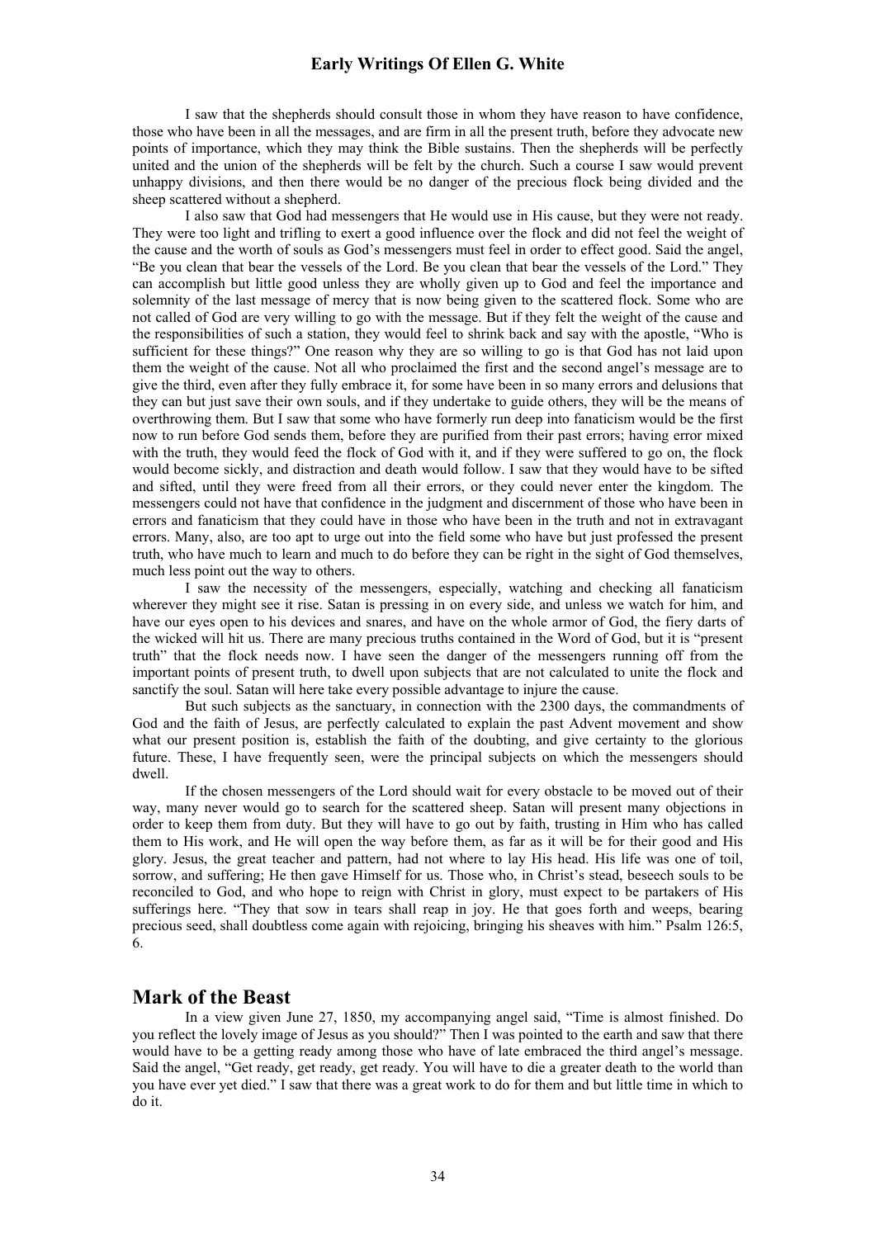I saw that the shepherds should consult those in whom they have reason to have confidence, those who have been in all the messages, and are firm in all the present truth, before they advocate new points of importance, which they may think the Bible sustains. Then the shepherds will be perfectly united and the union of the shepherds will be felt by the church. Such a course I saw would prevent unhappy divisions, and then there would be no danger of the precious flock being divided and the sheep scattered without a shepherd.

I also saw that God had messengers that He would use in His cause, but they were not ready. They were too light and trifling to exert a good influence over the flock and did not feel the weight of the cause and the worth of souls as God's messengers must feel in order to effect good. Said the angel, "Be you clean that bear the vessels of the Lord. Be you clean that bear the vessels of the Lord." They can accomplish but little good unless they are wholly given up to God and feel the importance and solemnity of the last message of mercy that is now being given to the scattered flock. Some who are not called of God are very willing to go with the message. But if they felt the weight of the cause and the responsibilities of such a station, they would feel to shrink back and say with the apostle, "Who is sufficient for these things?" One reason why they are so willing to go is that God has not laid upon them the weight of the cause. Not all who proclaimed the first and the second angel's message are to give the third, even after they fully embrace it, for some have been in so many errors and delusions that they can but just save their own souls, and if they undertake to guide others, they will be the means of overthrowing them. But I saw that some who have formerly run deep into fanaticism would be the first now to run before God sends them, before they are purified from their past errors; having error mixed with the truth, they would feed the flock of God with it, and if they were suffered to go on, the flock would become sickly, and distraction and death would follow. I saw that they would have to be sifted and sifted, until they were freed from all their errors, or they could never enter the kingdom. The messengers could not have that confidence in the judgment and discernment of those who have been in errors and fanaticism that they could have in those who have been in the truth and not in extravagant errors. Many, also, are too apt to urge out into the field some who have but just professed the present truth, who have much to learn and much to do before they can be right in the sight of God themselves, much less point out the way to others.

I saw the necessity of the messengers, especially, watching and checking all fanaticism wherever they might see it rise. Satan is pressing in on every side, and unless we watch for him, and have our eyes open to his devices and snares, and have on the whole armor of God, the fiery darts of the wicked will hit us. There are many precious truths contained in the Word of God, but it is "present truth" that the flock needs now. I have seen the danger of the messengers running off from the important points of present truth, to dwell upon subjects that are not calculated to unite the flock and sanctify the soul. Satan will here take every possible advantage to injure the cause.

But such subjects as the sanctuary, in connection with the 2300 days, the commandments of God and the faith of Jesus, are perfectly calculated to explain the past Advent movement and show what our present position is, establish the faith of the doubting, and give certainty to the glorious future. These, I have frequently seen, were the principal subjects on which the messengers should dwell.

If the chosen messengers of the Lord should wait for every obstacle to be moved out of their way, many never would go to search for the scattered sheep. Satan will present many objections in order to keep them from duty. But they will have to go out by faith, trusting in Him who has called them to His work, and He will open the way before them, as far as it will be for their good and His glory. Jesus, the great teacher and pattern, had not where to lay His head. His life was one of toil, sorrow, and suffering; He then gave Himself for us. Those who, in Christ's stead, beseech souls to be reconciled to God, and who hope to reign with Christ in glory, must expect to be partakers of His sufferings here. "They that sow in tears shall reap in joy. He that goes forth and weeps, bearing precious seed, shall doubtless come again with rejoicing, bringing his sheaves with him." Psalm 126:5, 6.

## **Mark of the Beast**

In a view given June 27, 1850, my accompanying angel said, "Time is almost finished. Do you reflect the lovely image of Jesus as you should?" Then I was pointed to the earth and saw that there would have to be a getting ready among those who have of late embraced the third angel's message. Said the angel, "Get ready, get ready, get ready. You will have to die a greater death to the world than you have ever yet died." I saw that there was a great work to do for them and but little time in which to do it.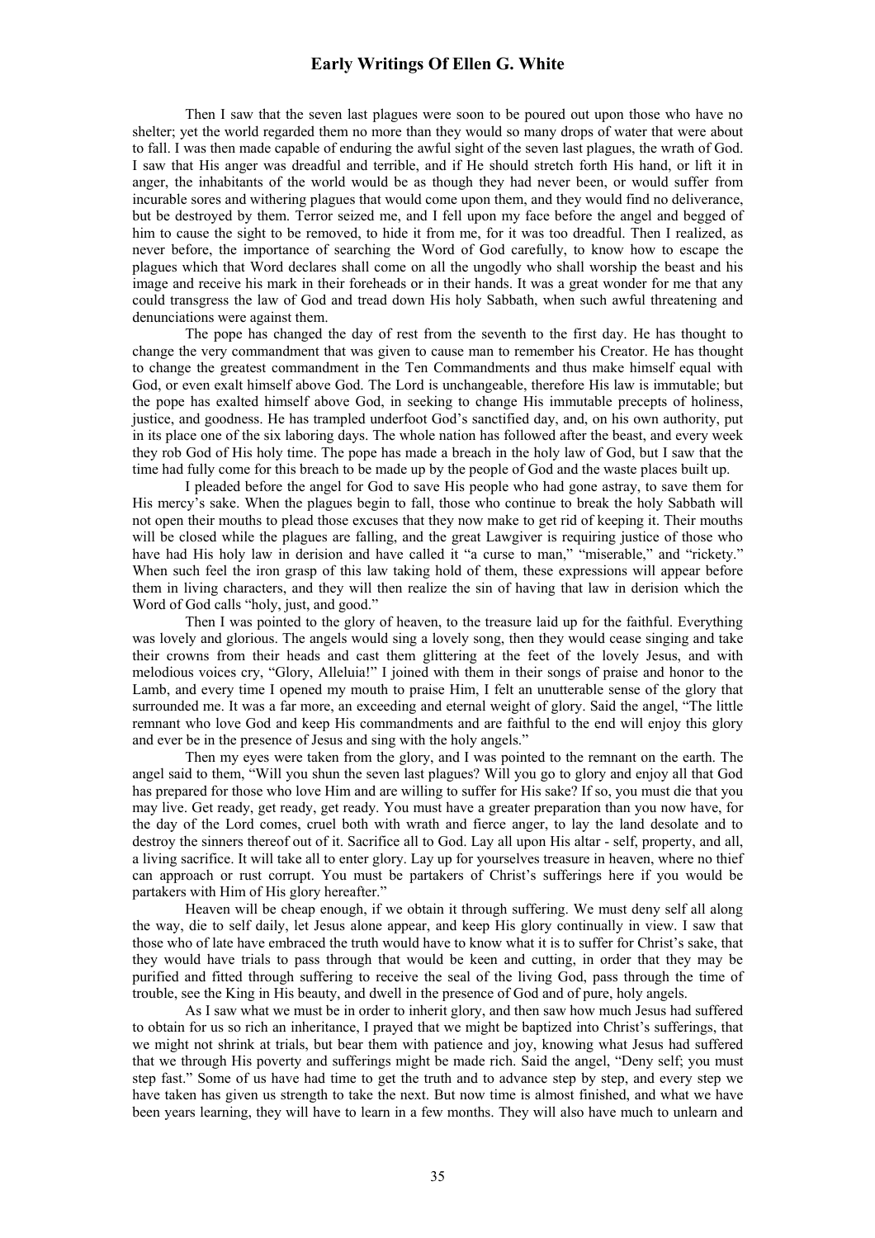Then I saw that the seven last plagues were soon to be poured out upon those who have no shelter; yet the world regarded them no more than they would so many drops of water that were about to fall. I was then made capable of enduring the awful sight of the seven last plagues, the wrath of God. I saw that His anger was dreadful and terrible, and if He should stretch forth His hand, or lift it in anger, the inhabitants of the world would be as though they had never been, or would suffer from incurable sores and withering plagues that would come upon them, and they would find no deliverance, but be destroyed by them. Terror seized me, and I fell upon my face before the angel and begged of him to cause the sight to be removed, to hide it from me, for it was too dreadful. Then I realized, as never before, the importance of searching the Word of God carefully, to know how to escape the plagues which that Word declares shall come on all the ungodly who shall worship the beast and his image and receive his mark in their foreheads or in their hands. It was a great wonder for me that any could transgress the law of God and tread down His holy Sabbath, when such awful threatening and denunciations were against them.

The pope has changed the day of rest from the seventh to the first day. He has thought to change the very commandment that was given to cause man to remember his Creator. He has thought to change the greatest commandment in the Ten Commandments and thus make himself equal with God, or even exalt himself above God. The Lord is unchangeable, therefore His law is immutable; but the pope has exalted himself above God, in seeking to change His immutable precepts of holiness, justice, and goodness. He has trampled underfoot God's sanctified day, and, on his own authority, put in its place one of the six laboring days. The whole nation has followed after the beast, and every week they rob God of His holy time. The pope has made a breach in the holy law of God, but I saw that the time had fully come for this breach to be made up by the people of God and the waste places built up.

I pleaded before the angel for God to save His people who had gone astray, to save them for His mercy's sake. When the plagues begin to fall, those who continue to break the holy Sabbath will not open their mouths to plead those excuses that they now make to get rid of keeping it. Their mouths will be closed while the plagues are falling, and the great Lawgiver is requiring justice of those who have had His holy law in derision and have called it "a curse to man," "miserable," and "rickety." When such feel the iron grasp of this law taking hold of them, these expressions will appear before them in living characters, and they will then realize the sin of having that law in derision which the Word of God calls "holy, just, and good."

Then I was pointed to the glory of heaven, to the treasure laid up for the faithful. Everything was lovely and glorious. The angels would sing a lovely song, then they would cease singing and take their crowns from their heads and cast them glittering at the feet of the lovely Jesus, and with melodious voices cry, "Glory, Alleluia!" I joined with them in their songs of praise and honor to the Lamb, and every time I opened my mouth to praise Him, I felt an unutterable sense of the glory that surrounded me. It was a far more, an exceeding and eternal weight of glory. Said the angel, "The little remnant who love God and keep His commandments and are faithful to the end will enjoy this glory and ever be in the presence of Jesus and sing with the holy angels."

Then my eyes were taken from the glory, and I was pointed to the remnant on the earth. The angel said to them, "Will you shun the seven last plagues? Will you go to glory and enjoy all that God has prepared for those who love Him and are willing to suffer for His sake? If so, you must die that you may live. Get ready, get ready, get ready. You must have a greater preparation than you now have, for the day of the Lord comes, cruel both with wrath and fierce anger, to lay the land desolate and to destroy the sinners thereof out of it. Sacrifice all to God. Lay all upon His altar - self, property, and all, a living sacrifice. It will take all to enter glory. Lay up for yourselves treasure in heaven, where no thief can approach or rust corrupt. You must be partakers of Christ's sufferings here if you would be partakers with Him of His glory hereafter."

Heaven will be cheap enough, if we obtain it through suffering. We must deny self all along the way, die to self daily, let Jesus alone appear, and keep His glory continually in view. I saw that those who of late have embraced the truth would have to know what it is to suffer for Christ's sake, that they would have trials to pass through that would be keen and cutting, in order that they may be purified and fitted through suffering to receive the seal of the living God, pass through the time of trouble, see the King in His beauty, and dwell in the presence of God and of pure, holy angels.

As I saw what we must be in order to inherit glory, and then saw how much Jesus had suffered to obtain for us so rich an inheritance, I prayed that we might be baptized into Christ's sufferings, that we might not shrink at trials, but bear them with patience and joy, knowing what Jesus had suffered that we through His poverty and sufferings might be made rich. Said the angel, "Deny self; you must step fast." Some of us have had time to get the truth and to advance step by step, and every step we have taken has given us strength to take the next. But now time is almost finished, and what we have been years learning, they will have to learn in a few months. They will also have much to unlearn and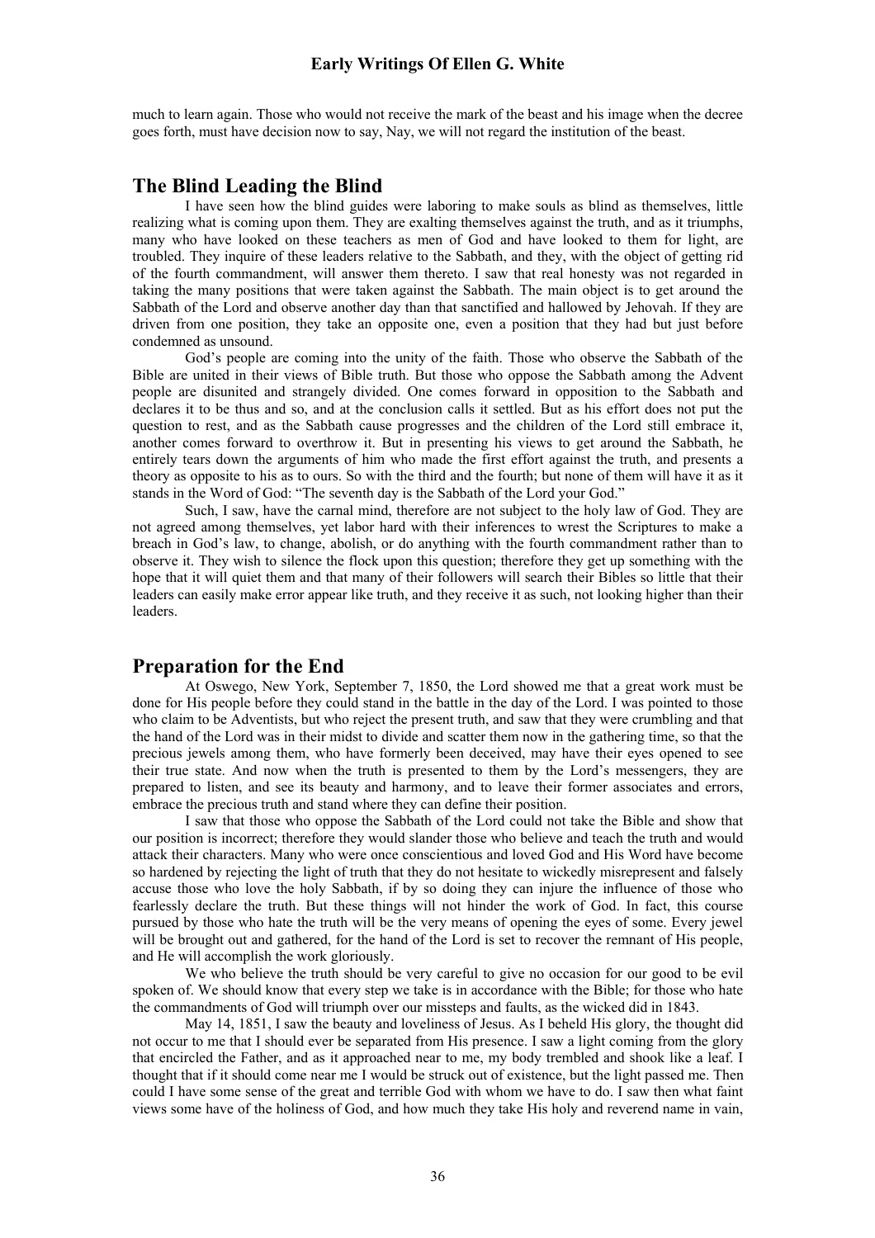much to learn again. Those who would not receive the mark of the beast and his image when the decree goes forth, must have decision now to say, Nay, we will not regard the institution of the beast.

## **The Blind Leading the Blind**

I have seen how the blind guides were laboring to make souls as blind as themselves, little realizing what is coming upon them. They are exalting themselves against the truth, and as it triumphs, many who have looked on these teachers as men of God and have looked to them for light, are troubled. They inquire of these leaders relative to the Sabbath, and they, with the object of getting rid of the fourth commandment, will answer them thereto. I saw that real honesty was not regarded in taking the many positions that were taken against the Sabbath. The main object is to get around the Sabbath of the Lord and observe another day than that sanctified and hallowed by Jehovah. If they are driven from one position, they take an opposite one, even a position that they had but just before condemned as unsound.

God's people are coming into the unity of the faith. Those who observe the Sabbath of the Bible are united in their views of Bible truth. But those who oppose the Sabbath among the Advent people are disunited and strangely divided. One comes forward in opposition to the Sabbath and declares it to be thus and so, and at the conclusion calls it settled. But as his effort does not put the question to rest, and as the Sabbath cause progresses and the children of the Lord still embrace it, another comes forward to overthrow it. But in presenting his views to get around the Sabbath, he entirely tears down the arguments of him who made the first effort against the truth, and presents a theory as opposite to his as to ours. So with the third and the fourth; but none of them will have it as it stands in the Word of God: "The seventh day is the Sabbath of the Lord your God."

Such, I saw, have the carnal mind, therefore are not subject to the holy law of God. They are not agreed among themselves, yet labor hard with their inferences to wrest the Scriptures to make a breach in God's law, to change, abolish, or do anything with the fourth commandment rather than to observe it. They wish to silence the flock upon this question; therefore they get up something with the hope that it will quiet them and that many of their followers will search their Bibles so little that their leaders can easily make error appear like truth, and they receive it as such, not looking higher than their leaders.

## **Preparation for the End**

At Oswego, New York, September 7, 1850, the Lord showed me that a great work must be done for His people before they could stand in the battle in the day of the Lord. I was pointed to those who claim to be Adventists, but who reject the present truth, and saw that they were crumbling and that the hand of the Lord was in their midst to divide and scatter them now in the gathering time, so that the precious jewels among them, who have formerly been deceived, may have their eyes opened to see their true state. And now when the truth is presented to them by the Lord's messengers, they are prepared to listen, and see its beauty and harmony, and to leave their former associates and errors, embrace the precious truth and stand where they can define their position.

I saw that those who oppose the Sabbath of the Lord could not take the Bible and show that our position is incorrect; therefore they would slander those who believe and teach the truth and would attack their characters. Many who were once conscientious and loved God and His Word have become so hardened by rejecting the light of truth that they do not hesitate to wickedly misrepresent and falsely accuse those who love the holy Sabbath, if by so doing they can injure the influence of those who fearlessly declare the truth. But these things will not hinder the work of God. In fact, this course pursued by those who hate the truth will be the very means of opening the eyes of some. Every jewel will be brought out and gathered, for the hand of the Lord is set to recover the remnant of His people, and He will accomplish the work gloriously.

We who believe the truth should be very careful to give no occasion for our good to be evil spoken of. We should know that every step we take is in accordance with the Bible; for those who hate the commandments of God will triumph over our missteps and faults, as the wicked did in 1843.

May 14, 1851, I saw the beauty and loveliness of Jesus. As I beheld His glory, the thought did not occur to me that I should ever be separated from His presence. I saw a light coming from the glory that encircled the Father, and as it approached near to me, my body trembled and shook like a leaf. I thought that if it should come near me I would be struck out of existence, but the light passed me. Then could I have some sense of the great and terrible God with whom we have to do. I saw then what faint views some have of the holiness of God, and how much they take His holy and reverend name in vain,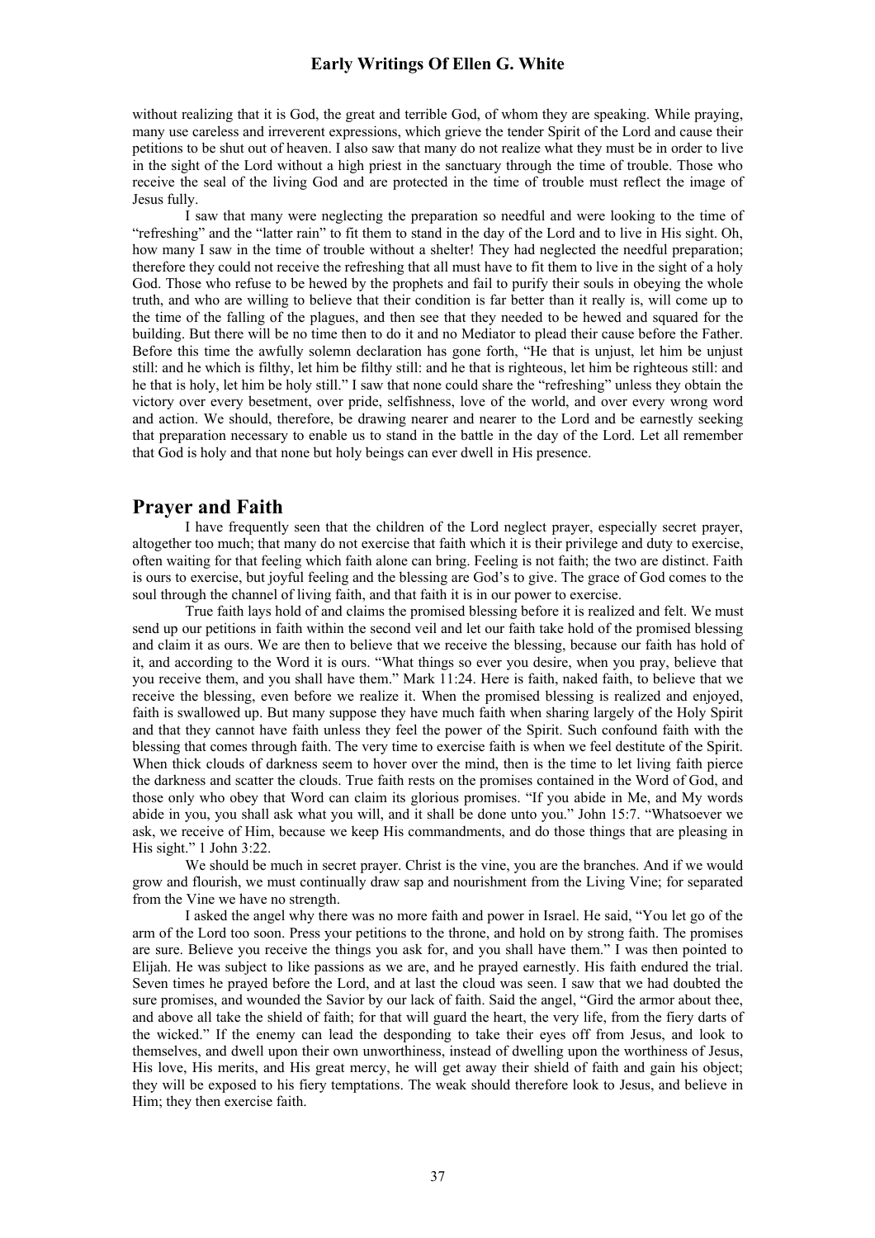without realizing that it is God, the great and terrible God, of whom they are speaking. While praying, many use careless and irreverent expressions, which grieve the tender Spirit of the Lord and cause their petitions to be shut out of heaven. I also saw that many do not realize what they must be in order to live in the sight of the Lord without a high priest in the sanctuary through the time of trouble. Those who receive the seal of the living God and are protected in the time of trouble must reflect the image of Jesus fully.

I saw that many were neglecting the preparation so needful and were looking to the time of "refreshing" and the "latter rain" to fit them to stand in the day of the Lord and to live in His sight. Oh, how many I saw in the time of trouble without a shelter! They had neglected the needful preparation; therefore they could not receive the refreshing that all must have to fit them to live in the sight of a holy God. Those who refuse to be hewed by the prophets and fail to purify their souls in obeying the whole truth, and who are willing to believe that their condition is far better than it really is, will come up to the time of the falling of the plagues, and then see that they needed to be hewed and squared for the building. But there will be no time then to do it and no Mediator to plead their cause before the Father. Before this time the awfully solemn declaration has gone forth, "He that is unjust, let him be unjust still: and he which is filthy, let him be filthy still: and he that is righteous, let him be righteous still: and he that is holy, let him be holy still." I saw that none could share the "refreshing" unless they obtain the victory over every besetment, over pride, selfishness, love of the world, and over every wrong word and action. We should, therefore, be drawing nearer and nearer to the Lord and be earnestly seeking that preparation necessary to enable us to stand in the battle in the day of the Lord. Let all remember that God is holy and that none but holy beings can ever dwell in His presence.

# **Prayer and Faith**

I have frequently seen that the children of the Lord neglect prayer, especially secret prayer, altogether too much; that many do not exercise that faith which it is their privilege and duty to exercise, often waiting for that feeling which faith alone can bring. Feeling is not faith; the two are distinct. Faith is ours to exercise, but joyful feeling and the blessing are God's to give. The grace of God comes to the soul through the channel of living faith, and that faith it is in our power to exercise.

True faith lays hold of and claims the promised blessing before it is realized and felt. We must send up our petitions in faith within the second veil and let our faith take hold of the promised blessing and claim it as ours. We are then to believe that we receive the blessing, because our faith has hold of it, and according to the Word it is ours. "What things so ever you desire, when you pray, believe that you receive them, and you shall have them." Mark 11:24. Here is faith, naked faith, to believe that we receive the blessing, even before we realize it. When the promised blessing is realized and enjoyed, faith is swallowed up. But many suppose they have much faith when sharing largely of the Holy Spirit and that they cannot have faith unless they feel the power of the Spirit. Such confound faith with the blessing that comes through faith. The very time to exercise faith is when we feel destitute of the Spirit. When thick clouds of darkness seem to hover over the mind, then is the time to let living faith pierce the darkness and scatter the clouds. True faith rests on the promises contained in the Word of God, and those only who obey that Word can claim its glorious promises. "If you abide in Me, and My words abide in you, you shall ask what you will, and it shall be done unto you." John 15:7. "Whatsoever we ask, we receive of Him, because we keep His commandments, and do those things that are pleasing in His sight." 1 John 3:22.

We should be much in secret prayer. Christ is the vine, you are the branches. And if we would grow and flourish, we must continually draw sap and nourishment from the Living Vine; for separated from the Vine we have no strength.

I asked the angel why there was no more faith and power in Israel. He said, "You let go of the arm of the Lord too soon. Press your petitions to the throne, and hold on by strong faith. The promises are sure. Believe you receive the things you ask for, and you shall have them." I was then pointed to Elijah. He was subject to like passions as we are, and he prayed earnestly. His faith endured the trial. Seven times he prayed before the Lord, and at last the cloud was seen. I saw that we had doubted the sure promises, and wounded the Savior by our lack of faith. Said the angel, "Gird the armor about thee, and above all take the shield of faith; for that will guard the heart, the very life, from the fiery darts of the wicked." If the enemy can lead the desponding to take their eyes off from Jesus, and look to themselves, and dwell upon their own unworthiness, instead of dwelling upon the worthiness of Jesus, His love, His merits, and His great mercy, he will get away their shield of faith and gain his object; they will be exposed to his fiery temptations. The weak should therefore look to Jesus, and believe in Him; they then exercise faith.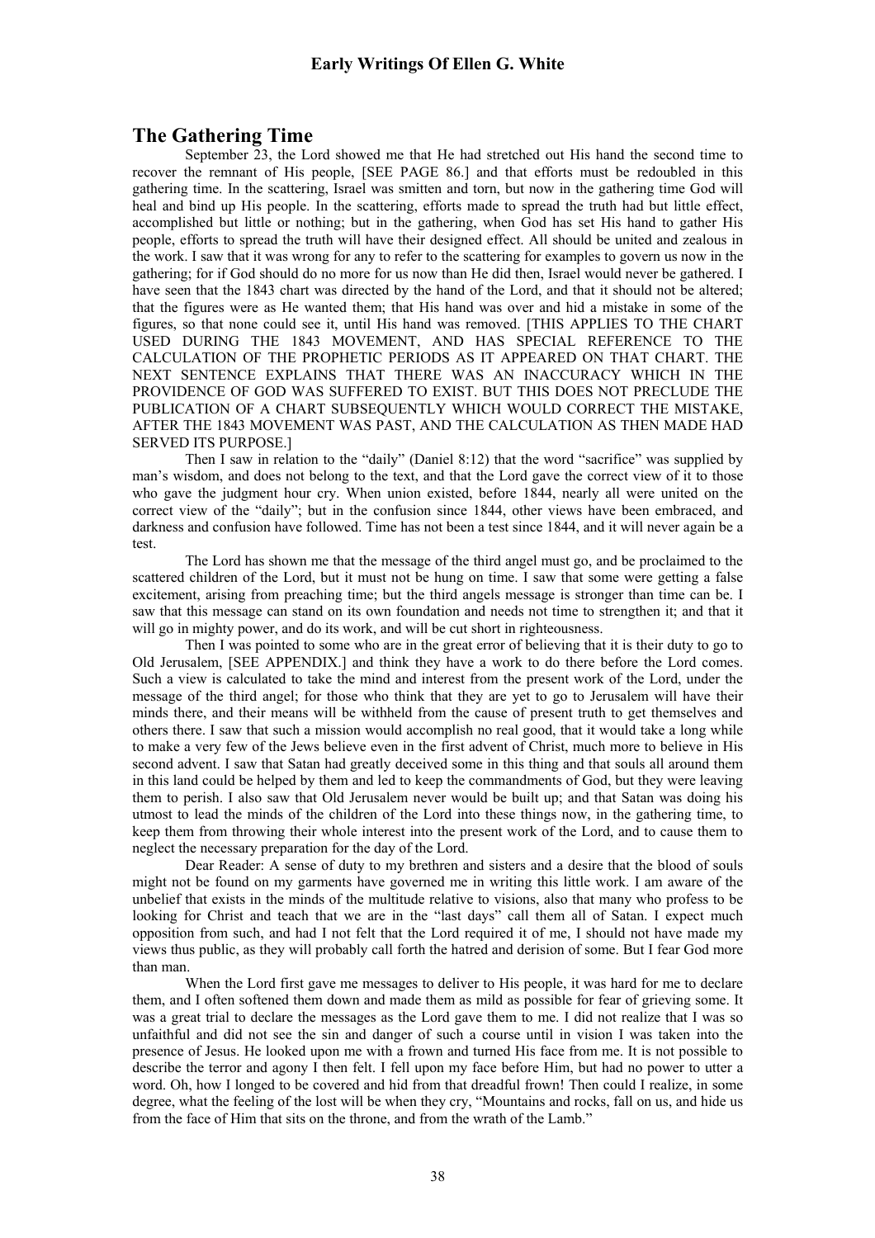# **The Gathering Time**

September 23, the Lord showed me that He had stretched out His hand the second time to recover the remnant of His people, [SEE PAGE 86.] and that efforts must be redoubled in this gathering time. In the scattering, Israel was smitten and torn, but now in the gathering time God will heal and bind up His people. In the scattering, efforts made to spread the truth had but little effect, accomplished but little or nothing; but in the gathering, when God has set His hand to gather His people, efforts to spread the truth will have their designed effect. All should be united and zealous in the work. I saw that it was wrong for any to refer to the scattering for examples to govern us now in the gathering; for if God should do no more for us now than He did then, Israel would never be gathered. I have seen that the 1843 chart was directed by the hand of the Lord, and that it should not be altered; that the figures were as He wanted them; that His hand was over and hid a mistake in some of the figures, so that none could see it, until His hand was removed. [THIS APPLIES TO THE CHART USED DURING THE 1843 MOVEMENT, AND HAS SPECIAL REFERENCE TO THE CALCULATION OF THE PROPHETIC PERIODS AS IT APPEARED ON THAT CHART. THE NEXT SENTENCE EXPLAINS THAT THERE WAS AN INACCURACY WHICH IN THE PROVIDENCE OF GOD WAS SUFFERED TO EXIST. BUT THIS DOES NOT PRECLUDE THE PUBLICATION OF A CHART SUBSEQUENTLY WHICH WOULD CORRECT THE MISTAKE, AFTER THE 1843 MOVEMENT WAS PAST, AND THE CALCULATION AS THEN MADE HAD SERVED ITS PURPOSE.]

Then I saw in relation to the "daily" (Daniel 8:12) that the word "sacrifice" was supplied by man's wisdom, and does not belong to the text, and that the Lord gave the correct view of it to those who gave the judgment hour cry. When union existed, before 1844, nearly all were united on the correct view of the "daily"; but in the confusion since 1844, other views have been embraced, and darkness and confusion have followed. Time has not been a test since 1844, and it will never again be a test.

The Lord has shown me that the message of the third angel must go, and be proclaimed to the scattered children of the Lord, but it must not be hung on time. I saw that some were getting a false excitement, arising from preaching time; but the third angels message is stronger than time can be. I saw that this message can stand on its own foundation and needs not time to strengthen it; and that it will go in mighty power, and do its work, and will be cut short in righteousness.

Then I was pointed to some who are in the great error of believing that it is their duty to go to Old Jerusalem, [SEE APPENDIX.] and think they have a work to do there before the Lord comes. Such a view is calculated to take the mind and interest from the present work of the Lord, under the message of the third angel; for those who think that they are yet to go to Jerusalem will have their minds there, and their means will be withheld from the cause of present truth to get themselves and others there. I saw that such a mission would accomplish no real good, that it would take a long while to make a very few of the Jews believe even in the first advent of Christ, much more to believe in His second advent. I saw that Satan had greatly deceived some in this thing and that souls all around them in this land could be helped by them and led to keep the commandments of God, but they were leaving them to perish. I also saw that Old Jerusalem never would be built up; and that Satan was doing his utmost to lead the minds of the children of the Lord into these things now, in the gathering time, to keep them from throwing their whole interest into the present work of the Lord, and to cause them to neglect the necessary preparation for the day of the Lord.

Dear Reader: A sense of duty to my brethren and sisters and a desire that the blood of souls might not be found on my garments have governed me in writing this little work. I am aware of the unbelief that exists in the minds of the multitude relative to visions, also that many who profess to be looking for Christ and teach that we are in the "last days" call them all of Satan. I expect much opposition from such, and had I not felt that the Lord required it of me, I should not have made my views thus public, as they will probably call forth the hatred and derision of some. But I fear God more than man.

When the Lord first gave me messages to deliver to His people, it was hard for me to declare them, and I often softened them down and made them as mild as possible for fear of grieving some. It was a great trial to declare the messages as the Lord gave them to me. I did not realize that I was so unfaithful and did not see the sin and danger of such a course until in vision I was taken into the presence of Jesus. He looked upon me with a frown and turned His face from me. It is not possible to describe the terror and agony I then felt. I fell upon my face before Him, but had no power to utter a word. Oh, how I longed to be covered and hid from that dreadful frown! Then could I realize, in some degree, what the feeling of the lost will be when they cry, "Mountains and rocks, fall on us, and hide us from the face of Him that sits on the throne, and from the wrath of the Lamb."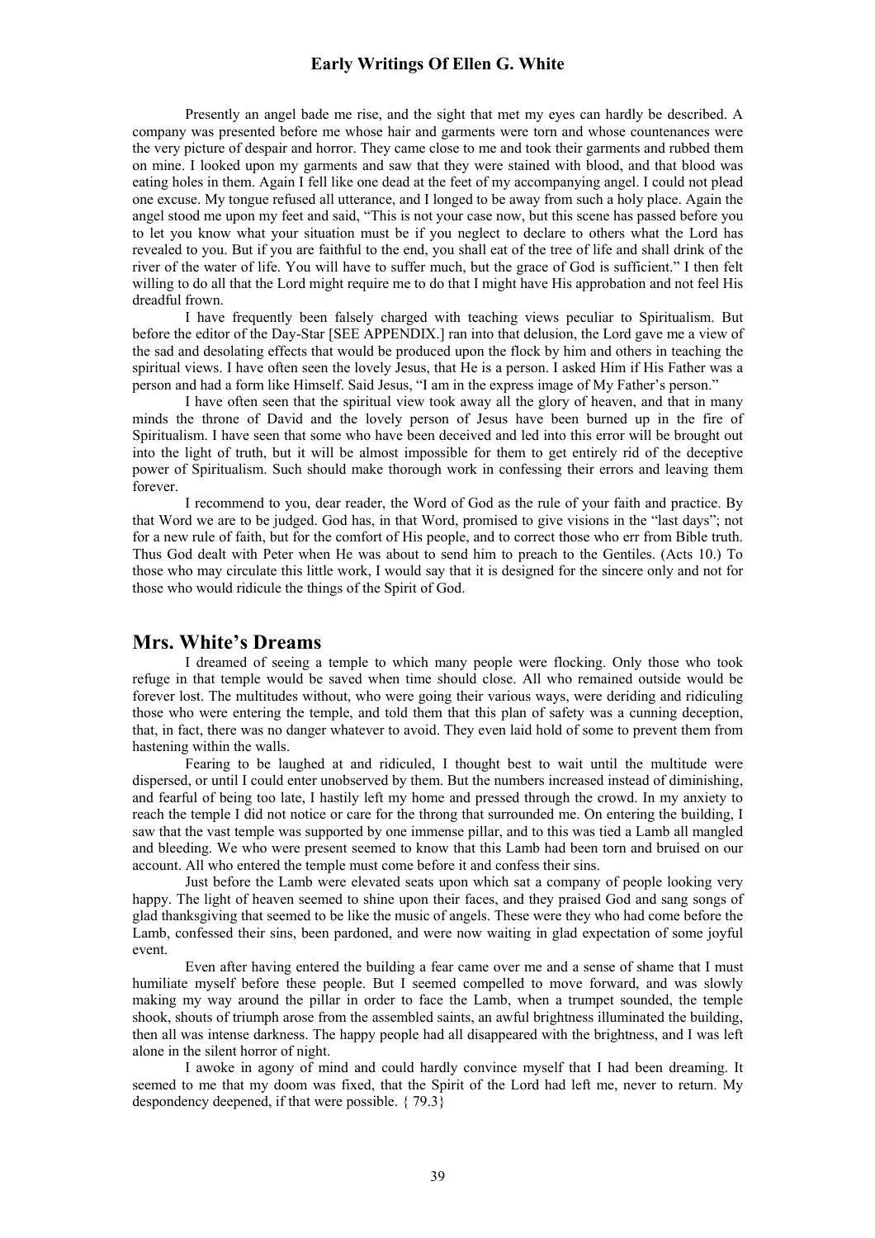Presently an angel bade me rise, and the sight that met my eyes can hardly be described. A company was presented before me whose hair and garments were torn and whose countenances were the very picture of despair and horror. They came close to me and took their garments and rubbed them on mine. I looked upon my garments and saw that they were stained with blood, and that blood was eating holes in them. Again I fell like one dead at the feet of my accompanying angel. I could not plead one excuse. My tongue refused all utterance, and I longed to be away from such a holy place. Again the angel stood me upon my feet and said, "This is not your case now, but this scene has passed before you to let you know what your situation must be if you neglect to declare to others what the Lord has revealed to you. But if you are faithful to the end, you shall eat of the tree of life and shall drink of the river of the water of life. You will have to suffer much, but the grace of God is sufficient." I then felt willing to do all that the Lord might require me to do that I might have His approbation and not feel His dreadful frown.

I have frequently been falsely charged with teaching views peculiar to Spiritualism. But before the editor of the Day-Star [SEE APPENDIX.] ran into that delusion, the Lord gave me a view of the sad and desolating effects that would be produced upon the flock by him and others in teaching the spiritual views. I have often seen the lovely Jesus, that He is a person. I asked Him if His Father was a person and had a form like Himself. Said Jesus, "I am in the express image of My Father's person."

I have often seen that the spiritual view took away all the glory of heaven, and that in many minds the throne of David and the lovely person of Jesus have been burned up in the fire of Spiritualism. I have seen that some who have been deceived and led into this error will be brought out into the light of truth, but it will be almost impossible for them to get entirely rid of the deceptive power of Spiritualism. Such should make thorough work in confessing their errors and leaving them forever.

I recommend to you, dear reader, the Word of God as the rule of your faith and practice. By that Word we are to be judged. God has, in that Word, promised to give visions in the "last days"; not for a new rule of faith, but for the comfort of His people, and to correct those who err from Bible truth. Thus God dealt with Peter when He was about to send him to preach to the Gentiles. (Acts 10.) To those who may circulate this little work, I would say that it is designed for the sincere only and not for those who would ridicule the things of the Spirit of God.

# **Mrs. White's Dreams**

I dreamed of seeing a temple to which many people were flocking. Only those who took refuge in that temple would be saved when time should close. All who remained outside would be forever lost. The multitudes without, who were going their various ways, were deriding and ridiculing those who were entering the temple, and told them that this plan of safety was a cunning deception, that, in fact, there was no danger whatever to avoid. They even laid hold of some to prevent them from hastening within the walls.

Fearing to be laughed at and ridiculed, I thought best to wait until the multitude were dispersed, or until I could enter unobserved by them. But the numbers increased instead of diminishing, and fearful of being too late, I hastily left my home and pressed through the crowd. In my anxiety to reach the temple I did not notice or care for the throng that surrounded me. On entering the building, I saw that the vast temple was supported by one immense pillar, and to this was tied a Lamb all mangled and bleeding. We who were present seemed to know that this Lamb had been torn and bruised on our account. All who entered the temple must come before it and confess their sins.

Just before the Lamb were elevated seats upon which sat a company of people looking very happy. The light of heaven seemed to shine upon their faces, and they praised God and sang songs of glad thanksgiving that seemed to be like the music of angels. These were they who had come before the Lamb, confessed their sins, been pardoned, and were now waiting in glad expectation of some joyful event.

Even after having entered the building a fear came over me and a sense of shame that I must humiliate myself before these people. But I seemed compelled to move forward, and was slowly making my way around the pillar in order to face the Lamb, when a trumpet sounded, the temple shook, shouts of triumph arose from the assembled saints, an awful brightness illuminated the building, then all was intense darkness. The happy people had all disappeared with the brightness, and I was left alone in the silent horror of night.

I awoke in agony of mind and could hardly convince myself that I had been dreaming. It seemed to me that my doom was fixed, that the Spirit of the Lord had left me, never to return. My despondency deepened, if that were possible. { 79.3}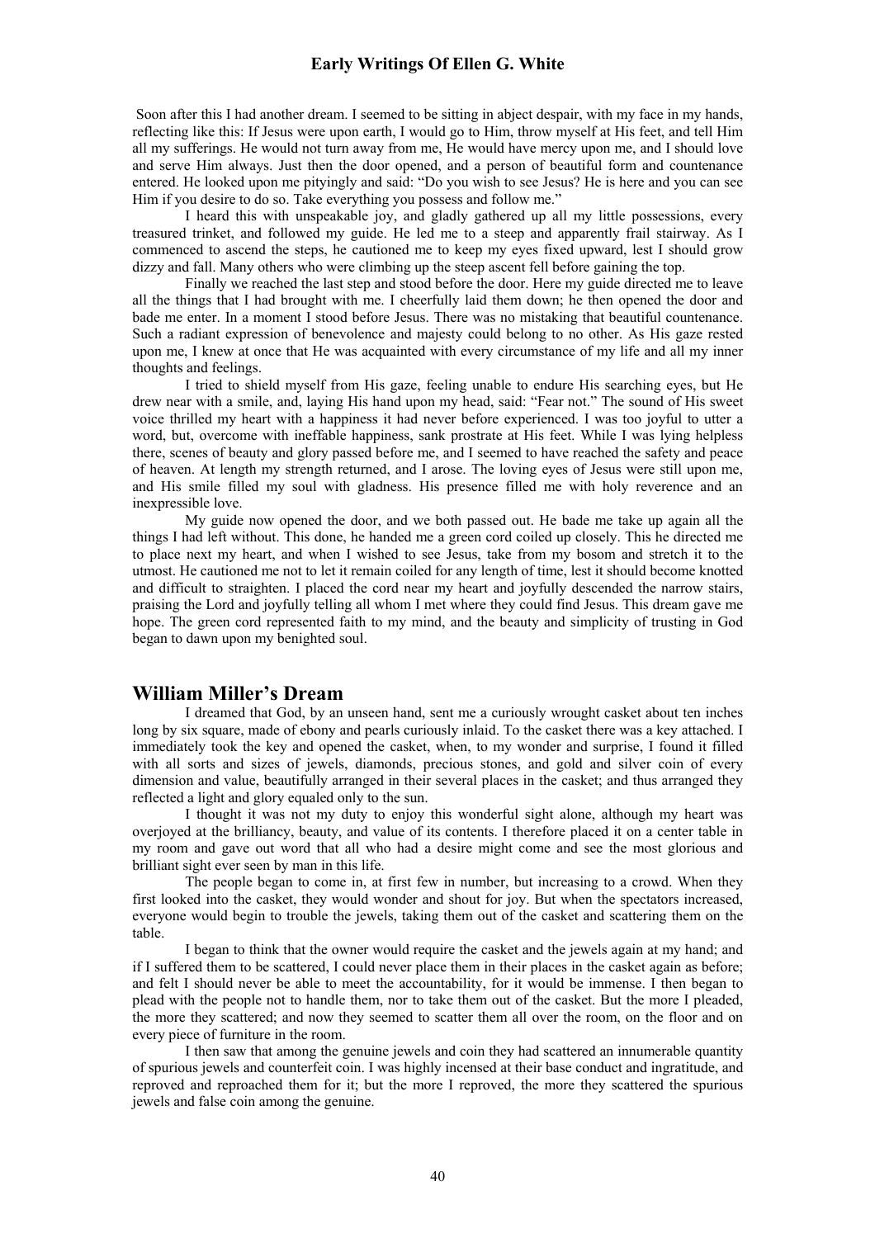Soon after this I had another dream. I seemed to be sitting in abject despair, with my face in my hands, reflecting like this: If Jesus were upon earth, I would go to Him, throw myself at His feet, and tell Him all my sufferings. He would not turn away from me, He would have mercy upon me, and I should love and serve Him always. Just then the door opened, and a person of beautiful form and countenance entered. He looked upon me pityingly and said: "Do you wish to see Jesus? He is here and you can see Him if you desire to do so. Take everything you possess and follow me."

I heard this with unspeakable joy, and gladly gathered up all my little possessions, every treasured trinket, and followed my guide. He led me to a steep and apparently frail stairway. As I commenced to ascend the steps, he cautioned me to keep my eyes fixed upward, lest I should grow dizzy and fall. Many others who were climbing up the steep ascent fell before gaining the top.

Finally we reached the last step and stood before the door. Here my guide directed me to leave all the things that I had brought with me. I cheerfully laid them down; he then opened the door and bade me enter. In a moment I stood before Jesus. There was no mistaking that beautiful countenance. Such a radiant expression of benevolence and majesty could belong to no other. As His gaze rested upon me, I knew at once that He was acquainted with every circumstance of my life and all my inner thoughts and feelings.

I tried to shield myself from His gaze, feeling unable to endure His searching eyes, but He drew near with a smile, and, laying His hand upon my head, said: "Fear not." The sound of His sweet voice thrilled my heart with a happiness it had never before experienced. I was too joyful to utter a word, but, overcome with ineffable happiness, sank prostrate at His feet. While I was lying helpless there, scenes of beauty and glory passed before me, and I seemed to have reached the safety and peace of heaven. At length my strength returned, and I arose. The loving eyes of Jesus were still upon me, and His smile filled my soul with gladness. His presence filled me with holy reverence and an inexpressible love.

My guide now opened the door, and we both passed out. He bade me take up again all the things I had left without. This done, he handed me a green cord coiled up closely. This he directed me to place next my heart, and when I wished to see Jesus, take from my bosom and stretch it to the utmost. He cautioned me not to let it remain coiled for any length of time, lest it should become knotted and difficult to straighten. I placed the cord near my heart and joyfully descended the narrow stairs, praising the Lord and joyfully telling all whom I met where they could find Jesus. This dream gave me hope. The green cord represented faith to my mind, and the beauty and simplicity of trusting in God began to dawn upon my benighted soul.

# **William Miller's Dream**

I dreamed that God, by an unseen hand, sent me a curiously wrought casket about ten inches long by six square, made of ebony and pearls curiously inlaid. To the casket there was a key attached. I immediately took the key and opened the casket, when, to my wonder and surprise, I found it filled with all sorts and sizes of jewels, diamonds, precious stones, and gold and silver coin of every dimension and value, beautifully arranged in their several places in the casket; and thus arranged they reflected a light and glory equaled only to the sun.

I thought it was not my duty to enjoy this wonderful sight alone, although my heart was overjoyed at the brilliancy, beauty, and value of its contents. I therefore placed it on a center table in my room and gave out word that all who had a desire might come and see the most glorious and brilliant sight ever seen by man in this life.

The people began to come in, at first few in number, but increasing to a crowd. When they first looked into the casket, they would wonder and shout for joy. But when the spectators increased, everyone would begin to trouble the jewels, taking them out of the casket and scattering them on the table.

I began to think that the owner would require the casket and the jewels again at my hand; and if I suffered them to be scattered, I could never place them in their places in the casket again as before; and felt I should never be able to meet the accountability, for it would be immense. I then began to plead with the people not to handle them, nor to take them out of the casket. But the more I pleaded, the more they scattered; and now they seemed to scatter them all over the room, on the floor and on every piece of furniture in the room.

I then saw that among the genuine jewels and coin they had scattered an innumerable quantity of spurious jewels and counterfeit coin. I was highly incensed at their base conduct and ingratitude, and reproved and reproached them for it; but the more I reproved, the more they scattered the spurious jewels and false coin among the genuine.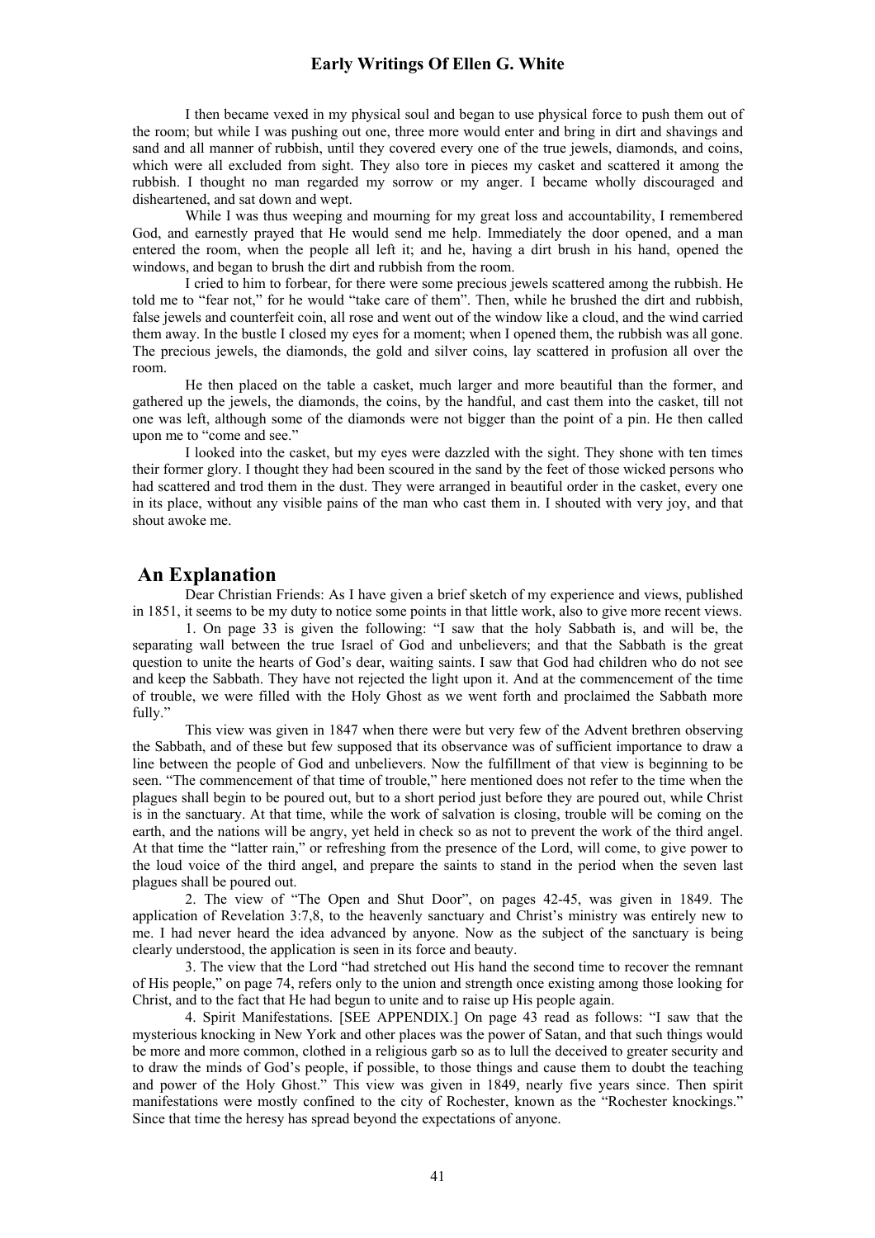I then became vexed in my physical soul and began to use physical force to push them out of the room; but while I was pushing out one, three more would enter and bring in dirt and shavings and sand and all manner of rubbish, until they covered every one of the true jewels, diamonds, and coins, which were all excluded from sight. They also tore in pieces my casket and scattered it among the rubbish. I thought no man regarded my sorrow or my anger. I became wholly discouraged and disheartened, and sat down and wept.

While I was thus weeping and mourning for my great loss and accountability, I remembered God, and earnestly prayed that He would send me help. Immediately the door opened, and a man entered the room, when the people all left it; and he, having a dirt brush in his hand, opened the windows, and began to brush the dirt and rubbish from the room.

I cried to him to forbear, for there were some precious jewels scattered among the rubbish. He told me to "fear not," for he would "take care of them". Then, while he brushed the dirt and rubbish, false jewels and counterfeit coin, all rose and went out of the window like a cloud, and the wind carried them away. In the bustle I closed my eyes for a moment; when I opened them, the rubbish was all gone. The precious jewels, the diamonds, the gold and silver coins, lay scattered in profusion all over the room.

He then placed on the table a casket, much larger and more beautiful than the former, and gathered up the jewels, the diamonds, the coins, by the handful, and cast them into the casket, till not one was left, although some of the diamonds were not bigger than the point of a pin. He then called upon me to "come and see."

I looked into the casket, but my eyes were dazzled with the sight. They shone with ten times their former glory. I thought they had been scoured in the sand by the feet of those wicked persons who had scattered and trod them in the dust. They were arranged in beautiful order in the casket, every one in its place, without any visible pains of the man who cast them in. I shouted with very joy, and that shout awoke me.

# **An Explanation**

Dear Christian Friends: As I have given a brief sketch of my experience and views, published in 1851, it seems to be my duty to notice some points in that little work, also to give more recent views.

1. On page 33 is given the following: "I saw that the holy Sabbath is, and will be, the separating wall between the true Israel of God and unbelievers; and that the Sabbath is the great question to unite the hearts of God's dear, waiting saints. I saw that God had children who do not see and keep the Sabbath. They have not rejected the light upon it. And at the commencement of the time of trouble, we were filled with the Holy Ghost as we went forth and proclaimed the Sabbath more fully."

This view was given in 1847 when there were but very few of the Advent brethren observing the Sabbath, and of these but few supposed that its observance was of sufficient importance to draw a line between the people of God and unbelievers. Now the fulfillment of that view is beginning to be seen. "The commencement of that time of trouble," here mentioned does not refer to the time when the plagues shall begin to be poured out, but to a short period just before they are poured out, while Christ is in the sanctuary. At that time, while the work of salvation is closing, trouble will be coming on the earth, and the nations will be angry, yet held in check so as not to prevent the work of the third angel. At that time the "latter rain," or refreshing from the presence of the Lord, will come, to give power to the loud voice of the third angel, and prepare the saints to stand in the period when the seven last plagues shall be poured out.

2. The view of "The Open and Shut Door", on pages 42-45, was given in 1849. The application of Revelation 3:7,8, to the heavenly sanctuary and Christ's ministry was entirely new to me. I had never heard the idea advanced by anyone. Now as the subject of the sanctuary is being clearly understood, the application is seen in its force and beauty.

3. The view that the Lord "had stretched out His hand the second time to recover the remnant of His people," on page 74, refers only to the union and strength once existing among those looking for Christ, and to the fact that He had begun to unite and to raise up His people again.

4. Spirit Manifestations. [SEE APPENDIX.] On page 43 read as follows: "I saw that the mysterious knocking in New York and other places was the power of Satan, and that such things would be more and more common, clothed in a religious garb so as to lull the deceived to greater security and to draw the minds of God's people, if possible, to those things and cause them to doubt the teaching and power of the Holy Ghost." This view was given in 1849, nearly five years since. Then spirit manifestations were mostly confined to the city of Rochester, known as the "Rochester knockings." Since that time the heresy has spread beyond the expectations of anyone.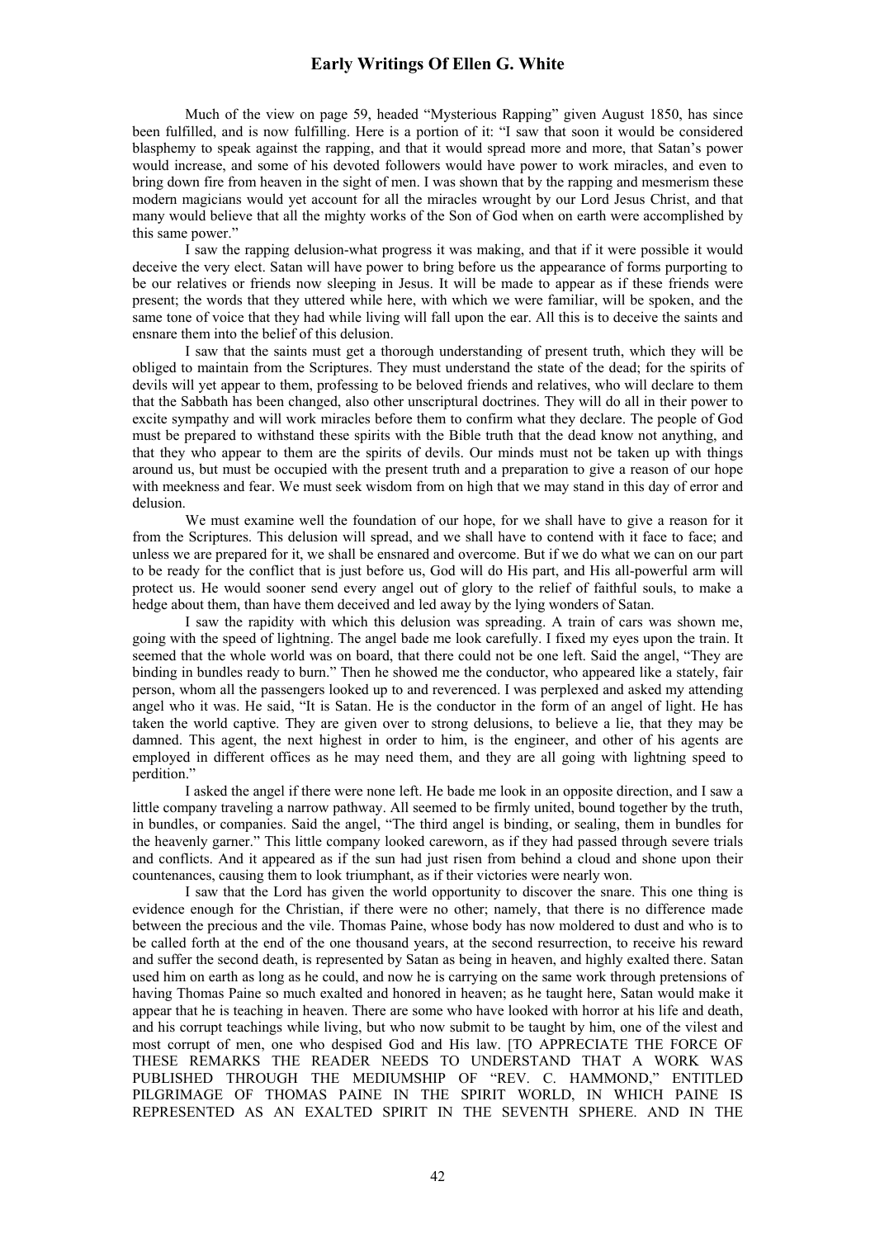Much of the view on page 59, headed "Mysterious Rapping" given August 1850, has since been fulfilled, and is now fulfilling. Here is a portion of it: "I saw that soon it would be considered blasphemy to speak against the rapping, and that it would spread more and more, that Satan's power would increase, and some of his devoted followers would have power to work miracles, and even to bring down fire from heaven in the sight of men. I was shown that by the rapping and mesmerism these modern magicians would yet account for all the miracles wrought by our Lord Jesus Christ, and that many would believe that all the mighty works of the Son of God when on earth were accomplished by this same power."

I saw the rapping delusion-what progress it was making, and that if it were possible it would deceive the very elect. Satan will have power to bring before us the appearance of forms purporting to be our relatives or friends now sleeping in Jesus. It will be made to appear as if these friends were present; the words that they uttered while here, with which we were familiar, will be spoken, and the same tone of voice that they had while living will fall upon the ear. All this is to deceive the saints and ensnare them into the belief of this delusion.

I saw that the saints must get a thorough understanding of present truth, which they will be obliged to maintain from the Scriptures. They must understand the state of the dead; for the spirits of devils will yet appear to them, professing to be beloved friends and relatives, who will declare to them that the Sabbath has been changed, also other unscriptural doctrines. They will do all in their power to excite sympathy and will work miracles before them to confirm what they declare. The people of God must be prepared to withstand these spirits with the Bible truth that the dead know not anything, and that they who appear to them are the spirits of devils. Our minds must not be taken up with things around us, but must be occupied with the present truth and a preparation to give a reason of our hope with meekness and fear. We must seek wisdom from on high that we may stand in this day of error and delusion.

We must examine well the foundation of our hope, for we shall have to give a reason for it from the Scriptures. This delusion will spread, and we shall have to contend with it face to face; and unless we are prepared for it, we shall be ensnared and overcome. But if we do what we can on our part to be ready for the conflict that is just before us, God will do His part, and His all-powerful arm will protect us. He would sooner send every angel out of glory to the relief of faithful souls, to make a hedge about them, than have them deceived and led away by the lying wonders of Satan.

I saw the rapidity with which this delusion was spreading. A train of cars was shown me, going with the speed of lightning. The angel bade me look carefully. I fixed my eyes upon the train. It seemed that the whole world was on board, that there could not be one left. Said the angel, "They are binding in bundles ready to burn." Then he showed me the conductor, who appeared like a stately, fair person, whom all the passengers looked up to and reverenced. I was perplexed and asked my attending angel who it was. He said, "It is Satan. He is the conductor in the form of an angel of light. He has taken the world captive. They are given over to strong delusions, to believe a lie, that they may be damned. This agent, the next highest in order to him, is the engineer, and other of his agents are employed in different offices as he may need them, and they are all going with lightning speed to perdition."

I asked the angel if there were none left. He bade me look in an opposite direction, and I saw a little company traveling a narrow pathway. All seemed to be firmly united, bound together by the truth, in bundles, or companies. Said the angel, "The third angel is binding, or sealing, them in bundles for the heavenly garner." This little company looked careworn, as if they had passed through severe trials and conflicts. And it appeared as if the sun had just risen from behind a cloud and shone upon their countenances, causing them to look triumphant, as if their victories were nearly won.

I saw that the Lord has given the world opportunity to discover the snare. This one thing is evidence enough for the Christian, if there were no other; namely, that there is no difference made between the precious and the vile. Thomas Paine, whose body has now moldered to dust and who is to be called forth at the end of the one thousand years, at the second resurrection, to receive his reward and suffer the second death, is represented by Satan as being in heaven, and highly exalted there. Satan used him on earth as long as he could, and now he is carrying on the same work through pretensions of having Thomas Paine so much exalted and honored in heaven; as he taught here, Satan would make it appear that he is teaching in heaven. There are some who have looked with horror at his life and death, and his corrupt teachings while living, but who now submit to be taught by him, one of the vilest and most corrupt of men, one who despised God and His law. [TO APPRECIATE THE FORCE OF THESE REMARKS THE READER NEEDS TO UNDERSTAND THAT A WORK WAS PUBLISHED THROUGH THE MEDIUMSHIP OF "REV. C. HAMMOND," ENTITLED PILGRIMAGE OF THOMAS PAINE IN THE SPIRIT WORLD, IN WHICH PAINE IS REPRESENTED AS AN EXALTED SPIRIT IN THE SEVENTH SPHERE. AND IN THE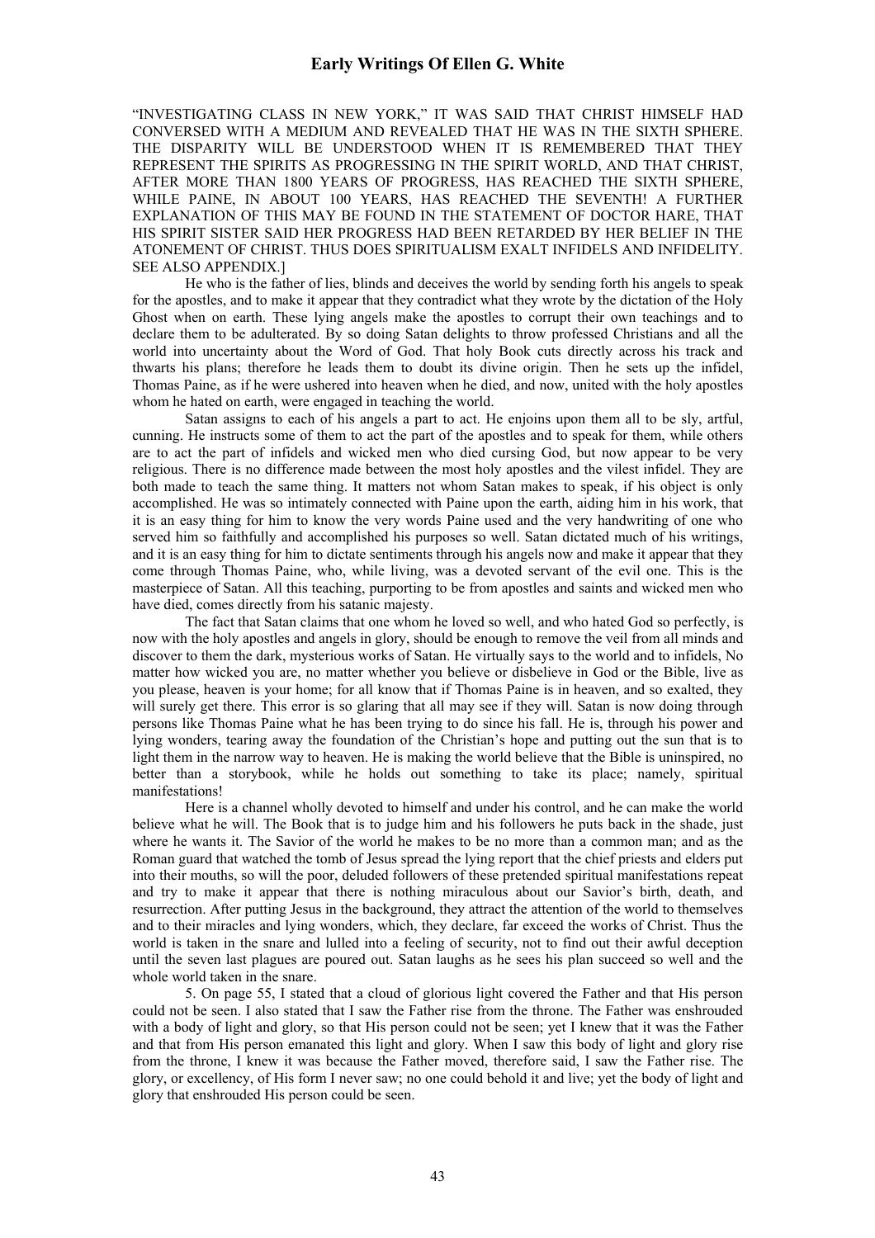"INVESTIGATING CLASS IN NEW YORK," IT WAS SAID THAT CHRIST HIMSELF HAD CONVERSED WITH A MEDIUM AND REVEALED THAT HE WAS IN THE SIXTH SPHERE. THE DISPARITY WILL BE UNDERSTOOD WHEN IT IS REMEMBERED THAT THEY REPRESENT THE SPIRITS AS PROGRESSING IN THE SPIRIT WORLD, AND THAT CHRIST, AFTER MORE THAN 1800 YEARS OF PROGRESS, HAS REACHED THE SIXTH SPHERE, WHILE PAINE, IN ABOUT 100 YEARS, HAS REACHED THE SEVENTH! A FURTHER EXPLANATION OF THIS MAY BE FOUND IN THE STATEMENT OF DOCTOR HARE, THAT HIS SPIRIT SISTER SAID HER PROGRESS HAD BEEN RETARDED BY HER BELIEF IN THE ATONEMENT OF CHRIST. THUS DOES SPIRITUALISM EXALT INFIDELS AND INFIDELITY. SEE ALSO APPENDIX.]

He who is the father of lies, blinds and deceives the world by sending forth his angels to speak for the apostles, and to make it appear that they contradict what they wrote by the dictation of the Holy Ghost when on earth. These lying angels make the apostles to corrupt their own teachings and to declare them to be adulterated. By so doing Satan delights to throw professed Christians and all the world into uncertainty about the Word of God. That holy Book cuts directly across his track and thwarts his plans; therefore he leads them to doubt its divine origin. Then he sets up the infidel, Thomas Paine, as if he were ushered into heaven when he died, and now, united with the holy apostles whom he hated on earth, were engaged in teaching the world.

Satan assigns to each of his angels a part to act. He enjoins upon them all to be sly, artful, cunning. He instructs some of them to act the part of the apostles and to speak for them, while others are to act the part of infidels and wicked men who died cursing God, but now appear to be very religious. There is no difference made between the most holy apostles and the vilest infidel. They are both made to teach the same thing. It matters not whom Satan makes to speak, if his object is only accomplished. He was so intimately connected with Paine upon the earth, aiding him in his work, that it is an easy thing for him to know the very words Paine used and the very handwriting of one who served him so faithfully and accomplished his purposes so well. Satan dictated much of his writings, and it is an easy thing for him to dictate sentiments through his angels now and make it appear that they come through Thomas Paine, who, while living, was a devoted servant of the evil one. This is the masterpiece of Satan. All this teaching, purporting to be from apostles and saints and wicked men who have died, comes directly from his satanic majesty.

The fact that Satan claims that one whom he loved so well, and who hated God so perfectly, is now with the holy apostles and angels in glory, should be enough to remove the veil from all minds and discover to them the dark, mysterious works of Satan. He virtually says to the world and to infidels, No matter how wicked you are, no matter whether you believe or disbelieve in God or the Bible, live as you please, heaven is your home; for all know that if Thomas Paine is in heaven, and so exalted, they will surely get there. This error is so glaring that all may see if they will. Satan is now doing through persons like Thomas Paine what he has been trying to do since his fall. He is, through his power and lying wonders, tearing away the foundation of the Christian's hope and putting out the sun that is to light them in the narrow way to heaven. He is making the world believe that the Bible is uninspired, no better than a storybook, while he holds out something to take its place; namely, spiritual manifestations!

Here is a channel wholly devoted to himself and under his control, and he can make the world believe what he will. The Book that is to judge him and his followers he puts back in the shade, just where he wants it. The Savior of the world he makes to be no more than a common man; and as the Roman guard that watched the tomb of Jesus spread the lying report that the chief priests and elders put into their mouths, so will the poor, deluded followers of these pretended spiritual manifestations repeat and try to make it appear that there is nothing miraculous about our Savior's birth, death, and resurrection. After putting Jesus in the background, they attract the attention of the world to themselves and to their miracles and lying wonders, which, they declare, far exceed the works of Christ. Thus the world is taken in the snare and lulled into a feeling of security, not to find out their awful deception until the seven last plagues are poured out. Satan laughs as he sees his plan succeed so well and the whole world taken in the snare.

5. On page 55, I stated that a cloud of glorious light covered the Father and that His person could not be seen. I also stated that I saw the Father rise from the throne. The Father was enshrouded with a body of light and glory, so that His person could not be seen; yet I knew that it was the Father and that from His person emanated this light and glory. When I saw this body of light and glory rise from the throne, I knew it was because the Father moved, therefore said, I saw the Father rise. The glory, or excellency, of His form I never saw; no one could behold it and live; yet the body of light and glory that enshrouded His person could be seen.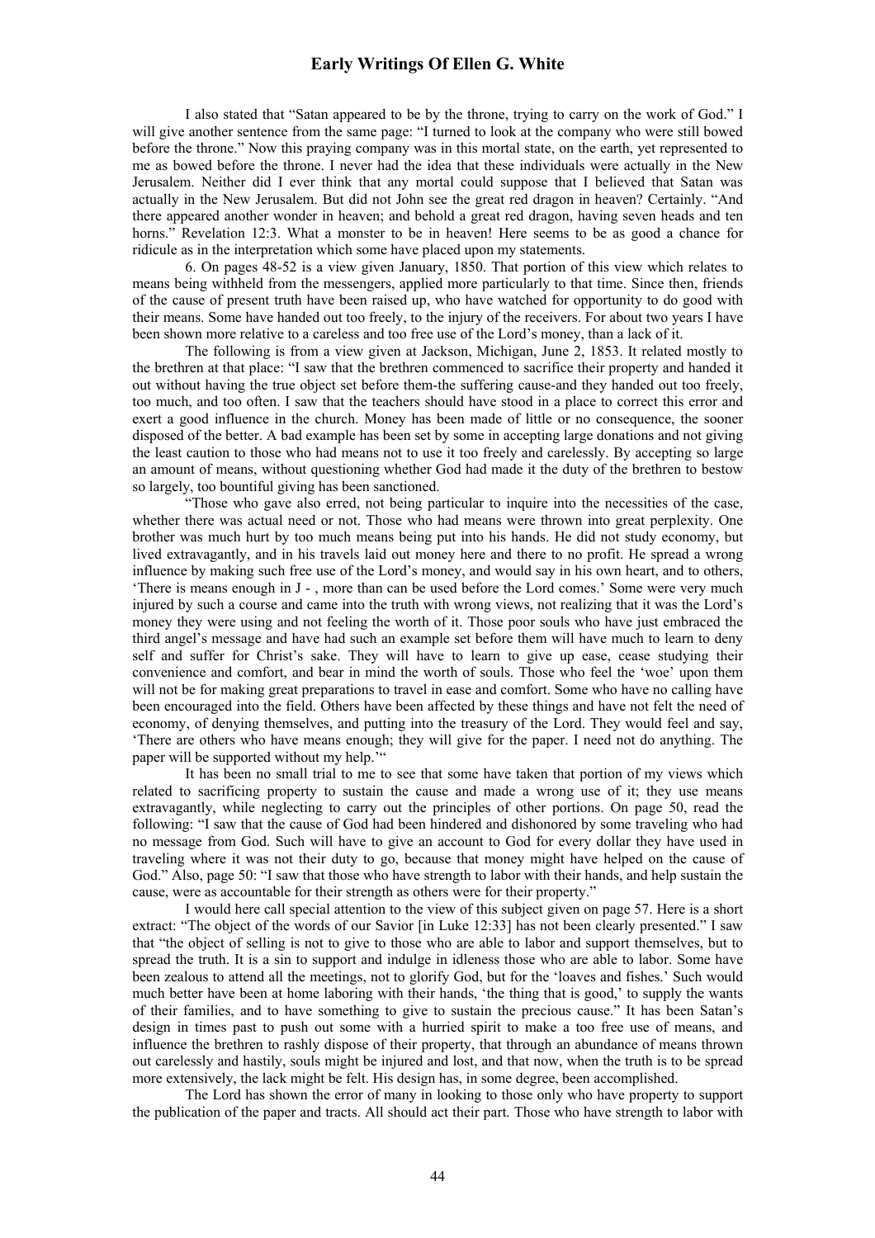I also stated that "Satan appeared to be by the throne, trying to carry on the work of God." I will give another sentence from the same page: "I turned to look at the company who were still bowed before the throne." Now this praying company was in this mortal state, on the earth, yet represented to me as bowed before the throne. I never had the idea that these individuals were actually in the New Jerusalem. Neither did I ever think that any mortal could suppose that I believed that Satan was actually in the New Jerusalem. But did not John see the great red dragon in heaven? Certainly. "And there appeared another wonder in heaven; and behold a great red dragon, having seven heads and ten horns." Revelation 12:3. What a monster to be in heaven! Here seems to be as good a chance for ridicule as in the interpretation which some have placed upon my statements.

6. On pages 48-52 is a view given January, 1850. That portion of this view which relates to means being withheld from the messengers, applied more particularly to that time. Since then, friends of the cause of present truth have been raised up, who have watched for opportunity to do good with their means. Some have handed out too freely, to the injury of the receivers. For about two years I have been shown more relative to a careless and too free use of the Lord's money, than a lack of it.

The following is from a view given at Jackson, Michigan, June 2, 1853. It related mostly to the brethren at that place: "I saw that the brethren commenced to sacrifice their property and handed it out without having the true object set before them-the suffering cause-and they handed out too freely, too much, and too often. I saw that the teachers should have stood in a place to correct this error and exert a good influence in the church. Money has been made of little or no consequence, the sooner disposed of the better. A bad example has been set by some in accepting large donations and not giving the least caution to those who had means not to use it too freely and carelessly. By accepting so large an amount of means, without questioning whether God had made it the duty of the brethren to bestow so largely, too bountiful giving has been sanctioned.

"Those who gave also erred, not being particular to inquire into the necessities of the case, whether there was actual need or not. Those who had means were thrown into great perplexity. One brother was much hurt by too much means being put into his hands. He did not study economy, but lived extravagantly, and in his travels laid out money here and there to no profit. He spread a wrong influence by making such free use of the Lord's money, and would say in his own heart, and to others, 'There is means enough in J - , more than can be used before the Lord comes.' Some were very much injured by such a course and came into the truth with wrong views, not realizing that it was the Lord's money they were using and not feeling the worth of it. Those poor souls who have just embraced the third angel's message and have had such an example set before them will have much to learn to deny self and suffer for Christ's sake. They will have to learn to give up ease, cease studying their convenience and comfort, and bear in mind the worth of souls. Those who feel the 'woe' upon them will not be for making great preparations to travel in ease and comfort. Some who have no calling have been encouraged into the field. Others have been affected by these things and have not felt the need of economy, of denying themselves, and putting into the treasury of the Lord. They would feel and say, 'There are others who have means enough; they will give for the paper. I need not do anything. The paper will be supported without my help."

It has been no small trial to me to see that some have taken that portion of my views which related to sacrificing property to sustain the cause and made a wrong use of it; they use means extravagantly, while neglecting to carry out the principles of other portions. On page 50, read the following: "I saw that the cause of God had been hindered and dishonored by some traveling who had no message from God. Such will have to give an account to God for every dollar they have used in traveling where it was not their duty to go, because that money might have helped on the cause of God." Also, page 50: "I saw that those who have strength to labor with their hands, and help sustain the cause, were as accountable for their strength as others were for their property."

I would here call special attention to the view of this subject given on page 57. Here is a short extract: "The object of the words of our Savior [in Luke 12:33] has not been clearly presented." I saw that "the object of selling is not to give to those who are able to labor and support themselves, but to spread the truth. It is a sin to support and indulge in idleness those who are able to labor. Some have been zealous to attend all the meetings, not to glorify God, but for the 'loaves and fishes.' Such would much better have been at home laboring with their hands, 'the thing that is good,' to supply the wants of their families, and to have something to give to sustain the precious cause." It has been Satan's design in times past to push out some with a hurried spirit to make a too free use of means, and influence the brethren to rashly dispose of their property, that through an abundance of means thrown out carelessly and hastily, souls might be injured and lost, and that now, when the truth is to be spread more extensively, the lack might be felt. His design has, in some degree, been accomplished.

The Lord has shown the error of many in looking to those only who have property to support the publication of the paper and tracts. All should act their part. Those who have strength to labor with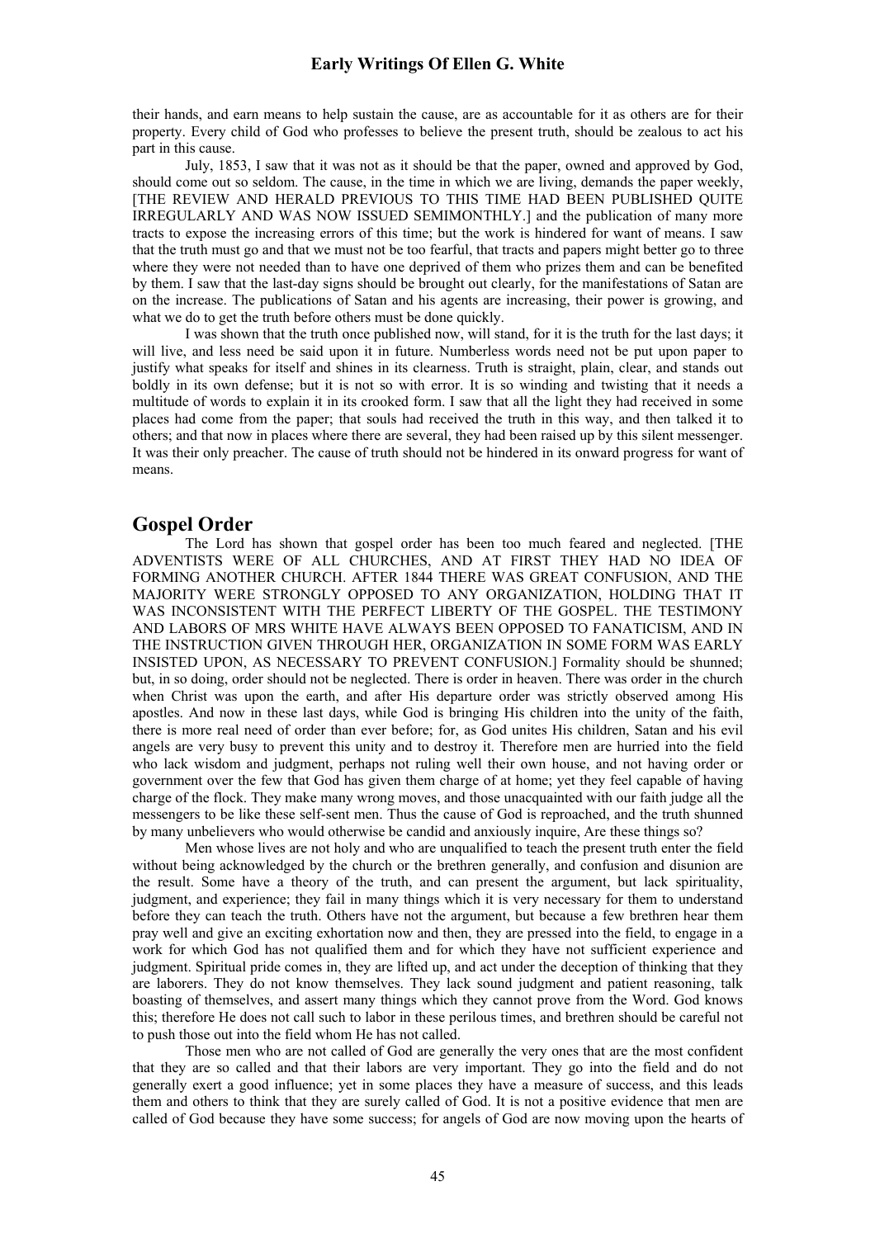their hands, and earn means to help sustain the cause, are as accountable for it as others are for their property. Every child of God who professes to believe the present truth, should be zealous to act his part in this cause.

July, 1853, I saw that it was not as it should be that the paper, owned and approved by God, should come out so seldom. The cause, in the time in which we are living, demands the paper weekly, [THE REVIEW AND HERALD PREVIOUS TO THIS TIME HAD BEEN PUBLISHED QUITE IRREGULARLY AND WAS NOW ISSUED SEMIMONTHLY.] and the publication of many more tracts to expose the increasing errors of this time; but the work is hindered for want of means. I saw that the truth must go and that we must not be too fearful, that tracts and papers might better go to three where they were not needed than to have one deprived of them who prizes them and can be benefited by them. I saw that the last-day signs should be brought out clearly, for the manifestations of Satan are on the increase. The publications of Satan and his agents are increasing, their power is growing, and what we do to get the truth before others must be done quickly.

I was shown that the truth once published now, will stand, for it is the truth for the last days; it will live, and less need be said upon it in future. Numberless words need not be put upon paper to justify what speaks for itself and shines in its clearness. Truth is straight, plain, clear, and stands out boldly in its own defense; but it is not so with error. It is so winding and twisting that it needs a multitude of words to explain it in its crooked form. I saw that all the light they had received in some places had come from the paper; that souls had received the truth in this way, and then talked it to others; and that now in places where there are several, they had been raised up by this silent messenger. It was their only preacher. The cause of truth should not be hindered in its onward progress for want of means.

# **Gospel Order**

The Lord has shown that gospel order has been too much feared and neglected. [THE ADVENTISTS WERE OF ALL CHURCHES, AND AT FIRST THEY HAD NO IDEA OF FORMING ANOTHER CHURCH. AFTER 1844 THERE WAS GREAT CONFUSION, AND THE MAJORITY WERE STRONGLY OPPOSED TO ANY ORGANIZATION, HOLDING THAT IT WAS INCONSISTENT WITH THE PERFECT LIBERTY OF THE GOSPEL. THE TESTIMONY AND LABORS OF MRS WHITE HAVE ALWAYS BEEN OPPOSED TO FANATICISM, AND IN THE INSTRUCTION GIVEN THROUGH HER, ORGANIZATION IN SOME FORM WAS EARLY INSISTED UPON, AS NECESSARY TO PREVENT CONFUSION.] Formality should be shunned; but, in so doing, order should not be neglected. There is order in heaven. There was order in the church when Christ was upon the earth, and after His departure order was strictly observed among His apostles. And now in these last days, while God is bringing His children into the unity of the faith, there is more real need of order than ever before; for, as God unites His children, Satan and his evil angels are very busy to prevent this unity and to destroy it. Therefore men are hurried into the field who lack wisdom and judgment, perhaps not ruling well their own house, and not having order or government over the few that God has given them charge of at home; yet they feel capable of having charge of the flock. They make many wrong moves, and those unacquainted with our faith judge all the messengers to be like these self-sent men. Thus the cause of God is reproached, and the truth shunned by many unbelievers who would otherwise be candid and anxiously inquire, Are these things so?

Men whose lives are not holy and who are unqualified to teach the present truth enter the field without being acknowledged by the church or the brethren generally, and confusion and disunion are the result. Some have a theory of the truth, and can present the argument, but lack spirituality, judgment, and experience; they fail in many things which it is very necessary for them to understand before they can teach the truth. Others have not the argument, but because a few brethren hear them pray well and give an exciting exhortation now and then, they are pressed into the field, to engage in a work for which God has not qualified them and for which they have not sufficient experience and judgment. Spiritual pride comes in, they are lifted up, and act under the deception of thinking that they are laborers. They do not know themselves. They lack sound judgment and patient reasoning, talk boasting of themselves, and assert many things which they cannot prove from the Word. God knows this; therefore He does not call such to labor in these perilous times, and brethren should be careful not to push those out into the field whom He has not called.

Those men who are not called of God are generally the very ones that are the most confident that they are so called and that their labors are very important. They go into the field and do not generally exert a good influence; yet in some places they have a measure of success, and this leads them and others to think that they are surely called of God. It is not a positive evidence that men are called of God because they have some success; for angels of God are now moving upon the hearts of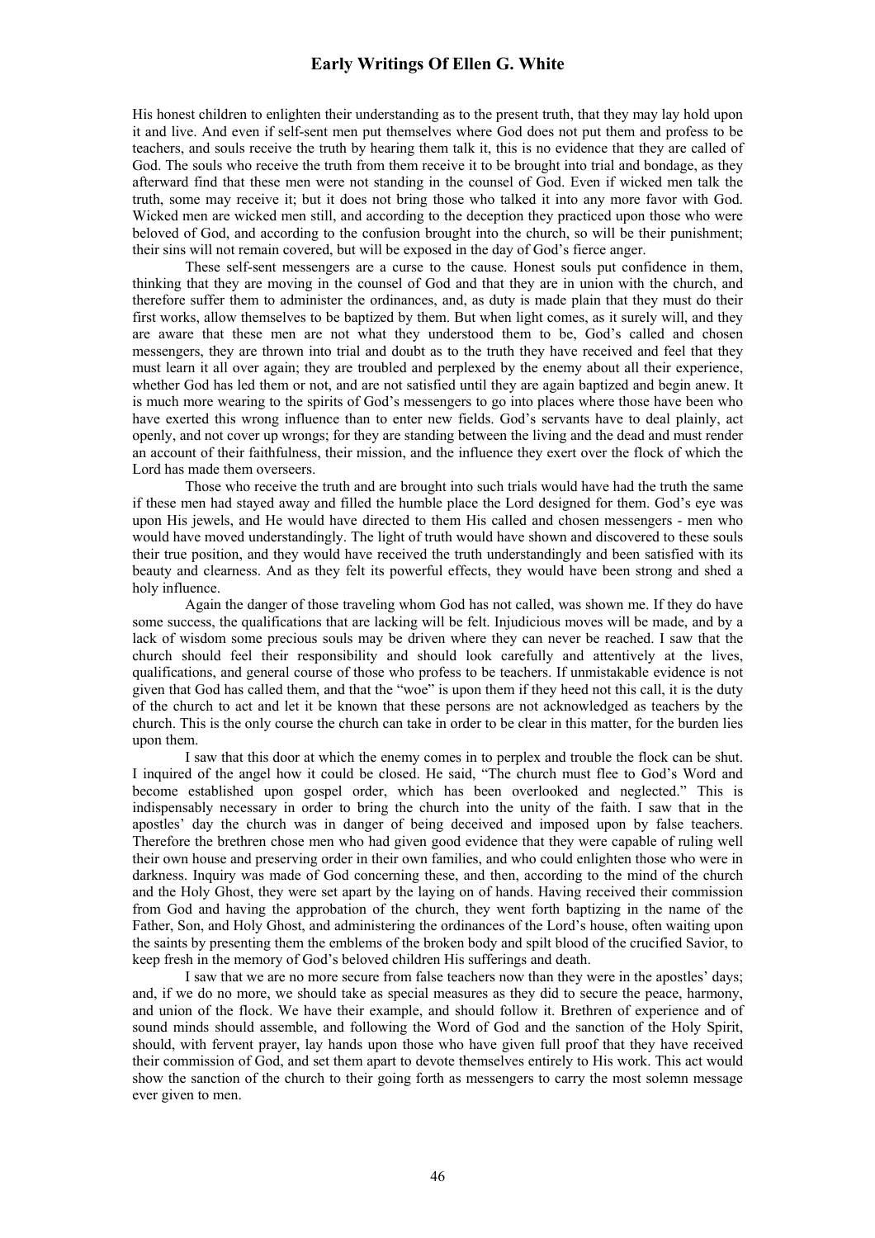His honest children to enlighten their understanding as to the present truth, that they may lay hold upon it and live. And even if self-sent men put themselves where God does not put them and profess to be teachers, and souls receive the truth by hearing them talk it, this is no evidence that they are called of God. The souls who receive the truth from them receive it to be brought into trial and bondage, as they afterward find that these men were not standing in the counsel of God. Even if wicked men talk the truth, some may receive it; but it does not bring those who talked it into any more favor with God. Wicked men are wicked men still, and according to the deception they practiced upon those who were beloved of God, and according to the confusion brought into the church, so will be their punishment; their sins will not remain covered, but will be exposed in the day of God's fierce anger.

These self-sent messengers are a curse to the cause. Honest souls put confidence in them, thinking that they are moving in the counsel of God and that they are in union with the church, and therefore suffer them to administer the ordinances, and, as duty is made plain that they must do their first works, allow themselves to be baptized by them. But when light comes, as it surely will, and they are aware that these men are not what they understood them to be, God's called and chosen messengers, they are thrown into trial and doubt as to the truth they have received and feel that they must learn it all over again; they are troubled and perplexed by the enemy about all their experience, whether God has led them or not, and are not satisfied until they are again baptized and begin anew. It is much more wearing to the spirits of God's messengers to go into places where those have been who have exerted this wrong influence than to enter new fields. God's servants have to deal plainly, act openly, and not cover up wrongs; for they are standing between the living and the dead and must render an account of their faithfulness, their mission, and the influence they exert over the flock of which the Lord has made them overseers.

Those who receive the truth and are brought into such trials would have had the truth the same if these men had stayed away and filled the humble place the Lord designed for them. God's eye was upon His jewels, and He would have directed to them His called and chosen messengers - men who would have moved understandingly. The light of truth would have shown and discovered to these souls their true position, and they would have received the truth understandingly and been satisfied with its beauty and clearness. And as they felt its powerful effects, they would have been strong and shed a holy influence.

Again the danger of those traveling whom God has not called, was shown me. If they do have some success, the qualifications that are lacking will be felt. Injudicious moves will be made, and by a lack of wisdom some precious souls may be driven where they can never be reached. I saw that the church should feel their responsibility and should look carefully and attentively at the lives, qualifications, and general course of those who profess to be teachers. If unmistakable evidence is not given that God has called them, and that the "woe" is upon them if they heed not this call, it is the duty of the church to act and let it be known that these persons are not acknowledged as teachers by the church. This is the only course the church can take in order to be clear in this matter, for the burden lies upon them.

I saw that this door at which the enemy comes in to perplex and trouble the flock can be shut. I inquired of the angel how it could be closed. He said, "The church must flee to God's Word and become established upon gospel order, which has been overlooked and neglected." This is indispensably necessary in order to bring the church into the unity of the faith. I saw that in the apostles' day the church was in danger of being deceived and imposed upon by false teachers. Therefore the brethren chose men who had given good evidence that they were capable of ruling well their own house and preserving order in their own families, and who could enlighten those who were in darkness. Inquiry was made of God concerning these, and then, according to the mind of the church and the Holy Ghost, they were set apart by the laying on of hands. Having received their commission from God and having the approbation of the church, they went forth baptizing in the name of the Father, Son, and Holy Ghost, and administering the ordinances of the Lord's house, often waiting upon the saints by presenting them the emblems of the broken body and spilt blood of the crucified Savior, to keep fresh in the memory of God's beloved children His sufferings and death.

I saw that we are no more secure from false teachers now than they were in the apostles' days; and, if we do no more, we should take as special measures as they did to secure the peace, harmony, and union of the flock. We have their example, and should follow it. Brethren of experience and of sound minds should assemble, and following the Word of God and the sanction of the Holy Spirit, should, with fervent prayer, lay hands upon those who have given full proof that they have received their commission of God, and set them apart to devote themselves entirely to His work. This act would show the sanction of the church to their going forth as messengers to carry the most solemn message ever given to men.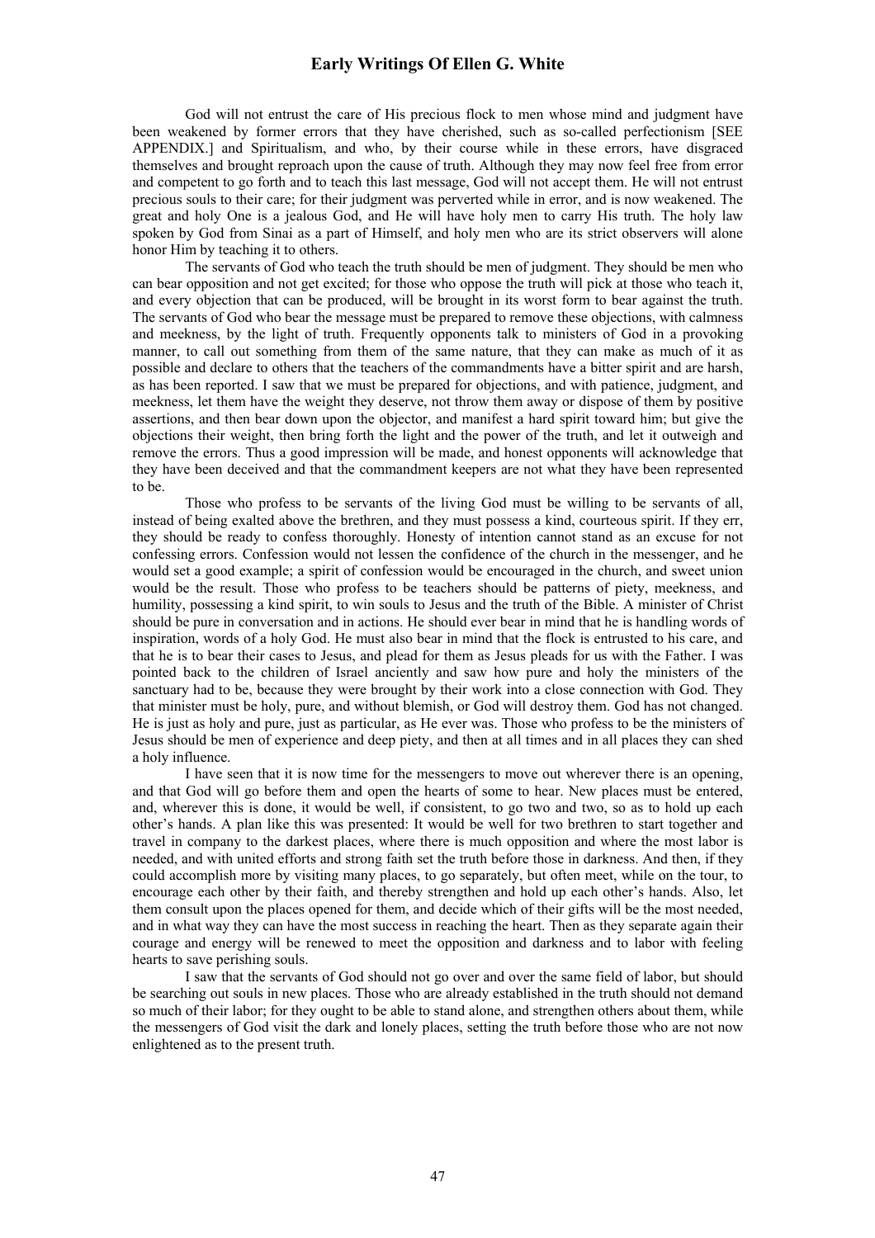God will not entrust the care of His precious flock to men whose mind and judgment have been weakened by former errors that they have cherished, such as so-called perfectionism [SEE APPENDIX.] and Spiritualism, and who, by their course while in these errors, have disgraced themselves and brought reproach upon the cause of truth. Although they may now feel free from error and competent to go forth and to teach this last message, God will not accept them. He will not entrust precious souls to their care; for their judgment was perverted while in error, and is now weakened. The great and holy One is a jealous God, and He will have holy men to carry His truth. The holy law spoken by God from Sinai as a part of Himself, and holy men who are its strict observers will alone honor Him by teaching it to others.

The servants of God who teach the truth should be men of judgment. They should be men who can bear opposition and not get excited; for those who oppose the truth will pick at those who teach it, and every objection that can be produced, will be brought in its worst form to bear against the truth. The servants of God who bear the message must be prepared to remove these objections, with calmness and meekness, by the light of truth. Frequently opponents talk to ministers of God in a provoking manner, to call out something from them of the same nature, that they can make as much of it as possible and declare to others that the teachers of the commandments have a bitter spirit and are harsh, as has been reported. I saw that we must be prepared for objections, and with patience, judgment, and meekness, let them have the weight they deserve, not throw them away or dispose of them by positive assertions, and then bear down upon the objector, and manifest a hard spirit toward him; but give the objections their weight, then bring forth the light and the power of the truth, and let it outweigh and remove the errors. Thus a good impression will be made, and honest opponents will acknowledge that they have been deceived and that the commandment keepers are not what they have been represented to be.

Those who profess to be servants of the living God must be willing to be servants of all, instead of being exalted above the brethren, and they must possess a kind, courteous spirit. If they err, they should be ready to confess thoroughly. Honesty of intention cannot stand as an excuse for not confessing errors. Confession would not lessen the confidence of the church in the messenger, and he would set a good example; a spirit of confession would be encouraged in the church, and sweet union would be the result. Those who profess to be teachers should be patterns of piety, meekness, and humility, possessing a kind spirit, to win souls to Jesus and the truth of the Bible. A minister of Christ should be pure in conversation and in actions. He should ever bear in mind that he is handling words of inspiration, words of a holy God. He must also bear in mind that the flock is entrusted to his care, and that he is to bear their cases to Jesus, and plead for them as Jesus pleads for us with the Father. I was pointed back to the children of Israel anciently and saw how pure and holy the ministers of the sanctuary had to be, because they were brought by their work into a close connection with God. They that minister must be holy, pure, and without blemish, or God will destroy them. God has not changed. He is just as holy and pure, just as particular, as He ever was. Those who profess to be the ministers of Jesus should be men of experience and deep piety, and then at all times and in all places they can shed a holy influence.

I have seen that it is now time for the messengers to move out wherever there is an opening, and that God will go before them and open the hearts of some to hear. New places must be entered, and, wherever this is done, it would be well, if consistent, to go two and two, so as to hold up each other's hands. A plan like this was presented: It would be well for two brethren to start together and travel in company to the darkest places, where there is much opposition and where the most labor is needed, and with united efforts and strong faith set the truth before those in darkness. And then, if they could accomplish more by visiting many places, to go separately, but often meet, while on the tour, to encourage each other by their faith, and thereby strengthen and hold up each other's hands. Also, let them consult upon the places opened for them, and decide which of their gifts will be the most needed, and in what way they can have the most success in reaching the heart. Then as they separate again their courage and energy will be renewed to meet the opposition and darkness and to labor with feeling hearts to save perishing souls.

I saw that the servants of God should not go over and over the same field of labor, but should be searching out souls in new places. Those who are already established in the truth should not demand so much of their labor; for they ought to be able to stand alone, and strengthen others about them, while the messengers of God visit the dark and lonely places, setting the truth before those who are not now enlightened as to the present truth.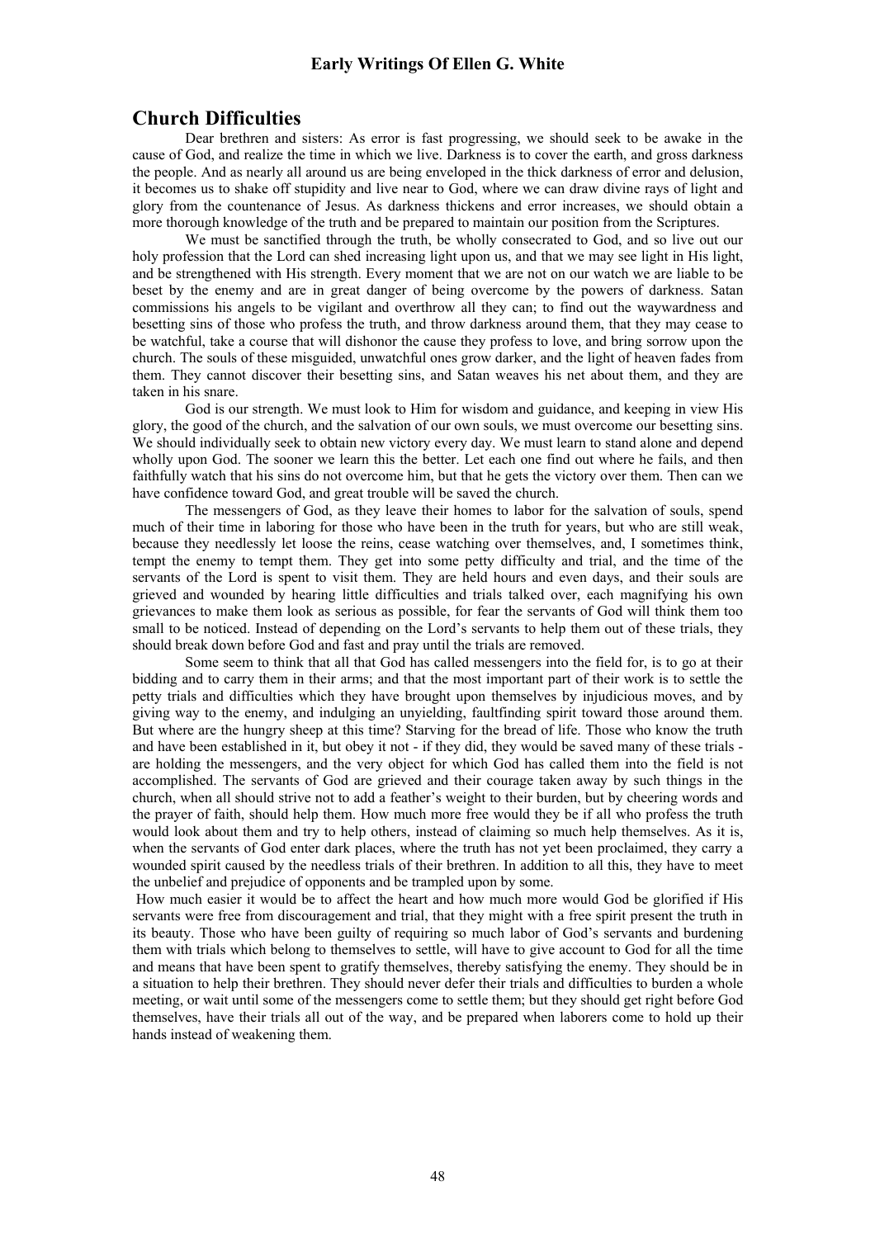# **Church Difficulties**

Dear brethren and sisters: As error is fast progressing, we should seek to be awake in the cause of God, and realize the time in which we live. Darkness is to cover the earth, and gross darkness the people. And as nearly all around us are being enveloped in the thick darkness of error and delusion, it becomes us to shake off stupidity and live near to God, where we can draw divine rays of light and glory from the countenance of Jesus. As darkness thickens and error increases, we should obtain a more thorough knowledge of the truth and be prepared to maintain our position from the Scriptures.

We must be sanctified through the truth, be wholly consecrated to God, and so live out our holy profession that the Lord can shed increasing light upon us, and that we may see light in His light, and be strengthened with His strength. Every moment that we are not on our watch we are liable to be beset by the enemy and are in great danger of being overcome by the powers of darkness. Satan commissions his angels to be vigilant and overthrow all they can; to find out the waywardness and besetting sins of those who profess the truth, and throw darkness around them, that they may cease to be watchful, take a course that will dishonor the cause they profess to love, and bring sorrow upon the church. The souls of these misguided, unwatchful ones grow darker, and the light of heaven fades from them. They cannot discover their besetting sins, and Satan weaves his net about them, and they are taken in his snare.

God is our strength. We must look to Him for wisdom and guidance, and keeping in view His glory, the good of the church, and the salvation of our own souls, we must overcome our besetting sins. We should individually seek to obtain new victory every day. We must learn to stand alone and depend wholly upon God. The sooner we learn this the better. Let each one find out where he fails, and then faithfully watch that his sins do not overcome him, but that he gets the victory over them. Then can we have confidence toward God, and great trouble will be saved the church.

The messengers of God, as they leave their homes to labor for the salvation of souls, spend much of their time in laboring for those who have been in the truth for years, but who are still weak, because they needlessly let loose the reins, cease watching over themselves, and, I sometimes think, tempt the enemy to tempt them. They get into some petty difficulty and trial, and the time of the servants of the Lord is spent to visit them. They are held hours and even days, and their souls are grieved and wounded by hearing little difficulties and trials talked over, each magnifying his own grievances to make them look as serious as possible, for fear the servants of God will think them too small to be noticed. Instead of depending on the Lord's servants to help them out of these trials, they should break down before God and fast and pray until the trials are removed.

Some seem to think that all that God has called messengers into the field for, is to go at their bidding and to carry them in their arms; and that the most important part of their work is to settle the petty trials and difficulties which they have brought upon themselves by injudicious moves, and by giving way to the enemy, and indulging an unyielding, faultfinding spirit toward those around them. But where are the hungry sheep at this time? Starving for the bread of life. Those who know the truth and have been established in it, but obey it not - if they did, they would be saved many of these trials are holding the messengers, and the very object for which God has called them into the field is not accomplished. The servants of God are grieved and their courage taken away by such things in the church, when all should strive not to add a feather's weight to their burden, but by cheering words and the prayer of faith, should help them. How much more free would they be if all who profess the truth would look about them and try to help others, instead of claiming so much help themselves. As it is, when the servants of God enter dark places, where the truth has not yet been proclaimed, they carry a wounded spirit caused by the needless trials of their brethren. In addition to all this, they have to meet the unbelief and prejudice of opponents and be trampled upon by some.

 How much easier it would be to affect the heart and how much more would God be glorified if His servants were free from discouragement and trial, that they might with a free spirit present the truth in its beauty. Those who have been guilty of requiring so much labor of God's servants and burdening them with trials which belong to themselves to settle, will have to give account to God for all the time and means that have been spent to gratify themselves, thereby satisfying the enemy. They should be in a situation to help their brethren. They should never defer their trials and difficulties to burden a whole meeting, or wait until some of the messengers come to settle them; but they should get right before God themselves, have their trials all out of the way, and be prepared when laborers come to hold up their hands instead of weakening them.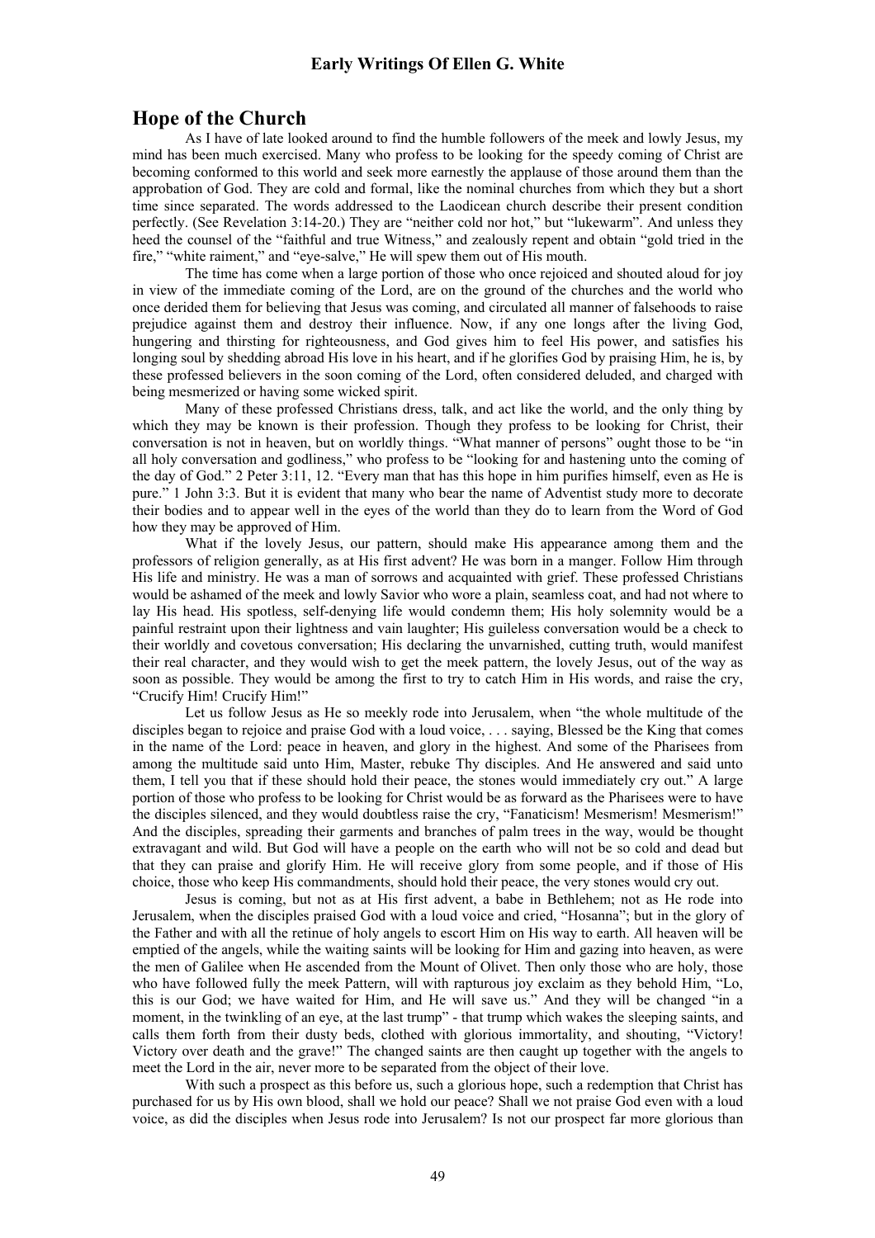# **Hope of the Church**

As I have of late looked around to find the humble followers of the meek and lowly Jesus, my mind has been much exercised. Many who profess to be looking for the speedy coming of Christ are becoming conformed to this world and seek more earnestly the applause of those around them than the approbation of God. They are cold and formal, like the nominal churches from which they but a short time since separated. The words addressed to the Laodicean church describe their present condition perfectly. (See Revelation 3:14-20.) They are "neither cold nor hot," but "lukewarm". And unless they heed the counsel of the "faithful and true Witness," and zealously repent and obtain "gold tried in the fire," "white raiment," and "eye-salve," He will spew them out of His mouth.

The time has come when a large portion of those who once rejoiced and shouted aloud for joy in view of the immediate coming of the Lord, are on the ground of the churches and the world who once derided them for believing that Jesus was coming, and circulated all manner of falsehoods to raise prejudice against them and destroy their influence. Now, if any one longs after the living God, hungering and thirsting for righteousness, and God gives him to feel His power, and satisfies his longing soul by shedding abroad His love in his heart, and if he glorifies God by praising Him, he is, by these professed believers in the soon coming of the Lord, often considered deluded, and charged with being mesmerized or having some wicked spirit.

Many of these professed Christians dress, talk, and act like the world, and the only thing by which they may be known is their profession. Though they profess to be looking for Christ, their conversation is not in heaven, but on worldly things. "What manner of persons" ought those to be "in all holy conversation and godliness," who profess to be "looking for and hastening unto the coming of the day of God." 2 Peter 3:11, 12. "Every man that has this hope in him purifies himself, even as He is pure." 1 John 3:3. But it is evident that many who bear the name of Adventist study more to decorate their bodies and to appear well in the eyes of the world than they do to learn from the Word of God how they may be approved of Him.

What if the lovely Jesus, our pattern, should make His appearance among them and the professors of religion generally, as at His first advent? He was born in a manger. Follow Him through His life and ministry. He was a man of sorrows and acquainted with grief. These professed Christians would be ashamed of the meek and lowly Savior who wore a plain, seamless coat, and had not where to lay His head. His spotless, self-denying life would condemn them; His holy solemnity would be a painful restraint upon their lightness and vain laughter; His guileless conversation would be a check to their worldly and covetous conversation; His declaring the unvarnished, cutting truth, would manifest their real character, and they would wish to get the meek pattern, the lovely Jesus, out of the way as soon as possible. They would be among the first to try to catch Him in His words, and raise the cry, "Crucify Him! Crucify Him!"

Let us follow Jesus as He so meekly rode into Jerusalem, when "the whole multitude of the disciples began to rejoice and praise God with a loud voice, . . . saying, Blessed be the King that comes in the name of the Lord: peace in heaven, and glory in the highest. And some of the Pharisees from among the multitude said unto Him, Master, rebuke Thy disciples. And He answered and said unto them, I tell you that if these should hold their peace, the stones would immediately cry out." A large portion of those who profess to be looking for Christ would be as forward as the Pharisees were to have the disciples silenced, and they would doubtless raise the cry, "Fanaticism! Mesmerism! Mesmerism!" And the disciples, spreading their garments and branches of palm trees in the way, would be thought extravagant and wild. But God will have a people on the earth who will not be so cold and dead but that they can praise and glorify Him. He will receive glory from some people, and if those of His choice, those who keep His commandments, should hold their peace, the very stones would cry out.

Jesus is coming, but not as at His first advent, a babe in Bethlehem; not as He rode into Jerusalem, when the disciples praised God with a loud voice and cried, "Hosanna"; but in the glory of the Father and with all the retinue of holy angels to escort Him on His way to earth. All heaven will be emptied of the angels, while the waiting saints will be looking for Him and gazing into heaven, as were the men of Galilee when He ascended from the Mount of Olivet. Then only those who are holy, those who have followed fully the meek Pattern, will with rapturous joy exclaim as they behold Him, "Lo, this is our God; we have waited for Him, and He will save us." And they will be changed "in a moment, in the twinkling of an eye, at the last trump" - that trump which wakes the sleeping saints, and calls them forth from their dusty beds, clothed with glorious immortality, and shouting, "Victory! Victory over death and the grave!" The changed saints are then caught up together with the angels to meet the Lord in the air, never more to be separated from the object of their love.

With such a prospect as this before us, such a glorious hope, such a redemption that Christ has purchased for us by His own blood, shall we hold our peace? Shall we not praise God even with a loud voice, as did the disciples when Jesus rode into Jerusalem? Is not our prospect far more glorious than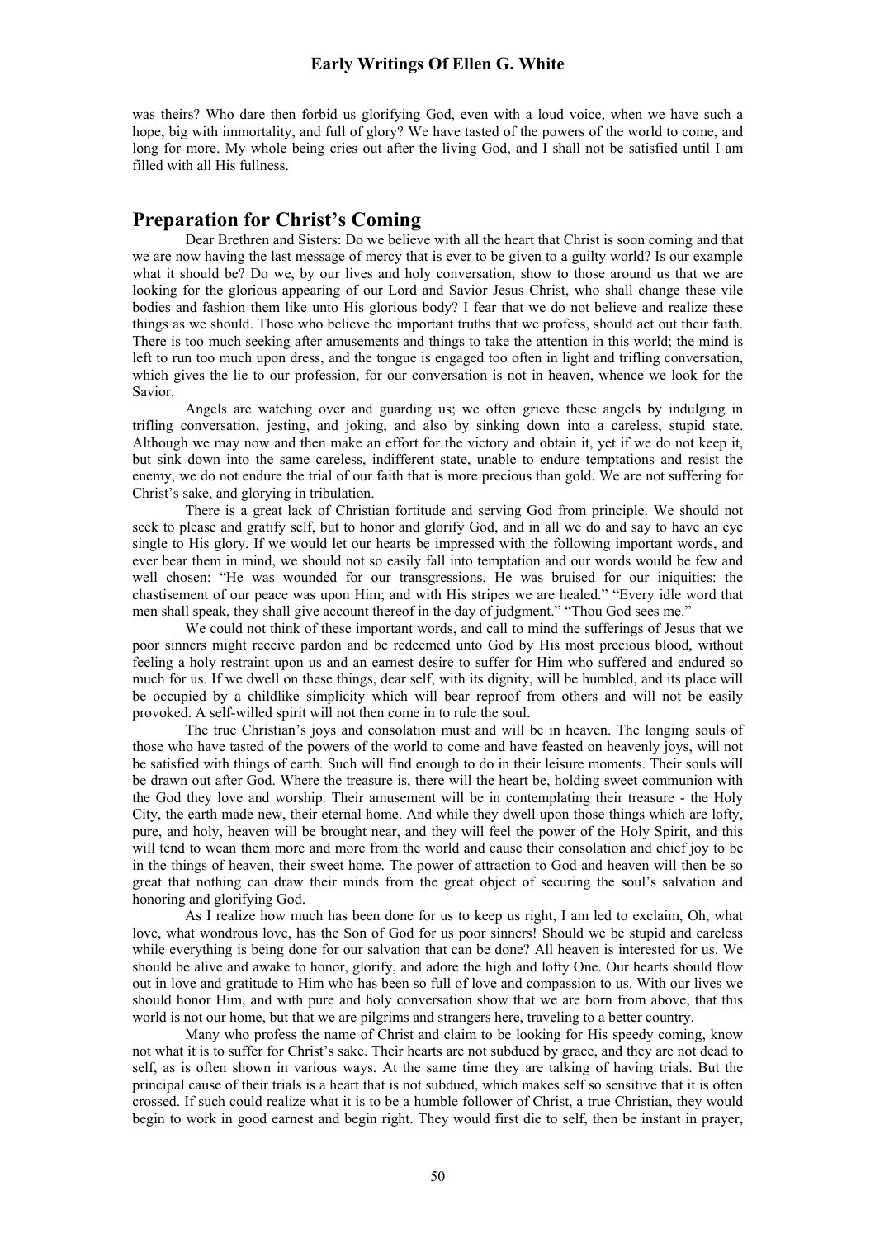was theirs? Who dare then forbid us glorifying God, even with a loud voice, when we have such a hope, big with immortality, and full of glory? We have tasted of the powers of the world to come, and long for more. My whole being cries out after the living God, and I shall not be satisfied until I am filled with all His fullness.

# **Preparation for Christ's Coming**

Dear Brethren and Sisters: Do we believe with all the heart that Christ is soon coming and that we are now having the last message of mercy that is ever to be given to a guilty world? Is our example what it should be? Do we, by our lives and holy conversation, show to those around us that we are looking for the glorious appearing of our Lord and Savior Jesus Christ, who shall change these vile bodies and fashion them like unto His glorious body? I fear that we do not believe and realize these things as we should. Those who believe the important truths that we profess, should act out their faith. There is too much seeking after amusements and things to take the attention in this world; the mind is left to run too much upon dress, and the tongue is engaged too often in light and trifling conversation, which gives the lie to our profession, for our conversation is not in heaven, whence we look for the Savior.

Angels are watching over and guarding us; we often grieve these angels by indulging in trifling conversation, jesting, and joking, and also by sinking down into a careless, stupid state. Although we may now and then make an effort for the victory and obtain it, yet if we do not keep it, but sink down into the same careless, indifferent state, unable to endure temptations and resist the enemy, we do not endure the trial of our faith that is more precious than gold. We are not suffering for Christ's sake, and glorying in tribulation.

There is a great lack of Christian fortitude and serving God from principle. We should not seek to please and gratify self, but to honor and glorify God, and in all we do and say to have an eye single to His glory. If we would let our hearts be impressed with the following important words, and ever bear them in mind, we should not so easily fall into temptation and our words would be few and well chosen: "He was wounded for our transgressions, He was bruised for our iniquities: the chastisement of our peace was upon Him; and with His stripes we are healed." "Every idle word that men shall speak, they shall give account thereof in the day of judgment." "Thou God sees me."

We could not think of these important words, and call to mind the sufferings of Jesus that we poor sinners might receive pardon and be redeemed unto God by His most precious blood, without feeling a holy restraint upon us and an earnest desire to suffer for Him who suffered and endured so much for us. If we dwell on these things, dear self, with its dignity, will be humbled, and its place will be occupied by a childlike simplicity which will bear reproof from others and will not be easily provoked. A self-willed spirit will not then come in to rule the soul.

The true Christian's joys and consolation must and will be in heaven. The longing souls of those who have tasted of the powers of the world to come and have feasted on heavenly joys, will not be satisfied with things of earth. Such will find enough to do in their leisure moments. Their souls will be drawn out after God. Where the treasure is, there will the heart be, holding sweet communion with the God they love and worship. Their amusement will be in contemplating their treasure - the Holy City, the earth made new, their eternal home. And while they dwell upon those things which are lofty, pure, and holy, heaven will be brought near, and they will feel the power of the Holy Spirit, and this will tend to wean them more and more from the world and cause their consolation and chief joy to be in the things of heaven, their sweet home. The power of attraction to God and heaven will then be so great that nothing can draw their minds from the great object of securing the soul's salvation and honoring and glorifying God.

As I realize how much has been done for us to keep us right, I am led to exclaim, Oh, what love, what wondrous love, has the Son of God for us poor sinners! Should we be stupid and careless while everything is being done for our salvation that can be done? All heaven is interested for us. We should be alive and awake to honor, glorify, and adore the high and lofty One. Our hearts should flow out in love and gratitude to Him who has been so full of love and compassion to us. With our lives we should honor Him, and with pure and holy conversation show that we are born from above, that this world is not our home, but that we are pilgrims and strangers here, traveling to a better country.

Many who profess the name of Christ and claim to be looking for His speedy coming, know not what it is to suffer for Christ's sake. Their hearts are not subdued by grace, and they are not dead to self, as is often shown in various ways. At the same time they are talking of having trials. But the principal cause of their trials is a heart that is not subdued, which makes self so sensitive that it is often crossed. If such could realize what it is to be a humble follower of Christ, a true Christian, they would begin to work in good earnest and begin right. They would first die to self, then be instant in prayer,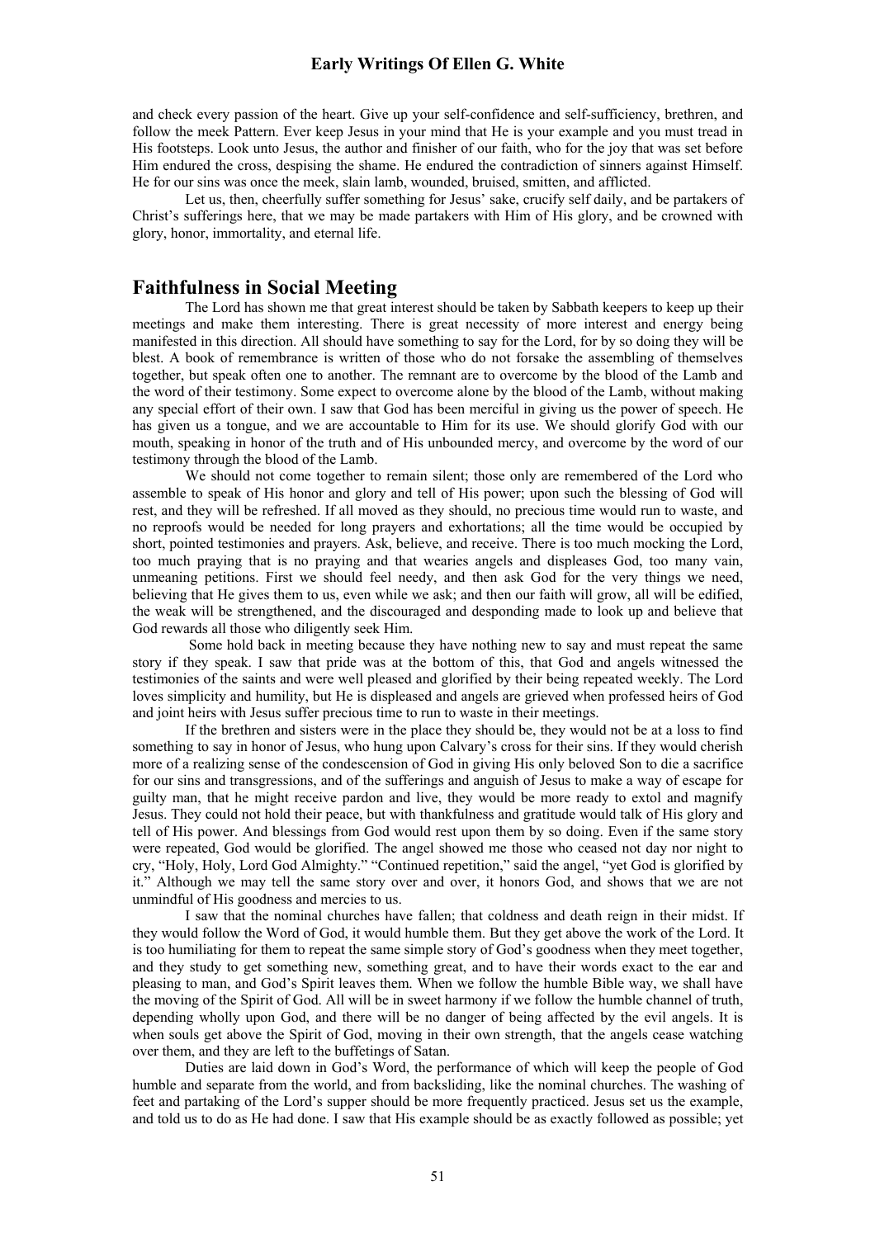and check every passion of the heart. Give up your self-confidence and self-sufficiency, brethren, and follow the meek Pattern. Ever keep Jesus in your mind that He is your example and you must tread in His footsteps. Look unto Jesus, the author and finisher of our faith, who for the joy that was set before Him endured the cross, despising the shame. He endured the contradiction of sinners against Himself. He for our sins was once the meek, slain lamb, wounded, bruised, smitten, and afflicted.

 Let us, then, cheerfully suffer something for Jesus' sake, crucify self daily, and be partakers of Christ's sufferings here, that we may be made partakers with Him of His glory, and be crowned with glory, honor, immortality, and eternal life.

# **Faithfulness in Social Meeting**

The Lord has shown me that great interest should be taken by Sabbath keepers to keep up their meetings and make them interesting. There is great necessity of more interest and energy being manifested in this direction. All should have something to say for the Lord, for by so doing they will be blest. A book of remembrance is written of those who do not forsake the assembling of themselves together, but speak often one to another. The remnant are to overcome by the blood of the Lamb and the word of their testimony. Some expect to overcome alone by the blood of the Lamb, without making any special effort of their own. I saw that God has been merciful in giving us the power of speech. He has given us a tongue, and we are accountable to Him for its use. We should glorify God with our mouth, speaking in honor of the truth and of His unbounded mercy, and overcome by the word of our testimony through the blood of the Lamb.

We should not come together to remain silent; those only are remembered of the Lord who assemble to speak of His honor and glory and tell of His power; upon such the blessing of God will rest, and they will be refreshed. If all moved as they should, no precious time would run to waste, and no reproofs would be needed for long prayers and exhortations; all the time would be occupied by short, pointed testimonies and prayers. Ask, believe, and receive. There is too much mocking the Lord, too much praying that is no praying and that wearies angels and displeases God, too many vain, unmeaning petitions. First we should feel needy, and then ask God for the very things we need, believing that He gives them to us, even while we ask; and then our faith will grow, all will be edified, the weak will be strengthened, and the discouraged and desponding made to look up and believe that God rewards all those who diligently seek Him.

 Some hold back in meeting because they have nothing new to say and must repeat the same story if they speak. I saw that pride was at the bottom of this, that God and angels witnessed the testimonies of the saints and were well pleased and glorified by their being repeated weekly. The Lord loves simplicity and humility, but He is displeased and angels are grieved when professed heirs of God and joint heirs with Jesus suffer precious time to run to waste in their meetings.

If the brethren and sisters were in the place they should be, they would not be at a loss to find something to say in honor of Jesus, who hung upon Calvary's cross for their sins. If they would cherish more of a realizing sense of the condescension of God in giving His only beloved Son to die a sacrifice for our sins and transgressions, and of the sufferings and anguish of Jesus to make a way of escape for guilty man, that he might receive pardon and live, they would be more ready to extol and magnify Jesus. They could not hold their peace, but with thankfulness and gratitude would talk of His glory and tell of His power. And blessings from God would rest upon them by so doing. Even if the same story were repeated, God would be glorified. The angel showed me those who ceased not day nor night to cry, "Holy, Holy, Lord God Almighty." "Continued repetition," said the angel, "yet God is glorified by it." Although we may tell the same story over and over, it honors God, and shows that we are not unmindful of His goodness and mercies to us.

I saw that the nominal churches have fallen; that coldness and death reign in their midst. If they would follow the Word of God, it would humble them. But they get above the work of the Lord. It is too humiliating for them to repeat the same simple story of God's goodness when they meet together, and they study to get something new, something great, and to have their words exact to the ear and pleasing to man, and God's Spirit leaves them. When we follow the humble Bible way, we shall have the moving of the Spirit of God. All will be in sweet harmony if we follow the humble channel of truth, depending wholly upon God, and there will be no danger of being affected by the evil angels. It is when souls get above the Spirit of God, moving in their own strength, that the angels cease watching over them, and they are left to the buffetings of Satan.

Duties are laid down in God's Word, the performance of which will keep the people of God humble and separate from the world, and from backsliding, like the nominal churches. The washing of feet and partaking of the Lord's supper should be more frequently practiced. Jesus set us the example, and told us to do as He had done. I saw that His example should be as exactly followed as possible; yet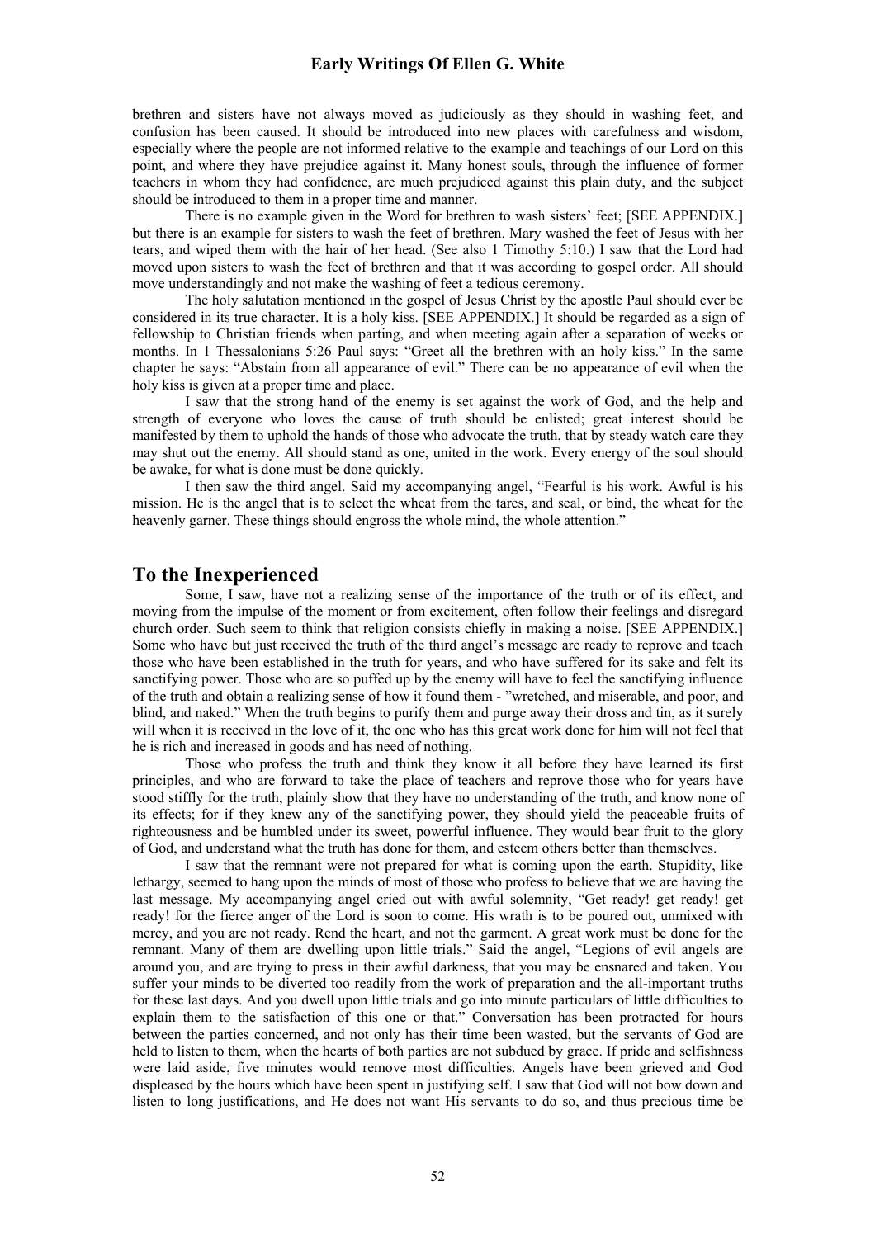brethren and sisters have not always moved as judiciously as they should in washing feet, and confusion has been caused. It should be introduced into new places with carefulness and wisdom, especially where the people are not informed relative to the example and teachings of our Lord on this point, and where they have prejudice against it. Many honest souls, through the influence of former teachers in whom they had confidence, are much prejudiced against this plain duty, and the subject should be introduced to them in a proper time and manner.

There is no example given in the Word for brethren to wash sisters' feet; [SEE APPENDIX.] but there is an example for sisters to wash the feet of brethren. Mary washed the feet of Jesus with her tears, and wiped them with the hair of her head. (See also 1 Timothy 5:10.) I saw that the Lord had moved upon sisters to wash the feet of brethren and that it was according to gospel order. All should move understandingly and not make the washing of feet a tedious ceremony.

The holy salutation mentioned in the gospel of Jesus Christ by the apostle Paul should ever be considered in its true character. It is a holy kiss. [SEE APPENDIX.] It should be regarded as a sign of fellowship to Christian friends when parting, and when meeting again after a separation of weeks or months. In 1 Thessalonians 5:26 Paul says: "Greet all the brethren with an holy kiss." In the same chapter he says: "Abstain from all appearance of evil." There can be no appearance of evil when the holy kiss is given at a proper time and place.

I saw that the strong hand of the enemy is set against the work of God, and the help and strength of everyone who loves the cause of truth should be enlisted; great interest should be manifested by them to uphold the hands of those who advocate the truth, that by steady watch care they may shut out the enemy. All should stand as one, united in the work. Every energy of the soul should be awake, for what is done must be done quickly.

I then saw the third angel. Said my accompanying angel, "Fearful is his work. Awful is his mission. He is the angel that is to select the wheat from the tares, and seal, or bind, the wheat for the heavenly garner. These things should engross the whole mind, the whole attention."

# **To the Inexperienced**

Some, I saw, have not a realizing sense of the importance of the truth or of its effect, and moving from the impulse of the moment or from excitement, often follow their feelings and disregard church order. Such seem to think that religion consists chiefly in making a noise. [SEE APPENDIX.] Some who have but just received the truth of the third angel's message are ready to reprove and teach those who have been established in the truth for years, and who have suffered for its sake and felt its sanctifying power. Those who are so puffed up by the enemy will have to feel the sanctifying influence of the truth and obtain a realizing sense of how it found them - "wretched, and miserable, and poor, and blind, and naked." When the truth begins to purify them and purge away their dross and tin, as it surely will when it is received in the love of it, the one who has this great work done for him will not feel that he is rich and increased in goods and has need of nothing.

Those who profess the truth and think they know it all before they have learned its first principles, and who are forward to take the place of teachers and reprove those who for years have stood stiffly for the truth, plainly show that they have no understanding of the truth, and know none of its effects; for if they knew any of the sanctifying power, they should yield the peaceable fruits of righteousness and be humbled under its sweet, powerful influence. They would bear fruit to the glory of God, and understand what the truth has done for them, and esteem others better than themselves.

I saw that the remnant were not prepared for what is coming upon the earth. Stupidity, like lethargy, seemed to hang upon the minds of most of those who profess to believe that we are having the last message. My accompanying angel cried out with awful solemnity, "Get ready! get ready! get ready! for the fierce anger of the Lord is soon to come. His wrath is to be poured out, unmixed with mercy, and you are not ready. Rend the heart, and not the garment. A great work must be done for the remnant. Many of them are dwelling upon little trials." Said the angel, "Legions of evil angels are around you, and are trying to press in their awful darkness, that you may be ensnared and taken. You suffer your minds to be diverted too readily from the work of preparation and the all-important truths for these last days. And you dwell upon little trials and go into minute particulars of little difficulties to explain them to the satisfaction of this one or that." Conversation has been protracted for hours between the parties concerned, and not only has their time been wasted, but the servants of God are held to listen to them, when the hearts of both parties are not subdued by grace. If pride and selfishness were laid aside, five minutes would remove most difficulties. Angels have been grieved and God displeased by the hours which have been spent in justifying self. I saw that God will not bow down and listen to long justifications, and He does not want His servants to do so, and thus precious time be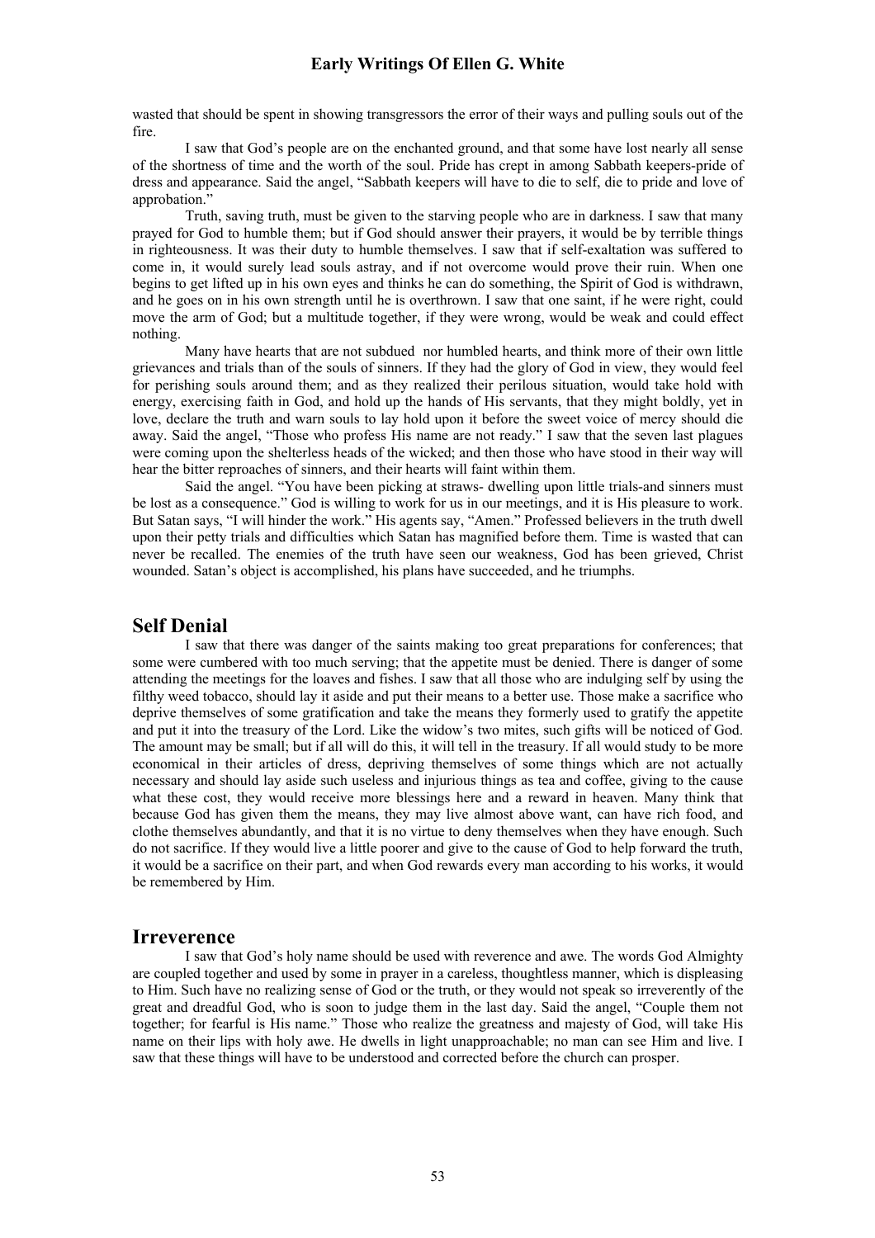wasted that should be spent in showing transgressors the error of their ways and pulling souls out of the fire.

I saw that God's people are on the enchanted ground, and that some have lost nearly all sense of the shortness of time and the worth of the soul. Pride has crept in among Sabbath keepers-pride of dress and appearance. Said the angel, "Sabbath keepers will have to die to self, die to pride and love of approbation."

Truth, saving truth, must be given to the starving people who are in darkness. I saw that many prayed for God to humble them; but if God should answer their prayers, it would be by terrible things in righteousness. It was their duty to humble themselves. I saw that if self-exaltation was suffered to come in, it would surely lead souls astray, and if not overcome would prove their ruin. When one begins to get lifted up in his own eyes and thinks he can do something, the Spirit of God is withdrawn, and he goes on in his own strength until he is overthrown. I saw that one saint, if he were right, could move the arm of God; but a multitude together, if they were wrong, would be weak and could effect nothing.

Many have hearts that are not subdued nor humbled hearts, and think more of their own little grievances and trials than of the souls of sinners. If they had the glory of God in view, they would feel for perishing souls around them; and as they realized their perilous situation, would take hold with energy, exercising faith in God, and hold up the hands of His servants, that they might boldly, yet in love, declare the truth and warn souls to lay hold upon it before the sweet voice of mercy should die away. Said the angel, "Those who profess His name are not ready." I saw that the seven last plagues were coming upon the shelterless heads of the wicked; and then those who have stood in their way will hear the bitter reproaches of sinners, and their hearts will faint within them.

Said the angel. "You have been picking at straws- dwelling upon little trials-and sinners must be lost as a consequence." God is willing to work for us in our meetings, and it is His pleasure to work. But Satan says, "I will hinder the work." His agents say, "Amen." Professed believers in the truth dwell upon their petty trials and difficulties which Satan has magnified before them. Time is wasted that can never be recalled. The enemies of the truth have seen our weakness, God has been grieved, Christ wounded. Satan's object is accomplished, his plans have succeeded, and he triumphs.

# **Self Denial**

I saw that there was danger of the saints making too great preparations for conferences; that some were cumbered with too much serving; that the appetite must be denied. There is danger of some attending the meetings for the loaves and fishes. I saw that all those who are indulging self by using the filthy weed tobacco, should lay it aside and put their means to a better use. Those make a sacrifice who deprive themselves of some gratification and take the means they formerly used to gratify the appetite and put it into the treasury of the Lord. Like the widow's two mites, such gifts will be noticed of God. The amount may be small; but if all will do this, it will tell in the treasury. If all would study to be more economical in their articles of dress, depriving themselves of some things which are not actually necessary and should lay aside such useless and injurious things as tea and coffee, giving to the cause what these cost, they would receive more blessings here and a reward in heaven. Many think that because God has given them the means, they may live almost above want, can have rich food, and clothe themselves abundantly, and that it is no virtue to deny themselves when they have enough. Such do not sacrifice. If they would live a little poorer and give to the cause of God to help forward the truth, it would be a sacrifice on their part, and when God rewards every man according to his works, it would be remembered by Him.

#### **Irreverence**

I saw that God's holy name should be used with reverence and awe. The words God Almighty are coupled together and used by some in prayer in a careless, thoughtless manner, which is displeasing to Him. Such have no realizing sense of God or the truth, or they would not speak so irreverently of the great and dreadful God, who is soon to judge them in the last day. Said the angel, "Couple them not together; for fearful is His name." Those who realize the greatness and majesty of God, will take His name on their lips with holy awe. He dwells in light unapproachable; no man can see Him and live. I saw that these things will have to be understood and corrected before the church can prosper.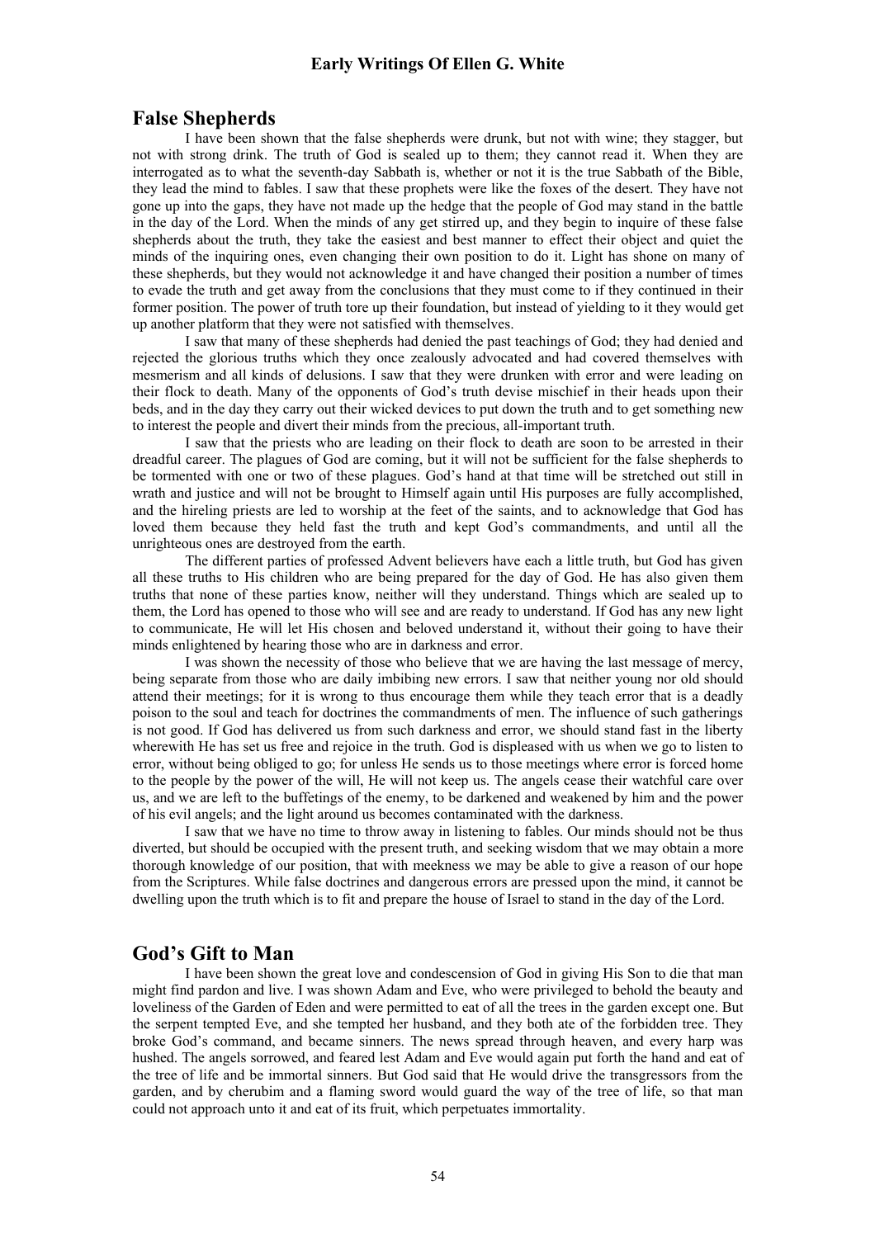# **False Shepherds**

I have been shown that the false shepherds were drunk, but not with wine; they stagger, but not with strong drink. The truth of God is sealed up to them; they cannot read it. When they are interrogated as to what the seventh-day Sabbath is, whether or not it is the true Sabbath of the Bible, they lead the mind to fables. I saw that these prophets were like the foxes of the desert. They have not gone up into the gaps, they have not made up the hedge that the people of God may stand in the battle in the day of the Lord. When the minds of any get stirred up, and they begin to inquire of these false shepherds about the truth, they take the easiest and best manner to effect their object and quiet the minds of the inquiring ones, even changing their own position to do it. Light has shone on many of these shepherds, but they would not acknowledge it and have changed their position a number of times to evade the truth and get away from the conclusions that they must come to if they continued in their former position. The power of truth tore up their foundation, but instead of yielding to it they would get up another platform that they were not satisfied with themselves.

I saw that many of these shepherds had denied the past teachings of God; they had denied and rejected the glorious truths which they once zealously advocated and had covered themselves with mesmerism and all kinds of delusions. I saw that they were drunken with error and were leading on their flock to death. Many of the opponents of God's truth devise mischief in their heads upon their beds, and in the day they carry out their wicked devices to put down the truth and to get something new to interest the people and divert their minds from the precious, all-important truth.

I saw that the priests who are leading on their flock to death are soon to be arrested in their dreadful career. The plagues of God are coming, but it will not be sufficient for the false shepherds to be tormented with one or two of these plagues. God's hand at that time will be stretched out still in wrath and justice and will not be brought to Himself again until His purposes are fully accomplished, and the hireling priests are led to worship at the feet of the saints, and to acknowledge that God has loved them because they held fast the truth and kept God's commandments, and until all the unrighteous ones are destroyed from the earth.

The different parties of professed Advent believers have each a little truth, but God has given all these truths to His children who are being prepared for the day of God. He has also given them truths that none of these parties know, neither will they understand. Things which are sealed up to them, the Lord has opened to those who will see and are ready to understand. If God has any new light to communicate, He will let His chosen and beloved understand it, without their going to have their minds enlightened by hearing those who are in darkness and error.

I was shown the necessity of those who believe that we are having the last message of mercy, being separate from those who are daily imbibing new errors. I saw that neither young nor old should attend their meetings; for it is wrong to thus encourage them while they teach error that is a deadly poison to the soul and teach for doctrines the commandments of men. The influence of such gatherings is not good. If God has delivered us from such darkness and error, we should stand fast in the liberty wherewith He has set us free and rejoice in the truth. God is displeased with us when we go to listen to error, without being obliged to go; for unless He sends us to those meetings where error is forced home to the people by the power of the will, He will not keep us. The angels cease their watchful care over us, and we are left to the buffetings of the enemy, to be darkened and weakened by him and the power of his evil angels; and the light around us becomes contaminated with the darkness.

I saw that we have no time to throw away in listening to fables. Our minds should not be thus diverted, but should be occupied with the present truth, and seeking wisdom that we may obtain a more thorough knowledge of our position, that with meekness we may be able to give a reason of our hope from the Scriptures. While false doctrines and dangerous errors are pressed upon the mind, it cannot be dwelling upon the truth which is to fit and prepare the house of Israel to stand in the day of the Lord.

# **God's Gift to Man**

I have been shown the great love and condescension of God in giving His Son to die that man might find pardon and live. I was shown Adam and Eve, who were privileged to behold the beauty and loveliness of the Garden of Eden and were permitted to eat of all the trees in the garden except one. But the serpent tempted Eve, and she tempted her husband, and they both ate of the forbidden tree. They broke God's command, and became sinners. The news spread through heaven, and every harp was hushed. The angels sorrowed, and feared lest Adam and Eve would again put forth the hand and eat of the tree of life and be immortal sinners. But God said that He would drive the transgressors from the garden, and by cherubim and a flaming sword would guard the way of the tree of life, so that man could not approach unto it and eat of its fruit, which perpetuates immortality.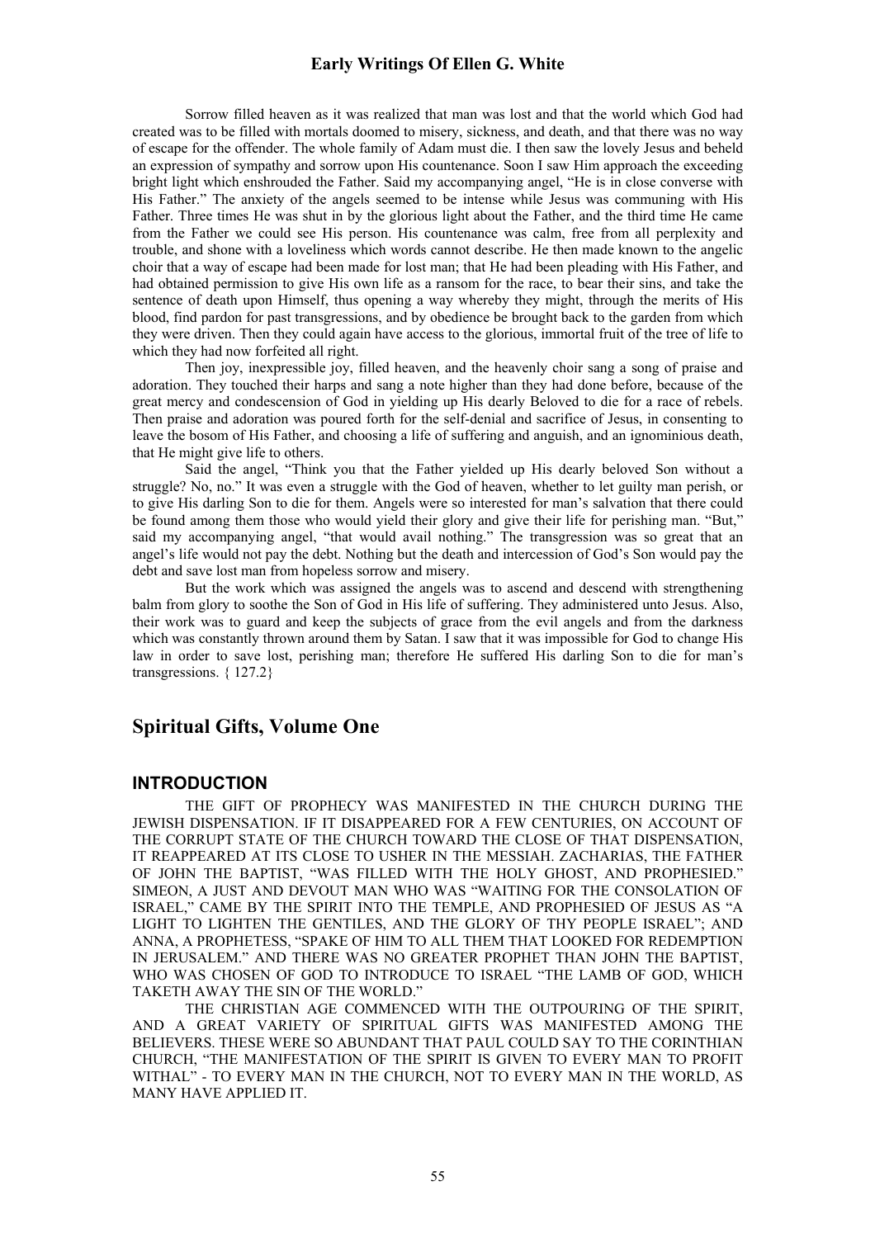Sorrow filled heaven as it was realized that man was lost and that the world which God had created was to be filled with mortals doomed to misery, sickness, and death, and that there was no way of escape for the offender. The whole family of Adam must die. I then saw the lovely Jesus and beheld an expression of sympathy and sorrow upon His countenance. Soon I saw Him approach the exceeding bright light which enshrouded the Father. Said my accompanying angel, "He is in close converse with His Father." The anxiety of the angels seemed to be intense while Jesus was communing with His Father. Three times He was shut in by the glorious light about the Father, and the third time He came from the Father we could see His person. His countenance was calm, free from all perplexity and trouble, and shone with a loveliness which words cannot describe. He then made known to the angelic choir that a way of escape had been made for lost man; that He had been pleading with His Father, and had obtained permission to give His own life as a ransom for the race, to bear their sins, and take the sentence of death upon Himself, thus opening a way whereby they might, through the merits of His blood, find pardon for past transgressions, and by obedience be brought back to the garden from which they were driven. Then they could again have access to the glorious, immortal fruit of the tree of life to which they had now forfeited all right.

Then joy, inexpressible joy, filled heaven, and the heavenly choir sang a song of praise and adoration. They touched their harps and sang a note higher than they had done before, because of the great mercy and condescension of God in yielding up His dearly Beloved to die for a race of rebels. Then praise and adoration was poured forth for the self-denial and sacrifice of Jesus, in consenting to leave the bosom of His Father, and choosing a life of suffering and anguish, and an ignominious death, that He might give life to others.

Said the angel, "Think you that the Father yielded up His dearly beloved Son without a struggle? No, no." It was even a struggle with the God of heaven, whether to let guilty man perish, or to give His darling Son to die for them. Angels were so interested for man's salvation that there could be found among them those who would yield their glory and give their life for perishing man. "But," said my accompanying angel, "that would avail nothing." The transgression was so great that an angel's life would not pay the debt. Nothing but the death and intercession of God's Son would pay the debt and save lost man from hopeless sorrow and misery.

But the work which was assigned the angels was to ascend and descend with strengthening balm from glory to soothe the Son of God in His life of suffering. They administered unto Jesus. Also, their work was to guard and keep the subjects of grace from the evil angels and from the darkness which was constantly thrown around them by Satan. I saw that it was impossible for God to change His law in order to save lost, perishing man; therefore He suffered His darling Son to die for man's transgressions. { 127.2}

# **Spiritual Gifts, Volume One**

## **INTRODUCTION**

THE GIFT OF PROPHECY WAS MANIFESTED IN THE CHURCH DURING THE JEWISH DISPENSATION. IF IT DISAPPEARED FOR A FEW CENTURIES, ON ACCOUNT OF THE CORRUPT STATE OF THE CHURCH TOWARD THE CLOSE OF THAT DISPENSATION, IT REAPPEARED AT ITS CLOSE TO USHER IN THE MESSIAH. ZACHARIAS, THE FATHER OF JOHN THE BAPTIST, "WAS FILLED WITH THE HOLY GHOST, AND PROPHESIED." SIMEON, A JUST AND DEVOUT MAN WHO WAS "WAITING FOR THE CONSOLATION OF ISRAEL," CAME BY THE SPIRIT INTO THE TEMPLE, AND PROPHESIED OF JESUS AS "A LIGHT TO LIGHTEN THE GENTILES, AND THE GLORY OF THY PEOPLE ISRAEL"; AND ANNA, A PROPHETESS, "SPAKE OF HIM TO ALL THEM THAT LOOKED FOR REDEMPTION IN JERUSALEM." AND THERE WAS NO GREATER PROPHET THAN JOHN THE BAPTIST, WHO WAS CHOSEN OF GOD TO INTRODUCE TO ISRAEL "THE LAMB OF GOD, WHICH TAKETH AWAY THE SIN OF THE WORLD."

THE CHRISTIAN AGE COMMENCED WITH THE OUTPOURING OF THE SPIRIT, AND A GREAT VARIETY OF SPIRITUAL GIFTS WAS MANIFESTED AMONG THE BELIEVERS. THESE WERE SO ABUNDANT THAT PAUL COULD SAY TO THE CORINTHIAN CHURCH, "THE MANIFESTATION OF THE SPIRIT IS GIVEN TO EVERY MAN TO PROFIT WITHAL" - TO EVERY MAN IN THE CHURCH, NOT TO EVERY MAN IN THE WORLD, AS MANY HAVE APPLIED IT.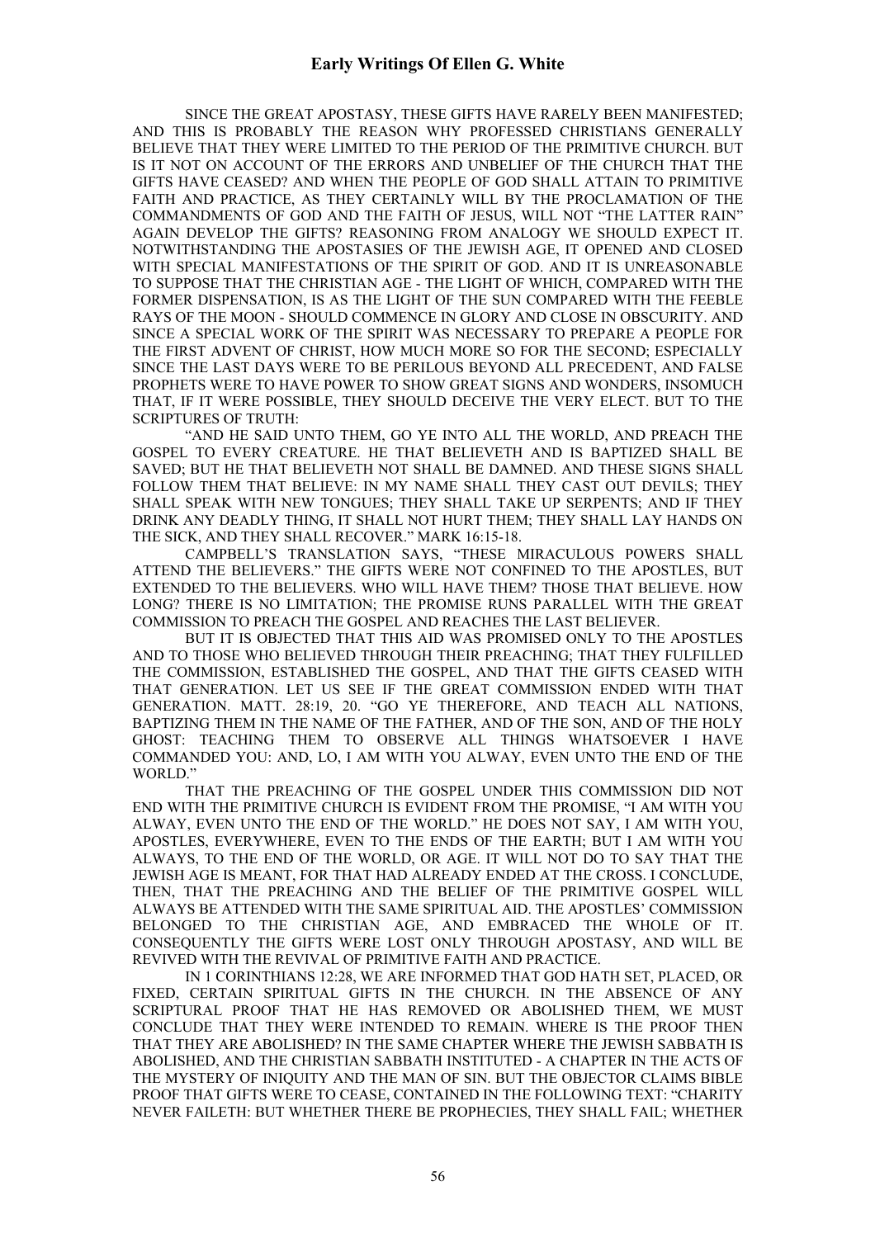SINCE THE GREAT APOSTASY, THESE GIFTS HAVE RARELY BEEN MANIFESTED; AND THIS IS PROBABLY THE REASON WHY PROFESSED CHRISTIANS GENERALLY BELIEVE THAT THEY WERE LIMITED TO THE PERIOD OF THE PRIMITIVE CHURCH. BUT IS IT NOT ON ACCOUNT OF THE ERRORS AND UNBELIEF OF THE CHURCH THAT THE GIFTS HAVE CEASED? AND WHEN THE PEOPLE OF GOD SHALL ATTAIN TO PRIMITIVE FAITH AND PRACTICE, AS THEY CERTAINLY WILL BY THE PROCLAMATION OF THE COMMANDMENTS OF GOD AND THE FAITH OF JESUS, WILL NOT "THE LATTER RAIN" AGAIN DEVELOP THE GIFTS? REASONING FROM ANALOGY WE SHOULD EXPECT IT. NOTWITHSTANDING THE APOSTASIES OF THE JEWISH AGE, IT OPENED AND CLOSED WITH SPECIAL MANIFESTATIONS OF THE SPIRIT OF GOD. AND IT IS UNREASONABLE TO SUPPOSE THAT THE CHRISTIAN AGE - THE LIGHT OF WHICH, COMPARED WITH THE FORMER DISPENSATION, IS AS THE LIGHT OF THE SUN COMPARED WITH THE FEEBLE RAYS OF THE MOON - SHOULD COMMENCE IN GLORY AND CLOSE IN OBSCURITY. AND SINCE A SPECIAL WORK OF THE SPIRIT WAS NECESSARY TO PREPARE A PEOPLE FOR THE FIRST ADVENT OF CHRIST, HOW MUCH MORE SO FOR THE SECOND; ESPECIALLY SINCE THE LAST DAYS WERE TO BE PERILOUS BEYOND ALL PRECEDENT, AND FALSE PROPHETS WERE TO HAVE POWER TO SHOW GREAT SIGNS AND WONDERS, INSOMUCH THAT, IF IT WERE POSSIBLE, THEY SHOULD DECEIVE THE VERY ELECT. BUT TO THE SCRIPTURES OF TRUTH:

"AND HE SAID UNTO THEM, GO YE INTO ALL THE WORLD, AND PREACH THE GOSPEL TO EVERY CREATURE. HE THAT BELIEVETH AND IS BAPTIZED SHALL BE SAVED; BUT HE THAT BELIEVETH NOT SHALL BE DAMNED. AND THESE SIGNS SHALL FOLLOW THEM THAT BELIEVE: IN MY NAME SHALL THEY CAST OUT DEVILS; THEY SHALL SPEAK WITH NEW TONGUES; THEY SHALL TAKE UP SERPENTS; AND IF THEY DRINK ANY DEADLY THING, IT SHALL NOT HURT THEM; THEY SHALL LAY HANDS ON THE SICK, AND THEY SHALL RECOVER." MARK 16:15-18.

CAMPBELL'S TRANSLATION SAYS, "THESE MIRACULOUS POWERS SHALL ATTEND THE BELIEVERS." THE GIFTS WERE NOT CONFINED TO THE APOSTLES, BUT EXTENDED TO THE BELIEVERS. WHO WILL HAVE THEM? THOSE THAT BELIEVE. HOW LONG? THERE IS NO LIMITATION; THE PROMISE RUNS PARALLEL WITH THE GREAT COMMISSION TO PREACH THE GOSPEL AND REACHES THE LAST BELIEVER.

BUT IT IS OBJECTED THAT THIS AID WAS PROMISED ONLY TO THE APOSTLES AND TO THOSE WHO BELIEVED THROUGH THEIR PREACHING; THAT THEY FULFILLED THE COMMISSION, ESTABLISHED THE GOSPEL, AND THAT THE GIFTS CEASED WITH THAT GENERATION. LET US SEE IF THE GREAT COMMISSION ENDED WITH THAT GENERATION. MATT. 28:19, 20. "GO YE THEREFORE, AND TEACH ALL NATIONS, BAPTIZING THEM IN THE NAME OF THE FATHER, AND OF THE SON, AND OF THE HOLY GHOST: TEACHING THEM TO OBSERVE ALL THINGS WHATSOEVER I HAVE COMMANDED YOU: AND, LO, I AM WITH YOU ALWAY, EVEN UNTO THE END OF THE WORLD<sup>"</sup>

THAT THE PREACHING OF THE GOSPEL UNDER THIS COMMISSION DID NOT END WITH THE PRIMITIVE CHURCH IS EVIDENT FROM THE PROMISE, "I AM WITH YOU ALWAY, EVEN UNTO THE END OF THE WORLD." HE DOES NOT SAY, I AM WITH YOU, APOSTLES, EVERYWHERE, EVEN TO THE ENDS OF THE EARTH; BUT I AM WITH YOU ALWAYS, TO THE END OF THE WORLD, OR AGE. IT WILL NOT DO TO SAY THAT THE JEWISH AGE IS MEANT, FOR THAT HAD ALREADY ENDED AT THE CROSS. I CONCLUDE, THEN, THAT THE PREACHING AND THE BELIEF OF THE PRIMITIVE GOSPEL WILL ALWAYS BE ATTENDED WITH THE SAME SPIRITUAL AID. THE APOSTLES' COMMISSION BELONGED TO THE CHRISTIAN AGE, AND EMBRACED THE WHOLE OF IT. CONSEQUENTLY THE GIFTS WERE LOST ONLY THROUGH APOSTASY, AND WILL BE REVIVED WITH THE REVIVAL OF PRIMITIVE FAITH AND PRACTICE.

IN 1 CORINTHIANS 12:28, WE ARE INFORMED THAT GOD HATH SET, PLACED, OR FIXED, CERTAIN SPIRITUAL GIFTS IN THE CHURCH. IN THE ABSENCE OF ANY SCRIPTURAL PROOF THAT HE HAS REMOVED OR ABOLISHED THEM, WE MUST CONCLUDE THAT THEY WERE INTENDED TO REMAIN. WHERE IS THE PROOF THEN THAT THEY ARE ABOLISHED? IN THE SAME CHAPTER WHERE THE JEWISH SABBATH IS ABOLISHED, AND THE CHRISTIAN SABBATH INSTITUTED - A CHAPTER IN THE ACTS OF THE MYSTERY OF INIQUITY AND THE MAN OF SIN. BUT THE OBJECTOR CLAIMS BIBLE PROOF THAT GIFTS WERE TO CEASE, CONTAINED IN THE FOLLOWING TEXT: "CHARITY NEVER FAILETH: BUT WHETHER THERE BE PROPHECIES, THEY SHALL FAIL; WHETHER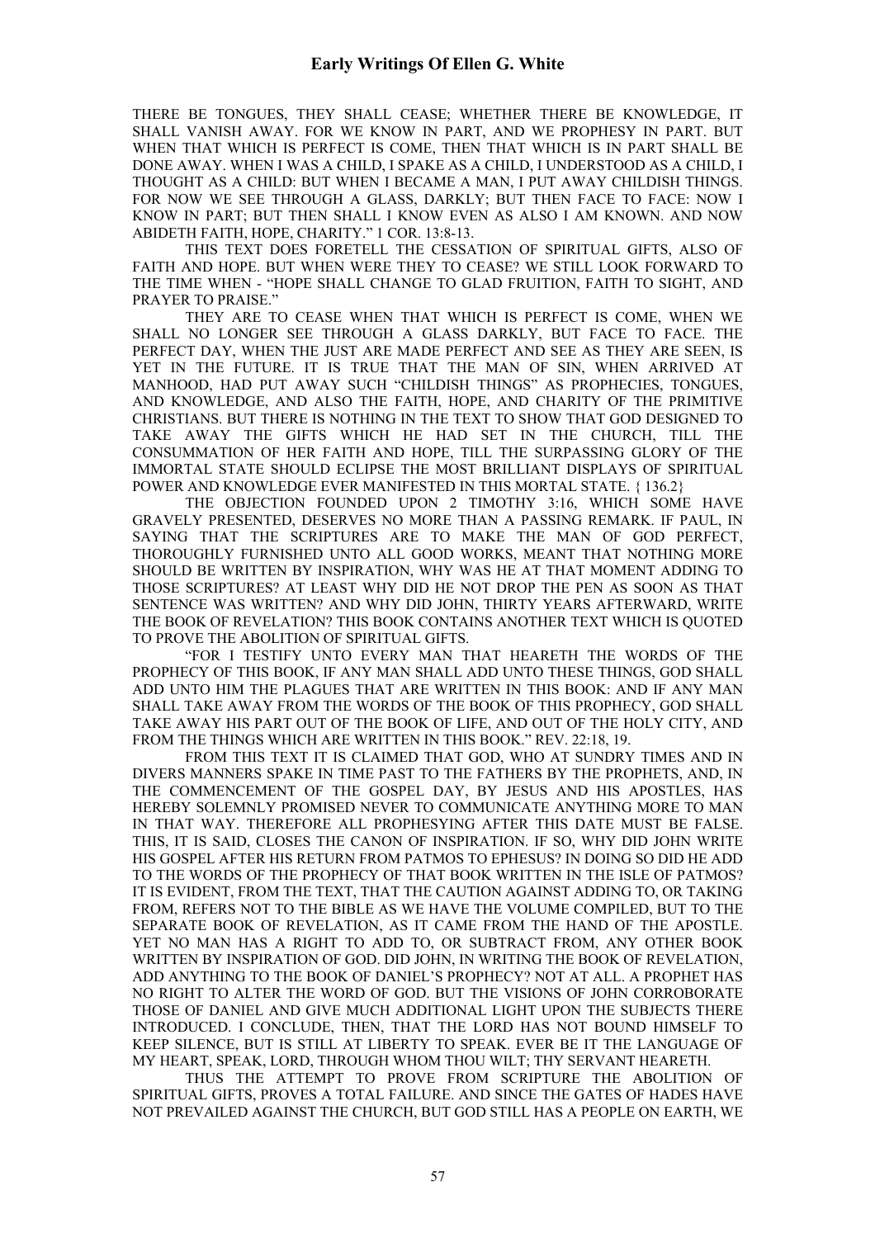THERE BE TONGUES, THEY SHALL CEASE; WHETHER THERE BE KNOWLEDGE, IT SHALL VANISH AWAY. FOR WE KNOW IN PART, AND WE PROPHESY IN PART. BUT WHEN THAT WHICH IS PERFECT IS COME, THEN THAT WHICH IS IN PART SHALL BE DONE AWAY. WHEN I WAS A CHILD, I SPAKE AS A CHILD, I UNDERSTOOD AS A CHILD, I THOUGHT AS A CHILD: BUT WHEN I BECAME A MAN, I PUT AWAY CHILDISH THINGS. FOR NOW WE SEE THROUGH A GLASS, DARKLY; BUT THEN FACE TO FACE: NOW I KNOW IN PART; BUT THEN SHALL I KNOW EVEN AS ALSO I AM KNOWN. AND NOW ABIDETH FAITH, HOPE, CHARITY." 1 COR. 13:8-13.

THIS TEXT DOES FORETELL THE CESSATION OF SPIRITUAL GIFTS, ALSO OF FAITH AND HOPE. BUT WHEN WERE THEY TO CEASE? WE STILL LOOK FORWARD TO THE TIME WHEN - "HOPE SHALL CHANGE TO GLAD FRUITION, FAITH TO SIGHT, AND PRAYER TO PRAISE."

THEY ARE TO CEASE WHEN THAT WHICH IS PERFECT IS COME, WHEN WE SHALL NO LONGER SEE THROUGH A GLASS DARKLY, BUT FACE TO FACE. THE PERFECT DAY, WHEN THE JUST ARE MADE PERFECT AND SEE AS THEY ARE SEEN, IS YET IN THE FUTURE. IT IS TRUE THAT THE MAN OF SIN, WHEN ARRIVED AT MANHOOD, HAD PUT AWAY SUCH "CHILDISH THINGS" AS PROPHECIES, TONGUES, AND KNOWLEDGE, AND ALSO THE FAITH, HOPE, AND CHARITY OF THE PRIMITIVE CHRISTIANS. BUT THERE IS NOTHING IN THE TEXT TO SHOW THAT GOD DESIGNED TO TAKE AWAY THE GIFTS WHICH HE HAD SET IN THE CHURCH, TILL THE CONSUMMATION OF HER FAITH AND HOPE, TILL THE SURPASSING GLORY OF THE IMMORTAL STATE SHOULD ECLIPSE THE MOST BRILLIANT DISPLAYS OF SPIRITUAL POWER AND KNOWLEDGE EVER MANIFESTED IN THIS MORTAL STATE. { 136.2}

THE OBJECTION FOUNDED UPON 2 TIMOTHY 3:16, WHICH SOME HAVE GRAVELY PRESENTED, DESERVES NO MORE THAN A PASSING REMARK. IF PAUL, IN SAYING THAT THE SCRIPTURES ARE TO MAKE THE MAN OF GOD PERFECT, THOROUGHLY FURNISHED UNTO ALL GOOD WORKS, MEANT THAT NOTHING MORE SHOULD BE WRITTEN BY INSPIRATION, WHY WAS HE AT THAT MOMENT ADDING TO THOSE SCRIPTURES? AT LEAST WHY DID HE NOT DROP THE PEN AS SOON AS THAT SENTENCE WAS WRITTEN? AND WHY DID JOHN, THIRTY YEARS AFTERWARD, WRITE THE BOOK OF REVELATION? THIS BOOK CONTAINS ANOTHER TEXT WHICH IS QUOTED TO PROVE THE ABOLITION OF SPIRITUAL GIFTS.

"FOR I TESTIFY UNTO EVERY MAN THAT HEARETH THE WORDS OF THE PROPHECY OF THIS BOOK, IF ANY MAN SHALL ADD UNTO THESE THINGS, GOD SHALL ADD UNTO HIM THE PLAGUES THAT ARE WRITTEN IN THIS BOOK: AND IF ANY MAN SHALL TAKE AWAY FROM THE WORDS OF THE BOOK OF THIS PROPHECY, GOD SHALL TAKE AWAY HIS PART OUT OF THE BOOK OF LIFE, AND OUT OF THE HOLY CITY, AND FROM THE THINGS WHICH ARE WRITTEN IN THIS BOOK." REV. 22:18, 19.

FROM THIS TEXT IT IS CLAIMED THAT GOD, WHO AT SUNDRY TIMES AND IN DIVERS MANNERS SPAKE IN TIME PAST TO THE FATHERS BY THE PROPHETS, AND, IN THE COMMENCEMENT OF THE GOSPEL DAY, BY JESUS AND HIS APOSTLES, HAS HEREBY SOLEMNLY PROMISED NEVER TO COMMUNICATE ANYTHING MORE TO MAN IN THAT WAY. THEREFORE ALL PROPHESYING AFTER THIS DATE MUST BE FALSE. THIS, IT IS SAID, CLOSES THE CANON OF INSPIRATION. IF SO, WHY DID JOHN WRITE HIS GOSPEL AFTER HIS RETURN FROM PATMOS TO EPHESUS? IN DOING SO DID HE ADD TO THE WORDS OF THE PROPHECY OF THAT BOOK WRITTEN IN THE ISLE OF PATMOS? IT IS EVIDENT, FROM THE TEXT, THAT THE CAUTION AGAINST ADDING TO, OR TAKING FROM, REFERS NOT TO THE BIBLE AS WE HAVE THE VOLUME COMPILED, BUT TO THE SEPARATE BOOK OF REVELATION, AS IT CAME FROM THE HAND OF THE APOSTLE. YET NO MAN HAS A RIGHT TO ADD TO, OR SUBTRACT FROM, ANY OTHER BOOK WRITTEN BY INSPIRATION OF GOD. DID JOHN, IN WRITING THE BOOK OF REVELATION, ADD ANYTHING TO THE BOOK OF DANIEL'S PROPHECY? NOT AT ALL. A PROPHET HAS NO RIGHT TO ALTER THE WORD OF GOD. BUT THE VISIONS OF JOHN CORROBORATE THOSE OF DANIEL AND GIVE MUCH ADDITIONAL LIGHT UPON THE SUBJECTS THERE INTRODUCED. I CONCLUDE, THEN, THAT THE LORD HAS NOT BOUND HIMSELF TO KEEP SILENCE, BUT IS STILL AT LIBERTY TO SPEAK. EVER BE IT THE LANGUAGE OF MY HEART, SPEAK, LORD, THROUGH WHOM THOU WILT; THY SERVANT HEARETH.

THUS THE ATTEMPT TO PROVE FROM SCRIPTURE THE ABOLITION OF SPIRITUAL GIFTS, PROVES A TOTAL FAILURE. AND SINCE THE GATES OF HADES HAVE NOT PREVAILED AGAINST THE CHURCH, BUT GOD STILL HAS A PEOPLE ON EARTH, WE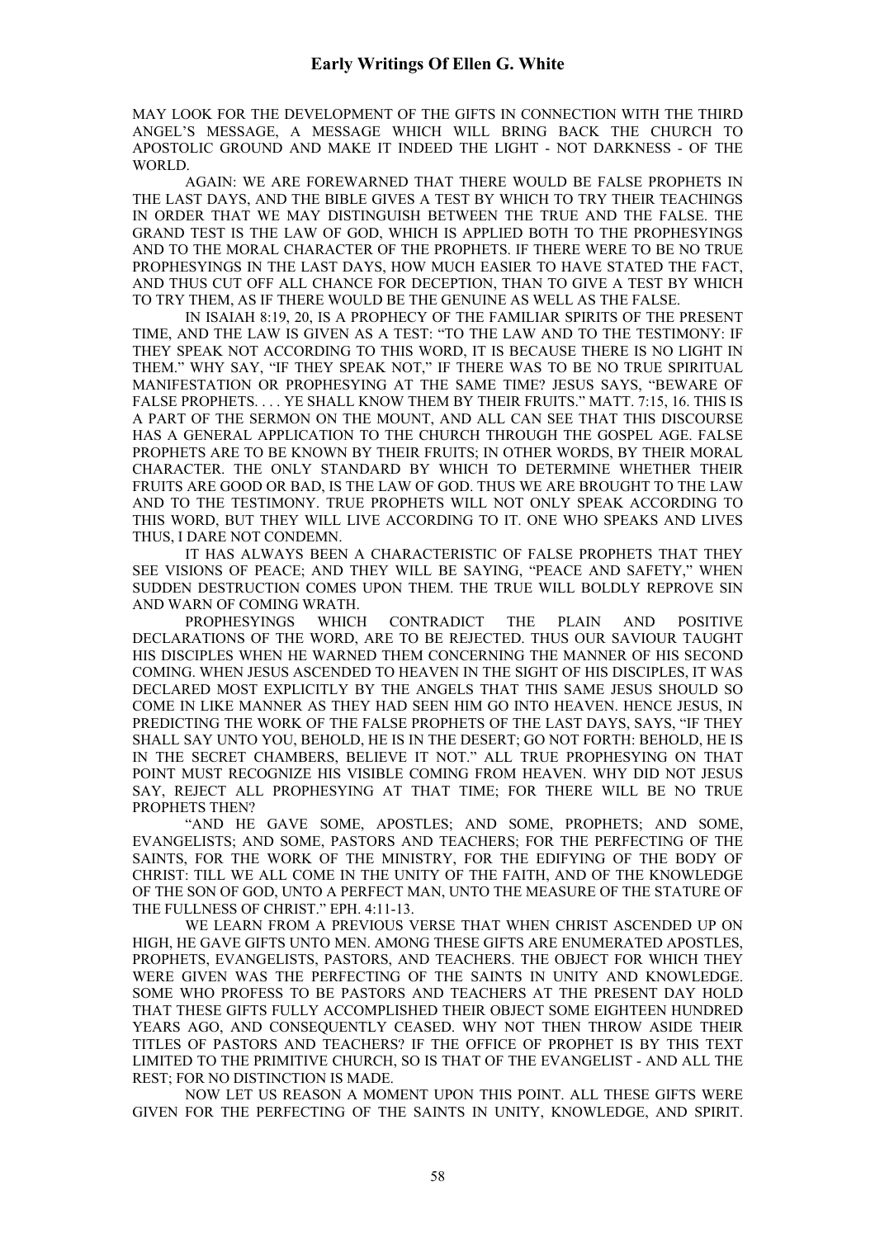MAY LOOK FOR THE DEVELOPMENT OF THE GIFTS IN CONNECTION WITH THE THIRD ANGEL'S MESSAGE, A MESSAGE WHICH WILL BRING BACK THE CHURCH TO APOSTOLIC GROUND AND MAKE IT INDEED THE LIGHT - NOT DARKNESS - OF THE WORLD.

AGAIN: WE ARE FOREWARNED THAT THERE WOULD BE FALSE PROPHETS IN THE LAST DAYS, AND THE BIBLE GIVES A TEST BY WHICH TO TRY THEIR TEACHINGS IN ORDER THAT WE MAY DISTINGUISH BETWEEN THE TRUE AND THE FALSE. THE GRAND TEST IS THE LAW OF GOD, WHICH IS APPLIED BOTH TO THE PROPHESYINGS AND TO THE MORAL CHARACTER OF THE PROPHETS. IF THERE WERE TO BE NO TRUE PROPHESYINGS IN THE LAST DAYS, HOW MUCH EASIER TO HAVE STATED THE FACT, AND THUS CUT OFF ALL CHANCE FOR DECEPTION, THAN TO GIVE A TEST BY WHICH TO TRY THEM, AS IF THERE WOULD BE THE GENUINE AS WELL AS THE FALSE.

IN ISAIAH 8:19, 20, IS A PROPHECY OF THE FAMILIAR SPIRITS OF THE PRESENT TIME, AND THE LAW IS GIVEN AS A TEST: "TO THE LAW AND TO THE TESTIMONY: IF THEY SPEAK NOT ACCORDING TO THIS WORD, IT IS BECAUSE THERE IS NO LIGHT IN THEM." WHY SAY, "IF THEY SPEAK NOT," IF THERE WAS TO BE NO TRUE SPIRITUAL MANIFESTATION OR PROPHESYING AT THE SAME TIME? JESUS SAYS, "BEWARE OF FALSE PROPHETS. . . . YE SHALL KNOW THEM BY THEIR FRUITS." MATT. 7:15, 16. THIS IS A PART OF THE SERMON ON THE MOUNT, AND ALL CAN SEE THAT THIS DISCOURSE HAS A GENERAL APPLICATION TO THE CHURCH THROUGH THE GOSPEL AGE. FALSE PROPHETS ARE TO BE KNOWN BY THEIR FRUITS; IN OTHER WORDS, BY THEIR MORAL CHARACTER. THE ONLY STANDARD BY WHICH TO DETERMINE WHETHER THEIR FRUITS ARE GOOD OR BAD, IS THE LAW OF GOD. THUS WE ARE BROUGHT TO THE LAW AND TO THE TESTIMONY. TRUE PROPHETS WILL NOT ONLY SPEAK ACCORDING TO THIS WORD, BUT THEY WILL LIVE ACCORDING TO IT. ONE WHO SPEAKS AND LIVES THUS, I DARE NOT CONDEMN.

IT HAS ALWAYS BEEN A CHARACTERISTIC OF FALSE PROPHETS THAT THEY SEE VISIONS OF PEACE; AND THEY WILL BE SAYING, "PEACE AND SAFETY," WHEN SUDDEN DESTRUCTION COMES UPON THEM. THE TRUE WILL BOLDLY REPROVE SIN AND WARN OF COMING WRATH.

PROPHESYINGS WHICH CONTRADICT THE PLAIN AND POSITIVE DECLARATIONS OF THE WORD, ARE TO BE REJECTED. THUS OUR SAVIOUR TAUGHT HIS DISCIPLES WHEN HE WARNED THEM CONCERNING THE MANNER OF HIS SECOND COMING. WHEN JESUS ASCENDED TO HEAVEN IN THE SIGHT OF HIS DISCIPLES, IT WAS DECLARED MOST EXPLICITLY BY THE ANGELS THAT THIS SAME JESUS SHOULD SO COME IN LIKE MANNER AS THEY HAD SEEN HIM GO INTO HEAVEN. HENCE JESUS, IN PREDICTING THE WORK OF THE FALSE PROPHETS OF THE LAST DAYS, SAYS, "IF THEY SHALL SAY UNTO YOU, BEHOLD, HE IS IN THE DESERT; GO NOT FORTH: BEHOLD, HE IS IN THE SECRET CHAMBERS, BELIEVE IT NOT." ALL TRUE PROPHESYING ON THAT POINT MUST RECOGNIZE HIS VISIBLE COMING FROM HEAVEN. WHY DID NOT JESUS SAY, REJECT ALL PROPHESYING AT THAT TIME; FOR THERE WILL BE NO TRUE PROPHETS THEN?

"AND HE GAVE SOME, APOSTLES; AND SOME, PROPHETS; AND SOME, EVANGELISTS; AND SOME, PASTORS AND TEACHERS; FOR THE PERFECTING OF THE SAINTS, FOR THE WORK OF THE MINISTRY, FOR THE EDIFYING OF THE BODY OF CHRIST: TILL WE ALL COME IN THE UNITY OF THE FAITH, AND OF THE KNOWLEDGE OF THE SON OF GOD, UNTO A PERFECT MAN, UNTO THE MEASURE OF THE STATURE OF THE FULLNESS OF CHRIST." EPH. 4:11-13.

WE LEARN FROM A PREVIOUS VERSE THAT WHEN CHRIST ASCENDED UP ON HIGH, HE GAVE GIFTS UNTO MEN. AMONG THESE GIFTS ARE ENUMERATED APOSTLES, PROPHETS, EVANGELISTS, PASTORS, AND TEACHERS. THE OBJECT FOR WHICH THEY WERE GIVEN WAS THE PERFECTING OF THE SAINTS IN UNITY AND KNOWLEDGE. SOME WHO PROFESS TO BE PASTORS AND TEACHERS AT THE PRESENT DAY HOLD THAT THESE GIFTS FULLY ACCOMPLISHED THEIR OBJECT SOME EIGHTEEN HUNDRED YEARS AGO, AND CONSEQUENTLY CEASED. WHY NOT THEN THROW ASIDE THEIR TITLES OF PASTORS AND TEACHERS? IF THE OFFICE OF PROPHET IS BY THIS TEXT LIMITED TO THE PRIMITIVE CHURCH, SO IS THAT OF THE EVANGELIST - AND ALL THE REST; FOR NO DISTINCTION IS MADE.

NOW LET US REASON A MOMENT UPON THIS POINT. ALL THESE GIFTS WERE GIVEN FOR THE PERFECTING OF THE SAINTS IN UNITY, KNOWLEDGE, AND SPIRIT.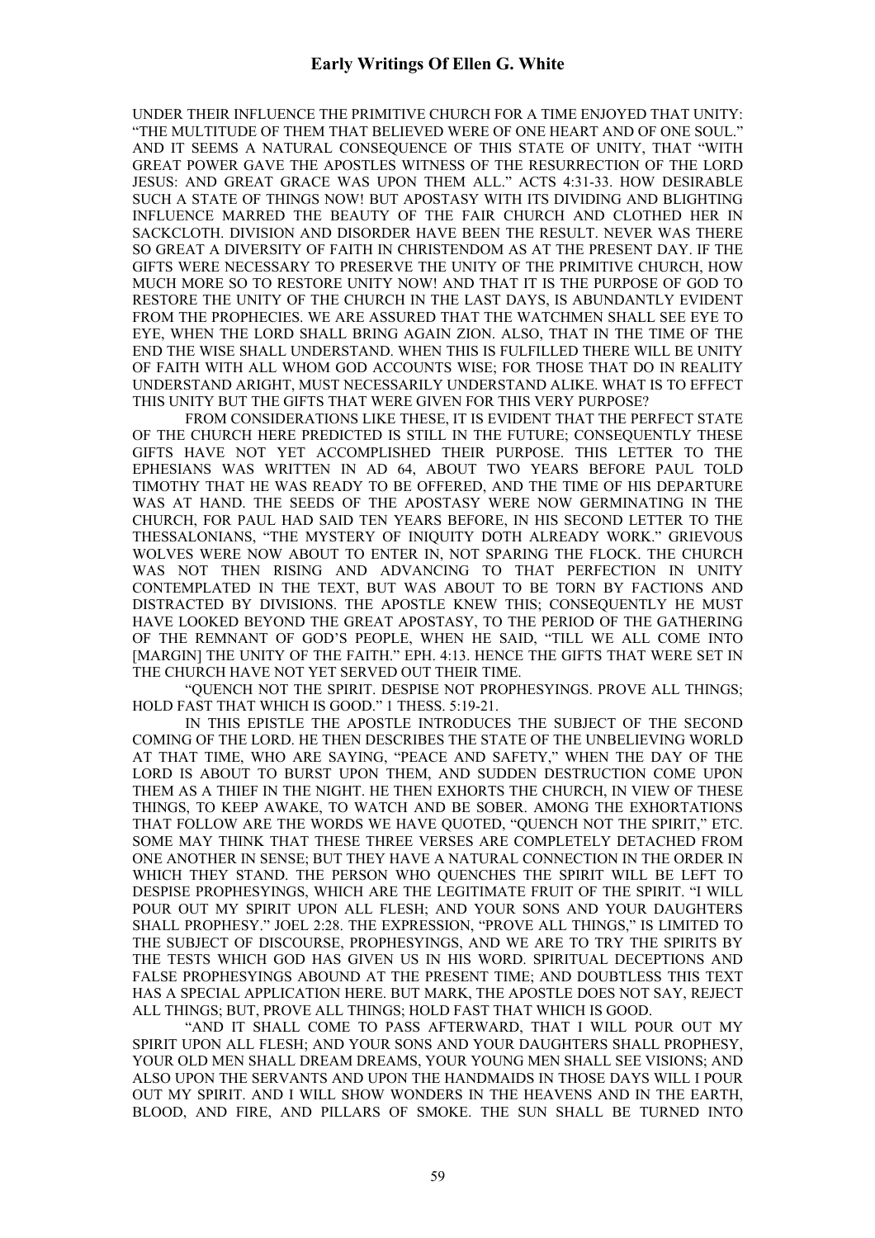UNDER THEIR INFLUENCE THE PRIMITIVE CHURCH FOR A TIME ENJOYED THAT UNITY: "THE MULTITUDE OF THEM THAT BELIEVED WERE OF ONE HEART AND OF ONE SOUL." AND IT SEEMS A NATURAL CONSEQUENCE OF THIS STATE OF UNITY, THAT "WITH GREAT POWER GAVE THE APOSTLES WITNESS OF THE RESURRECTION OF THE LORD JESUS: AND GREAT GRACE WAS UPON THEM ALL." ACTS 4:31-33. HOW DESIRABLE SUCH A STATE OF THINGS NOW! BUT APOSTASY WITH ITS DIVIDING AND BLIGHTING INFLUENCE MARRED THE BEAUTY OF THE FAIR CHURCH AND CLOTHED HER IN SACKCLOTH. DIVISION AND DISORDER HAVE BEEN THE RESULT. NEVER WAS THERE SO GREAT A DIVERSITY OF FAITH IN CHRISTENDOM AS AT THE PRESENT DAY. IF THE GIFTS WERE NECESSARY TO PRESERVE THE UNITY OF THE PRIMITIVE CHURCH, HOW MUCH MORE SO TO RESTORE UNITY NOW! AND THAT IT IS THE PURPOSE OF GOD TO RESTORE THE UNITY OF THE CHURCH IN THE LAST DAYS, IS ABUNDANTLY EVIDENT FROM THE PROPHECIES. WE ARE ASSURED THAT THE WATCHMEN SHALL SEE EYE TO EYE, WHEN THE LORD SHALL BRING AGAIN ZION. ALSO, THAT IN THE TIME OF THE END THE WISE SHALL UNDERSTAND. WHEN THIS IS FULFILLED THERE WILL BE UNITY OF FAITH WITH ALL WHOM GOD ACCOUNTS WISE; FOR THOSE THAT DO IN REALITY UNDERSTAND ARIGHT, MUST NECESSARILY UNDERSTAND ALIKE. WHAT IS TO EFFECT THIS UNITY BUT THE GIFTS THAT WERE GIVEN FOR THIS VERY PURPOSE?

FROM CONSIDERATIONS LIKE THESE, IT IS EVIDENT THAT THE PERFECT STATE OF THE CHURCH HERE PREDICTED IS STILL IN THE FUTURE; CONSEQUENTLY THESE GIFTS HAVE NOT YET ACCOMPLISHED THEIR PURPOSE. THIS LETTER TO THE EPHESIANS WAS WRITTEN IN AD 64, ABOUT TWO YEARS BEFORE PAUL TOLD TIMOTHY THAT HE WAS READY TO BE OFFERED, AND THE TIME OF HIS DEPARTURE WAS AT HAND. THE SEEDS OF THE APOSTASY WERE NOW GERMINATING IN THE CHURCH, FOR PAUL HAD SAID TEN YEARS BEFORE, IN HIS SECOND LETTER TO THE THESSALONIANS, "THE MYSTERY OF INIQUITY DOTH ALREADY WORK." GRIEVOUS WOLVES WERE NOW ABOUT TO ENTER IN, NOT SPARING THE FLOCK. THE CHURCH WAS NOT THEN RISING AND ADVANCING TO THAT PERFECTION IN UNITY CONTEMPLATED IN THE TEXT, BUT WAS ABOUT TO BE TORN BY FACTIONS AND DISTRACTED BY DIVISIONS. THE APOSTLE KNEW THIS; CONSEQUENTLY HE MUST HAVE LOOKED BEYOND THE GREAT APOSTASY, TO THE PERIOD OF THE GATHERING OF THE REMNANT OF GOD'S PEOPLE, WHEN HE SAID, "TILL WE ALL COME INTO [MARGIN] THE UNITY OF THE FAITH." EPH. 4:13. HENCE THE GIFTS THAT WERE SET IN THE CHURCH HAVE NOT YET SERVED OUT THEIR TIME.

"QUENCH NOT THE SPIRIT. DESPISE NOT PROPHESYINGS. PROVE ALL THINGS; HOLD FAST THAT WHICH IS GOOD." 1 THESS. 5:19-21.

IN THIS EPISTLE THE APOSTLE INTRODUCES THE SUBJECT OF THE SECOND COMING OF THE LORD. HE THEN DESCRIBES THE STATE OF THE UNBELIEVING WORLD AT THAT TIME, WHO ARE SAYING, "PEACE AND SAFETY," WHEN THE DAY OF THE LORD IS ABOUT TO BURST UPON THEM, AND SUDDEN DESTRUCTION COME UPON THEM AS A THIEF IN THE NIGHT. HE THEN EXHORTS THE CHURCH, IN VIEW OF THESE THINGS, TO KEEP AWAKE, TO WATCH AND BE SOBER. AMONG THE EXHORTATIONS THAT FOLLOW ARE THE WORDS WE HAVE QUOTED, "QUENCH NOT THE SPIRIT," ETC. SOME MAY THINK THAT THESE THREE VERSES ARE COMPLETELY DETACHED FROM ONE ANOTHER IN SENSE; BUT THEY HAVE A NATURAL CONNECTION IN THE ORDER IN WHICH THEY STAND. THE PERSON WHO QUENCHES THE SPIRIT WILL BE LEFT TO DESPISE PROPHESYINGS, WHICH ARE THE LEGITIMATE FRUIT OF THE SPIRIT. "I WILL POUR OUT MY SPIRIT UPON ALL FLESH; AND YOUR SONS AND YOUR DAUGHTERS SHALL PROPHESY." JOEL 2:28. THE EXPRESSION, "PROVE ALL THINGS," IS LIMITED TO THE SUBJECT OF DISCOURSE, PROPHESYINGS, AND WE ARE TO TRY THE SPIRITS BY THE TESTS WHICH GOD HAS GIVEN US IN HIS WORD. SPIRITUAL DECEPTIONS AND FALSE PROPHESYINGS ABOUND AT THE PRESENT TIME; AND DOUBTLESS THIS TEXT HAS A SPECIAL APPLICATION HERE. BUT MARK, THE APOSTLE DOES NOT SAY, REJECT ALL THINGS; BUT, PROVE ALL THINGS; HOLD FAST THAT WHICH IS GOOD.

"AND IT SHALL COME TO PASS AFTERWARD, THAT I WILL POUR OUT MY SPIRIT UPON ALL FLESH; AND YOUR SONS AND YOUR DAUGHTERS SHALL PROPHESY, YOUR OLD MEN SHALL DREAM DREAMS, YOUR YOUNG MEN SHALL SEE VISIONS; AND ALSO UPON THE SERVANTS AND UPON THE HANDMAIDS IN THOSE DAYS WILL I POUR OUT MY SPIRIT. AND I WILL SHOW WONDERS IN THE HEAVENS AND IN THE EARTH, BLOOD, AND FIRE, AND PILLARS OF SMOKE. THE SUN SHALL BE TURNED INTO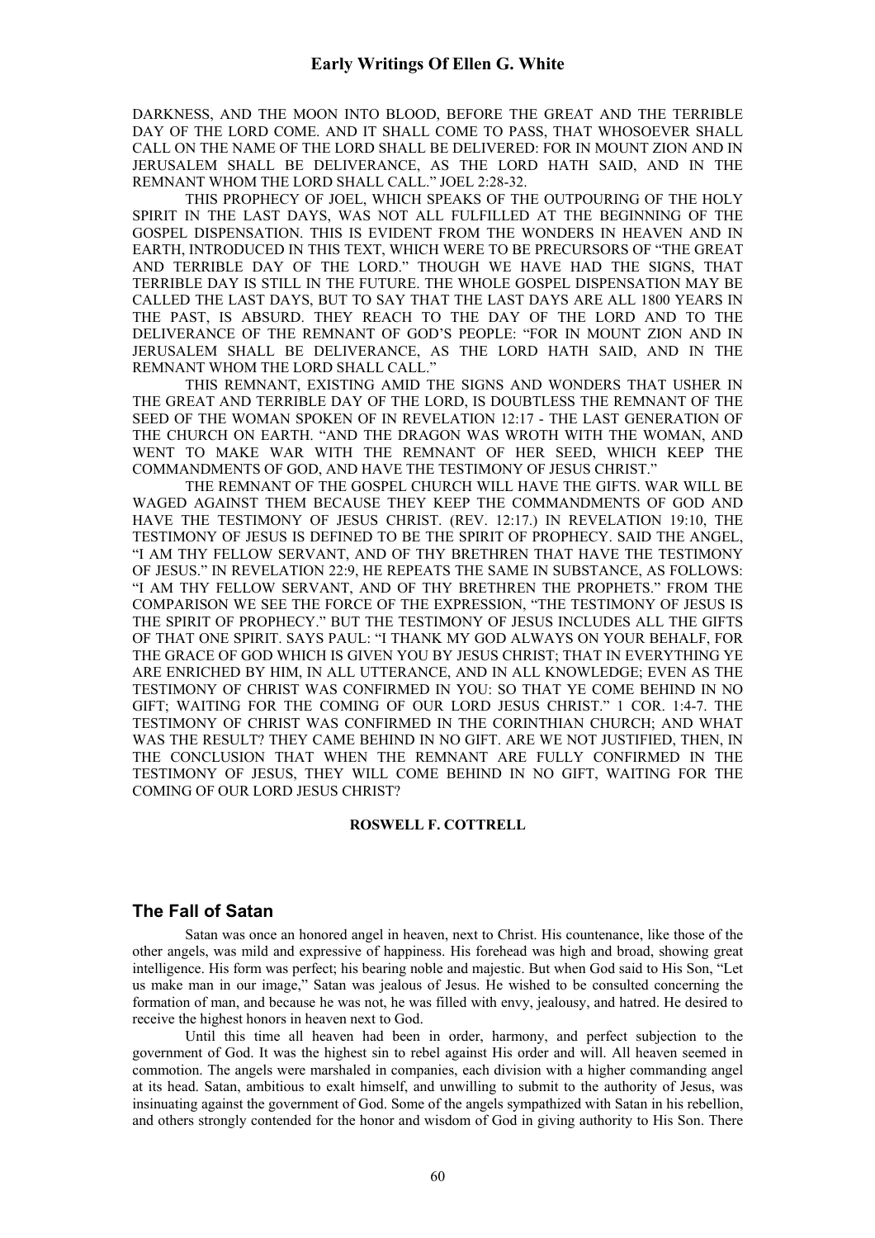DARKNESS, AND THE MOON INTO BLOOD, BEFORE THE GREAT AND THE TERRIBLE DAY OF THE LORD COME. AND IT SHALL COME TO PASS, THAT WHOSOEVER SHALL CALL ON THE NAME OF THE LORD SHALL BE DELIVERED: FOR IN MOUNT ZION AND IN JERUSALEM SHALL BE DELIVERANCE, AS THE LORD HATH SAID, AND IN THE REMNANT WHOM THE LORD SHALL CALL." JOEL 2:28-32.

THIS PROPHECY OF JOEL, WHICH SPEAKS OF THE OUTPOURING OF THE HOLY SPIRIT IN THE LAST DAYS, WAS NOT ALL FULFILLED AT THE BEGINNING OF THE GOSPEL DISPENSATION. THIS IS EVIDENT FROM THE WONDERS IN HEAVEN AND IN EARTH, INTRODUCED IN THIS TEXT, WHICH WERE TO BE PRECURSORS OF "THE GREAT AND TERRIBLE DAY OF THE LORD." THOUGH WE HAVE HAD THE SIGNS, THAT TERRIBLE DAY IS STILL IN THE FUTURE. THE WHOLE GOSPEL DISPENSATION MAY BE CALLED THE LAST DAYS, BUT TO SAY THAT THE LAST DAYS ARE ALL 1800 YEARS IN THE PAST, IS ABSURD. THEY REACH TO THE DAY OF THE LORD AND TO THE DELIVERANCE OF THE REMNANT OF GOD'S PEOPLE: "FOR IN MOUNT ZION AND IN JERUSALEM SHALL BE DELIVERANCE, AS THE LORD HATH SAID, AND IN THE REMNANT WHOM THE LORD SHALL CALL."

THIS REMNANT, EXISTING AMID THE SIGNS AND WONDERS THAT USHER IN THE GREAT AND TERRIBLE DAY OF THE LORD, IS DOUBTLESS THE REMNANT OF THE SEED OF THE WOMAN SPOKEN OF IN REVELATION 12:17 - THE LAST GENERATION OF THE CHURCH ON EARTH. "AND THE DRAGON WAS WROTH WITH THE WOMAN, AND WENT TO MAKE WAR WITH THE REMNANT OF HER SEED, WHICH KEEP THE COMMANDMENTS OF GOD, AND HAVE THE TESTIMONY OF JESUS CHRIST."

THE REMNANT OF THE GOSPEL CHURCH WILL HAVE THE GIFTS. WAR WILL BE WAGED AGAINST THEM BECAUSE THEY KEEP THE COMMANDMENTS OF GOD AND HAVE THE TESTIMONY OF JESUS CHRIST. (REV. 12:17.) IN REVELATION 19:10, THE TESTIMONY OF JESUS IS DEFINED TO BE THE SPIRIT OF PROPHECY. SAID THE ANGEL, "I AM THY FELLOW SERVANT, AND OF THY BRETHREN THAT HAVE THE TESTIMONY OF JESUS." IN REVELATION 22:9, HE REPEATS THE SAME IN SUBSTANCE, AS FOLLOWS: "I AM THY FELLOW SERVANT, AND OF THY BRETHREN THE PROPHETS." FROM THE COMPARISON WE SEE THE FORCE OF THE EXPRESSION, "THE TESTIMONY OF JESUS IS THE SPIRIT OF PROPHECY." BUT THE TESTIMONY OF JESUS INCLUDES ALL THE GIFTS OF THAT ONE SPIRIT. SAYS PAUL: "I THANK MY GOD ALWAYS ON YOUR BEHALF, FOR THE GRACE OF GOD WHICH IS GIVEN YOU BY JESUS CHRIST; THAT IN EVERYTHING YE ARE ENRICHED BY HIM, IN ALL UTTERANCE, AND IN ALL KNOWLEDGE; EVEN AS THE TESTIMONY OF CHRIST WAS CONFIRMED IN YOU: SO THAT YE COME BEHIND IN NO GIFT; WAITING FOR THE COMING OF OUR LORD JESUS CHRIST." 1 COR. 1:4-7. THE TESTIMONY OF CHRIST WAS CONFIRMED IN THE CORINTHIAN CHURCH; AND WHAT WAS THE RESULT? THEY CAME BEHIND IN NO GIFT. ARE WE NOT JUSTIFIED, THEN, IN THE CONCLUSION THAT WHEN THE REMNANT ARE FULLY CONFIRMED IN THE TESTIMONY OF JESUS, THEY WILL COME BEHIND IN NO GIFT, WAITING FOR THE COMING OF OUR LORD JESUS CHRIST?

#### **ROSWELL F. COTTRELL**

# **The Fall of Satan**

Satan was once an honored angel in heaven, next to Christ. His countenance, like those of the other angels, was mild and expressive of happiness. His forehead was high and broad, showing great intelligence. His form was perfect; his bearing noble and majestic. But when God said to His Son, "Let us make man in our image," Satan was jealous of Jesus. He wished to be consulted concerning the formation of man, and because he was not, he was filled with envy, jealousy, and hatred. He desired to receive the highest honors in heaven next to God.

Until this time all heaven had been in order, harmony, and perfect subjection to the government of God. It was the highest sin to rebel against His order and will. All heaven seemed in commotion. The angels were marshaled in companies, each division with a higher commanding angel at its head. Satan, ambitious to exalt himself, and unwilling to submit to the authority of Jesus, was insinuating against the government of God. Some of the angels sympathized with Satan in his rebellion, and others strongly contended for the honor and wisdom of God in giving authority to His Son. There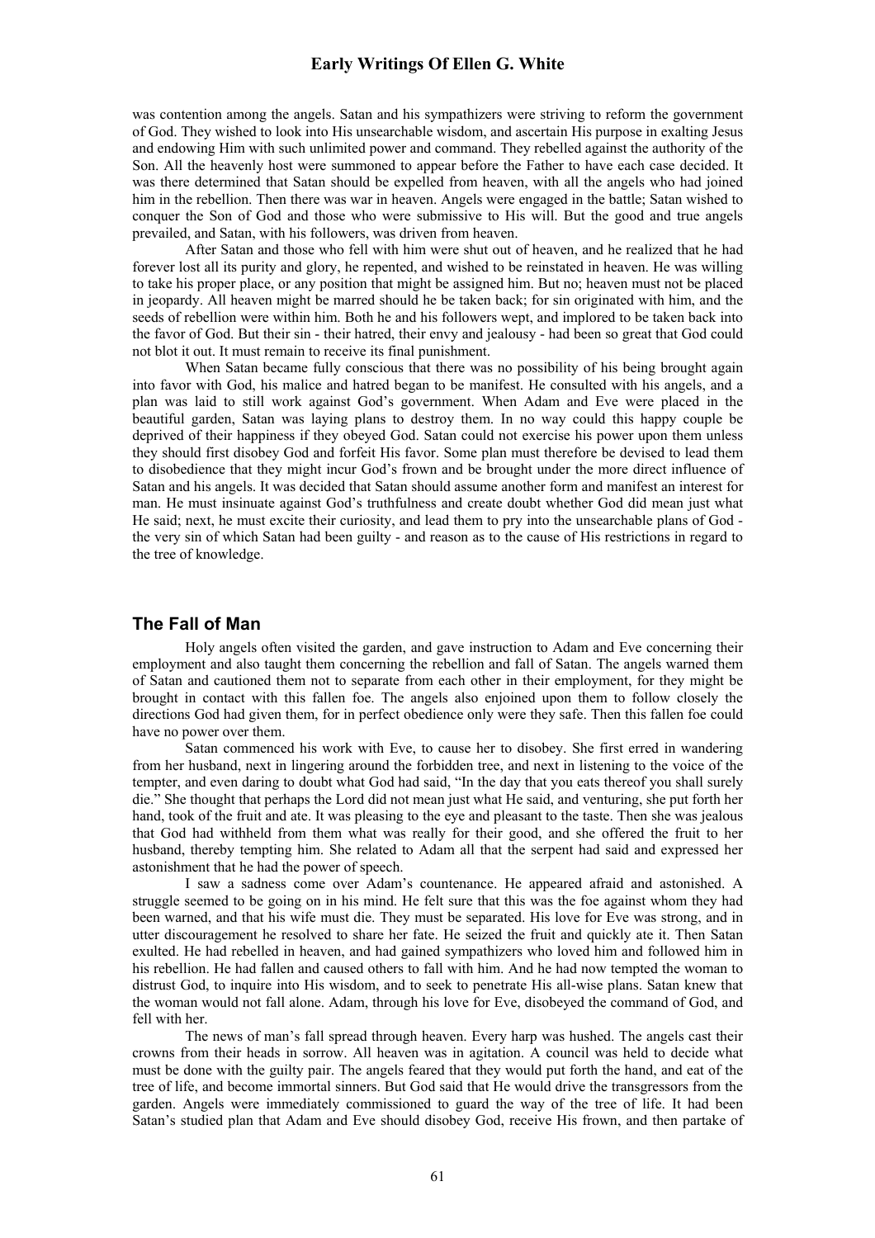was contention among the angels. Satan and his sympathizers were striving to reform the government of God. They wished to look into His unsearchable wisdom, and ascertain His purpose in exalting Jesus and endowing Him with such unlimited power and command. They rebelled against the authority of the Son. All the heavenly host were summoned to appear before the Father to have each case decided. It was there determined that Satan should be expelled from heaven, with all the angels who had joined him in the rebellion. Then there was war in heaven. Angels were engaged in the battle; Satan wished to conquer the Son of God and those who were submissive to His will. But the good and true angels prevailed, and Satan, with his followers, was driven from heaven.

After Satan and those who fell with him were shut out of heaven, and he realized that he had forever lost all its purity and glory, he repented, and wished to be reinstated in heaven. He was willing to take his proper place, or any position that might be assigned him. But no; heaven must not be placed in jeopardy. All heaven might be marred should he be taken back; for sin originated with him, and the seeds of rebellion were within him. Both he and his followers wept, and implored to be taken back into the favor of God. But their sin - their hatred, their envy and jealousy - had been so great that God could not blot it out. It must remain to receive its final punishment.

When Satan became fully conscious that there was no possibility of his being brought again into favor with God, his malice and hatred began to be manifest. He consulted with his angels, and a plan was laid to still work against God's government. When Adam and Eve were placed in the beautiful garden, Satan was laying plans to destroy them. In no way could this happy couple be deprived of their happiness if they obeyed God. Satan could not exercise his power upon them unless they should first disobey God and forfeit His favor. Some plan must therefore be devised to lead them to disobedience that they might incur God's frown and be brought under the more direct influence of Satan and his angels. It was decided that Satan should assume another form and manifest an interest for man. He must insinuate against God's truthfulness and create doubt whether God did mean just what He said; next, he must excite their curiosity, and lead them to pry into the unsearchable plans of God the very sin of which Satan had been guilty - and reason as to the cause of His restrictions in regard to the tree of knowledge.

#### **The Fall of Man**

Holy angels often visited the garden, and gave instruction to Adam and Eve concerning their employment and also taught them concerning the rebellion and fall of Satan. The angels warned them of Satan and cautioned them not to separate from each other in their employment, for they might be brought in contact with this fallen foe. The angels also enjoined upon them to follow closely the directions God had given them, for in perfect obedience only were they safe. Then this fallen foe could have no power over them.

Satan commenced his work with Eve, to cause her to disobey. She first erred in wandering from her husband, next in lingering around the forbidden tree, and next in listening to the voice of the tempter, and even daring to doubt what God had said, "In the day that you eats thereof you shall surely die." She thought that perhaps the Lord did not mean just what He said, and venturing, she put forth her hand, took of the fruit and ate. It was pleasing to the eye and pleasant to the taste. Then she was jealous that God had withheld from them what was really for their good, and she offered the fruit to her husband, thereby tempting him. She related to Adam all that the serpent had said and expressed her astonishment that he had the power of speech.

I saw a sadness come over Adam's countenance. He appeared afraid and astonished. A struggle seemed to be going on in his mind. He felt sure that this was the foe against whom they had been warned, and that his wife must die. They must be separated. His love for Eve was strong, and in utter discouragement he resolved to share her fate. He seized the fruit and quickly ate it. Then Satan exulted. He had rebelled in heaven, and had gained sympathizers who loved him and followed him in his rebellion. He had fallen and caused others to fall with him. And he had now tempted the woman to distrust God, to inquire into His wisdom, and to seek to penetrate His all-wise plans. Satan knew that the woman would not fall alone. Adam, through his love for Eve, disobeyed the command of God, and fell with her.

The news of man's fall spread through heaven. Every harp was hushed. The angels cast their crowns from their heads in sorrow. All heaven was in agitation. A council was held to decide what must be done with the guilty pair. The angels feared that they would put forth the hand, and eat of the tree of life, and become immortal sinners. But God said that He would drive the transgressors from the garden. Angels were immediately commissioned to guard the way of the tree of life. It had been Satan's studied plan that Adam and Eve should disobey God, receive His frown, and then partake of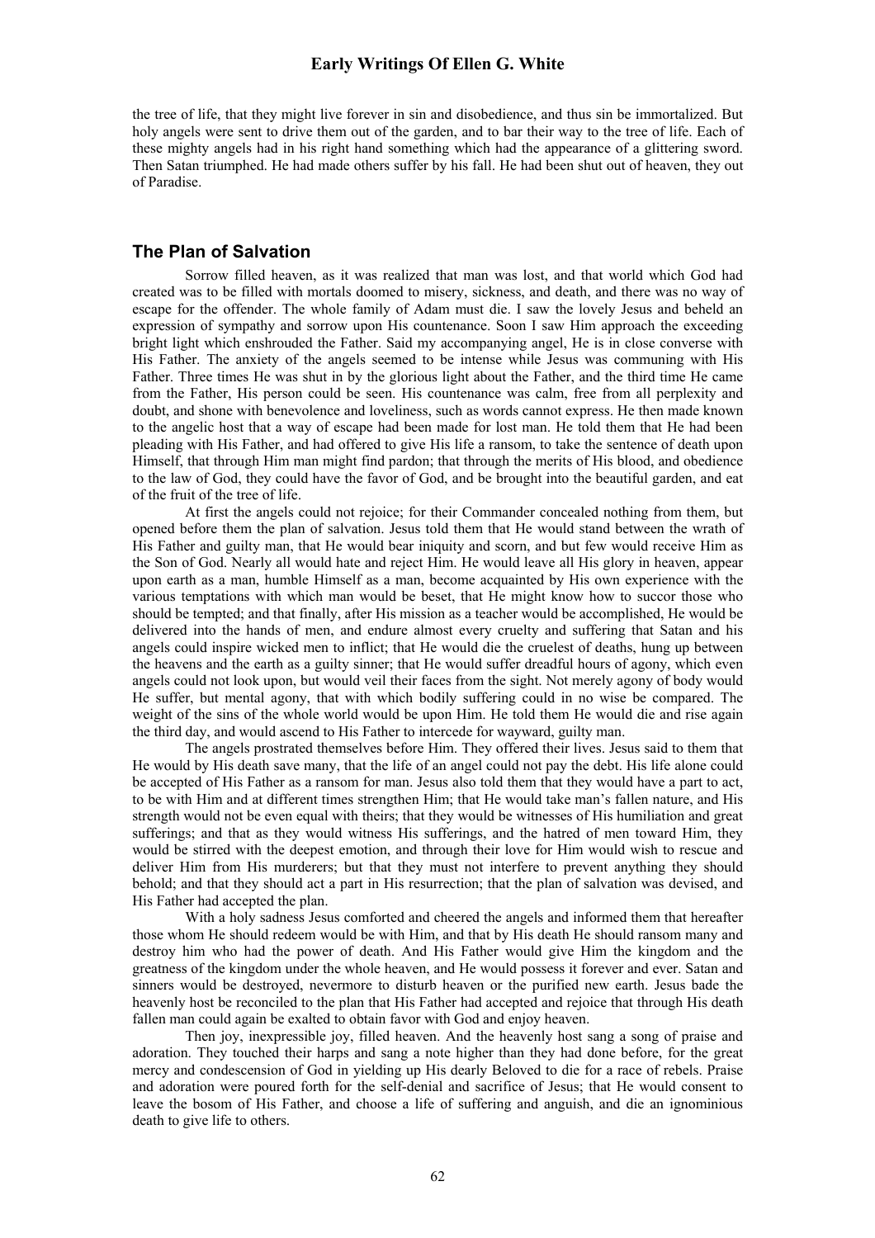the tree of life, that they might live forever in sin and disobedience, and thus sin be immortalized. But holy angels were sent to drive them out of the garden, and to bar their way to the tree of life. Each of these mighty angels had in his right hand something which had the appearance of a glittering sword. Then Satan triumphed. He had made others suffer by his fall. He had been shut out of heaven, they out of Paradise.

# **The Plan of Salvation**

Sorrow filled heaven, as it was realized that man was lost, and that world which God had created was to be filled with mortals doomed to misery, sickness, and death, and there was no way of escape for the offender. The whole family of Adam must die. I saw the lovely Jesus and beheld an expression of sympathy and sorrow upon His countenance. Soon I saw Him approach the exceeding bright light which enshrouded the Father. Said my accompanying angel, He is in close converse with His Father. The anxiety of the angels seemed to be intense while Jesus was communing with His Father. Three times He was shut in by the glorious light about the Father, and the third time He came from the Father, His person could be seen. His countenance was calm, free from all perplexity and doubt, and shone with benevolence and loveliness, such as words cannot express. He then made known to the angelic host that a way of escape had been made for lost man. He told them that He had been pleading with His Father, and had offered to give His life a ransom, to take the sentence of death upon Himself, that through Him man might find pardon; that through the merits of His blood, and obedience to the law of God, they could have the favor of God, and be brought into the beautiful garden, and eat of the fruit of the tree of life.

At first the angels could not rejoice; for their Commander concealed nothing from them, but opened before them the plan of salvation. Jesus told them that He would stand between the wrath of His Father and guilty man, that He would bear iniquity and scorn, and but few would receive Him as the Son of God. Nearly all would hate and reject Him. He would leave all His glory in heaven, appear upon earth as a man, humble Himself as a man, become acquainted by His own experience with the various temptations with which man would be beset, that He might know how to succor those who should be tempted; and that finally, after His mission as a teacher would be accomplished, He would be delivered into the hands of men, and endure almost every cruelty and suffering that Satan and his angels could inspire wicked men to inflict; that He would die the cruelest of deaths, hung up between the heavens and the earth as a guilty sinner; that He would suffer dreadful hours of agony, which even angels could not look upon, but would veil their faces from the sight. Not merely agony of body would He suffer, but mental agony, that with which bodily suffering could in no wise be compared. The weight of the sins of the whole world would be upon Him. He told them He would die and rise again the third day, and would ascend to His Father to intercede for wayward, guilty man.

The angels prostrated themselves before Him. They offered their lives. Jesus said to them that He would by His death save many, that the life of an angel could not pay the debt. His life alone could be accepted of His Father as a ransom for man. Jesus also told them that they would have a part to act, to be with Him and at different times strengthen Him; that He would take man's fallen nature, and His strength would not be even equal with theirs; that they would be witnesses of His humiliation and great sufferings; and that as they would witness His sufferings, and the hatred of men toward Him, they would be stirred with the deepest emotion, and through their love for Him would wish to rescue and deliver Him from His murderers; but that they must not interfere to prevent anything they should behold; and that they should act a part in His resurrection; that the plan of salvation was devised, and His Father had accepted the plan.

With a holy sadness Jesus comforted and cheered the angels and informed them that hereafter those whom He should redeem would be with Him, and that by His death He should ransom many and destroy him who had the power of death. And His Father would give Him the kingdom and the greatness of the kingdom under the whole heaven, and He would possess it forever and ever. Satan and sinners would be destroyed, nevermore to disturb heaven or the purified new earth. Jesus bade the heavenly host be reconciled to the plan that His Father had accepted and rejoice that through His death fallen man could again be exalted to obtain favor with God and enjoy heaven.

Then joy, inexpressible joy, filled heaven. And the heavenly host sang a song of praise and adoration. They touched their harps and sang a note higher than they had done before, for the great mercy and condescension of God in yielding up His dearly Beloved to die for a race of rebels. Praise and adoration were poured forth for the self-denial and sacrifice of Jesus; that He would consent to leave the bosom of His Father, and choose a life of suffering and anguish, and die an ignominious death to give life to others.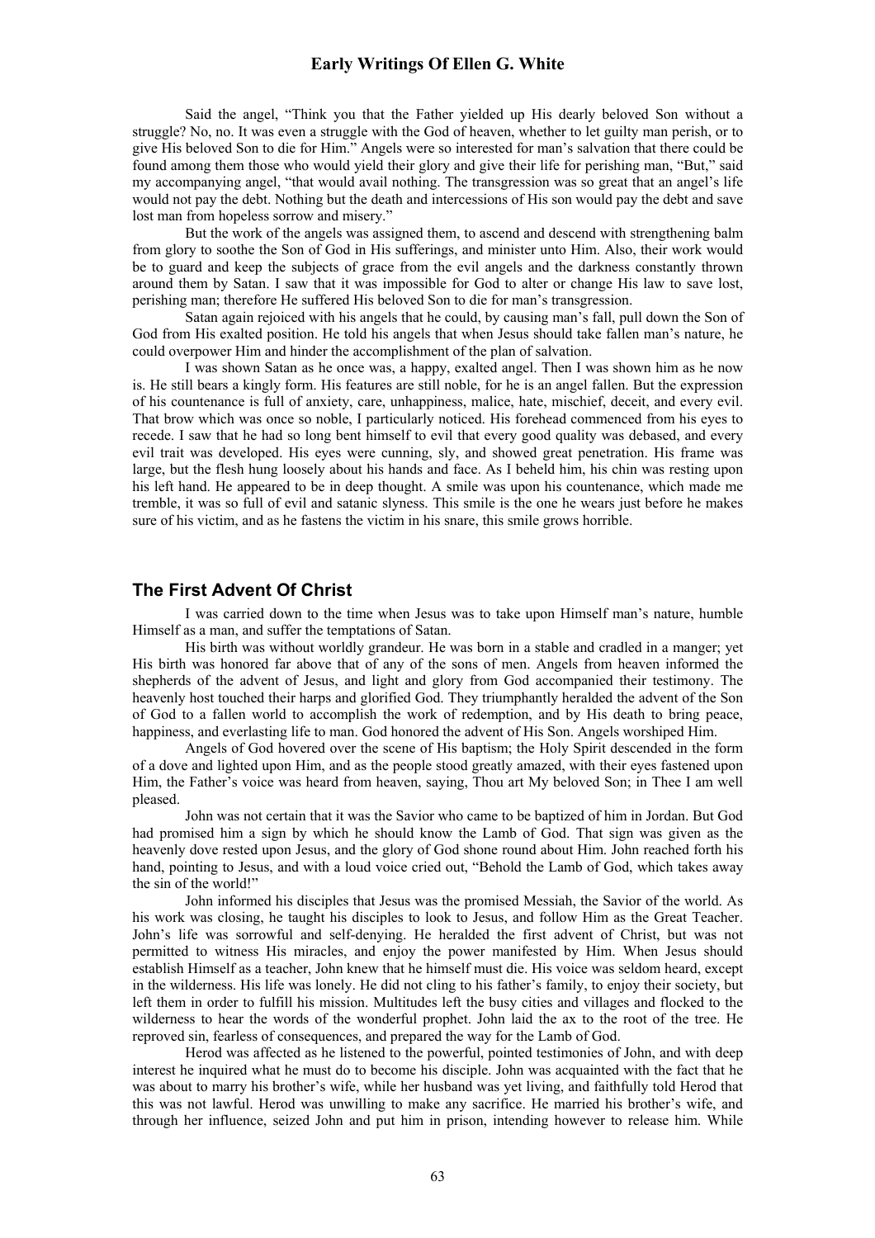Said the angel, "Think you that the Father yielded up His dearly beloved Son without a struggle? No, no. It was even a struggle with the God of heaven, whether to let guilty man perish, or to give His beloved Son to die for Him." Angels were so interested for man's salvation that there could be found among them those who would yield their glory and give their life for perishing man, "But," said my accompanying angel, "that would avail nothing. The transgression was so great that an angel's life would not pay the debt. Nothing but the death and intercessions of His son would pay the debt and save lost man from hopeless sorrow and misery."

But the work of the angels was assigned them, to ascend and descend with strengthening balm from glory to soothe the Son of God in His sufferings, and minister unto Him. Also, their work would be to guard and keep the subjects of grace from the evil angels and the darkness constantly thrown around them by Satan. I saw that it was impossible for God to alter or change His law to save lost, perishing man; therefore He suffered His beloved Son to die for man's transgression.

Satan again rejoiced with his angels that he could, by causing man's fall, pull down the Son of God from His exalted position. He told his angels that when Jesus should take fallen man's nature, he could overpower Him and hinder the accomplishment of the plan of salvation.

I was shown Satan as he once was, a happy, exalted angel. Then I was shown him as he now is. He still bears a kingly form. His features are still noble, for he is an angel fallen. But the expression of his countenance is full of anxiety, care, unhappiness, malice, hate, mischief, deceit, and every evil. That brow which was once so noble, I particularly noticed. His forehead commenced from his eyes to recede. I saw that he had so long bent himself to evil that every good quality was debased, and every evil trait was developed. His eyes were cunning, sly, and showed great penetration. His frame was large, but the flesh hung loosely about his hands and face. As I beheld him, his chin was resting upon his left hand. He appeared to be in deep thought. A smile was upon his countenance, which made me tremble, it was so full of evil and satanic slyness. This smile is the one he wears just before he makes sure of his victim, and as he fastens the victim in his snare, this smile grows horrible.

# **The First Advent Of Christ**

I was carried down to the time when Jesus was to take upon Himself man's nature, humble Himself as a man, and suffer the temptations of Satan.

His birth was without worldly grandeur. He was born in a stable and cradled in a manger; yet His birth was honored far above that of any of the sons of men. Angels from heaven informed the shepherds of the advent of Jesus, and light and glory from God accompanied their testimony. The heavenly host touched their harps and glorified God. They triumphantly heralded the advent of the Son of God to a fallen world to accomplish the work of redemption, and by His death to bring peace, happiness, and everlasting life to man. God honored the advent of His Son. Angels worshiped Him.

Angels of God hovered over the scene of His baptism; the Holy Spirit descended in the form of a dove and lighted upon Him, and as the people stood greatly amazed, with their eyes fastened upon Him, the Father's voice was heard from heaven, saying, Thou art My beloved Son; in Thee I am well pleased.

John was not certain that it was the Savior who came to be baptized of him in Jordan. But God had promised him a sign by which he should know the Lamb of God. That sign was given as the heavenly dove rested upon Jesus, and the glory of God shone round about Him. John reached forth his hand, pointing to Jesus, and with a loud voice cried out, "Behold the Lamb of God, which takes away the sin of the world!"

John informed his disciples that Jesus was the promised Messiah, the Savior of the world. As his work was closing, he taught his disciples to look to Jesus, and follow Him as the Great Teacher. John's life was sorrowful and self-denying. He heralded the first advent of Christ, but was not permitted to witness His miracles, and enjoy the power manifested by Him. When Jesus should establish Himself as a teacher, John knew that he himself must die. His voice was seldom heard, except in the wilderness. His life was lonely. He did not cling to his father's family, to enjoy their society, but left them in order to fulfill his mission. Multitudes left the busy cities and villages and flocked to the wilderness to hear the words of the wonderful prophet. John laid the ax to the root of the tree. He reproved sin, fearless of consequences, and prepared the way for the Lamb of God.

Herod was affected as he listened to the powerful, pointed testimonies of John, and with deep interest he inquired what he must do to become his disciple. John was acquainted with the fact that he was about to marry his brother's wife, while her husband was yet living, and faithfully told Herod that this was not lawful. Herod was unwilling to make any sacrifice. He married his brother's wife, and through her influence, seized John and put him in prison, intending however to release him. While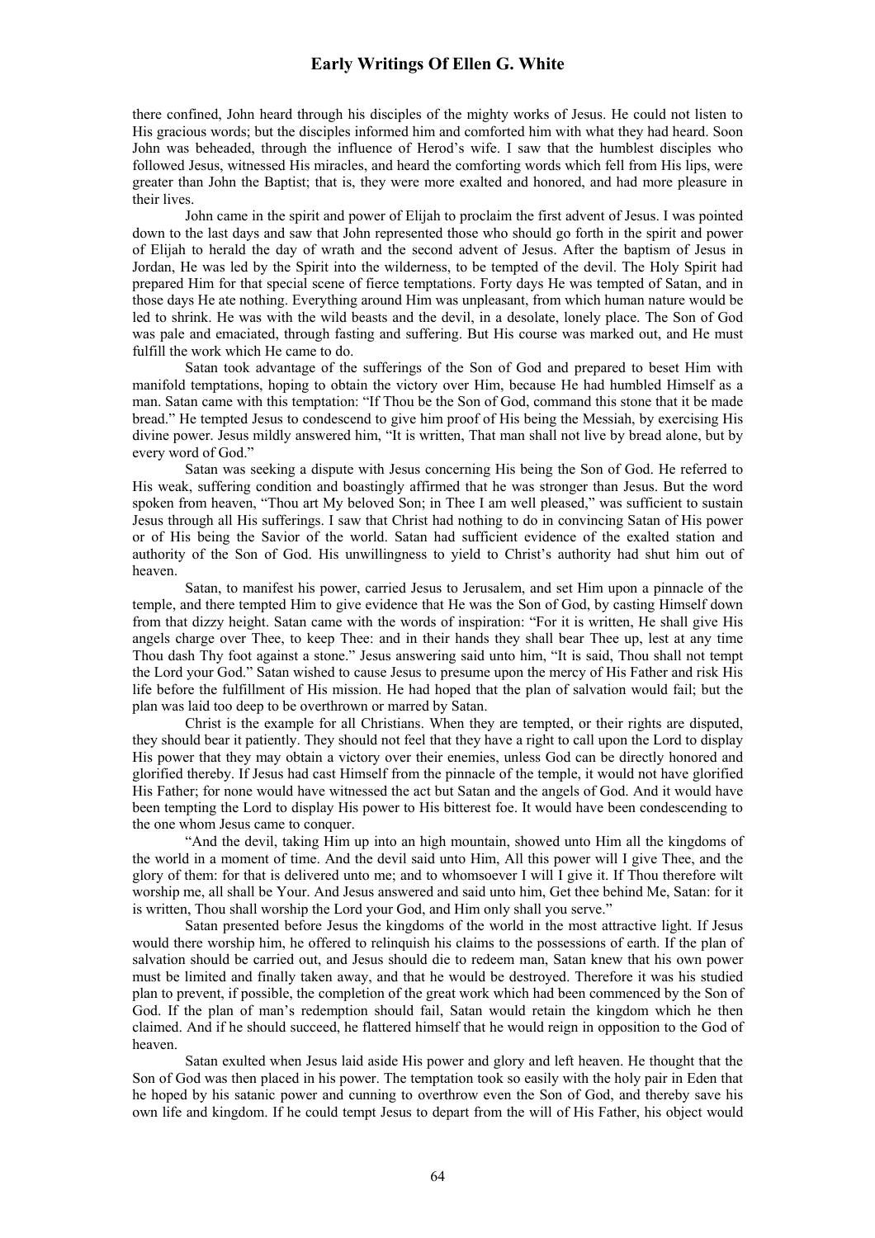there confined, John heard through his disciples of the mighty works of Jesus. He could not listen to His gracious words; but the disciples informed him and comforted him with what they had heard. Soon John was beheaded, through the influence of Herod's wife. I saw that the humblest disciples who followed Jesus, witnessed His miracles, and heard the comforting words which fell from His lips, were greater than John the Baptist; that is, they were more exalted and honored, and had more pleasure in their lives.

John came in the spirit and power of Elijah to proclaim the first advent of Jesus. I was pointed down to the last days and saw that John represented those who should go forth in the spirit and power of Elijah to herald the day of wrath and the second advent of Jesus. After the baptism of Jesus in Jordan, He was led by the Spirit into the wilderness, to be tempted of the devil. The Holy Spirit had prepared Him for that special scene of fierce temptations. Forty days He was tempted of Satan, and in those days He ate nothing. Everything around Him was unpleasant, from which human nature would be led to shrink. He was with the wild beasts and the devil, in a desolate, lonely place. The Son of God was pale and emaciated, through fasting and suffering. But His course was marked out, and He must fulfill the work which He came to do.

Satan took advantage of the sufferings of the Son of God and prepared to beset Him with manifold temptations, hoping to obtain the victory over Him, because He had humbled Himself as a man. Satan came with this temptation: "If Thou be the Son of God, command this stone that it be made bread." He tempted Jesus to condescend to give him proof of His being the Messiah, by exercising His divine power. Jesus mildly answered him, "It is written, That man shall not live by bread alone, but by every word of God."

Satan was seeking a dispute with Jesus concerning His being the Son of God. He referred to His weak, suffering condition and boastingly affirmed that he was stronger than Jesus. But the word spoken from heaven, "Thou art My beloved Son; in Thee I am well pleased," was sufficient to sustain Jesus through all His sufferings. I saw that Christ had nothing to do in convincing Satan of His power or of His being the Savior of the world. Satan had sufficient evidence of the exalted station and authority of the Son of God. His unwillingness to yield to Christ's authority had shut him out of heaven.

Satan, to manifest his power, carried Jesus to Jerusalem, and set Him upon a pinnacle of the temple, and there tempted Him to give evidence that He was the Son of God, by casting Himself down from that dizzy height. Satan came with the words of inspiration: "For it is written, He shall give His angels charge over Thee, to keep Thee: and in their hands they shall bear Thee up, lest at any time Thou dash Thy foot against a stone." Jesus answering said unto him, "It is said, Thou shall not tempt the Lord your God." Satan wished to cause Jesus to presume upon the mercy of His Father and risk His life before the fulfillment of His mission. He had hoped that the plan of salvation would fail; but the plan was laid too deep to be overthrown or marred by Satan.

Christ is the example for all Christians. When they are tempted, or their rights are disputed, they should bear it patiently. They should not feel that they have a right to call upon the Lord to display His power that they may obtain a victory over their enemies, unless God can be directly honored and glorified thereby. If Jesus had cast Himself from the pinnacle of the temple, it would not have glorified His Father; for none would have witnessed the act but Satan and the angels of God. And it would have been tempting the Lord to display His power to His bitterest foe. It would have been condescending to the one whom Jesus came to conquer.

"And the devil, taking Him up into an high mountain, showed unto Him all the kingdoms of the world in a moment of time. And the devil said unto Him, All this power will I give Thee, and the glory of them: for that is delivered unto me; and to whomsoever I will I give it. If Thou therefore wilt worship me, all shall be Your. And Jesus answered and said unto him, Get thee behind Me, Satan: for it is written, Thou shall worship the Lord your God, and Him only shall you serve."

Satan presented before Jesus the kingdoms of the world in the most attractive light. If Jesus would there worship him, he offered to relinquish his claims to the possessions of earth. If the plan of salvation should be carried out, and Jesus should die to redeem man, Satan knew that his own power must be limited and finally taken away, and that he would be destroyed. Therefore it was his studied plan to prevent, if possible, the completion of the great work which had been commenced by the Son of God. If the plan of man's redemption should fail, Satan would retain the kingdom which he then claimed. And if he should succeed, he flattered himself that he would reign in opposition to the God of heaven.

Satan exulted when Jesus laid aside His power and glory and left heaven. He thought that the Son of God was then placed in his power. The temptation took so easily with the holy pair in Eden that he hoped by his satanic power and cunning to overthrow even the Son of God, and thereby save his own life and kingdom. If he could tempt Jesus to depart from the will of His Father, his object would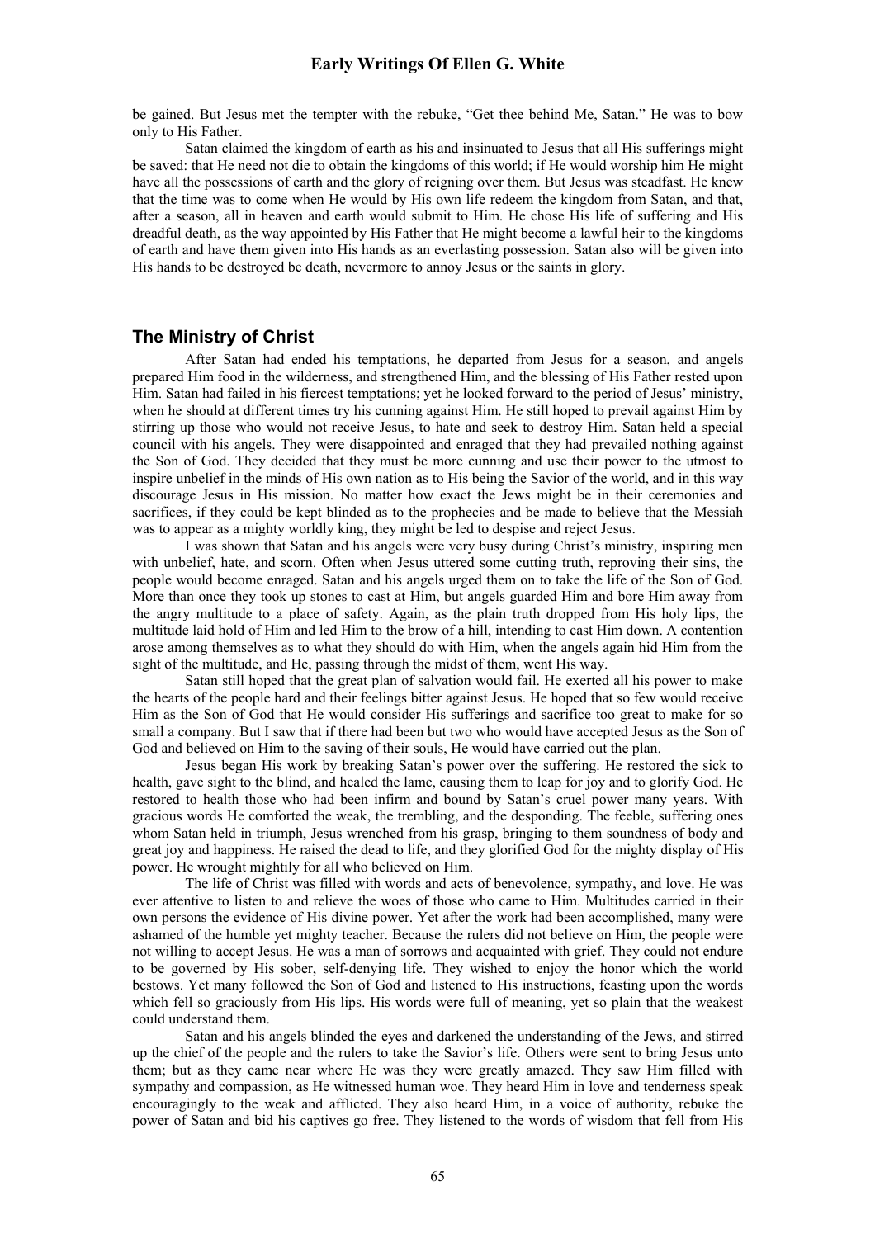be gained. But Jesus met the tempter with the rebuke, "Get thee behind Me, Satan." He was to bow only to His Father.

Satan claimed the kingdom of earth as his and insinuated to Jesus that all His sufferings might be saved: that He need not die to obtain the kingdoms of this world; if He would worship him He might have all the possessions of earth and the glory of reigning over them. But Jesus was steadfast. He knew that the time was to come when He would by His own life redeem the kingdom from Satan, and that, after a season, all in heaven and earth would submit to Him. He chose His life of suffering and His dreadful death, as the way appointed by His Father that He might become a lawful heir to the kingdoms of earth and have them given into His hands as an everlasting possession. Satan also will be given into His hands to be destroyed be death, nevermore to annoy Jesus or the saints in glory.

# **The Ministry of Christ**

After Satan had ended his temptations, he departed from Jesus for a season, and angels prepared Him food in the wilderness, and strengthened Him, and the blessing of His Father rested upon Him. Satan had failed in his fiercest temptations; yet he looked forward to the period of Jesus' ministry, when he should at different times try his cunning against Him. He still hoped to prevail against Him by stirring up those who would not receive Jesus, to hate and seek to destroy Him. Satan held a special council with his angels. They were disappointed and enraged that they had prevailed nothing against the Son of God. They decided that they must be more cunning and use their power to the utmost to inspire unbelief in the minds of His own nation as to His being the Savior of the world, and in this way discourage Jesus in His mission. No matter how exact the Jews might be in their ceremonies and sacrifices, if they could be kept blinded as to the prophecies and be made to believe that the Messiah was to appear as a mighty worldly king, they might be led to despise and reject Jesus.

I was shown that Satan and his angels were very busy during Christ's ministry, inspiring men with unbelief, hate, and scorn. Often when Jesus uttered some cutting truth, reproving their sins, the people would become enraged. Satan and his angels urged them on to take the life of the Son of God. More than once they took up stones to cast at Him, but angels guarded Him and bore Him away from the angry multitude to a place of safety. Again, as the plain truth dropped from His holy lips, the multitude laid hold of Him and led Him to the brow of a hill, intending to cast Him down. A contention arose among themselves as to what they should do with Him, when the angels again hid Him from the sight of the multitude, and He, passing through the midst of them, went His way.

Satan still hoped that the great plan of salvation would fail. He exerted all his power to make the hearts of the people hard and their feelings bitter against Jesus. He hoped that so few would receive Him as the Son of God that He would consider His sufferings and sacrifice too great to make for so small a company. But I saw that if there had been but two who would have accepted Jesus as the Son of God and believed on Him to the saving of their souls, He would have carried out the plan.

Jesus began His work by breaking Satan's power over the suffering. He restored the sick to health, gave sight to the blind, and healed the lame, causing them to leap for joy and to glorify God. He restored to health those who had been infirm and bound by Satan's cruel power many years. With gracious words He comforted the weak, the trembling, and the desponding. The feeble, suffering ones whom Satan held in triumph, Jesus wrenched from his grasp, bringing to them soundness of body and great joy and happiness. He raised the dead to life, and they glorified God for the mighty display of His power. He wrought mightily for all who believed on Him.

The life of Christ was filled with words and acts of benevolence, sympathy, and love. He was ever attentive to listen to and relieve the woes of those who came to Him. Multitudes carried in their own persons the evidence of His divine power. Yet after the work had been accomplished, many were ashamed of the humble yet mighty teacher. Because the rulers did not believe on Him, the people were not willing to accept Jesus. He was a man of sorrows and acquainted with grief. They could not endure to be governed by His sober, self-denying life. They wished to enjoy the honor which the world bestows. Yet many followed the Son of God and listened to His instructions, feasting upon the words which fell so graciously from His lips. His words were full of meaning, yet so plain that the weakest could understand them.

Satan and his angels blinded the eyes and darkened the understanding of the Jews, and stirred up the chief of the people and the rulers to take the Savior's life. Others were sent to bring Jesus unto them; but as they came near where He was they were greatly amazed. They saw Him filled with sympathy and compassion, as He witnessed human woe. They heard Him in love and tenderness speak encouragingly to the weak and afflicted. They also heard Him, in a voice of authority, rebuke the power of Satan and bid his captives go free. They listened to the words of wisdom that fell from His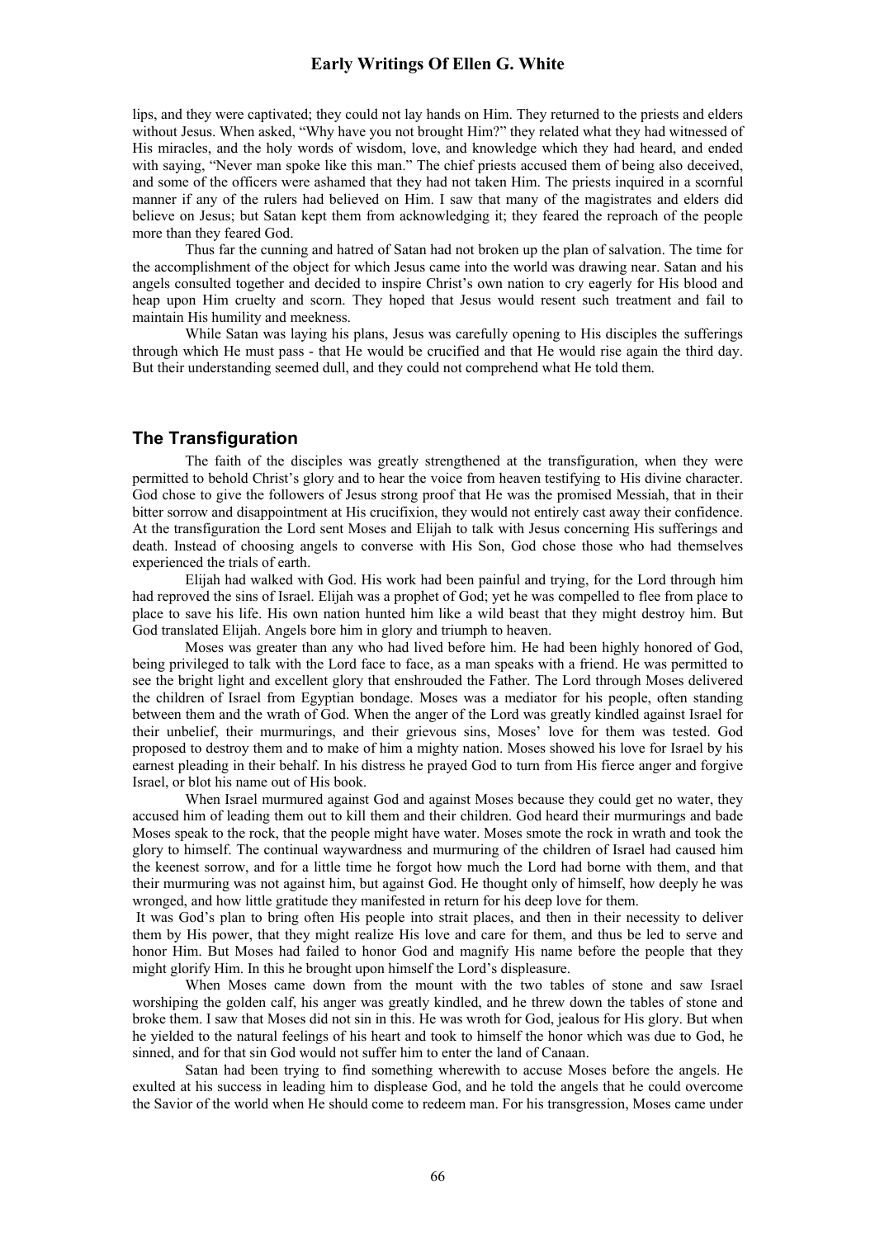lips, and they were captivated; they could not lay hands on Him. They returned to the priests and elders without Jesus. When asked, "Why have you not brought Him?" they related what they had witnessed of His miracles, and the holy words of wisdom, love, and knowledge which they had heard, and ended with saying, "Never man spoke like this man." The chief priests accused them of being also deceived, and some of the officers were ashamed that they had not taken Him. The priests inquired in a scornful manner if any of the rulers had believed on Him. I saw that many of the magistrates and elders did believe on Jesus; but Satan kept them from acknowledging it; they feared the reproach of the people more than they feared God.

Thus far the cunning and hatred of Satan had not broken up the plan of salvation. The time for the accomplishment of the object for which Jesus came into the world was drawing near. Satan and his angels consulted together and decided to inspire Christ's own nation to cry eagerly for His blood and heap upon Him cruelty and scorn. They hoped that Jesus would resent such treatment and fail to maintain His humility and meekness.

While Satan was laying his plans, Jesus was carefully opening to His disciples the sufferings through which He must pass - that He would be crucified and that He would rise again the third day. But their understanding seemed dull, and they could not comprehend what He told them.

# **The Transfiguration**

The faith of the disciples was greatly strengthened at the transfiguration, when they were permitted to behold Christ's glory and to hear the voice from heaven testifying to His divine character. God chose to give the followers of Jesus strong proof that He was the promised Messiah, that in their bitter sorrow and disappointment at His crucifixion, they would not entirely cast away their confidence. At the transfiguration the Lord sent Moses and Elijah to talk with Jesus concerning His sufferings and death. Instead of choosing angels to converse with His Son, God chose those who had themselves experienced the trials of earth.

Elijah had walked with God. His work had been painful and trying, for the Lord through him had reproved the sins of Israel. Elijah was a prophet of God; yet he was compelled to flee from place to place to save his life. His own nation hunted him like a wild beast that they might destroy him. But God translated Elijah. Angels bore him in glory and triumph to heaven.

Moses was greater than any who had lived before him. He had been highly honored of God, being privileged to talk with the Lord face to face, as a man speaks with a friend. He was permitted to see the bright light and excellent glory that enshrouded the Father. The Lord through Moses delivered the children of Israel from Egyptian bondage. Moses was a mediator for his people, often standing between them and the wrath of God. When the anger of the Lord was greatly kindled against Israel for their unbelief, their murmurings, and their grievous sins, Moses' love for them was tested. God proposed to destroy them and to make of him a mighty nation. Moses showed his love for Israel by his earnest pleading in their behalf. In his distress he prayed God to turn from His fierce anger and forgive Israel, or blot his name out of His book.

When Israel murmured against God and against Moses because they could get no water, they accused him of leading them out to kill them and their children. God heard their murmurings and bade Moses speak to the rock, that the people might have water. Moses smote the rock in wrath and took the glory to himself. The continual waywardness and murmuring of the children of Israel had caused him the keenest sorrow, and for a little time he forgot how much the Lord had borne with them, and that their murmuring was not against him, but against God. He thought only of himself, how deeply he was wronged, and how little gratitude they manifested in return for his deep love for them.

 It was God's plan to bring often His people into strait places, and then in their necessity to deliver them by His power, that they might realize His love and care for them, and thus be led to serve and honor Him. But Moses had failed to honor God and magnify His name before the people that they might glorify Him. In this he brought upon himself the Lord's displeasure.

When Moses came down from the mount with the two tables of stone and saw Israel worshiping the golden calf, his anger was greatly kindled, and he threw down the tables of stone and broke them. I saw that Moses did not sin in this. He was wroth for God, jealous for His glory. But when he yielded to the natural feelings of his heart and took to himself the honor which was due to God, he sinned, and for that sin God would not suffer him to enter the land of Canaan.

Satan had been trying to find something wherewith to accuse Moses before the angels. He exulted at his success in leading him to displease God, and he told the angels that he could overcome the Savior of the world when He should come to redeem man. For his transgression, Moses came under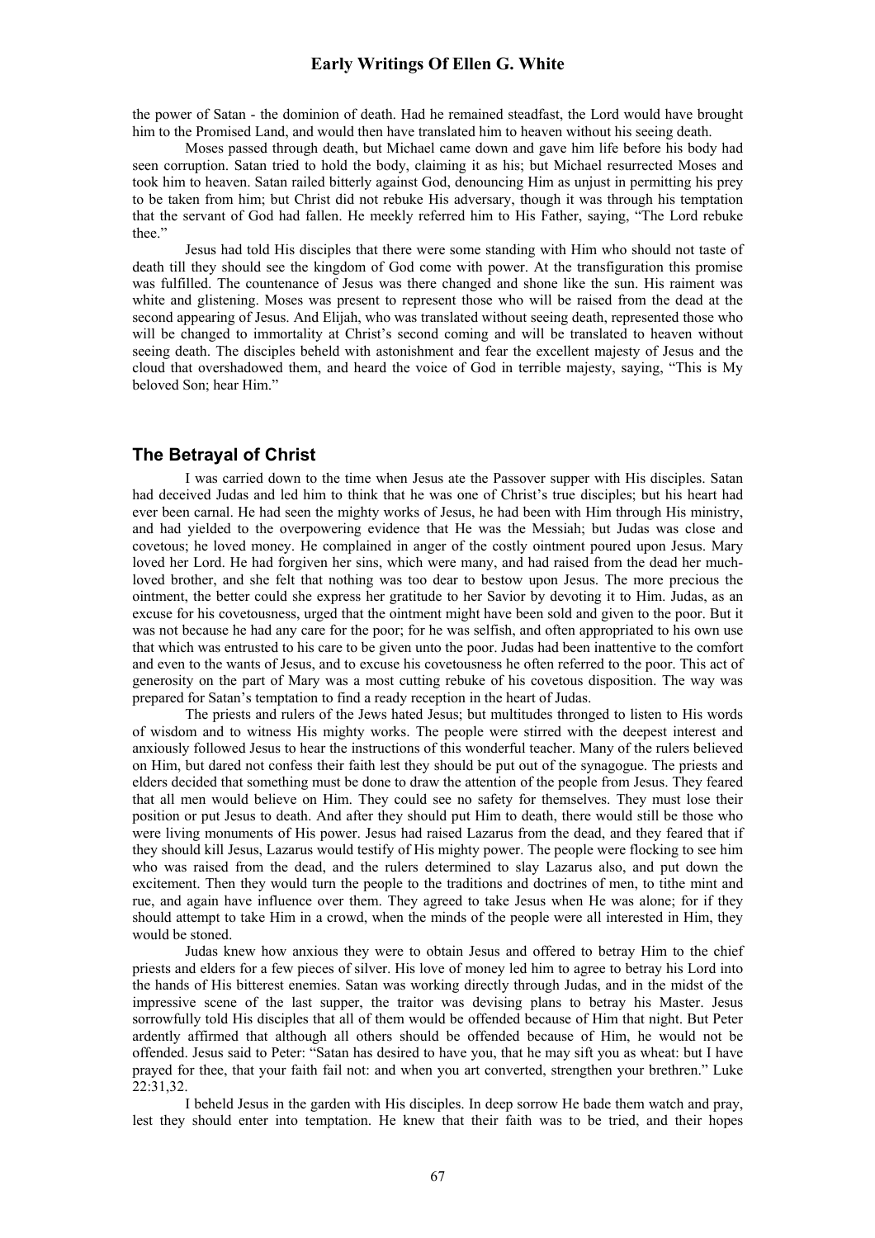the power of Satan - the dominion of death. Had he remained steadfast, the Lord would have brought him to the Promised Land, and would then have translated him to heaven without his seeing death.

Moses passed through death, but Michael came down and gave him life before his body had seen corruption. Satan tried to hold the body, claiming it as his; but Michael resurrected Moses and took him to heaven. Satan railed bitterly against God, denouncing Him as unjust in permitting his prey to be taken from him; but Christ did not rebuke His adversary, though it was through his temptation that the servant of God had fallen. He meekly referred him to His Father, saying, "The Lord rebuke thee."

Jesus had told His disciples that there were some standing with Him who should not taste of death till they should see the kingdom of God come with power. At the transfiguration this promise was fulfilled. The countenance of Jesus was there changed and shone like the sun. His raiment was white and glistening. Moses was present to represent those who will be raised from the dead at the second appearing of Jesus. And Elijah, who was translated without seeing death, represented those who will be changed to immortality at Christ's second coming and will be translated to heaven without seeing death. The disciples beheld with astonishment and fear the excellent majesty of Jesus and the cloud that overshadowed them, and heard the voice of God in terrible majesty, saying, "This is My beloved Son; hear Him."

# **The Betrayal of Christ**

I was carried down to the time when Jesus ate the Passover supper with His disciples. Satan had deceived Judas and led him to think that he was one of Christ's true disciples; but his heart had ever been carnal. He had seen the mighty works of Jesus, he had been with Him through His ministry, and had yielded to the overpowering evidence that He was the Messiah; but Judas was close and covetous; he loved money. He complained in anger of the costly ointment poured upon Jesus. Mary loved her Lord. He had forgiven her sins, which were many, and had raised from the dead her muchloved brother, and she felt that nothing was too dear to bestow upon Jesus. The more precious the ointment, the better could she express her gratitude to her Savior by devoting it to Him. Judas, as an excuse for his covetousness, urged that the ointment might have been sold and given to the poor. But it was not because he had any care for the poor; for he was selfish, and often appropriated to his own use that which was entrusted to his care to be given unto the poor. Judas had been inattentive to the comfort and even to the wants of Jesus, and to excuse his covetousness he often referred to the poor. This act of generosity on the part of Mary was a most cutting rebuke of his covetous disposition. The way was prepared for Satan's temptation to find a ready reception in the heart of Judas.

The priests and rulers of the Jews hated Jesus; but multitudes thronged to listen to His words of wisdom and to witness His mighty works. The people were stirred with the deepest interest and anxiously followed Jesus to hear the instructions of this wonderful teacher. Many of the rulers believed on Him, but dared not confess their faith lest they should be put out of the synagogue. The priests and elders decided that something must be done to draw the attention of the people from Jesus. They feared that all men would believe on Him. They could see no safety for themselves. They must lose their position or put Jesus to death. And after they should put Him to death, there would still be those who were living monuments of His power. Jesus had raised Lazarus from the dead, and they feared that if they should kill Jesus, Lazarus would testify of His mighty power. The people were flocking to see him who was raised from the dead, and the rulers determined to slay Lazarus also, and put down the excitement. Then they would turn the people to the traditions and doctrines of men, to tithe mint and rue, and again have influence over them. They agreed to take Jesus when He was alone; for if they should attempt to take Him in a crowd, when the minds of the people were all interested in Him, they would be stoned.

Judas knew how anxious they were to obtain Jesus and offered to betray Him to the chief priests and elders for a few pieces of silver. His love of money led him to agree to betray his Lord into the hands of His bitterest enemies. Satan was working directly through Judas, and in the midst of the impressive scene of the last supper, the traitor was devising plans to betray his Master. Jesus sorrowfully told His disciples that all of them would be offended because of Him that night. But Peter ardently affirmed that although all others should be offended because of Him, he would not be offended. Jesus said to Peter: "Satan has desired to have you, that he may sift you as wheat: but I have prayed for thee, that your faith fail not: and when you art converted, strengthen your brethren." Luke 22:31,32.

I beheld Jesus in the garden with His disciples. In deep sorrow He bade them watch and pray, lest they should enter into temptation. He knew that their faith was to be tried, and their hopes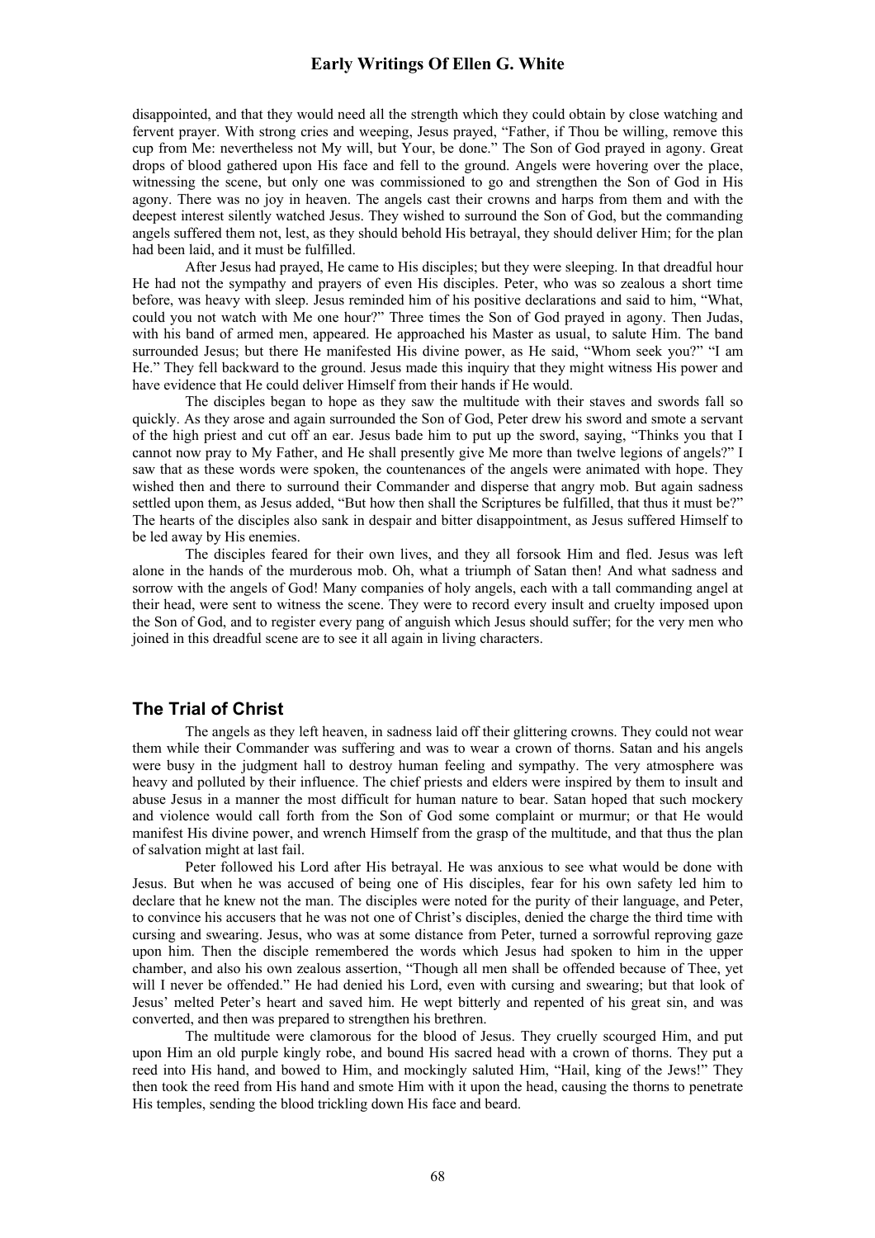disappointed, and that they would need all the strength which they could obtain by close watching and fervent prayer. With strong cries and weeping, Jesus prayed, "Father, if Thou be willing, remove this cup from Me: nevertheless not My will, but Your, be done." The Son of God prayed in agony. Great drops of blood gathered upon His face and fell to the ground. Angels were hovering over the place, witnessing the scene, but only one was commissioned to go and strengthen the Son of God in His agony. There was no joy in heaven. The angels cast their crowns and harps from them and with the deepest interest silently watched Jesus. They wished to surround the Son of God, but the commanding angels suffered them not, lest, as they should behold His betrayal, they should deliver Him; for the plan had been laid, and it must be fulfilled.

After Jesus had prayed, He came to His disciples; but they were sleeping. In that dreadful hour He had not the sympathy and prayers of even His disciples. Peter, who was so zealous a short time before, was heavy with sleep. Jesus reminded him of his positive declarations and said to him, "What, could you not watch with Me one hour?" Three times the Son of God prayed in agony. Then Judas, with his band of armed men, appeared. He approached his Master as usual, to salute Him. The band surrounded Jesus; but there He manifested His divine power, as He said, "Whom seek you?" "I am He." They fell backward to the ground. Jesus made this inquiry that they might witness His power and have evidence that He could deliver Himself from their hands if He would.

The disciples began to hope as they saw the multitude with their staves and swords fall so quickly. As they arose and again surrounded the Son of God, Peter drew his sword and smote a servant of the high priest and cut off an ear. Jesus bade him to put up the sword, saying, "Thinks you that I cannot now pray to My Father, and He shall presently give Me more than twelve legions of angels?" I saw that as these words were spoken, the countenances of the angels were animated with hope. They wished then and there to surround their Commander and disperse that angry mob. But again sadness settled upon them, as Jesus added, "But how then shall the Scriptures be fulfilled, that thus it must be?" The hearts of the disciples also sank in despair and bitter disappointment, as Jesus suffered Himself to be led away by His enemies.

The disciples feared for their own lives, and they all forsook Him and fled. Jesus was left alone in the hands of the murderous mob. Oh, what a triumph of Satan then! And what sadness and sorrow with the angels of God! Many companies of holy angels, each with a tall commanding angel at their head, were sent to witness the scene. They were to record every insult and cruelty imposed upon the Son of God, and to register every pang of anguish which Jesus should suffer; for the very men who joined in this dreadful scene are to see it all again in living characters.

# **The Trial of Christ**

The angels as they left heaven, in sadness laid off their glittering crowns. They could not wear them while their Commander was suffering and was to wear a crown of thorns. Satan and his angels were busy in the judgment hall to destroy human feeling and sympathy. The very atmosphere was heavy and polluted by their influence. The chief priests and elders were inspired by them to insult and abuse Jesus in a manner the most difficult for human nature to bear. Satan hoped that such mockery and violence would call forth from the Son of God some complaint or murmur; or that He would manifest His divine power, and wrench Himself from the grasp of the multitude, and that thus the plan of salvation might at last fail.

Peter followed his Lord after His betrayal. He was anxious to see what would be done with Jesus. But when he was accused of being one of His disciples, fear for his own safety led him to declare that he knew not the man. The disciples were noted for the purity of their language, and Peter, to convince his accusers that he was not one of Christ's disciples, denied the charge the third time with cursing and swearing. Jesus, who was at some distance from Peter, turned a sorrowful reproving gaze upon him. Then the disciple remembered the words which Jesus had spoken to him in the upper chamber, and also his own zealous assertion, "Though all men shall be offended because of Thee, yet will I never be offended." He had denied his Lord, even with cursing and swearing; but that look of Jesus' melted Peter's heart and saved him. He wept bitterly and repented of his great sin, and was converted, and then was prepared to strengthen his brethren.

The multitude were clamorous for the blood of Jesus. They cruelly scourged Him, and put upon Him an old purple kingly robe, and bound His sacred head with a crown of thorns. They put a reed into His hand, and bowed to Him, and mockingly saluted Him, "Hail, king of the Jews!" They then took the reed from His hand and smote Him with it upon the head, causing the thorns to penetrate His temples, sending the blood trickling down His face and beard.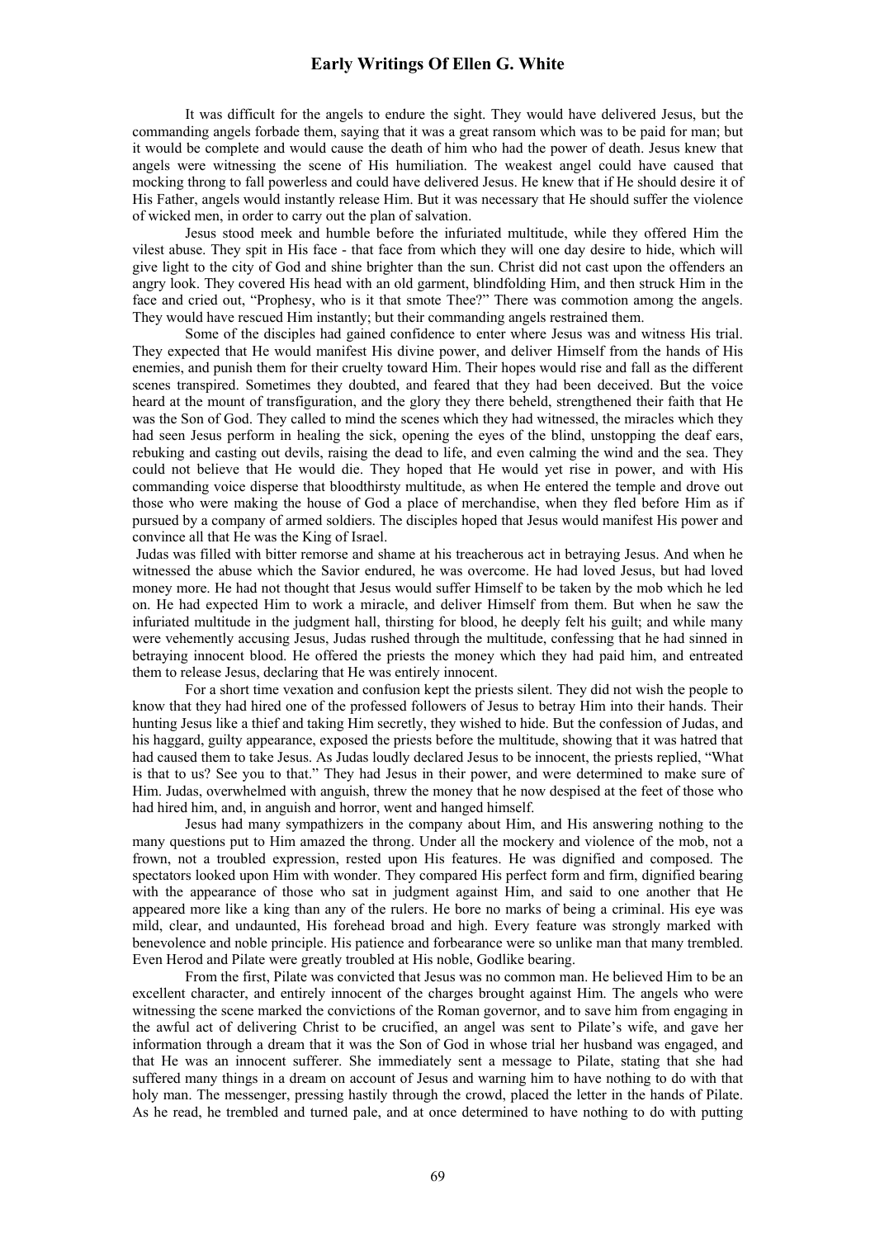It was difficult for the angels to endure the sight. They would have delivered Jesus, but the commanding angels forbade them, saying that it was a great ransom which was to be paid for man; but it would be complete and would cause the death of him who had the power of death. Jesus knew that angels were witnessing the scene of His humiliation. The weakest angel could have caused that mocking throng to fall powerless and could have delivered Jesus. He knew that if He should desire it of His Father, angels would instantly release Him. But it was necessary that He should suffer the violence of wicked men, in order to carry out the plan of salvation.

Jesus stood meek and humble before the infuriated multitude, while they offered Him the vilest abuse. They spit in His face - that face from which they will one day desire to hide, which will give light to the city of God and shine brighter than the sun. Christ did not cast upon the offenders an angry look. They covered His head with an old garment, blindfolding Him, and then struck Him in the face and cried out, "Prophesy, who is it that smote Thee?" There was commotion among the angels. They would have rescued Him instantly; but their commanding angels restrained them.

Some of the disciples had gained confidence to enter where Jesus was and witness His trial. They expected that He would manifest His divine power, and deliver Himself from the hands of His enemies, and punish them for their cruelty toward Him. Their hopes would rise and fall as the different scenes transpired. Sometimes they doubted, and feared that they had been deceived. But the voice heard at the mount of transfiguration, and the glory they there beheld, strengthened their faith that He was the Son of God. They called to mind the scenes which they had witnessed, the miracles which they had seen Jesus perform in healing the sick, opening the eyes of the blind, unstopping the deaf ears, rebuking and casting out devils, raising the dead to life, and even calming the wind and the sea. They could not believe that He would die. They hoped that He would yet rise in power, and with His commanding voice disperse that bloodthirsty multitude, as when He entered the temple and drove out those who were making the house of God a place of merchandise, when they fled before Him as if pursued by a company of armed soldiers. The disciples hoped that Jesus would manifest His power and convince all that He was the King of Israel.

 Judas was filled with bitter remorse and shame at his treacherous act in betraying Jesus. And when he witnessed the abuse which the Savior endured, he was overcome. He had loved Jesus, but had loved money more. He had not thought that Jesus would suffer Himself to be taken by the mob which he led on. He had expected Him to work a miracle, and deliver Himself from them. But when he saw the infuriated multitude in the judgment hall, thirsting for blood, he deeply felt his guilt; and while many were vehemently accusing Jesus, Judas rushed through the multitude, confessing that he had sinned in betraying innocent blood. He offered the priests the money which they had paid him, and entreated them to release Jesus, declaring that He was entirely innocent.

For a short time vexation and confusion kept the priests silent. They did not wish the people to know that they had hired one of the professed followers of Jesus to betray Him into their hands. Their hunting Jesus like a thief and taking Him secretly, they wished to hide. But the confession of Judas, and his haggard, guilty appearance, exposed the priests before the multitude, showing that it was hatred that had caused them to take Jesus. As Judas loudly declared Jesus to be innocent, the priests replied, "What is that to us? See you to that." They had Jesus in their power, and were determined to make sure of Him. Judas, overwhelmed with anguish, threw the money that he now despised at the feet of those who had hired him, and, in anguish and horror, went and hanged himself.

Jesus had many sympathizers in the company about Him, and His answering nothing to the many questions put to Him amazed the throng. Under all the mockery and violence of the mob, not a frown, not a troubled expression, rested upon His features. He was dignified and composed. The spectators looked upon Him with wonder. They compared His perfect form and firm, dignified bearing with the appearance of those who sat in judgment against Him, and said to one another that He appeared more like a king than any of the rulers. He bore no marks of being a criminal. His eye was mild, clear, and undaunted, His forehead broad and high. Every feature was strongly marked with benevolence and noble principle. His patience and forbearance were so unlike man that many trembled. Even Herod and Pilate were greatly troubled at His noble, Godlike bearing.

From the first, Pilate was convicted that Jesus was no common man. He believed Him to be an excellent character, and entirely innocent of the charges brought against Him. The angels who were witnessing the scene marked the convictions of the Roman governor, and to save him from engaging in the awful act of delivering Christ to be crucified, an angel was sent to Pilate's wife, and gave her information through a dream that it was the Son of God in whose trial her husband was engaged, and that He was an innocent sufferer. She immediately sent a message to Pilate, stating that she had suffered many things in a dream on account of Jesus and warning him to have nothing to do with that holy man. The messenger, pressing hastily through the crowd, placed the letter in the hands of Pilate. As he read, he trembled and turned pale, and at once determined to have nothing to do with putting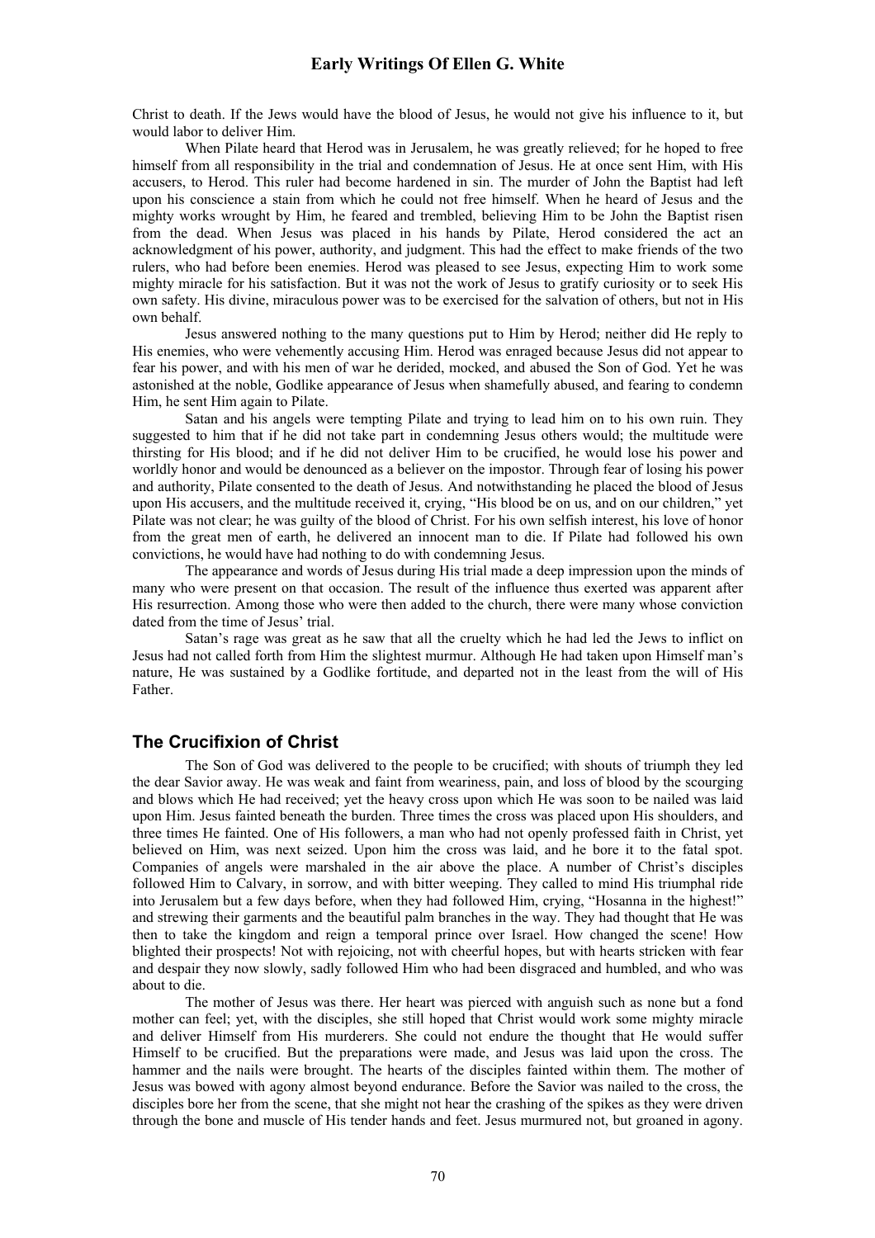Christ to death. If the Jews would have the blood of Jesus, he would not give his influence to it, but would labor to deliver Him.

When Pilate heard that Herod was in Jerusalem, he was greatly relieved; for he hoped to free himself from all responsibility in the trial and condemnation of Jesus. He at once sent Him, with His accusers, to Herod. This ruler had become hardened in sin. The murder of John the Baptist had left upon his conscience a stain from which he could not free himself. When he heard of Jesus and the mighty works wrought by Him, he feared and trembled, believing Him to be John the Baptist risen from the dead. When Jesus was placed in his hands by Pilate, Herod considered the act an acknowledgment of his power, authority, and judgment. This had the effect to make friends of the two rulers, who had before been enemies. Herod was pleased to see Jesus, expecting Him to work some mighty miracle for his satisfaction. But it was not the work of Jesus to gratify curiosity or to seek His own safety. His divine, miraculous power was to be exercised for the salvation of others, but not in His own behalf.

Jesus answered nothing to the many questions put to Him by Herod; neither did He reply to His enemies, who were vehemently accusing Him. Herod was enraged because Jesus did not appear to fear his power, and with his men of war he derided, mocked, and abused the Son of God. Yet he was astonished at the noble, Godlike appearance of Jesus when shamefully abused, and fearing to condemn Him, he sent Him again to Pilate.

Satan and his angels were tempting Pilate and trying to lead him on to his own ruin. They suggested to him that if he did not take part in condemning Jesus others would; the multitude were thirsting for His blood; and if he did not deliver Him to be crucified, he would lose his power and worldly honor and would be denounced as a believer on the impostor. Through fear of losing his power and authority, Pilate consented to the death of Jesus. And notwithstanding he placed the blood of Jesus upon His accusers, and the multitude received it, crying, "His blood be on us, and on our children," yet Pilate was not clear; he was guilty of the blood of Christ. For his own selfish interest, his love of honor from the great men of earth, he delivered an innocent man to die. If Pilate had followed his own convictions, he would have had nothing to do with condemning Jesus.

The appearance and words of Jesus during His trial made a deep impression upon the minds of many who were present on that occasion. The result of the influence thus exerted was apparent after His resurrection. Among those who were then added to the church, there were many whose conviction dated from the time of Jesus' trial.

Satan's rage was great as he saw that all the cruelty which he had led the Jews to inflict on Jesus had not called forth from Him the slightest murmur. Although He had taken upon Himself man's nature, He was sustained by a Godlike fortitude, and departed not in the least from the will of His Father.

# **The Crucifixion of Christ**

The Son of God was delivered to the people to be crucified; with shouts of triumph they led the dear Savior away. He was weak and faint from weariness, pain, and loss of blood by the scourging and blows which He had received; yet the heavy cross upon which He was soon to be nailed was laid upon Him. Jesus fainted beneath the burden. Three times the cross was placed upon His shoulders, and three times He fainted. One of His followers, a man who had not openly professed faith in Christ, yet believed on Him, was next seized. Upon him the cross was laid, and he bore it to the fatal spot. Companies of angels were marshaled in the air above the place. A number of Christ's disciples followed Him to Calvary, in sorrow, and with bitter weeping. They called to mind His triumphal ride into Jerusalem but a few days before, when they had followed Him, crying, "Hosanna in the highest!" and strewing their garments and the beautiful palm branches in the way. They had thought that He was then to take the kingdom and reign a temporal prince over Israel. How changed the scene! How blighted their prospects! Not with rejoicing, not with cheerful hopes, but with hearts stricken with fear and despair they now slowly, sadly followed Him who had been disgraced and humbled, and who was about to die.

The mother of Jesus was there. Her heart was pierced with anguish such as none but a fond mother can feel; yet, with the disciples, she still hoped that Christ would work some mighty miracle and deliver Himself from His murderers. She could not endure the thought that He would suffer Himself to be crucified. But the preparations were made, and Jesus was laid upon the cross. The hammer and the nails were brought. The hearts of the disciples fainted within them. The mother of Jesus was bowed with agony almost beyond endurance. Before the Savior was nailed to the cross, the disciples bore her from the scene, that she might not hear the crashing of the spikes as they were driven through the bone and muscle of His tender hands and feet. Jesus murmured not, but groaned in agony.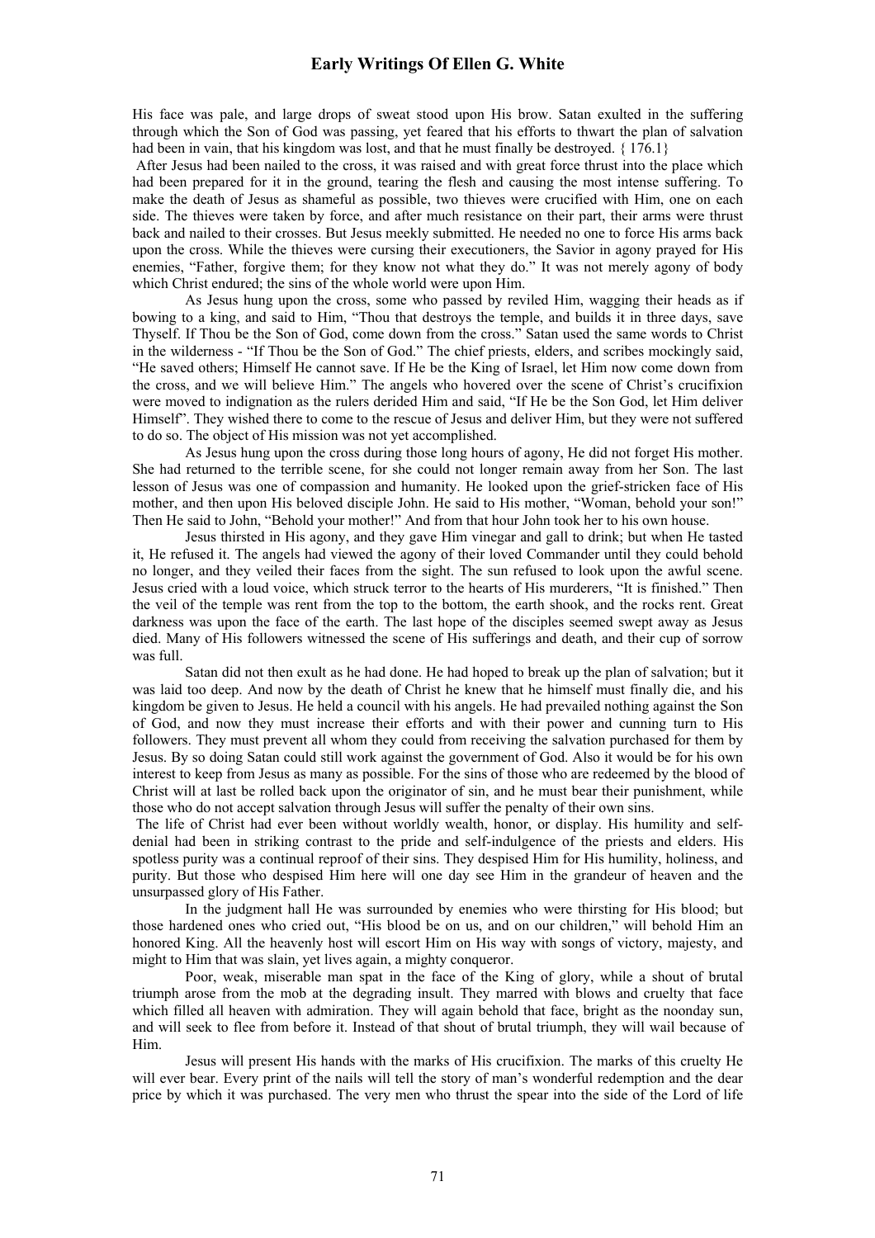His face was pale, and large drops of sweat stood upon His brow. Satan exulted in the suffering through which the Son of God was passing, yet feared that his efforts to thwart the plan of salvation had been in vain, that his kingdom was lost, and that he must finally be destroyed.  $\{176.1\}$ 

 After Jesus had been nailed to the cross, it was raised and with great force thrust into the place which had been prepared for it in the ground, tearing the flesh and causing the most intense suffering. To make the death of Jesus as shameful as possible, two thieves were crucified with Him, one on each side. The thieves were taken by force, and after much resistance on their part, their arms were thrust back and nailed to their crosses. But Jesus meekly submitted. He needed no one to force His arms back upon the cross. While the thieves were cursing their executioners, the Savior in agony prayed for His enemies, "Father, forgive them; for they know not what they do." It was not merely agony of body which Christ endured; the sins of the whole world were upon Him.

As Jesus hung upon the cross, some who passed by reviled Him, wagging their heads as if bowing to a king, and said to Him, "Thou that destroys the temple, and builds it in three days, save Thyself. If Thou be the Son of God, come down from the cross." Satan used the same words to Christ in the wilderness - "If Thou be the Son of God." The chief priests, elders, and scribes mockingly said, "He saved others; Himself He cannot save. If He be the King of Israel, let Him now come down from the cross, and we will believe Him." The angels who hovered over the scene of Christ's crucifixion were moved to indignation as the rulers derided Him and said, "If He be the Son God, let Him deliver Himself". They wished there to come to the rescue of Jesus and deliver Him, but they were not suffered to do so. The object of His mission was not yet accomplished.

As Jesus hung upon the cross during those long hours of agony, He did not forget His mother. She had returned to the terrible scene, for she could not longer remain away from her Son. The last lesson of Jesus was one of compassion and humanity. He looked upon the grief-stricken face of His mother, and then upon His beloved disciple John. He said to His mother, "Woman, behold your son!" Then He said to John, "Behold your mother!" And from that hour John took her to his own house.

Jesus thirsted in His agony, and they gave Him vinegar and gall to drink; but when He tasted it, He refused it. The angels had viewed the agony of their loved Commander until they could behold no longer, and they veiled their faces from the sight. The sun refused to look upon the awful scene. Jesus cried with a loud voice, which struck terror to the hearts of His murderers, "It is finished." Then the veil of the temple was rent from the top to the bottom, the earth shook, and the rocks rent. Great darkness was upon the face of the earth. The last hope of the disciples seemed swept away as Jesus died. Many of His followers witnessed the scene of His sufferings and death, and their cup of sorrow was full.

Satan did not then exult as he had done. He had hoped to break up the plan of salvation; but it was laid too deep. And now by the death of Christ he knew that he himself must finally die, and his kingdom be given to Jesus. He held a council with his angels. He had prevailed nothing against the Son of God, and now they must increase their efforts and with their power and cunning turn to His followers. They must prevent all whom they could from receiving the salvation purchased for them by Jesus. By so doing Satan could still work against the government of God. Also it would be for his own interest to keep from Jesus as many as possible. For the sins of those who are redeemed by the blood of Christ will at last be rolled back upon the originator of sin, and he must bear their punishment, while those who do not accept salvation through Jesus will suffer the penalty of their own sins.

 The life of Christ had ever been without worldly wealth, honor, or display. His humility and selfdenial had been in striking contrast to the pride and self-indulgence of the priests and elders. His spotless purity was a continual reproof of their sins. They despised Him for His humility, holiness, and purity. But those who despised Him here will one day see Him in the grandeur of heaven and the unsurpassed glory of His Father.

In the judgment hall He was surrounded by enemies who were thirsting for His blood; but those hardened ones who cried out, "His blood be on us, and on our children," will behold Him an honored King. All the heavenly host will escort Him on His way with songs of victory, majesty, and might to Him that was slain, yet lives again, a mighty conqueror.

Poor, weak, miserable man spat in the face of the King of glory, while a shout of brutal triumph arose from the mob at the degrading insult. They marred with blows and cruelty that face which filled all heaven with admiration. They will again behold that face, bright as the noonday sun, and will seek to flee from before it. Instead of that shout of brutal triumph, they will wail because of Him.

Jesus will present His hands with the marks of His crucifixion. The marks of this cruelty He will ever bear. Every print of the nails will tell the story of man's wonderful redemption and the dear price by which it was purchased. The very men who thrust the spear into the side of the Lord of life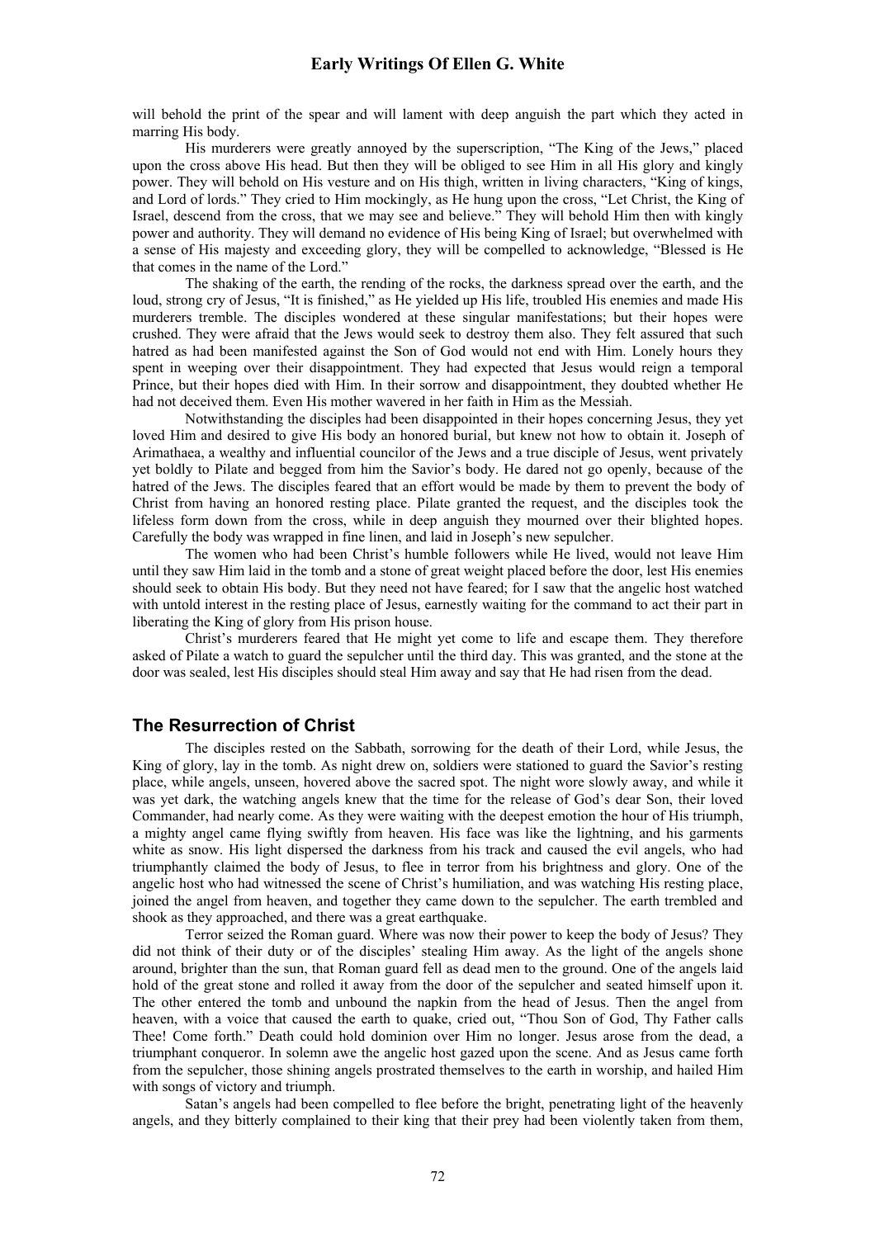will behold the print of the spear and will lament with deep anguish the part which they acted in marring His body.

His murderers were greatly annoyed by the superscription, "The King of the Jews," placed upon the cross above His head. But then they will be obliged to see Him in all His glory and kingly power. They will behold on His vesture and on His thigh, written in living characters, "King of kings, and Lord of lords." They cried to Him mockingly, as He hung upon the cross, "Let Christ, the King of Israel, descend from the cross, that we may see and believe." They will behold Him then with kingly power and authority. They will demand no evidence of His being King of Israel; but overwhelmed with a sense of His majesty and exceeding glory, they will be compelled to acknowledge, "Blessed is He that comes in the name of the Lord."

The shaking of the earth, the rending of the rocks, the darkness spread over the earth, and the loud, strong cry of Jesus, "It is finished," as He yielded up His life, troubled His enemies and made His murderers tremble. The disciples wondered at these singular manifestations; but their hopes were crushed. They were afraid that the Jews would seek to destroy them also. They felt assured that such hatred as had been manifested against the Son of God would not end with Him. Lonely hours they spent in weeping over their disappointment. They had expected that Jesus would reign a temporal Prince, but their hopes died with Him. In their sorrow and disappointment, they doubted whether He had not deceived them. Even His mother wavered in her faith in Him as the Messiah.

Notwithstanding the disciples had been disappointed in their hopes concerning Jesus, they yet loved Him and desired to give His body an honored burial, but knew not how to obtain it. Joseph of Arimathaea, a wealthy and influential councilor of the Jews and a true disciple of Jesus, went privately yet boldly to Pilate and begged from him the Savior's body. He dared not go openly, because of the hatred of the Jews. The disciples feared that an effort would be made by them to prevent the body of Christ from having an honored resting place. Pilate granted the request, and the disciples took the lifeless form down from the cross, while in deep anguish they mourned over their blighted hopes. Carefully the body was wrapped in fine linen, and laid in Joseph's new sepulcher.

The women who had been Christ's humble followers while He lived, would not leave Him until they saw Him laid in the tomb and a stone of great weight placed before the door, lest His enemies should seek to obtain His body. But they need not have feared; for I saw that the angelic host watched with untold interest in the resting place of Jesus, earnestly waiting for the command to act their part in liberating the King of glory from His prison house.

Christ's murderers feared that He might yet come to life and escape them. They therefore asked of Pilate a watch to guard the sepulcher until the third day. This was granted, and the stone at the door was sealed, lest His disciples should steal Him away and say that He had risen from the dead.

### **The Resurrection of Christ**

The disciples rested on the Sabbath, sorrowing for the death of their Lord, while Jesus, the King of glory, lay in the tomb. As night drew on, soldiers were stationed to guard the Savior's resting place, while angels, unseen, hovered above the sacred spot. The night wore slowly away, and while it was yet dark, the watching angels knew that the time for the release of God's dear Son, their loved Commander, had nearly come. As they were waiting with the deepest emotion the hour of His triumph, a mighty angel came flying swiftly from heaven. His face was like the lightning, and his garments white as snow. His light dispersed the darkness from his track and caused the evil angels, who had triumphantly claimed the body of Jesus, to flee in terror from his brightness and glory. One of the angelic host who had witnessed the scene of Christ's humiliation, and was watching His resting place, joined the angel from heaven, and together they came down to the sepulcher. The earth trembled and shook as they approached, and there was a great earthquake.

Terror seized the Roman guard. Where was now their power to keep the body of Jesus? They did not think of their duty or of the disciples' stealing Him away. As the light of the angels shone around, brighter than the sun, that Roman guard fell as dead men to the ground. One of the angels laid hold of the great stone and rolled it away from the door of the sepulcher and seated himself upon it. The other entered the tomb and unbound the napkin from the head of Jesus. Then the angel from heaven, with a voice that caused the earth to quake, cried out, "Thou Son of God, Thy Father calls Thee! Come forth." Death could hold dominion over Him no longer. Jesus arose from the dead, a triumphant conqueror. In solemn awe the angelic host gazed upon the scene. And as Jesus came forth from the sepulcher, those shining angels prostrated themselves to the earth in worship, and hailed Him with songs of victory and triumph.

Satan's angels had been compelled to flee before the bright, penetrating light of the heavenly angels, and they bitterly complained to their king that their prey had been violently taken from them,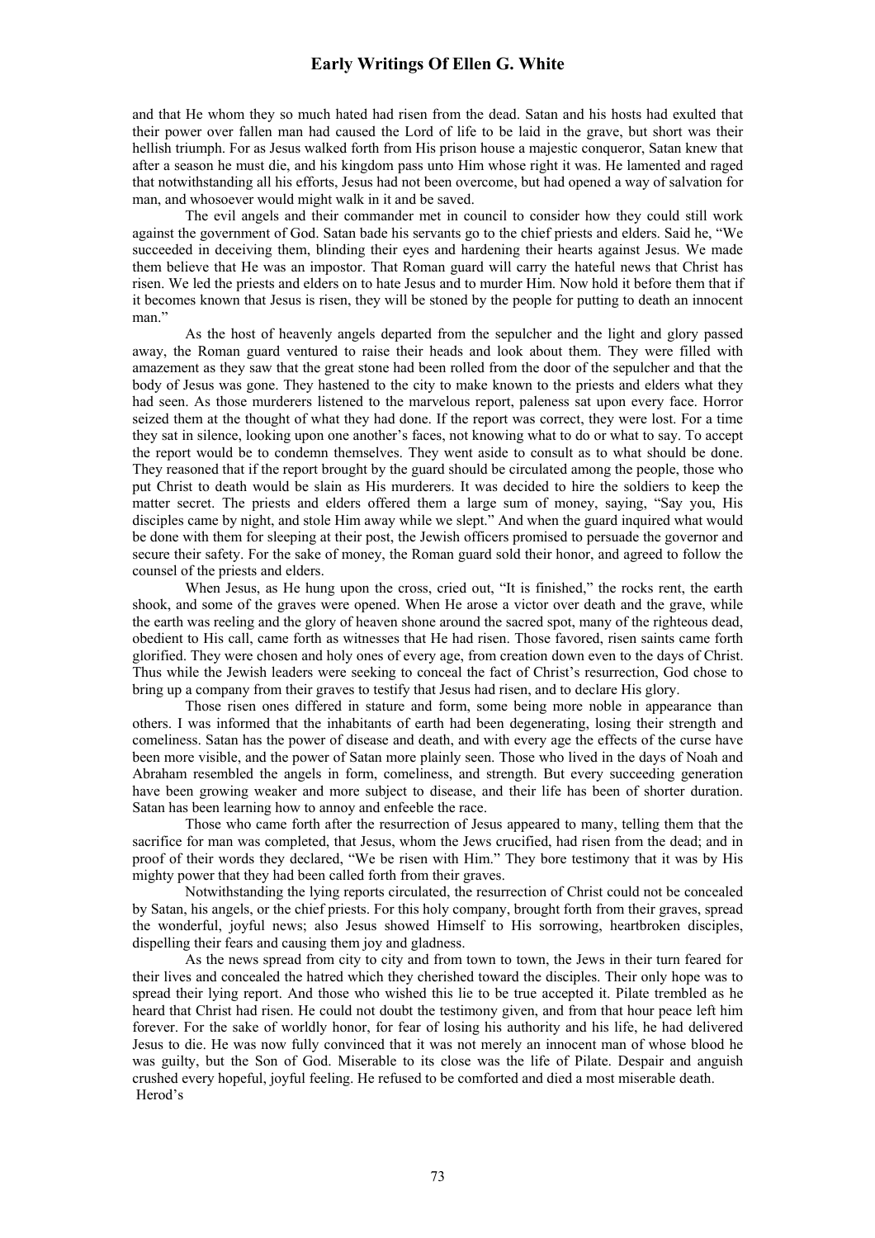and that He whom they so much hated had risen from the dead. Satan and his hosts had exulted that their power over fallen man had caused the Lord of life to be laid in the grave, but short was their hellish triumph. For as Jesus walked forth from His prison house a majestic conqueror, Satan knew that after a season he must die, and his kingdom pass unto Him whose right it was. He lamented and raged that notwithstanding all his efforts, Jesus had not been overcome, but had opened a way of salvation for man, and whosoever would might walk in it and be saved.

The evil angels and their commander met in council to consider how they could still work against the government of God. Satan bade his servants go to the chief priests and elders. Said he, "We succeeded in deceiving them, blinding their eyes and hardening their hearts against Jesus. We made them believe that He was an impostor. That Roman guard will carry the hateful news that Christ has risen. We led the priests and elders on to hate Jesus and to murder Him. Now hold it before them that if it becomes known that Jesus is risen, they will be stoned by the people for putting to death an innocent man<sup>"</sup>

As the host of heavenly angels departed from the sepulcher and the light and glory passed away, the Roman guard ventured to raise their heads and look about them. They were filled with amazement as they saw that the great stone had been rolled from the door of the sepulcher and that the body of Jesus was gone. They hastened to the city to make known to the priests and elders what they had seen. As those murderers listened to the marvelous report, paleness sat upon every face. Horror seized them at the thought of what they had done. If the report was correct, they were lost. For a time they sat in silence, looking upon one another's faces, not knowing what to do or what to say. To accept the report would be to condemn themselves. They went aside to consult as to what should be done. They reasoned that if the report brought by the guard should be circulated among the people, those who put Christ to death would be slain as His murderers. It was decided to hire the soldiers to keep the matter secret. The priests and elders offered them a large sum of money, saying, "Say you, His disciples came by night, and stole Him away while we slept." And when the guard inquired what would be done with them for sleeping at their post, the Jewish officers promised to persuade the governor and secure their safety. For the sake of money, the Roman guard sold their honor, and agreed to follow the counsel of the priests and elders.

When Jesus, as He hung upon the cross, cried out, "It is finished," the rocks rent, the earth shook, and some of the graves were opened. When He arose a victor over death and the grave, while the earth was reeling and the glory of heaven shone around the sacred spot, many of the righteous dead, obedient to His call, came forth as witnesses that He had risen. Those favored, risen saints came forth glorified. They were chosen and holy ones of every age, from creation down even to the days of Christ. Thus while the Jewish leaders were seeking to conceal the fact of Christ's resurrection, God chose to bring up a company from their graves to testify that Jesus had risen, and to declare His glory.

Those risen ones differed in stature and form, some being more noble in appearance than others. I was informed that the inhabitants of earth had been degenerating, losing their strength and comeliness. Satan has the power of disease and death, and with every age the effects of the curse have been more visible, and the power of Satan more plainly seen. Those who lived in the days of Noah and Abraham resembled the angels in form, comeliness, and strength. But every succeeding generation have been growing weaker and more subject to disease, and their life has been of shorter duration. Satan has been learning how to annoy and enfeeble the race.

Those who came forth after the resurrection of Jesus appeared to many, telling them that the sacrifice for man was completed, that Jesus, whom the Jews crucified, had risen from the dead; and in proof of their words they declared, "We be risen with Him." They bore testimony that it was by His mighty power that they had been called forth from their graves.

Notwithstanding the lying reports circulated, the resurrection of Christ could not be concealed by Satan, his angels, or the chief priests. For this holy company, brought forth from their graves, spread the wonderful, joyful news; also Jesus showed Himself to His sorrowing, heartbroken disciples, dispelling their fears and causing them joy and gladness.

As the news spread from city to city and from town to town, the Jews in their turn feared for their lives and concealed the hatred which they cherished toward the disciples. Their only hope was to spread their lying report. And those who wished this lie to be true accepted it. Pilate trembled as he heard that Christ had risen. He could not doubt the testimony given, and from that hour peace left him forever. For the sake of worldly honor, for fear of losing his authority and his life, he had delivered Jesus to die. He was now fully convinced that it was not merely an innocent man of whose blood he was guilty, but the Son of God. Miserable to its close was the life of Pilate. Despair and anguish crushed every hopeful, joyful feeling. He refused to be comforted and died a most miserable death. Herod's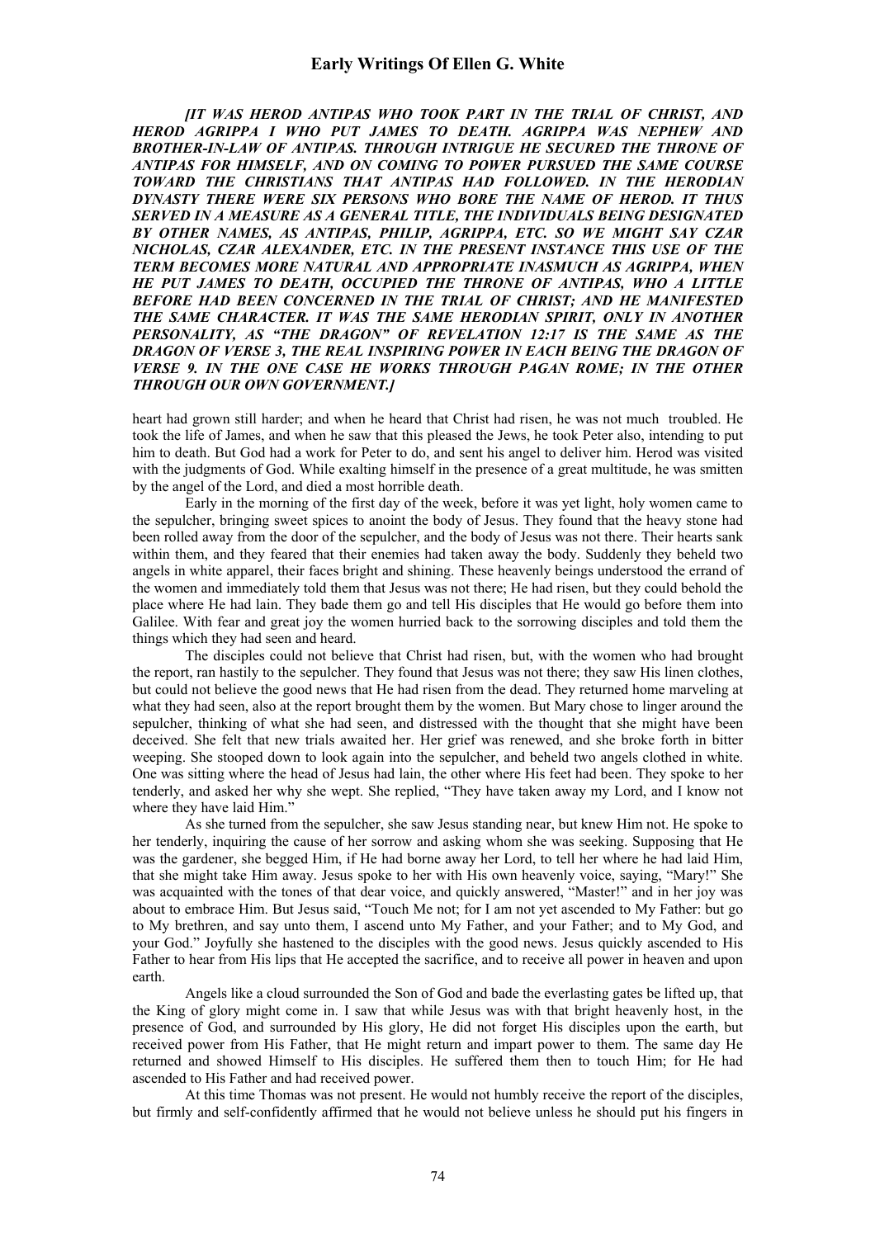*[IT WAS HEROD ANTIPAS WHO TOOK PART IN THE TRIAL OF CHRIST, AND HEROD AGRIPPA I WHO PUT JAMES TO DEATH. AGRIPPA WAS NEPHEW AND BROTHER-IN-LAW OF ANTIPAS. THROUGH INTRIGUE HE SECURED THE THRONE OF ANTIPAS FOR HIMSELF, AND ON COMING TO POWER PURSUED THE SAME COURSE TOWARD THE CHRISTIANS THAT ANTIPAS HAD FOLLOWED. IN THE HERODIAN DYNASTY THERE WERE SIX PERSONS WHO BORE THE NAME OF HEROD. IT THUS SERVED IN A MEASURE AS A GENERAL TITLE, THE INDIVIDUALS BEING DESIGNATED BY OTHER NAMES, AS ANTIPAS, PHILIP, AGRIPPA, ETC. SO WE MIGHT SAY CZAR NICHOLAS, CZAR ALEXANDER, ETC. IN THE PRESENT INSTANCE THIS USE OF THE TERM BECOMES MORE NATURAL AND APPROPRIATE INASMUCH AS AGRIPPA, WHEN HE PUT JAMES TO DEATH, OCCUPIED THE THRONE OF ANTIPAS, WHO A LITTLE BEFORE HAD BEEN CONCERNED IN THE TRIAL OF CHRIST; AND HE MANIFESTED THE SAME CHARACTER. IT WAS THE SAME HERODIAN SPIRIT, ONLY IN ANOTHER PERSONALITY, AS "THE DRAGON" OF REVELATION 12:17 IS THE SAME AS THE*  **DRAGON OF VERSE 3, THE REAL INSPIRING POWER IN EACH BEING THE DRAGON OF** *VERSE 9. IN THE ONE CASE HE WORKS THROUGH PAGAN ROME; IN THE OTHER THROUGH OUR OWN GOVERNMENT.]* 

heart had grown still harder; and when he heard that Christ had risen, he was not much troubled. He took the life of James, and when he saw that this pleased the Jews, he took Peter also, intending to put him to death. But God had a work for Peter to do, and sent his angel to deliver him. Herod was visited with the judgments of God. While exalting himself in the presence of a great multitude, he was smitten by the angel of the Lord, and died a most horrible death.

Early in the morning of the first day of the week, before it was yet light, holy women came to the sepulcher, bringing sweet spices to anoint the body of Jesus. They found that the heavy stone had been rolled away from the door of the sepulcher, and the body of Jesus was not there. Their hearts sank within them, and they feared that their enemies had taken away the body. Suddenly they beheld two angels in white apparel, their faces bright and shining. These heavenly beings understood the errand of the women and immediately told them that Jesus was not there; He had risen, but they could behold the place where He had lain. They bade them go and tell His disciples that He would go before them into Galilee. With fear and great joy the women hurried back to the sorrowing disciples and told them the things which they had seen and heard.

The disciples could not believe that Christ had risen, but, with the women who had brought the report, ran hastily to the sepulcher. They found that Jesus was not there; they saw His linen clothes, but could not believe the good news that He had risen from the dead. They returned home marveling at what they had seen, also at the report brought them by the women. But Mary chose to linger around the sepulcher, thinking of what she had seen, and distressed with the thought that she might have been deceived. She felt that new trials awaited her. Her grief was renewed, and she broke forth in bitter weeping. She stooped down to look again into the sepulcher, and beheld two angels clothed in white. One was sitting where the head of Jesus had lain, the other where His feet had been. They spoke to her tenderly, and asked her why she wept. She replied, "They have taken away my Lord, and I know not where they have laid Him.'

As she turned from the sepulcher, she saw Jesus standing near, but knew Him not. He spoke to her tenderly, inquiring the cause of her sorrow and asking whom she was seeking. Supposing that He was the gardener, she begged Him, if He had borne away her Lord, to tell her where he had laid Him, that she might take Him away. Jesus spoke to her with His own heavenly voice, saying, "Mary!" She was acquainted with the tones of that dear voice, and quickly answered, "Master!" and in her joy was about to embrace Him. But Jesus said, "Touch Me not; for I am not yet ascended to My Father: but go to My brethren, and say unto them, I ascend unto My Father, and your Father; and to My God, and your God." Joyfully she hastened to the disciples with the good news. Jesus quickly ascended to His Father to hear from His lips that He accepted the sacrifice, and to receive all power in heaven and upon earth.

Angels like a cloud surrounded the Son of God and bade the everlasting gates be lifted up, that the King of glory might come in. I saw that while Jesus was with that bright heavenly host, in the presence of God, and surrounded by His glory, He did not forget His disciples upon the earth, but received power from His Father, that He might return and impart power to them. The same day He returned and showed Himself to His disciples. He suffered them then to touch Him; for He had ascended to His Father and had received power.

At this time Thomas was not present. He would not humbly receive the report of the disciples, but firmly and self-confidently affirmed that he would not believe unless he should put his fingers in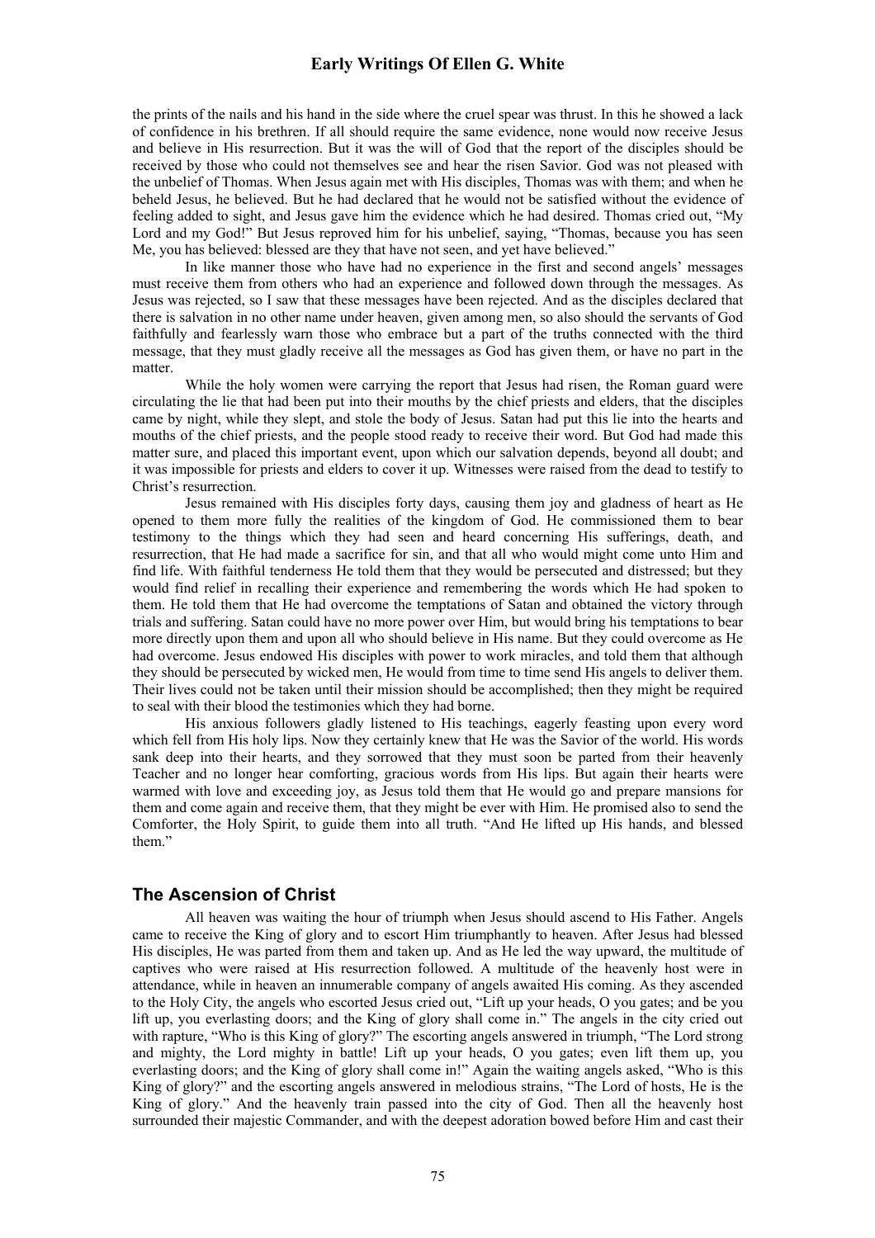the prints of the nails and his hand in the side where the cruel spear was thrust. In this he showed a lack of confidence in his brethren. If all should require the same evidence, none would now receive Jesus and believe in His resurrection. But it was the will of God that the report of the disciples should be received by those who could not themselves see and hear the risen Savior. God was not pleased with the unbelief of Thomas. When Jesus again met with His disciples, Thomas was with them; and when he beheld Jesus, he believed. But he had declared that he would not be satisfied without the evidence of feeling added to sight, and Jesus gave him the evidence which he had desired. Thomas cried out, "My Lord and my God!" But Jesus reproved him for his unbelief, saying, "Thomas, because you has seen Me, you has believed: blessed are they that have not seen, and yet have believed."

In like manner those who have had no experience in the first and second angels' messages must receive them from others who had an experience and followed down through the messages. As Jesus was rejected, so I saw that these messages have been rejected. And as the disciples declared that there is salvation in no other name under heaven, given among men, so also should the servants of God faithfully and fearlessly warn those who embrace but a part of the truths connected with the third message, that they must gladly receive all the messages as God has given them, or have no part in the matter.

While the holy women were carrying the report that Jesus had risen, the Roman guard were circulating the lie that had been put into their mouths by the chief priests and elders, that the disciples came by night, while they slept, and stole the body of Jesus. Satan had put this lie into the hearts and mouths of the chief priests, and the people stood ready to receive their word. But God had made this matter sure, and placed this important event, upon which our salvation depends, beyond all doubt; and it was impossible for priests and elders to cover it up. Witnesses were raised from the dead to testify to Christ's resurrection.

Jesus remained with His disciples forty days, causing them joy and gladness of heart as He opened to them more fully the realities of the kingdom of God. He commissioned them to bear testimony to the things which they had seen and heard concerning His sufferings, death, and resurrection, that He had made a sacrifice for sin, and that all who would might come unto Him and find life. With faithful tenderness He told them that they would be persecuted and distressed; but they would find relief in recalling their experience and remembering the words which He had spoken to them. He told them that He had overcome the temptations of Satan and obtained the victory through trials and suffering. Satan could have no more power over Him, but would bring his temptations to bear more directly upon them and upon all who should believe in His name. But they could overcome as He had overcome. Jesus endowed His disciples with power to work miracles, and told them that although they should be persecuted by wicked men, He would from time to time send His angels to deliver them. Their lives could not be taken until their mission should be accomplished; then they might be required to seal with their blood the testimonies which they had borne.

His anxious followers gladly listened to His teachings, eagerly feasting upon every word which fell from His holy lips. Now they certainly knew that He was the Savior of the world. His words sank deep into their hearts, and they sorrowed that they must soon be parted from their heavenly Teacher and no longer hear comforting, gracious words from His lips. But again their hearts were warmed with love and exceeding joy, as Jesus told them that He would go and prepare mansions for them and come again and receive them, that they might be ever with Him. He promised also to send the Comforter, the Holy Spirit, to guide them into all truth. "And He lifted up His hands, and blessed them."

### **The Ascension of Christ**

All heaven was waiting the hour of triumph when Jesus should ascend to His Father. Angels came to receive the King of glory and to escort Him triumphantly to heaven. After Jesus had blessed His disciples, He was parted from them and taken up. And as He led the way upward, the multitude of captives who were raised at His resurrection followed. A multitude of the heavenly host were in attendance, while in heaven an innumerable company of angels awaited His coming. As they ascended to the Holy City, the angels who escorted Jesus cried out, "Lift up your heads, O you gates; and be you lift up, you everlasting doors; and the King of glory shall come in." The angels in the city cried out with rapture, "Who is this King of glory?" The escorting angels answered in triumph, "The Lord strong and mighty, the Lord mighty in battle! Lift up your heads, O you gates; even lift them up, you everlasting doors; and the King of glory shall come in!" Again the waiting angels asked, "Who is this King of glory?" and the escorting angels answered in melodious strains, "The Lord of hosts, He is the King of glory." And the heavenly train passed into the city of God. Then all the heavenly host surrounded their majestic Commander, and with the deepest adoration bowed before Him and cast their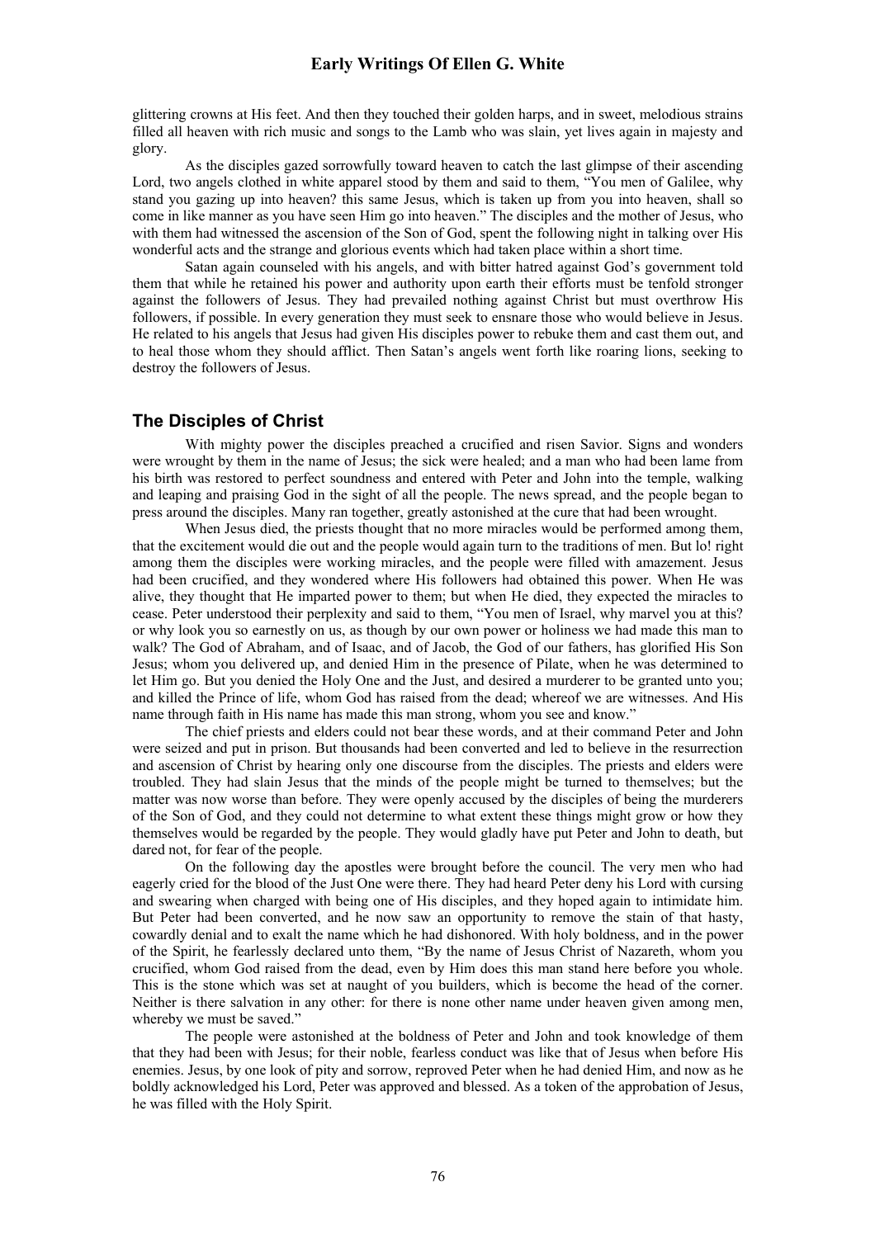glittering crowns at His feet. And then they touched their golden harps, and in sweet, melodious strains filled all heaven with rich music and songs to the Lamb who was slain, yet lives again in majesty and glory.

As the disciples gazed sorrowfully toward heaven to catch the last glimpse of their ascending Lord, two angels clothed in white apparel stood by them and said to them, "You men of Galilee, why stand you gazing up into heaven? this same Jesus, which is taken up from you into heaven, shall so come in like manner as you have seen Him go into heaven." The disciples and the mother of Jesus, who with them had witnessed the ascension of the Son of God, spent the following night in talking over His wonderful acts and the strange and glorious events which had taken place within a short time.

Satan again counseled with his angels, and with bitter hatred against God's government told them that while he retained his power and authority upon earth their efforts must be tenfold stronger against the followers of Jesus. They had prevailed nothing against Christ but must overthrow His followers, if possible. In every generation they must seek to ensnare those who would believe in Jesus. He related to his angels that Jesus had given His disciples power to rebuke them and cast them out, and to heal those whom they should afflict. Then Satan's angels went forth like roaring lions, seeking to destroy the followers of Jesus.

# **The Disciples of Christ**

With mighty power the disciples preached a crucified and risen Savior. Signs and wonders were wrought by them in the name of Jesus; the sick were healed; and a man who had been lame from his birth was restored to perfect soundness and entered with Peter and John into the temple, walking and leaping and praising God in the sight of all the people. The news spread, and the people began to press around the disciples. Many ran together, greatly astonished at the cure that had been wrought.

When Jesus died, the priests thought that no more miracles would be performed among them, that the excitement would die out and the people would again turn to the traditions of men. But lo! right among them the disciples were working miracles, and the people were filled with amazement. Jesus had been crucified, and they wondered where His followers had obtained this power. When He was alive, they thought that He imparted power to them; but when He died, they expected the miracles to cease. Peter understood their perplexity and said to them, "You men of Israel, why marvel you at this? or why look you so earnestly on us, as though by our own power or holiness we had made this man to walk? The God of Abraham, and of Isaac, and of Jacob, the God of our fathers, has glorified His Son Jesus; whom you delivered up, and denied Him in the presence of Pilate, when he was determined to let Him go. But you denied the Holy One and the Just, and desired a murderer to be granted unto you; and killed the Prince of life, whom God has raised from the dead; whereof we are witnesses. And His name through faith in His name has made this man strong, whom you see and know."

The chief priests and elders could not bear these words, and at their command Peter and John were seized and put in prison. But thousands had been converted and led to believe in the resurrection and ascension of Christ by hearing only one discourse from the disciples. The priests and elders were troubled. They had slain Jesus that the minds of the people might be turned to themselves; but the matter was now worse than before. They were openly accused by the disciples of being the murderers of the Son of God, and they could not determine to what extent these things might grow or how they themselves would be regarded by the people. They would gladly have put Peter and John to death, but dared not, for fear of the people.

On the following day the apostles were brought before the council. The very men who had eagerly cried for the blood of the Just One were there. They had heard Peter deny his Lord with cursing and swearing when charged with being one of His disciples, and they hoped again to intimidate him. But Peter had been converted, and he now saw an opportunity to remove the stain of that hasty, cowardly denial and to exalt the name which he had dishonored. With holy boldness, and in the power of the Spirit, he fearlessly declared unto them, "By the name of Jesus Christ of Nazareth, whom you crucified, whom God raised from the dead, even by Him does this man stand here before you whole. This is the stone which was set at naught of you builders, which is become the head of the corner. Neither is there salvation in any other: for there is none other name under heaven given among men, whereby we must be saved."

The people were astonished at the boldness of Peter and John and took knowledge of them that they had been with Jesus; for their noble, fearless conduct was like that of Jesus when before His enemies. Jesus, by one look of pity and sorrow, reproved Peter when he had denied Him, and now as he boldly acknowledged his Lord, Peter was approved and blessed. As a token of the approbation of Jesus, he was filled with the Holy Spirit.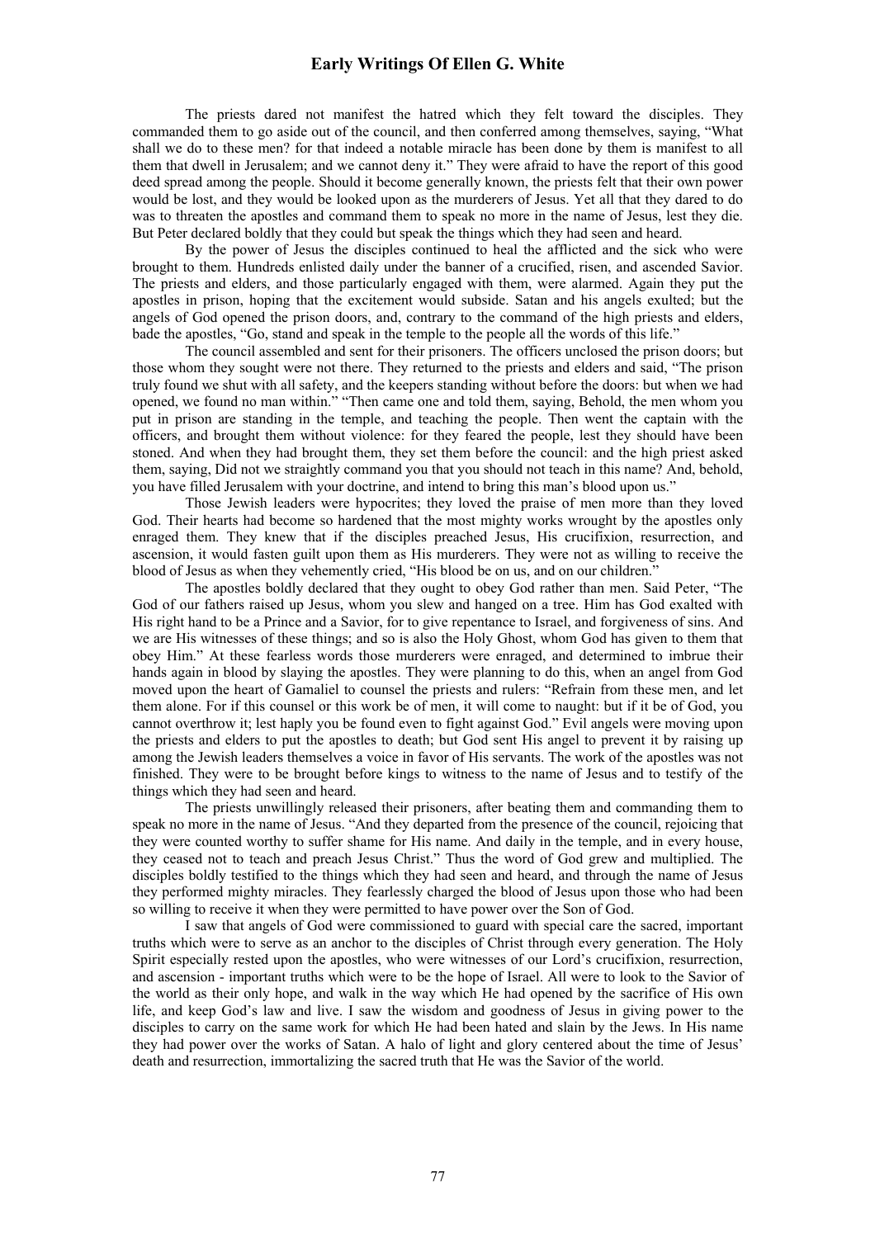The priests dared not manifest the hatred which they felt toward the disciples. They commanded them to go aside out of the council, and then conferred among themselves, saying, "What shall we do to these men? for that indeed a notable miracle has been done by them is manifest to all them that dwell in Jerusalem; and we cannot deny it." They were afraid to have the report of this good deed spread among the people. Should it become generally known, the priests felt that their own power would be lost, and they would be looked upon as the murderers of Jesus. Yet all that they dared to do was to threaten the apostles and command them to speak no more in the name of Jesus, lest they die. But Peter declared boldly that they could but speak the things which they had seen and heard.

By the power of Jesus the disciples continued to heal the afflicted and the sick who were brought to them. Hundreds enlisted daily under the banner of a crucified, risen, and ascended Savior. The priests and elders, and those particularly engaged with them, were alarmed. Again they put the apostles in prison, hoping that the excitement would subside. Satan and his angels exulted; but the angels of God opened the prison doors, and, contrary to the command of the high priests and elders, bade the apostles, "Go, stand and speak in the temple to the people all the words of this life."

The council assembled and sent for their prisoners. The officers unclosed the prison doors; but those whom they sought were not there. They returned to the priests and elders and said, "The prison truly found we shut with all safety, and the keepers standing without before the doors: but when we had opened, we found no man within." "Then came one and told them, saying, Behold, the men whom you put in prison are standing in the temple, and teaching the people. Then went the captain with the officers, and brought them without violence: for they feared the people, lest they should have been stoned. And when they had brought them, they set them before the council: and the high priest asked them, saying, Did not we straightly command you that you should not teach in this name? And, behold, you have filled Jerusalem with your doctrine, and intend to bring this man's blood upon us."

Those Jewish leaders were hypocrites; they loved the praise of men more than they loved God. Their hearts had become so hardened that the most mighty works wrought by the apostles only enraged them. They knew that if the disciples preached Jesus, His crucifixion, resurrection, and ascension, it would fasten guilt upon them as His murderers. They were not as willing to receive the blood of Jesus as when they vehemently cried, "His blood be on us, and on our children."

The apostles boldly declared that they ought to obey God rather than men. Said Peter, "The God of our fathers raised up Jesus, whom you slew and hanged on a tree. Him has God exalted with His right hand to be a Prince and a Savior, for to give repentance to Israel, and forgiveness of sins. And we are His witnesses of these things; and so is also the Holy Ghost, whom God has given to them that obey Him." At these fearless words those murderers were enraged, and determined to imbrue their hands again in blood by slaying the apostles. They were planning to do this, when an angel from God moved upon the heart of Gamaliel to counsel the priests and rulers: "Refrain from these men, and let them alone. For if this counsel or this work be of men, it will come to naught: but if it be of God, you cannot overthrow it; lest haply you be found even to fight against God." Evil angels were moving upon the priests and elders to put the apostles to death; but God sent His angel to prevent it by raising up among the Jewish leaders themselves a voice in favor of His servants. The work of the apostles was not finished. They were to be brought before kings to witness to the name of Jesus and to testify of the things which they had seen and heard.

The priests unwillingly released their prisoners, after beating them and commanding them to speak no more in the name of Jesus. "And they departed from the presence of the council, rejoicing that they were counted worthy to suffer shame for His name. And daily in the temple, and in every house, they ceased not to teach and preach Jesus Christ." Thus the word of God grew and multiplied. The disciples boldly testified to the things which they had seen and heard, and through the name of Jesus they performed mighty miracles. They fearlessly charged the blood of Jesus upon those who had been so willing to receive it when they were permitted to have power over the Son of God.

I saw that angels of God were commissioned to guard with special care the sacred, important truths which were to serve as an anchor to the disciples of Christ through every generation. The Holy Spirit especially rested upon the apostles, who were witnesses of our Lord's crucifixion, resurrection, and ascension - important truths which were to be the hope of Israel. All were to look to the Savior of the world as their only hope, and walk in the way which He had opened by the sacrifice of His own life, and keep God's law and live. I saw the wisdom and goodness of Jesus in giving power to the disciples to carry on the same work for which He had been hated and slain by the Jews. In His name they had power over the works of Satan. A halo of light and glory centered about the time of Jesus' death and resurrection, immortalizing the sacred truth that He was the Savior of the world.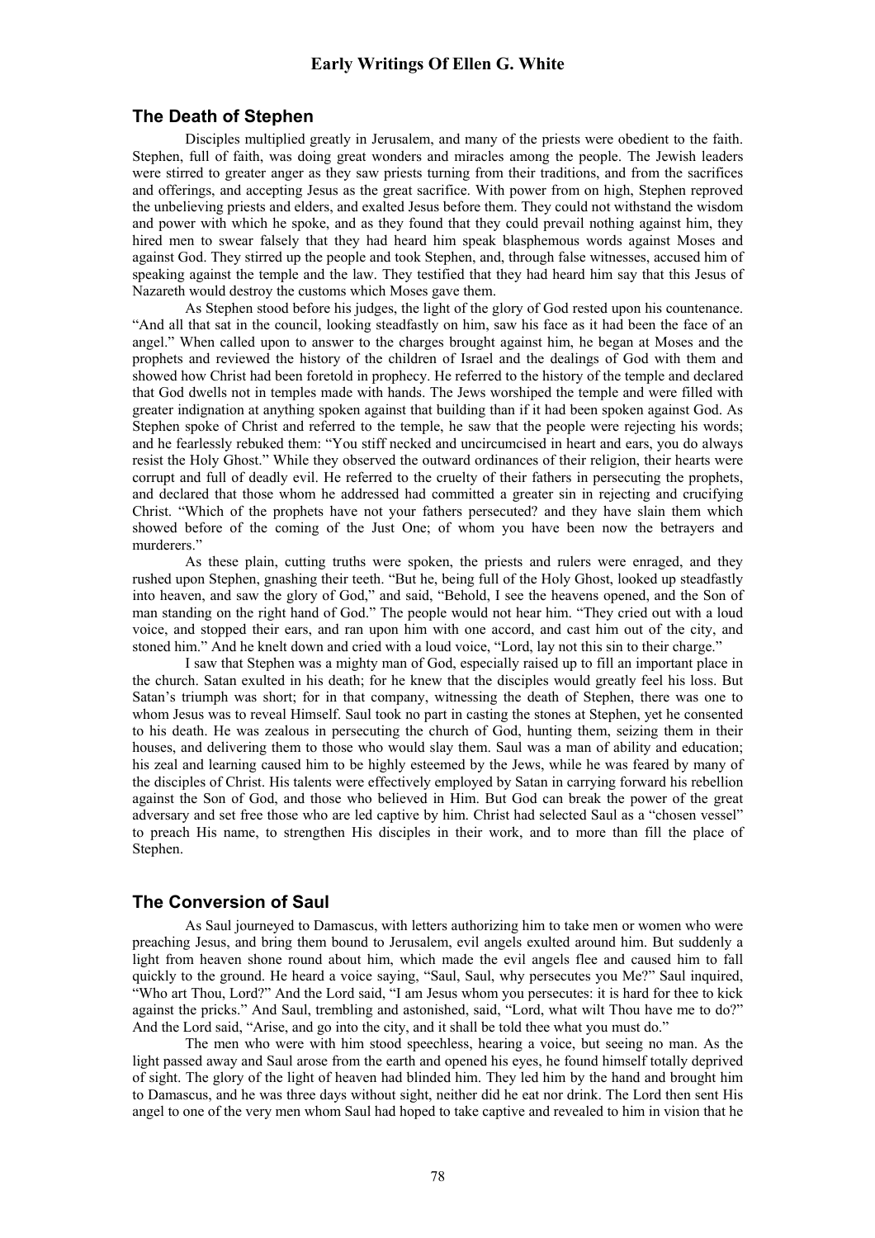### **The Death of Stephen**

Disciples multiplied greatly in Jerusalem, and many of the priests were obedient to the faith. Stephen, full of faith, was doing great wonders and miracles among the people. The Jewish leaders were stirred to greater anger as they saw priests turning from their traditions, and from the sacrifices and offerings, and accepting Jesus as the great sacrifice. With power from on high, Stephen reproved the unbelieving priests and elders, and exalted Jesus before them. They could not withstand the wisdom and power with which he spoke, and as they found that they could prevail nothing against him, they hired men to swear falsely that they had heard him speak blasphemous words against Moses and against God. They stirred up the people and took Stephen, and, through false witnesses, accused him of speaking against the temple and the law. They testified that they had heard him say that this Jesus of Nazareth would destroy the customs which Moses gave them.

As Stephen stood before his judges, the light of the glory of God rested upon his countenance. "And all that sat in the council, looking steadfastly on him, saw his face as it had been the face of an angel." When called upon to answer to the charges brought against him, he began at Moses and the prophets and reviewed the history of the children of Israel and the dealings of God with them and showed how Christ had been foretold in prophecy. He referred to the history of the temple and declared that God dwells not in temples made with hands. The Jews worshiped the temple and were filled with greater indignation at anything spoken against that building than if it had been spoken against God. As Stephen spoke of Christ and referred to the temple, he saw that the people were rejecting his words; and he fearlessly rebuked them: "You stiff necked and uncircumcised in heart and ears, you do always resist the Holy Ghost." While they observed the outward ordinances of their religion, their hearts were corrupt and full of deadly evil. He referred to the cruelty of their fathers in persecuting the prophets, and declared that those whom he addressed had committed a greater sin in rejecting and crucifying Christ. "Which of the prophets have not your fathers persecuted? and they have slain them which showed before of the coming of the Just One; of whom you have been now the betrayers and murderers."

As these plain, cutting truths were spoken, the priests and rulers were enraged, and they rushed upon Stephen, gnashing their teeth. "But he, being full of the Holy Ghost, looked up steadfastly into heaven, and saw the glory of God," and said, "Behold, I see the heavens opened, and the Son of man standing on the right hand of God." The people would not hear him. "They cried out with a loud voice, and stopped their ears, and ran upon him with one accord, and cast him out of the city, and stoned him." And he knelt down and cried with a loud voice, "Lord, lay not this sin to their charge."

I saw that Stephen was a mighty man of God, especially raised up to fill an important place in the church. Satan exulted in his death; for he knew that the disciples would greatly feel his loss. But Satan's triumph was short; for in that company, witnessing the death of Stephen, there was one to whom Jesus was to reveal Himself. Saul took no part in casting the stones at Stephen, yet he consented to his death. He was zealous in persecuting the church of God, hunting them, seizing them in their houses, and delivering them to those who would slay them. Saul was a man of ability and education; his zeal and learning caused him to be highly esteemed by the Jews, while he was feared by many of the disciples of Christ. His talents were effectively employed by Satan in carrying forward his rebellion against the Son of God, and those who believed in Him. But God can break the power of the great adversary and set free those who are led captive by him. Christ had selected Saul as a "chosen vessel" to preach His name, to strengthen His disciples in their work, and to more than fill the place of Stephen.

# **The Conversion of Saul**

As Saul journeyed to Damascus, with letters authorizing him to take men or women who were preaching Jesus, and bring them bound to Jerusalem, evil angels exulted around him. But suddenly a light from heaven shone round about him, which made the evil angels flee and caused him to fall quickly to the ground. He heard a voice saying, "Saul, Saul, why persecutes you Me?" Saul inquired, "Who art Thou, Lord?" And the Lord said, "I am Jesus whom you persecutes: it is hard for thee to kick against the pricks." And Saul, trembling and astonished, said, "Lord, what wilt Thou have me to do?" And the Lord said, "Arise, and go into the city, and it shall be told thee what you must do."

The men who were with him stood speechless, hearing a voice, but seeing no man. As the light passed away and Saul arose from the earth and opened his eyes, he found himself totally deprived of sight. The glory of the light of heaven had blinded him. They led him by the hand and brought him to Damascus, and he was three days without sight, neither did he eat nor drink. The Lord then sent His angel to one of the very men whom Saul had hoped to take captive and revealed to him in vision that he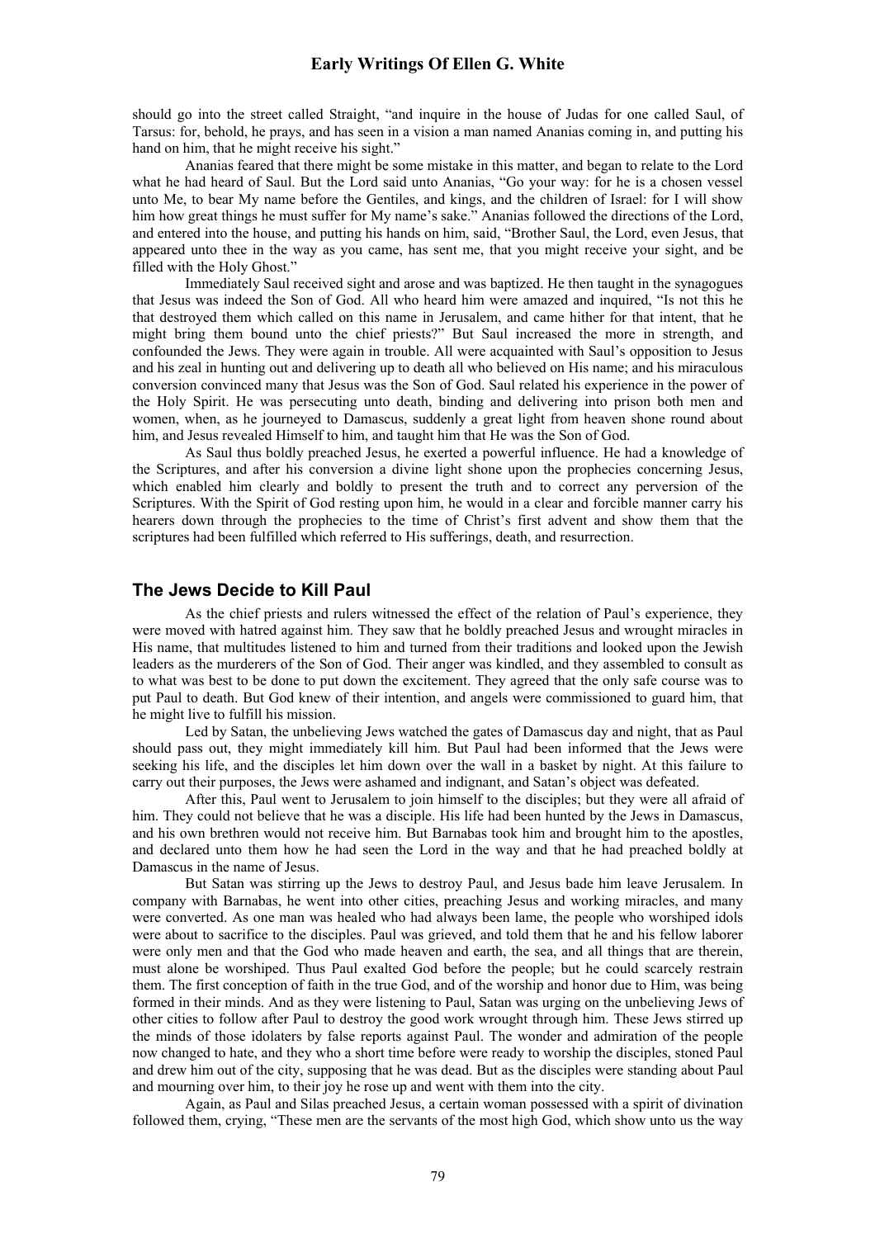should go into the street called Straight, "and inquire in the house of Judas for one called Saul, of Tarsus: for, behold, he prays, and has seen in a vision a man named Ananias coming in, and putting his hand on him, that he might receive his sight."

Ananias feared that there might be some mistake in this matter, and began to relate to the Lord what he had heard of Saul. But the Lord said unto Ananias, "Go your way: for he is a chosen vessel unto Me, to bear My name before the Gentiles, and kings, and the children of Israel: for I will show him how great things he must suffer for My name's sake." Ananias followed the directions of the Lord, and entered into the house, and putting his hands on him, said, "Brother Saul, the Lord, even Jesus, that appeared unto thee in the way as you came, has sent me, that you might receive your sight, and be filled with the Holy Ghost."

Immediately Saul received sight and arose and was baptized. He then taught in the synagogues that Jesus was indeed the Son of God. All who heard him were amazed and inquired, "Is not this he that destroyed them which called on this name in Jerusalem, and came hither for that intent, that he might bring them bound unto the chief priests?" But Saul increased the more in strength, and confounded the Jews. They were again in trouble. All were acquainted with Saul's opposition to Jesus and his zeal in hunting out and delivering up to death all who believed on His name; and his miraculous conversion convinced many that Jesus was the Son of God. Saul related his experience in the power of the Holy Spirit. He was persecuting unto death, binding and delivering into prison both men and women, when, as he journeyed to Damascus, suddenly a great light from heaven shone round about him, and Jesus revealed Himself to him, and taught him that He was the Son of God.

As Saul thus boldly preached Jesus, he exerted a powerful influence. He had a knowledge of the Scriptures, and after his conversion a divine light shone upon the prophecies concerning Jesus, which enabled him clearly and boldly to present the truth and to correct any perversion of the Scriptures. With the Spirit of God resting upon him, he would in a clear and forcible manner carry his hearers down through the prophecies to the time of Christ's first advent and show them that the scriptures had been fulfilled which referred to His sufferings, death, and resurrection.

# **The Jews Decide to Kill Paul**

As the chief priests and rulers witnessed the effect of the relation of Paul's experience, they were moved with hatred against him. They saw that he boldly preached Jesus and wrought miracles in His name, that multitudes listened to him and turned from their traditions and looked upon the Jewish leaders as the murderers of the Son of God. Their anger was kindled, and they assembled to consult as to what was best to be done to put down the excitement. They agreed that the only safe course was to put Paul to death. But God knew of their intention, and angels were commissioned to guard him, that he might live to fulfill his mission.

Led by Satan, the unbelieving Jews watched the gates of Damascus day and night, that as Paul should pass out, they might immediately kill him. But Paul had been informed that the Jews were seeking his life, and the disciples let him down over the wall in a basket by night. At this failure to carry out their purposes, the Jews were ashamed and indignant, and Satan's object was defeated.

After this, Paul went to Jerusalem to join himself to the disciples; but they were all afraid of him. They could not believe that he was a disciple. His life had been hunted by the Jews in Damascus, and his own brethren would not receive him. But Barnabas took him and brought him to the apostles, and declared unto them how he had seen the Lord in the way and that he had preached boldly at Damascus in the name of Jesus.

But Satan was stirring up the Jews to destroy Paul, and Jesus bade him leave Jerusalem. In company with Barnabas, he went into other cities, preaching Jesus and working miracles, and many were converted. As one man was healed who had always been lame, the people who worshiped idols were about to sacrifice to the disciples. Paul was grieved, and told them that he and his fellow laborer were only men and that the God who made heaven and earth, the sea, and all things that are therein, must alone be worshiped. Thus Paul exalted God before the people; but he could scarcely restrain them. The first conception of faith in the true God, and of the worship and honor due to Him, was being formed in their minds. And as they were listening to Paul, Satan was urging on the unbelieving Jews of other cities to follow after Paul to destroy the good work wrought through him. These Jews stirred up the minds of those idolaters by false reports against Paul. The wonder and admiration of the people now changed to hate, and they who a short time before were ready to worship the disciples, stoned Paul and drew him out of the city, supposing that he was dead. But as the disciples were standing about Paul and mourning over him, to their joy he rose up and went with them into the city.

Again, as Paul and Silas preached Jesus, a certain woman possessed with a spirit of divination followed them, crying, "These men are the servants of the most high God, which show unto us the way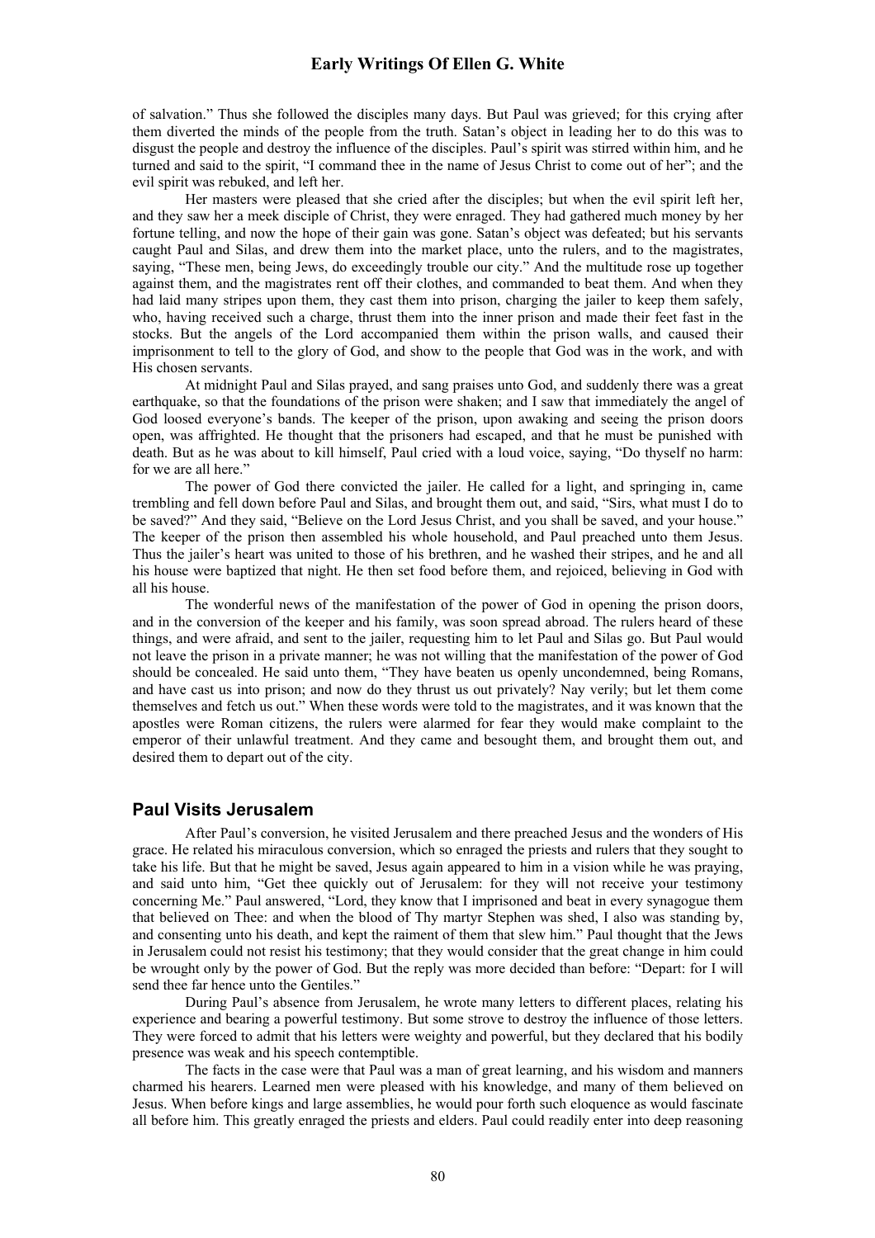of salvation." Thus she followed the disciples many days. But Paul was grieved; for this crying after them diverted the minds of the people from the truth. Satan's object in leading her to do this was to disgust the people and destroy the influence of the disciples. Paul's spirit was stirred within him, and he turned and said to the spirit, "I command thee in the name of Jesus Christ to come out of her"; and the evil spirit was rebuked, and left her.

Her masters were pleased that she cried after the disciples; but when the evil spirit left her, and they saw her a meek disciple of Christ, they were enraged. They had gathered much money by her fortune telling, and now the hope of their gain was gone. Satan's object was defeated; but his servants caught Paul and Silas, and drew them into the market place, unto the rulers, and to the magistrates, saying, "These men, being Jews, do exceedingly trouble our city." And the multitude rose up together against them, and the magistrates rent off their clothes, and commanded to beat them. And when they had laid many stripes upon them, they cast them into prison, charging the jailer to keep them safely, who, having received such a charge, thrust them into the inner prison and made their feet fast in the stocks. But the angels of the Lord accompanied them within the prison walls, and caused their imprisonment to tell to the glory of God, and show to the people that God was in the work, and with His chosen servants.

At midnight Paul and Silas prayed, and sang praises unto God, and suddenly there was a great earthquake, so that the foundations of the prison were shaken; and I saw that immediately the angel of God loosed everyone's bands. The keeper of the prison, upon awaking and seeing the prison doors open, was affrighted. He thought that the prisoners had escaped, and that he must be punished with death. But as he was about to kill himself, Paul cried with a loud voice, saying, "Do thyself no harm: for we are all here."

The power of God there convicted the jailer. He called for a light, and springing in, came trembling and fell down before Paul and Silas, and brought them out, and said, "Sirs, what must I do to be saved?" And they said, "Believe on the Lord Jesus Christ, and you shall be saved, and your house." The keeper of the prison then assembled his whole household, and Paul preached unto them Jesus. Thus the jailer's heart was united to those of his brethren, and he washed their stripes, and he and all his house were baptized that night. He then set food before them, and rejoiced, believing in God with all his house.

The wonderful news of the manifestation of the power of God in opening the prison doors, and in the conversion of the keeper and his family, was soon spread abroad. The rulers heard of these things, and were afraid, and sent to the jailer, requesting him to let Paul and Silas go. But Paul would not leave the prison in a private manner; he was not willing that the manifestation of the power of God should be concealed. He said unto them, "They have beaten us openly uncondemned, being Romans, and have cast us into prison; and now do they thrust us out privately? Nay verily; but let them come themselves and fetch us out." When these words were told to the magistrates, and it was known that the apostles were Roman citizens, the rulers were alarmed for fear they would make complaint to the emperor of their unlawful treatment. And they came and besought them, and brought them out, and desired them to depart out of the city.

#### **Paul Visits Jerusalem**

After Paul's conversion, he visited Jerusalem and there preached Jesus and the wonders of His grace. He related his miraculous conversion, which so enraged the priests and rulers that they sought to take his life. But that he might be saved, Jesus again appeared to him in a vision while he was praying, and said unto him, "Get thee quickly out of Jerusalem: for they will not receive your testimony concerning Me." Paul answered, "Lord, they know that I imprisoned and beat in every synagogue them that believed on Thee: and when the blood of Thy martyr Stephen was shed, I also was standing by, and consenting unto his death, and kept the raiment of them that slew him." Paul thought that the Jews in Jerusalem could not resist his testimony; that they would consider that the great change in him could be wrought only by the power of God. But the reply was more decided than before: "Depart: for I will send thee far hence unto the Gentiles."

During Paul's absence from Jerusalem, he wrote many letters to different places, relating his experience and bearing a powerful testimony. But some strove to destroy the influence of those letters. They were forced to admit that his letters were weighty and powerful, but they declared that his bodily presence was weak and his speech contemptible.

The facts in the case were that Paul was a man of great learning, and his wisdom and manners charmed his hearers. Learned men were pleased with his knowledge, and many of them believed on Jesus. When before kings and large assemblies, he would pour forth such eloquence as would fascinate all before him. This greatly enraged the priests and elders. Paul could readily enter into deep reasoning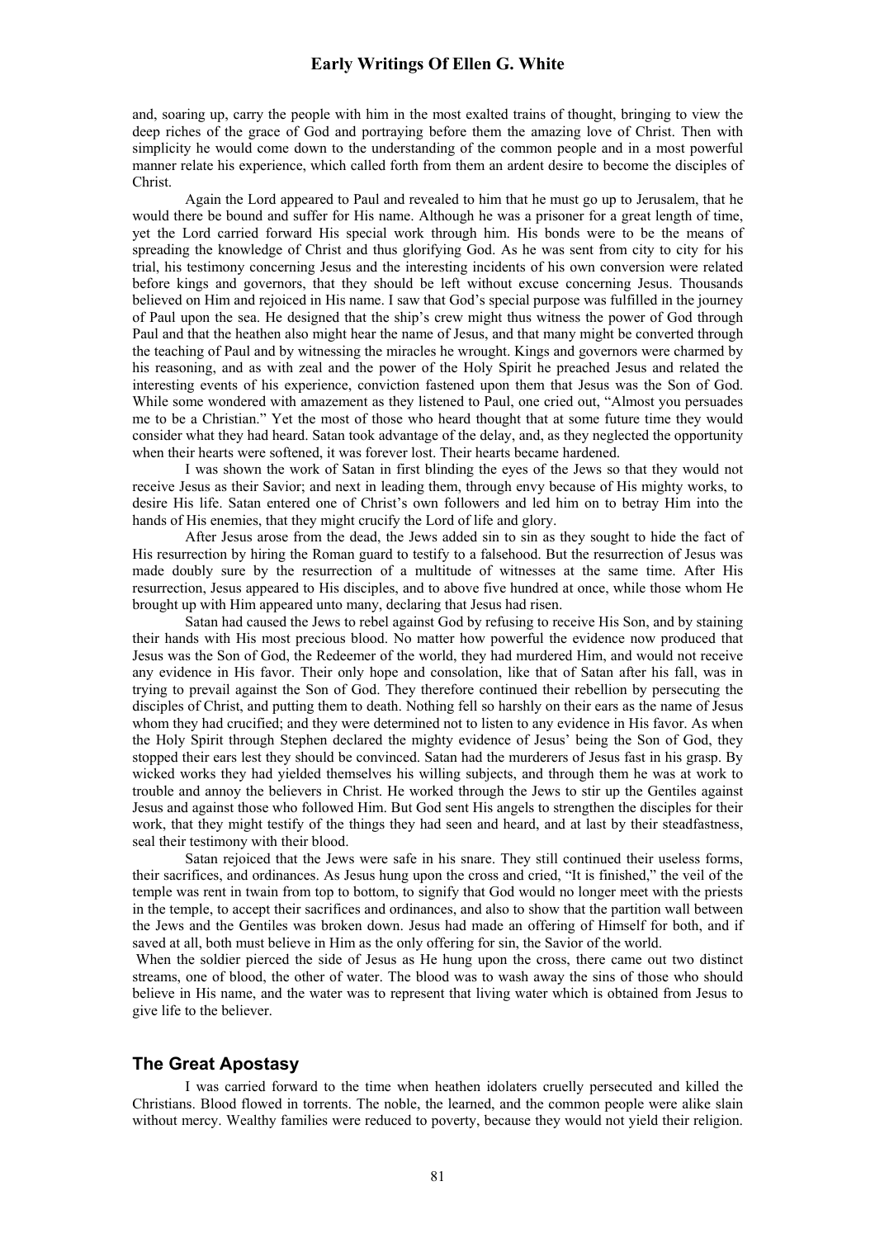and, soaring up, carry the people with him in the most exalted trains of thought, bringing to view the deep riches of the grace of God and portraying before them the amazing love of Christ. Then with simplicity he would come down to the understanding of the common people and in a most powerful manner relate his experience, which called forth from them an ardent desire to become the disciples of Christ.

Again the Lord appeared to Paul and revealed to him that he must go up to Jerusalem, that he would there be bound and suffer for His name. Although he was a prisoner for a great length of time, yet the Lord carried forward His special work through him. His bonds were to be the means of spreading the knowledge of Christ and thus glorifying God. As he was sent from city to city for his trial, his testimony concerning Jesus and the interesting incidents of his own conversion were related before kings and governors, that they should be left without excuse concerning Jesus. Thousands believed on Him and rejoiced in His name. I saw that God's special purpose was fulfilled in the journey of Paul upon the sea. He designed that the ship's crew might thus witness the power of God through Paul and that the heathen also might hear the name of Jesus, and that many might be converted through the teaching of Paul and by witnessing the miracles he wrought. Kings and governors were charmed by his reasoning, and as with zeal and the power of the Holy Spirit he preached Jesus and related the interesting events of his experience, conviction fastened upon them that Jesus was the Son of God. While some wondered with amazement as they listened to Paul, one cried out, "Almost you persuades me to be a Christian." Yet the most of those who heard thought that at some future time they would consider what they had heard. Satan took advantage of the delay, and, as they neglected the opportunity when their hearts were softened, it was forever lost. Their hearts became hardened.

I was shown the work of Satan in first blinding the eyes of the Jews so that they would not receive Jesus as their Savior; and next in leading them, through envy because of His mighty works, to desire His life. Satan entered one of Christ's own followers and led him on to betray Him into the hands of His enemies, that they might crucify the Lord of life and glory.

After Jesus arose from the dead, the Jews added sin to sin as they sought to hide the fact of His resurrection by hiring the Roman guard to testify to a falsehood. But the resurrection of Jesus was made doubly sure by the resurrection of a multitude of witnesses at the same time. After His resurrection, Jesus appeared to His disciples, and to above five hundred at once, while those whom He brought up with Him appeared unto many, declaring that Jesus had risen.

Satan had caused the Jews to rebel against God by refusing to receive His Son, and by staining their hands with His most precious blood. No matter how powerful the evidence now produced that Jesus was the Son of God, the Redeemer of the world, they had murdered Him, and would not receive any evidence in His favor. Their only hope and consolation, like that of Satan after his fall, was in trying to prevail against the Son of God. They therefore continued their rebellion by persecuting the disciples of Christ, and putting them to death. Nothing fell so harshly on their ears as the name of Jesus whom they had crucified; and they were determined not to listen to any evidence in His favor. As when the Holy Spirit through Stephen declared the mighty evidence of Jesus' being the Son of God, they stopped their ears lest they should be convinced. Satan had the murderers of Jesus fast in his grasp. By wicked works they had yielded themselves his willing subjects, and through them he was at work to trouble and annoy the believers in Christ. He worked through the Jews to stir up the Gentiles against Jesus and against those who followed Him. But God sent His angels to strengthen the disciples for their work, that they might testify of the things they had seen and heard, and at last by their steadfastness, seal their testimony with their blood.

Satan rejoiced that the Jews were safe in his snare. They still continued their useless forms, their sacrifices, and ordinances. As Jesus hung upon the cross and cried, "It is finished," the veil of the temple was rent in twain from top to bottom, to signify that God would no longer meet with the priests in the temple, to accept their sacrifices and ordinances, and also to show that the partition wall between the Jews and the Gentiles was broken down. Jesus had made an offering of Himself for both, and if saved at all, both must believe in Him as the only offering for sin, the Savior of the world.

 When the soldier pierced the side of Jesus as He hung upon the cross, there came out two distinct streams, one of blood, the other of water. The blood was to wash away the sins of those who should believe in His name, and the water was to represent that living water which is obtained from Jesus to give life to the believer.

#### **The Great Apostasy**

I was carried forward to the time when heathen idolaters cruelly persecuted and killed the Christians. Blood flowed in torrents. The noble, the learned, and the common people were alike slain without mercy. Wealthy families were reduced to poverty, because they would not yield their religion.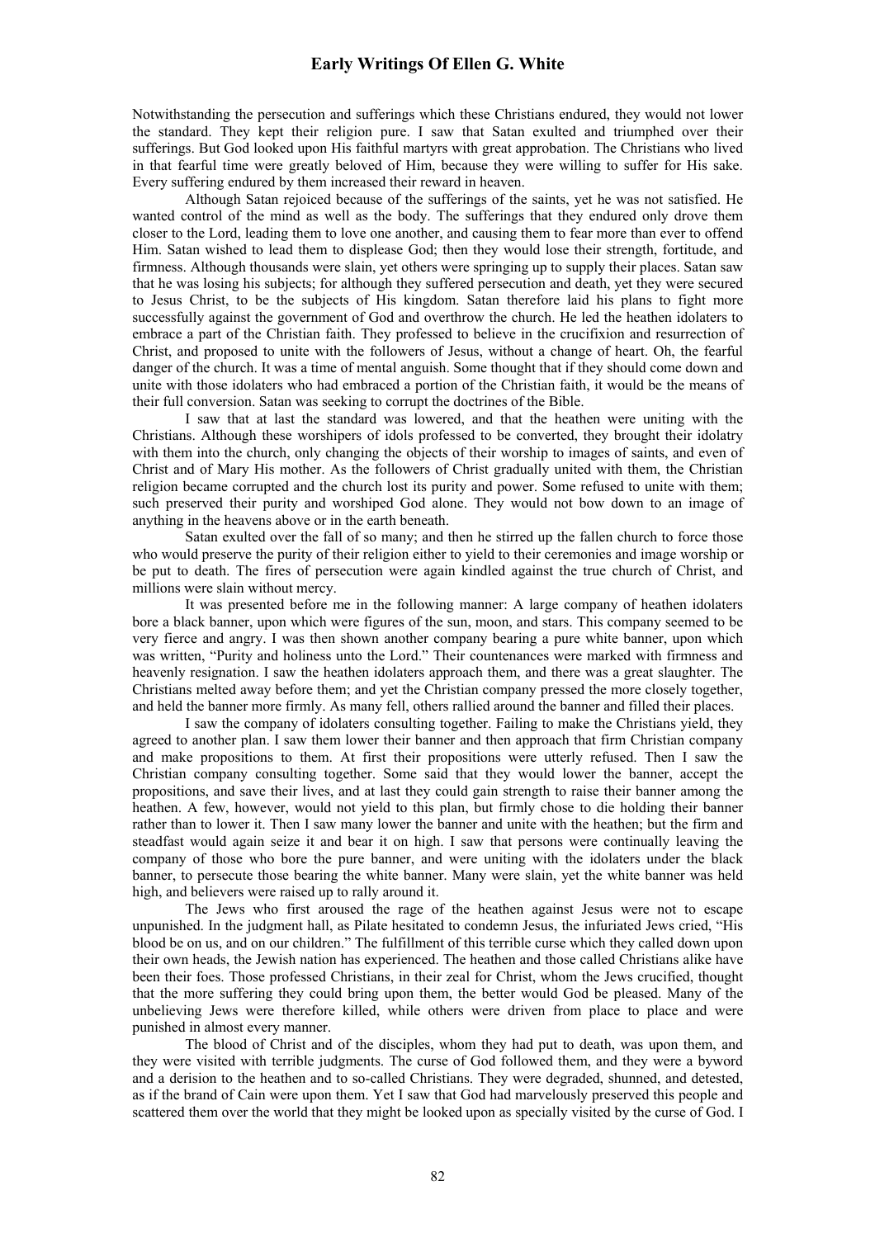Notwithstanding the persecution and sufferings which these Christians endured, they would not lower the standard. They kept their religion pure. I saw that Satan exulted and triumphed over their sufferings. But God looked upon His faithful martyrs with great approbation. The Christians who lived in that fearful time were greatly beloved of Him, because they were willing to suffer for His sake. Every suffering endured by them increased their reward in heaven.

Although Satan rejoiced because of the sufferings of the saints, yet he was not satisfied. He wanted control of the mind as well as the body. The sufferings that they endured only drove them closer to the Lord, leading them to love one another, and causing them to fear more than ever to offend Him. Satan wished to lead them to displease God; then they would lose their strength, fortitude, and firmness. Although thousands were slain, yet others were springing up to supply their places. Satan saw that he was losing his subjects; for although they suffered persecution and death, yet they were secured to Jesus Christ, to be the subjects of His kingdom. Satan therefore laid his plans to fight more successfully against the government of God and overthrow the church. He led the heathen idolaters to embrace a part of the Christian faith. They professed to believe in the crucifixion and resurrection of Christ, and proposed to unite with the followers of Jesus, without a change of heart. Oh, the fearful danger of the church. It was a time of mental anguish. Some thought that if they should come down and unite with those idolaters who had embraced a portion of the Christian faith, it would be the means of their full conversion. Satan was seeking to corrupt the doctrines of the Bible.

I saw that at last the standard was lowered, and that the heathen were uniting with the Christians. Although these worshipers of idols professed to be converted, they brought their idolatry with them into the church, only changing the objects of their worship to images of saints, and even of Christ and of Mary His mother. As the followers of Christ gradually united with them, the Christian religion became corrupted and the church lost its purity and power. Some refused to unite with them; such preserved their purity and worshiped God alone. They would not bow down to an image of anything in the heavens above or in the earth beneath.

Satan exulted over the fall of so many; and then he stirred up the fallen church to force those who would preserve the purity of their religion either to yield to their ceremonies and image worship or be put to death. The fires of persecution were again kindled against the true church of Christ, and millions were slain without mercy.

It was presented before me in the following manner: A large company of heathen idolaters bore a black banner, upon which were figures of the sun, moon, and stars. This company seemed to be very fierce and angry. I was then shown another company bearing a pure white banner, upon which was written, "Purity and holiness unto the Lord." Their countenances were marked with firmness and heavenly resignation. I saw the heathen idolaters approach them, and there was a great slaughter. The Christians melted away before them; and yet the Christian company pressed the more closely together, and held the banner more firmly. As many fell, others rallied around the banner and filled their places.

I saw the company of idolaters consulting together. Failing to make the Christians yield, they agreed to another plan. I saw them lower their banner and then approach that firm Christian company and make propositions to them. At first their propositions were utterly refused. Then I saw the Christian company consulting together. Some said that they would lower the banner, accept the propositions, and save their lives, and at last they could gain strength to raise their banner among the heathen. A few, however, would not yield to this plan, but firmly chose to die holding their banner rather than to lower it. Then I saw many lower the banner and unite with the heathen; but the firm and steadfast would again seize it and bear it on high. I saw that persons were continually leaving the company of those who bore the pure banner, and were uniting with the idolaters under the black banner, to persecute those bearing the white banner. Many were slain, yet the white banner was held high, and believers were raised up to rally around it.

The Jews who first aroused the rage of the heathen against Jesus were not to escape unpunished. In the judgment hall, as Pilate hesitated to condemn Jesus, the infuriated Jews cried, "His blood be on us, and on our children." The fulfillment of this terrible curse which they called down upon their own heads, the Jewish nation has experienced. The heathen and those called Christians alike have been their foes. Those professed Christians, in their zeal for Christ, whom the Jews crucified, thought that the more suffering they could bring upon them, the better would God be pleased. Many of the unbelieving Jews were therefore killed, while others were driven from place to place and were punished in almost every manner.

The blood of Christ and of the disciples, whom they had put to death, was upon them, and they were visited with terrible judgments. The curse of God followed them, and they were a byword and a derision to the heathen and to so-called Christians. They were degraded, shunned, and detested, as if the brand of Cain were upon them. Yet I saw that God had marvelously preserved this people and scattered them over the world that they might be looked upon as specially visited by the curse of God. I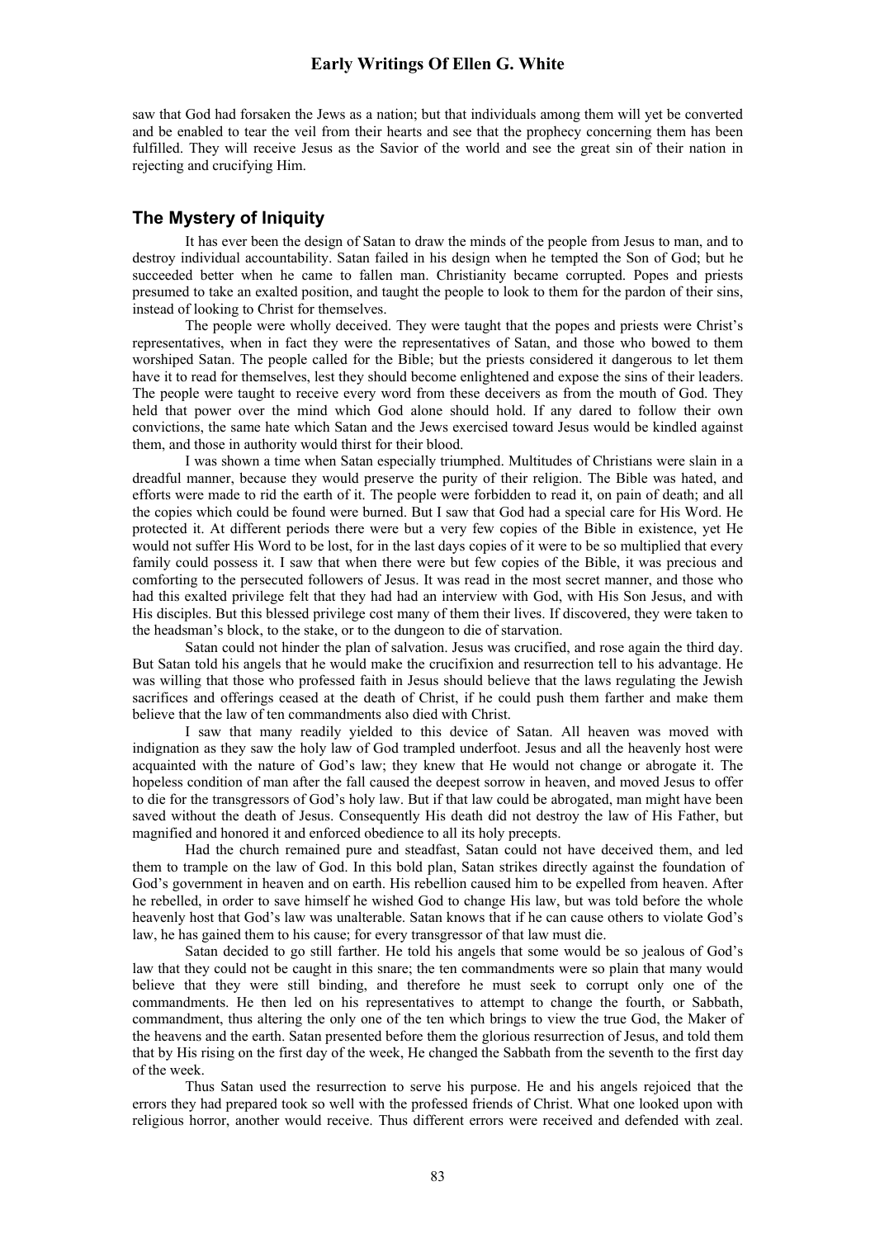saw that God had forsaken the Jews as a nation; but that individuals among them will yet be converted and be enabled to tear the veil from their hearts and see that the prophecy concerning them has been fulfilled. They will receive Jesus as the Savior of the world and see the great sin of their nation in rejecting and crucifying Him.

### **The Mystery of Iniquity**

It has ever been the design of Satan to draw the minds of the people from Jesus to man, and to destroy individual accountability. Satan failed in his design when he tempted the Son of God; but he succeeded better when he came to fallen man. Christianity became corrupted. Popes and priests presumed to take an exalted position, and taught the people to look to them for the pardon of their sins, instead of looking to Christ for themselves.

The people were wholly deceived. They were taught that the popes and priests were Christ's representatives, when in fact they were the representatives of Satan, and those who bowed to them worshiped Satan. The people called for the Bible; but the priests considered it dangerous to let them have it to read for themselves, lest they should become enlightened and expose the sins of their leaders. The people were taught to receive every word from these deceivers as from the mouth of God. They held that power over the mind which God alone should hold. If any dared to follow their own convictions, the same hate which Satan and the Jews exercised toward Jesus would be kindled against them, and those in authority would thirst for their blood.

I was shown a time when Satan especially triumphed. Multitudes of Christians were slain in a dreadful manner, because they would preserve the purity of their religion. The Bible was hated, and efforts were made to rid the earth of it. The people were forbidden to read it, on pain of death; and all the copies which could be found were burned. But I saw that God had a special care for His Word. He protected it. At different periods there were but a very few copies of the Bible in existence, yet He would not suffer His Word to be lost, for in the last days copies of it were to be so multiplied that every family could possess it. I saw that when there were but few copies of the Bible, it was precious and comforting to the persecuted followers of Jesus. It was read in the most secret manner, and those who had this exalted privilege felt that they had had an interview with God, with His Son Jesus, and with His disciples. But this blessed privilege cost many of them their lives. If discovered, they were taken to the headsman's block, to the stake, or to the dungeon to die of starvation.

Satan could not hinder the plan of salvation. Jesus was crucified, and rose again the third day. But Satan told his angels that he would make the crucifixion and resurrection tell to his advantage. He was willing that those who professed faith in Jesus should believe that the laws regulating the Jewish sacrifices and offerings ceased at the death of Christ, if he could push them farther and make them believe that the law of ten commandments also died with Christ.

I saw that many readily yielded to this device of Satan. All heaven was moved with indignation as they saw the holy law of God trampled underfoot. Jesus and all the heavenly host were acquainted with the nature of God's law; they knew that He would not change or abrogate it. The hopeless condition of man after the fall caused the deepest sorrow in heaven, and moved Jesus to offer to die for the transgressors of God's holy law. But if that law could be abrogated, man might have been saved without the death of Jesus. Consequently His death did not destroy the law of His Father, but magnified and honored it and enforced obedience to all its holy precepts.

Had the church remained pure and steadfast, Satan could not have deceived them, and led them to trample on the law of God. In this bold plan, Satan strikes directly against the foundation of God's government in heaven and on earth. His rebellion caused him to be expelled from heaven. After he rebelled, in order to save himself he wished God to change His law, but was told before the whole heavenly host that God's law was unalterable. Satan knows that if he can cause others to violate God's law, he has gained them to his cause; for every transgressor of that law must die.

Satan decided to go still farther. He told his angels that some would be so jealous of God's law that they could not be caught in this snare; the ten commandments were so plain that many would believe that they were still binding, and therefore he must seek to corrupt only one of the commandments. He then led on his representatives to attempt to change the fourth, or Sabbath, commandment, thus altering the only one of the ten which brings to view the true God, the Maker of the heavens and the earth. Satan presented before them the glorious resurrection of Jesus, and told them that by His rising on the first day of the week, He changed the Sabbath from the seventh to the first day of the week.

Thus Satan used the resurrection to serve his purpose. He and his angels rejoiced that the errors they had prepared took so well with the professed friends of Christ. What one looked upon with religious horror, another would receive. Thus different errors were received and defended with zeal.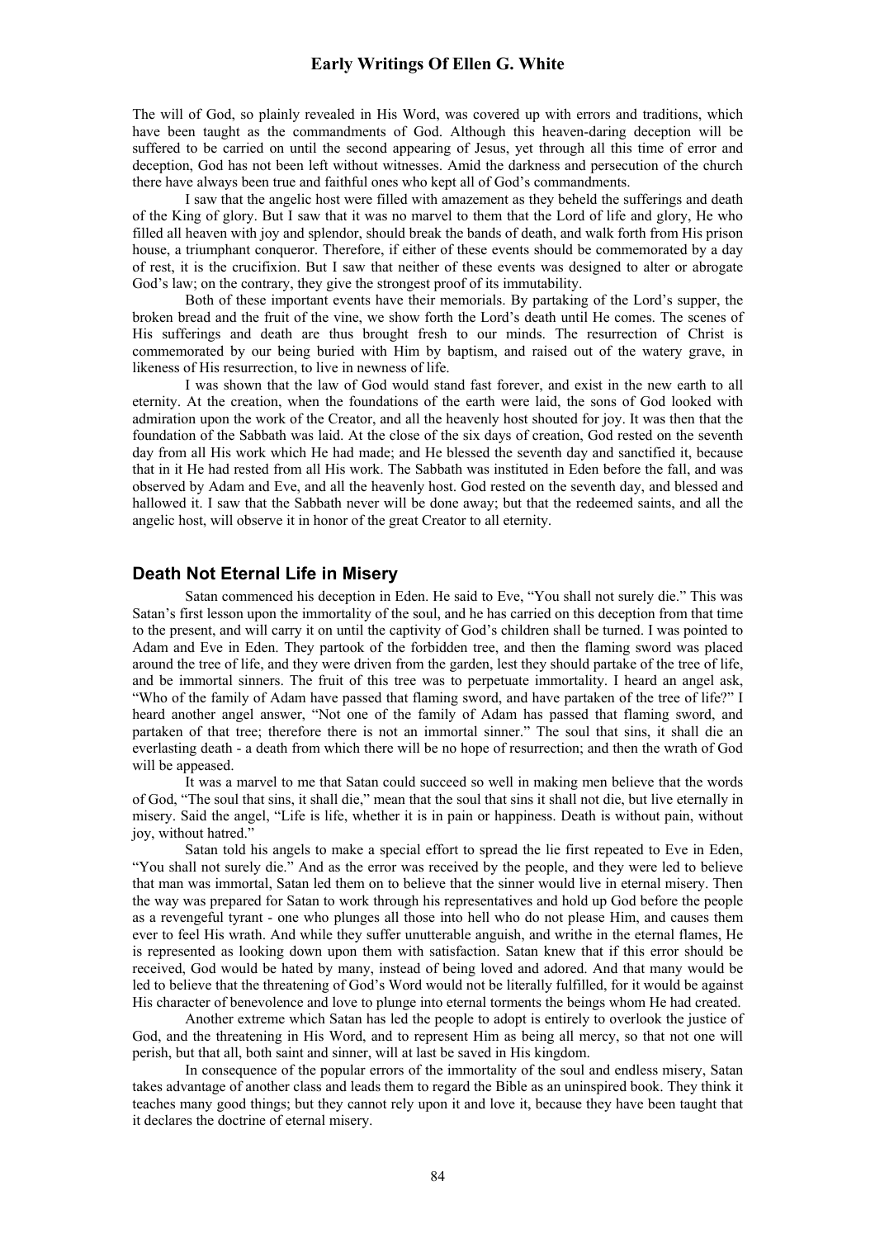The will of God, so plainly revealed in His Word, was covered up with errors and traditions, which have been taught as the commandments of God. Although this heaven-daring deception will be suffered to be carried on until the second appearing of Jesus, yet through all this time of error and deception, God has not been left without witnesses. Amid the darkness and persecution of the church there have always been true and faithful ones who kept all of God's commandments.

I saw that the angelic host were filled with amazement as they beheld the sufferings and death of the King of glory. But I saw that it was no marvel to them that the Lord of life and glory, He who filled all heaven with joy and splendor, should break the bands of death, and walk forth from His prison house, a triumphant conqueror. Therefore, if either of these events should be commemorated by a day of rest, it is the crucifixion. But I saw that neither of these events was designed to alter or abrogate God's law; on the contrary, they give the strongest proof of its immutability.

Both of these important events have their memorials. By partaking of the Lord's supper, the broken bread and the fruit of the vine, we show forth the Lord's death until He comes. The scenes of His sufferings and death are thus brought fresh to our minds. The resurrection of Christ is commemorated by our being buried with Him by baptism, and raised out of the watery grave, in likeness of His resurrection, to live in newness of life.

I was shown that the law of God would stand fast forever, and exist in the new earth to all eternity. At the creation, when the foundations of the earth were laid, the sons of God looked with admiration upon the work of the Creator, and all the heavenly host shouted for joy. It was then that the foundation of the Sabbath was laid. At the close of the six days of creation, God rested on the seventh day from all His work which He had made; and He blessed the seventh day and sanctified it, because that in it He had rested from all His work. The Sabbath was instituted in Eden before the fall, and was observed by Adam and Eve, and all the heavenly host. God rested on the seventh day, and blessed and hallowed it. I saw that the Sabbath never will be done away; but that the redeemed saints, and all the angelic host, will observe it in honor of the great Creator to all eternity.

# **Death Not Eternal Life in Misery**

Satan commenced his deception in Eden. He said to Eve, "You shall not surely die." This was Satan's first lesson upon the immortality of the soul, and he has carried on this deception from that time to the present, and will carry it on until the captivity of God's children shall be turned. I was pointed to Adam and Eve in Eden. They partook of the forbidden tree, and then the flaming sword was placed around the tree of life, and they were driven from the garden, lest they should partake of the tree of life, and be immortal sinners. The fruit of this tree was to perpetuate immortality. I heard an angel ask, "Who of the family of Adam have passed that flaming sword, and have partaken of the tree of life?" I heard another angel answer, "Not one of the family of Adam has passed that flaming sword, and partaken of that tree; therefore there is not an immortal sinner." The soul that sins, it shall die an everlasting death - a death from which there will be no hope of resurrection; and then the wrath of God will be appeased.

It was a marvel to me that Satan could succeed so well in making men believe that the words of God, "The soul that sins, it shall die," mean that the soul that sins it shall not die, but live eternally in misery. Said the angel, "Life is life, whether it is in pain or happiness. Death is without pain, without joy, without hatred."

Satan told his angels to make a special effort to spread the lie first repeated to Eve in Eden, "You shall not surely die." And as the error was received by the people, and they were led to believe that man was immortal, Satan led them on to believe that the sinner would live in eternal misery. Then the way was prepared for Satan to work through his representatives and hold up God before the people as a revengeful tyrant - one who plunges all those into hell who do not please Him, and causes them ever to feel His wrath. And while they suffer unutterable anguish, and writhe in the eternal flames, He is represented as looking down upon them with satisfaction. Satan knew that if this error should be received, God would be hated by many, instead of being loved and adored. And that many would be led to believe that the threatening of God's Word would not be literally fulfilled, for it would be against His character of benevolence and love to plunge into eternal torments the beings whom He had created.

Another extreme which Satan has led the people to adopt is entirely to overlook the justice of God, and the threatening in His Word, and to represent Him as being all mercy, so that not one will perish, but that all, both saint and sinner, will at last be saved in His kingdom.

In consequence of the popular errors of the immortality of the soul and endless misery, Satan takes advantage of another class and leads them to regard the Bible as an uninspired book. They think it teaches many good things; but they cannot rely upon it and love it, because they have been taught that it declares the doctrine of eternal misery.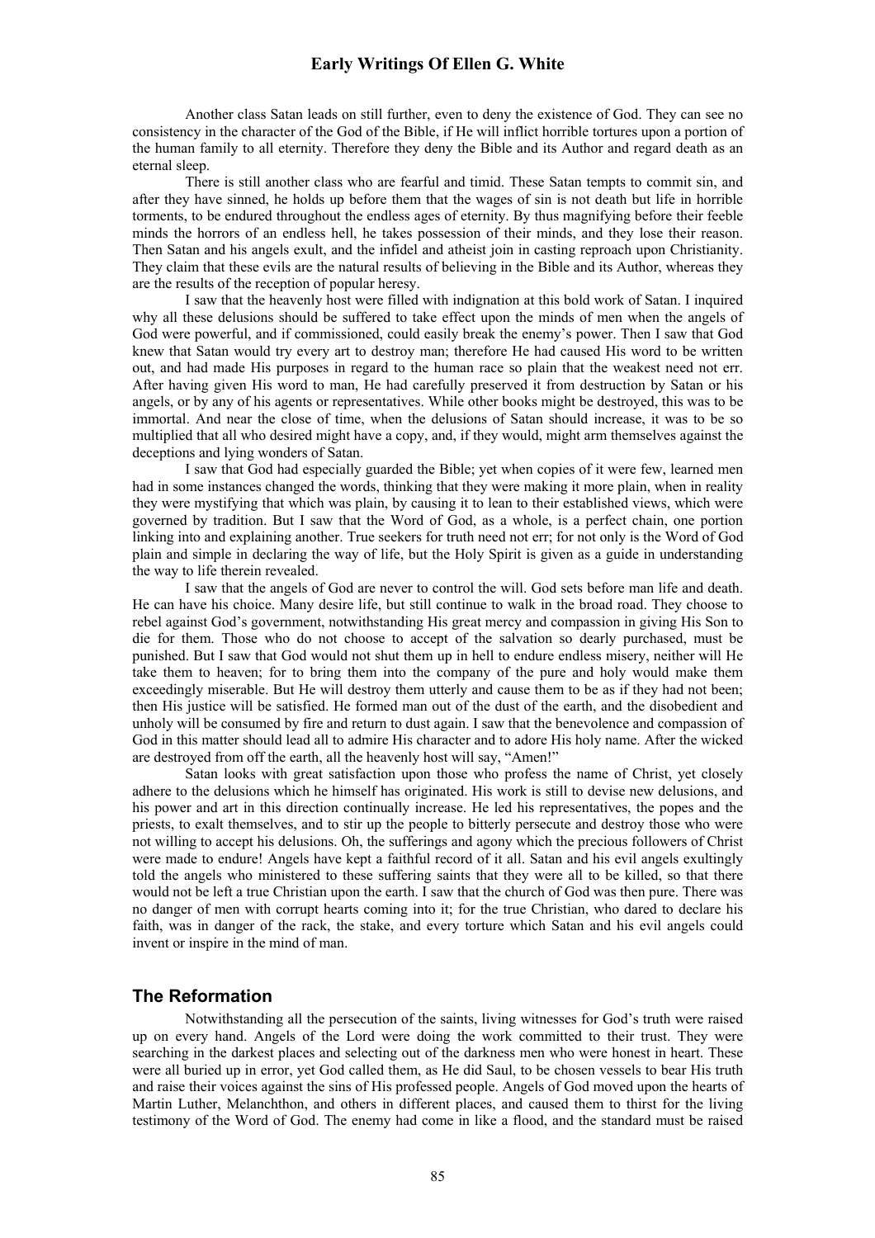Another class Satan leads on still further, even to deny the existence of God. They can see no consistency in the character of the God of the Bible, if He will inflict horrible tortures upon a portion of the human family to all eternity. Therefore they deny the Bible and its Author and regard death as an eternal sleep.

There is still another class who are fearful and timid. These Satan tempts to commit sin, and after they have sinned, he holds up before them that the wages of sin is not death but life in horrible torments, to be endured throughout the endless ages of eternity. By thus magnifying before their feeble minds the horrors of an endless hell, he takes possession of their minds, and they lose their reason. Then Satan and his angels exult, and the infidel and atheist join in casting reproach upon Christianity. They claim that these evils are the natural results of believing in the Bible and its Author, whereas they are the results of the reception of popular heresy.

I saw that the heavenly host were filled with indignation at this bold work of Satan. I inquired why all these delusions should be suffered to take effect upon the minds of men when the angels of God were powerful, and if commissioned, could easily break the enemy's power. Then I saw that God knew that Satan would try every art to destroy man; therefore He had caused His word to be written out, and had made His purposes in regard to the human race so plain that the weakest need not err. After having given His word to man, He had carefully preserved it from destruction by Satan or his angels, or by any of his agents or representatives. While other books might be destroyed, this was to be immortal. And near the close of time, when the delusions of Satan should increase, it was to be so multiplied that all who desired might have a copy, and, if they would, might arm themselves against the deceptions and lying wonders of Satan.

I saw that God had especially guarded the Bible; yet when copies of it were few, learned men had in some instances changed the words, thinking that they were making it more plain, when in reality they were mystifying that which was plain, by causing it to lean to their established views, which were governed by tradition. But I saw that the Word of God, as a whole, is a perfect chain, one portion linking into and explaining another. True seekers for truth need not err; for not only is the Word of God plain and simple in declaring the way of life, but the Holy Spirit is given as a guide in understanding the way to life therein revealed.

I saw that the angels of God are never to control the will. God sets before man life and death. He can have his choice. Many desire life, but still continue to walk in the broad road. They choose to rebel against God's government, notwithstanding His great mercy and compassion in giving His Son to die for them. Those who do not choose to accept of the salvation so dearly purchased, must be punished. But I saw that God would not shut them up in hell to endure endless misery, neither will He take them to heaven; for to bring them into the company of the pure and holy would make them exceedingly miserable. But He will destroy them utterly and cause them to be as if they had not been; then His justice will be satisfied. He formed man out of the dust of the earth, and the disobedient and unholy will be consumed by fire and return to dust again. I saw that the benevolence and compassion of God in this matter should lead all to admire His character and to adore His holy name. After the wicked are destroyed from off the earth, all the heavenly host will say, "Amen!"

Satan looks with great satisfaction upon those who profess the name of Christ, yet closely adhere to the delusions which he himself has originated. His work is still to devise new delusions, and his power and art in this direction continually increase. He led his representatives, the popes and the priests, to exalt themselves, and to stir up the people to bitterly persecute and destroy those who were not willing to accept his delusions. Oh, the sufferings and agony which the precious followers of Christ were made to endure! Angels have kept a faithful record of it all. Satan and his evil angels exultingly told the angels who ministered to these suffering saints that they were all to be killed, so that there would not be left a true Christian upon the earth. I saw that the church of God was then pure. There was no danger of men with corrupt hearts coming into it; for the true Christian, who dared to declare his faith, was in danger of the rack, the stake, and every torture which Satan and his evil angels could invent or inspire in the mind of man.

# **The Reformation**

Notwithstanding all the persecution of the saints, living witnesses for God's truth were raised up on every hand. Angels of the Lord were doing the work committed to their trust. They were searching in the darkest places and selecting out of the darkness men who were honest in heart. These were all buried up in error, yet God called them, as He did Saul, to be chosen vessels to bear His truth and raise their voices against the sins of His professed people. Angels of God moved upon the hearts of Martin Luther, Melanchthon, and others in different places, and caused them to thirst for the living testimony of the Word of God. The enemy had come in like a flood, and the standard must be raised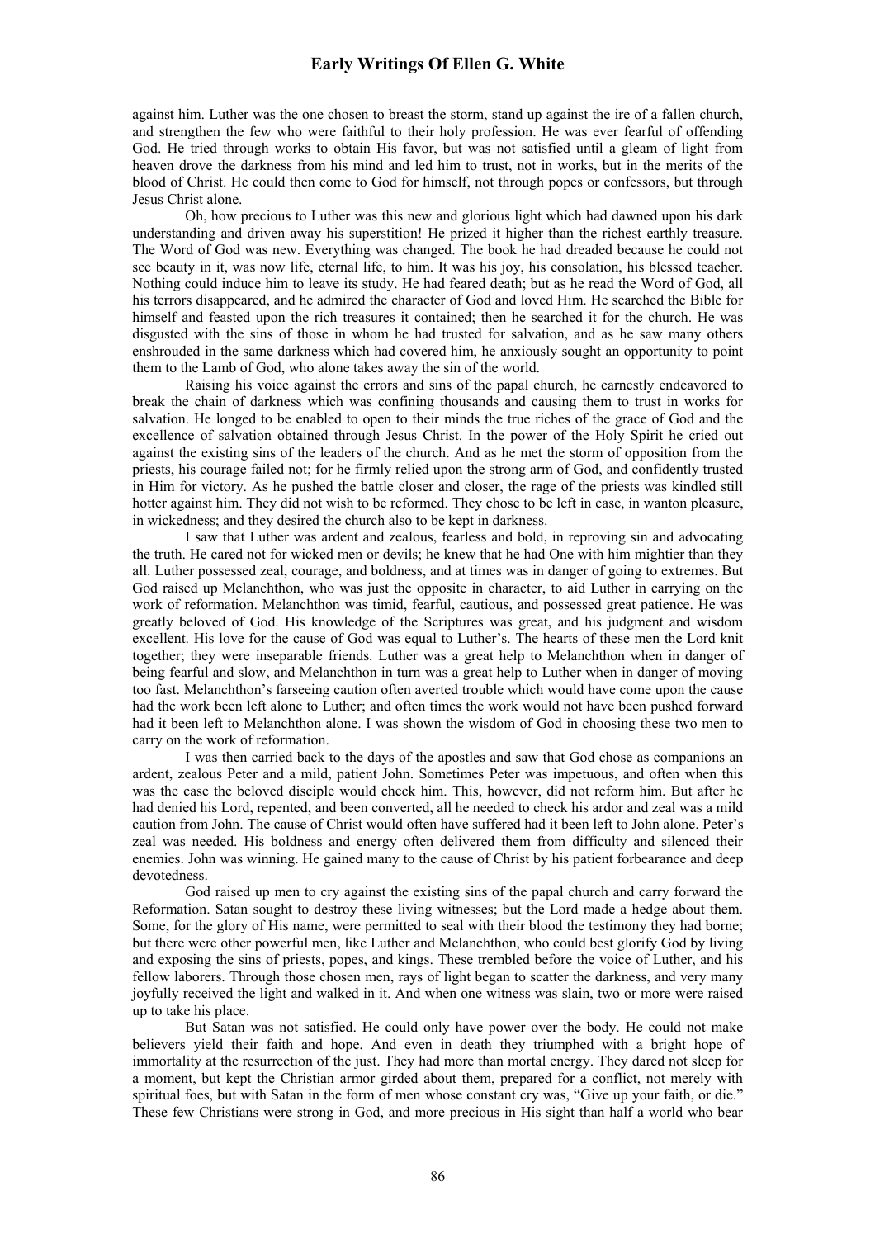against him. Luther was the one chosen to breast the storm, stand up against the ire of a fallen church, and strengthen the few who were faithful to their holy profession. He was ever fearful of offending God. He tried through works to obtain His favor, but was not satisfied until a gleam of light from heaven drove the darkness from his mind and led him to trust, not in works, but in the merits of the blood of Christ. He could then come to God for himself, not through popes or confessors, but through Jesus Christ alone.

Oh, how precious to Luther was this new and glorious light which had dawned upon his dark understanding and driven away his superstition! He prized it higher than the richest earthly treasure. The Word of God was new. Everything was changed. The book he had dreaded because he could not see beauty in it, was now life, eternal life, to him. It was his joy, his consolation, his blessed teacher. Nothing could induce him to leave its study. He had feared death; but as he read the Word of God, all his terrors disappeared, and he admired the character of God and loved Him. He searched the Bible for himself and feasted upon the rich treasures it contained; then he searched it for the church. He was disgusted with the sins of those in whom he had trusted for salvation, and as he saw many others enshrouded in the same darkness which had covered him, he anxiously sought an opportunity to point them to the Lamb of God, who alone takes away the sin of the world.

Raising his voice against the errors and sins of the papal church, he earnestly endeavored to break the chain of darkness which was confining thousands and causing them to trust in works for salvation. He longed to be enabled to open to their minds the true riches of the grace of God and the excellence of salvation obtained through Jesus Christ. In the power of the Holy Spirit he cried out against the existing sins of the leaders of the church. And as he met the storm of opposition from the priests, his courage failed not; for he firmly relied upon the strong arm of God, and confidently trusted in Him for victory. As he pushed the battle closer and closer, the rage of the priests was kindled still hotter against him. They did not wish to be reformed. They chose to be left in ease, in wanton pleasure, in wickedness; and they desired the church also to be kept in darkness.

I saw that Luther was ardent and zealous, fearless and bold, in reproving sin and advocating the truth. He cared not for wicked men or devils; he knew that he had One with him mightier than they all. Luther possessed zeal, courage, and boldness, and at times was in danger of going to extremes. But God raised up Melanchthon, who was just the opposite in character, to aid Luther in carrying on the work of reformation. Melanchthon was timid, fearful, cautious, and possessed great patience. He was greatly beloved of God. His knowledge of the Scriptures was great, and his judgment and wisdom excellent. His love for the cause of God was equal to Luther's. The hearts of these men the Lord knit together; they were inseparable friends. Luther was a great help to Melanchthon when in danger of being fearful and slow, and Melanchthon in turn was a great help to Luther when in danger of moving too fast. Melanchthon's farseeing caution often averted trouble which would have come upon the cause had the work been left alone to Luther; and often times the work would not have been pushed forward had it been left to Melanchthon alone. I was shown the wisdom of God in choosing these two men to carry on the work of reformation.

I was then carried back to the days of the apostles and saw that God chose as companions an ardent, zealous Peter and a mild, patient John. Sometimes Peter was impetuous, and often when this was the case the beloved disciple would check him. This, however, did not reform him. But after he had denied his Lord, repented, and been converted, all he needed to check his ardor and zeal was a mild caution from John. The cause of Christ would often have suffered had it been left to John alone. Peter's zeal was needed. His boldness and energy often delivered them from difficulty and silenced their enemies. John was winning. He gained many to the cause of Christ by his patient forbearance and deep devotedness.

God raised up men to cry against the existing sins of the papal church and carry forward the Reformation. Satan sought to destroy these living witnesses; but the Lord made a hedge about them. Some, for the glory of His name, were permitted to seal with their blood the testimony they had borne; but there were other powerful men, like Luther and Melanchthon, who could best glorify God by living and exposing the sins of priests, popes, and kings. These trembled before the voice of Luther, and his fellow laborers. Through those chosen men, rays of light began to scatter the darkness, and very many joyfully received the light and walked in it. And when one witness was slain, two or more were raised up to take his place.

But Satan was not satisfied. He could only have power over the body. He could not make believers yield their faith and hope. And even in death they triumphed with a bright hope of immortality at the resurrection of the just. They had more than mortal energy. They dared not sleep for a moment, but kept the Christian armor girded about them, prepared for a conflict, not merely with spiritual foes, but with Satan in the form of men whose constant cry was, "Give up your faith, or die." These few Christians were strong in God, and more precious in His sight than half a world who bear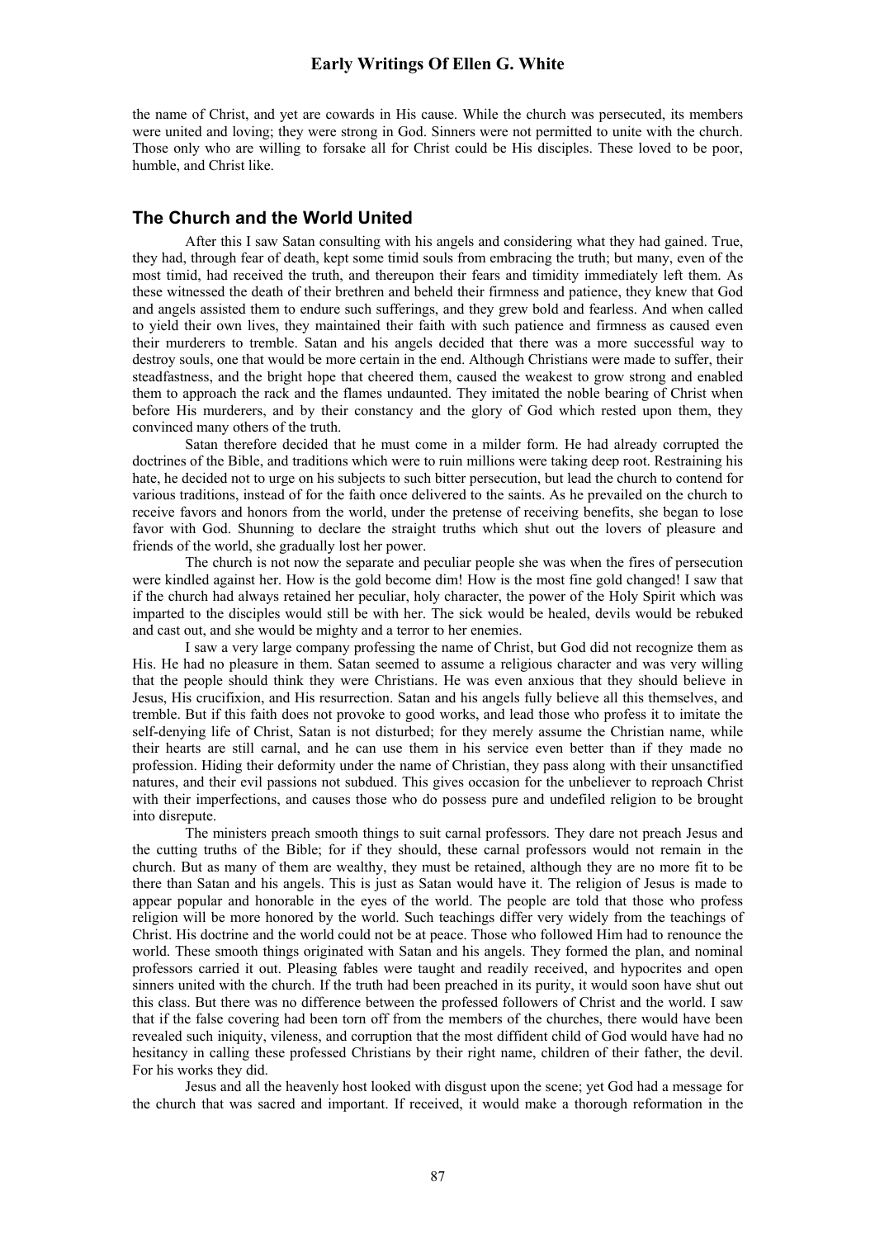the name of Christ, and yet are cowards in His cause. While the church was persecuted, its members were united and loving; they were strong in God. Sinners were not permitted to unite with the church. Those only who are willing to forsake all for Christ could be His disciples. These loved to be poor, humble, and Christ like.

### **The Church and the World United**

After this I saw Satan consulting with his angels and considering what they had gained. True, they had, through fear of death, kept some timid souls from embracing the truth; but many, even of the most timid, had received the truth, and thereupon their fears and timidity immediately left them. As these witnessed the death of their brethren and beheld their firmness and patience, they knew that God and angels assisted them to endure such sufferings, and they grew bold and fearless. And when called to yield their own lives, they maintained their faith with such patience and firmness as caused even their murderers to tremble. Satan and his angels decided that there was a more successful way to destroy souls, one that would be more certain in the end. Although Christians were made to suffer, their steadfastness, and the bright hope that cheered them, caused the weakest to grow strong and enabled them to approach the rack and the flames undaunted. They imitated the noble bearing of Christ when before His murderers, and by their constancy and the glory of God which rested upon them, they convinced many others of the truth.

Satan therefore decided that he must come in a milder form. He had already corrupted the doctrines of the Bible, and traditions which were to ruin millions were taking deep root. Restraining his hate, he decided not to urge on his subjects to such bitter persecution, but lead the church to contend for various traditions, instead of for the faith once delivered to the saints. As he prevailed on the church to receive favors and honors from the world, under the pretense of receiving benefits, she began to lose favor with God. Shunning to declare the straight truths which shut out the lovers of pleasure and friends of the world, she gradually lost her power.

The church is not now the separate and peculiar people she was when the fires of persecution were kindled against her. How is the gold become dim! How is the most fine gold changed! I saw that if the church had always retained her peculiar, holy character, the power of the Holy Spirit which was imparted to the disciples would still be with her. The sick would be healed, devils would be rebuked and cast out, and she would be mighty and a terror to her enemies.

I saw a very large company professing the name of Christ, but God did not recognize them as His. He had no pleasure in them. Satan seemed to assume a religious character and was very willing that the people should think they were Christians. He was even anxious that they should believe in Jesus, His crucifixion, and His resurrection. Satan and his angels fully believe all this themselves, and tremble. But if this faith does not provoke to good works, and lead those who profess it to imitate the self-denying life of Christ, Satan is not disturbed; for they merely assume the Christian name, while their hearts are still carnal, and he can use them in his service even better than if they made no profession. Hiding their deformity under the name of Christian, they pass along with their unsanctified natures, and their evil passions not subdued. This gives occasion for the unbeliever to reproach Christ with their imperfections, and causes those who do possess pure and undefiled religion to be brought into disrepute.

The ministers preach smooth things to suit carnal professors. They dare not preach Jesus and the cutting truths of the Bible; for if they should, these carnal professors would not remain in the church. But as many of them are wealthy, they must be retained, although they are no more fit to be there than Satan and his angels. This is just as Satan would have it. The religion of Jesus is made to appear popular and honorable in the eyes of the world. The people are told that those who profess religion will be more honored by the world. Such teachings differ very widely from the teachings of Christ. His doctrine and the world could not be at peace. Those who followed Him had to renounce the world. These smooth things originated with Satan and his angels. They formed the plan, and nominal professors carried it out. Pleasing fables were taught and readily received, and hypocrites and open sinners united with the church. If the truth had been preached in its purity, it would soon have shut out this class. But there was no difference between the professed followers of Christ and the world. I saw that if the false covering had been torn off from the members of the churches, there would have been revealed such iniquity, vileness, and corruption that the most diffident child of God would have had no hesitancy in calling these professed Christians by their right name, children of their father, the devil. For his works they did.

Jesus and all the heavenly host looked with disgust upon the scene; yet God had a message for the church that was sacred and important. If received, it would make a thorough reformation in the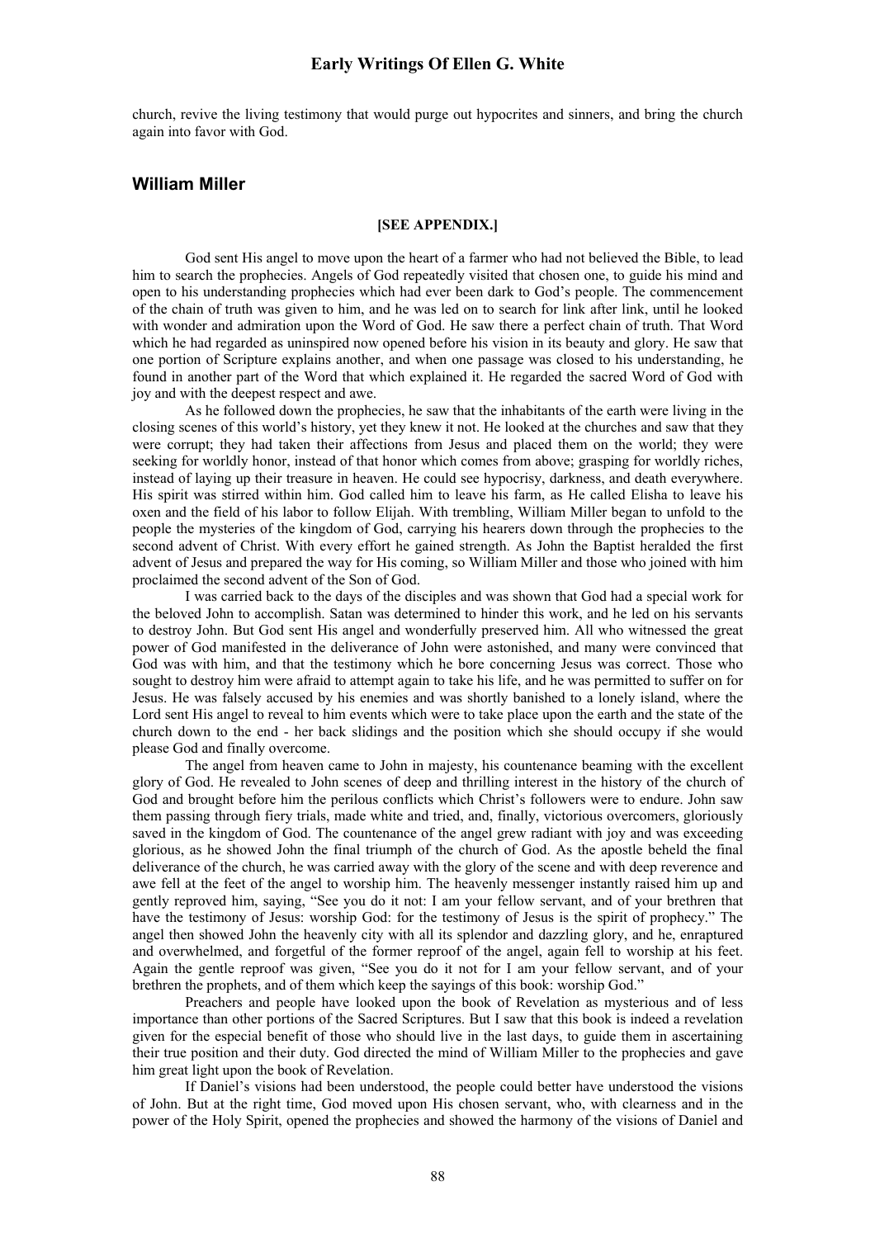church, revive the living testimony that would purge out hypocrites and sinners, and bring the church again into favor with God.

### **William Miller**

#### **[SEE APPENDIX.]**

God sent His angel to move upon the heart of a farmer who had not believed the Bible, to lead him to search the prophecies. Angels of God repeatedly visited that chosen one, to guide his mind and open to his understanding prophecies which had ever been dark to God's people. The commencement of the chain of truth was given to him, and he was led on to search for link after link, until he looked with wonder and admiration upon the Word of God. He saw there a perfect chain of truth. That Word which he had regarded as uninspired now opened before his vision in its beauty and glory. He saw that one portion of Scripture explains another, and when one passage was closed to his understanding, he found in another part of the Word that which explained it. He regarded the sacred Word of God with joy and with the deepest respect and awe.

As he followed down the prophecies, he saw that the inhabitants of the earth were living in the closing scenes of this world's history, yet they knew it not. He looked at the churches and saw that they were corrupt; they had taken their affections from Jesus and placed them on the world; they were seeking for worldly honor, instead of that honor which comes from above; grasping for worldly riches, instead of laying up their treasure in heaven. He could see hypocrisy, darkness, and death everywhere. His spirit was stirred within him. God called him to leave his farm, as He called Elisha to leave his oxen and the field of his labor to follow Elijah. With trembling, William Miller began to unfold to the people the mysteries of the kingdom of God, carrying his hearers down through the prophecies to the second advent of Christ. With every effort he gained strength. As John the Baptist heralded the first advent of Jesus and prepared the way for His coming, so William Miller and those who joined with him proclaimed the second advent of the Son of God.

I was carried back to the days of the disciples and was shown that God had a special work for the beloved John to accomplish. Satan was determined to hinder this work, and he led on his servants to destroy John. But God sent His angel and wonderfully preserved him. All who witnessed the great power of God manifested in the deliverance of John were astonished, and many were convinced that God was with him, and that the testimony which he bore concerning Jesus was correct. Those who sought to destroy him were afraid to attempt again to take his life, and he was permitted to suffer on for Jesus. He was falsely accused by his enemies and was shortly banished to a lonely island, where the Lord sent His angel to reveal to him events which were to take place upon the earth and the state of the church down to the end - her back slidings and the position which she should occupy if she would please God and finally overcome.

The angel from heaven came to John in majesty, his countenance beaming with the excellent glory of God. He revealed to John scenes of deep and thrilling interest in the history of the church of God and brought before him the perilous conflicts which Christ's followers were to endure. John saw them passing through fiery trials, made white and tried, and, finally, victorious overcomers, gloriously saved in the kingdom of God. The countenance of the angel grew radiant with joy and was exceeding glorious, as he showed John the final triumph of the church of God. As the apostle beheld the final deliverance of the church, he was carried away with the glory of the scene and with deep reverence and awe fell at the feet of the angel to worship him. The heavenly messenger instantly raised him up and gently reproved him, saying, "See you do it not: I am your fellow servant, and of your brethren that have the testimony of Jesus: worship God: for the testimony of Jesus is the spirit of prophecy." The angel then showed John the heavenly city with all its splendor and dazzling glory, and he, enraptured and overwhelmed, and forgetful of the former reproof of the angel, again fell to worship at his feet. Again the gentle reproof was given, "See you do it not for I am your fellow servant, and of your brethren the prophets, and of them which keep the sayings of this book: worship God."

Preachers and people have looked upon the book of Revelation as mysterious and of less importance than other portions of the Sacred Scriptures. But I saw that this book is indeed a revelation given for the especial benefit of those who should live in the last days, to guide them in ascertaining their true position and their duty. God directed the mind of William Miller to the prophecies and gave him great light upon the book of Revelation.

If Daniel's visions had been understood, the people could better have understood the visions of John. But at the right time, God moved upon His chosen servant, who, with clearness and in the power of the Holy Spirit, opened the prophecies and showed the harmony of the visions of Daniel and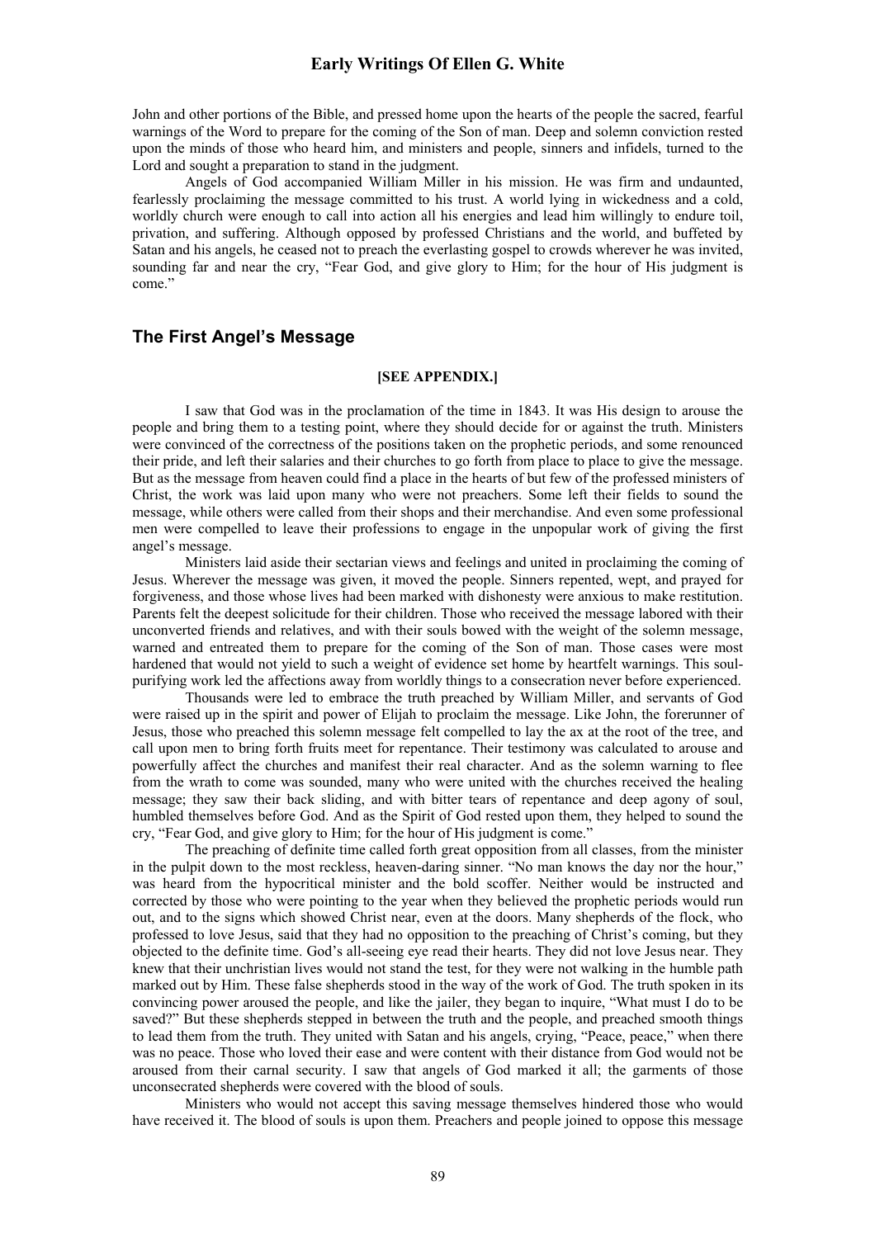John and other portions of the Bible, and pressed home upon the hearts of the people the sacred, fearful warnings of the Word to prepare for the coming of the Son of man. Deep and solemn conviction rested upon the minds of those who heard him, and ministers and people, sinners and infidels, turned to the Lord and sought a preparation to stand in the judgment.

Angels of God accompanied William Miller in his mission. He was firm and undaunted, fearlessly proclaiming the message committed to his trust. A world lying in wickedness and a cold, worldly church were enough to call into action all his energies and lead him willingly to endure toil, privation, and suffering. Although opposed by professed Christians and the world, and buffeted by Satan and his angels, he ceased not to preach the everlasting gospel to crowds wherever he was invited, sounding far and near the cry, "Fear God, and give glory to Him; for the hour of His judgment is come."

# **The First Angel's Message**

#### **[SEE APPENDIX.]**

I saw that God was in the proclamation of the time in 1843. It was His design to arouse the people and bring them to a testing point, where they should decide for or against the truth. Ministers were convinced of the correctness of the positions taken on the prophetic periods, and some renounced their pride, and left their salaries and their churches to go forth from place to place to give the message. But as the message from heaven could find a place in the hearts of but few of the professed ministers of Christ, the work was laid upon many who were not preachers. Some left their fields to sound the message, while others were called from their shops and their merchandise. And even some professional men were compelled to leave their professions to engage in the unpopular work of giving the first angel's message.

Ministers laid aside their sectarian views and feelings and united in proclaiming the coming of Jesus. Wherever the message was given, it moved the people. Sinners repented, wept, and prayed for forgiveness, and those whose lives had been marked with dishonesty were anxious to make restitution. Parents felt the deepest solicitude for their children. Those who received the message labored with their unconverted friends and relatives, and with their souls bowed with the weight of the solemn message, warned and entreated them to prepare for the coming of the Son of man. Those cases were most hardened that would not yield to such a weight of evidence set home by heartfelt warnings. This soulpurifying work led the affections away from worldly things to a consecration never before experienced.

Thousands were led to embrace the truth preached by William Miller, and servants of God were raised up in the spirit and power of Elijah to proclaim the message. Like John, the forerunner of Jesus, those who preached this solemn message felt compelled to lay the ax at the root of the tree, and call upon men to bring forth fruits meet for repentance. Their testimony was calculated to arouse and powerfully affect the churches and manifest their real character. And as the solemn warning to flee from the wrath to come was sounded, many who were united with the churches received the healing message; they saw their back sliding, and with bitter tears of repentance and deep agony of soul, humbled themselves before God. And as the Spirit of God rested upon them, they helped to sound the cry, "Fear God, and give glory to Him; for the hour of His judgment is come."

The preaching of definite time called forth great opposition from all classes, from the minister in the pulpit down to the most reckless, heaven-daring sinner. "No man knows the day nor the hour," was heard from the hypocritical minister and the bold scoffer. Neither would be instructed and corrected by those who were pointing to the year when they believed the prophetic periods would run out, and to the signs which showed Christ near, even at the doors. Many shepherds of the flock, who professed to love Jesus, said that they had no opposition to the preaching of Christ's coming, but they objected to the definite time. God's all-seeing eye read their hearts. They did not love Jesus near. They knew that their unchristian lives would not stand the test, for they were not walking in the humble path marked out by Him. These false shepherds stood in the way of the work of God. The truth spoken in its convincing power aroused the people, and like the jailer, they began to inquire, "What must I do to be saved?" But these shepherds stepped in between the truth and the people, and preached smooth things to lead them from the truth. They united with Satan and his angels, crying, "Peace, peace," when there was no peace. Those who loved their ease and were content with their distance from God would not be aroused from their carnal security. I saw that angels of God marked it all; the garments of those unconsecrated shepherds were covered with the blood of souls.

Ministers who would not accept this saving message themselves hindered those who would have received it. The blood of souls is upon them. Preachers and people joined to oppose this message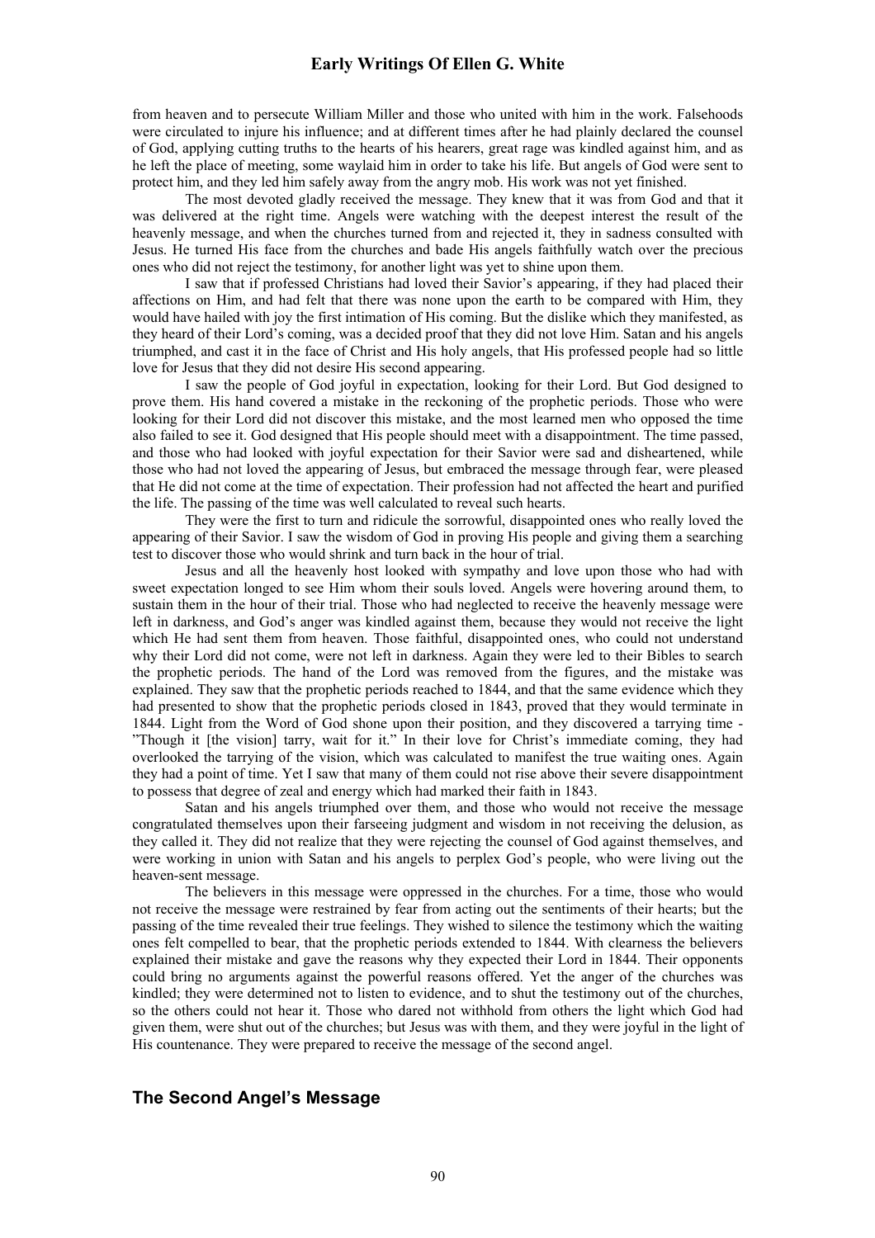from heaven and to persecute William Miller and those who united with him in the work. Falsehoods were circulated to injure his influence; and at different times after he had plainly declared the counsel of God, applying cutting truths to the hearts of his hearers, great rage was kindled against him, and as he left the place of meeting, some waylaid him in order to take his life. But angels of God were sent to protect him, and they led him safely away from the angry mob. His work was not yet finished.

The most devoted gladly received the message. They knew that it was from God and that it was delivered at the right time. Angels were watching with the deepest interest the result of the heavenly message, and when the churches turned from and rejected it, they in sadness consulted with Jesus. He turned His face from the churches and bade His angels faithfully watch over the precious ones who did not reject the testimony, for another light was yet to shine upon them.

I saw that if professed Christians had loved their Savior's appearing, if they had placed their affections on Him, and had felt that there was none upon the earth to be compared with Him, they would have hailed with joy the first intimation of His coming. But the dislike which they manifested, as they heard of their Lord's coming, was a decided proof that they did not love Him. Satan and his angels triumphed, and cast it in the face of Christ and His holy angels, that His professed people had so little love for Jesus that they did not desire His second appearing.

I saw the people of God joyful in expectation, looking for their Lord. But God designed to prove them. His hand covered a mistake in the reckoning of the prophetic periods. Those who were looking for their Lord did not discover this mistake, and the most learned men who opposed the time also failed to see it. God designed that His people should meet with a disappointment. The time passed, and those who had looked with joyful expectation for their Savior were sad and disheartened, while those who had not loved the appearing of Jesus, but embraced the message through fear, were pleased that He did not come at the time of expectation. Their profession had not affected the heart and purified the life. The passing of the time was well calculated to reveal such hearts.

They were the first to turn and ridicule the sorrowful, disappointed ones who really loved the appearing of their Savior. I saw the wisdom of God in proving His people and giving them a searching test to discover those who would shrink and turn back in the hour of trial.

Jesus and all the heavenly host looked with sympathy and love upon those who had with sweet expectation longed to see Him whom their souls loved. Angels were hovering around them, to sustain them in the hour of their trial. Those who had neglected to receive the heavenly message were left in darkness, and God's anger was kindled against them, because they would not receive the light which He had sent them from heaven. Those faithful, disappointed ones, who could not understand why their Lord did not come, were not left in darkness. Again they were led to their Bibles to search the prophetic periods. The hand of the Lord was removed from the figures, and the mistake was explained. They saw that the prophetic periods reached to 1844, and that the same evidence which they had presented to show that the prophetic periods closed in 1843, proved that they would terminate in 1844. Light from the Word of God shone upon their position, and they discovered a tarrying time - "Though it [the vision] tarry, wait for it." In their love for Christ's immediate coming, they had overlooked the tarrying of the vision, which was calculated to manifest the true waiting ones. Again they had a point of time. Yet I saw that many of them could not rise above their severe disappointment to possess that degree of zeal and energy which had marked their faith in 1843.

Satan and his angels triumphed over them, and those who would not receive the message congratulated themselves upon their farseeing judgment and wisdom in not receiving the delusion, as they called it. They did not realize that they were rejecting the counsel of God against themselves, and were working in union with Satan and his angels to perplex God's people, who were living out the heaven-sent message.

The believers in this message were oppressed in the churches. For a time, those who would not receive the message were restrained by fear from acting out the sentiments of their hearts; but the passing of the time revealed their true feelings. They wished to silence the testimony which the waiting ones felt compelled to bear, that the prophetic periods extended to 1844. With clearness the believers explained their mistake and gave the reasons why they expected their Lord in 1844. Their opponents could bring no arguments against the powerful reasons offered. Yet the anger of the churches was kindled; they were determined not to listen to evidence, and to shut the testimony out of the churches, so the others could not hear it. Those who dared not withhold from others the light which God had given them, were shut out of the churches; but Jesus was with them, and they were joyful in the light of His countenance. They were prepared to receive the message of the second angel.

# **The Second Angel's Message**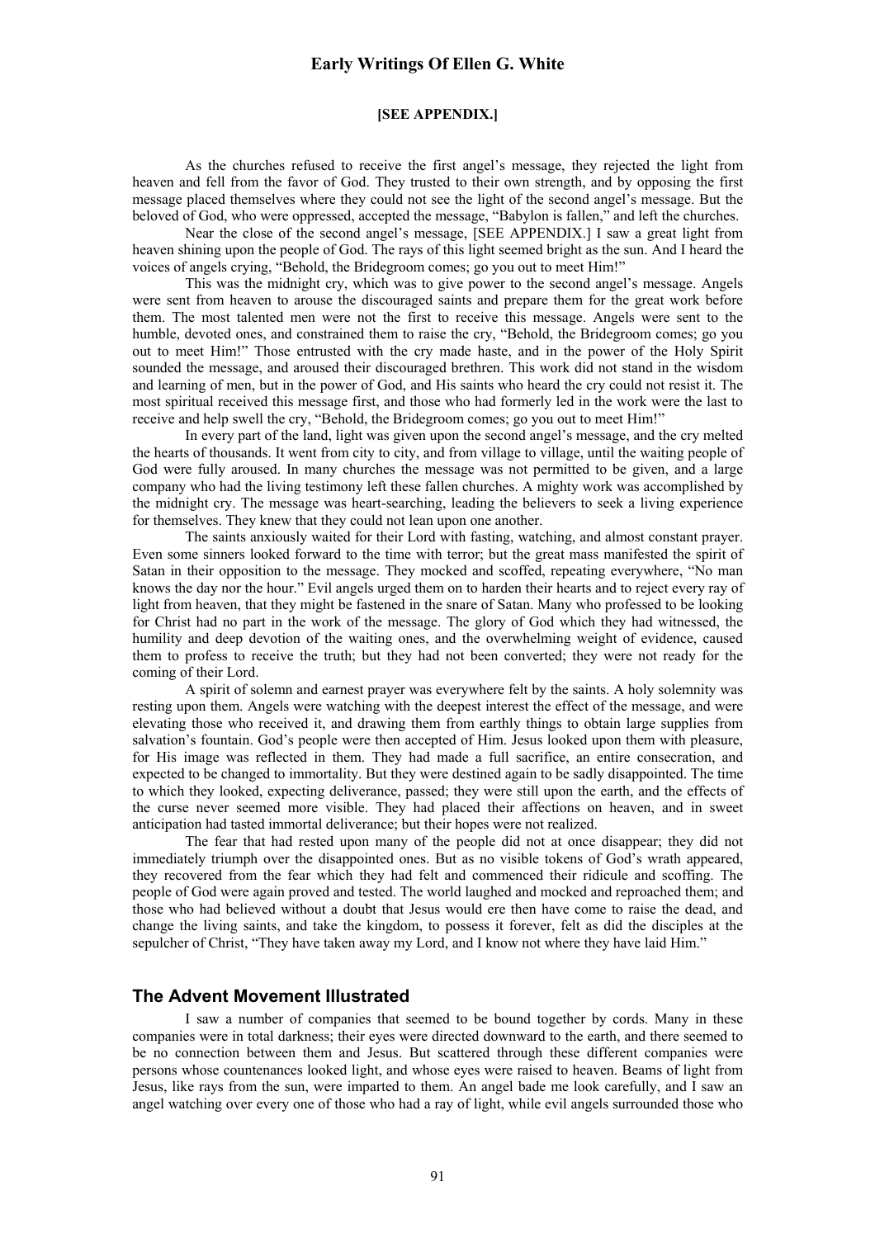#### **[SEE APPENDIX.]**

As the churches refused to receive the first angel's message, they rejected the light from heaven and fell from the favor of God. They trusted to their own strength, and by opposing the first message placed themselves where they could not see the light of the second angel's message. But the beloved of God, who were oppressed, accepted the message, "Babylon is fallen," and left the churches.

Near the close of the second angel's message, [SEE APPENDIX.] I saw a great light from heaven shining upon the people of God. The rays of this light seemed bright as the sun. And I heard the voices of angels crying, "Behold, the Bridegroom comes; go you out to meet Him!"

This was the midnight cry, which was to give power to the second angel's message. Angels were sent from heaven to arouse the discouraged saints and prepare them for the great work before them. The most talented men were not the first to receive this message. Angels were sent to the humble, devoted ones, and constrained them to raise the cry, "Behold, the Bridegroom comes; go you out to meet Him!" Those entrusted with the cry made haste, and in the power of the Holy Spirit sounded the message, and aroused their discouraged brethren. This work did not stand in the wisdom and learning of men, but in the power of God, and His saints who heard the cry could not resist it. The most spiritual received this message first, and those who had formerly led in the work were the last to receive and help swell the cry, "Behold, the Bridegroom comes; go you out to meet Him!"

In every part of the land, light was given upon the second angel's message, and the cry melted the hearts of thousands. It went from city to city, and from village to village, until the waiting people of God were fully aroused. In many churches the message was not permitted to be given, and a large company who had the living testimony left these fallen churches. A mighty work was accomplished by the midnight cry. The message was heart-searching, leading the believers to seek a living experience for themselves. They knew that they could not lean upon one another.

The saints anxiously waited for their Lord with fasting, watching, and almost constant prayer. Even some sinners looked forward to the time with terror; but the great mass manifested the spirit of Satan in their opposition to the message. They mocked and scoffed, repeating everywhere, "No man knows the day nor the hour." Evil angels urged them on to harden their hearts and to reject every ray of light from heaven, that they might be fastened in the snare of Satan. Many who professed to be looking for Christ had no part in the work of the message. The glory of God which they had witnessed, the humility and deep devotion of the waiting ones, and the overwhelming weight of evidence, caused them to profess to receive the truth; but they had not been converted; they were not ready for the coming of their Lord.

A spirit of solemn and earnest prayer was everywhere felt by the saints. A holy solemnity was resting upon them. Angels were watching with the deepest interest the effect of the message, and were elevating those who received it, and drawing them from earthly things to obtain large supplies from salvation's fountain. God's people were then accepted of Him. Jesus looked upon them with pleasure, for His image was reflected in them. They had made a full sacrifice, an entire consecration, and expected to be changed to immortality. But they were destined again to be sadly disappointed. The time to which they looked, expecting deliverance, passed; they were still upon the earth, and the effects of the curse never seemed more visible. They had placed their affections on heaven, and in sweet anticipation had tasted immortal deliverance; but their hopes were not realized.

The fear that had rested upon many of the people did not at once disappear; they did not immediately triumph over the disappointed ones. But as no visible tokens of God's wrath appeared, they recovered from the fear which they had felt and commenced their ridicule and scoffing. The people of God were again proved and tested. The world laughed and mocked and reproached them; and those who had believed without a doubt that Jesus would ere then have come to raise the dead, and change the living saints, and take the kingdom, to possess it forever, felt as did the disciples at the sepulcher of Christ, "They have taken away my Lord, and I know not where they have laid Him."

# **The Advent Movement Illustrated**

I saw a number of companies that seemed to be bound together by cords. Many in these companies were in total darkness; their eyes were directed downward to the earth, and there seemed to be no connection between them and Jesus. But scattered through these different companies were persons whose countenances looked light, and whose eyes were raised to heaven. Beams of light from Jesus, like rays from the sun, were imparted to them. An angel bade me look carefully, and I saw an angel watching over every one of those who had a ray of light, while evil angels surrounded those who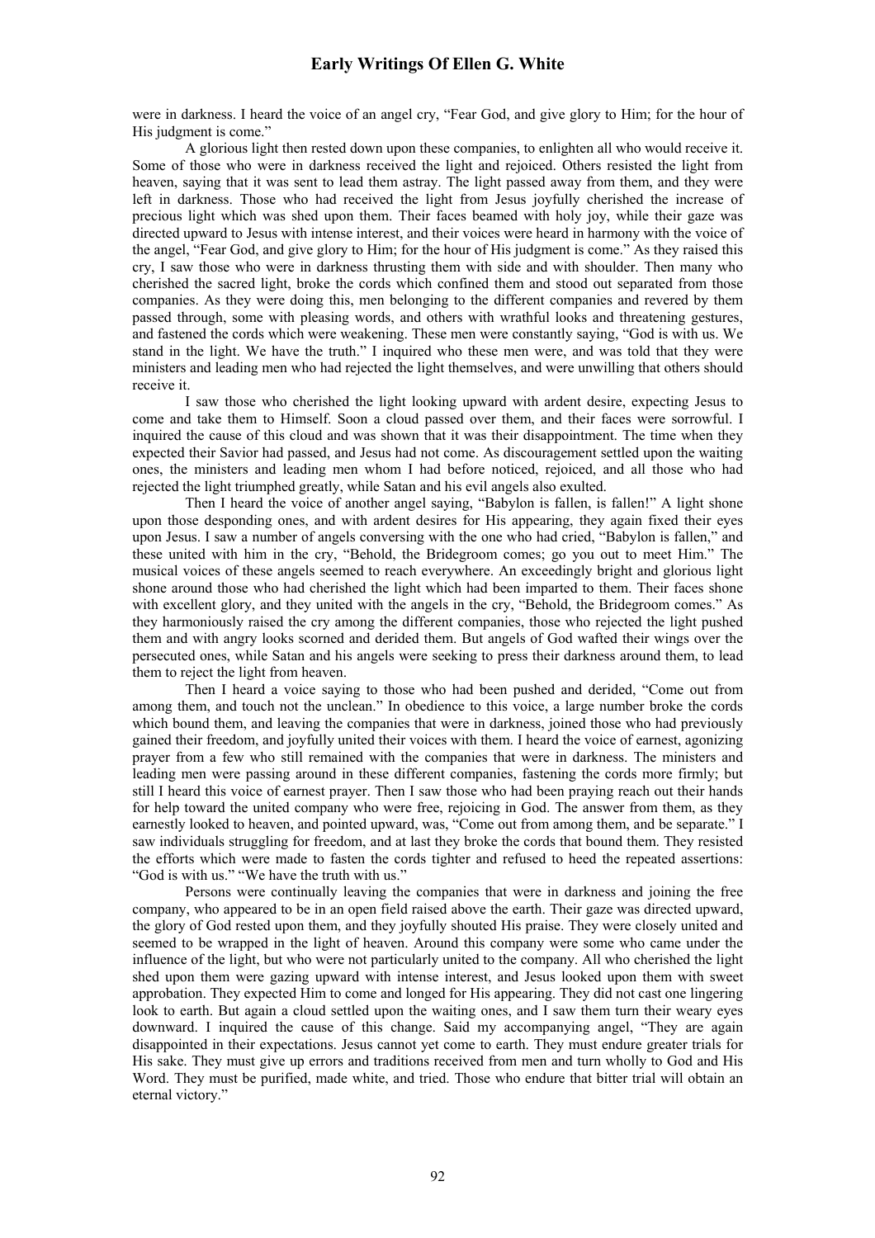were in darkness. I heard the voice of an angel cry, "Fear God, and give glory to Him; for the hour of His judgment is come."

A glorious light then rested down upon these companies, to enlighten all who would receive it. Some of those who were in darkness received the light and rejoiced. Others resisted the light from heaven, saying that it was sent to lead them astray. The light passed away from them, and they were left in darkness. Those who had received the light from Jesus joyfully cherished the increase of precious light which was shed upon them. Their faces beamed with holy joy, while their gaze was directed upward to Jesus with intense interest, and their voices were heard in harmony with the voice of the angel, "Fear God, and give glory to Him; for the hour of His judgment is come." As they raised this cry, I saw those who were in darkness thrusting them with side and with shoulder. Then many who cherished the sacred light, broke the cords which confined them and stood out separated from those companies. As they were doing this, men belonging to the different companies and revered by them passed through, some with pleasing words, and others with wrathful looks and threatening gestures, and fastened the cords which were weakening. These men were constantly saying, "God is with us. We stand in the light. We have the truth." I inquired who these men were, and was told that they were ministers and leading men who had rejected the light themselves, and were unwilling that others should receive it.

I saw those who cherished the light looking upward with ardent desire, expecting Jesus to come and take them to Himself. Soon a cloud passed over them, and their faces were sorrowful. I inquired the cause of this cloud and was shown that it was their disappointment. The time when they expected their Savior had passed, and Jesus had not come. As discouragement settled upon the waiting ones, the ministers and leading men whom I had before noticed, rejoiced, and all those who had rejected the light triumphed greatly, while Satan and his evil angels also exulted.

Then I heard the voice of another angel saying, "Babylon is fallen, is fallen!" A light shone upon those desponding ones, and with ardent desires for His appearing, they again fixed their eyes upon Jesus. I saw a number of angels conversing with the one who had cried, "Babylon is fallen," and these united with him in the cry, "Behold, the Bridegroom comes; go you out to meet Him." The musical voices of these angels seemed to reach everywhere. An exceedingly bright and glorious light shone around those who had cherished the light which had been imparted to them. Their faces shone with excellent glory, and they united with the angels in the cry, "Behold, the Bridegroom comes." As they harmoniously raised the cry among the different companies, those who rejected the light pushed them and with angry looks scorned and derided them. But angels of God wafted their wings over the persecuted ones, while Satan and his angels were seeking to press their darkness around them, to lead them to reject the light from heaven.

Then I heard a voice saying to those who had been pushed and derided, "Come out from among them, and touch not the unclean." In obedience to this voice, a large number broke the cords which bound them, and leaving the companies that were in darkness, joined those who had previously gained their freedom, and joyfully united their voices with them. I heard the voice of earnest, agonizing prayer from a few who still remained with the companies that were in darkness. The ministers and leading men were passing around in these different companies, fastening the cords more firmly; but still I heard this voice of earnest prayer. Then I saw those who had been praying reach out their hands for help toward the united company who were free, rejoicing in God. The answer from them, as they earnestly looked to heaven, and pointed upward, was, "Come out from among them, and be separate." I saw individuals struggling for freedom, and at last they broke the cords that bound them. They resisted the efforts which were made to fasten the cords tighter and refused to heed the repeated assertions: "God is with us." "We have the truth with us."

Persons were continually leaving the companies that were in darkness and joining the free company, who appeared to be in an open field raised above the earth. Their gaze was directed upward, the glory of God rested upon them, and they joyfully shouted His praise. They were closely united and seemed to be wrapped in the light of heaven. Around this company were some who came under the influence of the light, but who were not particularly united to the company. All who cherished the light shed upon them were gazing upward with intense interest, and Jesus looked upon them with sweet approbation. They expected Him to come and longed for His appearing. They did not cast one lingering look to earth. But again a cloud settled upon the waiting ones, and I saw them turn their weary eyes downward. I inquired the cause of this change. Said my accompanying angel, "They are again disappointed in their expectations. Jesus cannot yet come to earth. They must endure greater trials for His sake. They must give up errors and traditions received from men and turn wholly to God and His Word. They must be purified, made white, and tried. Those who endure that bitter trial will obtain an eternal victory."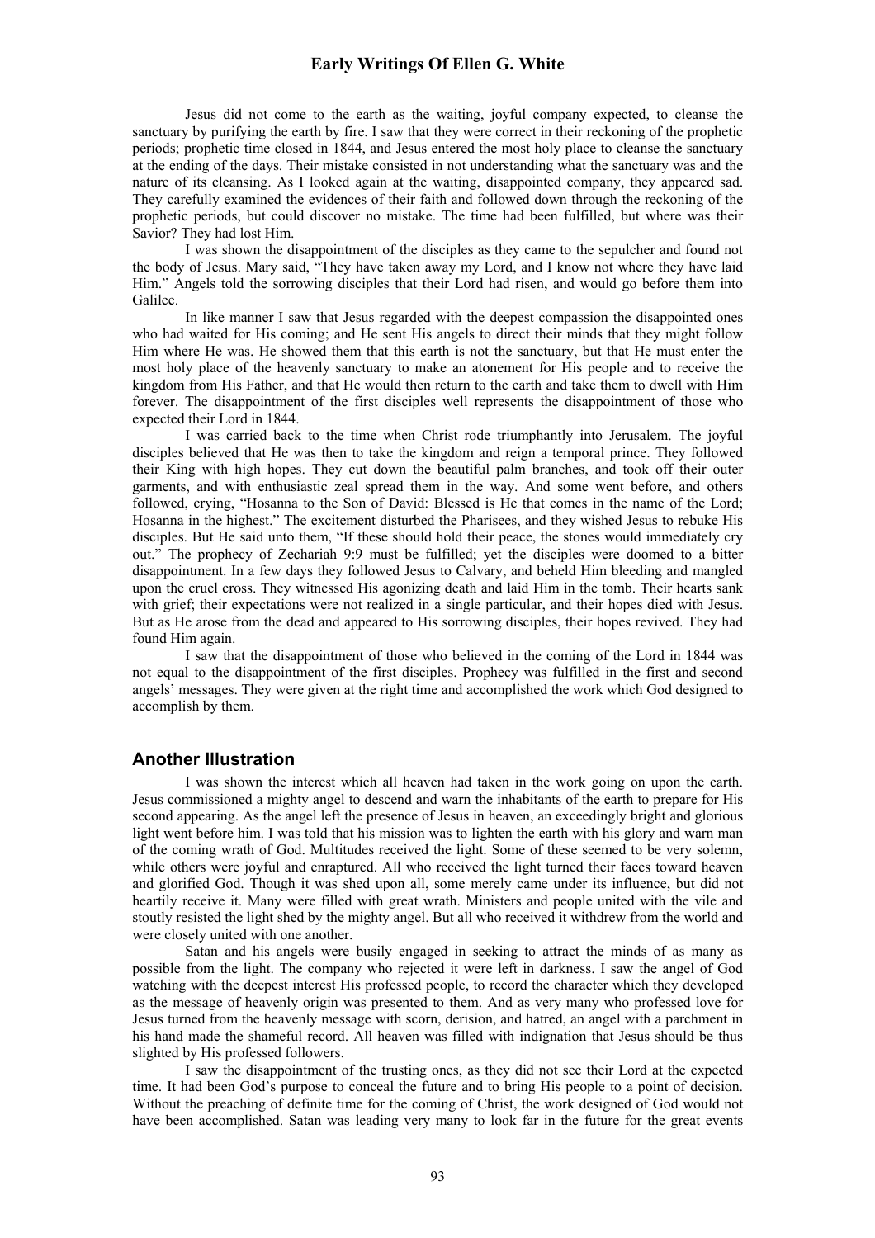Jesus did not come to the earth as the waiting, joyful company expected, to cleanse the sanctuary by purifying the earth by fire. I saw that they were correct in their reckoning of the prophetic periods; prophetic time closed in 1844, and Jesus entered the most holy place to cleanse the sanctuary at the ending of the days. Their mistake consisted in not understanding what the sanctuary was and the nature of its cleansing. As I looked again at the waiting, disappointed company, they appeared sad. They carefully examined the evidences of their faith and followed down through the reckoning of the prophetic periods, but could discover no mistake. The time had been fulfilled, but where was their Savior? They had lost Him.

I was shown the disappointment of the disciples as they came to the sepulcher and found not the body of Jesus. Mary said, "They have taken away my Lord, and I know not where they have laid Him." Angels told the sorrowing disciples that their Lord had risen, and would go before them into Galilee.

In like manner I saw that Jesus regarded with the deepest compassion the disappointed ones who had waited for His coming; and He sent His angels to direct their minds that they might follow Him where He was. He showed them that this earth is not the sanctuary, but that He must enter the most holy place of the heavenly sanctuary to make an atonement for His people and to receive the kingdom from His Father, and that He would then return to the earth and take them to dwell with Him forever. The disappointment of the first disciples well represents the disappointment of those who expected their Lord in 1844.

I was carried back to the time when Christ rode triumphantly into Jerusalem. The joyful disciples believed that He was then to take the kingdom and reign a temporal prince. They followed their King with high hopes. They cut down the beautiful palm branches, and took off their outer garments, and with enthusiastic zeal spread them in the way. And some went before, and others followed, crying, "Hosanna to the Son of David: Blessed is He that comes in the name of the Lord; Hosanna in the highest." The excitement disturbed the Pharisees, and they wished Jesus to rebuke His disciples. But He said unto them, "If these should hold their peace, the stones would immediately cry out." The prophecy of Zechariah 9:9 must be fulfilled; yet the disciples were doomed to a bitter disappointment. In a few days they followed Jesus to Calvary, and beheld Him bleeding and mangled upon the cruel cross. They witnessed His agonizing death and laid Him in the tomb. Their hearts sank with grief; their expectations were not realized in a single particular, and their hopes died with Jesus. But as He arose from the dead and appeared to His sorrowing disciples, their hopes revived. They had found Him again.

I saw that the disappointment of those who believed in the coming of the Lord in 1844 was not equal to the disappointment of the first disciples. Prophecy was fulfilled in the first and second angels' messages. They were given at the right time and accomplished the work which God designed to accomplish by them.

# **Another Illustration**

I was shown the interest which all heaven had taken in the work going on upon the earth. Jesus commissioned a mighty angel to descend and warn the inhabitants of the earth to prepare for His second appearing. As the angel left the presence of Jesus in heaven, an exceedingly bright and glorious light went before him. I was told that his mission was to lighten the earth with his glory and warn man of the coming wrath of God. Multitudes received the light. Some of these seemed to be very solemn, while others were joyful and enraptured. All who received the light turned their faces toward heaven and glorified God. Though it was shed upon all, some merely came under its influence, but did not heartily receive it. Many were filled with great wrath. Ministers and people united with the vile and stoutly resisted the light shed by the mighty angel. But all who received it withdrew from the world and were closely united with one another.

Satan and his angels were busily engaged in seeking to attract the minds of as many as possible from the light. The company who rejected it were left in darkness. I saw the angel of God watching with the deepest interest His professed people, to record the character which they developed as the message of heavenly origin was presented to them. And as very many who professed love for Jesus turned from the heavenly message with scorn, derision, and hatred, an angel with a parchment in his hand made the shameful record. All heaven was filled with indignation that Jesus should be thus slighted by His professed followers.

I saw the disappointment of the trusting ones, as they did not see their Lord at the expected time. It had been God's purpose to conceal the future and to bring His people to a point of decision. Without the preaching of definite time for the coming of Christ, the work designed of God would not have been accomplished. Satan was leading very many to look far in the future for the great events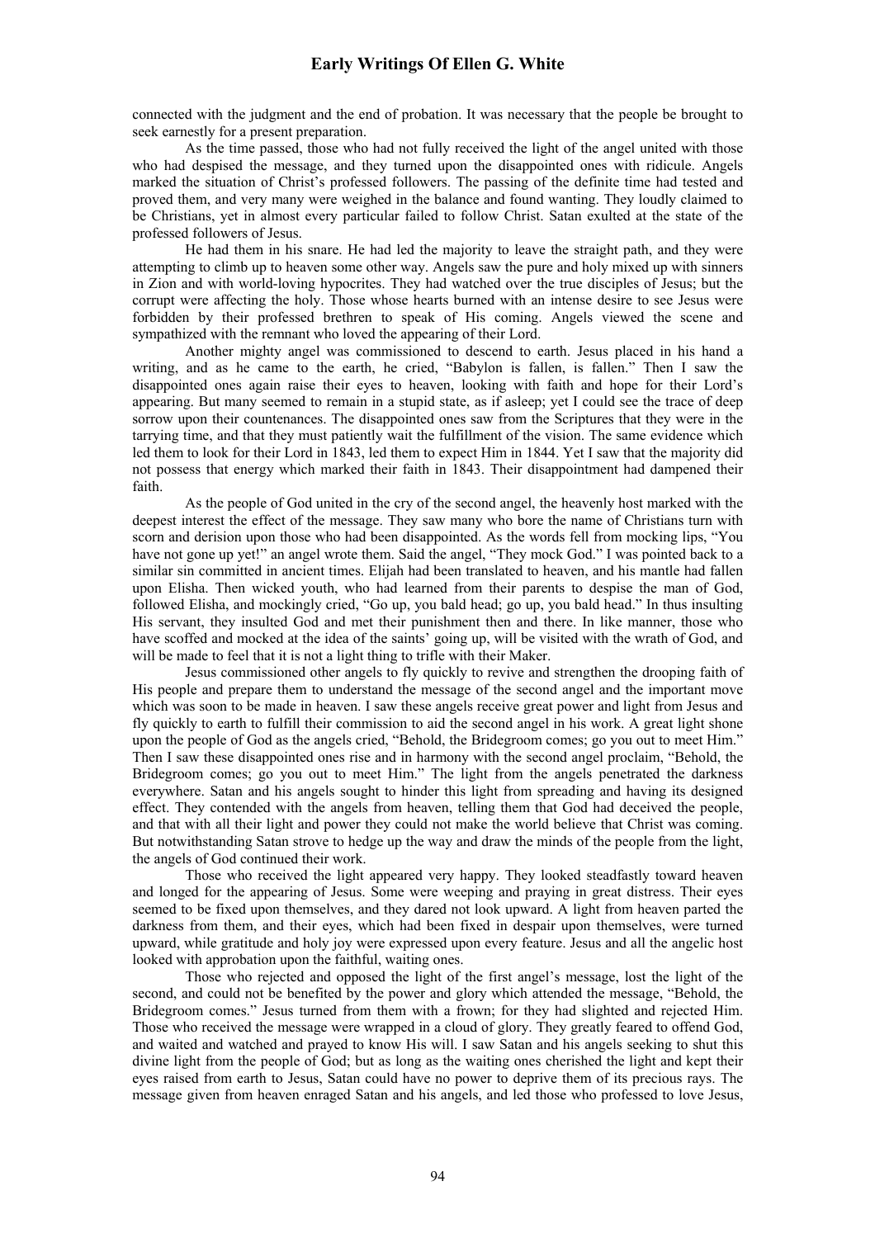connected with the judgment and the end of probation. It was necessary that the people be brought to seek earnestly for a present preparation.

As the time passed, those who had not fully received the light of the angel united with those who had despised the message, and they turned upon the disappointed ones with ridicule. Angels marked the situation of Christ's professed followers. The passing of the definite time had tested and proved them, and very many were weighed in the balance and found wanting. They loudly claimed to be Christians, yet in almost every particular failed to follow Christ. Satan exulted at the state of the professed followers of Jesus.

He had them in his snare. He had led the majority to leave the straight path, and they were attempting to climb up to heaven some other way. Angels saw the pure and holy mixed up with sinners in Zion and with world-loving hypocrites. They had watched over the true disciples of Jesus; but the corrupt were affecting the holy. Those whose hearts burned with an intense desire to see Jesus were forbidden by their professed brethren to speak of His coming. Angels viewed the scene and sympathized with the remnant who loved the appearing of their Lord.

Another mighty angel was commissioned to descend to earth. Jesus placed in his hand a writing, and as he came to the earth, he cried, "Babylon is fallen, is fallen." Then I saw the disappointed ones again raise their eyes to heaven, looking with faith and hope for their Lord's appearing. But many seemed to remain in a stupid state, as if asleep; yet I could see the trace of deep sorrow upon their countenances. The disappointed ones saw from the Scriptures that they were in the tarrying time, and that they must patiently wait the fulfillment of the vision. The same evidence which led them to look for their Lord in 1843, led them to expect Him in 1844. Yet I saw that the majority did not possess that energy which marked their faith in 1843. Their disappointment had dampened their faith.

As the people of God united in the cry of the second angel, the heavenly host marked with the deepest interest the effect of the message. They saw many who bore the name of Christians turn with scorn and derision upon those who had been disappointed. As the words fell from mocking lips, "You have not gone up yet!" an angel wrote them. Said the angel, "They mock God." I was pointed back to a similar sin committed in ancient times. Elijah had been translated to heaven, and his mantle had fallen upon Elisha. Then wicked youth, who had learned from their parents to despise the man of God, followed Elisha, and mockingly cried, "Go up, you bald head; go up, you bald head." In thus insulting His servant, they insulted God and met their punishment then and there. In like manner, those who have scoffed and mocked at the idea of the saints' going up, will be visited with the wrath of God, and will be made to feel that it is not a light thing to trifle with their Maker.

Jesus commissioned other angels to fly quickly to revive and strengthen the drooping faith of His people and prepare them to understand the message of the second angel and the important move which was soon to be made in heaven. I saw these angels receive great power and light from Jesus and fly quickly to earth to fulfill their commission to aid the second angel in his work. A great light shone upon the people of God as the angels cried, "Behold, the Bridegroom comes; go you out to meet Him." Then I saw these disappointed ones rise and in harmony with the second angel proclaim, "Behold, the Bridegroom comes; go you out to meet Him." The light from the angels penetrated the darkness everywhere. Satan and his angels sought to hinder this light from spreading and having its designed effect. They contended with the angels from heaven, telling them that God had deceived the people, and that with all their light and power they could not make the world believe that Christ was coming. But notwithstanding Satan strove to hedge up the way and draw the minds of the people from the light, the angels of God continued their work.

Those who received the light appeared very happy. They looked steadfastly toward heaven and longed for the appearing of Jesus. Some were weeping and praying in great distress. Their eyes seemed to be fixed upon themselves, and they dared not look upward. A light from heaven parted the darkness from them, and their eyes, which had been fixed in despair upon themselves, were turned upward, while gratitude and holy joy were expressed upon every feature. Jesus and all the angelic host looked with approbation upon the faithful, waiting ones.

Those who rejected and opposed the light of the first angel's message, lost the light of the second, and could not be benefited by the power and glory which attended the message, "Behold, the Bridegroom comes." Jesus turned from them with a frown; for they had slighted and rejected Him. Those who received the message were wrapped in a cloud of glory. They greatly feared to offend God, and waited and watched and prayed to know His will. I saw Satan and his angels seeking to shut this divine light from the people of God; but as long as the waiting ones cherished the light and kept their eyes raised from earth to Jesus, Satan could have no power to deprive them of its precious rays. The message given from heaven enraged Satan and his angels, and led those who professed to love Jesus,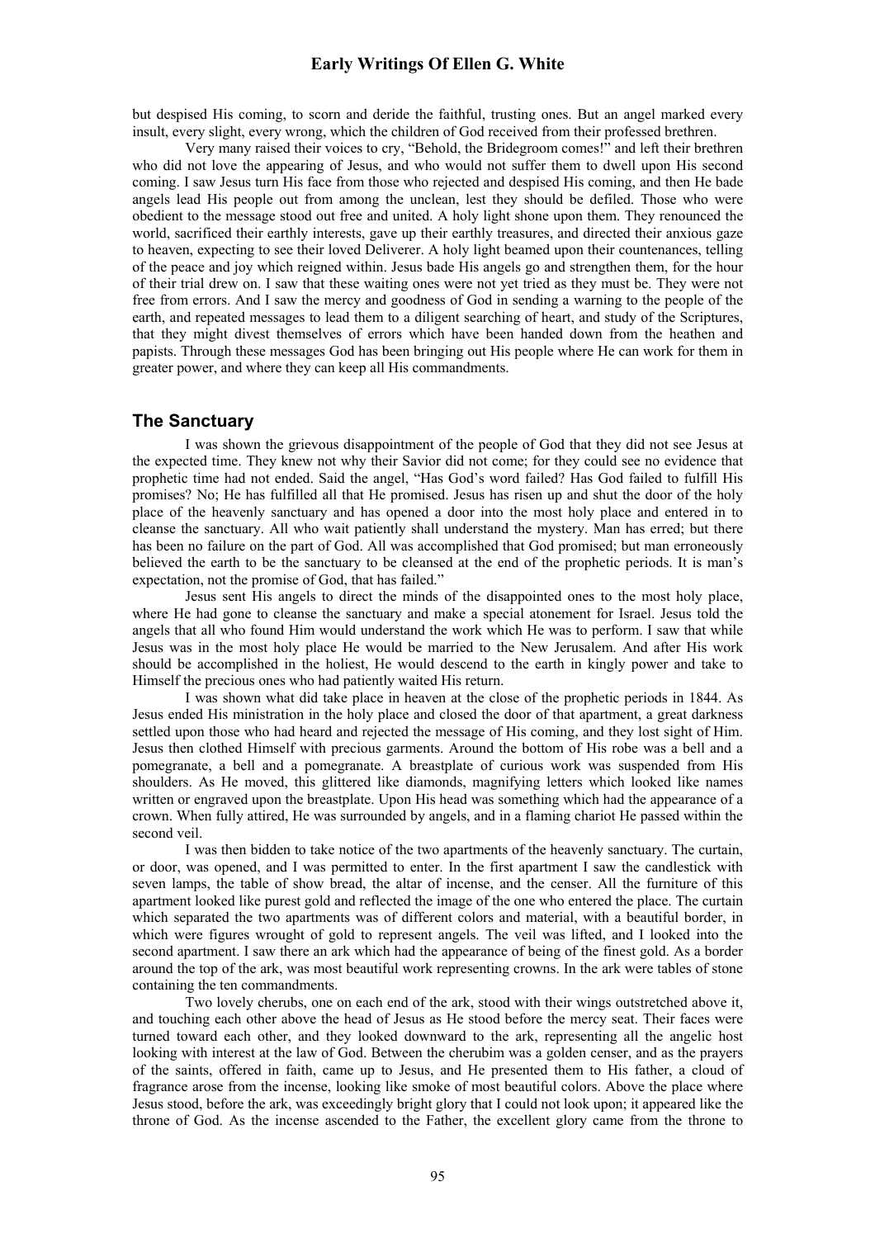but despised His coming, to scorn and deride the faithful, trusting ones. But an angel marked every insult, every slight, every wrong, which the children of God received from their professed brethren.

Very many raised their voices to cry, "Behold, the Bridegroom comes!" and left their brethren who did not love the appearing of Jesus, and who would not suffer them to dwell upon His second coming. I saw Jesus turn His face from those who rejected and despised His coming, and then He bade angels lead His people out from among the unclean, lest they should be defiled. Those who were obedient to the message stood out free and united. A holy light shone upon them. They renounced the world, sacrificed their earthly interests, gave up their earthly treasures, and directed their anxious gaze to heaven, expecting to see their loved Deliverer. A holy light beamed upon their countenances, telling of the peace and joy which reigned within. Jesus bade His angels go and strengthen them, for the hour of their trial drew on. I saw that these waiting ones were not yet tried as they must be. They were not free from errors. And I saw the mercy and goodness of God in sending a warning to the people of the earth, and repeated messages to lead them to a diligent searching of heart, and study of the Scriptures, that they might divest themselves of errors which have been handed down from the heathen and papists. Through these messages God has been bringing out His people where He can work for them in greater power, and where they can keep all His commandments.

#### **The Sanctuary**

I was shown the grievous disappointment of the people of God that they did not see Jesus at the expected time. They knew not why their Savior did not come; for they could see no evidence that prophetic time had not ended. Said the angel, "Has God's word failed? Has God failed to fulfill His promises? No; He has fulfilled all that He promised. Jesus has risen up and shut the door of the holy place of the heavenly sanctuary and has opened a door into the most holy place and entered in to cleanse the sanctuary. All who wait patiently shall understand the mystery. Man has erred; but there has been no failure on the part of God. All was accomplished that God promised; but man erroneously believed the earth to be the sanctuary to be cleansed at the end of the prophetic periods. It is man's expectation, not the promise of God, that has failed."

Jesus sent His angels to direct the minds of the disappointed ones to the most holy place, where He had gone to cleanse the sanctuary and make a special atonement for Israel. Jesus told the angels that all who found Him would understand the work which He was to perform. I saw that while Jesus was in the most holy place He would be married to the New Jerusalem. And after His work should be accomplished in the holiest, He would descend to the earth in kingly power and take to Himself the precious ones who had patiently waited His return.

I was shown what did take place in heaven at the close of the prophetic periods in 1844. As Jesus ended His ministration in the holy place and closed the door of that apartment, a great darkness settled upon those who had heard and rejected the message of His coming, and they lost sight of Him. Jesus then clothed Himself with precious garments. Around the bottom of His robe was a bell and a pomegranate, a bell and a pomegranate. A breastplate of curious work was suspended from His shoulders. As He moved, this glittered like diamonds, magnifying letters which looked like names written or engraved upon the breastplate. Upon His head was something which had the appearance of a crown. When fully attired, He was surrounded by angels, and in a flaming chariot He passed within the second veil.

I was then bidden to take notice of the two apartments of the heavenly sanctuary. The curtain, or door, was opened, and I was permitted to enter. In the first apartment I saw the candlestick with seven lamps, the table of show bread, the altar of incense, and the censer. All the furniture of this apartment looked like purest gold and reflected the image of the one who entered the place. The curtain which separated the two apartments was of different colors and material, with a beautiful border, in which were figures wrought of gold to represent angels. The veil was lifted, and I looked into the second apartment. I saw there an ark which had the appearance of being of the finest gold. As a border around the top of the ark, was most beautiful work representing crowns. In the ark were tables of stone containing the ten commandments.

Two lovely cherubs, one on each end of the ark, stood with their wings outstretched above it, and touching each other above the head of Jesus as He stood before the mercy seat. Their faces were turned toward each other, and they looked downward to the ark, representing all the angelic host looking with interest at the law of God. Between the cherubim was a golden censer, and as the prayers of the saints, offered in faith, came up to Jesus, and He presented them to His father, a cloud of fragrance arose from the incense, looking like smoke of most beautiful colors. Above the place where Jesus stood, before the ark, was exceedingly bright glory that I could not look upon; it appeared like the throne of God. As the incense ascended to the Father, the excellent glory came from the throne to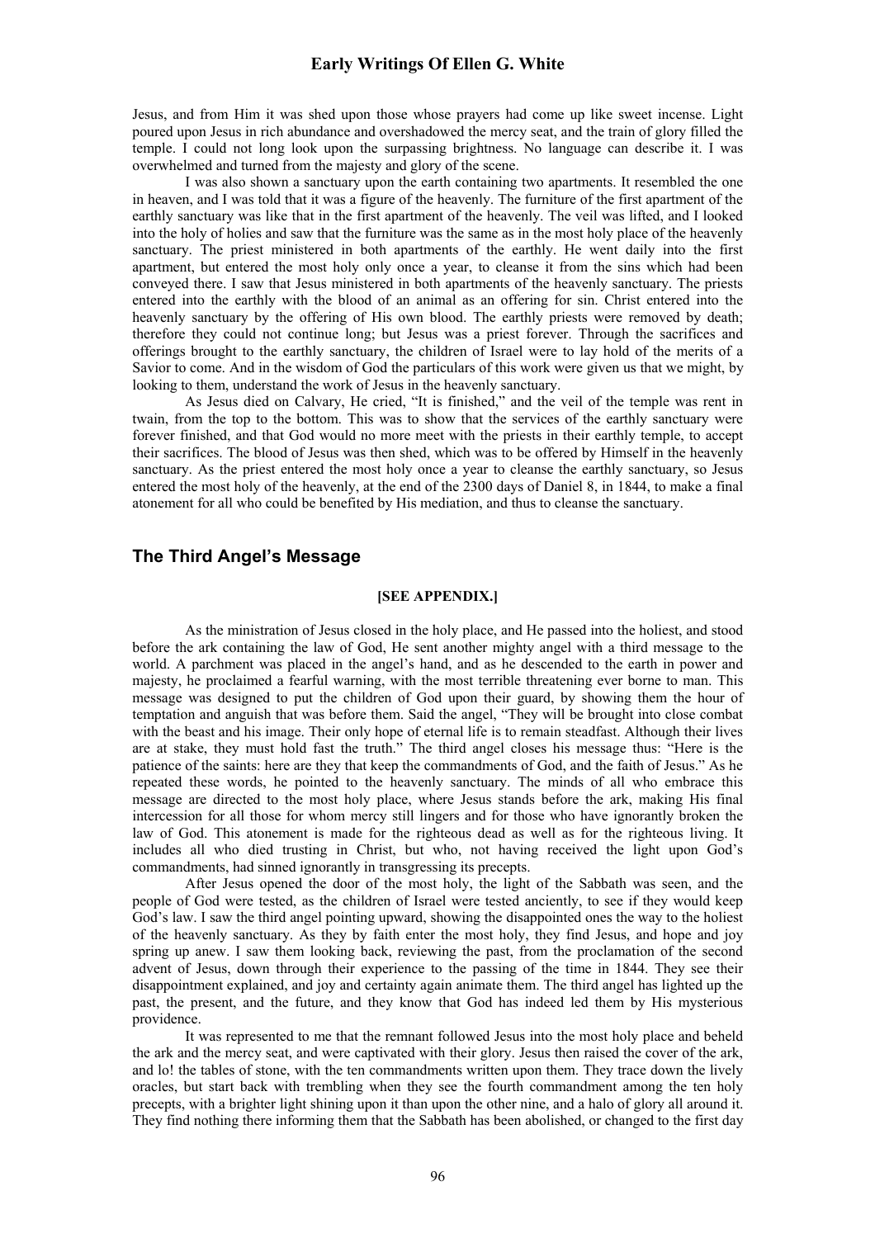Jesus, and from Him it was shed upon those whose prayers had come up like sweet incense. Light poured upon Jesus in rich abundance and overshadowed the mercy seat, and the train of glory filled the temple. I could not long look upon the surpassing brightness. No language can describe it. I was overwhelmed and turned from the majesty and glory of the scene.

I was also shown a sanctuary upon the earth containing two apartments. It resembled the one in heaven, and I was told that it was a figure of the heavenly. The furniture of the first apartment of the earthly sanctuary was like that in the first apartment of the heavenly. The veil was lifted, and I looked into the holy of holies and saw that the furniture was the same as in the most holy place of the heavenly sanctuary. The priest ministered in both apartments of the earthly. He went daily into the first apartment, but entered the most holy only once a year, to cleanse it from the sins which had been conveyed there. I saw that Jesus ministered in both apartments of the heavenly sanctuary. The priests entered into the earthly with the blood of an animal as an offering for sin. Christ entered into the heavenly sanctuary by the offering of His own blood. The earthly priests were removed by death; therefore they could not continue long; but Jesus was a priest forever. Through the sacrifices and offerings brought to the earthly sanctuary, the children of Israel were to lay hold of the merits of a Savior to come. And in the wisdom of God the particulars of this work were given us that we might, by looking to them, understand the work of Jesus in the heavenly sanctuary.

As Jesus died on Calvary, He cried, "It is finished," and the veil of the temple was rent in twain, from the top to the bottom. This was to show that the services of the earthly sanctuary were forever finished, and that God would no more meet with the priests in their earthly temple, to accept their sacrifices. The blood of Jesus was then shed, which was to be offered by Himself in the heavenly sanctuary. As the priest entered the most holy once a year to cleanse the earthly sanctuary, so Jesus entered the most holy of the heavenly, at the end of the 2300 days of Daniel 8, in 1844, to make a final atonement for all who could be benefited by His mediation, and thus to cleanse the sanctuary.

# **The Third Angel's Message**

#### **[SEE APPENDIX.]**

As the ministration of Jesus closed in the holy place, and He passed into the holiest, and stood before the ark containing the law of God, He sent another mighty angel with a third message to the world. A parchment was placed in the angel's hand, and as he descended to the earth in power and majesty, he proclaimed a fearful warning, with the most terrible threatening ever borne to man. This message was designed to put the children of God upon their guard, by showing them the hour of temptation and anguish that was before them. Said the angel, "They will be brought into close combat with the beast and his image. Their only hope of eternal life is to remain steadfast. Although their lives are at stake, they must hold fast the truth." The third angel closes his message thus: "Here is the patience of the saints: here are they that keep the commandments of God, and the faith of Jesus." As he repeated these words, he pointed to the heavenly sanctuary. The minds of all who embrace this message are directed to the most holy place, where Jesus stands before the ark, making His final intercession for all those for whom mercy still lingers and for those who have ignorantly broken the law of God. This atonement is made for the righteous dead as well as for the righteous living. It includes all who died trusting in Christ, but who, not having received the light upon God's commandments, had sinned ignorantly in transgressing its precepts.

After Jesus opened the door of the most holy, the light of the Sabbath was seen, and the people of God were tested, as the children of Israel were tested anciently, to see if they would keep God's law. I saw the third angel pointing upward, showing the disappointed ones the way to the holiest of the heavenly sanctuary. As they by faith enter the most holy, they find Jesus, and hope and joy spring up anew. I saw them looking back, reviewing the past, from the proclamation of the second advent of Jesus, down through their experience to the passing of the time in 1844. They see their disappointment explained, and joy and certainty again animate them. The third angel has lighted up the past, the present, and the future, and they know that God has indeed led them by His mysterious providence.

It was represented to me that the remnant followed Jesus into the most holy place and beheld the ark and the mercy seat, and were captivated with their glory. Jesus then raised the cover of the ark, and lo! the tables of stone, with the ten commandments written upon them. They trace down the lively oracles, but start back with trembling when they see the fourth commandment among the ten holy precepts, with a brighter light shining upon it than upon the other nine, and a halo of glory all around it. They find nothing there informing them that the Sabbath has been abolished, or changed to the first day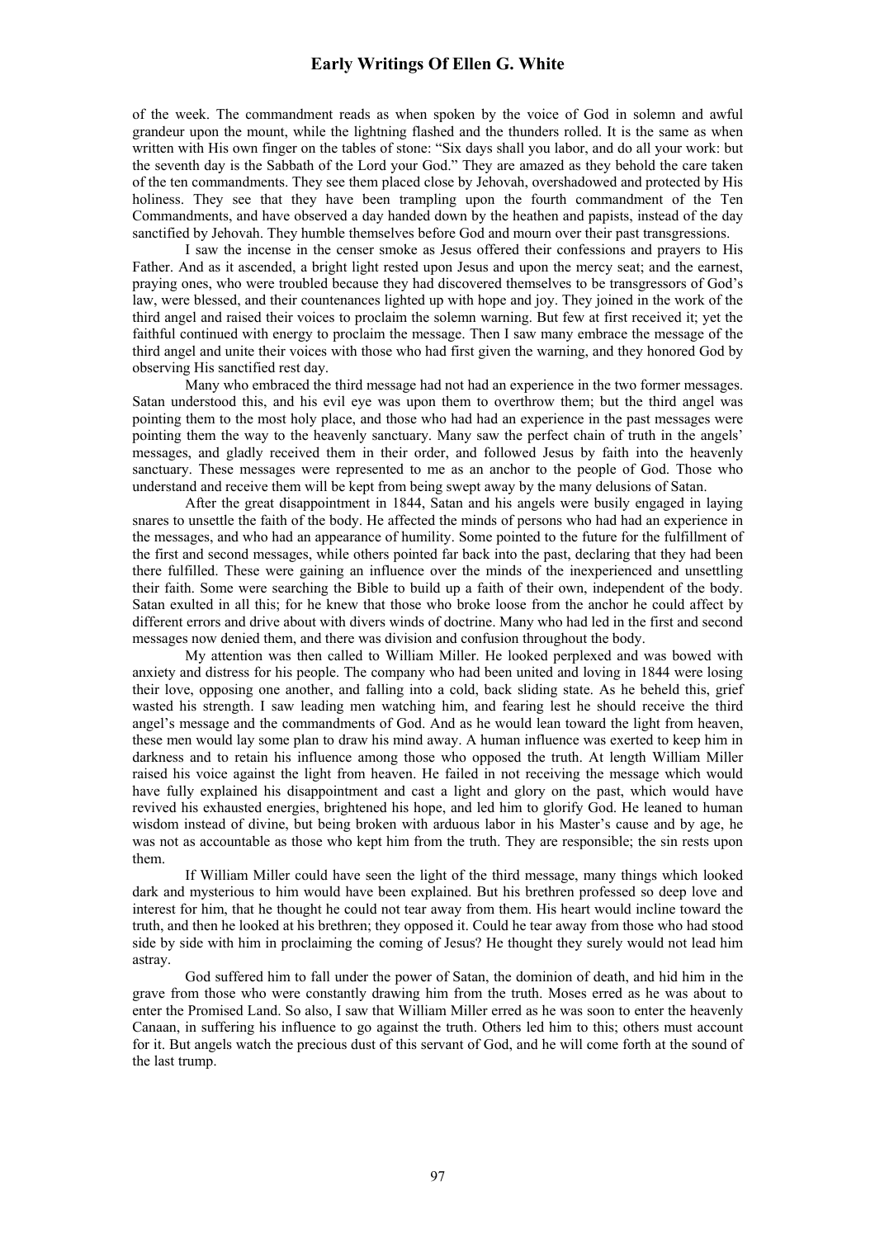of the week. The commandment reads as when spoken by the voice of God in solemn and awful grandeur upon the mount, while the lightning flashed and the thunders rolled. It is the same as when written with His own finger on the tables of stone: "Six days shall you labor, and do all your work: but the seventh day is the Sabbath of the Lord your God." They are amazed as they behold the care taken of the ten commandments. They see them placed close by Jehovah, overshadowed and protected by His holiness. They see that they have been trampling upon the fourth commandment of the Ten Commandments, and have observed a day handed down by the heathen and papists, instead of the day sanctified by Jehovah. They humble themselves before God and mourn over their past transgressions.

I saw the incense in the censer smoke as Jesus offered their confessions and prayers to His Father. And as it ascended, a bright light rested upon Jesus and upon the mercy seat; and the earnest, praying ones, who were troubled because they had discovered themselves to be transgressors of God's law, were blessed, and their countenances lighted up with hope and joy. They joined in the work of the third angel and raised their voices to proclaim the solemn warning. But few at first received it; yet the faithful continued with energy to proclaim the message. Then I saw many embrace the message of the third angel and unite their voices with those who had first given the warning, and they honored God by observing His sanctified rest day.

Many who embraced the third message had not had an experience in the two former messages. Satan understood this, and his evil eye was upon them to overthrow them; but the third angel was pointing them to the most holy place, and those who had had an experience in the past messages were pointing them the way to the heavenly sanctuary. Many saw the perfect chain of truth in the angels' messages, and gladly received them in their order, and followed Jesus by faith into the heavenly sanctuary. These messages were represented to me as an anchor to the people of God. Those who understand and receive them will be kept from being swept away by the many delusions of Satan.

After the great disappointment in 1844, Satan and his angels were busily engaged in laying snares to unsettle the faith of the body. He affected the minds of persons who had had an experience in the messages, and who had an appearance of humility. Some pointed to the future for the fulfillment of the first and second messages, while others pointed far back into the past, declaring that they had been there fulfilled. These were gaining an influence over the minds of the inexperienced and unsettling their faith. Some were searching the Bible to build up a faith of their own, independent of the body. Satan exulted in all this; for he knew that those who broke loose from the anchor he could affect by different errors and drive about with divers winds of doctrine. Many who had led in the first and second messages now denied them, and there was division and confusion throughout the body.

My attention was then called to William Miller. He looked perplexed and was bowed with anxiety and distress for his people. The company who had been united and loving in 1844 were losing their love, opposing one another, and falling into a cold, back sliding state. As he beheld this, grief wasted his strength. I saw leading men watching him, and fearing lest he should receive the third angel's message and the commandments of God. And as he would lean toward the light from heaven, these men would lay some plan to draw his mind away. A human influence was exerted to keep him in darkness and to retain his influence among those who opposed the truth. At length William Miller raised his voice against the light from heaven. He failed in not receiving the message which would have fully explained his disappointment and cast a light and glory on the past, which would have revived his exhausted energies, brightened his hope, and led him to glorify God. He leaned to human wisdom instead of divine, but being broken with arduous labor in his Master's cause and by age, he was not as accountable as those who kept him from the truth. They are responsible; the sin rests upon them.

If William Miller could have seen the light of the third message, many things which looked dark and mysterious to him would have been explained. But his brethren professed so deep love and interest for him, that he thought he could not tear away from them. His heart would incline toward the truth, and then he looked at his brethren; they opposed it. Could he tear away from those who had stood side by side with him in proclaiming the coming of Jesus? He thought they surely would not lead him astray.

God suffered him to fall under the power of Satan, the dominion of death, and hid him in the grave from those who were constantly drawing him from the truth. Moses erred as he was about to enter the Promised Land. So also, I saw that William Miller erred as he was soon to enter the heavenly Canaan, in suffering his influence to go against the truth. Others led him to this; others must account for it. But angels watch the precious dust of this servant of God, and he will come forth at the sound of the last trump.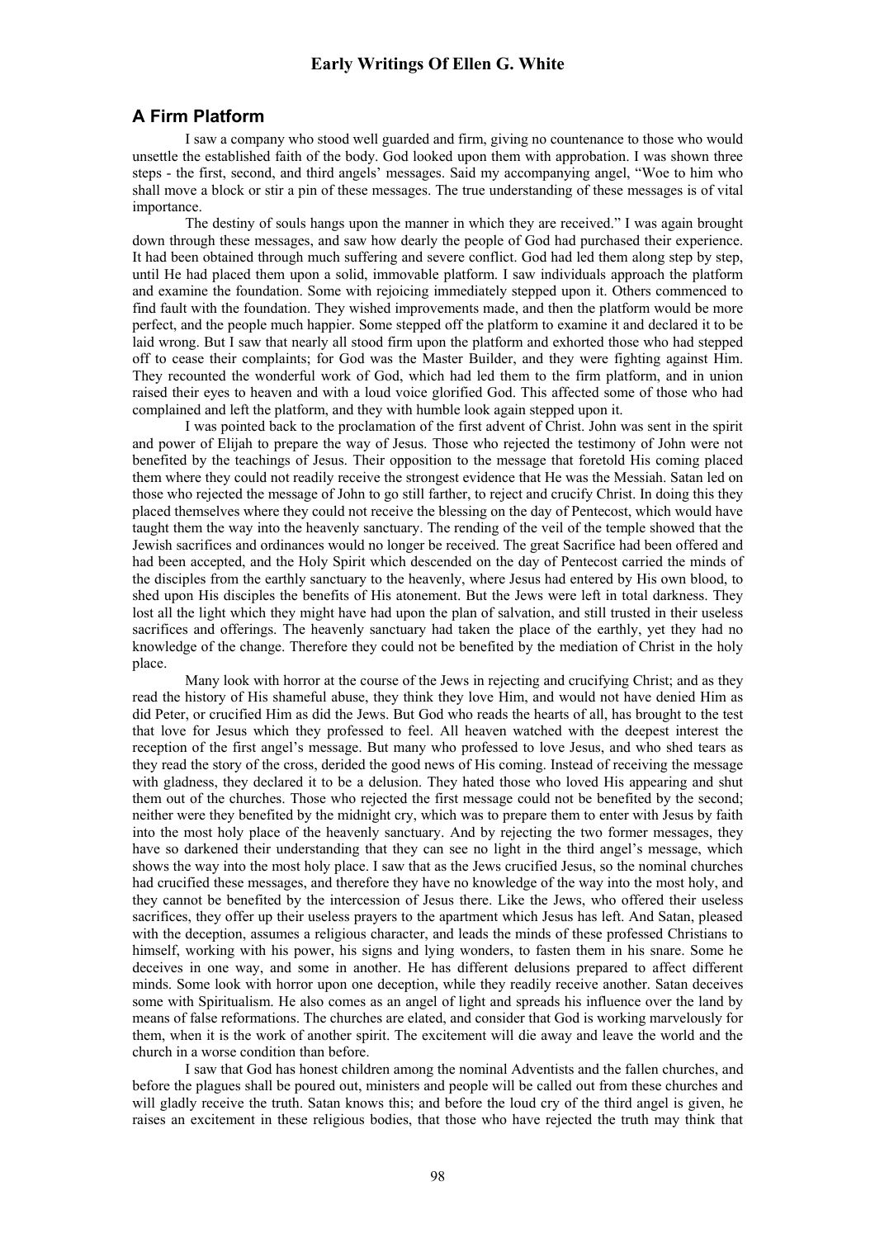# **A Firm Platform**

I saw a company who stood well guarded and firm, giving no countenance to those who would unsettle the established faith of the body. God looked upon them with approbation. I was shown three steps - the first, second, and third angels' messages. Said my accompanying angel, "Woe to him who shall move a block or stir a pin of these messages. The true understanding of these messages is of vital importance.

The destiny of souls hangs upon the manner in which they are received." I was again brought down through these messages, and saw how dearly the people of God had purchased their experience. It had been obtained through much suffering and severe conflict. God had led them along step by step, until He had placed them upon a solid, immovable platform. I saw individuals approach the platform and examine the foundation. Some with rejoicing immediately stepped upon it. Others commenced to find fault with the foundation. They wished improvements made, and then the platform would be more perfect, and the people much happier. Some stepped off the platform to examine it and declared it to be laid wrong. But I saw that nearly all stood firm upon the platform and exhorted those who had stepped off to cease their complaints; for God was the Master Builder, and they were fighting against Him. They recounted the wonderful work of God, which had led them to the firm platform, and in union raised their eyes to heaven and with a loud voice glorified God. This affected some of those who had complained and left the platform, and they with humble look again stepped upon it.

I was pointed back to the proclamation of the first advent of Christ. John was sent in the spirit and power of Elijah to prepare the way of Jesus. Those who rejected the testimony of John were not benefited by the teachings of Jesus. Their opposition to the message that foretold His coming placed them where they could not readily receive the strongest evidence that He was the Messiah. Satan led on those who rejected the message of John to go still farther, to reject and crucify Christ. In doing this they placed themselves where they could not receive the blessing on the day of Pentecost, which would have taught them the way into the heavenly sanctuary. The rending of the veil of the temple showed that the Jewish sacrifices and ordinances would no longer be received. The great Sacrifice had been offered and had been accepted, and the Holy Spirit which descended on the day of Pentecost carried the minds of the disciples from the earthly sanctuary to the heavenly, where Jesus had entered by His own blood, to shed upon His disciples the benefits of His atonement. But the Jews were left in total darkness. They lost all the light which they might have had upon the plan of salvation, and still trusted in their useless sacrifices and offerings. The heavenly sanctuary had taken the place of the earthly, yet they had no knowledge of the change. Therefore they could not be benefited by the mediation of Christ in the holy place.

Many look with horror at the course of the Jews in rejecting and crucifying Christ; and as they read the history of His shameful abuse, they think they love Him, and would not have denied Him as did Peter, or crucified Him as did the Jews. But God who reads the hearts of all, has brought to the test that love for Jesus which they professed to feel. All heaven watched with the deepest interest the reception of the first angel's message. But many who professed to love Jesus, and who shed tears as they read the story of the cross, derided the good news of His coming. Instead of receiving the message with gladness, they declared it to be a delusion. They hated those who loved His appearing and shut them out of the churches. Those who rejected the first message could not be benefited by the second; neither were they benefited by the midnight cry, which was to prepare them to enter with Jesus by faith into the most holy place of the heavenly sanctuary. And by rejecting the two former messages, they have so darkened their understanding that they can see no light in the third angel's message, which shows the way into the most holy place. I saw that as the Jews crucified Jesus, so the nominal churches had crucified these messages, and therefore they have no knowledge of the way into the most holy, and they cannot be benefited by the intercession of Jesus there. Like the Jews, who offered their useless sacrifices, they offer up their useless prayers to the apartment which Jesus has left. And Satan, pleased with the deception, assumes a religious character, and leads the minds of these professed Christians to himself, working with his power, his signs and lying wonders, to fasten them in his snare. Some he deceives in one way, and some in another. He has different delusions prepared to affect different minds. Some look with horror upon one deception, while they readily receive another. Satan deceives some with Spiritualism. He also comes as an angel of light and spreads his influence over the land by means of false reformations. The churches are elated, and consider that God is working marvelously for them, when it is the work of another spirit. The excitement will die away and leave the world and the church in a worse condition than before.

I saw that God has honest children among the nominal Adventists and the fallen churches, and before the plagues shall be poured out, ministers and people will be called out from these churches and will gladly receive the truth. Satan knows this; and before the loud cry of the third angel is given, he raises an excitement in these religious bodies, that those who have rejected the truth may think that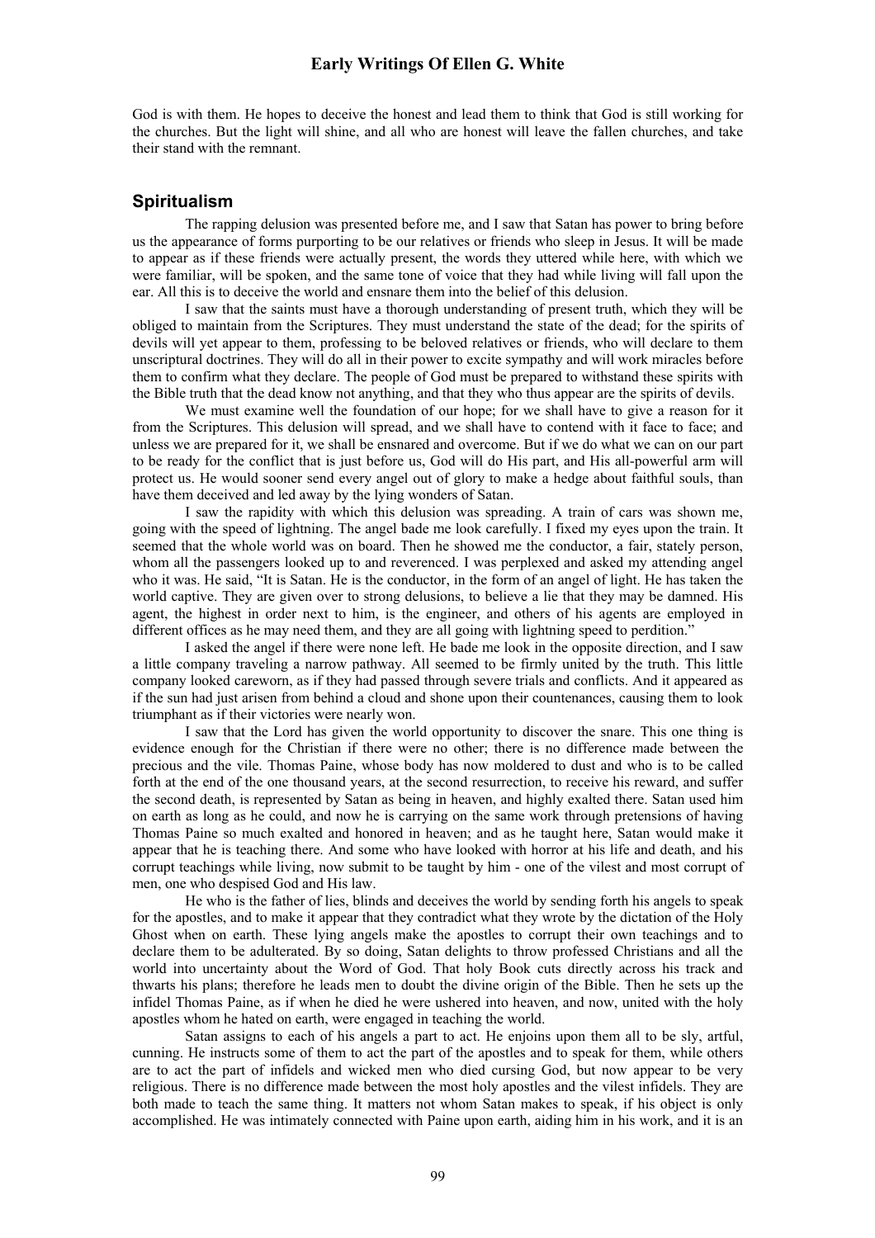God is with them. He hopes to deceive the honest and lead them to think that God is still working for the churches. But the light will shine, and all who are honest will leave the fallen churches, and take their stand with the remnant.

# **Spiritualism**

The rapping delusion was presented before me, and I saw that Satan has power to bring before us the appearance of forms purporting to be our relatives or friends who sleep in Jesus. It will be made to appear as if these friends were actually present, the words they uttered while here, with which we were familiar, will be spoken, and the same tone of voice that they had while living will fall upon the ear. All this is to deceive the world and ensnare them into the belief of this delusion.

I saw that the saints must have a thorough understanding of present truth, which they will be obliged to maintain from the Scriptures. They must understand the state of the dead; for the spirits of devils will yet appear to them, professing to be beloved relatives or friends, who will declare to them unscriptural doctrines. They will do all in their power to excite sympathy and will work miracles before them to confirm what they declare. The people of God must be prepared to withstand these spirits with the Bible truth that the dead know not anything, and that they who thus appear are the spirits of devils.

We must examine well the foundation of our hope; for we shall have to give a reason for it from the Scriptures. This delusion will spread, and we shall have to contend with it face to face; and unless we are prepared for it, we shall be ensnared and overcome. But if we do what we can on our part to be ready for the conflict that is just before us, God will do His part, and His all-powerful arm will protect us. He would sooner send every angel out of glory to make a hedge about faithful souls, than have them deceived and led away by the lying wonders of Satan.

I saw the rapidity with which this delusion was spreading. A train of cars was shown me, going with the speed of lightning. The angel bade me look carefully. I fixed my eyes upon the train. It seemed that the whole world was on board. Then he showed me the conductor, a fair, stately person, whom all the passengers looked up to and reverenced. I was perplexed and asked my attending angel who it was. He said, "It is Satan. He is the conductor, in the form of an angel of light. He has taken the world captive. They are given over to strong delusions, to believe a lie that they may be damned. His agent, the highest in order next to him, is the engineer, and others of his agents are employed in different offices as he may need them, and they are all going with lightning speed to perdition."

I asked the angel if there were none left. He bade me look in the opposite direction, and I saw a little company traveling a narrow pathway. All seemed to be firmly united by the truth. This little company looked careworn, as if they had passed through severe trials and conflicts. And it appeared as if the sun had just arisen from behind a cloud and shone upon their countenances, causing them to look triumphant as if their victories were nearly won.

I saw that the Lord has given the world opportunity to discover the snare. This one thing is evidence enough for the Christian if there were no other; there is no difference made between the precious and the vile. Thomas Paine, whose body has now moldered to dust and who is to be called forth at the end of the one thousand years, at the second resurrection, to receive his reward, and suffer the second death, is represented by Satan as being in heaven, and highly exalted there. Satan used him on earth as long as he could, and now he is carrying on the same work through pretensions of having Thomas Paine so much exalted and honored in heaven; and as he taught here, Satan would make it appear that he is teaching there. And some who have looked with horror at his life and death, and his corrupt teachings while living, now submit to be taught by him - one of the vilest and most corrupt of men, one who despised God and His law.

He who is the father of lies, blinds and deceives the world by sending forth his angels to speak for the apostles, and to make it appear that they contradict what they wrote by the dictation of the Holy Ghost when on earth. These lying angels make the apostles to corrupt their own teachings and to declare them to be adulterated. By so doing, Satan delights to throw professed Christians and all the world into uncertainty about the Word of God. That holy Book cuts directly across his track and thwarts his plans; therefore he leads men to doubt the divine origin of the Bible. Then he sets up the infidel Thomas Paine, as if when he died he were ushered into heaven, and now, united with the holy apostles whom he hated on earth, were engaged in teaching the world.

Satan assigns to each of his angels a part to act. He enjoins upon them all to be sly, artful, cunning. He instructs some of them to act the part of the apostles and to speak for them, while others are to act the part of infidels and wicked men who died cursing God, but now appear to be very religious. There is no difference made between the most holy apostles and the vilest infidels. They are both made to teach the same thing. It matters not whom Satan makes to speak, if his object is only accomplished. He was intimately connected with Paine upon earth, aiding him in his work, and it is an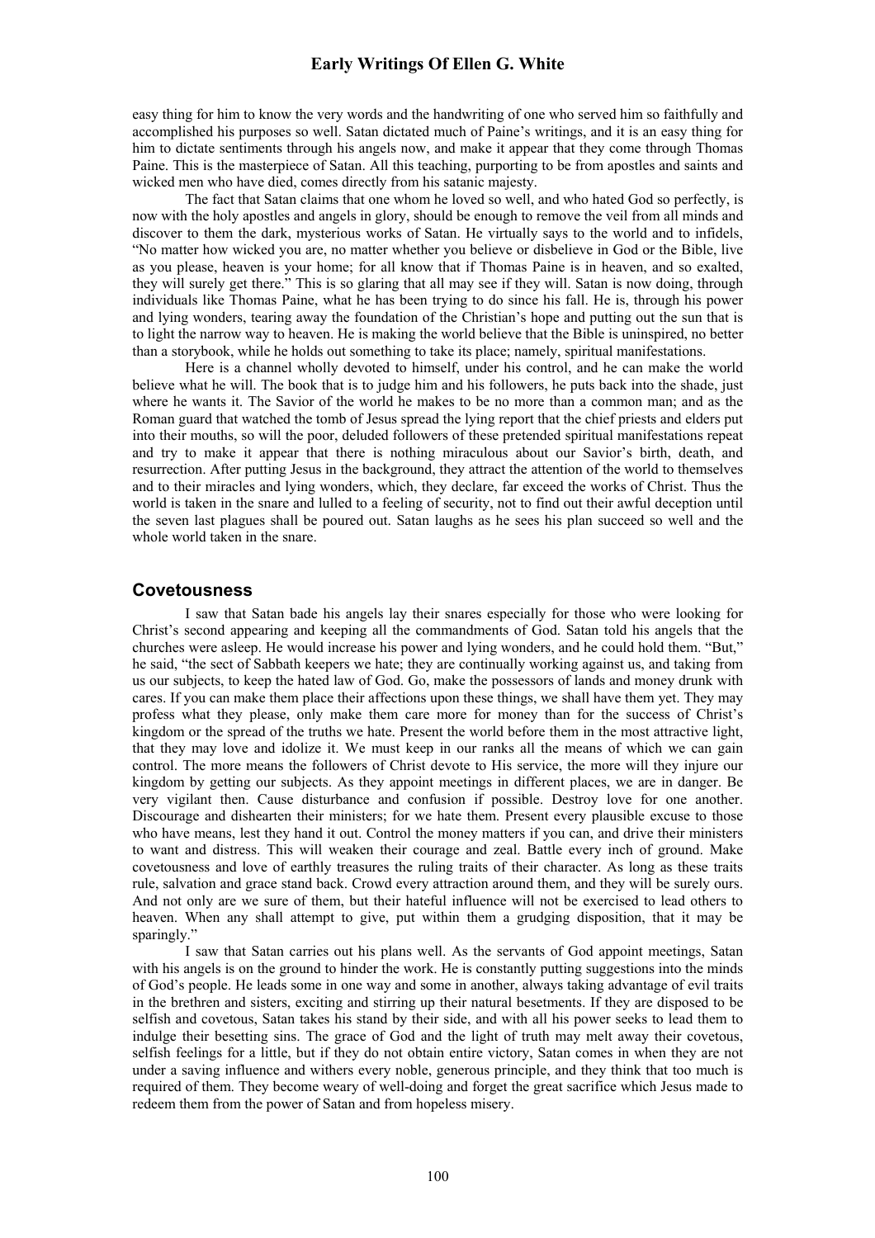easy thing for him to know the very words and the handwriting of one who served him so faithfully and accomplished his purposes so well. Satan dictated much of Paine's writings, and it is an easy thing for him to dictate sentiments through his angels now, and make it appear that they come through Thomas Paine. This is the masterpiece of Satan. All this teaching, purporting to be from apostles and saints and wicked men who have died, comes directly from his satanic majesty.

The fact that Satan claims that one whom he loved so well, and who hated God so perfectly, is now with the holy apostles and angels in glory, should be enough to remove the veil from all minds and discover to them the dark, mysterious works of Satan. He virtually says to the world and to infidels, "No matter how wicked you are, no matter whether you believe or disbelieve in God or the Bible, live as you please, heaven is your home; for all know that if Thomas Paine is in heaven, and so exalted, they will surely get there." This is so glaring that all may see if they will. Satan is now doing, through individuals like Thomas Paine, what he has been trying to do since his fall. He is, through his power and lying wonders, tearing away the foundation of the Christian's hope and putting out the sun that is to light the narrow way to heaven. He is making the world believe that the Bible is uninspired, no better than a storybook, while he holds out something to take its place; namely, spiritual manifestations.

Here is a channel wholly devoted to himself, under his control, and he can make the world believe what he will. The book that is to judge him and his followers, he puts back into the shade, just where he wants it. The Savior of the world he makes to be no more than a common man; and as the Roman guard that watched the tomb of Jesus spread the lying report that the chief priests and elders put into their mouths, so will the poor, deluded followers of these pretended spiritual manifestations repeat and try to make it appear that there is nothing miraculous about our Savior's birth, death, and resurrection. After putting Jesus in the background, they attract the attention of the world to themselves and to their miracles and lying wonders, which, they declare, far exceed the works of Christ. Thus the world is taken in the snare and lulled to a feeling of security, not to find out their awful deception until the seven last plagues shall be poured out. Satan laughs as he sees his plan succeed so well and the whole world taken in the snare.

### **Covetousness**

I saw that Satan bade his angels lay their snares especially for those who were looking for Christ's second appearing and keeping all the commandments of God. Satan told his angels that the churches were asleep. He would increase his power and lying wonders, and he could hold them. "But," he said, "the sect of Sabbath keepers we hate; they are continually working against us, and taking from us our subjects, to keep the hated law of God. Go, make the possessors of lands and money drunk with cares. If you can make them place their affections upon these things, we shall have them yet. They may profess what they please, only make them care more for money than for the success of Christ's kingdom or the spread of the truths we hate. Present the world before them in the most attractive light, that they may love and idolize it. We must keep in our ranks all the means of which we can gain control. The more means the followers of Christ devote to His service, the more will they injure our kingdom by getting our subjects. As they appoint meetings in different places, we are in danger. Be very vigilant then. Cause disturbance and confusion if possible. Destroy love for one another. Discourage and dishearten their ministers; for we hate them. Present every plausible excuse to those who have means, lest they hand it out. Control the money matters if you can, and drive their ministers to want and distress. This will weaken their courage and zeal. Battle every inch of ground. Make covetousness and love of earthly treasures the ruling traits of their character. As long as these traits rule, salvation and grace stand back. Crowd every attraction around them, and they will be surely ours. And not only are we sure of them, but their hateful influence will not be exercised to lead others to heaven. When any shall attempt to give, put within them a grudging disposition, that it may be sparingly."

I saw that Satan carries out his plans well. As the servants of God appoint meetings, Satan with his angels is on the ground to hinder the work. He is constantly putting suggestions into the minds of God's people. He leads some in one way and some in another, always taking advantage of evil traits in the brethren and sisters, exciting and stirring up their natural besetments. If they are disposed to be selfish and covetous, Satan takes his stand by their side, and with all his power seeks to lead them to indulge their besetting sins. The grace of God and the light of truth may melt away their covetous, selfish feelings for a little, but if they do not obtain entire victory, Satan comes in when they are not under a saving influence and withers every noble, generous principle, and they think that too much is required of them. They become weary of well-doing and forget the great sacrifice which Jesus made to redeem them from the power of Satan and from hopeless misery.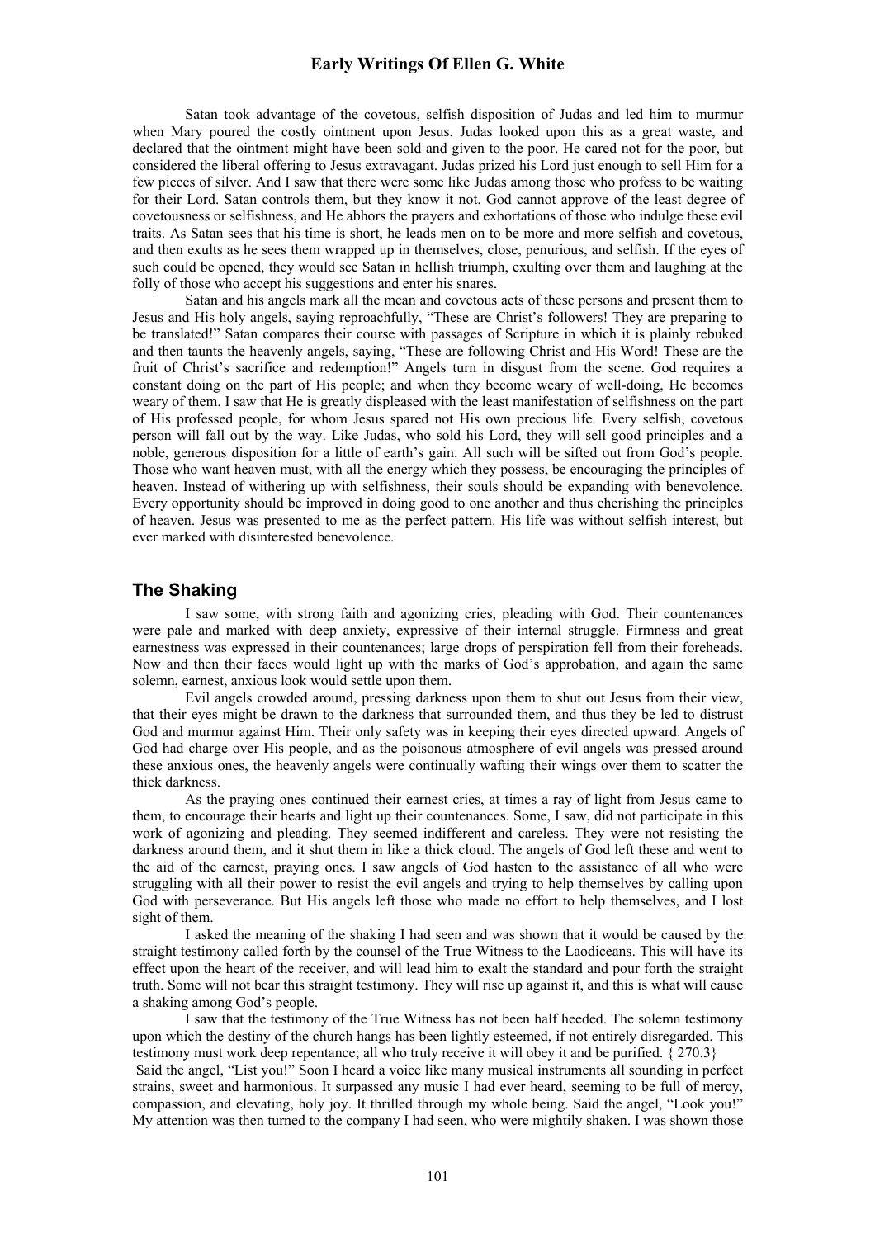Satan took advantage of the covetous, selfish disposition of Judas and led him to murmur when Mary poured the costly ointment upon Jesus. Judas looked upon this as a great waste, and declared that the ointment might have been sold and given to the poor. He cared not for the poor, but considered the liberal offering to Jesus extravagant. Judas prized his Lord just enough to sell Him for a few pieces of silver. And I saw that there were some like Judas among those who profess to be waiting for their Lord. Satan controls them, but they know it not. God cannot approve of the least degree of covetousness or selfishness, and He abhors the prayers and exhortations of those who indulge these evil traits. As Satan sees that his time is short, he leads men on to be more and more selfish and covetous, and then exults as he sees them wrapped up in themselves, close, penurious, and selfish. If the eyes of such could be opened, they would see Satan in hellish triumph, exulting over them and laughing at the folly of those who accept his suggestions and enter his snares.

Satan and his angels mark all the mean and covetous acts of these persons and present them to Jesus and His holy angels, saying reproachfully, "These are Christ's followers! They are preparing to be translated!" Satan compares their course with passages of Scripture in which it is plainly rebuked and then taunts the heavenly angels, saying, "These are following Christ and His Word! These are the fruit of Christ's sacrifice and redemption!" Angels turn in disgust from the scene. God requires a constant doing on the part of His people; and when they become weary of well-doing, He becomes weary of them. I saw that He is greatly displeased with the least manifestation of selfishness on the part of His professed people, for whom Jesus spared not His own precious life. Every selfish, covetous person will fall out by the way. Like Judas, who sold his Lord, they will sell good principles and a noble, generous disposition for a little of earth's gain. All such will be sifted out from God's people. Those who want heaven must, with all the energy which they possess, be encouraging the principles of heaven. Instead of withering up with selfishness, their souls should be expanding with benevolence. Every opportunity should be improved in doing good to one another and thus cherishing the principles of heaven. Jesus was presented to me as the perfect pattern. His life was without selfish interest, but ever marked with disinterested benevolence.

### **The Shaking**

I saw some, with strong faith and agonizing cries, pleading with God. Their countenances were pale and marked with deep anxiety, expressive of their internal struggle. Firmness and great earnestness was expressed in their countenances; large drops of perspiration fell from their foreheads. Now and then their faces would light up with the marks of God's approbation, and again the same solemn, earnest, anxious look would settle upon them.

Evil angels crowded around, pressing darkness upon them to shut out Jesus from their view, that their eyes might be drawn to the darkness that surrounded them, and thus they be led to distrust God and murmur against Him. Their only safety was in keeping their eyes directed upward. Angels of God had charge over His people, and as the poisonous atmosphere of evil angels was pressed around these anxious ones, the heavenly angels were continually wafting their wings over them to scatter the thick darkness.

As the praying ones continued their earnest cries, at times a ray of light from Jesus came to them, to encourage their hearts and light up their countenances. Some, I saw, did not participate in this work of agonizing and pleading. They seemed indifferent and careless. They were not resisting the darkness around them, and it shut them in like a thick cloud. The angels of God left these and went to the aid of the earnest, praying ones. I saw angels of God hasten to the assistance of all who were struggling with all their power to resist the evil angels and trying to help themselves by calling upon God with perseverance. But His angels left those who made no effort to help themselves, and I lost sight of them.

I asked the meaning of the shaking I had seen and was shown that it would be caused by the straight testimony called forth by the counsel of the True Witness to the Laodiceans. This will have its effect upon the heart of the receiver, and will lead him to exalt the standard and pour forth the straight truth. Some will not bear this straight testimony. They will rise up against it, and this is what will cause a shaking among God's people.

I saw that the testimony of the True Witness has not been half heeded. The solemn testimony upon which the destiny of the church hangs has been lightly esteemed, if not entirely disregarded. This testimony must work deep repentance; all who truly receive it will obey it and be purified. { 270.3} Said the angel, "List you!" Soon I heard a voice like many musical instruments all sounding in perfect strains, sweet and harmonious. It surpassed any music I had ever heard, seeming to be full of mercy, compassion, and elevating, holy joy. It thrilled through my whole being. Said the angel, "Look you!" My attention was then turned to the company I had seen, who were mightily shaken. I was shown those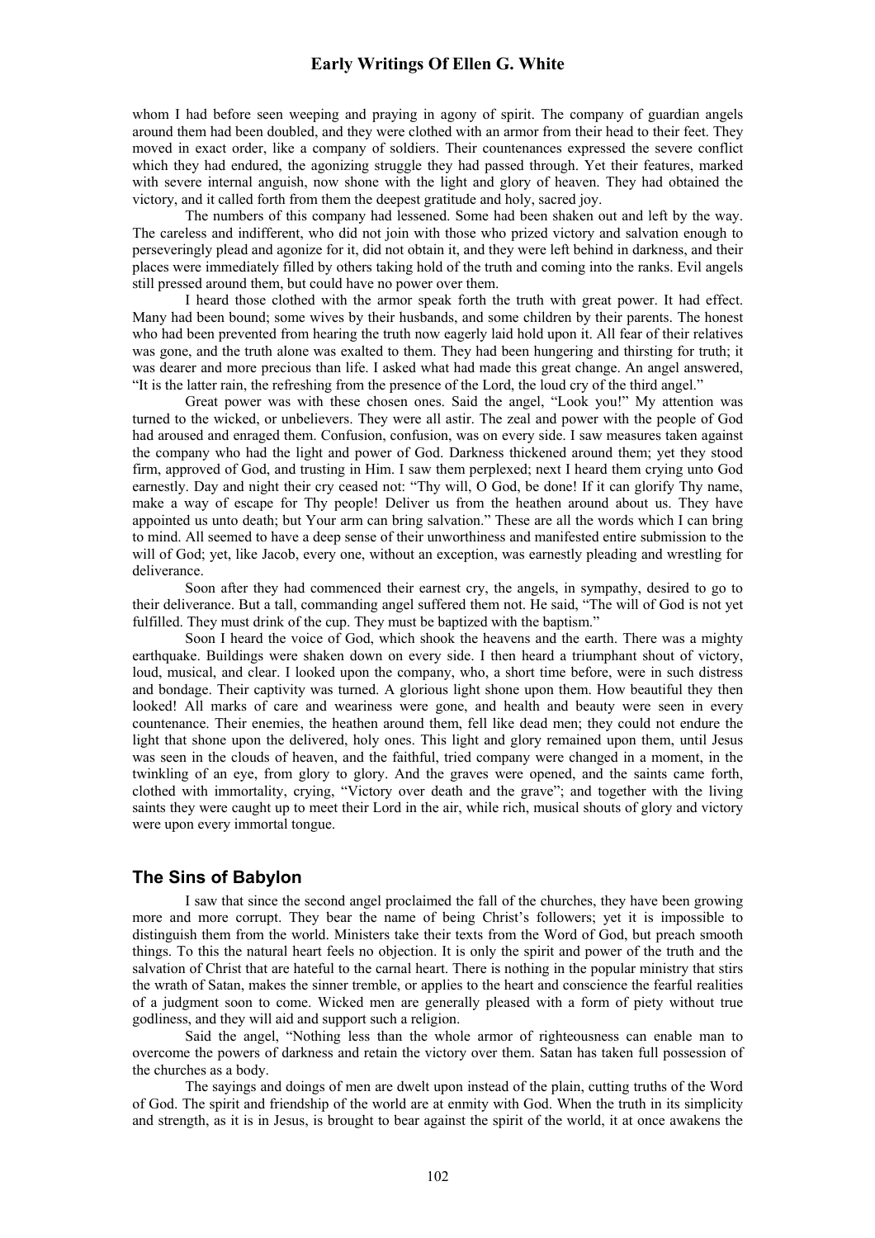whom I had before seen weeping and praying in agony of spirit. The company of guardian angels around them had been doubled, and they were clothed with an armor from their head to their feet. They moved in exact order, like a company of soldiers. Their countenances expressed the severe conflict which they had endured, the agonizing struggle they had passed through. Yet their features, marked with severe internal anguish, now shone with the light and glory of heaven. They had obtained the victory, and it called forth from them the deepest gratitude and holy, sacred joy.

The numbers of this company had lessened. Some had been shaken out and left by the way. The careless and indifferent, who did not join with those who prized victory and salvation enough to perseveringly plead and agonize for it, did not obtain it, and they were left behind in darkness, and their places were immediately filled by others taking hold of the truth and coming into the ranks. Evil angels still pressed around them, but could have no power over them.

I heard those clothed with the armor speak forth the truth with great power. It had effect. Many had been bound; some wives by their husbands, and some children by their parents. The honest who had been prevented from hearing the truth now eagerly laid hold upon it. All fear of their relatives was gone, and the truth alone was exalted to them. They had been hungering and thirsting for truth; it was dearer and more precious than life. I asked what had made this great change. An angel answered, "It is the latter rain, the refreshing from the presence of the Lord, the loud cry of the third angel."

Great power was with these chosen ones. Said the angel, "Look you!" My attention was turned to the wicked, or unbelievers. They were all astir. The zeal and power with the people of God had aroused and enraged them. Confusion, confusion, was on every side. I saw measures taken against the company who had the light and power of God. Darkness thickened around them; yet they stood firm, approved of God, and trusting in Him. I saw them perplexed; next I heard them crying unto God earnestly. Day and night their cry ceased not: "Thy will, O God, be done! If it can glorify Thy name, make a way of escape for Thy people! Deliver us from the heathen around about us. They have appointed us unto death; but Your arm can bring salvation." These are all the words which I can bring to mind. All seemed to have a deep sense of their unworthiness and manifested entire submission to the will of God; yet, like Jacob, every one, without an exception, was earnestly pleading and wrestling for deliverance.

Soon after they had commenced their earnest cry, the angels, in sympathy, desired to go to their deliverance. But a tall, commanding angel suffered them not. He said, "The will of God is not yet fulfilled. They must drink of the cup. They must be baptized with the baptism."

Soon I heard the voice of God, which shook the heavens and the earth. There was a mighty earthquake. Buildings were shaken down on every side. I then heard a triumphant shout of victory, loud, musical, and clear. I looked upon the company, who, a short time before, were in such distress and bondage. Their captivity was turned. A glorious light shone upon them. How beautiful they then looked! All marks of care and weariness were gone, and health and beauty were seen in every countenance. Their enemies, the heathen around them, fell like dead men; they could not endure the light that shone upon the delivered, holy ones. This light and glory remained upon them, until Jesus was seen in the clouds of heaven, and the faithful, tried company were changed in a moment, in the twinkling of an eye, from glory to glory. And the graves were opened, and the saints came forth, clothed with immortality, crying, "Victory over death and the grave"; and together with the living saints they were caught up to meet their Lord in the air, while rich, musical shouts of glory and victory were upon every immortal tongue.

#### **The Sins of Babylon**

I saw that since the second angel proclaimed the fall of the churches, they have been growing more and more corrupt. They bear the name of being Christ's followers; yet it is impossible to distinguish them from the world. Ministers take their texts from the Word of God, but preach smooth things. To this the natural heart feels no objection. It is only the spirit and power of the truth and the salvation of Christ that are hateful to the carnal heart. There is nothing in the popular ministry that stirs the wrath of Satan, makes the sinner tremble, or applies to the heart and conscience the fearful realities of a judgment soon to come. Wicked men are generally pleased with a form of piety without true godliness, and they will aid and support such a religion.

Said the angel, "Nothing less than the whole armor of righteousness can enable man to overcome the powers of darkness and retain the victory over them. Satan has taken full possession of the churches as a body.

The sayings and doings of men are dwelt upon instead of the plain, cutting truths of the Word of God. The spirit and friendship of the world are at enmity with God. When the truth in its simplicity and strength, as it is in Jesus, is brought to bear against the spirit of the world, it at once awakens the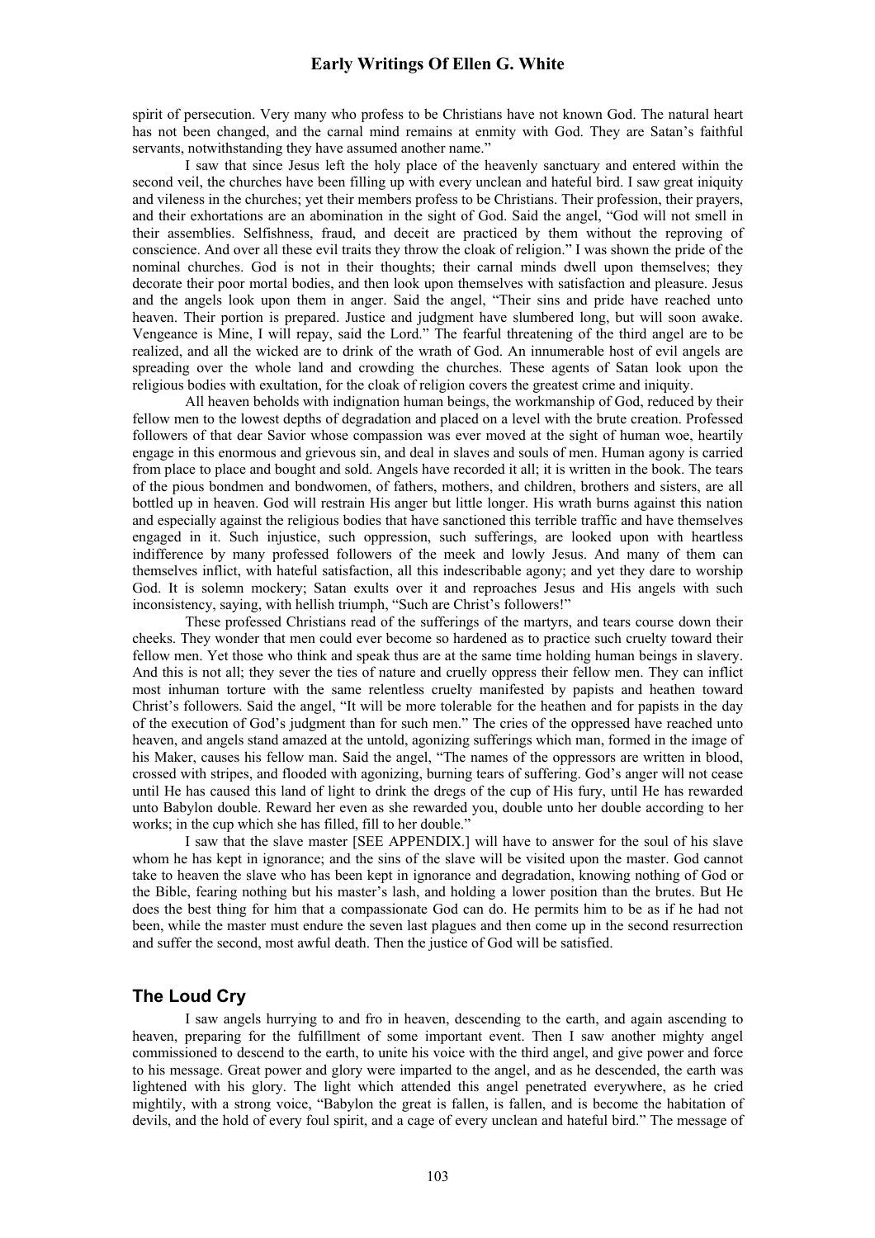spirit of persecution. Very many who profess to be Christians have not known God. The natural heart has not been changed, and the carnal mind remains at enmity with God. They are Satan's faithful servants, notwithstanding they have assumed another name."

I saw that since Jesus left the holy place of the heavenly sanctuary and entered within the second veil, the churches have been filling up with every unclean and hateful bird. I saw great iniquity and vileness in the churches; yet their members profess to be Christians. Their profession, their prayers, and their exhortations are an abomination in the sight of God. Said the angel, "God will not smell in their assemblies. Selfishness, fraud, and deceit are practiced by them without the reproving of conscience. And over all these evil traits they throw the cloak of religion." I was shown the pride of the nominal churches. God is not in their thoughts; their carnal minds dwell upon themselves; they decorate their poor mortal bodies, and then look upon themselves with satisfaction and pleasure. Jesus and the angels look upon them in anger. Said the angel, "Their sins and pride have reached unto heaven. Their portion is prepared. Justice and judgment have slumbered long, but will soon awake. Vengeance is Mine, I will repay, said the Lord." The fearful threatening of the third angel are to be realized, and all the wicked are to drink of the wrath of God. An innumerable host of evil angels are spreading over the whole land and crowding the churches. These agents of Satan look upon the religious bodies with exultation, for the cloak of religion covers the greatest crime and iniquity.

All heaven beholds with indignation human beings, the workmanship of God, reduced by their fellow men to the lowest depths of degradation and placed on a level with the brute creation. Professed followers of that dear Savior whose compassion was ever moved at the sight of human woe, heartily engage in this enormous and grievous sin, and deal in slaves and souls of men. Human agony is carried from place to place and bought and sold. Angels have recorded it all; it is written in the book. The tears of the pious bondmen and bondwomen, of fathers, mothers, and children, brothers and sisters, are all bottled up in heaven. God will restrain His anger but little longer. His wrath burns against this nation and especially against the religious bodies that have sanctioned this terrible traffic and have themselves engaged in it. Such injustice, such oppression, such sufferings, are looked upon with heartless indifference by many professed followers of the meek and lowly Jesus. And many of them can themselves inflict, with hateful satisfaction, all this indescribable agony; and yet they dare to worship God. It is solemn mockery; Satan exults over it and reproaches Jesus and His angels with such inconsistency, saying, with hellish triumph, "Such are Christ's followers!"

These professed Christians read of the sufferings of the martyrs, and tears course down their cheeks. They wonder that men could ever become so hardened as to practice such cruelty toward their fellow men. Yet those who think and speak thus are at the same time holding human beings in slavery. And this is not all; they sever the ties of nature and cruelly oppress their fellow men. They can inflict most inhuman torture with the same relentless cruelty manifested by papists and heathen toward Christ's followers. Said the angel, "It will be more tolerable for the heathen and for papists in the day of the execution of God's judgment than for such men." The cries of the oppressed have reached unto heaven, and angels stand amazed at the untold, agonizing sufferings which man, formed in the image of his Maker, causes his fellow man. Said the angel, "The names of the oppressors are written in blood, crossed with stripes, and flooded with agonizing, burning tears of suffering. God's anger will not cease until He has caused this land of light to drink the dregs of the cup of His fury, until He has rewarded unto Babylon double. Reward her even as she rewarded you, double unto her double according to her works; in the cup which she has filled, fill to her double."

I saw that the slave master [SEE APPENDIX.] will have to answer for the soul of his slave whom he has kept in ignorance; and the sins of the slave will be visited upon the master. God cannot take to heaven the slave who has been kept in ignorance and degradation, knowing nothing of God or the Bible, fearing nothing but his master's lash, and holding a lower position than the brutes. But He does the best thing for him that a compassionate God can do. He permits him to be as if he had not been, while the master must endure the seven last plagues and then come up in the second resurrection and suffer the second, most awful death. Then the justice of God will be satisfied.

# **The Loud Cry**

I saw angels hurrying to and fro in heaven, descending to the earth, and again ascending to heaven, preparing for the fulfillment of some important event. Then I saw another mighty angel commissioned to descend to the earth, to unite his voice with the third angel, and give power and force to his message. Great power and glory were imparted to the angel, and as he descended, the earth was lightened with his glory. The light which attended this angel penetrated everywhere, as he cried mightily, with a strong voice, "Babylon the great is fallen, is fallen, and is become the habitation of devils, and the hold of every foul spirit, and a cage of every unclean and hateful bird." The message of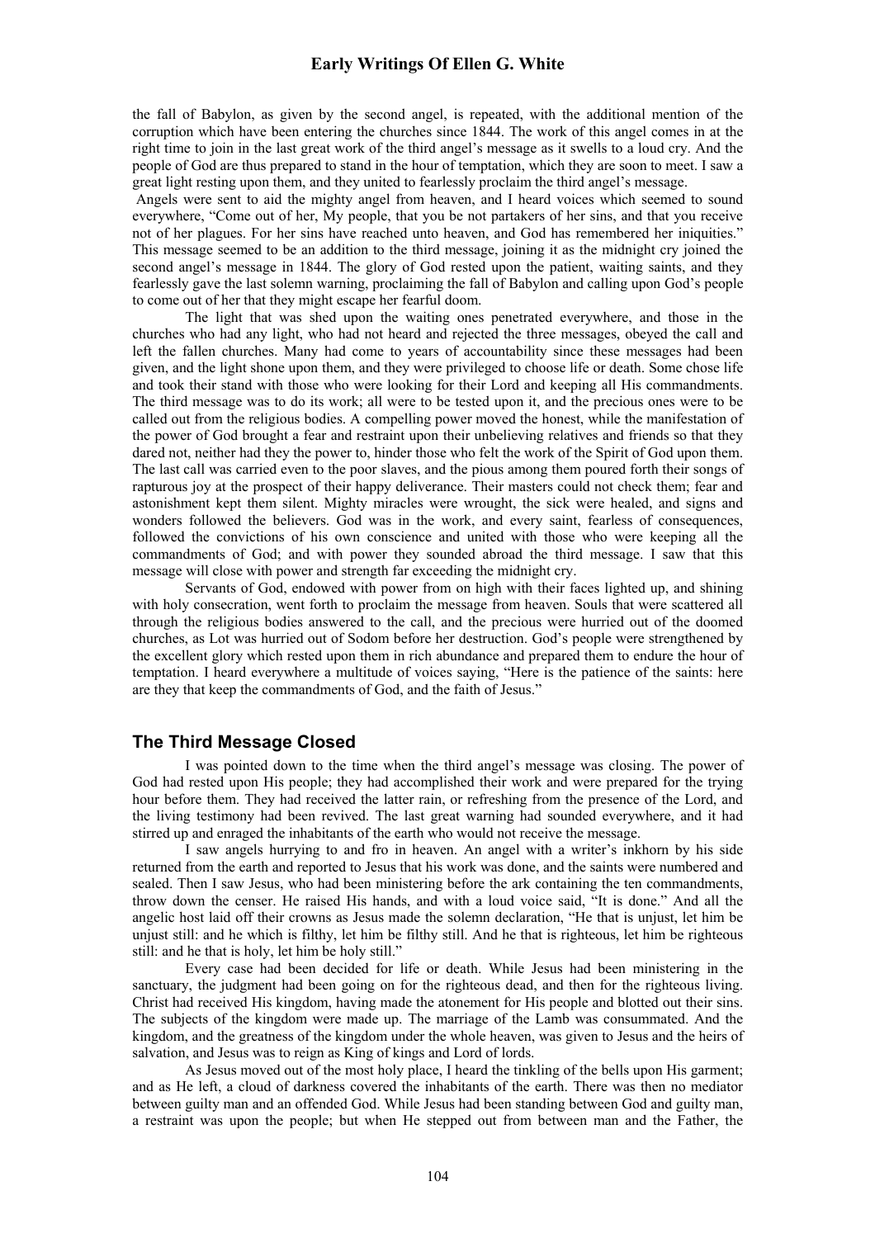the fall of Babylon, as given by the second angel, is repeated, with the additional mention of the corruption which have been entering the churches since 1844. The work of this angel comes in at the right time to join in the last great work of the third angel's message as it swells to a loud cry. And the people of God are thus prepared to stand in the hour of temptation, which they are soon to meet. I saw a great light resting upon them, and they united to fearlessly proclaim the third angel's message.

 Angels were sent to aid the mighty angel from heaven, and I heard voices which seemed to sound everywhere, "Come out of her, My people, that you be not partakers of her sins, and that you receive not of her plagues. For her sins have reached unto heaven, and God has remembered her iniquities." This message seemed to be an addition to the third message, joining it as the midnight cry joined the second angel's message in 1844. The glory of God rested upon the patient, waiting saints, and they fearlessly gave the last solemn warning, proclaiming the fall of Babylon and calling upon God's people to come out of her that they might escape her fearful doom.

The light that was shed upon the waiting ones penetrated everywhere, and those in the churches who had any light, who had not heard and rejected the three messages, obeyed the call and left the fallen churches. Many had come to years of accountability since these messages had been given, and the light shone upon them, and they were privileged to choose life or death. Some chose life and took their stand with those who were looking for their Lord and keeping all His commandments. The third message was to do its work; all were to be tested upon it, and the precious ones were to be called out from the religious bodies. A compelling power moved the honest, while the manifestation of the power of God brought a fear and restraint upon their unbelieving relatives and friends so that they dared not, neither had they the power to, hinder those who felt the work of the Spirit of God upon them. The last call was carried even to the poor slaves, and the pious among them poured forth their songs of rapturous joy at the prospect of their happy deliverance. Their masters could not check them; fear and astonishment kept them silent. Mighty miracles were wrought, the sick were healed, and signs and wonders followed the believers. God was in the work, and every saint, fearless of consequences, followed the convictions of his own conscience and united with those who were keeping all the commandments of God; and with power they sounded abroad the third message. I saw that this message will close with power and strength far exceeding the midnight cry.

Servants of God, endowed with power from on high with their faces lighted up, and shining with holy consecration, went forth to proclaim the message from heaven. Souls that were scattered all through the religious bodies answered to the call, and the precious were hurried out of the doomed churches, as Lot was hurried out of Sodom before her destruction. God's people were strengthened by the excellent glory which rested upon them in rich abundance and prepared them to endure the hour of temptation. I heard everywhere a multitude of voices saying, "Here is the patience of the saints: here are they that keep the commandments of God, and the faith of Jesus."

### **The Third Message Closed**

I was pointed down to the time when the third angel's message was closing. The power of God had rested upon His people; they had accomplished their work and were prepared for the trying hour before them. They had received the latter rain, or refreshing from the presence of the Lord, and the living testimony had been revived. The last great warning had sounded everywhere, and it had stirred up and enraged the inhabitants of the earth who would not receive the message.

I saw angels hurrying to and fro in heaven. An angel with a writer's inkhorn by his side returned from the earth and reported to Jesus that his work was done, and the saints were numbered and sealed. Then I saw Jesus, who had been ministering before the ark containing the ten commandments, throw down the censer. He raised His hands, and with a loud voice said, "It is done." And all the angelic host laid off their crowns as Jesus made the solemn declaration, "He that is unjust, let him be unjust still: and he which is filthy, let him be filthy still. And he that is righteous, let him be righteous still: and he that is holy, let him be holy still."

Every case had been decided for life or death. While Jesus had been ministering in the sanctuary, the judgment had been going on for the righteous dead, and then for the righteous living. Christ had received His kingdom, having made the atonement for His people and blotted out their sins. The subjects of the kingdom were made up. The marriage of the Lamb was consummated. And the kingdom, and the greatness of the kingdom under the whole heaven, was given to Jesus and the heirs of salvation, and Jesus was to reign as King of kings and Lord of lords.

As Jesus moved out of the most holy place, I heard the tinkling of the bells upon His garment; and as He left, a cloud of darkness covered the inhabitants of the earth. There was then no mediator between guilty man and an offended God. While Jesus had been standing between God and guilty man, a restraint was upon the people; but when He stepped out from between man and the Father, the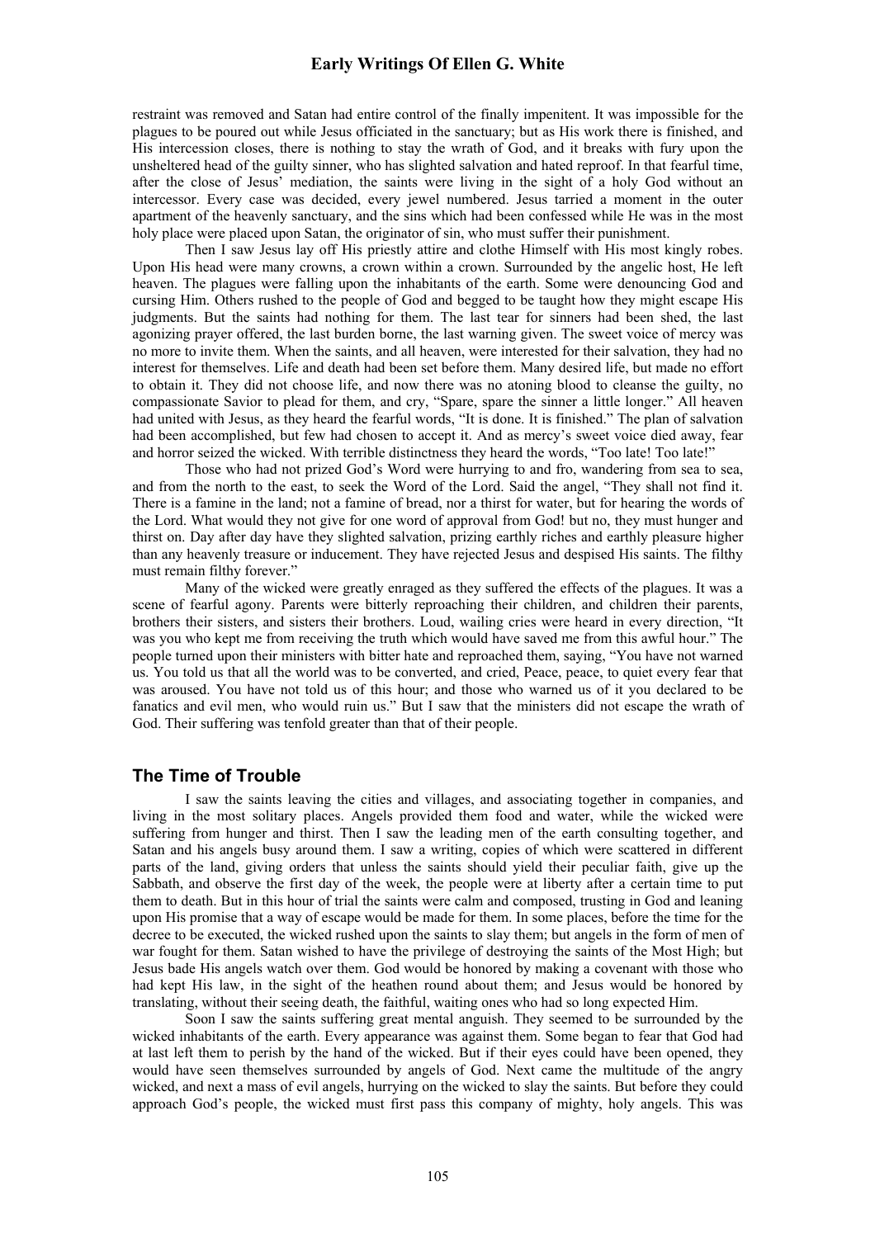restraint was removed and Satan had entire control of the finally impenitent. It was impossible for the plagues to be poured out while Jesus officiated in the sanctuary; but as His work there is finished, and His intercession closes, there is nothing to stay the wrath of God, and it breaks with fury upon the unsheltered head of the guilty sinner, who has slighted salvation and hated reproof. In that fearful time, after the close of Jesus' mediation, the saints were living in the sight of a holy God without an intercessor. Every case was decided, every jewel numbered. Jesus tarried a moment in the outer apartment of the heavenly sanctuary, and the sins which had been confessed while He was in the most holy place were placed upon Satan, the originator of sin, who must suffer their punishment.

Then I saw Jesus lay off His priestly attire and clothe Himself with His most kingly robes. Upon His head were many crowns, a crown within a crown. Surrounded by the angelic host, He left heaven. The plagues were falling upon the inhabitants of the earth. Some were denouncing God and cursing Him. Others rushed to the people of God and begged to be taught how they might escape His judgments. But the saints had nothing for them. The last tear for sinners had been shed, the last agonizing prayer offered, the last burden borne, the last warning given. The sweet voice of mercy was no more to invite them. When the saints, and all heaven, were interested for their salvation, they had no interest for themselves. Life and death had been set before them. Many desired life, but made no effort to obtain it. They did not choose life, and now there was no atoning blood to cleanse the guilty, no compassionate Savior to plead for them, and cry, "Spare, spare the sinner a little longer." All heaven had united with Jesus, as they heard the fearful words, "It is done. It is finished." The plan of salvation had been accomplished, but few had chosen to accept it. And as mercy's sweet voice died away, fear and horror seized the wicked. With terrible distinctness they heard the words, "Too late! Too late!"

Those who had not prized God's Word were hurrying to and fro, wandering from sea to sea, and from the north to the east, to seek the Word of the Lord. Said the angel, "They shall not find it. There is a famine in the land; not a famine of bread, nor a thirst for water, but for hearing the words of the Lord. What would they not give for one word of approval from God! but no, they must hunger and thirst on. Day after day have they slighted salvation, prizing earthly riches and earthly pleasure higher than any heavenly treasure or inducement. They have rejected Jesus and despised His saints. The filthy must remain filthy forever."

Many of the wicked were greatly enraged as they suffered the effects of the plagues. It was a scene of fearful agony. Parents were bitterly reproaching their children, and children their parents, brothers their sisters, and sisters their brothers. Loud, wailing cries were heard in every direction, "It was you who kept me from receiving the truth which would have saved me from this awful hour." The people turned upon their ministers with bitter hate and reproached them, saying, "You have not warned us. You told us that all the world was to be converted, and cried, Peace, peace, to quiet every fear that was aroused. You have not told us of this hour; and those who warned us of it you declared to be fanatics and evil men, who would ruin us." But I saw that the ministers did not escape the wrath of God. Their suffering was tenfold greater than that of their people.

### **The Time of Trouble**

I saw the saints leaving the cities and villages, and associating together in companies, and living in the most solitary places. Angels provided them food and water, while the wicked were suffering from hunger and thirst. Then I saw the leading men of the earth consulting together, and Satan and his angels busy around them. I saw a writing, copies of which were scattered in different parts of the land, giving orders that unless the saints should yield their peculiar faith, give up the Sabbath, and observe the first day of the week, the people were at liberty after a certain time to put them to death. But in this hour of trial the saints were calm and composed, trusting in God and leaning upon His promise that a way of escape would be made for them. In some places, before the time for the decree to be executed, the wicked rushed upon the saints to slay them; but angels in the form of men of war fought for them. Satan wished to have the privilege of destroying the saints of the Most High; but Jesus bade His angels watch over them. God would be honored by making a covenant with those who had kept His law, in the sight of the heathen round about them; and Jesus would be honored by translating, without their seeing death, the faithful, waiting ones who had so long expected Him.

Soon I saw the saints suffering great mental anguish. They seemed to be surrounded by the wicked inhabitants of the earth. Every appearance was against them. Some began to fear that God had at last left them to perish by the hand of the wicked. But if their eyes could have been opened, they would have seen themselves surrounded by angels of God. Next came the multitude of the angry wicked, and next a mass of evil angels, hurrying on the wicked to slay the saints. But before they could approach God's people, the wicked must first pass this company of mighty, holy angels. This was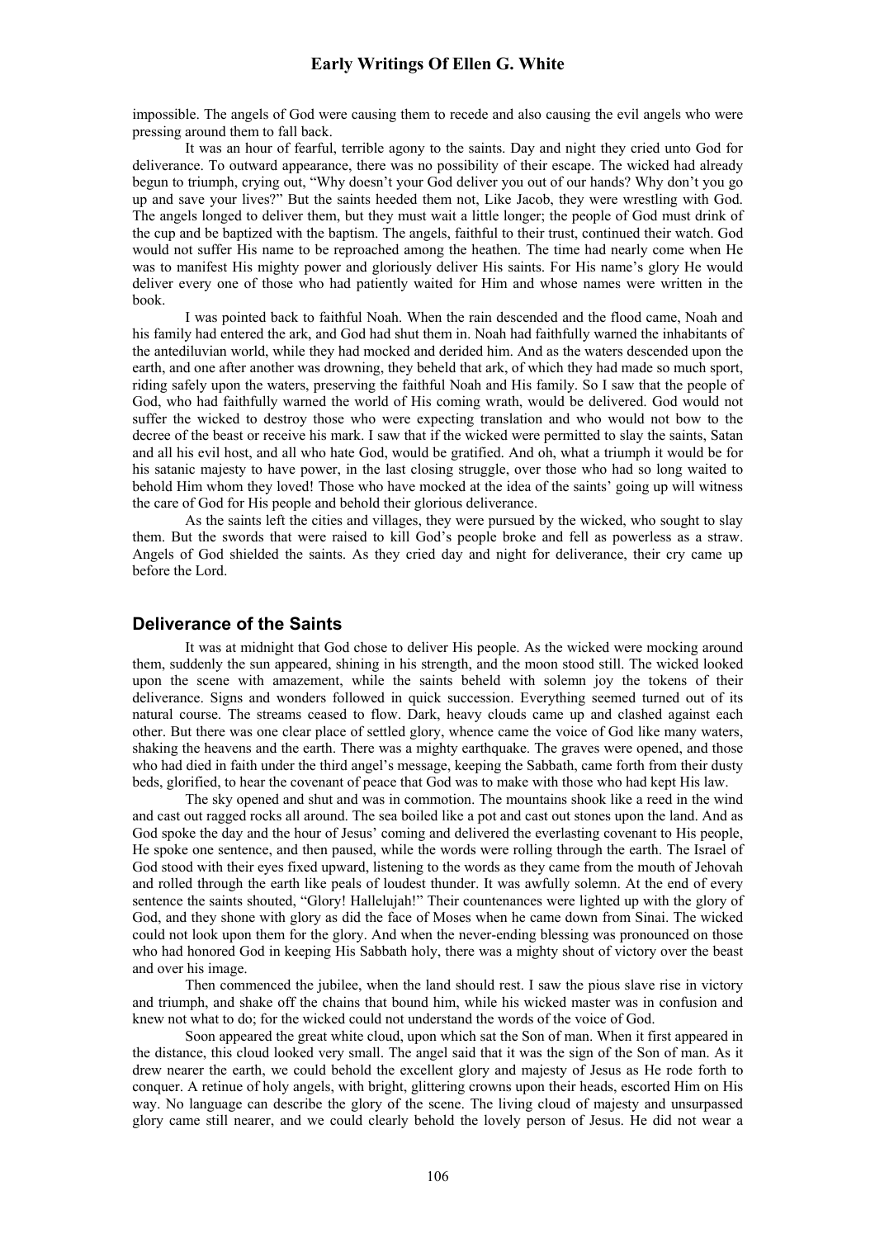impossible. The angels of God were causing them to recede and also causing the evil angels who were pressing around them to fall back.

It was an hour of fearful, terrible agony to the saints. Day and night they cried unto God for deliverance. To outward appearance, there was no possibility of their escape. The wicked had already begun to triumph, crying out, "Why doesn't your God deliver you out of our hands? Why don't you go up and save your lives?" But the saints heeded them not, Like Jacob, they were wrestling with God. The angels longed to deliver them, but they must wait a little longer; the people of God must drink of the cup and be baptized with the baptism. The angels, faithful to their trust, continued their watch. God would not suffer His name to be reproached among the heathen. The time had nearly come when He was to manifest His mighty power and gloriously deliver His saints. For His name's glory He would deliver every one of those who had patiently waited for Him and whose names were written in the book.

I was pointed back to faithful Noah. When the rain descended and the flood came, Noah and his family had entered the ark, and God had shut them in. Noah had faithfully warned the inhabitants of the antediluvian world, while they had mocked and derided him. And as the waters descended upon the earth, and one after another was drowning, they beheld that ark, of which they had made so much sport, riding safely upon the waters, preserving the faithful Noah and His family. So I saw that the people of God, who had faithfully warned the world of His coming wrath, would be delivered. God would not suffer the wicked to destroy those who were expecting translation and who would not bow to the decree of the beast or receive his mark. I saw that if the wicked were permitted to slay the saints, Satan and all his evil host, and all who hate God, would be gratified. And oh, what a triumph it would be for his satanic majesty to have power, in the last closing struggle, over those who had so long waited to behold Him whom they loved! Those who have mocked at the idea of the saints' going up will witness the care of God for His people and behold their glorious deliverance.

As the saints left the cities and villages, they were pursued by the wicked, who sought to slay them. But the swords that were raised to kill God's people broke and fell as powerless as a straw. Angels of God shielded the saints. As they cried day and night for deliverance, their cry came up before the Lord.

# **Deliverance of the Saints**

It was at midnight that God chose to deliver His people. As the wicked were mocking around them, suddenly the sun appeared, shining in his strength, and the moon stood still. The wicked looked upon the scene with amazement, while the saints beheld with solemn joy the tokens of their deliverance. Signs and wonders followed in quick succession. Everything seemed turned out of its natural course. The streams ceased to flow. Dark, heavy clouds came up and clashed against each other. But there was one clear place of settled glory, whence came the voice of God like many waters, shaking the heavens and the earth. There was a mighty earthquake. The graves were opened, and those who had died in faith under the third angel's message, keeping the Sabbath, came forth from their dusty beds, glorified, to hear the covenant of peace that God was to make with those who had kept His law.

The sky opened and shut and was in commotion. The mountains shook like a reed in the wind and cast out ragged rocks all around. The sea boiled like a pot and cast out stones upon the land. And as God spoke the day and the hour of Jesus' coming and delivered the everlasting covenant to His people, He spoke one sentence, and then paused, while the words were rolling through the earth. The Israel of God stood with their eyes fixed upward, listening to the words as they came from the mouth of Jehovah and rolled through the earth like peals of loudest thunder. It was awfully solemn. At the end of every sentence the saints shouted, "Glory! Hallelujah!" Their countenances were lighted up with the glory of God, and they shone with glory as did the face of Moses when he came down from Sinai. The wicked could not look upon them for the glory. And when the never-ending blessing was pronounced on those who had honored God in keeping His Sabbath holy, there was a mighty shout of victory over the beast and over his image.

Then commenced the jubilee, when the land should rest. I saw the pious slave rise in victory and triumph, and shake off the chains that bound him, while his wicked master was in confusion and knew not what to do; for the wicked could not understand the words of the voice of God.

Soon appeared the great white cloud, upon which sat the Son of man. When it first appeared in the distance, this cloud looked very small. The angel said that it was the sign of the Son of man. As it drew nearer the earth, we could behold the excellent glory and majesty of Jesus as He rode forth to conquer. A retinue of holy angels, with bright, glittering crowns upon their heads, escorted Him on His way. No language can describe the glory of the scene. The living cloud of majesty and unsurpassed glory came still nearer, and we could clearly behold the lovely person of Jesus. He did not wear a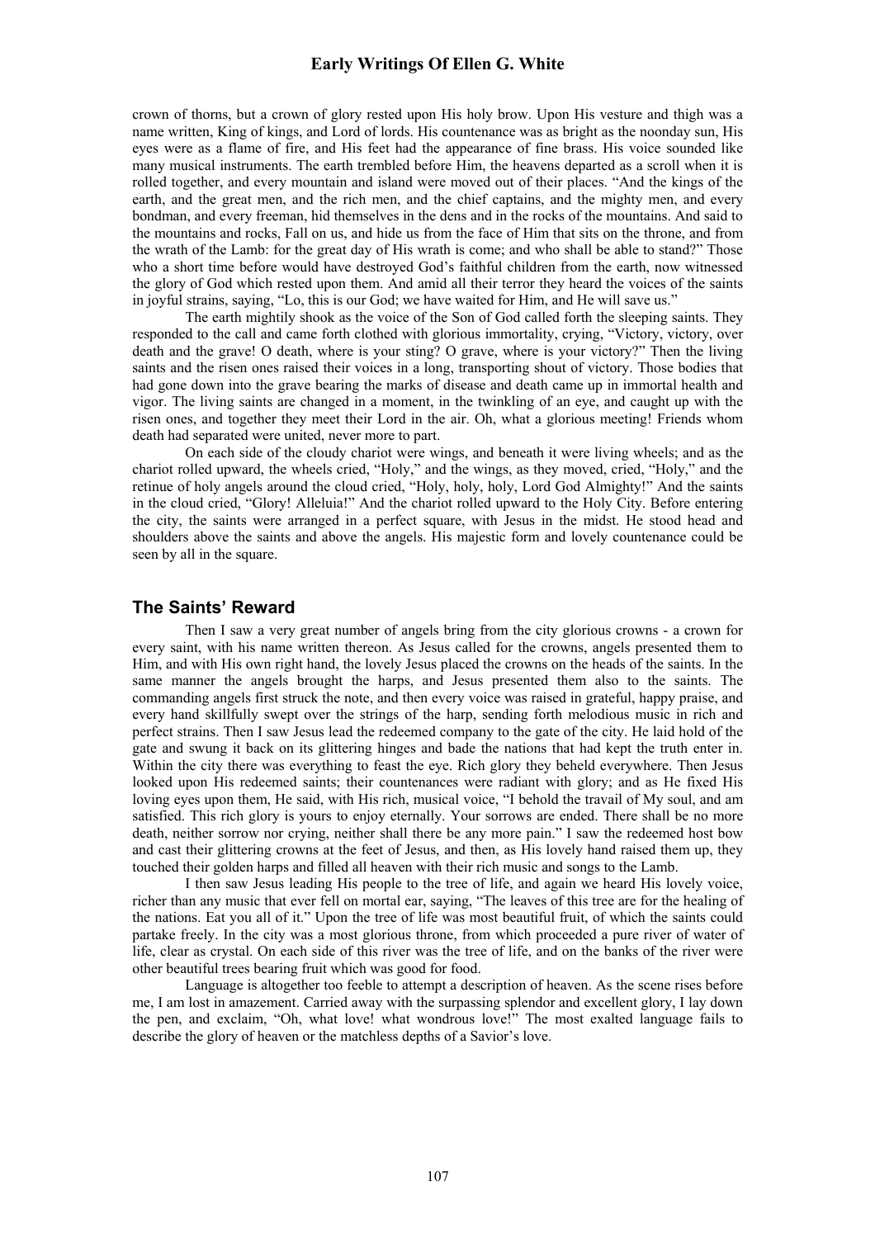crown of thorns, but a crown of glory rested upon His holy brow. Upon His vesture and thigh was a name written, King of kings, and Lord of lords. His countenance was as bright as the noonday sun, His eyes were as a flame of fire, and His feet had the appearance of fine brass. His voice sounded like many musical instruments. The earth trembled before Him, the heavens departed as a scroll when it is rolled together, and every mountain and island were moved out of their places. "And the kings of the earth, and the great men, and the rich men, and the chief captains, and the mighty men, and every bondman, and every freeman, hid themselves in the dens and in the rocks of the mountains. And said to the mountains and rocks, Fall on us, and hide us from the face of Him that sits on the throne, and from the wrath of the Lamb: for the great day of His wrath is come; and who shall be able to stand?" Those who a short time before would have destroyed God's faithful children from the earth, now witnessed the glory of God which rested upon them. And amid all their terror they heard the voices of the saints in joyful strains, saying, "Lo, this is our God; we have waited for Him, and He will save us."

The earth mightily shook as the voice of the Son of God called forth the sleeping saints. They responded to the call and came forth clothed with glorious immortality, crying, "Victory, victory, over death and the grave! O death, where is your sting? O grave, where is your victory?" Then the living saints and the risen ones raised their voices in a long, transporting shout of victory. Those bodies that had gone down into the grave bearing the marks of disease and death came up in immortal health and vigor. The living saints are changed in a moment, in the twinkling of an eye, and caught up with the risen ones, and together they meet their Lord in the air. Oh, what a glorious meeting! Friends whom death had separated were united, never more to part.

On each side of the cloudy chariot were wings, and beneath it were living wheels; and as the chariot rolled upward, the wheels cried, "Holy," and the wings, as they moved, cried, "Holy," and the retinue of holy angels around the cloud cried, "Holy, holy, holy, Lord God Almighty!" And the saints in the cloud cried, "Glory! Alleluia!" And the chariot rolled upward to the Holy City. Before entering the city, the saints were arranged in a perfect square, with Jesus in the midst. He stood head and shoulders above the saints and above the angels. His majestic form and lovely countenance could be seen by all in the square.

#### **The Saints' Reward**

Then I saw a very great number of angels bring from the city glorious crowns - a crown for every saint, with his name written thereon. As Jesus called for the crowns, angels presented them to Him, and with His own right hand, the lovely Jesus placed the crowns on the heads of the saints. In the same manner the angels brought the harps, and Jesus presented them also to the saints. The commanding angels first struck the note, and then every voice was raised in grateful, happy praise, and every hand skillfully swept over the strings of the harp, sending forth melodious music in rich and perfect strains. Then I saw Jesus lead the redeemed company to the gate of the city. He laid hold of the gate and swung it back on its glittering hinges and bade the nations that had kept the truth enter in. Within the city there was everything to feast the eye. Rich glory they beheld everywhere. Then Jesus looked upon His redeemed saints; their countenances were radiant with glory; and as He fixed His loving eyes upon them, He said, with His rich, musical voice, "I behold the travail of My soul, and am satisfied. This rich glory is yours to enjoy eternally. Your sorrows are ended. There shall be no more death, neither sorrow nor crying, neither shall there be any more pain." I saw the redeemed host bow and cast their glittering crowns at the feet of Jesus, and then, as His lovely hand raised them up, they touched their golden harps and filled all heaven with their rich music and songs to the Lamb.

I then saw Jesus leading His people to the tree of life, and again we heard His lovely voice, richer than any music that ever fell on mortal ear, saying, "The leaves of this tree are for the healing of the nations. Eat you all of it." Upon the tree of life was most beautiful fruit, of which the saints could partake freely. In the city was a most glorious throne, from which proceeded a pure river of water of life, clear as crystal. On each side of this river was the tree of life, and on the banks of the river were other beautiful trees bearing fruit which was good for food.

Language is altogether too feeble to attempt a description of heaven. As the scene rises before me, I am lost in amazement. Carried away with the surpassing splendor and excellent glory, I lay down the pen, and exclaim, "Oh, what love! what wondrous love!" The most exalted language fails to describe the glory of heaven or the matchless depths of a Savior's love.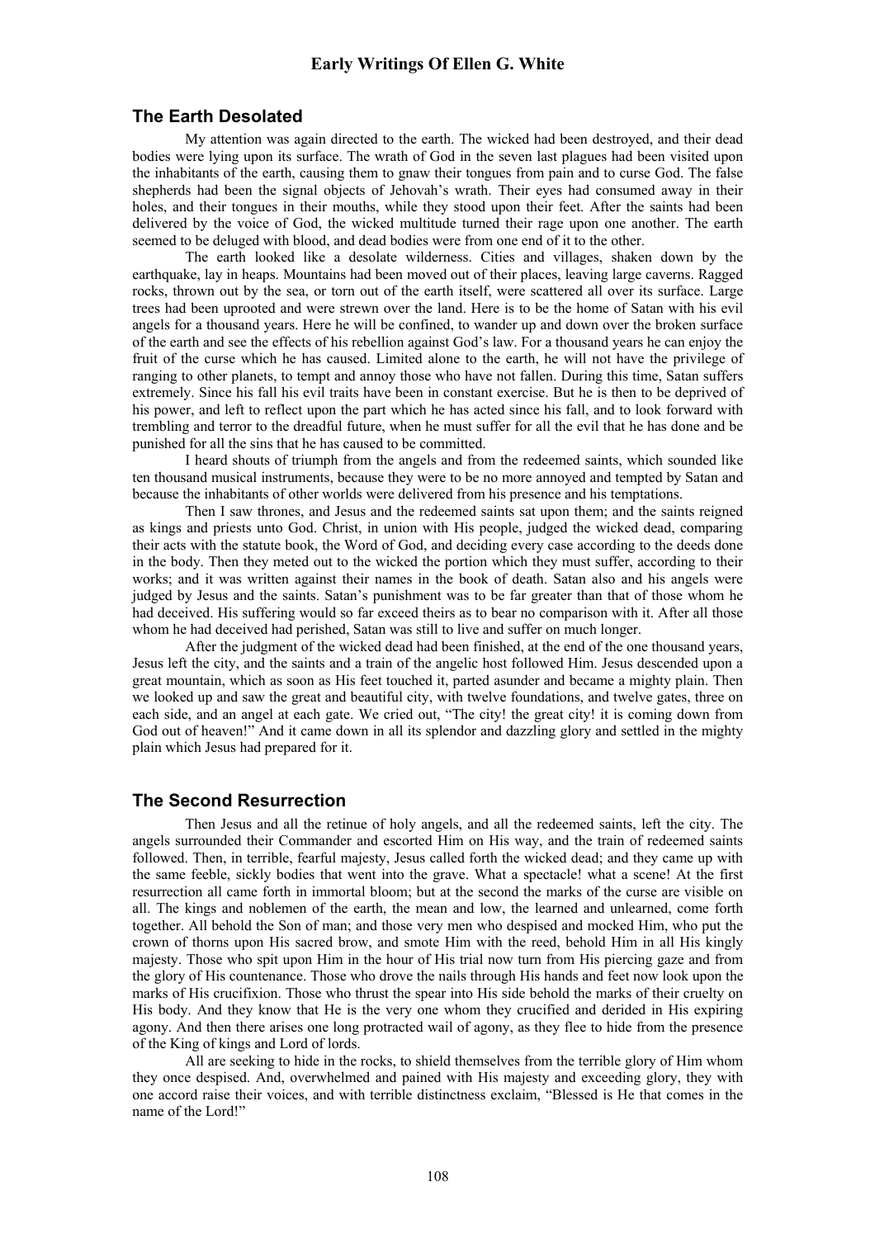### **The Earth Desolated**

My attention was again directed to the earth. The wicked had been destroyed, and their dead bodies were lying upon its surface. The wrath of God in the seven last plagues had been visited upon the inhabitants of the earth, causing them to gnaw their tongues from pain and to curse God. The false shepherds had been the signal objects of Jehovah's wrath. Their eyes had consumed away in their holes, and their tongues in their mouths, while they stood upon their feet. After the saints had been delivered by the voice of God, the wicked multitude turned their rage upon one another. The earth seemed to be deluged with blood, and dead bodies were from one end of it to the other.

The earth looked like a desolate wilderness. Cities and villages, shaken down by the earthquake, lay in heaps. Mountains had been moved out of their places, leaving large caverns. Ragged rocks, thrown out by the sea, or torn out of the earth itself, were scattered all over its surface. Large trees had been uprooted and were strewn over the land. Here is to be the home of Satan with his evil angels for a thousand years. Here he will be confined, to wander up and down over the broken surface of the earth and see the effects of his rebellion against God's law. For a thousand years he can enjoy the fruit of the curse which he has caused. Limited alone to the earth, he will not have the privilege of ranging to other planets, to tempt and annoy those who have not fallen. During this time, Satan suffers extremely. Since his fall his evil traits have been in constant exercise. But he is then to be deprived of his power, and left to reflect upon the part which he has acted since his fall, and to look forward with trembling and terror to the dreadful future, when he must suffer for all the evil that he has done and be punished for all the sins that he has caused to be committed.

I heard shouts of triumph from the angels and from the redeemed saints, which sounded like ten thousand musical instruments, because they were to be no more annoyed and tempted by Satan and because the inhabitants of other worlds were delivered from his presence and his temptations.

Then I saw thrones, and Jesus and the redeemed saints sat upon them; and the saints reigned as kings and priests unto God. Christ, in union with His people, judged the wicked dead, comparing their acts with the statute book, the Word of God, and deciding every case according to the deeds done in the body. Then they meted out to the wicked the portion which they must suffer, according to their works; and it was written against their names in the book of death. Satan also and his angels were judged by Jesus and the saints. Satan's punishment was to be far greater than that of those whom he had deceived. His suffering would so far exceed theirs as to bear no comparison with it. After all those whom he had deceived had perished, Satan was still to live and suffer on much longer.

After the judgment of the wicked dead had been finished, at the end of the one thousand years, Jesus left the city, and the saints and a train of the angelic host followed Him. Jesus descended upon a great mountain, which as soon as His feet touched it, parted asunder and became a mighty plain. Then we looked up and saw the great and beautiful city, with twelve foundations, and twelve gates, three on each side, and an angel at each gate. We cried out, "The city! the great city! it is coming down from God out of heaven!" And it came down in all its splendor and dazzling glory and settled in the mighty plain which Jesus had prepared for it.

### **The Second Resurrection**

Then Jesus and all the retinue of holy angels, and all the redeemed saints, left the city. The angels surrounded their Commander and escorted Him on His way, and the train of redeemed saints followed. Then, in terrible, fearful majesty, Jesus called forth the wicked dead; and they came up with the same feeble, sickly bodies that went into the grave. What a spectacle! what a scene! At the first resurrection all came forth in immortal bloom; but at the second the marks of the curse are visible on all. The kings and noblemen of the earth, the mean and low, the learned and unlearned, come forth together. All behold the Son of man; and those very men who despised and mocked Him, who put the crown of thorns upon His sacred brow, and smote Him with the reed, behold Him in all His kingly majesty. Those who spit upon Him in the hour of His trial now turn from His piercing gaze and from the glory of His countenance. Those who drove the nails through His hands and feet now look upon the marks of His crucifixion. Those who thrust the spear into His side behold the marks of their cruelty on His body. And they know that He is the very one whom they crucified and derided in His expiring agony. And then there arises one long protracted wail of agony, as they flee to hide from the presence of the King of kings and Lord of lords.

All are seeking to hide in the rocks, to shield themselves from the terrible glory of Him whom they once despised. And, overwhelmed and pained with His majesty and exceeding glory, they with one accord raise their voices, and with terrible distinctness exclaim, "Blessed is He that comes in the name of the Lord!"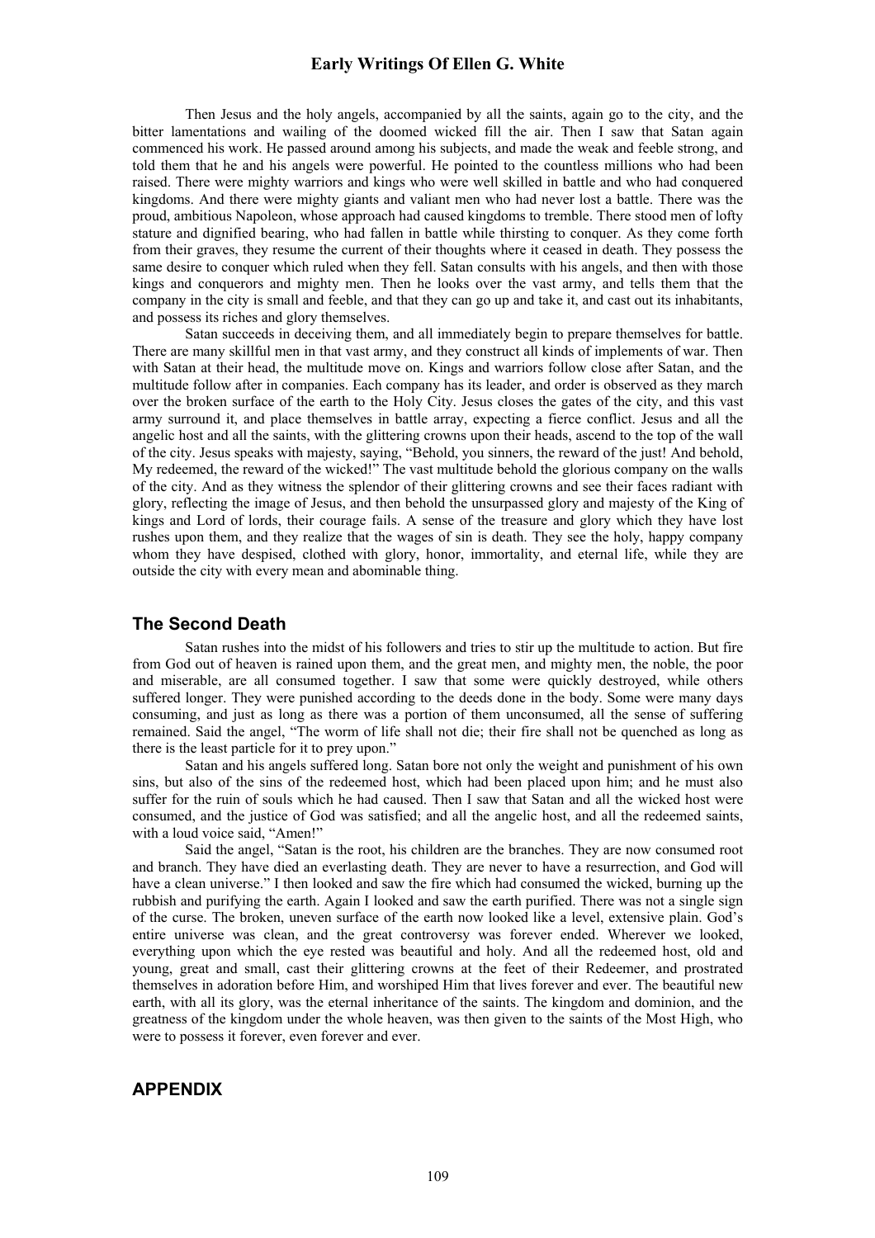## **Early Writings Of Ellen G. White**

Then Jesus and the holy angels, accompanied by all the saints, again go to the city, and the bitter lamentations and wailing of the doomed wicked fill the air. Then I saw that Satan again commenced his work. He passed around among his subjects, and made the weak and feeble strong, and told them that he and his angels were powerful. He pointed to the countless millions who had been raised. There were mighty warriors and kings who were well skilled in battle and who had conquered kingdoms. And there were mighty giants and valiant men who had never lost a battle. There was the proud, ambitious Napoleon, whose approach had caused kingdoms to tremble. There stood men of lofty stature and dignified bearing, who had fallen in battle while thirsting to conquer. As they come forth from their graves, they resume the current of their thoughts where it ceased in death. They possess the same desire to conquer which ruled when they fell. Satan consults with his angels, and then with those kings and conquerors and mighty men. Then he looks over the vast army, and tells them that the company in the city is small and feeble, and that they can go up and take it, and cast out its inhabitants, and possess its riches and glory themselves.

Satan succeeds in deceiving them, and all immediately begin to prepare themselves for battle. There are many skillful men in that vast army, and they construct all kinds of implements of war. Then with Satan at their head, the multitude move on. Kings and warriors follow close after Satan, and the multitude follow after in companies. Each company has its leader, and order is observed as they march over the broken surface of the earth to the Holy City. Jesus closes the gates of the city, and this vast army surround it, and place themselves in battle array, expecting a fierce conflict. Jesus and all the angelic host and all the saints, with the glittering crowns upon their heads, ascend to the top of the wall of the city. Jesus speaks with majesty, saying, "Behold, you sinners, the reward of the just! And behold, My redeemed, the reward of the wicked!" The vast multitude behold the glorious company on the walls of the city. And as they witness the splendor of their glittering crowns and see their faces radiant with glory, reflecting the image of Jesus, and then behold the unsurpassed glory and majesty of the King of kings and Lord of lords, their courage fails. A sense of the treasure and glory which they have lost rushes upon them, and they realize that the wages of sin is death. They see the holy, happy company whom they have despised, clothed with glory, honor, immortality, and eternal life, while they are outside the city with every mean and abominable thing.

## **The Second Death**

Satan rushes into the midst of his followers and tries to stir up the multitude to action. But fire from God out of heaven is rained upon them, and the great men, and mighty men, the noble, the poor and miserable, are all consumed together. I saw that some were quickly destroyed, while others suffered longer. They were punished according to the deeds done in the body. Some were many days consuming, and just as long as there was a portion of them unconsumed, all the sense of suffering remained. Said the angel, "The worm of life shall not die; their fire shall not be quenched as long as there is the least particle for it to prey upon."

Satan and his angels suffered long. Satan bore not only the weight and punishment of his own sins, but also of the sins of the redeemed host, which had been placed upon him; and he must also suffer for the ruin of souls which he had caused. Then I saw that Satan and all the wicked host were consumed, and the justice of God was satisfied; and all the angelic host, and all the redeemed saints, with a loud voice said, "Amen!"

Said the angel, "Satan is the root, his children are the branches. They are now consumed root and branch. They have died an everlasting death. They are never to have a resurrection, and God will have a clean universe." I then looked and saw the fire which had consumed the wicked, burning up the rubbish and purifying the earth. Again I looked and saw the earth purified. There was not a single sign of the curse. The broken, uneven surface of the earth now looked like a level, extensive plain. God's entire universe was clean, and the great controversy was forever ended. Wherever we looked, everything upon which the eye rested was beautiful and holy. And all the redeemed host, old and young, great and small, cast their glittering crowns at the feet of their Redeemer, and prostrated themselves in adoration before Him, and worshiped Him that lives forever and ever. The beautiful new earth, with all its glory, was the eternal inheritance of the saints. The kingdom and dominion, and the greatness of the kingdom under the whole heaven, was then given to the saints of the Most High, who were to possess it forever, even forever and ever.

## **APPENDIX**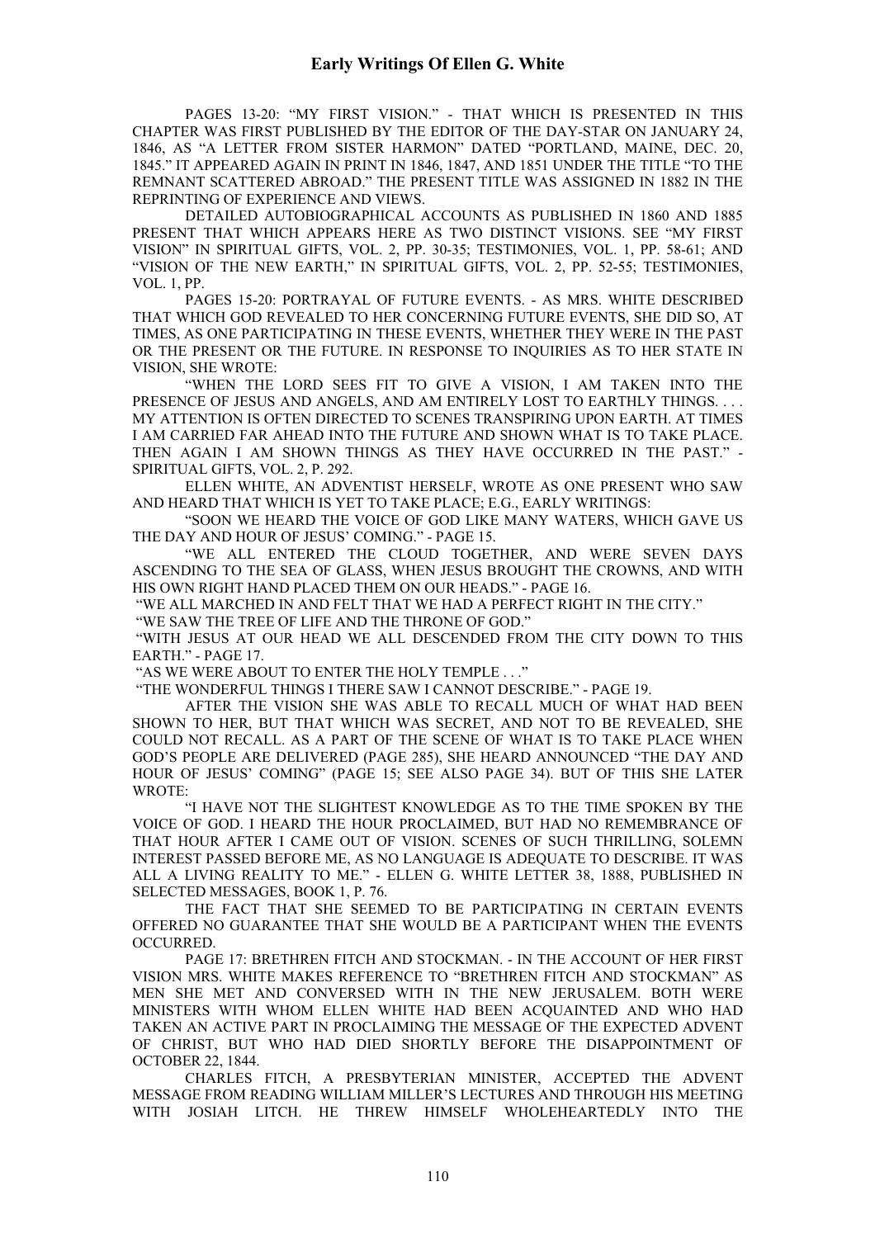PAGES 13-20: "MY FIRST VISION." - THAT WHICH IS PRESENTED IN THIS CHAPTER WAS FIRST PUBLISHED BY THE EDITOR OF THE DAY-STAR ON JANUARY 24, 1846, AS "A LETTER FROM SISTER HARMON" DATED "PORTLAND, MAINE, DEC. 20, 1845." IT APPEARED AGAIN IN PRINT IN 1846, 1847, AND 1851 UNDER THE TITLE "TO THE REMNANT SCATTERED ABROAD." THE PRESENT TITLE WAS ASSIGNED IN 1882 IN THE REPRINTING OF EXPERIENCE AND VIEWS.

DETAILED AUTOBIOGRAPHICAL ACCOUNTS AS PUBLISHED IN 1860 AND 1885 PRESENT THAT WHICH APPEARS HERE AS TWO DISTINCT VISIONS. SEE "MY FIRST VISION" IN SPIRITUAL GIFTS, VOL. 2, PP. 30-35; TESTIMONIES, VOL. 1, PP. 58-61; AND "VISION OF THE NEW EARTH," IN SPIRITUAL GIFTS, VOL. 2, PP. 52-55; TESTIMONIES, VOL. 1, PP.

PAGES 15-20: PORTRAYAL OF FUTURE EVENTS. - AS MRS. WHITE DESCRIBED THAT WHICH GOD REVEALED TO HER CONCERNING FUTURE EVENTS, SHE DID SO, AT TIMES, AS ONE PARTICIPATING IN THESE EVENTS, WHETHER THEY WERE IN THE PAST OR THE PRESENT OR THE FUTURE. IN RESPONSE TO INQUIRIES AS TO HER STATE IN VISION, SHE WROTE:

"WHEN THE LORD SEES FIT TO GIVE A VISION, I AM TAKEN INTO THE PRESENCE OF JESUS AND ANGELS, AND AM ENTIRELY LOST TO EARTHLY THINGS. . . . MY ATTENTION IS OFTEN DIRECTED TO SCENES TRANSPIRING UPON EARTH. AT TIMES I AM CARRIED FAR AHEAD INTO THE FUTURE AND SHOWN WHAT IS TO TAKE PLACE. THEN AGAIN I AM SHOWN THINGS AS THEY HAVE OCCURRED IN THE PAST." - SPIRITUAL GIFTS, VOL. 2, P. 292.

ELLEN WHITE, AN ADVENTIST HERSELF, WROTE AS ONE PRESENT WHO SAW AND HEARD THAT WHICH IS YET TO TAKE PLACE; E.G., EARLY WRITINGS:

"SOON WE HEARD THE VOICE OF GOD LIKE MANY WATERS, WHICH GAVE US THE DAY AND HOUR OF JESUS' COMING." - PAGE 15.

"WE ALL ENTERED THE CLOUD TOGETHER, AND WERE SEVEN DAYS ASCENDING TO THE SEA OF GLASS, WHEN JESUS BROUGHT THE CROWNS, AND WITH HIS OWN RIGHT HAND PLACED THEM ON OUR HEADS." - PAGE 16.

"WE ALL MARCHED IN AND FELT THAT WE HAD A PERFECT RIGHT IN THE CITY."

"WE SAW THE TREE OF LIFE AND THE THRONE OF GOD."

 "WITH JESUS AT OUR HEAD WE ALL DESCENDED FROM THE CITY DOWN TO THIS EARTH." - PAGE 17.

"AS WE WERE ABOUT TO ENTER THE HOLY TEMPLE . . ."

"THE WONDERFUL THINGS I THERE SAW I CANNOT DESCRIBE." - PAGE 19.

AFTER THE VISION SHE WAS ABLE TO RECALL MUCH OF WHAT HAD BEEN SHOWN TO HER, BUT THAT WHICH WAS SECRET, AND NOT TO BE REVEALED, SHE COULD NOT RECALL. AS A PART OF THE SCENE OF WHAT IS TO TAKE PLACE WHEN GOD'S PEOPLE ARE DELIVERED (PAGE 285), SHE HEARD ANNOUNCED "THE DAY AND HOUR OF JESUS' COMING" (PAGE 15; SEE ALSO PAGE 34). BUT OF THIS SHE LATER WROTE:

"I HAVE NOT THE SLIGHTEST KNOWLEDGE AS TO THE TIME SPOKEN BY THE VOICE OF GOD. I HEARD THE HOUR PROCLAIMED, BUT HAD NO REMEMBRANCE OF THAT HOUR AFTER I CAME OUT OF VISION. SCENES OF SUCH THRILLING, SOLEMN INTEREST PASSED BEFORE ME, AS NO LANGUAGE IS ADEQUATE TO DESCRIBE. IT WAS ALL A LIVING REALITY TO ME." - ELLEN G. WHITE LETTER 38, 1888, PUBLISHED IN SELECTED MESSAGES, BOOK 1, P. 76.

THE FACT THAT SHE SEEMED TO BE PARTICIPATING IN CERTAIN EVENTS OFFERED NO GUARANTEE THAT SHE WOULD BE A PARTICIPANT WHEN THE EVENTS OCCURRED.

PAGE 17: BRETHREN FITCH AND STOCKMAN. - IN THE ACCOUNT OF HER FIRST VISION MRS. WHITE MAKES REFERENCE TO "BRETHREN FITCH AND STOCKMAN" AS MEN SHE MET AND CONVERSED WITH IN THE NEW JERUSALEM. BOTH WERE MINISTERS WITH WHOM ELLEN WHITE HAD BEEN ACQUAINTED AND WHO HAD TAKEN AN ACTIVE PART IN PROCLAIMING THE MESSAGE OF THE EXPECTED ADVENT OF CHRIST, BUT WHO HAD DIED SHORTLY BEFORE THE DISAPPOINTMENT OF OCTOBER 22, 1844.

CHARLES FITCH, A PRESBYTERIAN MINISTER, ACCEPTED THE ADVENT MESSAGE FROM READING WILLIAM MILLER'S LECTURES AND THROUGH HIS MEETING WITH JOSIAH LITCH. HE THREW HIMSELF WHOLEHEARTEDLY INTO THE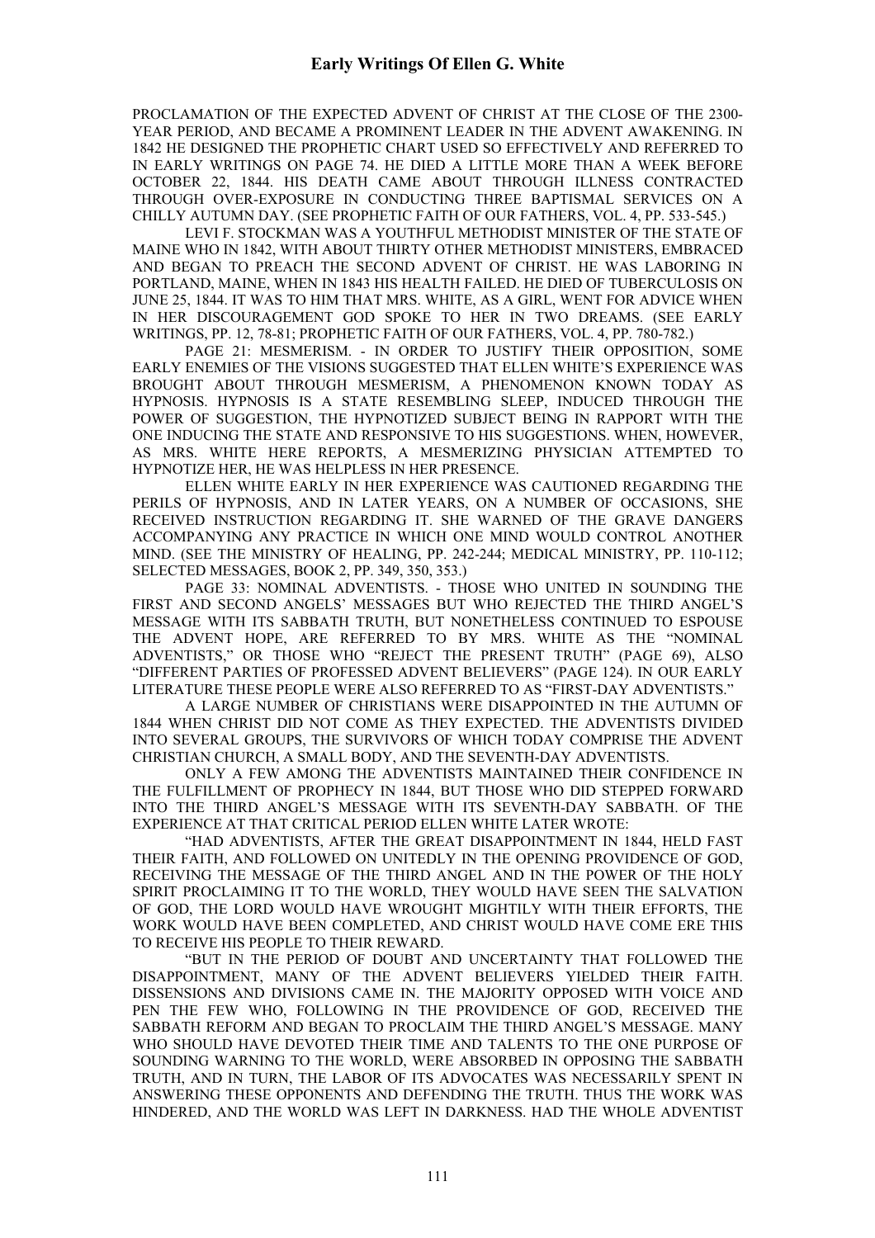PROCLAMATION OF THE EXPECTED ADVENT OF CHRIST AT THE CLOSE OF THE 2300- YEAR PERIOD, AND BECAME A PROMINENT LEADER IN THE ADVENT AWAKENING. IN 1842 HE DESIGNED THE PROPHETIC CHART USED SO EFFECTIVELY AND REFERRED TO IN EARLY WRITINGS ON PAGE 74. HE DIED A LITTLE MORE THAN A WEEK BEFORE OCTOBER 22, 1844. HIS DEATH CAME ABOUT THROUGH ILLNESS CONTRACTED THROUGH OVER-EXPOSURE IN CONDUCTING THREE BAPTISMAL SERVICES ON A CHILLY AUTUMN DAY. (SEE PROPHETIC FAITH OF OUR FATHERS, VOL. 4, PP. 533-545.)

LEVI F. STOCKMAN WAS A YOUTHFUL METHODIST MINISTER OF THE STATE OF MAINE WHO IN 1842, WITH ABOUT THIRTY OTHER METHODIST MINISTERS, EMBRACED AND BEGAN TO PREACH THE SECOND ADVENT OF CHRIST. HE WAS LABORING IN PORTLAND, MAINE, WHEN IN 1843 HIS HEALTH FAILED. HE DIED OF TUBERCULOSIS ON JUNE 25, 1844. IT WAS TO HIM THAT MRS. WHITE, AS A GIRL, WENT FOR ADVICE WHEN IN HER DISCOURAGEMENT GOD SPOKE TO HER IN TWO DREAMS. (SEE EARLY WRITINGS, PP. 12, 78-81; PROPHETIC FAITH OF OUR FATHERS, VOL. 4, PP. 780-782.)

PAGE 21: MESMERISM. - IN ORDER TO JUSTIFY THEIR OPPOSITION, SOME EARLY ENEMIES OF THE VISIONS SUGGESTED THAT ELLEN WHITE'S EXPERIENCE WAS BROUGHT ABOUT THROUGH MESMERISM, A PHENOMENON KNOWN TODAY AS HYPNOSIS. HYPNOSIS IS A STATE RESEMBLING SLEEP, INDUCED THROUGH THE POWER OF SUGGESTION, THE HYPNOTIZED SUBJECT BEING IN RAPPORT WITH THE ONE INDUCING THE STATE AND RESPONSIVE TO HIS SUGGESTIONS. WHEN, HOWEVER, AS MRS. WHITE HERE REPORTS, A MESMERIZING PHYSICIAN ATTEMPTED TO HYPNOTIZE HER, HE WAS HELPLESS IN HER PRESENCE.

ELLEN WHITE EARLY IN HER EXPERIENCE WAS CAUTIONED REGARDING THE PERILS OF HYPNOSIS, AND IN LATER YEARS, ON A NUMBER OF OCCASIONS, SHE RECEIVED INSTRUCTION REGARDING IT. SHE WARNED OF THE GRAVE DANGERS ACCOMPANYING ANY PRACTICE IN WHICH ONE MIND WOULD CONTROL ANOTHER MIND. (SEE THE MINISTRY OF HEALING, PP. 242-244; MEDICAL MINISTRY, PP. 110-112; SELECTED MESSAGES, BOOK 2, PP. 349, 350, 353.)

PAGE 33: NOMINAL ADVENTISTS. - THOSE WHO UNITED IN SOUNDING THE FIRST AND SECOND ANGELS' MESSAGES BUT WHO REJECTED THE THIRD ANGEL'S MESSAGE WITH ITS SABBATH TRUTH, BUT NONETHELESS CONTINUED TO ESPOUSE THE ADVENT HOPE, ARE REFERRED TO BY MRS. WHITE AS THE "NOMINAL ADVENTISTS," OR THOSE WHO "REJECT THE PRESENT TRUTH" (PAGE 69), ALSO "DIFFERENT PARTIES OF PROFESSED ADVENT BELIEVERS" (PAGE 124). IN OUR EARLY LITERATURE THESE PEOPLE WERE ALSO REFERRED TO AS "FIRST-DAY ADVENTISTS."

A LARGE NUMBER OF CHRISTIANS WERE DISAPPOINTED IN THE AUTUMN OF 1844 WHEN CHRIST DID NOT COME AS THEY EXPECTED. THE ADVENTISTS DIVIDED INTO SEVERAL GROUPS, THE SURVIVORS OF WHICH TODAY COMPRISE THE ADVENT CHRISTIAN CHURCH, A SMALL BODY, AND THE SEVENTH-DAY ADVENTISTS.

ONLY A FEW AMONG THE ADVENTISTS MAINTAINED THEIR CONFIDENCE IN THE FULFILLMENT OF PROPHECY IN 1844, BUT THOSE WHO DID STEPPED FORWARD INTO THE THIRD ANGEL'S MESSAGE WITH ITS SEVENTH-DAY SABBATH. OF THE EXPERIENCE AT THAT CRITICAL PERIOD ELLEN WHITE LATER WROTE:

"HAD ADVENTISTS, AFTER THE GREAT DISAPPOINTMENT IN 1844, HELD FAST THEIR FAITH, AND FOLLOWED ON UNITEDLY IN THE OPENING PROVIDENCE OF GOD, RECEIVING THE MESSAGE OF THE THIRD ANGEL AND IN THE POWER OF THE HOLY SPIRIT PROCLAIMING IT TO THE WORLD, THEY WOULD HAVE SEEN THE SALVATION OF GOD, THE LORD WOULD HAVE WROUGHT MIGHTILY WITH THEIR EFFORTS, THE WORK WOULD HAVE BEEN COMPLETED, AND CHRIST WOULD HAVE COME ERE THIS TO RECEIVE HIS PEOPLE TO THEIR REWARD.

"BUT IN THE PERIOD OF DOUBT AND UNCERTAINTY THAT FOLLOWED THE DISAPPOINTMENT, MANY OF THE ADVENT BELIEVERS YIELDED THEIR FAITH. DISSENSIONS AND DIVISIONS CAME IN. THE MAJORITY OPPOSED WITH VOICE AND PEN THE FEW WHO, FOLLOWING IN THE PROVIDENCE OF GOD, RECEIVED THE SABBATH REFORM AND BEGAN TO PROCLAIM THE THIRD ANGEL'S MESSAGE. MANY WHO SHOULD HAVE DEVOTED THEIR TIME AND TALENTS TO THE ONE PURPOSE OF SOUNDING WARNING TO THE WORLD, WERE ABSORBED IN OPPOSING THE SABBATH TRUTH, AND IN TURN, THE LABOR OF ITS ADVOCATES WAS NECESSARILY SPENT IN ANSWERING THESE OPPONENTS AND DEFENDING THE TRUTH. THUS THE WORK WAS HINDERED, AND THE WORLD WAS LEFT IN DARKNESS. HAD THE WHOLE ADVENTIST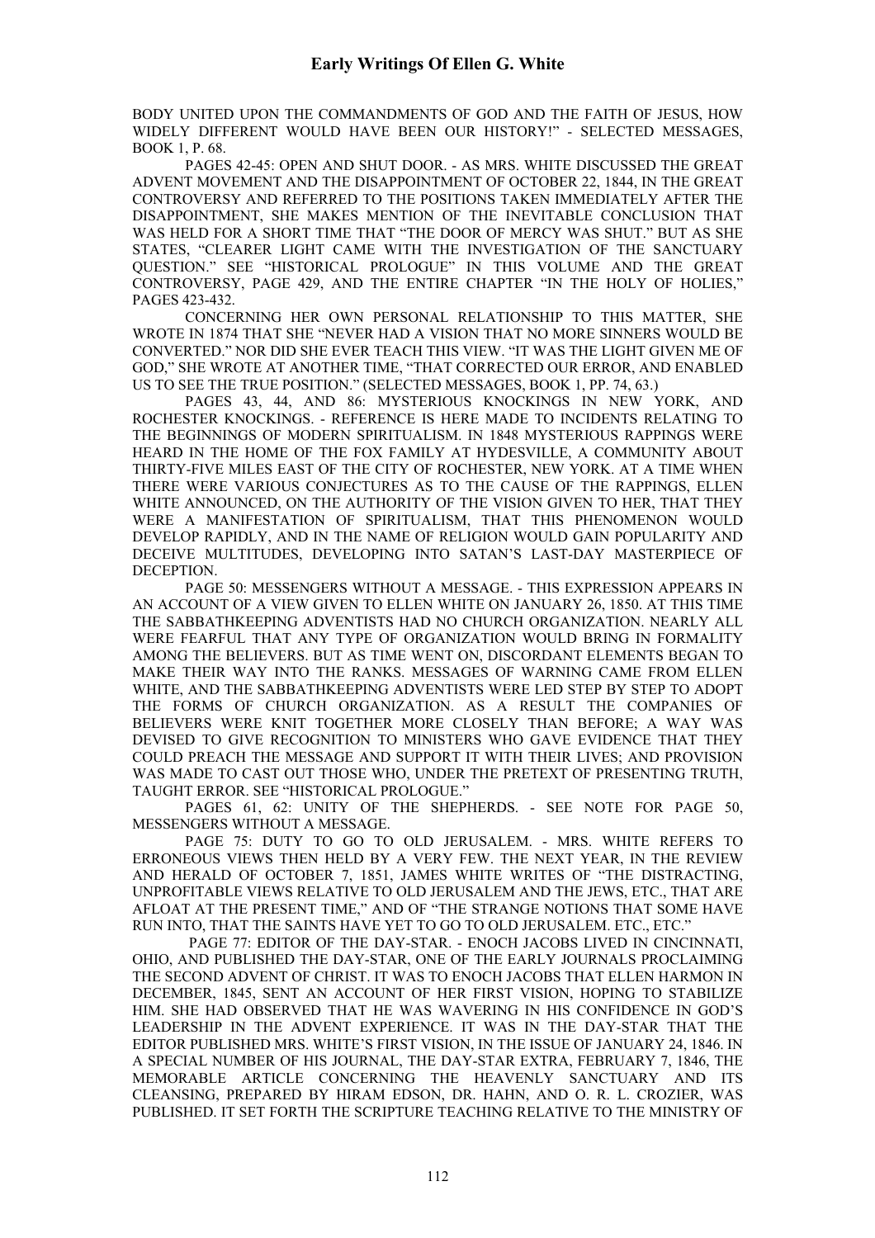BODY UNITED UPON THE COMMANDMENTS OF GOD AND THE FAITH OF JESUS, HOW WIDELY DIFFERENT WOULD HAVE BEEN OUR HISTORY!" - SELECTED MESSAGES, BOOK 1, P. 68.

PAGES 42-45: OPEN AND SHUT DOOR. - AS MRS. WHITE DISCUSSED THE GREAT ADVENT MOVEMENT AND THE DISAPPOINTMENT OF OCTOBER 22, 1844, IN THE GREAT CONTROVERSY AND REFERRED TO THE POSITIONS TAKEN IMMEDIATELY AFTER THE DISAPPOINTMENT, SHE MAKES MENTION OF THE INEVITABLE CONCLUSION THAT WAS HELD FOR A SHORT TIME THAT "THE DOOR OF MERCY WAS SHUT." BUT AS SHE STATES, "CLEARER LIGHT CAME WITH THE INVESTIGATION OF THE SANCTUARY QUESTION." SEE "HISTORICAL PROLOGUE" IN THIS VOLUME AND THE GREAT CONTROVERSY, PAGE 429, AND THE ENTIRE CHAPTER "IN THE HOLY OF HOLIES," PAGES 423-432.

CONCERNING HER OWN PERSONAL RELATIONSHIP TO THIS MATTER, SHE WROTE IN 1874 THAT SHE "NEVER HAD A VISION THAT NO MORE SINNERS WOULD BE CONVERTED." NOR DID SHE EVER TEACH THIS VIEW. "IT WAS THE LIGHT GIVEN ME OF GOD," SHE WROTE AT ANOTHER TIME, "THAT CORRECTED OUR ERROR, AND ENABLED US TO SEE THE TRUE POSITION." (SELECTED MESSAGES, BOOK 1, PP. 74, 63.)

PAGES 43, 44, AND 86: MYSTERIOUS KNOCKINGS IN NEW YORK, AND ROCHESTER KNOCKINGS. - REFERENCE IS HERE MADE TO INCIDENTS RELATING TO THE BEGINNINGS OF MODERN SPIRITUALISM. IN 1848 MYSTERIOUS RAPPINGS WERE HEARD IN THE HOME OF THE FOX FAMILY AT HYDESVILLE, A COMMUNITY ABOUT THIRTY-FIVE MILES EAST OF THE CITY OF ROCHESTER, NEW YORK. AT A TIME WHEN THERE WERE VARIOUS CONJECTURES AS TO THE CAUSE OF THE RAPPINGS, ELLEN WHITE ANNOUNCED, ON THE AUTHORITY OF THE VISION GIVEN TO HER, THAT THEY WERE A MANIFESTATION OF SPIRITUALISM, THAT THIS PHENOMENON WOULD DEVELOP RAPIDLY, AND IN THE NAME OF RELIGION WOULD GAIN POPULARITY AND DECEIVE MULTITUDES, DEVELOPING INTO SATAN'S LAST-DAY MASTERPIECE OF DECEPTION.

PAGE 50: MESSENGERS WITHOUT A MESSAGE. - THIS EXPRESSION APPEARS IN AN ACCOUNT OF A VIEW GIVEN TO ELLEN WHITE ON JANUARY 26, 1850. AT THIS TIME THE SABBATHKEEPING ADVENTISTS HAD NO CHURCH ORGANIZATION. NEARLY ALL WERE FEARFUL THAT ANY TYPE OF ORGANIZATION WOULD BRING IN FORMALITY AMONG THE BELIEVERS. BUT AS TIME WENT ON, DISCORDANT ELEMENTS BEGAN TO MAKE THEIR WAY INTO THE RANKS. MESSAGES OF WARNING CAME FROM ELLEN WHITE, AND THE SABBATHKEEPING ADVENTISTS WERE LED STEP BY STEP TO ADOPT THE FORMS OF CHURCH ORGANIZATION. AS A RESULT THE COMPANIES OF BELIEVERS WERE KNIT TOGETHER MORE CLOSELY THAN BEFORE; A WAY WAS DEVISED TO GIVE RECOGNITION TO MINISTERS WHO GAVE EVIDENCE THAT THEY COULD PREACH THE MESSAGE AND SUPPORT IT WITH THEIR LIVES; AND PROVISION WAS MADE TO CAST OUT THOSE WHO, UNDER THE PRETEXT OF PRESENTING TRUTH, TAUGHT ERROR. SEE "HISTORICAL PROLOGUE."

PAGES 61, 62: UNITY OF THE SHEPHERDS. - SEE NOTE FOR PAGE 50, MESSENGERS WITHOUT A MESSAGE.

PAGE 75: DUTY TO GO TO OLD JERUSALEM. - MRS. WHITE REFERS TO ERRONEOUS VIEWS THEN HELD BY A VERY FEW. THE NEXT YEAR, IN THE REVIEW AND HERALD OF OCTOBER 7, 1851, JAMES WHITE WRITES OF "THE DISTRACTING, UNPROFITABLE VIEWS RELATIVE TO OLD JERUSALEM AND THE JEWS, ETC., THAT ARE AFLOAT AT THE PRESENT TIME," AND OF "THE STRANGE NOTIONS THAT SOME HAVE RUN INTO, THAT THE SAINTS HAVE YET TO GO TO OLD JERUSALEM. ETC., ETC."

 PAGE 77: EDITOR OF THE DAY-STAR. - ENOCH JACOBS LIVED IN CINCINNATI, OHIO, AND PUBLISHED THE DAY-STAR, ONE OF THE EARLY JOURNALS PROCLAIMING THE SECOND ADVENT OF CHRIST. IT WAS TO ENOCH JACOBS THAT ELLEN HARMON IN DECEMBER, 1845, SENT AN ACCOUNT OF HER FIRST VISION, HOPING TO STABILIZE HIM. SHE HAD OBSERVED THAT HE WAS WAVERING IN HIS CONFIDENCE IN GOD'S LEADERSHIP IN THE ADVENT EXPERIENCE. IT WAS IN THE DAY-STAR THAT THE EDITOR PUBLISHED MRS. WHITE'S FIRST VISION, IN THE ISSUE OF JANUARY 24, 1846. IN A SPECIAL NUMBER OF HIS JOURNAL, THE DAY-STAR EXTRA, FEBRUARY 7, 1846, THE MEMORABLE ARTICLE CONCERNING THE HEAVENLY SANCTUARY AND ITS CLEANSING, PREPARED BY HIRAM EDSON, DR. HAHN, AND O. R. L. CROZIER, WAS PUBLISHED. IT SET FORTH THE SCRIPTURE TEACHING RELATIVE TO THE MINISTRY OF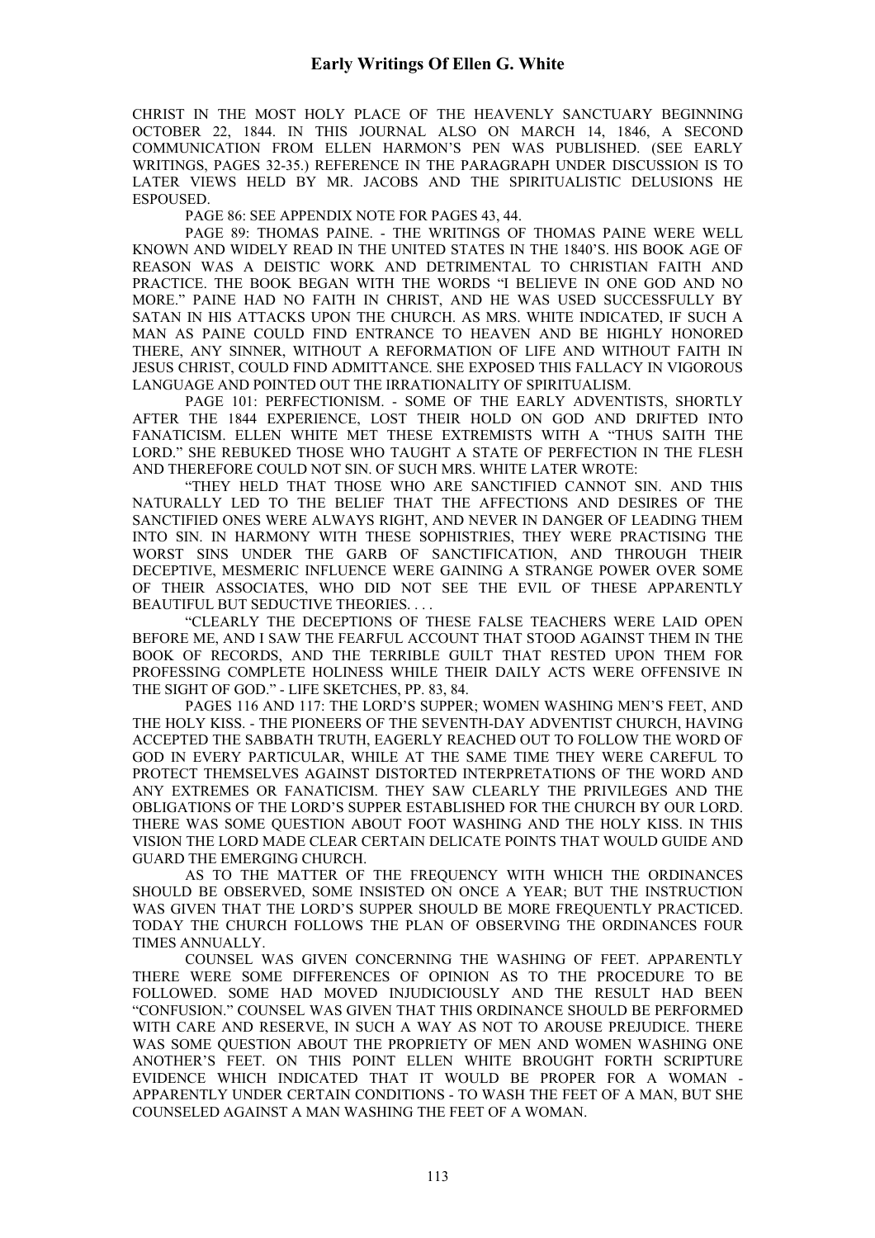CHRIST IN THE MOST HOLY PLACE OF THE HEAVENLY SANCTUARY BEGINNING OCTOBER 22, 1844. IN THIS JOURNAL ALSO ON MARCH 14, 1846, A SECOND COMMUNICATION FROM ELLEN HARMON'S PEN WAS PUBLISHED. (SEE EARLY WRITINGS, PAGES 32-35.) REFERENCE IN THE PARAGRAPH UNDER DISCUSSION IS TO LATER VIEWS HELD BY MR. JACOBS AND THE SPIRITUALISTIC DELUSIONS HE ESPOUSED.

PAGE 86: SEE APPENDIX NOTE FOR PAGES 43, 44.

PAGE 89: THOMAS PAINE. - THE WRITINGS OF THOMAS PAINE WERE WELL KNOWN AND WIDELY READ IN THE UNITED STATES IN THE 1840'S. HIS BOOK AGE OF REASON WAS A DEISTIC WORK AND DETRIMENTAL TO CHRISTIAN FAITH AND PRACTICE. THE BOOK BEGAN WITH THE WORDS "I BELIEVE IN ONE GOD AND NO MORE." PAINE HAD NO FAITH IN CHRIST, AND HE WAS USED SUCCESSFULLY BY SATAN IN HIS ATTACKS UPON THE CHURCH. AS MRS. WHITE INDICATED, IF SUCH A MAN AS PAINE COULD FIND ENTRANCE TO HEAVEN AND BE HIGHLY HONORED THERE, ANY SINNER, WITHOUT A REFORMATION OF LIFE AND WITHOUT FAITH IN JESUS CHRIST, COULD FIND ADMITTANCE. SHE EXPOSED THIS FALLACY IN VIGOROUS LANGUAGE AND POINTED OUT THE IRRATIONALITY OF SPIRITUALISM.

PAGE 101: PERFECTIONISM. - SOME OF THE EARLY ADVENTISTS, SHORTLY AFTER THE 1844 EXPERIENCE, LOST THEIR HOLD ON GOD AND DRIFTED INTO FANATICISM. ELLEN WHITE MET THESE EXTREMISTS WITH A "THUS SAITH THE LORD." SHE REBUKED THOSE WHO TAUGHT A STATE OF PERFECTION IN THE FLESH AND THEREFORE COULD NOT SIN. OF SUCH MRS. WHITE LATER WROTE:

"THEY HELD THAT THOSE WHO ARE SANCTIFIED CANNOT SIN. AND THIS NATURALLY LED TO THE BELIEF THAT THE AFFECTIONS AND DESIRES OF THE SANCTIFIED ONES WERE ALWAYS RIGHT, AND NEVER IN DANGER OF LEADING THEM INTO SIN. IN HARMONY WITH THESE SOPHISTRIES, THEY WERE PRACTISING THE WORST SINS UNDER THE GARB OF SANCTIFICATION, AND THROUGH THEIR DECEPTIVE, MESMERIC INFLUENCE WERE GAINING A STRANGE POWER OVER SOME OF THEIR ASSOCIATES, WHO DID NOT SEE THE EVIL OF THESE APPARENTLY BEAUTIFUL BUT SEDUCTIVE THEORIES. . . .

"CLEARLY THE DECEPTIONS OF THESE FALSE TEACHERS WERE LAID OPEN BEFORE ME, AND I SAW THE FEARFUL ACCOUNT THAT STOOD AGAINST THEM IN THE BOOK OF RECORDS, AND THE TERRIBLE GUILT THAT RESTED UPON THEM FOR PROFESSING COMPLETE HOLINESS WHILE THEIR DAILY ACTS WERE OFFENSIVE IN THE SIGHT OF GOD." - LIFE SKETCHES, PP. 83, 84.

PAGES 116 AND 117: THE LORD'S SUPPER; WOMEN WASHING MEN'S FEET, AND THE HOLY KISS. - THE PIONEERS OF THE SEVENTH-DAY ADVENTIST CHURCH, HAVING ACCEPTED THE SABBATH TRUTH, EAGERLY REACHED OUT TO FOLLOW THE WORD OF GOD IN EVERY PARTICULAR, WHILE AT THE SAME TIME THEY WERE CAREFUL TO PROTECT THEMSELVES AGAINST DISTORTED INTERPRETATIONS OF THE WORD AND ANY EXTREMES OR FANATICISM. THEY SAW CLEARLY THE PRIVILEGES AND THE OBLIGATIONS OF THE LORD'S SUPPER ESTABLISHED FOR THE CHURCH BY OUR LORD. THERE WAS SOME QUESTION ABOUT FOOT WASHING AND THE HOLY KISS. IN THIS VISION THE LORD MADE CLEAR CERTAIN DELICATE POINTS THAT WOULD GUIDE AND GUARD THE EMERGING CHURCH.

AS TO THE MATTER OF THE FREQUENCY WITH WHICH THE ORDINANCES SHOULD BE OBSERVED, SOME INSISTED ON ONCE A YEAR; BUT THE INSTRUCTION WAS GIVEN THAT THE LORD'S SUPPER SHOULD BE MORE FREQUENTLY PRACTICED. TODAY THE CHURCH FOLLOWS THE PLAN OF OBSERVING THE ORDINANCES FOUR TIMES ANNUALLY.

COUNSEL WAS GIVEN CONCERNING THE WASHING OF FEET. APPARENTLY THERE WERE SOME DIFFERENCES OF OPINION AS TO THE PROCEDURE TO BE FOLLOWED. SOME HAD MOVED INJUDICIOUSLY AND THE RESULT HAD BEEN "CONFUSION." COUNSEL WAS GIVEN THAT THIS ORDINANCE SHOULD BE PERFORMED WITH CARE AND RESERVE, IN SUCH A WAY AS NOT TO AROUSE PREJUDICE. THERE WAS SOME QUESTION ABOUT THE PROPRIETY OF MEN AND WOMEN WASHING ONE ANOTHER'S FEET. ON THIS POINT ELLEN WHITE BROUGHT FORTH SCRIPTURE EVIDENCE WHICH INDICATED THAT IT WOULD BE PROPER FOR A WOMAN - APPARENTLY UNDER CERTAIN CONDITIONS - TO WASH THE FEET OF A MAN, BUT SHE COUNSELED AGAINST A MAN WASHING THE FEET OF A WOMAN.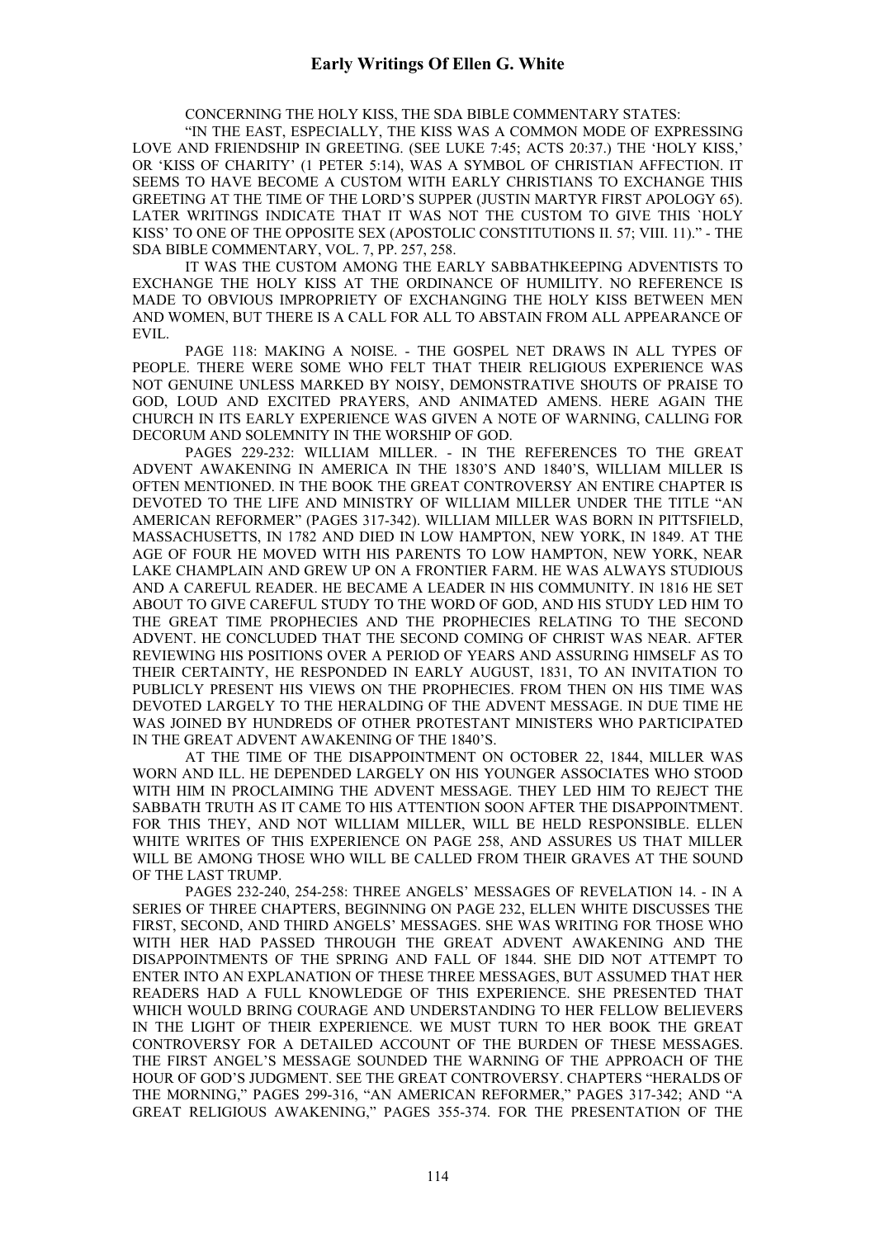CONCERNING THE HOLY KISS, THE SDA BIBLE COMMENTARY STATES:

"IN THE EAST, ESPECIALLY, THE KISS WAS A COMMON MODE OF EXPRESSING LOVE AND FRIENDSHIP IN GREETING. (SEE LUKE 7:45; ACTS 20:37.) THE 'HOLY KISS,' OR 'KISS OF CHARITY' (1 PETER 5:14), WAS A SYMBOL OF CHRISTIAN AFFECTION. IT SEEMS TO HAVE BECOME A CUSTOM WITH EARLY CHRISTIANS TO EXCHANGE THIS GREETING AT THE TIME OF THE LORD'S SUPPER (JUSTIN MARTYR FIRST APOLOGY 65). LATER WRITINGS INDICATE THAT IT WAS NOT THE CUSTOM TO GIVE THIS `HOLY KISS' TO ONE OF THE OPPOSITE SEX (APOSTOLIC CONSTITUTIONS II. 57; VIII. 11)." - THE SDA BIBLE COMMENTARY, VOL. 7, PP. 257, 258.

IT WAS THE CUSTOM AMONG THE EARLY SABBATHKEEPING ADVENTISTS TO EXCHANGE THE HOLY KISS AT THE ORDINANCE OF HUMILITY. NO REFERENCE IS MADE TO OBVIOUS IMPROPRIETY OF EXCHANGING THE HOLY KISS BETWEEN MEN AND WOMEN, BUT THERE IS A CALL FOR ALL TO ABSTAIN FROM ALL APPEARANCE OF EVIL.

PAGE 118: MAKING A NOISE. - THE GOSPEL NET DRAWS IN ALL TYPES OF PEOPLE. THERE WERE SOME WHO FELT THAT THEIR RELIGIOUS EXPERIENCE WAS NOT GENUINE UNLESS MARKED BY NOISY, DEMONSTRATIVE SHOUTS OF PRAISE TO GOD, LOUD AND EXCITED PRAYERS, AND ANIMATED AMENS. HERE AGAIN THE CHURCH IN ITS EARLY EXPERIENCE WAS GIVEN A NOTE OF WARNING, CALLING FOR DECORUM AND SOLEMNITY IN THE WORSHIP OF GOD.

PAGES 229-232: WILLIAM MILLER. - IN THE REFERENCES TO THE GREAT ADVENT AWAKENING IN AMERICA IN THE 1830'S AND 1840'S, WILLIAM MILLER IS OFTEN MENTIONED. IN THE BOOK THE GREAT CONTROVERSY AN ENTIRE CHAPTER IS DEVOTED TO THE LIFE AND MINISTRY OF WILLIAM MILLER UNDER THE TITLE "AN AMERICAN REFORMER" (PAGES 317-342). WILLIAM MILLER WAS BORN IN PITTSFIELD, MASSACHUSETTS, IN 1782 AND DIED IN LOW HAMPTON, NEW YORK, IN 1849. AT THE AGE OF FOUR HE MOVED WITH HIS PARENTS TO LOW HAMPTON, NEW YORK, NEAR LAKE CHAMPLAIN AND GREW UP ON A FRONTIER FARM. HE WAS ALWAYS STUDIOUS AND A CAREFUL READER. HE BECAME A LEADER IN HIS COMMUNITY. IN 1816 HE SET ABOUT TO GIVE CAREFUL STUDY TO THE WORD OF GOD, AND HIS STUDY LED HIM TO THE GREAT TIME PROPHECIES AND THE PROPHECIES RELATING TO THE SECOND ADVENT. HE CONCLUDED THAT THE SECOND COMING OF CHRIST WAS NEAR. AFTER REVIEWING HIS POSITIONS OVER A PERIOD OF YEARS AND ASSURING HIMSELF AS TO THEIR CERTAINTY, HE RESPONDED IN EARLY AUGUST, 1831, TO AN INVITATION TO PUBLICLY PRESENT HIS VIEWS ON THE PROPHECIES. FROM THEN ON HIS TIME WAS DEVOTED LARGELY TO THE HERALDING OF THE ADVENT MESSAGE. IN DUE TIME HE WAS JOINED BY HUNDREDS OF OTHER PROTESTANT MINISTERS WHO PARTICIPATED IN THE GREAT ADVENT AWAKENING OF THE 1840'S.

AT THE TIME OF THE DISAPPOINTMENT ON OCTOBER 22, 1844, MILLER WAS WORN AND ILL. HE DEPENDED LARGELY ON HIS YOUNGER ASSOCIATES WHO STOOD WITH HIM IN PROCLAIMING THE ADVENT MESSAGE. THEY LED HIM TO REJECT THE SABBATH TRUTH AS IT CAME TO HIS ATTENTION SOON AFTER THE DISAPPOINTMENT. FOR THIS THEY, AND NOT WILLIAM MILLER, WILL BE HELD RESPONSIBLE. ELLEN WHITE WRITES OF THIS EXPERIENCE ON PAGE 258, AND ASSURES US THAT MILLER WILL BE AMONG THOSE WHO WILL BE CALLED FROM THEIR GRAVES AT THE SOUND OF THE LAST TRUMP.

PAGES 232-240, 254-258: THREE ANGELS' MESSAGES OF REVELATION 14. - IN A SERIES OF THREE CHAPTERS, BEGINNING ON PAGE 232, ELLEN WHITE DISCUSSES THE FIRST, SECOND, AND THIRD ANGELS' MESSAGES. SHE WAS WRITING FOR THOSE WHO WITH HER HAD PASSED THROUGH THE GREAT ADVENT AWAKENING AND THE DISAPPOINTMENTS OF THE SPRING AND FALL OF 1844. SHE DID NOT ATTEMPT TO ENTER INTO AN EXPLANATION OF THESE THREE MESSAGES, BUT ASSUMED THAT HER READERS HAD A FULL KNOWLEDGE OF THIS EXPERIENCE. SHE PRESENTED THAT WHICH WOULD BRING COURAGE AND UNDERSTANDING TO HER FELLOW BELIEVERS IN THE LIGHT OF THEIR EXPERIENCE. WE MUST TURN TO HER BOOK THE GREAT CONTROVERSY FOR A DETAILED ACCOUNT OF THE BURDEN OF THESE MESSAGES. THE FIRST ANGEL'S MESSAGE SOUNDED THE WARNING OF THE APPROACH OF THE HOUR OF GOD'S JUDGMENT. SEE THE GREAT CONTROVERSY. CHAPTERS "HERALDS OF THE MORNING," PAGES 299-316, "AN AMERICAN REFORMER," PAGES 317-342; AND "A GREAT RELIGIOUS AWAKENING," PAGES 355-374. FOR THE PRESENTATION OF THE